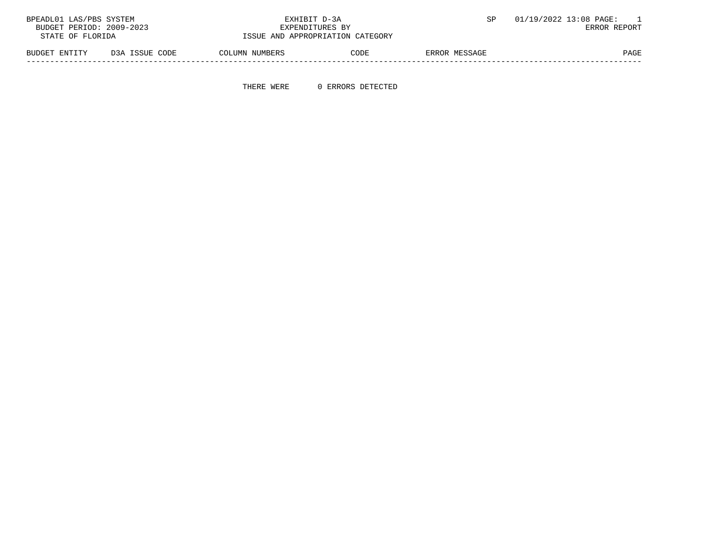| 01/19/2022 13:08 PAGE: |               | EXHIBIT D-3A                                |                |                  | BPEADL01 LAS/PBS SYSTEM |  |
|------------------------|---------------|---------------------------------------------|----------------|------------------|-------------------------|--|
| ERROR REPORT           |               | BUDGET PERIOD: 2009-2023<br>EXPENDITURES BY |                |                  |                         |  |
|                        |               | ISSUE AND APPROPRIATION CATEGORY            |                | STATE OF FLORIDA |                         |  |
|                        | ERROR MESSAGE | CODE                                        | COLUMN NUMBERS | D3A ISSUE CODE   | BUDGET ENTITY           |  |

-----------------------------------------------------------------------------------------------------------------------------------

THERE WERE 0 ERRORS DETECTED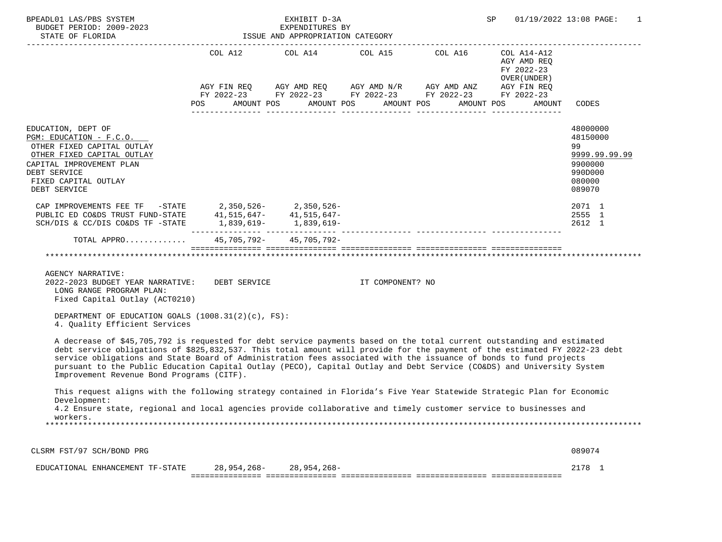| BPEADL01 LAS/PBS SYSTEM<br>BUDGET PERIOD: 2009-2023<br>STATE OF FLORIDA<br>-------------------                                                                                                                                                                                                                                                                                                                                                                                                                                                  |                | EXHIBIT D-3A<br>EXPENDITURES BY<br>ISSUE AND APPROPRIATION CATEGORY                                                                                                          |                       | SP                                                                | 01/19/2022 13:08 PAGE:<br>1                                                           |
|-------------------------------------------------------------------------------------------------------------------------------------------------------------------------------------------------------------------------------------------------------------------------------------------------------------------------------------------------------------------------------------------------------------------------------------------------------------------------------------------------------------------------------------------------|----------------|------------------------------------------------------------------------------------------------------------------------------------------------------------------------------|-----------------------|-------------------------------------------------------------------|---------------------------------------------------------------------------------------|
|                                                                                                                                                                                                                                                                                                                                                                                                                                                                                                                                                 | POS AMOUNT POS | COL A12 $COL$ A14 $COL$ A15 $COL$ A16 $COL$ A14-A12<br>AGY FIN REQ AGY AMD REQ AGY AMD N/R AGY AMD ANZ AGY FIN REQ<br>FY 2022-23 FY 2022-23 FY 2022-23 FY 2022-23 FY 2022-23 | AMOUNT POS AMOUNT POS | AGY AMD REQ<br>FY 2022-23<br>OVER (UNDER)<br>AMOUNT POS<br>AMOUNT | CODES                                                                                 |
| EDUCATION, DEPT OF<br>PGM: EDUCATION - F.C.O.<br>OTHER FIXED CAPITAL OUTLAY<br>OTHER FIXED CAPITAL OUTLAY<br>CAPITAL IMPROVEMENT PLAN<br>DEBT SERVICE<br>FIXED CAPITAL OUTLAY<br>DEBT SERVICE                                                                                                                                                                                                                                                                                                                                                   |                |                                                                                                                                                                              |                       |                                                                   | 48000000<br>48150000<br>99<br>9999.99.99.99<br>9900000<br>990D000<br>080000<br>089070 |
| CAP IMPROVEMENTS FEE TF $-$ STATE 2,350,526-2005.526-2005 2.350,526-2005 2.350,526-2005 2.350,647-41,515,647-<br>SCH/DIS & CC/DIS CO&DS TF -STATE 1,839,619- 1,839,619-                                                                                                                                                                                                                                                                                                                                                                         |                |                                                                                                                                                                              |                       |                                                                   | 2071 1<br>2555 1<br>2612 1                                                            |
| TOTAL APPRO<br>AGENCY NARRATIVE:<br>2022-2023 BUDGET YEAR NARRATIVE: DEBT SERVICE THE SERVICE THE COMPONENT? NO<br>LONG RANGE PROGRAM PLAN:                                                                                                                                                                                                                                                                                                                                                                                                     |                | 45,705,792-45,705,792-                                                                                                                                                       |                       |                                                                   |                                                                                       |
| Fixed Capital Outlay (ACT0210)<br>DEPARTMENT OF EDUCATION GOALS $(1008.31(2)(c), FS)$ :<br>4. Quality Efficient Services                                                                                                                                                                                                                                                                                                                                                                                                                        |                |                                                                                                                                                                              |                       |                                                                   |                                                                                       |
| A decrease of \$45,705,792 is requested for debt service payments based on the total current outstanding and estimated<br>debt service obligations of \$825,832,537. This total amount will provide for the payment of the estimated FY 2022-23 debt<br>service obligations and State Board of Administration fees associated with the issuance of bonds to fund projects<br>pursuant to the Public Education Capital Outlay (PECO), Capital Outlay and Debt Service (CO&DS) and University System<br>Improvement Revenue Bond Programs (CITF). |                |                                                                                                                                                                              |                       |                                                                   |                                                                                       |
| This request aligns with the following strategy contained in Florida's Five Year Statewide Strategic Plan for Economic<br>Development:<br>4.2 Ensure state, regional and local agencies provide collaborative and timely customer service to businesses and<br>workers.                                                                                                                                                                                                                                                                         |                |                                                                                                                                                                              |                       |                                                                   |                                                                                       |
| CLSRM FST/97 SCH/BOND PRG                                                                                                                                                                                                                                                                                                                                                                                                                                                                                                                       |                |                                                                                                                                                                              |                       |                                                                   | 089074                                                                                |
| EDUCATIONAL ENHANCEMENT TF-STATE                                                                                                                                                                                                                                                                                                                                                                                                                                                                                                                | 28,954,268-    | $28,954,268-$                                                                                                                                                                |                       |                                                                   | 2178 1                                                                                |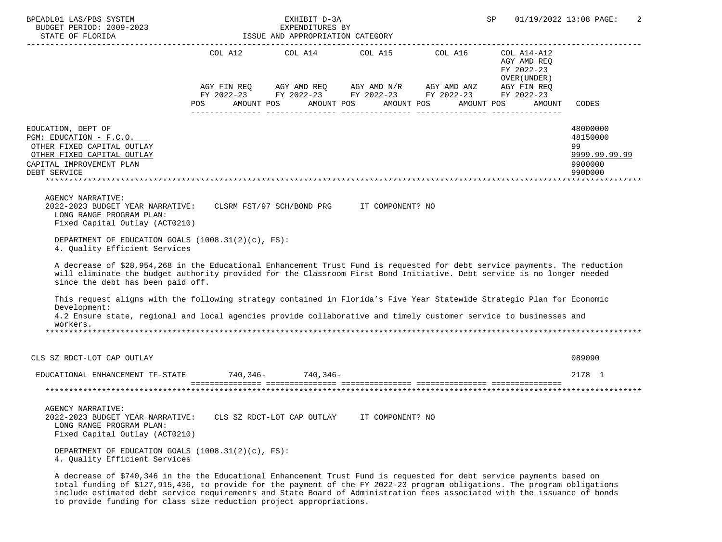| BPEADL01 LAS/PBS SYSTEM<br>BUDGET PERIOD: 2009-2023<br>STATE OF FLORIDA                                                                                                                                                                                                                   |                   | EXHIBIT D-3A<br>EXPENDITURES BY<br>ISSUE AND APPROPRIATION CATEGORY |                  |                                                                                                                                     | SP                                         | 01/19/2022 13:08 PAGE:<br>2                                       |
|-------------------------------------------------------------------------------------------------------------------------------------------------------------------------------------------------------------------------------------------------------------------------------------------|-------------------|---------------------------------------------------------------------|------------------|-------------------------------------------------------------------------------------------------------------------------------------|--------------------------------------------|-------------------------------------------------------------------|
|                                                                                                                                                                                                                                                                                           | COL A12           | COL A14                                                             |                  | COL A15 COL A16 COL A14-A12                                                                                                         | AGY AMD REO<br>FY 2022-23<br>OVER (UNDER ) |                                                                   |
|                                                                                                                                                                                                                                                                                           | POS<br>AMOUNT POS |                                                                     | AMOUNT POS       | AGY FIN REQ AGY AMD REQ AGY AMD N/R AGY AMD ANZ AGY FIN REQ<br>FY 2022-23 FY 2022-23 FY 2022-23 FY 2022-23 FY 2022-23<br>AMOUNT POS | AMOUNT POS<br>AMOUNT                       | <b>CODES</b>                                                      |
| EDUCATION, DEPT OF<br>PGM: EDUCATION - F.C.O.<br>OTHER FIXED CAPITAL OUTLAY<br>OTHER FIXED CAPITAL OUTLAY<br>CAPITAL IMPROVEMENT PLAN<br>DEBT SERVICE                                                                                                                                     |                   |                                                                     |                  |                                                                                                                                     |                                            | 48000000<br>48150000<br>99<br>9999.99.99.99<br>9900000<br>990D000 |
| AGENCY NARRATIVE:<br>2022-2023 BUDGET YEAR NARRATIVE: CLSRM FST/97 SCH/BOND PRG IT COMPONENT? NO<br>LONG RANGE PROGRAM PLAN:<br>Fixed Capital Outlay (ACT0210)                                                                                                                            |                   |                                                                     |                  |                                                                                                                                     |                                            |                                                                   |
| DEPARTMENT OF EDUCATION GOALS $(1008.31(2)(c), FS)$ :<br>4. Quality Efficient Services                                                                                                                                                                                                    |                   |                                                                     |                  |                                                                                                                                     |                                            |                                                                   |
| A decrease of \$28,954,268 in the Educational Enhancement Trust Fund is requested for debt service payments. The reduction<br>will eliminate the budget authority provided for the Classroom First Bond Initiative. Debt service is no longer needed<br>since the debt has been paid off. |                   |                                                                     |                  |                                                                                                                                     |                                            |                                                                   |
| This request aligns with the following strategy contained in Florida's Five Year Statewide Strategic Plan for Economic<br>Development:<br>4.2 Ensure state, regional and local agencies provide collaborative and timely customer service to businesses and                               |                   |                                                                     |                  |                                                                                                                                     |                                            |                                                                   |
| workers.                                                                                                                                                                                                                                                                                  |                   |                                                                     |                  |                                                                                                                                     |                                            |                                                                   |
| CLS SZ RDCT-LOT CAP OUTLAY                                                                                                                                                                                                                                                                |                   |                                                                     |                  |                                                                                                                                     |                                            | 089090                                                            |
| EDUCATIONAL ENHANCEMENT TF-STATE 740,346- 740,346-                                                                                                                                                                                                                                        |                   |                                                                     |                  |                                                                                                                                     |                                            | 2178 1<br>*******************                                     |
| AGENCY NARRATIVE:<br>2022-2023 BUDGET YEAR NARRATIVE:<br>LONG RANGE PROGRAM PLAN:<br>Fixed Capital Outlay (ACT0210)                                                                                                                                                                       |                   | CLS SZ RDCT-LOT CAP OUTLAY                                          | IT COMPONENT? NO |                                                                                                                                     |                                            |                                                                   |
| DEPARTMENT OF EDUCATION GOALS (1008.31(2)(c), FS):<br>4. Quality Efficient Services                                                                                                                                                                                                       |                   |                                                                     |                  |                                                                                                                                     |                                            |                                                                   |

 A decrease of \$740,346 in the the Educational Enhancement Trust Fund is requested for debt service payments based on total funding of \$127,915,436, to provide for the payment of the FY 2022-23 program obligations. The program obligations include estimated debt service requirements and State Board of Administration fees associated with the issuance of bonds to provide funding for class size reduction project appropriations.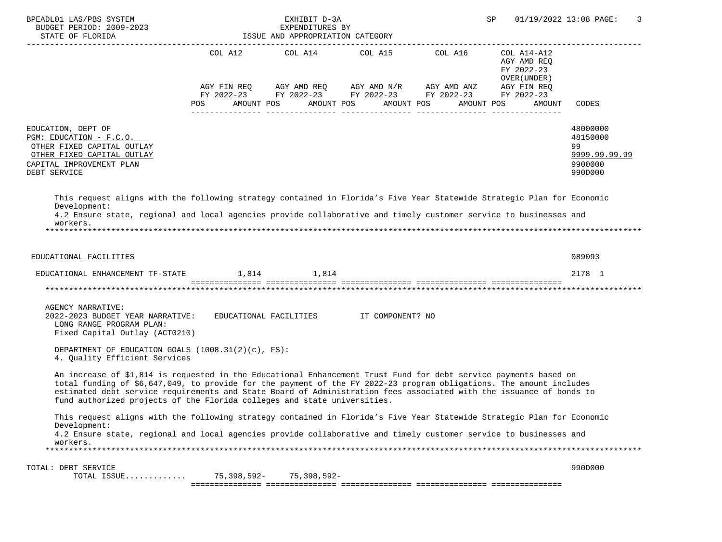| BPEADL01 LAS/PBS SYSTEM                                                                                                                                                                                                                                                                                                                                                                                                                    |             | EXHIBIT D-3A<br>EXPENDITURES BY<br>ISSUE AND APPROPRIATION CATEGORY |                       |                                                                                                                                                                                                          | SP                                                                | 01/19/2022 13:08 PAGE:<br>3                                       |
|--------------------------------------------------------------------------------------------------------------------------------------------------------------------------------------------------------------------------------------------------------------------------------------------------------------------------------------------------------------------------------------------------------------------------------------------|-------------|---------------------------------------------------------------------|-----------------------|----------------------------------------------------------------------------------------------------------------------------------------------------------------------------------------------------------|-------------------------------------------------------------------|-------------------------------------------------------------------|
|                                                                                                                                                                                                                                                                                                                                                                                                                                            | POS FOR     | AMOUNT POS                                                          | AMOUNT POS AMOUNT POS | COL A12 $\qquad$ COL A14 $\qquad$ COL A15 $\qquad$ COL A16 $\qquad$ COL A14-A12<br>AGY FIN REQ AGY AMD REQ AGY AMD N/R AGY AMD ANZ AGY FIN REQ<br>FY 2022-23 FY 2022-23 FY 2022-23 FY 2022-23 FY 2022-23 | AGY AMD REQ<br>FY 2022-23<br>OVER (UNDER)<br>AMOUNT POS<br>AMOUNT | CODES                                                             |
| EDUCATION, DEPT OF<br>PGM: EDUCATION - F.C.O.<br>OTHER FIXED CAPITAL OUTLAY<br>OTHER FIXED CAPITAL OUTLAY<br>CAPITAL IMPROVEMENT PLAN<br>DEBT SERVICE                                                                                                                                                                                                                                                                                      |             |                                                                     |                       |                                                                                                                                                                                                          |                                                                   | 48000000<br>48150000<br>99<br>9999.99.99.99<br>9900000<br>990D000 |
| This request aligns with the following strategy contained in Florida's Five Year Statewide Strategic Plan for Economic<br>Development:<br>4.2 Ensure state, regional and local agencies provide collaborative and timely customer service to businesses and<br>workers.                                                                                                                                                                    |             |                                                                     |                       |                                                                                                                                                                                                          |                                                                   |                                                                   |
| EDUCATIONAL FACILITIES                                                                                                                                                                                                                                                                                                                                                                                                                     |             |                                                                     |                       |                                                                                                                                                                                                          |                                                                   | 089093                                                            |
| EDUCATIONAL ENHANCEMENT TF-STATE $1,814$ 1,814                                                                                                                                                                                                                                                                                                                                                                                             |             |                                                                     |                       |                                                                                                                                                                                                          |                                                                   | 2178 1                                                            |
|                                                                                                                                                                                                                                                                                                                                                                                                                                            |             |                                                                     |                       |                                                                                                                                                                                                          |                                                                   |                                                                   |
| AGENCY NARRATIVE:<br>2022-2023 BUDGET YEAR NARRATIVE: EDUCATIONAL FACILITIES IT COMPONENT? NO<br>LONG RANGE PROGRAM PLAN:<br>Fixed Capital Outlay (ACT0210)<br>DEPARTMENT OF EDUCATION GOALS $(1008.31(2)(c), FS)$ :<br>4. Quality Efficient Services                                                                                                                                                                                      |             |                                                                     |                       |                                                                                                                                                                                                          |                                                                   |                                                                   |
| An increase of \$1,814 is requested in the Educational Enhancement Trust Fund for debt service payments based on<br>total funding of \$6,647,049, to provide for the payment of the FY 2022-23 program obligations. The amount includes<br>estimated debt service requirements and State Board of Administration fees associated with the issuance of bonds to<br>fund authorized projects of the Florida colleges and state universities. |             |                                                                     |                       |                                                                                                                                                                                                          |                                                                   |                                                                   |
| This request aligns with the following strategy contained in Florida's Five Year Statewide Strategic Plan for Economic                                                                                                                                                                                                                                                                                                                     |             |                                                                     |                       |                                                                                                                                                                                                          |                                                                   |                                                                   |
| Development:<br>4.2 Ensure state, regional and local agencies provide collaborative and timely customer service to businesses and<br>workers.                                                                                                                                                                                                                                                                                              |             |                                                                     |                       |                                                                                                                                                                                                          |                                                                   |                                                                   |
| TOTAL: DEBT SERVICE<br>TOTAL ISSUE                                                                                                                                                                                                                                                                                                                                                                                                         | 75,398,592- | 75,398,592-                                                         |                       |                                                                                                                                                                                                          |                                                                   | 990D000                                                           |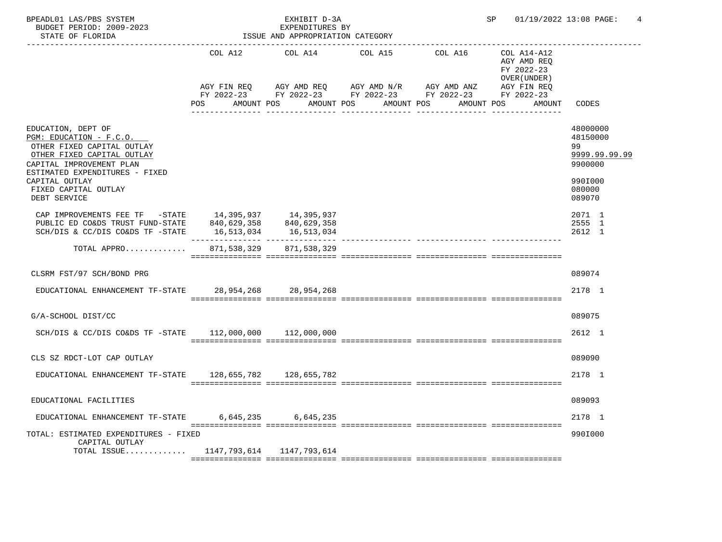| BPEADL01 LAS/PBS SYSTEM<br>BUDGET PERIOD: 2009-2023<br>STATE OF FLORIDA                                                                                                                                                           |                        | EXHIBIT D-3A<br>EXPENDITURES BY<br>ISSUE AND APPROPRIATION CATEGORY |                                                                         |                                                        | SP 01/19/2022 13:08 PAGE:                                 | 4                                                                                     |
|-----------------------------------------------------------------------------------------------------------------------------------------------------------------------------------------------------------------------------------|------------------------|---------------------------------------------------------------------|-------------------------------------------------------------------------|--------------------------------------------------------|-----------------------------------------------------------|---------------------------------------------------------------------------------------|
|                                                                                                                                                                                                                                   | COL A12                | COL A14                                                             | COL A15                                                                 | COL A16                                                | COL A14-A12<br>AGY AMD REQ<br>FY 2022-23<br>OVER (UNDER ) |                                                                                       |
|                                                                                                                                                                                                                                   | AGY FIN REQ<br>POS FOR |                                                                     | AGY AMD REQ AGY AMD N/R AGY AMD ANZ<br>AMOUNT POS AMOUNT POS AMOUNT POS | FY 2022-23 FY 2022-23 FY 2022-23 FY 2022-23 FY 2022-23 | AGY FIN REQ<br>AMOUNT POS AMOUNT                          | CODES                                                                                 |
| EDUCATION, DEPT OF<br>PGM: EDUCATION - F.C.O.<br>OTHER FIXED CAPITAL OUTLAY<br>OTHER FIXED CAPITAL OUTLAY<br>CAPITAL IMPROVEMENT PLAN<br>ESTIMATED EXPENDITURES - FIXED<br>CAPITAL OUTLAY<br>FIXED CAPITAL OUTLAY<br>DEBT SERVICE |                        |                                                                     |                                                                         |                                                        |                                                           | 48000000<br>48150000<br>99<br>9999.99.99.99<br>9900000<br>990I000<br>080000<br>089070 |
| CAP IMPROVEMENTS FEE TF -STATE<br>PUBLIC ED CO&DS TRUST FUND-STATE 840,629,358<br>SCH/DIS & CC/DIS CO&DS TF $-$ STATE 16,513,034                                                                                                  |                        | 14, 395, 937 14, 395, 937<br>840,629,358<br>16,513,034              |                                                                         |                                                        |                                                           | 2071 1<br>2555 1<br>2612 1                                                            |
| TOTAL APPRO                                                                                                                                                                                                                       | 871,538,329            | 871,538,329                                                         |                                                                         |                                                        |                                                           |                                                                                       |
| CLSRM FST/97 SCH/BOND PRG                                                                                                                                                                                                         |                        |                                                                     |                                                                         |                                                        |                                                           | 089074                                                                                |
| EDUCATIONAL ENHANCEMENT TF-STATE 28,954,268 28,954,268                                                                                                                                                                            |                        |                                                                     |                                                                         |                                                        |                                                           | 2178 1                                                                                |
| G/A-SCHOOL DIST/CC                                                                                                                                                                                                                |                        |                                                                     |                                                                         |                                                        |                                                           | 089075                                                                                |
| SCH/DIS & CC/DIS CO&DS TF -STATE 112,000,000 112,000,000                                                                                                                                                                          |                        |                                                                     |                                                                         |                                                        |                                                           | 2612 1                                                                                |
| CLS SZ RDCT-LOT CAP OUTLAY                                                                                                                                                                                                        |                        |                                                                     |                                                                         |                                                        |                                                           | 089090                                                                                |
| EDUCATIONAL ENHANCEMENT TF-STATE 128,655,782 128,655,782                                                                                                                                                                          |                        |                                                                     |                                                                         |                                                        |                                                           | 2178 1                                                                                |
| EDUCATIONAL FACILITIES                                                                                                                                                                                                            |                        |                                                                     |                                                                         |                                                        |                                                           | 089093                                                                                |
| EDUCATIONAL ENHANCEMENT TF-STATE                                                                                                                                                                                                  |                        | 6,645,235 6,645,235                                                 |                                                                         |                                                        |                                                           | 2178 1                                                                                |
| TOTAL: ESTIMATED EXPENDITURES - FIXED<br>CAPITAL OUTLAY                                                                                                                                                                           |                        |                                                                     |                                                                         |                                                        |                                                           | 990I000                                                                               |
| TOTAL ISSUE 1147, 793, 614 1147, 793, 614                                                                                                                                                                                         |                        |                                                                     |                                                                         |                                                        |                                                           |                                                                                       |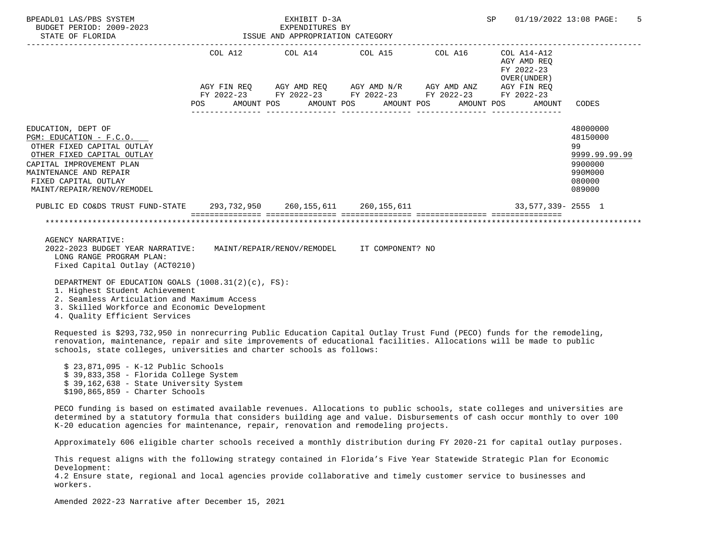| BPEADL01 LAS/PBS SYSTEM<br>BUDGET PERIOD: 2009-2023<br>STATE OF FLORIDA                                                                                                                                               | EXHIBIT D-3A<br>EXPENDITURES BY<br>ISSUE AND APPROPRIATION CATEGORY |  |  |                                 |  |                                        |  |  | SP |                                                          | 01/19/2022 13:08 PAGE:                                                                | 5 |
|-----------------------------------------------------------------------------------------------------------------------------------------------------------------------------------------------------------------------|---------------------------------------------------------------------|--|--|---------------------------------|--|----------------------------------------|--|--|----|----------------------------------------------------------|---------------------------------------------------------------------------------------|---|
|                                                                                                                                                                                                                       |                                                                     |  |  | COL A12 COL A14 COL A15 COL A16 |  |                                        |  |  |    | COL A14-A12<br>AGY AMD REO<br>FY 2022-23<br>OVER (UNDER) |                                                                                       |   |
|                                                                                                                                                                                                                       |                                                                     |  |  |                                 |  |                                        |  |  |    |                                                          |                                                                                       |   |
|                                                                                                                                                                                                                       | POS AMOUNT POS AMOUNT POS AMOUNT POS                                |  |  |                                 |  |                                        |  |  |    | AMOUNT POS AMOUNT                                        | CODES                                                                                 |   |
|                                                                                                                                                                                                                       |                                                                     |  |  |                                 |  | ______________________________________ |  |  |    |                                                          |                                                                                       |   |
| EDUCATION, DEPT OF<br>PGM: EDUCATION - F.C.O.<br>OTHER FIXED CAPITAL OUTLAY<br>OTHER FIXED CAPITAL OUTLAY<br>CAPITAL IMPROVEMENT PLAN<br>MAINTENANCE AND REPAIR<br>FIXED CAPITAL OUTLAY<br>MAINT/REPAIR/RENOV/REMODEL |                                                                     |  |  |                                 |  |                                        |  |  |    |                                                          | 48000000<br>48150000<br>99<br>9999.99.99.99<br>9900000<br>990M000<br>080000<br>089000 |   |
| PUBLIC ED CO&DS TRUST FUND-STATE 293,732,950 260,155,611 260,155,611 200,155,611 33,577,339- 2555 1                                                                                                                   |                                                                     |  |  |                                 |  |                                        |  |  |    |                                                          |                                                                                       |   |
|                                                                                                                                                                                                                       |                                                                     |  |  |                                 |  |                                        |  |  |    |                                                          |                                                                                       |   |
| AGENCY NARRATIVE:<br>2022-2023 BUDGET YEAR NARRATIVE: MAINT/REPAIR/RENOV/REMODEL IT COMPONENT? NO<br>LONG RANGE PROGRAM PLAN:<br>Fixed Capital Outlay (ACT0210)                                                       |                                                                     |  |  |                                 |  |                                        |  |  |    |                                                          |                                                                                       |   |
| DEPARTMENT OF EDUCATION GOALS $(1008.31(2)(c), FS)$ :<br>1. Highest Student Achievement<br>2. Seamless Articulation and Maximum Access                                                                                |                                                                     |  |  |                                 |  |                                        |  |  |    |                                                          |                                                                                       |   |

3. Skilled Workforce and Economic Development

4. Quality Efficient Services

 Requested is \$293,732,950 in nonrecurring Public Education Capital Outlay Trust Fund (PECO) funds for the remodeling, renovation, maintenance, repair and site improvements of educational facilities. Allocations will be made to public schools, state colleges, universities and charter schools as follows:

 \$ 23,871,095 - K-12 Public Schools \$ 39,833,358 - Florida College System \$ 39,162,638 - State University System \$190,865,859 - Charter Schools

 PECO funding is based on estimated available revenues. Allocations to public schools, state colleges and universities are determined by a statutory formula that considers building age and value. Disbursements of cash occur monthly to over 100 K-20 education agencies for maintenance, repair, renovation and remodeling projects.

Approximately 606 eligible charter schools received a monthly distribution during FY 2020-21 for capital outlay purposes.

 This request aligns with the following strategy contained in Florida's Five Year Statewide Strategic Plan for Economic Development:

 4.2 Ensure state, regional and local agencies provide collaborative and timely customer service to businesses and workers.

Amended 2022-23 Narrative after December 15, 2021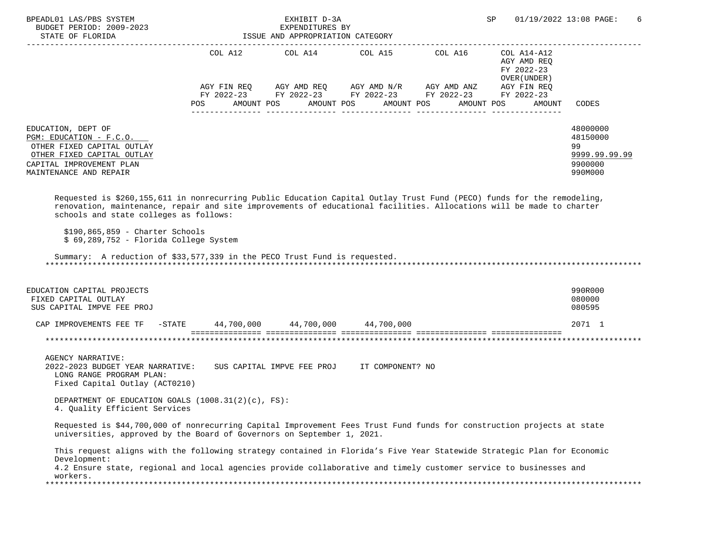| BPEADL01 LAS/PBS SYSTEM<br>BUDGET PERIOD: 2009-2023<br>STATE OF FLORIDA                                                                                                                                                                                                                  |     | EXHIBIT D-3A<br>EXPENDITURES BY<br>ISSUE AND APPROPRIATION CATEGORY |                                                                                                                       | SP                                         | 01/19/2022 13:08 PAGE:<br>6                                       |
|------------------------------------------------------------------------------------------------------------------------------------------------------------------------------------------------------------------------------------------------------------------------------------------|-----|---------------------------------------------------------------------|-----------------------------------------------------------------------------------------------------------------------|--------------------------------------------|-------------------------------------------------------------------|
|                                                                                                                                                                                                                                                                                          |     |                                                                     | COL A12 COL A14 COL A15 COL A16 COL A14-A12                                                                           | AGY AMD REQ<br>FY 2022-23<br>OVER (UNDER ) |                                                                   |
|                                                                                                                                                                                                                                                                                          |     |                                                                     | AGY FIN REQ AGY AMD REQ AGY AMD N/R AGY AMD ANZ AGY FIN REQ<br>FY 2022-23 FY 2022-23 FY 2022-23 FY 2022-23 FY 2022-23 |                                            |                                                                   |
|                                                                                                                                                                                                                                                                                          | POS | AMOUNT POS                                                          | AMOUNT POS AMOUNT POS                                                                                                 | AMOUNT POS<br>AMOUNT                       | CODES                                                             |
| EDUCATION, DEPT OF<br>PGM: EDUCATION - F.C.O.<br>OTHER FIXED CAPITAL OUTLAY<br>OTHER FIXED CAPITAL OUTLAY<br>CAPITAL IMPROVEMENT PLAN<br>MAINTENANCE AND REPAIR                                                                                                                          |     |                                                                     |                                                                                                                       |                                            | 48000000<br>48150000<br>99<br>9999.99.99.99<br>9900000<br>990M000 |
| Requested is \$260,155,611 in nonrecurring Public Education Capital Outlay Trust Fund (PECO) funds for the remodeling,<br>renovation, maintenance, repair and site improvements of educational facilities. Allocations will be made to charter<br>schools and state colleges as follows: |     |                                                                     |                                                                                                                       |                                            |                                                                   |
| $$190,865,859 - Character Schools$<br>$$69,289,752$ - Florida College System                                                                                                                                                                                                             |     |                                                                     |                                                                                                                       |                                            |                                                                   |
| Summary: A reduction of \$33,577,339 in the PECO Trust Fund is requested.                                                                                                                                                                                                                |     |                                                                     |                                                                                                                       |                                            |                                                                   |
| EDUCATION CAPITAL PROJECTS<br>FIXED CAPITAL OUTLAY<br>SUS CAPITAL IMPVE FEE PROJ                                                                                                                                                                                                         |     |                                                                     |                                                                                                                       |                                            | 990R000<br>080000<br>080595                                       |
| CAP IMPROVEMENTS FEE TF -STATE 44,700,000 44,700,000 44,700,000                                                                                                                                                                                                                          |     |                                                                     |                                                                                                                       |                                            | 2071 1                                                            |
|                                                                                                                                                                                                                                                                                          |     |                                                                     |                                                                                                                       |                                            | *********************                                             |
| <b>AGENCY NARRATIVE:</b><br>2022-2023 BUDGET YEAR NARRATIVE: SUS CAPITAL IMPVE FEE PROJ IT COMPONENT? NO<br>LONG RANGE PROGRAM PLAN:<br>Fixed Capital Outlay (ACT0210)                                                                                                                   |     |                                                                     |                                                                                                                       |                                            |                                                                   |
| DEPARTMENT OF EDUCATION GOALS $(1008.31(2)(c), FS)$ :<br>4. Ouality Efficient Services                                                                                                                                                                                                   |     |                                                                     |                                                                                                                       |                                            |                                                                   |
| Requested is \$44,700,000 of nonrecurring Capital Improvement Fees Trust Fund funds for construction projects at state<br>universities, approved by the Board of Governors on September 1, 2021.                                                                                         |     |                                                                     |                                                                                                                       |                                            |                                                                   |
| This request aligns with the following strategy contained in Florida's Five Year Statewide Strategic Plan for Economic<br>Development:<br>4.2 Ensure state, regional and local agencies provide collaborative and timely customer service to businesses and                              |     |                                                                     |                                                                                                                       |                                            |                                                                   |
| workers.                                                                                                                                                                                                                                                                                 |     |                                                                     |                                                                                                                       |                                            |                                                                   |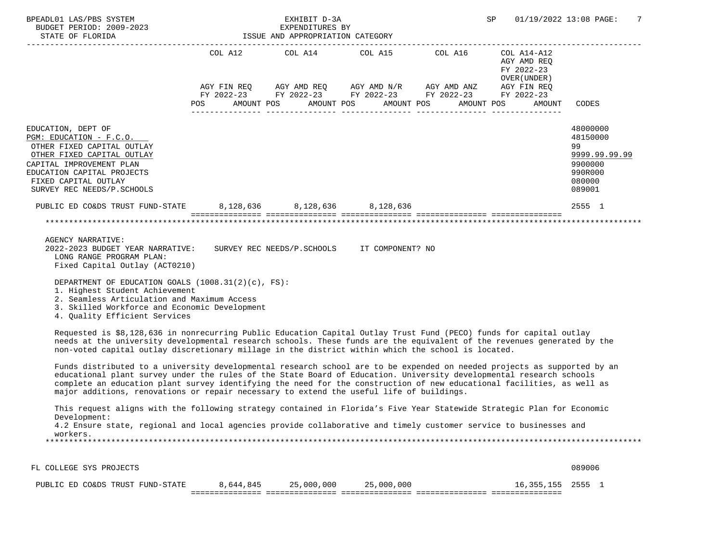| BPEADL01 LAS/PBS SYSTEM<br>BUDGET PERIOD: 2009-2023<br>STATE OF FLORIDA                                                                                                                                                                                                                                                                                                                                                                                               |           | EXHIBIT D-3A<br>EXPENDITURES BY<br>ISSUE AND APPROPRIATION CATEGORY |                                                                                                                                                                      | SP                                        | 01/19/2022 13:08 PAGE:<br>7                                                           |
|-----------------------------------------------------------------------------------------------------------------------------------------------------------------------------------------------------------------------------------------------------------------------------------------------------------------------------------------------------------------------------------------------------------------------------------------------------------------------|-----------|---------------------------------------------------------------------|----------------------------------------------------------------------------------------------------------------------------------------------------------------------|-------------------------------------------|---------------------------------------------------------------------------------------|
|                                                                                                                                                                                                                                                                                                                                                                                                                                                                       |           |                                                                     | COL A12 COL A14 COL A15 COL A16 COL A14-A12<br>AGY FIN REQ AGY AMD REQ AGY AMD N/R AGY AMD ANZ AGY FIN REQ<br>FY 2022-23 FY 2022-23 FY 2022-23 FY 2022-23 FY 2022-23 | AGY AMD REQ<br>FY 2022-23<br>OVER (UNDER) |                                                                                       |
|                                                                                                                                                                                                                                                                                                                                                                                                                                                                       | POS       |                                                                     | AMOUNT POS AMOUNT POS AMOUNT POS AMOUNT POS                                                                                                                          | AMOUNT                                    | CODES                                                                                 |
| EDUCATION, DEPT OF<br>PGM: EDUCATION - F.C.O.<br>OTHER FIXED CAPITAL OUTLAY<br>OTHER FIXED CAPITAL OUTLAY<br>CAPITAL IMPROVEMENT PLAN<br>EDUCATION CAPITAL PROJECTS<br>FIXED CAPITAL OUTLAY<br>SURVEY REC NEEDS/P.SCHOOLS                                                                                                                                                                                                                                             |           |                                                                     |                                                                                                                                                                      |                                           | 48000000<br>48150000<br>99<br>9999.99.99.99<br>9900000<br>990R000<br>080000<br>089001 |
| PUBLIC ED CO&DS TRUST FUND-STATE                                                                                                                                                                                                                                                                                                                                                                                                                                      |           |                                                                     | 8,128,636 8,128,636 8,128,636                                                                                                                                        |                                           | 2555 1                                                                                |
| AGENCY NARRATIVE:<br>2022-2023 BUDGET YEAR NARRATIVE: SURVEY REC NEEDS/P.SCHOOLS IT COMPONENT? NO<br>LONG RANGE PROGRAM PLAN:<br>Fixed Capital Outlay (ACT0210)<br>DEPARTMENT OF EDUCATION GOALS (1008.31(2)(c), FS):<br>1. Highest Student Achievement                                                                                                                                                                                                               |           |                                                                     |                                                                                                                                                                      |                                           |                                                                                       |
| 2. Seamless Articulation and Maximum Access<br>3. Skilled Workforce and Economic Development<br>4. Quality Efficient Services                                                                                                                                                                                                                                                                                                                                         |           |                                                                     |                                                                                                                                                                      |                                           |                                                                                       |
| Requested is \$8,128,636 in nonrecurring Public Education Capital Outlay Trust Fund (PECO) funds for capital outlay<br>needs at the university developmental research schools. These funds are the equivalent of the revenues generated by the<br>non-voted capital outlay discretionary millage in the district within which the school is located.                                                                                                                  |           |                                                                     |                                                                                                                                                                      |                                           |                                                                                       |
| Funds distributed to a university developmental research school are to be expended on needed projects as supported by an<br>educational plant survey under the rules of the State Board of Education. University developmental research schools<br>complete an education plant survey identifying the need for the construction of new educational facilities, as well as<br>major additions, renovations or repair necessary to extend the useful life of buildings. |           |                                                                     |                                                                                                                                                                      |                                           |                                                                                       |
| This request aligns with the following strategy contained in Florida's Five Year Statewide Strategic Plan for Economic<br>Development:<br>4.2 Ensure state, regional and local agencies provide collaborative and timely customer service to businesses and<br>workers.                                                                                                                                                                                               |           |                                                                     |                                                                                                                                                                      |                                           |                                                                                       |
|                                                                                                                                                                                                                                                                                                                                                                                                                                                                       |           |                                                                     |                                                                                                                                                                      |                                           |                                                                                       |
| FL COLLEGE SYS PROJECTS<br>PUBLIC ED CO&DS TRUST FUND-STATE                                                                                                                                                                                                                                                                                                                                                                                                           | 8,644,845 | 25,000,000                                                          | 25,000,000                                                                                                                                                           | 16,355,155                                | 089006<br>2555 1                                                                      |
|                                                                                                                                                                                                                                                                                                                                                                                                                                                                       |           |                                                                     |                                                                                                                                                                      |                                           |                                                                                       |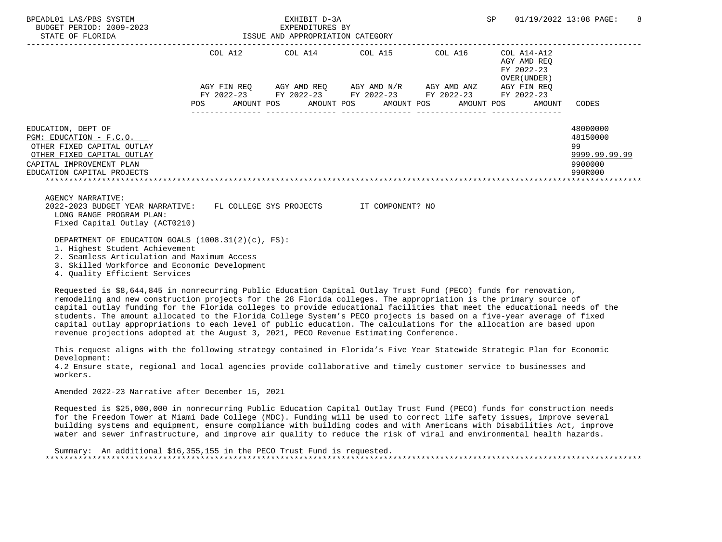| BPEADL01 LAS/PBS SYSTEM<br>BUDGET PERIOD: 2009–2023 EXPENDITURES BY EXPENDITURES BY STATE OF FLORIDA  | EXHIBIT D-3A |                                                             |  | SP 01/19/2022 13:08 PAGE: 8                               |                      |
|-------------------------------------------------------------------------------------------------------|--------------|-------------------------------------------------------------|--|-----------------------------------------------------------|----------------------|
|                                                                                                       |              | COL A12 COL A14 COL A15 COL A16                             |  | COL A14-A12<br>AGY AMD REO<br>FY 2022-23<br>OVER (UNDER ) |                      |
|                                                                                                       |              | AGY FIN REQ AGY AMD REQ AGY AMD N/R AGY AMD ANZ AGY FIN REQ |  |                                                           |                      |
|                                                                                                       |              | FY 2022-23 FY 2022-23 FY 2022-23 FY 2022-23                 |  | FY 2022-23                                                |                      |
|                                                                                                       |              | POS AMOUNT POS AMOUNT POS AMOUNT POS AMOUNT POS AMOUNT      |  |                                                           | CODES                |
| EDUCATION, DEPT OF<br>PGM: EDUCATION - F.C.O.                                                         |              |                                                             |  |                                                           | 48000000<br>48150000 |
| OTHER FIXED CAPITAL OUTLAY                                                                            |              |                                                             |  |                                                           | 99                   |
| OTHER FIXED CAPITAL OUTLAY                                                                            |              |                                                             |  |                                                           | 9999.99.99.99        |
| CAPITAL IMPROVEMENT PLAN                                                                              |              |                                                             |  |                                                           | 9900000              |
| EDUCATION CAPITAL PROJECTS                                                                            |              |                                                             |  |                                                           | 990R000              |
|                                                                                                       |              |                                                             |  |                                                           |                      |
| <b>AGENCY NARRATIVE:</b>                                                                              |              |                                                             |  |                                                           |                      |
| 2022-2023 BUDGET YEAR NARRATIVE: FL COLLEGE SYS PROJECTS IT COMPONENT? NO<br>LONG RANGE PROGRAM PLAN: |              |                                                             |  |                                                           |                      |
| Fixed Capital Outlay (ACT0210)                                                                        |              |                                                             |  |                                                           |                      |
|                                                                                                       |              |                                                             |  |                                                           |                      |
| DEPARTMENT OF EDUCATION GOALS (1008.31(2)(c), FS):                                                    |              |                                                             |  |                                                           |                      |
| 1. Highest Student Achievement<br>2. Seamless Articulation and Maximum Access                         |              |                                                             |  |                                                           |                      |
| 3. Skilled Workforce and Economic Development                                                         |              |                                                             |  |                                                           |                      |
| 4. Ouality Efficient Services                                                                         |              |                                                             |  |                                                           |                      |

 Requested is \$8,644,845 in nonrecurring Public Education Capital Outlay Trust Fund (PECO) funds for renovation, remodeling and new construction projects for the 28 Florida colleges. The appropriation is the primary source of capital outlay funding for the Florida colleges to provide educational facilities that meet the educational needs of the students. The amount allocated to the Florida College System's PECO projects is based on a five-year average of fixed capital outlay appropriations to each level of public education. The calculations for the allocation are based upon revenue projections adopted at the August 3, 2021, PECO Revenue Estimating Conference.

 This request aligns with the following strategy contained in Florida's Five Year Statewide Strategic Plan for Economic Development:

 4.2 Ensure state, regional and local agencies provide collaborative and timely customer service to businesses and workers.

Amended 2022-23 Narrative after December 15, 2021

 Requested is \$25,000,000 in nonrecurring Public Education Capital Outlay Trust Fund (PECO) funds for construction needs for the Freedom Tower at Miami Dade College (MDC). Funding will be used to correct life safety issues, improve several building systems and equipment, ensure compliance with building codes and with Americans with Disabilities Act, improve water and sewer infrastructure, and improve air quality to reduce the risk of viral and environmental health hazards.

 Summary: An additional \$16,355,155 in the PECO Trust Fund is requested. \*\*\*\*\*\*\*\*\*\*\*\*\*\*\*\*\*\*\*\*\*\*\*\*\*\*\*\*\*\*\*\*\*\*\*\*\*\*\*\*\*\*\*\*\*\*\*\*\*\*\*\*\*\*\*\*\*\*\*\*\*\*\*\*\*\*\*\*\*\*\*\*\*\*\*\*\*\*\*\*\*\*\*\*\*\*\*\*\*\*\*\*\*\*\*\*\*\*\*\*\*\*\*\*\*\*\*\*\*\*\*\*\*\*\*\*\*\*\*\*\*\*\*\*\*\*\*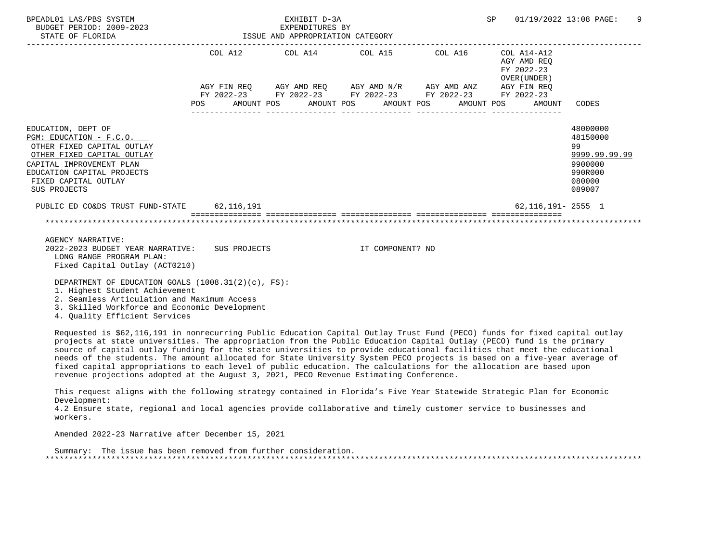| BPEADL01 LAS/PBS SYSTEM<br>BUDGET PERIOD: 2009-2023<br>STATE OF FLORIDA                                                                                                                                     |  | EXHIBIT D-3A<br>EXPENDITURES BY<br>ISSUE AND APPROPRIATION CATEGORY |                  |  | SP 01/19/2022 13:08 PAGE:                                                                |                                                                                       | 9 |
|-------------------------------------------------------------------------------------------------------------------------------------------------------------------------------------------------------------|--|---------------------------------------------------------------------|------------------|--|------------------------------------------------------------------------------------------|---------------------------------------------------------------------------------------|---|
|                                                                                                                                                                                                             |  |                                                                     |                  |  | COL A12 COL A14 COL A15 COL A16 COL A14-A12<br>AGY AMD REO<br>FY 2022-23<br>OVER (UNDER) |                                                                                       |   |
|                                                                                                                                                                                                             |  | FY 2022-23 FY 2022-23 FY 2022-23 FY 2022-23 FY 2022-23              |                  |  | AGY FIN REQ AGY AMD REQ AGY AMD N/R AGY AMD ANZ AGY FIN REQ                              |                                                                                       |   |
|                                                                                                                                                                                                             |  |                                                                     |                  |  | POS AMOUNT POS AMOUNT POS AMOUNT POS AMOUNT POS AMOUNT CODES                             |                                                                                       |   |
| EDUCATION, DEPT OF<br>PGM: EDUCATION - F.C.O.<br>OTHER FIXED CAPITAL OUTLAY<br>OTHER FIXED CAPITAL OUTLAY<br>CAPITAL IMPROVEMENT PLAN<br>EDUCATION CAPITAL PROJECTS<br>FIXED CAPITAL OUTLAY<br>SUS PROJECTS |  |                                                                     |                  |  |                                                                                          | 48000000<br>48150000<br>99<br>9999.99.99.99<br>9900000<br>990R000<br>080000<br>089007 |   |
| PUBLIC ED CO&DS TRUST FUND-STATE 62.116.191                                                                                                                                                                 |  |                                                                     |                  |  | 62,116,191- 2555 1                                                                       |                                                                                       |   |
|                                                                                                                                                                                                             |  |                                                                     |                  |  |                                                                                          |                                                                                       |   |
| <b>AGENCY NARRATIVE:</b><br>2022-2023 BUDGET YEAR NARRATIVE: SUS PROJECTS<br>LONG RANGE PROGRAM PLAN:<br>Fixed Capital Outlay (ACT0210)                                                                     |  |                                                                     | IT COMPONENT? NO |  |                                                                                          |                                                                                       |   |
| DEPARTMENT OF EDUCATION GOALS $(1008.31(2)(c), FS)$ :<br>1. Highest Student Achievement<br>2. Seamless Articulation and Maximum Access                                                                      |  |                                                                     |                  |  |                                                                                          |                                                                                       |   |

3. Skilled Workforce and Economic Development

4. Quality Efficient Services

 Requested is \$62,116,191 in nonrecurring Public Education Capital Outlay Trust Fund (PECO) funds for fixed capital outlay projects at state universities. The appropriation from the Public Education Capital Outlay (PECO) fund is the primary source of capital outlay funding for the state universities to provide educational facilities that meet the educational needs of the students. The amount allocated for State University System PECO projects is based on a five-year average of fixed capital appropriations to each level of public education. The calculations for the allocation are based upon revenue projections adopted at the August 3, 2021, PECO Revenue Estimating Conference.

 This request aligns with the following strategy contained in Florida's Five Year Statewide Strategic Plan for Economic Development:

 4.2 Ensure state, regional and local agencies provide collaborative and timely customer service to businesses and workers.

Amended 2022-23 Narrative after December 15, 2021

 Summary: The issue has been removed from further consideration. \*\*\*\*\*\*\*\*\*\*\*\*\*\*\*\*\*\*\*\*\*\*\*\*\*\*\*\*\*\*\*\*\*\*\*\*\*\*\*\*\*\*\*\*\*\*\*\*\*\*\*\*\*\*\*\*\*\*\*\*\*\*\*\*\*\*\*\*\*\*\*\*\*\*\*\*\*\*\*\*\*\*\*\*\*\*\*\*\*\*\*\*\*\*\*\*\*\*\*\*\*\*\*\*\*\*\*\*\*\*\*\*\*\*\*\*\*\*\*\*\*\*\*\*\*\*\*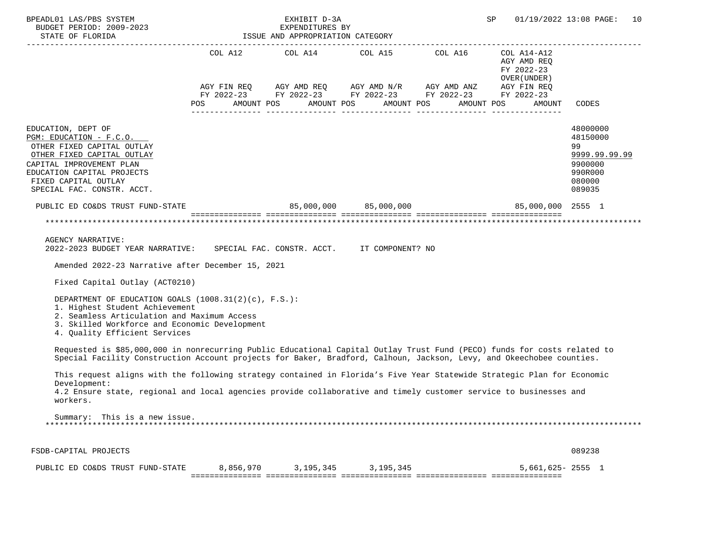| BPEADL01 LAS/PBS SYSTEM<br>EARLET D-SA<br>BUDGET PERIOD: 2009-2023<br>STATE OF FLORIDA STATE OF STATE OF STATE OF STATE OF STATE OF STATE OF STATE OF STATES                                                                                                                                                                                                                                                               |                | EXHIBIT D-3A          |                                                                                                                                                                                                                                                                                                                                                                                                                                                                                   |            | SP                                                                 | 01/19/2022 13:08 PAGE:<br>10                                                          |
|----------------------------------------------------------------------------------------------------------------------------------------------------------------------------------------------------------------------------------------------------------------------------------------------------------------------------------------------------------------------------------------------------------------------------|----------------|-----------------------|-----------------------------------------------------------------------------------------------------------------------------------------------------------------------------------------------------------------------------------------------------------------------------------------------------------------------------------------------------------------------------------------------------------------------------------------------------------------------------------|------------|--------------------------------------------------------------------|---------------------------------------------------------------------------------------|
|                                                                                                                                                                                                                                                                                                                                                                                                                            | <b>POS</b>     | AMOUNT POS AMOUNT POS | $COL A12 \hspace{1.2cm} COL A14 \hspace{1.2cm} COL A15 \hspace{1.2cm} COL A16 \hspace{1.2cm} COL A14-A12$<br>$\begin{array}{lllllll} \textsc{AGY} & \textsc{FIN} & \textsc{REG} & \textsc{AGY} & \textsc{AND} & \textsc{NN} \textsc{N} \textsc{N} & \textsc{AGY} & \textsc{AND} & \textsc{ANZ} & \textsc{AGY} & \textsc{FIN} & \textsc{REG} \\ \textsc{FY} & 2022-23 & \textsc{FY} & 2022-23 & \textsc{FY} & 2022-23 & \textsc{FY} & 2022-23 & \textsc{FY} & 2022-23 \end{array}$ | AMOUNT POS | AGY AMD REQ<br>FY 2022-23<br>OVER (UNDER )<br>AMOUNT POS<br>AMOUNT | CODES                                                                                 |
| EDUCATION, DEPT OF<br>PGM: EDUCATION - F.C.O.<br>OTHER FIXED CAPITAL OUTLAY<br>OTHER FIXED CAPITAL OUTLAY<br>CAPITAL IMPROVEMENT PLAN<br>EDUCATION CAPITAL PROJECTS<br>FIXED CAPITAL OUTLAY<br>SPECIAL FAC. CONSTR. ACCT.                                                                                                                                                                                                  |                |                       |                                                                                                                                                                                                                                                                                                                                                                                                                                                                                   |            |                                                                    | 48000000<br>48150000<br>99<br>9999.99.99.99<br>9900000<br>990R000<br>080000<br>089035 |
|                                                                                                                                                                                                                                                                                                                                                                                                                            | $\blacksquare$ |                       |                                                                                                                                                                                                                                                                                                                                                                                                                                                                                   |            |                                                                    |                                                                                       |
| <b>AGENCY NARRATIVE:</b><br>2022-2023 BUDGET YEAR NARRATIVE: SPECIAL FAC. CONSTR. ACCT. IT COMPONENT? NO<br>Amended 2022-23 Narrative after December 15, 2021<br>Fixed Capital Outlay (ACT0210)<br>DEPARTMENT OF EDUCATION GOALS (1008.31(2)(c), F.S.):<br>1. Highest Student Achievement<br>2. Seamless Articulation and Maximum Access<br>3. Skilled Workforce and Economic Development<br>4. Quality Efficient Services |                |                       |                                                                                                                                                                                                                                                                                                                                                                                                                                                                                   |            |                                                                    |                                                                                       |
| Requested is \$85,000,000 in nonrecurring Public Educational Capital Outlay Trust Fund (PECO) funds for costs related to<br>Special Facility Construction Account projects for Baker, Bradford, Calhoun, Jackson, Levy, and Okeechobee counties.<br>This request aligns with the following strategy contained in Florida's Five Year Statewide Strategic Plan for Economic                                                 |                |                       |                                                                                                                                                                                                                                                                                                                                                                                                                                                                                   |            |                                                                    |                                                                                       |
| Development:<br>4.2 Ensure state, regional and local agencies provide collaborative and timely customer service to businesses and<br>workers.                                                                                                                                                                                                                                                                              |                |                       |                                                                                                                                                                                                                                                                                                                                                                                                                                                                                   |            |                                                                    |                                                                                       |
| Summary: This is a new issue.                                                                                                                                                                                                                                                                                                                                                                                              |                |                       |                                                                                                                                                                                                                                                                                                                                                                                                                                                                                   |            |                                                                    |                                                                                       |
| FSDB-CAPITAL PROJECTS                                                                                                                                                                                                                                                                                                                                                                                                      |                |                       |                                                                                                                                                                                                                                                                                                                                                                                                                                                                                   |            |                                                                    | 089238                                                                                |
| PUBLIC ED CO&DS TRUST FUND-STATE                                                                                                                                                                                                                                                                                                                                                                                           |                | 8,856,970 3,195,345   | 3,195,345                                                                                                                                                                                                                                                                                                                                                                                                                                                                         |            | $5,661,625 - 2555$ 1                                               |                                                                                       |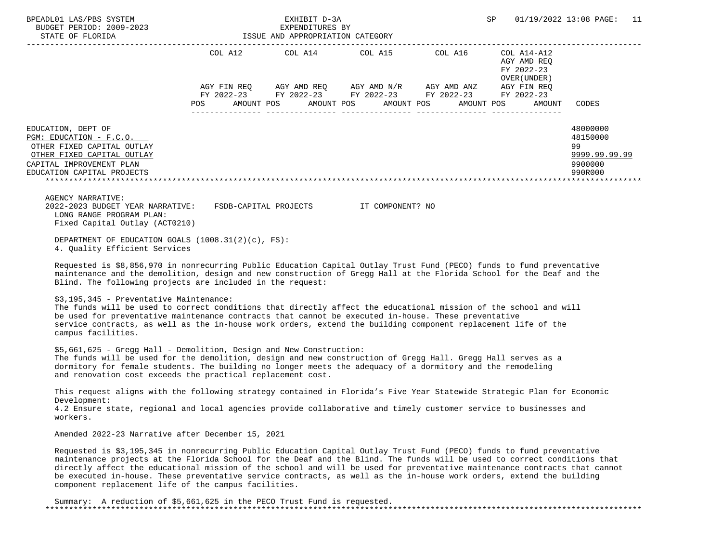| PEADL01 LAS/PBS SYSTEM<br>BUDGET PERIOD: 2009-2023<br>STATE OF FLORIDA<br>STATE OF FLORIDA<br>STATE OF TRIORIDA<br>STATE OF TRIORIDA<br>STATE OF TRIORIDA<br>STATE OF TRIORIDA<br>STATE OF TRIORIDA<br>BPEADL01 LAS/PBS SYSTEM                                                                                                                                                                                                                                                                                                                                 |                                                                                                                |  |                                        | SP                                                                                                                                                                                                                                                                                                                                                                                          | 01/19/2022 13:08 PAGE:                     | 11                                                                |  |
|----------------------------------------------------------------------------------------------------------------------------------------------------------------------------------------------------------------------------------------------------------------------------------------------------------------------------------------------------------------------------------------------------------------------------------------------------------------------------------------------------------------------------------------------------------------|----------------------------------------------------------------------------------------------------------------|--|----------------------------------------|---------------------------------------------------------------------------------------------------------------------------------------------------------------------------------------------------------------------------------------------------------------------------------------------------------------------------------------------------------------------------------------------|--------------------------------------------|-------------------------------------------------------------------|--|
|                                                                                                                                                                                                                                                                                                                                                                                                                                                                                                                                                                |                                                                                                                |  |                                        | COL A12 $COL$ A14 $COL$ A15 $COL$ A16 $COL$ A14-A12                                                                                                                                                                                                                                                                                                                                         | AGY AMD REQ<br>FY 2022-23<br>OVER (UNDER ) |                                                                   |  |
|                                                                                                                                                                                                                                                                                                                                                                                                                                                                                                                                                                | POS FOR THE POST OF THE STATE STATE STATE STATE STATE STATE STATE STATE STATE STATE STATE STATE STATE STATE ST |  | AMOUNT POS AMOUNT POS AMOUNT POS       | $\begin{array}{lllllll} {\text{AGY}} & {\text{FIN}} & {\text{REG}} & {\text{AGY}} & {\text{AMD}} & {\text{REG}} & {\text{AGY}} & {\text{AMD}} & {\text{NY}} & {\text{MID}} & {\text{AND}} & {\text{ANZ}} & {\text{AGY}} & {\text{FIN}} & {\text{REG}} \\ {\text{FY}} & 2022-23 & {\text{FY}} & 2022-23 & {\text{FY}} & 2022-23 & {\text{FY}} & 2022-23 & {\text{FY}} & 2022-23 \end{array}$ | AMOUNT POS<br>AMOUNT                       | CODES                                                             |  |
| EDUCATION, DEPT OF<br>PGM: EDUCATION - F.C.O.<br>OTHER FIXED CAPITAL OUTLAY<br>OTHER FIXED CAPITAL OUTLAY<br>CAPITAL IMPROVEMENT PLAN<br>EDUCATION CAPITAL PROJECTS                                                                                                                                                                                                                                                                                                                                                                                            |                                                                                                                |  |                                        |                                                                                                                                                                                                                                                                                                                                                                                             |                                            | 48000000<br>48150000<br>99<br>9999.99.99.99<br>9900000<br>990R000 |  |
| AGENCY NARRATIVE:<br>2022-2023 BUDGET YEAR NARRATIVE:<br>LONG RANGE PROGRAM PLAN:<br>Fixed Capital Outlay (ACT0210)                                                                                                                                                                                                                                                                                                                                                                                                                                            |                                                                                                                |  | FSDB-CAPITAL PROJECTS TT COMPONENT? NO |                                                                                                                                                                                                                                                                                                                                                                                             |                                            |                                                                   |  |
| DEPARTMENT OF EDUCATION GOALS (1008.31(2)(c), FS):<br>4. Quality Efficient Services                                                                                                                                                                                                                                                                                                                                                                                                                                                                            |                                                                                                                |  |                                        |                                                                                                                                                                                                                                                                                                                                                                                             |                                            |                                                                   |  |
| Requested is \$8,856,970 in nonrecurring Public Education Capital Outlay Trust Fund (PECO) funds to fund preventative<br>maintenance and the demolition, design and new construction of Gregg Hall at the Florida School for the Deaf and the<br>Blind. The following projects are included in the request:                                                                                                                                                                                                                                                    |                                                                                                                |  |                                        |                                                                                                                                                                                                                                                                                                                                                                                             |                                            |                                                                   |  |
| \$3,195,345 - Preventative Maintenance:<br>The funds will be used to correct conditions that directly affect the educational mission of the school and will<br>be used for preventative maintenance contracts that cannot be executed in-house. These preventative<br>service contracts, as well as the in-house work orders, extend the building component replacement life of the<br>campus facilities.                                                                                                                                                      |                                                                                                                |  |                                        |                                                                                                                                                                                                                                                                                                                                                                                             |                                            |                                                                   |  |
| \$5,661,625 - Gregg Hall - Demolition, Design and New Construction:<br>The funds will be used for the demolition, design and new construction of Gregg Hall. Gregg Hall serves as a<br>dormitory for female students. The building no longer meets the adequacy of a dormitory and the remodeling<br>and renovation cost exceeds the practical replacement cost.                                                                                                                                                                                               |                                                                                                                |  |                                        |                                                                                                                                                                                                                                                                                                                                                                                             |                                            |                                                                   |  |
| This request aligns with the following strategy contained in Florida's Five Year Statewide Strategic Plan for Economic<br>Development:<br>4.2 Ensure state, regional and local agencies provide collaborative and timely customer service to businesses and<br>workers.                                                                                                                                                                                                                                                                                        |                                                                                                                |  |                                        |                                                                                                                                                                                                                                                                                                                                                                                             |                                            |                                                                   |  |
| Amended 2022-23 Narrative after December 15, 2021                                                                                                                                                                                                                                                                                                                                                                                                                                                                                                              |                                                                                                                |  |                                        |                                                                                                                                                                                                                                                                                                                                                                                             |                                            |                                                                   |  |
| Requested is \$3,195,345 in nonrecurring Public Education Capital Outlay Trust Fund (PECO) funds to fund preventative<br>maintenance projects at the Florida School for the Deaf and the Blind. The funds will be used to correct conditions that<br>directly affect the educational mission of the school and will be used for preventative maintenance contracts that cannot<br>be executed in-house. These preventative service contracts, as well as the in-house work orders, extend the building<br>component replacement life of the campus facilities. |                                                                                                                |  |                                        |                                                                                                                                                                                                                                                                                                                                                                                             |                                            |                                                                   |  |

 Summary: A reduction of \$5,661,625 in the PECO Trust Fund is requested. \*\*\*\*\*\*\*\*\*\*\*\*\*\*\*\*\*\*\*\*\*\*\*\*\*\*\*\*\*\*\*\*\*\*\*\*\*\*\*\*\*\*\*\*\*\*\*\*\*\*\*\*\*\*\*\*\*\*\*\*\*\*\*\*\*\*\*\*\*\*\*\*\*\*\*\*\*\*\*\*\*\*\*\*\*\*\*\*\*\*\*\*\*\*\*\*\*\*\*\*\*\*\*\*\*\*\*\*\*\*\*\*\*\*\*\*\*\*\*\*\*\*\*\*\*\*\*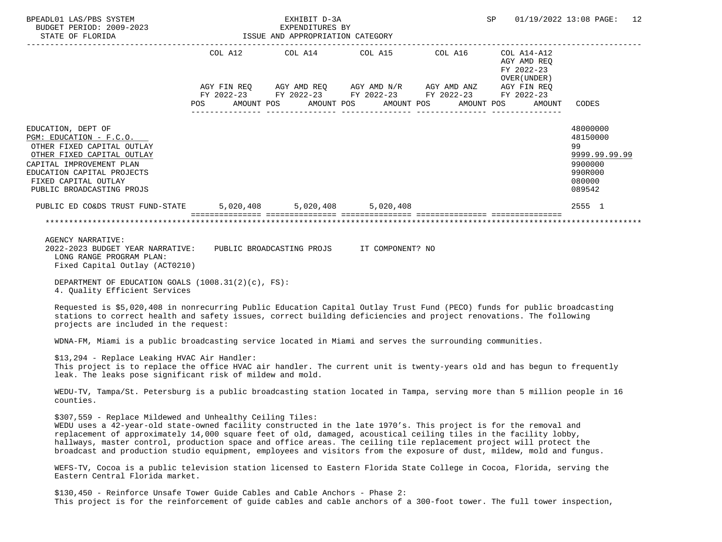| BPEADL01 LAS/PBS SYSTEM<br>BUDGET PERIOD: 2009-2023<br>STATE OF FLORIDA                                                                                                                                                                                                                                                                                                                                                                                                                                                                          |                                      | EXHIBIT D-3A<br>EXPENDITURES BY<br>ISSUE AND APPROPRIATION CATEGORY | SP                                                                                                                                                                                                                                                                                                                                                                                                                                                                                                                                                                                                                                                                                                                                                                                            | 01/19/2022 13:08 PAGE: 12 |                                             |                                                                                       |
|--------------------------------------------------------------------------------------------------------------------------------------------------------------------------------------------------------------------------------------------------------------------------------------------------------------------------------------------------------------------------------------------------------------------------------------------------------------------------------------------------------------------------------------------------|--------------------------------------|---------------------------------------------------------------------|-----------------------------------------------------------------------------------------------------------------------------------------------------------------------------------------------------------------------------------------------------------------------------------------------------------------------------------------------------------------------------------------------------------------------------------------------------------------------------------------------------------------------------------------------------------------------------------------------------------------------------------------------------------------------------------------------------------------------------------------------------------------------------------------------|---------------------------|---------------------------------------------|---------------------------------------------------------------------------------------|
|                                                                                                                                                                                                                                                                                                                                                                                                                                                                                                                                                  |                                      |                                                                     | $\begin{tabular}{lllllllllll} \multicolumn{2}{l}{{\text{COL}}}\  \, \texttt{A12}\qquad \qquad &\multicolumn{2}{l}{\text{COL}}\  \, \texttt{A15}\qquad \qquad &\multicolumn{2}{l}{\text{COL}}\  \, \texttt{A16}\qquad \qquad &\multicolumn{2}{l}{\text{COL}}\  \, \texttt{A14-A12}\qquad \qquad &\multicolumn{2}{l}{\text{COL}}\  \, \texttt{A16}\qquad \qquad &\multicolumn{2}{l}{\text{COL}}\  \, \texttt{A14-A12}\qquad \qquad &\multicolumn{2}{l$<br>$\begin{array}{lllllll} \text{AGY}\ \text{FIN}\ \text{REQ} & \text{AGY}\ \text{AMD}\ \text{REQ} & \text{AGY}\ \text{AMD}\ \text{N/R} & \text{AGY}\ \text{AMD}\ \text{ANZ} & \text{AGY}\ \text{FIN}\ \text{REQ} \\ \text{FY}\ 2022-23 & \text{FY}\ 2022-23 & \text{FY}\ 2022-23 & \text{FY}\ 2022-23 & \text{FY}\ 2022-23 \end{array}$ |                           | AGY AMD REQ<br>FY 2022-23<br>OVER ( UNDER ) |                                                                                       |
|                                                                                                                                                                                                                                                                                                                                                                                                                                                                                                                                                  | POS AMOUNT POS AMOUNT POS AMOUNT POS |                                                                     |                                                                                                                                                                                                                                                                                                                                                                                                                                                                                                                                                                                                                                                                                                                                                                                               |                           | AMOUNT POS<br>AMOUNT                        | CODES                                                                                 |
| EDUCATION, DEPT OF<br>PGM: EDUCATION - F.C.O.<br>OTHER FIXED CAPITAL OUTLAY<br>OTHER FIXED CAPITAL OUTLAY<br>CAPITAL IMPROVEMENT PLAN<br>EDUCATION CAPITAL PROJECTS<br>FIXED CAPITAL OUTLAY<br>PUBLIC BROADCASTING PROJS                                                                                                                                                                                                                                                                                                                         |                                      |                                                                     |                                                                                                                                                                                                                                                                                                                                                                                                                                                                                                                                                                                                                                                                                                                                                                                               |                           |                                             | 48000000<br>48150000<br>99<br>9999.99.99.99<br>9900000<br>990R000<br>080000<br>089542 |
| PUBLIC ED CO&DS TRUST FUND-STATE 5,020,408 5,020,408 5,020,408                                                                                                                                                                                                                                                                                                                                                                                                                                                                                   |                                      |                                                                     |                                                                                                                                                                                                                                                                                                                                                                                                                                                                                                                                                                                                                                                                                                                                                                                               |                           |                                             | 2555 1                                                                                |
|                                                                                                                                                                                                                                                                                                                                                                                                                                                                                                                                                  |                                      |                                                                     |                                                                                                                                                                                                                                                                                                                                                                                                                                                                                                                                                                                                                                                                                                                                                                                               |                           |                                             |                                                                                       |
| AGENCY NARRATIVE:<br>2022-2023 BUDGET YEAR NARRATIVE: PUBLIC BROADCASTING PROJS IT COMPONENT? NO<br>LONG RANGE PROGRAM PLAN:<br>Fixed Capital Outlay (ACT0210)<br>DEPARTMENT OF EDUCATION GOALS (1008.31(2)(c), FS):<br>4. Quality Efficient Services                                                                                                                                                                                                                                                                                            |                                      |                                                                     |                                                                                                                                                                                                                                                                                                                                                                                                                                                                                                                                                                                                                                                                                                                                                                                               |                           |                                             |                                                                                       |
| Requested is \$5,020,408 in nonrecurring Public Education Capital Outlay Trust Fund (PECO) funds for public broadcasting<br>stations to correct health and safety issues, correct building deficiencies and project renovations. The following<br>projects are included in the request:                                                                                                                                                                                                                                                          |                                      |                                                                     |                                                                                                                                                                                                                                                                                                                                                                                                                                                                                                                                                                                                                                                                                                                                                                                               |                           |                                             |                                                                                       |
| WDNA-FM, Miami is a public broadcasting service located in Miami and serves the surrounding communities.                                                                                                                                                                                                                                                                                                                                                                                                                                         |                                      |                                                                     |                                                                                                                                                                                                                                                                                                                                                                                                                                                                                                                                                                                                                                                                                                                                                                                               |                           |                                             |                                                                                       |
| \$13,294 - Replace Leaking HVAC Air Handler:<br>This project is to replace the office HVAC air handler. The current unit is twenty-years old and has begun to frequently<br>leak. The leaks pose significant risk of mildew and mold.                                                                                                                                                                                                                                                                                                            |                                      |                                                                     |                                                                                                                                                                                                                                                                                                                                                                                                                                                                                                                                                                                                                                                                                                                                                                                               |                           |                                             |                                                                                       |
| WEDU-TV, Tampa/St. Petersburg is a public broadcasting station located in Tampa, serving more than 5 million people in 16<br>counties.                                                                                                                                                                                                                                                                                                                                                                                                           |                                      |                                                                     |                                                                                                                                                                                                                                                                                                                                                                                                                                                                                                                                                                                                                                                                                                                                                                                               |                           |                                             |                                                                                       |
| \$307,559 - Replace Mildewed and Unhealthy Ceiling Tiles:<br>WEDU uses a 42-year-old state-owned facility constructed in the late 1970's. This project is for the removal and<br>replacement of approximately 14,000 square feet of old, damaged, acoustical ceiling tiles in the facility lobby,<br>hallways, master control, production space and office areas. The ceiling tile replacement project will protect the<br>broadcast and production studio equipment, employees and visitors from the exposure of dust, mildew, mold and fungus. |                                      |                                                                     |                                                                                                                                                                                                                                                                                                                                                                                                                                                                                                                                                                                                                                                                                                                                                                                               |                           |                                             |                                                                                       |
| WEFS-TV, Cocoa is a public television station licensed to Eastern Florida State College in Cocoa, Florida, serving the<br>Eastern Central Florida market.                                                                                                                                                                                                                                                                                                                                                                                        |                                      |                                                                     |                                                                                                                                                                                                                                                                                                                                                                                                                                                                                                                                                                                                                                                                                                                                                                                               |                           |                                             |                                                                                       |
| \$130,450 - Reinforce Unsafe Tower Guide Cables and Cable Anchors - Phase 2:<br>This project is for the reinforcement of quide cables and cable anchors of a 300-foot tower. The full tower inspection,                                                                                                                                                                                                                                                                                                                                          |                                      |                                                                     |                                                                                                                                                                                                                                                                                                                                                                                                                                                                                                                                                                                                                                                                                                                                                                                               |                           |                                             |                                                                                       |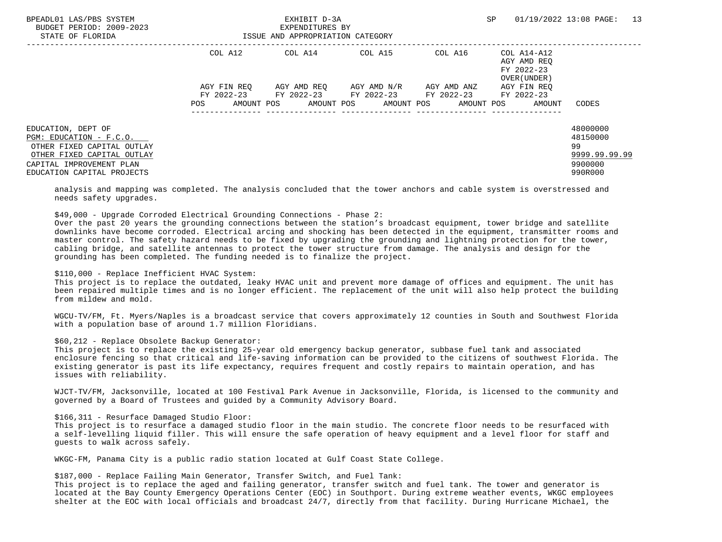| BPEADL01 LAS/PBS SYSTEM<br>BUDGET PERIOD: 2009-2023<br>STATE OF FLORIDA | EXHIBIT D-3A<br>EXPENDITURES BY<br>ISSUE AND APPROPRIATION CATEGORY |                                             |             |                                  | SP                                                       | 13<br>01/19/2022 13:08 PAGE: |
|-------------------------------------------------------------------------|---------------------------------------------------------------------|---------------------------------------------|-------------|----------------------------------|----------------------------------------------------------|------------------------------|
|                                                                         | COL A12                                                             | COL A14 COL A15                             |             | COL A16                          | COL A14-A12<br>AGY AMD REO<br>FY 2022-23<br>OVER (UNDER) |                              |
|                                                                         | AGY FIN REO                                                         | AGY AMD REO                                 | AGY AMD N/R | AGY AMD ANZ                      | AGY FIN REO                                              |                              |
|                                                                         |                                                                     | FY 2022-23 FY 2022-23 FY 2022-23 FY 2022-23 |             |                                  | FY 2022-23                                               |                              |
|                                                                         | POS                                                                 | AMOUNT POS                                  |             | AMOUNT POS AMOUNT POS AMOUNT POS | AMOUNT                                                   | CODES                        |
| EDUCATION, DEPT OF                                                      |                                                                     |                                             |             |                                  |                                                          | 48000000                     |
| PGM: EDUCATION - F.C.O.                                                 |                                                                     |                                             |             |                                  |                                                          | 48150000                     |
| OTHER FIXED CAPITAL OUTLAY                                              |                                                                     |                                             |             |                                  |                                                          | 99                           |
| OTHER FIXED CAPITAL OUTLAY                                              |                                                                     |                                             |             |                                  |                                                          | 9999.99.99.99                |
| CAPITAL IMPROVEMENT PLAN                                                |                                                                     |                                             |             |                                  |                                                          | 9900000                      |
| EDUCATION CAPITAL PROJECTS                                              |                                                                     |                                             |             |                                  |                                                          | 990R000                      |

 analysis and mapping was completed. The analysis concluded that the tower anchors and cable system is overstressed and needs safety upgrades.

\$49,000 - Upgrade Corroded Electrical Grounding Connections - Phase 2:

 Over the past 20 years the grounding connections between the station's broadcast equipment, tower bridge and satellite downlinks have become corroded. Electrical arcing and shocking has been detected in the equipment, transmitter rooms and master control. The safety hazard needs to be fixed by upgrading the grounding and lightning protection for the tower, cabling bridge, and satellite antennas to protect the tower structure from damage. The analysis and design for the grounding has been completed. The funding needed is to finalize the project.

#### \$110,000 - Replace Inefficient HVAC System:

 This project is to replace the outdated, leaky HVAC unit and prevent more damage of offices and equipment. The unit has been repaired multiple times and is no longer efficient. The replacement of the unit will also help protect the building from mildew and mold.

 WGCU-TV/FM, Ft. Myers/Naples is a broadcast service that covers approximately 12 counties in South and Southwest Florida with a population base of around 1.7 million Floridians.

## \$60,212 - Replace Obsolete Backup Generator:

 This project is to replace the existing 25-year old emergency backup generator, subbase fuel tank and associated enclosure fencing so that critical and life-saving information can be provided to the citizens of southwest Florida. The existing generator is past its life expectancy, requires frequent and costly repairs to maintain operation, and has issues with reliability.

 WJCT-TV/FM, Jacksonville, located at 100 Festival Park Avenue in Jacksonville, Florida, is licensed to the community and governed by a Board of Trustees and guided by a Community Advisory Board.

## \$166,311 - Resurface Damaged Studio Floor:

 This project is to resurface a damaged studio floor in the main studio. The concrete floor needs to be resurfaced with a self-levelling liquid filler. This will ensure the safe operation of heavy equipment and a level floor for staff and guests to walk across safely.

WKGC-FM, Panama City is a public radio station located at Gulf Coast State College.

\$187,000 - Replace Failing Main Generator, Transfer Switch, and Fuel Tank:

 This project is to replace the aged and failing generator, transfer switch and fuel tank. The tower and generator is located at the Bay County Emergency Operations Center (EOC) in Southport. During extreme weather events, WKGC employees shelter at the EOC with local officials and broadcast 24/7, directly from that facility. During Hurricane Michael, the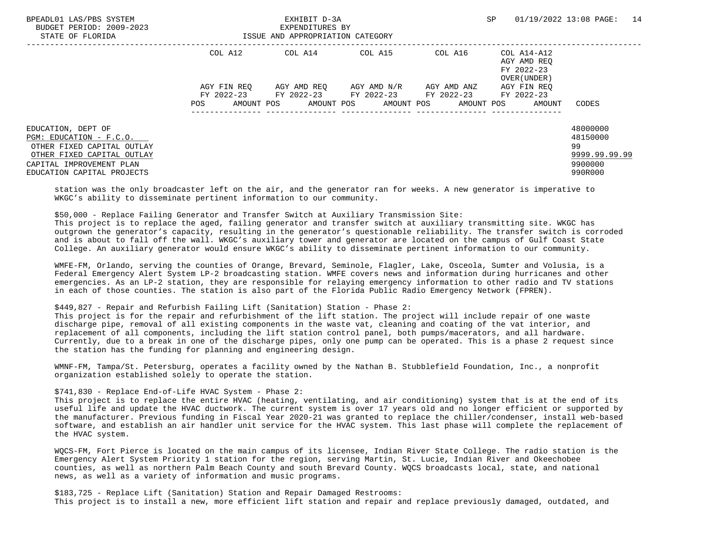| BPEADL01 LAS/PBS SYSTEM<br>BUDGET PERIOD: 2009-2023<br>STATE OF FLORIDA                                                                                             | EXHIBIT D-3A<br>EXPENDITURES BY<br>ISSUE AND APPROPRIATION CATEGORY |                 |             | SP                                                                                             | 14<br>01/19/2022 13:08 PAGE:                        |                                                                   |
|---------------------------------------------------------------------------------------------------------------------------------------------------------------------|---------------------------------------------------------------------|-----------------|-------------|------------------------------------------------------------------------------------------------|-----------------------------------------------------|-------------------------------------------------------------------|
|                                                                                                                                                                     | COL A12                                                             | COL A14 COL A15 |             | COL A16                                                                                        | COL A14-A12<br>AGY AMD REO<br>FY 2022-23            |                                                                   |
|                                                                                                                                                                     | AGY FIN REO<br>AMOUNT POS<br>POS                                    | AGY AMD REO     | AGY AMD N/R | AGY AMD ANZ<br>FY 2022-23 FY 2022-23 FY 2022-23 FY 2022-23<br>AMOUNT POS AMOUNT POS AMOUNT POS | OVER (UNDER)<br>AGY FIN REO<br>FY 2022-23<br>AMOUNT | CODES                                                             |
| EDUCATION, DEPT OF<br>PGM: EDUCATION - F.C.O.<br>OTHER FIXED CAPITAL OUTLAY<br>OTHER FIXED CAPITAL OUTLAY<br>CAPITAL IMPROVEMENT PLAN<br>EDUCATION CAPITAL PROJECTS |                                                                     |                 |             |                                                                                                |                                                     | 48000000<br>48150000<br>99<br>9999.99.99.99<br>9900000<br>990R000 |

 station was the only broadcaster left on the air, and the generator ran for weeks. A new generator is imperative to WKGC's ability to disseminate pertinent information to our community.

 \$50,000 - Replace Failing Generator and Transfer Switch at Auxiliary Transmission Site: This project is to replace the aged, failing generator and transfer switch at auxiliary transmitting site. WKGC has outgrown the generator's capacity, resulting in the generator's questionable reliability. The transfer switch is corroded and is about to fall off the wall. WKGC's auxiliary tower and generator are located on the campus of Gulf Coast State College. An auxiliary generator would ensure WKGC's ability to disseminate pertinent information to our community.

 WMFE-FM, Orlando, serving the counties of Orange, Brevard, Seminole, Flagler, Lake, Osceola, Sumter and Volusia, is a Federal Emergency Alert System LP-2 broadcasting station. WMFE covers news and information during hurricanes and other emergencies. As an LP-2 station, they are responsible for relaying emergency information to other radio and TV stations in each of those counties. The station is also part of the Florida Public Radio Emergency Network (FPREN).

# \$449,827 - Repair and Refurbish Failing Lift (Sanitation) Station - Phase 2:

 This project is for the repair and refurbishment of the lift station. The project will include repair of one waste discharge pipe, removal of all existing components in the waste vat, cleaning and coating of the vat interior, and replacement of all components, including the lift station control panel, both pumps/macerators, and all hardware. Currently, due to a break in one of the discharge pipes, only one pump can be operated. This is a phase 2 request since the station has the funding for planning and engineering design.

 WMNF-FM, Tampa/St. Petersburg, operates a facility owned by the Nathan B. Stubblefield Foundation, Inc., a nonprofit organization established solely to operate the station.

### \$741,830 - Replace End-of-Life HVAC System - Phase 2:

 This project is to replace the entire HVAC (heating, ventilating, and air conditioning) system that is at the end of its useful life and update the HVAC ductwork. The current system is over 17 years old and no longer efficient or supported by the manufacturer. Previous funding in Fiscal Year 2020-21 was granted to replace the chiller/condenser, install web-based software, and establish an air handler unit service for the HVAC system. This last phase will complete the replacement of the HVAC system.

 WQCS-FM, Fort Pierce is located on the main campus of its licensee, Indian River State College. The radio station is the Emergency Alert System Priority 1 station for the region, serving Martin, St. Lucie, Indian River and Okeechobee counties, as well as northern Palm Beach County and south Brevard County. WQCS broadcasts local, state, and national news, as well as a variety of information and music programs.

 \$183,725 - Replace Lift (Sanitation) Station and Repair Damaged Restrooms: This project is to install a new, more efficient lift station and repair and replace previously damaged, outdated, and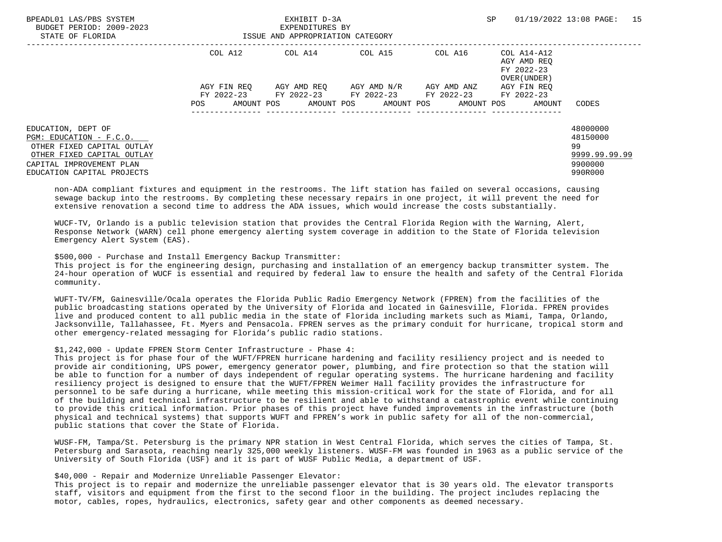| BPEADL01 LAS/PBS SYSTEM<br>BUDGET PERIOD: 2009-2023<br>STATE OF FLORIDA | EXHIBIT D-3A<br>EXPENDITURES BY<br>ISSUE AND APPROPRIATION CATEGORY |                                                        |  |                                              | <b>SP</b>                                                 | 01/19/2022 13:08 PAGE: 15 |
|-------------------------------------------------------------------------|---------------------------------------------------------------------|--------------------------------------------------------|--|----------------------------------------------|-----------------------------------------------------------|---------------------------|
|                                                                         | COL A12                                                             | COL A14 COL A15                                        |  | COL A16                                      | COL A14-A12<br>AGY AMD REO<br>FY 2022-23<br>OVER (UNDER ) |                           |
|                                                                         | AGY FIN REO                                                         | AGY AMD REO      AGY AMD N/R      AGY AMD ANZ          |  |                                              | AGY FIN REO                                               |                           |
|                                                                         |                                                                     | FY 2022-23 FY 2022-23 FY 2022-23 FY 2022-23 FY 2022-23 |  |                                              |                                                           |                           |
|                                                                         | AMOUNT POS<br>POS                                                   |                                                        |  | AMOUNT POS       AMOUNT POS       AMOUNT POS | AMOUNT                                                    | CODES                     |
| EDUCATION, DEPT OF                                                      |                                                                     |                                                        |  |                                              |                                                           | 48000000<br>48150000      |
| PGM: EDUCATION - F.C.O.<br>OTHER FIXED CAPITAL OUTLAY                   |                                                                     |                                                        |  |                                              |                                                           | 99                        |
| OTHER FIXED CAPITAL OUTLAY                                              |                                                                     |                                                        |  |                                              |                                                           | 9999.99.99.99             |
| CAPITAL IMPROVEMENT PLAN                                                |                                                                     |                                                        |  |                                              |                                                           | 9900000                   |
| EDUCATION CAPITAL PROJECTS                                              |                                                                     |                                                        |  |                                              |                                                           | 990R000                   |

 non-ADA compliant fixtures and equipment in the restrooms. The lift station has failed on several occasions, causing sewage backup into the restrooms. By completing these necessary repairs in one project, it will prevent the need for extensive renovation a second time to address the ADA issues, which would increase the costs substantially.

 WUCF-TV, Orlando is a public television station that provides the Central Florida Region with the Warning, Alert, Response Network (WARN) cell phone emergency alerting system coverage in addition to the State of Florida television Emergency Alert System (EAS).

\$500,000 - Purchase and Install Emergency Backup Transmitter:

 This project is for the engineering design, purchasing and installation of an emergency backup transmitter system. The 24-hour operation of WUCF is essential and required by federal law to ensure the health and safety of the Central Florida community.

 WUFT-TV/FM, Gainesville/Ocala operates the Florida Public Radio Emergency Network (FPREN) from the facilities of the public broadcasting stations operated by the University of Florida and located in Gainesville, Florida. FPREN provides live and produced content to all public media in the state of Florida including markets such as Miami, Tampa, Orlando, Jacksonville, Tallahassee, Ft. Myers and Pensacola. FPREN serves as the primary conduit for hurricane, tropical storm and other emergency-related messaging for Florida's public radio stations.

# \$1,242,000 - Update FPREN Storm Center Infrastructure - Phase 4:

 This project is for phase four of the WUFT/FPREN hurricane hardening and facility resiliency project and is needed to provide air conditioning, UPS power, emergency generator power, plumbing, and fire protection so that the station will be able to function for a number of days independent of regular operating systems. The hurricane hardening and facility resiliency project is designed to ensure that the WUFT/FPREN Weimer Hall facility provides the infrastructure for personnel to be safe during a hurricane, while meeting this mission-critical work for the state of Florida, and for all of the building and technical infrastructure to be resilient and able to withstand a catastrophic event while continuing to provide this critical information. Prior phases of this project have funded improvements in the infrastructure (both physical and technical systems) that supports WUFT and FPREN's work in public safety for all of the non-commercial, public stations that cover the State of Florida.

 WUSF-FM, Tampa/St. Petersburg is the primary NPR station in West Central Florida, which serves the cities of Tampa, St. Petersburg and Sarasota, reaching nearly 325,000 weekly listeners. WUSF-FM was founded in 1963 as a public service of the University of South Florida (USF) and it is part of WUSF Public Media, a department of USF.

\$40,000 - Repair and Modernize Unreliable Passenger Elevator:

 This project is to repair and modernize the unreliable passenger elevator that is 30 years old. The elevator transports staff, visitors and equipment from the first to the second floor in the building. The project includes replacing the motor, cables, ropes, hydraulics, electronics, safety gear and other components as deemed necessary.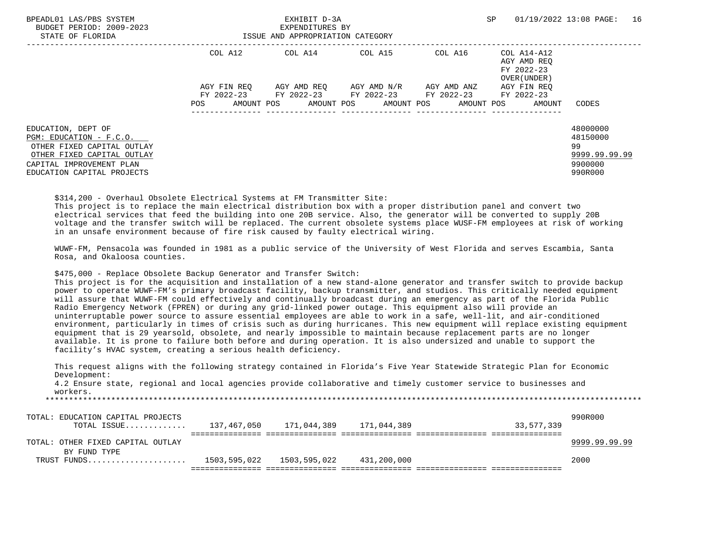| BPEADL01 LAS/PBS SYSTEM<br>BUDGET PERIOD: 2009-2023<br>STATE OF FLORIDA                                                                                             | EXHIBIT D-3A<br>EXPENDITURES BY<br>ISSUE AND APPROPRIATION CATEGORY |                                  |                         |                                             | SP<br>01/19/2022 13:08 PAGE:                             |                                                                   |  |
|---------------------------------------------------------------------------------------------------------------------------------------------------------------------|---------------------------------------------------------------------|----------------------------------|-------------------------|---------------------------------------------|----------------------------------------------------------|-------------------------------------------------------------------|--|
|                                                                                                                                                                     | COL A12                                                             | COL A14 COL A15 COL A16          |                         |                                             | COL A14-A12<br>AGY AMD REO<br>FY 2022-23<br>OVER (UNDER) |                                                                   |  |
|                                                                                                                                                                     | AGY FIN REO                                                         |                                  | AGY AMD REO AGY AMD N/R | AGY AMD ANZ                                 | AGY FIN REO                                              |                                                                   |  |
|                                                                                                                                                                     |                                                                     |                                  |                         | FY 2022-23 FY 2022-23 FY 2022-23 FY 2022-23 | FY 2022-23                                               |                                                                   |  |
|                                                                                                                                                                     | POS                                                                 | AMOUNT POS AMOUNT POS AMOUNT POS |                         | AMOUNT POS                                  | AMOUNT                                                   | CODES                                                             |  |
| EDUCATION, DEPT OF<br>PGM: EDUCATION - F.C.O.<br>OTHER FIXED CAPITAL OUTLAY<br>OTHER FIXED CAPITAL OUTLAY<br>CAPITAL IMPROVEMENT PLAN<br>EDUCATION CAPITAL PROJECTS |                                                                     |                                  |                         |                                             |                                                          | 48000000<br>48150000<br>99<br>9999.99.99.99<br>9900000<br>990R000 |  |

\$314,200 - Overhaul Obsolete Electrical Systems at FM Transmitter Site:

 This project is to replace the main electrical distribution box with a proper distribution panel and convert two electrical services that feed the building into one 20B service. Also, the generator will be converted to supply 20B voltage and the transfer switch will be replaced. The current obsolete systems place WUSF-FM employees at risk of working in an unsafe environment because of fire risk caused by faulty electrical wiring.

 WUWF-FM, Pensacola was founded in 1981 as a public service of the University of West Florida and serves Escambia, Santa Rosa, and Okaloosa counties.

\$475,000 - Replace Obsolete Backup Generator and Transfer Switch:

 This project is for the acquisition and installation of a new stand-alone generator and transfer switch to provide backup power to operate WUWF-FM's primary broadcast facility, backup transmitter, and studios. This critically needed equipment will assure that WUWF-FM could effectively and continually broadcast during an emergency as part of the Florida Public Radio Emergency Network (FPREN) or during any grid-linked power outage. This equipment also will provide an uninterruptable power source to assure essential employees are able to work in a safe, well-lit, and air-conditioned environment, particularly in times of crisis such as during hurricanes. This new equipment will replace existing equipment equipment that is 29 yearsold, obsolete, and nearly impossible to maintain because replacement parts are no longer available. It is prone to failure both before and during operation. It is also undersized and unable to support the facility's HVAC system, creating a serious health deficiency.

 This request aligns with the following strategy contained in Florida's Five Year Statewide Strategic Plan for Economic Development:

 4.2 Ensure state, regional and local agencies provide collaborative and timely customer service to businesses and workers. \*\*\*\*\*\*\*\*\*\*\*\*\*\*\*\*\*\*\*\*\*\*\*\*\*\*\*\*\*\*\*\*\*\*\*\*\*\*\*\*\*\*\*\*\*\*\*\*\*\*\*\*\*\*\*\*\*\*\*\*\*\*\*\*\*\*\*\*\*\*\*\*\*\*\*\*\*\*\*\*\*\*\*\*\*\*\*\*\*\*\*\*\*\*\*\*\*\*\*\*\*\*\*\*\*\*\*\*\*\*\*\*\*\*\*\*\*\*\*\*\*\*\*\*\*\*\*

 TOTAL: EDUCATION CAPITAL PROJECTS 990R000 TOTAL ISSUE............. 137,467,050 171,044,389 171,044,389 33,577,339 =============== =============== =============== =============== =============== TOTAL: OTHER FIXED CAPITAL OUTLAY 2008 POINT AND RELEASE AND RELEASE AND RELEASE AND RELEASE AND RELEASE AND RE BY FUND TYPE TRUST FUNDS..................... 1503,595,022 1503,595,022 431,200,000 2000 =============== =============== =============== =============== ===============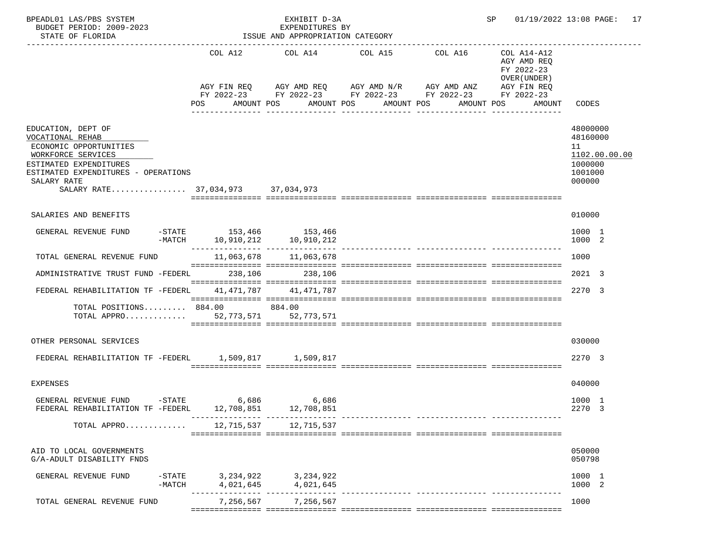| BPEADL01 LAS/PBS SYSTEM<br>BUDGET PERIOD: 2009-2023<br>STATE OF FLORIDA<br>----------------------                                                                                                           |                                                              | EXHIBIT D-3A<br>EXPENDITURES BY<br>ISSUE AND APPROPRIATION CATEGORY | SP                                                                                                                                                           |                       |                                                                                                 | 01/19/2022 13:08 PAGE: 17                                                   |  |
|-------------------------------------------------------------------------------------------------------------------------------------------------------------------------------------------------------------|--------------------------------------------------------------|---------------------------------------------------------------------|--------------------------------------------------------------------------------------------------------------------------------------------------------------|-----------------------|-------------------------------------------------------------------------------------------------|-----------------------------------------------------------------------------|--|
|                                                                                                                                                                                                             | POS                                                          | AMOUNT POS                                                          | COL A12 COL A14 COL A15<br>AGY FIN REQ 6 AGY AMD REQ 6 AGY AMD N/R 66 AGY AMD ANZ<br>FY 2022-23 FY 2022-23 FY 2022-23 FY 2022-23<br>AMOUNT POS<br>AMOUNT POS | COL A16<br>AMOUNT POS | COL A14-A12<br>AGY AMD REQ<br>FY 2022-23<br>OVER (UNDER)<br>AGY FIN REQ<br>FY 2022-23<br>AMOUNT | CODES                                                                       |  |
| EDUCATION, DEPT OF<br>VOCATIONAL REHAB<br>ECONOMIC OPPORTUNITIES<br>WORKFORCE SERVICES<br>ESTIMATED EXPENDITURES<br>ESTIMATED EXPENDITURES - OPERATIONS<br>SALARY RATE<br>SALARY RATE 37,034,973 37,034,973 |                                                              |                                                                     |                                                                                                                                                              |                       |                                                                                                 | 48000000<br>48160000<br>11<br>1102.00.00.00<br>1000000<br>1001000<br>000000 |  |
| SALARIES AND BENEFITS                                                                                                                                                                                       |                                                              |                                                                     |                                                                                                                                                              |                       |                                                                                                 | 010000                                                                      |  |
| GENERAL REVENUE FUND                                                                                                                                                                                        | -STATE 153,466 153,466<br>$-MATCH$ 10, 910, 212 10, 910, 212 |                                                                     |                                                                                                                                                              |                       |                                                                                                 | 1000 1<br>1000 2                                                            |  |
| TOTAL GENERAL REVENUE FUND                                                                                                                                                                                  |                                                              |                                                                     |                                                                                                                                                              |                       |                                                                                                 | 1000                                                                        |  |
| ADMINISTRATIVE TRUST FUND -FEDERL                                                                                                                                                                           | 238,106                                                      | 238,106                                                             |                                                                                                                                                              |                       |                                                                                                 | 2021 3                                                                      |  |
| FEDERAL REHABILITATION TF -FEDERL                                                                                                                                                                           |                                                              | 41, 471, 787 41, 471, 787                                           |                                                                                                                                                              |                       |                                                                                                 | 2270 3                                                                      |  |
| TOTAL POSITIONS 884.00 884.00<br>TOTAL APPRO $52,773,571$                                                                                                                                                   |                                                              | 52,773,571                                                          |                                                                                                                                                              |                       |                                                                                                 |                                                                             |  |
| OTHER PERSONAL SERVICES                                                                                                                                                                                     |                                                              |                                                                     |                                                                                                                                                              |                       |                                                                                                 | 030000                                                                      |  |
| FEDERAL REHABILITATION TF -FEDERL 1,509,817 1,509,817                                                                                                                                                       |                                                              |                                                                     |                                                                                                                                                              |                       |                                                                                                 | 2270 3                                                                      |  |
| <b>EXPENSES</b>                                                                                                                                                                                             |                                                              |                                                                     |                                                                                                                                                              |                       |                                                                                                 | 040000                                                                      |  |
| GENERAL REVENUE FUND -STATE<br>FEDERAL REHABILITATION TF -FEDERL                                                                                                                                            | 12,708,851                                                   | 6,686 6,686<br>12,708,851                                           |                                                                                                                                                              |                       |                                                                                                 | 1000 1<br>2270 3                                                            |  |
| TOTAL APPRO                                                                                                                                                                                                 |                                                              | 12,715,537 12,715,537                                               |                                                                                                                                                              |                       |                                                                                                 |                                                                             |  |
| AID TO LOCAL GOVERNMENTS<br>G/A-ADULT DISABILITY FNDS                                                                                                                                                       |                                                              |                                                                     |                                                                                                                                                              |                       |                                                                                                 | 050000<br>050798                                                            |  |
| $-$ STATE<br>GENERAL REVENUE FUND<br>$-MATCH$                                                                                                                                                               | 4,021,645                                                    | 3, 234, 922 3, 234, 922<br>4,021,645                                |                                                                                                                                                              |                       |                                                                                                 | 1000 1<br>1000 2                                                            |  |
| TOTAL GENERAL REVENUE FUND                                                                                                                                                                                  |                                                              | 7, 256, 567 7, 256, 567                                             |                                                                                                                                                              |                       |                                                                                                 | 1000                                                                        |  |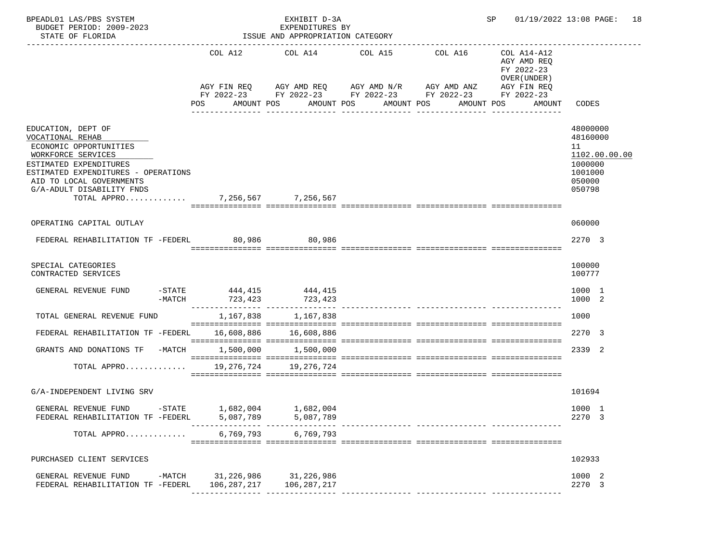| BPEADL01 LAS/PBS SYSTEM<br>BUDGET PERIOD: 2009-2023<br>STATE OF FLORIDA                                                                                                                                                                             |                                                                  | EXHIBIT D-3A<br>EXPENDITURES BY<br>ISSUE AND APPROPRIATION CATEGORY |                                                                                                                                                                                                                                           | SP and the set of the set of the set of the set of the set of the set of the set of the set of the set of the set of the set of the set of the set of the set of the set of the set of the set of the set of the set of the se | 01/19/2022 13:08 PAGE: 18                                                             |
|-----------------------------------------------------------------------------------------------------------------------------------------------------------------------------------------------------------------------------------------------------|------------------------------------------------------------------|---------------------------------------------------------------------|-------------------------------------------------------------------------------------------------------------------------------------------------------------------------------------------------------------------------------------------|--------------------------------------------------------------------------------------------------------------------------------------------------------------------------------------------------------------------------------|---------------------------------------------------------------------------------------|
|                                                                                                                                                                                                                                                     | POS                                                              |                                                                     | COL A12 COL A14 COL A15<br>COL A16<br>AGY FIN REQ AGY AMD REQ AGY AMD N/R AGY AMD ANZ AGY FIN REQ<br>FY 2022-23 FY 2022-23 FY 2022-23 FY 2022-23<br>AMOUNT POS AMOUNT POS AMOUNT POS AMOUNT POS<br>______________________________________ | COL A14-A12<br>AGY AMD REO<br>FY 2022-23<br>OVER (UNDER)<br>FY 2022-23<br>AMOUNT                                                                                                                                               | CODES                                                                                 |
| EDUCATION, DEPT OF<br>VOCATIONAL REHAB<br>ECONOMIC OPPORTUNITIES<br>WORKFORCE SERVICES<br>ESTIMATED EXPENDITURES<br>ESTIMATED EXPENDITURES - OPERATIONS<br>AID TO LOCAL GOVERNMENTS<br>G/A-ADULT DISABILITY FNDS<br>TOTAL APPRO 7,256,567 7,256,567 |                                                                  |                                                                     |                                                                                                                                                                                                                                           |                                                                                                                                                                                                                                | 48000000<br>48160000<br>11<br>1102.00.00.00<br>1000000<br>1001000<br>050000<br>050798 |
| OPERATING CAPITAL OUTLAY                                                                                                                                                                                                                            |                                                                  |                                                                     |                                                                                                                                                                                                                                           |                                                                                                                                                                                                                                | 060000                                                                                |
| FEDERAL REHABILITATION TF -FEDERL 80,986 80,986                                                                                                                                                                                                     |                                                                  |                                                                     |                                                                                                                                                                                                                                           |                                                                                                                                                                                                                                | 2270 3                                                                                |
| SPECIAL CATEGORIES<br>CONTRACTED SERVICES                                                                                                                                                                                                           |                                                                  |                                                                     |                                                                                                                                                                                                                                           |                                                                                                                                                                                                                                | 100000<br>100777                                                                      |
| GENERAL REVENUE FUND<br>$-MATCH$                                                                                                                                                                                                                    | $-$ STATE 444, 415 444, 415<br>723,423                           | 723,423                                                             |                                                                                                                                                                                                                                           |                                                                                                                                                                                                                                | 1000 1<br>1000 2                                                                      |
| TOTAL GENERAL REVENUE FUND                                                                                                                                                                                                                          |                                                                  | 1, 167, 838 1, 167, 838                                             |                                                                                                                                                                                                                                           |                                                                                                                                                                                                                                | 1000                                                                                  |
| FEDERAL REHABILITATION TF -FEDERL                                                                                                                                                                                                                   |                                                                  | 16,608,886 16,608,886                                               |                                                                                                                                                                                                                                           |                                                                                                                                                                                                                                | 2270 3                                                                                |
| GRANTS AND DONATIONS TF -MATCH 1,500,000 1,500,000                                                                                                                                                                                                  |                                                                  |                                                                     |                                                                                                                                                                                                                                           |                                                                                                                                                                                                                                | 2339 2                                                                                |
| TOTAL APPRO                                                                                                                                                                                                                                         |                                                                  | 19, 276, 724 19, 276, 724                                           |                                                                                                                                                                                                                                           |                                                                                                                                                                                                                                |                                                                                       |
| G/A-INDEPENDENT LIVING SRV                                                                                                                                                                                                                          |                                                                  |                                                                     |                                                                                                                                                                                                                                           |                                                                                                                                                                                                                                | 101694                                                                                |
| GENERAL REVENUE FUND<br>FEDERAL REHABILITATION TF -FEDERL                                                                                                                                                                                           | $-$ STATE $1,682,004$<br>5,087,789<br>---------------- --------- | 1,682,004<br>5,087,789                                              | -------------- -----------------                                                                                                                                                                                                          |                                                                                                                                                                                                                                | 1000 1<br>2270 3                                                                      |
| TOTAL APPRO                                                                                                                                                                                                                                         | 6,769,793                                                        | 6,769,793                                                           |                                                                                                                                                                                                                                           |                                                                                                                                                                                                                                |                                                                                       |
| PURCHASED CLIENT SERVICES                                                                                                                                                                                                                           |                                                                  |                                                                     |                                                                                                                                                                                                                                           |                                                                                                                                                                                                                                | 102933                                                                                |
| $-MATCH$<br>GENERAL REVENUE FUND<br>FEDERAL REHABILITATION TF -FEDERL                                                                                                                                                                               |                                                                  | 31,226,986 31,226,986<br>106,287,217 106,287,217                    |                                                                                                                                                                                                                                           |                                                                                                                                                                                                                                | 1000 2<br>2270 3                                                                      |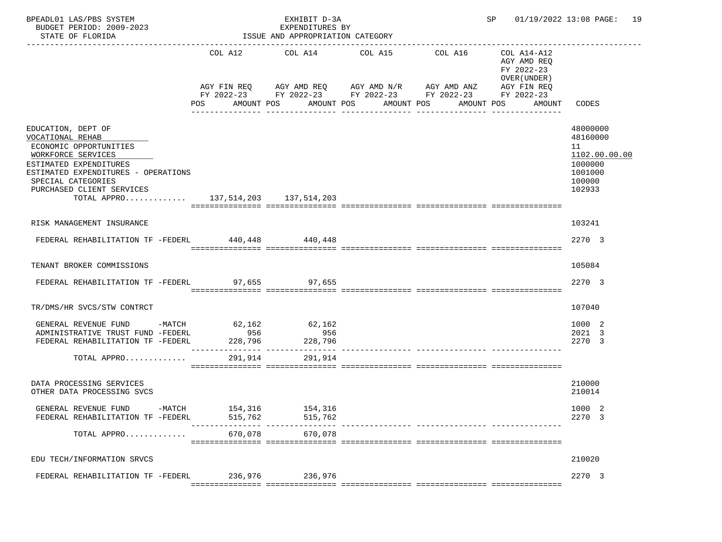| BPEADL01 LAS/PBS SYSTEM<br>BUDGET PERIOD: 2009-2023<br>STATE OF FLORIDA                                                                                                                                                                           |                                     | EXHIBIT D-3A<br>EXPENDITURES BY<br>ISSUE AND APPROPRIATION CATEGORY      |                                                                                                                                       |         |                                                                                                               | SP 01/19/2022 13:08 PAGE: 19                                                          |
|---------------------------------------------------------------------------------------------------------------------------------------------------------------------------------------------------------------------------------------------------|-------------------------------------|--------------------------------------------------------------------------|---------------------------------------------------------------------------------------------------------------------------------------|---------|---------------------------------------------------------------------------------------------------------------|---------------------------------------------------------------------------------------|
|                                                                                                                                                                                                                                                   | COL A12<br>POS                      | COL A14<br>AMOUNT POS                                                    | COL A15<br>AGY FIN REQ AGY AMD REQ AGY AMD N/R AGY AMD ANZ<br>FY 2022-23 FY 2022-23 FY 2022-23 FY 2022-23<br>AMOUNT POS<br>AMOUNT POS | COL A16 | COL A14-A12<br>AGY AMD REO<br>FY 2022-23<br>OVER (UNDER)<br>AGY FIN REQ<br>FY 2022-23<br>AMOUNT POS<br>AMOUNT | CODES                                                                                 |
| EDUCATION, DEPT OF<br>VOCATIONAL REHAB<br>ECONOMIC OPPORTUNITIES<br>WORKFORCE SERVICES<br>ESTIMATED EXPENDITURES<br>ESTIMATED EXPENDITURES - OPERATIONS<br>SPECIAL CATEGORIES<br>PURCHASED CLIENT SERVICES<br>TOTAL APPRO 137,514,203 137,514,203 |                                     |                                                                          |                                                                                                                                       |         |                                                                                                               | 48000000<br>48160000<br>11<br>1102.00.00.00<br>1000000<br>1001000<br>100000<br>102933 |
| RISK MANAGEMENT INSURANCE                                                                                                                                                                                                                         |                                     |                                                                          |                                                                                                                                       |         |                                                                                                               | 103241                                                                                |
| FEDERAL REHABILITATION TF -FEDERL 440,448 440,448                                                                                                                                                                                                 |                                     |                                                                          |                                                                                                                                       |         |                                                                                                               | 2270 3                                                                                |
| TENANT BROKER COMMISSIONS                                                                                                                                                                                                                         |                                     |                                                                          |                                                                                                                                       |         |                                                                                                               | 105084                                                                                |
| FEDERAL REHABILITATION TF -FEDERL                                                                                                                                                                                                                 |                                     | 97,655 97,655                                                            |                                                                                                                                       |         |                                                                                                               | 2270 3                                                                                |
| TR/DMS/HR SVCS/STW CONTRCT                                                                                                                                                                                                                        |                                     |                                                                          |                                                                                                                                       |         |                                                                                                               | 107040                                                                                |
| GENERAL REVENUE FUND<br>$-MATCH$<br>ADMINISTRATIVE TRUST FUND -FEDERL<br>FEDERAL REHABILITATION TF -FEDERL<br>TOTAL APPRO                                                                                                                         | 62,162<br>956<br>228,796<br>291,914 | 62,162<br>956<br>228,796<br>---------------- ----------------<br>291,914 |                                                                                                                                       |         |                                                                                                               | 1000 2<br>2021 3<br>2270 3                                                            |
| DATA PROCESSING SERVICES<br>OTHER DATA PROCESSING SVCS                                                                                                                                                                                            |                                     |                                                                          |                                                                                                                                       |         |                                                                                                               | 210000<br>210014                                                                      |
| GENERAL REVENUE FUND<br>$-MATCH$<br>FEDERAL REHABILITATION TF -FEDERL                                                                                                                                                                             | 154,316<br>515,762<br>-----------   | 154,316<br>515,762<br>--- --------                                       |                                                                                                                                       |         |                                                                                                               | 1000<br>2270 3                                                                        |
| TOTAL APPRO                                                                                                                                                                                                                                       | 670,078                             | 670,078                                                                  |                                                                                                                                       |         |                                                                                                               |                                                                                       |
| EDU TECH/INFORMATION SRVCS                                                                                                                                                                                                                        |                                     |                                                                          |                                                                                                                                       |         |                                                                                                               | 210020                                                                                |
| FEDERAL REHABILITATION TF -FEDERL                                                                                                                                                                                                                 | 236,976                             | 236,976                                                                  |                                                                                                                                       |         |                                                                                                               | 2270 3                                                                                |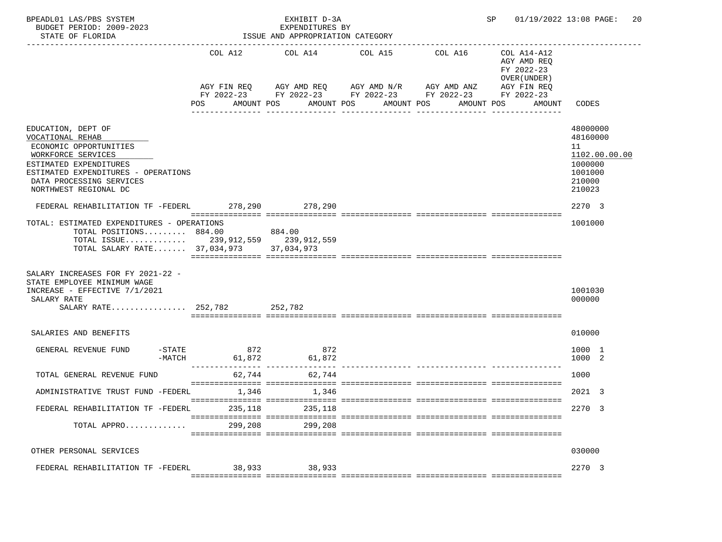| BPEADL01 LAS/PBS SYSTEM<br>BUDGET PERIOD: 2009-2023<br>STATE OF FLORIDA                                                                                                                                      |                                   | EXHIBIT D-3A<br>EXPENDITURES BY<br>ISSUE AND APPROPRIATION CATEGORY |                                                                         |                                                                         | SP 01/19/2022 13:08 PAGE: 20                                                          |
|--------------------------------------------------------------------------------------------------------------------------------------------------------------------------------------------------------------|-----------------------------------|---------------------------------------------------------------------|-------------------------------------------------------------------------|-------------------------------------------------------------------------|---------------------------------------------------------------------------------------|
|                                                                                                                                                                                                              | COL A12                           | COL A14                                                             | COL A15<br>COL A16<br>AGY FIN REQ 6GY AMD REQ 6GY AMD N/R 6GY AMD ANZ   | COL A14-A12<br>AGY AMD REQ<br>FY 2022-23<br>OVER (UNDER)<br>AGY FIN REQ |                                                                                       |
|                                                                                                                                                                                                              | POS<br>AMOUNT POS                 |                                                                     | FY 2022-23 FY 2022-23 FY 2022-23 FY 2022-23<br>AMOUNT POS<br>AMOUNT POS | FY 2022-23<br>AMOUNT POS<br>AMOUNT                                      | CODES                                                                                 |
|                                                                                                                                                                                                              |                                   |                                                                     | ________________                                                        |                                                                         |                                                                                       |
| EDUCATION, DEPT OF<br>VOCATIONAL REHAB<br>ECONOMIC OPPORTUNITIES<br>WORKFORCE SERVICES<br>ESTIMATED EXPENDITURES<br>ESTIMATED EXPENDITURES - OPERATIONS<br>DATA PROCESSING SERVICES<br>NORTHWEST REGIONAL DC |                                   |                                                                     |                                                                         |                                                                         | 48000000<br>48160000<br>11<br>1102.00.00.00<br>1000000<br>1001000<br>210000<br>210023 |
| FEDERAL REHABILITATION TF -FEDERL 278,290 278,290                                                                                                                                                            |                                   |                                                                     |                                                                         |                                                                         | 2270 3                                                                                |
| TOTAL: ESTIMATED EXPENDITURES - OPERATIONS<br>TOTAL POSITIONS 884.00<br>TOTAL ISSUE 239,912,559 239,912,559<br>TOTAL SALARY RATE $37,034,973$                                                                |                                   | 884.00<br>37,034,973                                                |                                                                         |                                                                         | 1001000                                                                               |
| SALARY INCREASES FOR FY 2021-22 -<br>STATE EMPLOYEE MINIMUM WAGE<br>INCREASE - EFFECTIVE 7/1/2021<br>SALARY RATE<br>SALARY RATE 252,782 252,782                                                              |                                   |                                                                     |                                                                         |                                                                         | 1001030<br>000000                                                                     |
| SALARIES AND BENEFITS                                                                                                                                                                                        |                                   |                                                                     |                                                                         |                                                                         | 010000                                                                                |
| $-$ STATE<br>GENERAL REVENUE FUND<br>-MATCH                                                                                                                                                                  | 872<br>61,872<br>________________ | 872<br>61,872                                                       |                                                                         |                                                                         | 1000 1<br>1000 2                                                                      |
| TOTAL GENERAL REVENUE FUND                                                                                                                                                                                   | 62,744                            | 62,744                                                              |                                                                         |                                                                         | 1000                                                                                  |
| ADMINISTRATIVE TRUST FUND -FEDERL                                                                                                                                                                            | 1,346                             | 1,346                                                               |                                                                         |                                                                         | 2021 3                                                                                |
| FEDERAL REHABILITATION TF -FEDERL                                                                                                                                                                            | 235,118                           | 235,118                                                             |                                                                         |                                                                         | 2270 3                                                                                |
| TOTAL APPRO                                                                                                                                                                                                  | 299,208                           | 299,208                                                             |                                                                         |                                                                         |                                                                                       |
| OTHER PERSONAL SERVICES                                                                                                                                                                                      |                                   |                                                                     |                                                                         |                                                                         | 030000                                                                                |
| FEDERAL REHABILITATION TF -FEDERL                                                                                                                                                                            | 38,933                            | 38,933                                                              |                                                                         |                                                                         | 2270 3                                                                                |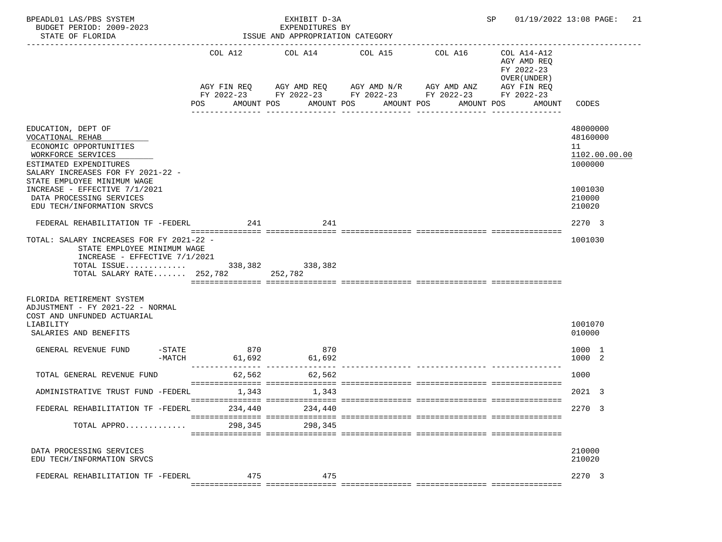| BPEADL01 LAS/PBS SYSTEM<br>BUDGET PERIOD: 2009-2023<br>STATE OF FLORIDA                                                                                                                                                                                                         |                                                                        | EXHIBIT D-3A<br>EXPENDITURES BY<br>ISSUE AND APPROPRIATION CATEGORY |                                                                                                                                                                       | SP 01/19/2022 13:08 PAGE:            |                                                                                  |                                                                                       |
|---------------------------------------------------------------------------------------------------------------------------------------------------------------------------------------------------------------------------------------------------------------------------------|------------------------------------------------------------------------|---------------------------------------------------------------------|-----------------------------------------------------------------------------------------------------------------------------------------------------------------------|--------------------------------------|----------------------------------------------------------------------------------|---------------------------------------------------------------------------------------|
|                                                                                                                                                                                                                                                                                 | POS                                                                    | COL A12 COL A14 COL A15<br>AMOUNT POS                               | AGY FIN REQ AGY AMD REQ AGY AMD N/R AGY AMD ANZ AGY FIN REQ<br>FY 2022-23 FY 2022-23 FY 2022-23 FY 2022-23 FY 2022-23<br>AMOUNT POS<br>AMOUNT POS<br>---------------- | COL A16<br>. _ _ _ _ _ _ _ _ _ _ _ _ | COL A14-A12<br>AGY AMD REQ<br>FY 2022-23<br>OVER (UNDER)<br>AMOUNT POS<br>AMOUNT | CODES                                                                                 |
| EDUCATION, DEPT OF<br>VOCATIONAL REHAB<br>ECONOMIC OPPORTUNITIES<br>WORKFORCE SERVICES<br>ESTIMATED EXPENDITURES<br>SALARY INCREASES FOR FY 2021-22 -<br>STATE EMPLOYEE MINIMUM WAGE<br>INCREASE - EFFECTIVE 7/1/2021<br>DATA PROCESSING SERVICES<br>EDU TECH/INFORMATION SRVCS |                                                                        |                                                                     |                                                                                                                                                                       |                                      |                                                                                  | 48000000<br>48160000<br>11<br>1102.00.00.00<br>1000000<br>1001030<br>210000<br>210020 |
| FEDERAL REHABILITATION TF -FEDERL<br>TOTAL: SALARY INCREASES FOR FY 2021-22 -<br>STATE EMPLOYEE MINIMUM WAGE<br>INCREASE - EFFECTIVE $7/1/2021$<br>TOTAL ISSUE 338,382 338,382<br>TOTAL SALARY RATE 252,782 252,782                                                             | 241                                                                    | 241                                                                 |                                                                                                                                                                       |                                      |                                                                                  | 2270 3<br>1001030                                                                     |
| FLORIDA RETIREMENT SYSTEM<br>ADJUSTMENT - FY 2021-22 - NORMAL<br>COST AND UNFUNDED ACTUARIAL<br>LIABILITY<br>SALARIES AND BENEFITS                                                                                                                                              |                                                                        |                                                                     |                                                                                                                                                                       |                                      |                                                                                  | 1001070<br>010000                                                                     |
| GENERAL REVENUE FUND                                                                                                                                                                                                                                                            | 870<br>$-STATE$<br>$-MATCH$ 61,692<br>---------------- --------------- | 870<br>61,692                                                       |                                                                                                                                                                       |                                      |                                                                                  | 1000 1<br>1000 2                                                                      |
| TOTAL GENERAL REVENUE FUND                                                                                                                                                                                                                                                      | 62,562                                                                 | 62,562                                                              |                                                                                                                                                                       |                                      |                                                                                  | 1000                                                                                  |
| ADMINISTRATIVE TRUST FUND -FEDERL                                                                                                                                                                                                                                               | 1,343                                                                  | 1,343                                                               |                                                                                                                                                                       |                                      |                                                                                  | 2021 3                                                                                |
| FEDERAL REHABILITATION TF -FEDERL                                                                                                                                                                                                                                               | 234,440                                                                | 234,440                                                             |                                                                                                                                                                       |                                      |                                                                                  | 2270 3                                                                                |
| TOTAL APPRO                                                                                                                                                                                                                                                                     | 298,345                                                                | 298,345                                                             |                                                                                                                                                                       |                                      |                                                                                  |                                                                                       |
| DATA PROCESSING SERVICES<br>EDU TECH/INFORMATION SRVCS                                                                                                                                                                                                                          |                                                                        |                                                                     |                                                                                                                                                                       |                                      |                                                                                  | 210000<br>210020                                                                      |
| FEDERAL REHABILITATION TF -FEDERL                                                                                                                                                                                                                                               | 475                                                                    | 475                                                                 |                                                                                                                                                                       |                                      |                                                                                  | 2270 3                                                                                |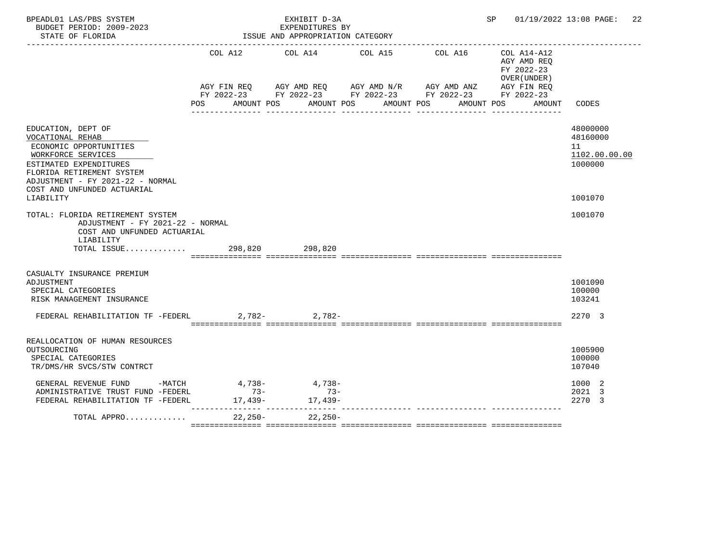| BPEADL01 LAS/PBS SYSTEM<br>BUDGET PERIOD: 2009-2023<br>STATE OF FLORIDA                                                                                                                                                       |       | EXHIBIT D-3A<br>EXPENDITURES BY<br>ISSUE AND APPROPRIATION CATEGORY | SP |                                                                                                                                                                                                         |                                                                    | 01/19/2022 13:08 PAGE:<br>22                                      |  |
|-------------------------------------------------------------------------------------------------------------------------------------------------------------------------------------------------------------------------------|-------|---------------------------------------------------------------------|----|---------------------------------------------------------------------------------------------------------------------------------------------------------------------------------------------------------|--------------------------------------------------------------------|-------------------------------------------------------------------|--|
|                                                                                                                                                                                                                               | POS   |                                                                     |    | COL A12 COL A14 COL A15 COL A16<br>AGY FIN REQ AGY AMD REQ AGY AMD N/R AGY AMD ANZ AGY FIN REQ<br>FY 2022-23 FY 2022-23 FY 2022-23 FY 2022-23 FY 2022-23<br>AMOUNT POS AMOUNT POS AMOUNT POS AMOUNT POS | COL A14-A12<br>AGY AMD REO<br>FY 2022-23<br>OVER (UNDER)<br>AMOUNT | CODES                                                             |  |
| EDUCATION, DEPT OF<br>VOCATIONAL REHAB<br>ECONOMIC OPPORTUNITIES<br>WORKFORCE SERVICES<br>ESTIMATED EXPENDITURES<br>FLORIDA RETIREMENT SYSTEM<br>ADJUSTMENT - FY 2021-22 - NORMAL<br>COST AND UNFUNDED ACTUARIAL<br>LIABILITY |       |                                                                     |    |                                                                                                                                                                                                         |                                                                    | 48000000<br>48160000<br>11<br>1102.00.00.00<br>1000000<br>1001070 |  |
| TOTAL: FLORIDA RETIREMENT SYSTEM<br>ADJUSTMENT - FY 2021-22 - NORMAL<br>COST AND UNFUNDED ACTUARIAL<br>LIABILITY<br>TOTAL ISSUE 298,820 298,820                                                                               |       |                                                                     |    |                                                                                                                                                                                                         |                                                                    | 1001070                                                           |  |
| CASUALTY INSURANCE PREMIUM<br>ADJUSTMENT<br>SPECIAL CATEGORIES<br>RISK MANAGEMENT INSURANCE<br>-782, FEDERAL REHABILITATION TF -FEDERL 2,782                                                                                  |       |                                                                     |    |                                                                                                                                                                                                         |                                                                    | 1001090<br>100000<br>103241<br>2270 3                             |  |
| REALLOCATION OF HUMAN RESOURCES<br>OUTSOURCING<br>SPECIAL CATEGORIES<br>TR/DMS/HR SVCS/STW CONTRCT<br>GENERAL REVENUE FUND -MATCH 4,738- 4,738-                                                                               |       |                                                                     |    |                                                                                                                                                                                                         |                                                                    | 1005900<br>100000<br>107040<br>1000 2                             |  |
| ADMINISTRATIVE TRUST FUND -FEDERL<br>FEDERAL REHABILITATION TF -FEDERL<br>TOTAL APPRO                                                                                                                                         | $73-$ | $73-$<br>$17,439 17,439-$<br>22,250- 22,250-                        |    |                                                                                                                                                                                                         |                                                                    | 2021 3<br>2270 3                                                  |  |
|                                                                                                                                                                                                                               |       |                                                                     |    |                                                                                                                                                                                                         |                                                                    |                                                                   |  |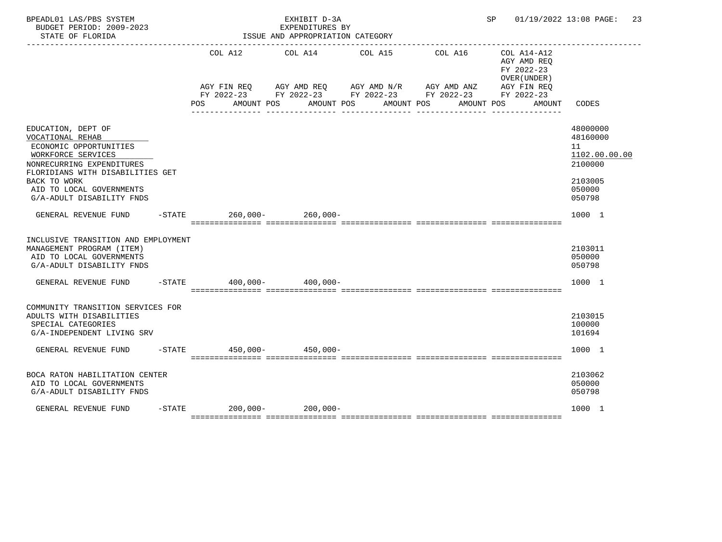| BPEADL01 LAS/PBS SYSTEM<br>BUDGET PERIOD: 2009-2023<br>STATE OF FLORIDA                                                                                                                                                          |                                  | EXHIBIT D-3A<br>EXPENDITURES BY<br>ISSUE AND APPROPRIATION CATEGORY |                                                                                                                         |                                                                                   | SP 01/19/2022 13:08 PAGE: 23                                                          |
|----------------------------------------------------------------------------------------------------------------------------------------------------------------------------------------------------------------------------------|----------------------------------|---------------------------------------------------------------------|-------------------------------------------------------------------------------------------------------------------------|-----------------------------------------------------------------------------------|---------------------------------------------------------------------------------------|
|                                                                                                                                                                                                                                  | AGY FIN REO<br>AMOUNT POS<br>POS | COL A12 COL A14 COL A15<br>AMOUNT POS                               | AGY AMD REQ AGY AMD N/R AGY AMD ANZ AGY FIN REQ<br>FY 2022-23 FY 2022-23 FY 2022-23 FY 2022-23 FY 2022-23<br>AMOUNT POS | COL A16<br>COL A14-A12<br>AGY AMD REO<br>FY 2022-23<br>OVER (UNDER)<br>AMOUNT POS | CODES<br>AMOUNT                                                                       |
| EDUCATION, DEPT OF<br>VOCATIONAL REHAB<br>ECONOMIC OPPORTUNITIES<br>WORKFORCE SERVICES<br>NONRECURRING EXPENDITURES<br>FLORIDIANS WITH DISABILITIES GET<br>BACK TO WORK<br>AID TO LOCAL GOVERNMENTS<br>G/A-ADULT DISABILITY FNDS |                                  |                                                                     |                                                                                                                         |                                                                                   | 48000000<br>48160000<br>11<br>1102.00.00.00<br>2100000<br>2103005<br>050000<br>050798 |
| GENERAL REVENUE FUND                                                                                                                                                                                                             | -STATE 260,000- 260,000-         |                                                                     |                                                                                                                         |                                                                                   | 1000 1                                                                                |
| INCLUSIVE TRANSITION AND EMPLOYMENT<br>MANAGEMENT PROGRAM (ITEM)<br>AID TO LOCAL GOVERNMENTS<br>G/A-ADULT DISABILITY FNDS                                                                                                        |                                  |                                                                     |                                                                                                                         |                                                                                   | 2103011<br>050000<br>050798                                                           |
| GENERAL REVENUE FUND                                                                                                                                                                                                             | $-$ STATE 400,000 - 400,000 -    |                                                                     |                                                                                                                         |                                                                                   | 1000 1                                                                                |
| COMMUNITY TRANSITION SERVICES FOR<br>ADULTS WITH DISABILITIES<br>SPECIAL CATEGORIES<br>G/A-INDEPENDENT LIVING SRV                                                                                                                |                                  |                                                                     |                                                                                                                         |                                                                                   | 2103015<br>100000<br>101694                                                           |
| GENERAL REVENUE FUND                                                                                                                                                                                                             | $-$ STATE 450,000-450,000-       |                                                                     |                                                                                                                         |                                                                                   | 1000 1                                                                                |
| BOCA RATON HABILITATION CENTER<br>AID TO LOCAL GOVERNMENTS<br>G/A-ADULT DISABILITY FNDS                                                                                                                                          |                                  |                                                                     |                                                                                                                         |                                                                                   | 2103062<br>050000<br>050798                                                           |
| GENERAL REVENUE FUND                                                                                                                                                                                                             | $-STATE$ 200,000- 200,000-       |                                                                     |                                                                                                                         |                                                                                   | 1000 1                                                                                |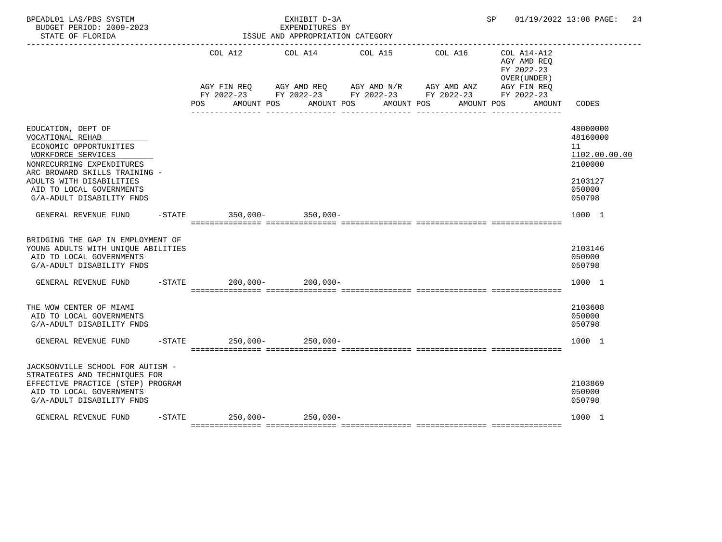| BPEADL01 LAS/PBS SYSTEM<br>BUDGET PERIOD: 2009-2023<br>STATE OF FLORIDA                                                                                                                                                                   |     | EXHIBIT D-3A<br>EXPENDITURES BY<br>ISSUE AND APPROPRIATION CATEGORY                    |                                                                                                                                     |                       |                                                                    | SP 01/19/2022 13:08 PAGE: 24                                                          |
|-------------------------------------------------------------------------------------------------------------------------------------------------------------------------------------------------------------------------------------------|-----|----------------------------------------------------------------------------------------|-------------------------------------------------------------------------------------------------------------------------------------|-----------------------|--------------------------------------------------------------------|---------------------------------------------------------------------------------------|
|                                                                                                                                                                                                                                           | POS | COL A12 COL A14 COL A15<br>AMOUNT POS AMOUNT POS<br>---------------- ----------------- | AGY FIN REQ AGY AMD REQ AGY AMD N/R AGY AMD ANZ AGY FIN REQ<br>FY 2022-23 FY 2022-23 FY 2022-23 FY 2022-23 FY 2022-23<br>AMOUNT POS | COL A16<br>AMOUNT POS | COL A14-A12<br>AGY AMD REQ<br>FY 2022-23<br>OVER (UNDER)<br>AMOUNT | CODES                                                                                 |
| EDUCATION, DEPT OF<br>VOCATIONAL REHAB<br>ECONOMIC OPPORTUNITIES<br>WORKFORCE SERVICES<br>NONRECURRING EXPENDITURES<br>ARC BROWARD SKILLS TRAINING -<br>ADULTS WITH DISABILITIES<br>AID TO LOCAL GOVERNMENTS<br>G/A-ADULT DISABILITY FNDS |     |                                                                                        |                                                                                                                                     |                       |                                                                    | 48000000<br>48160000<br>11<br>1102.00.00.00<br>2100000<br>2103127<br>050000<br>050798 |
| GENERAL REVENUE FUND                                                                                                                                                                                                                      |     | -STATE 350,000- 350,000-                                                               |                                                                                                                                     |                       |                                                                    | 1000 1                                                                                |
| BRIDGING THE GAP IN EMPLOYMENT OF<br>YOUNG ADULTS WITH UNIQUE ABILITIES<br>AID TO LOCAL GOVERNMENTS<br>G/A-ADULT DISABILITY FNDS                                                                                                          |     |                                                                                        |                                                                                                                                     |                       |                                                                    | 2103146<br>050000<br>050798                                                           |
| GENERAL REVENUE FUND                                                                                                                                                                                                                      |     | $-STATE$ 200,000- 200,000-                                                             |                                                                                                                                     |                       |                                                                    | 1000 1                                                                                |
| THE WOW CENTER OF MIAMI<br>AID TO LOCAL GOVERNMENTS<br>G/A-ADULT DISABILITY FNDS                                                                                                                                                          |     |                                                                                        |                                                                                                                                     |                       |                                                                    | 2103608<br>050000<br>050798                                                           |
| GENERAL REVENUE FUND                                                                                                                                                                                                                      |     | -STATE 250,000- 250,000-                                                               |                                                                                                                                     |                       |                                                                    | 1000 1                                                                                |
| JACKSONVILLE SCHOOL FOR AUTISM -<br>STRATEGIES AND TECHNIQUES FOR<br>EFFECTIVE PRACTICE (STEP) PROGRAM<br>AID TO LOCAL GOVERNMENTS<br>G/A-ADULT DISABILITY FNDS                                                                           |     |                                                                                        |                                                                                                                                     |                       |                                                                    | 2103869<br>050000<br>050798                                                           |
| GENERAL REVENUE FUND                                                                                                                                                                                                                      |     | $-$ STATE 250,000 - 250,000 -                                                          |                                                                                                                                     |                       |                                                                    | 1000 1                                                                                |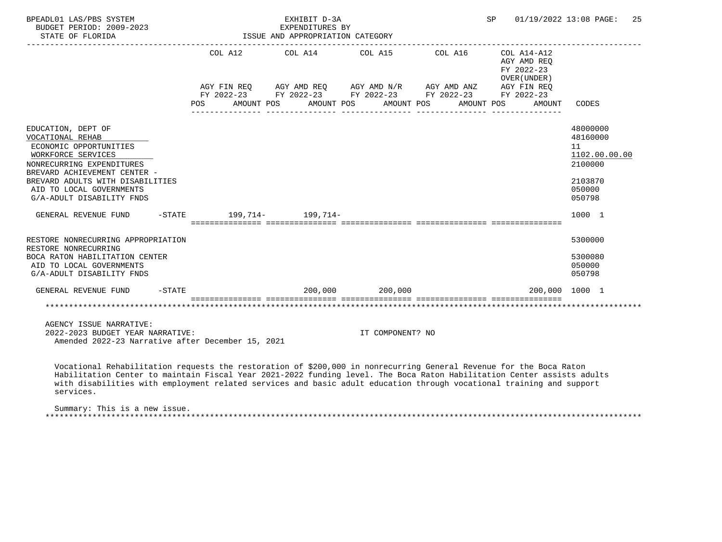| BPEADL01 LAS/PBS SYSTEM<br>BUDGET PERIOD: 2009-2023<br>STATE OF FLORIDA                                                                                                                                                                                                                                                                                                           |           |     |            | EXHIBIT D-3A<br>EXPENDITURES BY<br>ISSUE AND APPROPRIATION CATEGORY                                                   |                  |            |            | SP. |                                            | 01/19/2022 13:08 PAGE:                                 | 25 |
|-----------------------------------------------------------------------------------------------------------------------------------------------------------------------------------------------------------------------------------------------------------------------------------------------------------------------------------------------------------------------------------|-----------|-----|------------|-----------------------------------------------------------------------------------------------------------------------|------------------|------------|------------|-----|--------------------------------------------|--------------------------------------------------------|----|
|                                                                                                                                                                                                                                                                                                                                                                                   |           |     | COL A12    |                                                                                                                       |                  |            |            |     | AGY AMD REO<br>FY 2022-23<br>OVER (UNDER ) |                                                        |    |
|                                                                                                                                                                                                                                                                                                                                                                                   |           |     |            | AGY FIN REQ AGY AMD REQ AGY AMD N/R AGY AMD ANZ AGY FIN REQ<br>FY 2022-23 FY 2022-23 FY 2022-23 FY 2022-23 FY 2022-23 |                  |            |            |     |                                            |                                                        |    |
|                                                                                                                                                                                                                                                                                                                                                                                   |           | POS | AMOUNT POS | AMOUNT POS                                                                                                            |                  | AMOUNT POS | AMOUNT POS |     | AMOUNT                                     | CODES                                                  |    |
| EDUCATION, DEPT OF<br>VOCATIONAL REHAB<br>ECONOMIC OPPORTUNITIES<br>WORKFORCE SERVICES<br>NONRECURRING EXPENDITURES<br>BREVARD ACHIEVEMENT CENTER -                                                                                                                                                                                                                               |           |     |            |                                                                                                                       |                  |            |            |     |                                            | 48000000<br>48160000<br>11<br>1102.00.00.00<br>2100000 |    |
| BREVARD ADULTS WITH DISABILITIES<br>AID TO LOCAL GOVERNMENTS<br>G/A-ADULT DISABILITY FNDS                                                                                                                                                                                                                                                                                         |           |     |            |                                                                                                                       |                  |            |            |     |                                            | 2103870<br>050000<br>050798                            |    |
| GENERAL REVENUE FUND                                                                                                                                                                                                                                                                                                                                                              |           |     |            | $-STATE$ 199, 714- 199, 714-                                                                                          |                  |            |            |     |                                            | 1000 1                                                 |    |
| RESTORE NONRECURRING APPROPRIATION<br>RESTORE NONRECURRING<br>BOCA RATON HABILITATION CENTER<br>AID TO LOCAL GOVERNMENTS<br>G/A-ADULT DISABILITY FNDS                                                                                                                                                                                                                             |           |     |            |                                                                                                                       |                  |            |            |     |                                            | 5300000<br>5300080<br>050000<br>050798                 |    |
| GENERAL REVENUE FUND                                                                                                                                                                                                                                                                                                                                                              | $-$ STATE |     |            | $200,000$ $200,000$                                                                                                   |                  |            |            |     |                                            | 200,000 1000 1                                         |    |
|                                                                                                                                                                                                                                                                                                                                                                                   |           |     |            |                                                                                                                       |                  |            |            |     |                                            |                                                        |    |
| AGENCY ISSUE NARRATIVE:<br>2022-2023 BUDGET YEAR NARRATIVE:<br>Amended 2022-23 Narrative after December 15, 2021                                                                                                                                                                                                                                                                  |           |     |            |                                                                                                                       | IT COMPONENT? NO |            |            |     |                                            |                                                        |    |
| Vocational Rehabilitation requests the restoration of \$200,000 in nonrecurring General Revenue for the Boca Raton<br>Habilitation Center to maintain Fiscal Year 2021-2022 funding level. The Boca Raton Habilitation Center assists adults<br>with disabilities with employment related services and basic adult education through vocational training and support<br>services. |           |     |            |                                                                                                                       |                  |            |            |     |                                            |                                                        |    |
| Summary: This is a new issue.                                                                                                                                                                                                                                                                                                                                                     |           |     |            |                                                                                                                       |                  |            |            |     |                                            |                                                        |    |

\*\*\*\*\*\*\*\*\*\*\*\*\*\*\*\*\*\*\*\*\*\*\*\*\*\*\*\*\*\*\*\*\*\*\*\*\*\*\*\*\*\*\*\*\*\*\*\*\*\*\*\*\*\*\*\*\*\*\*\*\*\*\*\*\*\*\*\*\*\*\*\*\*\*\*\*\*\*\*\*\*\*\*\*\*\*\*\*\*\*\*\*\*\*\*\*\*\*\*\*\*\*\*\*\*\*\*\*\*\*\*\*\*\*\*\*\*\*\*\*\*\*\*\*\*\*\*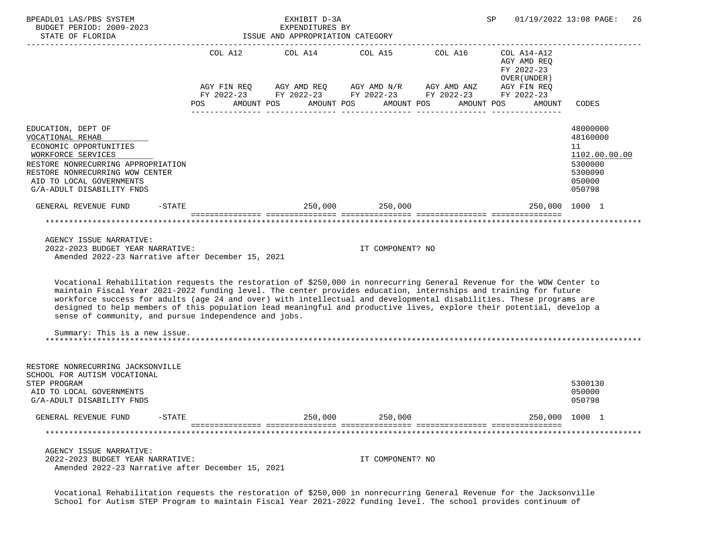| BPEADL01 LAS/PBS SYSTEM<br>BUDGET PERIOD: 2009-2023<br>STATE OF FLORIDA                                                                                                                                                                                                                                                                                                                                                                                                                                                                                                                                                                                                                                | ISSUE AND APPROPRIATION CATEGORY                | SP                                                                                                                                                                                                                                                                                                                                                               | 01/19/2022 13:08 PAGE:<br>26 |  |                                           |                                                                                       |
|--------------------------------------------------------------------------------------------------------------------------------------------------------------------------------------------------------------------------------------------------------------------------------------------------------------------------------------------------------------------------------------------------------------------------------------------------------------------------------------------------------------------------------------------------------------------------------------------------------------------------------------------------------------------------------------------------------|-------------------------------------------------|------------------------------------------------------------------------------------------------------------------------------------------------------------------------------------------------------------------------------------------------------------------------------------------------------------------------------------------------------------------|------------------------------|--|-------------------------------------------|---------------------------------------------------------------------------------------|
|                                                                                                                                                                                                                                                                                                                                                                                                                                                                                                                                                                                                                                                                                                        |                                                 | COL A12 $COL$ A14 $COL$ A15 $COL$ A16 $COL$ A14-A12                                                                                                                                                                                                                                                                                                              |                              |  | AGY AMD REO<br>FY 2022-23<br>OVER (UNDER) |                                                                                       |
|                                                                                                                                                                                                                                                                                                                                                                                                                                                                                                                                                                                                                                                                                                        | POS AMOUNT POS AMOUNT POS AMOUNT POS AMOUNT POS | $\begin{array}{lllllll} {\text{AGY}} & {\text{FIN}} & {\text{REG}} & {\text{AGY}} & {\text{AMD}} & {\text{RGY}} & {\text{AMD}} & {\text{NY}} & {\text{M}} & {\text{M}} & {\text{M}} & {\text{M}} & {\text{M}} & {\text{M}} \\ {\text{FY}} & 2022-23 & {\text{FY}} & 2022-23 & {\text{FY}} & 2022-23 & {\text{FY}} & 2022-23 & {\text{FY}} & 2022-23 \end{array}$ |                              |  | AMOUNT                                    | CODES                                                                                 |
| EDUCATION, DEPT OF<br>VOCATIONAL REHAB<br>ECONOMIC OPPORTUNITIES<br>WORKFORCE SERVICES<br>RESTORE NONRECURRING APPROPRIATION<br>RESTORE NONRECURRING WOW CENTER<br>AID TO LOCAL GOVERNMENTS<br>G/A-ADULT DISABILITY FNDS                                                                                                                                                                                                                                                                                                                                                                                                                                                                               |                                                 |                                                                                                                                                                                                                                                                                                                                                                  |                              |  |                                           | 48000000<br>48160000<br>11<br>1102.00.00.00<br>5300000<br>5300090<br>050000<br>050798 |
| GENERAL REVENUE FUND                                                                                                                                                                                                                                                                                                                                                                                                                                                                                                                                                                                                                                                                                   | -STATE 250,000 250,000                          |                                                                                                                                                                                                                                                                                                                                                                  |                              |  | 250,000 1000 1                            |                                                                                       |
| AGENCY ISSUE NARRATIVE:<br>2022-2023 BUDGET YEAR NARRATIVE:<br>Amended 2022-23 Narrative after December 15, 2021<br>Vocational Rehabilitation requests the restoration of \$250,000 in nonrecurring General Revenue for the WOW Center to<br>maintain Fiscal Year 2021-2022 funding level. The center provides education, internships and training for future<br>workforce success for adults (age 24 and over) with intellectual and developmental disabilities. These programs are<br>designed to help members of this population lead meaningful and productive lives, explore their potential, develop a<br>sense of community, and pursue independence and jobs.<br>Summary: This is a new issue. |                                                 |                                                                                                                                                                                                                                                                                                                                                                  | IT COMPONENT? NO             |  |                                           |                                                                                       |
| RESTORE NONRECURRING JACKSONVILLE<br>SCHOOL FOR AUTISM VOCATIONAL<br>STEP PROGRAM<br>AID TO LOCAL GOVERNMENTS<br>G/A-ADULT DISABILITY FNDS                                                                                                                                                                                                                                                                                                                                                                                                                                                                                                                                                             |                                                 |                                                                                                                                                                                                                                                                                                                                                                  |                              |  |                                           | 5300130<br>050000<br>050798                                                           |
| GENERAL REVENUE FUND<br>$-STATE$                                                                                                                                                                                                                                                                                                                                                                                                                                                                                                                                                                                                                                                                       |                                                 | 250,000                                                                                                                                                                                                                                                                                                                                                          | 250,000                      |  |                                           | 250,000 1000 1                                                                        |
|                                                                                                                                                                                                                                                                                                                                                                                                                                                                                                                                                                                                                                                                                                        |                                                 |                                                                                                                                                                                                                                                                                                                                                                  |                              |  |                                           |                                                                                       |
| AGENCY ISSUE NARRATIVE:<br>2022-2023 BUDGET YEAR NARRATIVE:<br>Amended 2022-23 Narrative after December 15, 2021                                                                                                                                                                                                                                                                                                                                                                                                                                                                                                                                                                                       |                                                 |                                                                                                                                                                                                                                                                                                                                                                  | IT COMPONENT? NO             |  |                                           |                                                                                       |

 Vocational Rehabilitation requests the restoration of \$250,000 in nonrecurring General Revenue for the Jacksonville School for Autism STEP Program to maintain Fiscal Year 2021-2022 funding level. The school provides continuum of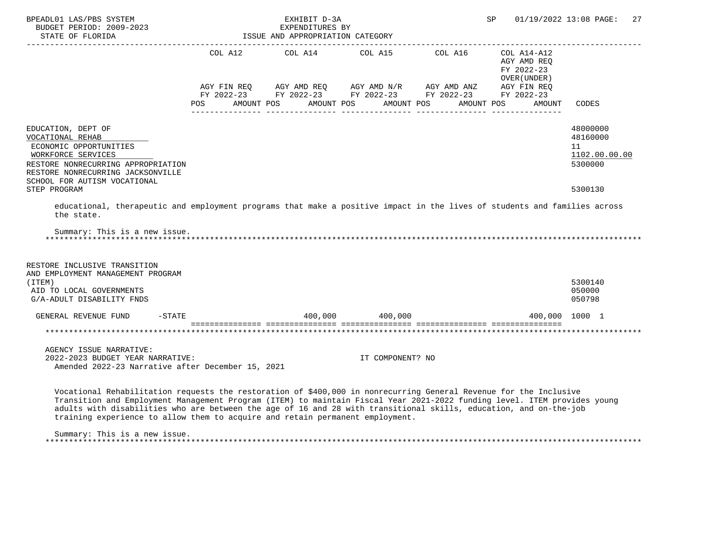| BPEADL01 LAS/PBS SYSTEM<br>BUDGET PERIOD: 2009-2023<br>STATE OF FLORIDA                                                                                                                                                                                                                                                                                                                                                                             |                                        | EXHIBIT D-3A<br>EXPENDITURES BY<br>ISSUE AND APPROPRIATION CATEGORY |                  | 01/19/2022 13:08 PAGE:<br>SP                                                                                                                                                                                                                                                                             | 27                                                        |                                                        |
|-----------------------------------------------------------------------------------------------------------------------------------------------------------------------------------------------------------------------------------------------------------------------------------------------------------------------------------------------------------------------------------------------------------------------------------------------------|----------------------------------------|---------------------------------------------------------------------|------------------|----------------------------------------------------------------------------------------------------------------------------------------------------------------------------------------------------------------------------------------------------------------------------------------------------------|-----------------------------------------------------------|--------------------------------------------------------|
|                                                                                                                                                                                                                                                                                                                                                                                                                                                     | AGY FIN REO                            | COL A12 COL A14 COL A15 COL A16<br>AGY AMD REO                      |                  |                                                                                                                                                                                                                                                                                                          | COL A14-A12<br>AGY AMD REQ<br>FY 2022-23<br>OVER (UNDER ) |                                                        |
|                                                                                                                                                                                                                                                                                                                                                                                                                                                     | FY 2022-23<br><b>POS</b><br>AMOUNT POS | AMOUNT POS                                                          | AMOUNT POS       | $\begin{array}{lllll} \text{AGY} & \text{AMD} & \text{REG} & \text{AGY} & \text{AMD} & \text{NY} & \text{AGY} & \text{AMD} & \text{ANZ} & \text{AGY} & \text{FIN} & \text{REG} \\ \text{FY} & 2022-23 & & \text{FY} & 2022-23 & & \text{FY} & 2022-23 & & \text{FY} & 2022-23 \end{array}$<br>AMOUNT POS | AMOUNT                                                    | CODES                                                  |
| EDUCATION, DEPT OF<br>VOCATIONAL REHAB<br>ECONOMIC OPPORTUNITIES<br>WORKFORCE SERVICES<br>RESTORE NONRECURRING APPROPRIATION<br>RESTORE NONRECURRING JACKSONVILLE<br>SCHOOL FOR AUTISM VOCATIONAL                                                                                                                                                                                                                                                   |                                        |                                                                     |                  |                                                                                                                                                                                                                                                                                                          |                                                           | 48000000<br>48160000<br>11<br>1102.00.00.00<br>5300000 |
| STEP PROGRAM<br>educational, therapeutic and employment programs that make a positive impact in the lives of students and families across                                                                                                                                                                                                                                                                                                           |                                        |                                                                     |                  |                                                                                                                                                                                                                                                                                                          |                                                           | 5300130                                                |
| the state.                                                                                                                                                                                                                                                                                                                                                                                                                                          |                                        |                                                                     |                  |                                                                                                                                                                                                                                                                                                          |                                                           |                                                        |
| Summary: This is a new issue.                                                                                                                                                                                                                                                                                                                                                                                                                       |                                        |                                                                     |                  |                                                                                                                                                                                                                                                                                                          |                                                           |                                                        |
| RESTORE INCLUSIVE TRANSITION<br>AND EMPLOYMENT MANAGEMENT PROGRAM<br>(TTEM)<br>AID TO LOCAL GOVERNMENTS<br>G/A-ADULT DISABILITY FNDS                                                                                                                                                                                                                                                                                                                |                                        |                                                                     |                  |                                                                                                                                                                                                                                                                                                          |                                                           | 5300140<br>050000<br>050798                            |
| $-$ STATE<br>GENERAL REVENUE FUND                                                                                                                                                                                                                                                                                                                                                                                                                   |                                        | $400,000$ $400,000$                                                 |                  |                                                                                                                                                                                                                                                                                                          | 400,000 1000 1                                            |                                                        |
|                                                                                                                                                                                                                                                                                                                                                                                                                                                     |                                        |                                                                     |                  |                                                                                                                                                                                                                                                                                                          |                                                           |                                                        |
| AGENCY ISSUE NARRATIVE:<br>2022-2023 BUDGET YEAR NARRATIVE:<br>Amended 2022-23 Narrative after December 15, 2021                                                                                                                                                                                                                                                                                                                                    |                                        |                                                                     | IT COMPONENT? NO |                                                                                                                                                                                                                                                                                                          |                                                           |                                                        |
| Vocational Rehabilitation requests the restoration of \$400,000 in nonrecurring General Revenue for the Inclusive<br>Transition and Employment Management Program (ITEM) to maintain Fiscal Year 2021-2022 funding level. ITEM provides young<br>adults with disabilities who are between the age of 16 and 28 with transitional skills, education, and on-the-job<br>training experience to allow them to acquire and retain permanent employment. |                                        |                                                                     |                  |                                                                                                                                                                                                                                                                                                          |                                                           |                                                        |

Summary: This is a new issue.

\*\*\*\*\*\*\*\*\*\*\*\*\*\*\*\*\*\*\*\*\*\*\*\*\*\*\*\*\*\*\*\*\*\*\*\*\*\*\*\*\*\*\*\*\*\*\*\*\*\*\*\*\*\*\*\*\*\*\*\*\*\*\*\*\*\*\*\*\*\*\*\*\*\*\*\*\*\*\*\*\*\*\*\*\*\*\*\*\*\*\*\*\*\*\*\*\*\*\*\*\*\*\*\*\*\*\*\*\*\*\*\*\*\*\*\*\*\*\*\*\*\*\*\*\*\*\*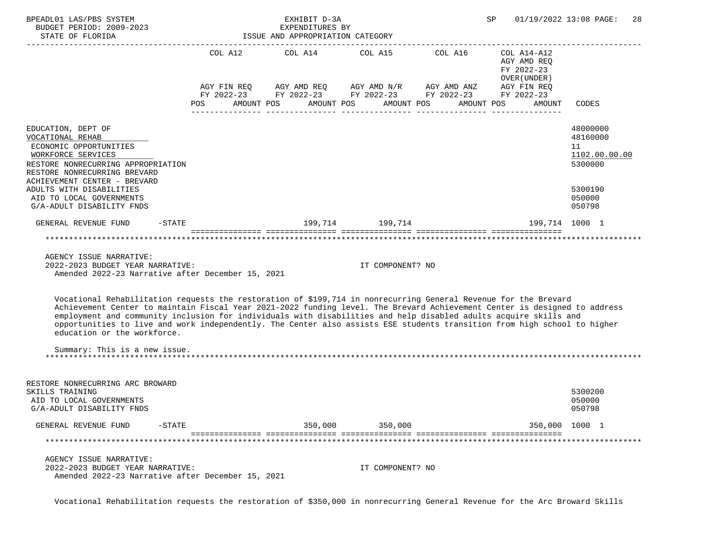| BPEADL01 LAS/PBS SYSTEM<br>BUDGET PERIOD: 2009-2023<br>STATE OF FLORIDA                                                                                                                                                                                                                                                                                                                                                                                                                                                                                      |            | EXHIBIT D-3A<br>EXPENDITURES BY<br>ISSUE AND APPROPRIATION CATEGORY                                                                                                    |                       | SP                                                                                   | 01/19/2022 13:08 PAGE:<br>-28                                                         |
|--------------------------------------------------------------------------------------------------------------------------------------------------------------------------------------------------------------------------------------------------------------------------------------------------------------------------------------------------------------------------------------------------------------------------------------------------------------------------------------------------------------------------------------------------------------|------------|------------------------------------------------------------------------------------------------------------------------------------------------------------------------|-----------------------|--------------------------------------------------------------------------------------|---------------------------------------------------------------------------------------|
|                                                                                                                                                                                                                                                                                                                                                                                                                                                                                                                                                              | <b>POS</b> | COL A12 COL A14 COL A15 COL A16<br>AGY FIN REQ AGY AMD REQ AGY AMD N/R AGY AMD ANZ AGY FIN REQ<br>FY 2022-23 FY 2022-23 FY 2022-23 FY 2022-23 FY 2022-23<br>AMOUNT POS | AMOUNT POS AMOUNT POS | $COL A14- A12$<br>AGY AMD REO<br>FY 2022-23<br>OVER (UNDER )<br>AMOUNT POS<br>AMOUNT | CODES                                                                                 |
| EDUCATION, DEPT OF<br>VOCATIONAL REHAB<br>ECONOMIC OPPORTUNITIES<br>WORKFORCE SERVICES<br>RESTORE NONRECURRING APPROPRIATION<br>RESTORE NONRECURRING BREVARD<br>ACHIEVEMENT CENTER - BREVARD<br>ADULTS WITH DISABILITIES<br>AID TO LOCAL GOVERNMENTS<br>G/A-ADULT DISABILITY FNDS                                                                                                                                                                                                                                                                            |            |                                                                                                                                                                        |                       |                                                                                      | 48000000<br>48160000<br>11<br>1102.00.00.00<br>5300000<br>5300190<br>050000<br>050798 |
| GENERAL REVENUE FUND<br>$-$ STATE                                                                                                                                                                                                                                                                                                                                                                                                                                                                                                                            |            |                                                                                                                                                                        |                       | 199,714 1000 1 199,714 1000 1                                                        |                                                                                       |
| AGENCY ISSUE NARRATIVE:<br>2022-2023 BUDGET YEAR NARRATIVE:<br>Amended 2022-23 Narrative after December 15, 2021                                                                                                                                                                                                                                                                                                                                                                                                                                             |            |                                                                                                                                                                        | IT COMPONENT? NO      |                                                                                      |                                                                                       |
| Vocational Rehabilitation requests the restoration of \$199,714 in nonrecurring General Revenue for the Brevard<br>Achievement Center to maintain Fiscal Year 2021-2022 funding level. The Brevard Achievement Center is designed to address<br>employment and community inclusion for individuals with disabilities and help disabled adults acquire skills and<br>opportunities to live and work independently. The Center also assists ESE students transition from high school to higher<br>education or the workforce.<br>Summary: This is a new issue. |            |                                                                                                                                                                        |                       |                                                                                      |                                                                                       |
| RESTORE NONRECURRING ARC BROWARD<br>SKILLS TRAINING<br>AID TO LOCAL GOVERNMENTS<br>G/A-ADULT DISABILITY FNDS                                                                                                                                                                                                                                                                                                                                                                                                                                                 |            |                                                                                                                                                                        |                       |                                                                                      | 5300200<br>050000<br>050798                                                           |
| GENERAL REVENUE FUND<br>$-$ STATE                                                                                                                                                                                                                                                                                                                                                                                                                                                                                                                            |            | 350,000                                                                                                                                                                | 350,000               |                                                                                      | 350,000 1000 1                                                                        |
|                                                                                                                                                                                                                                                                                                                                                                                                                                                                                                                                                              |            |                                                                                                                                                                        |                       |                                                                                      |                                                                                       |
| AGENCY ISSUE NARRATIVE:<br>2022-2023 BUDGET YEAR NARRATIVE:<br>Amended 2022-23 Narrative after December 15, 2021                                                                                                                                                                                                                                                                                                                                                                                                                                             |            |                                                                                                                                                                        | IT COMPONENT? NO      |                                                                                      |                                                                                       |

Vocational Rehabilitation requests the restoration of \$350,000 in nonrecurring General Revenue for the Arc Broward Skills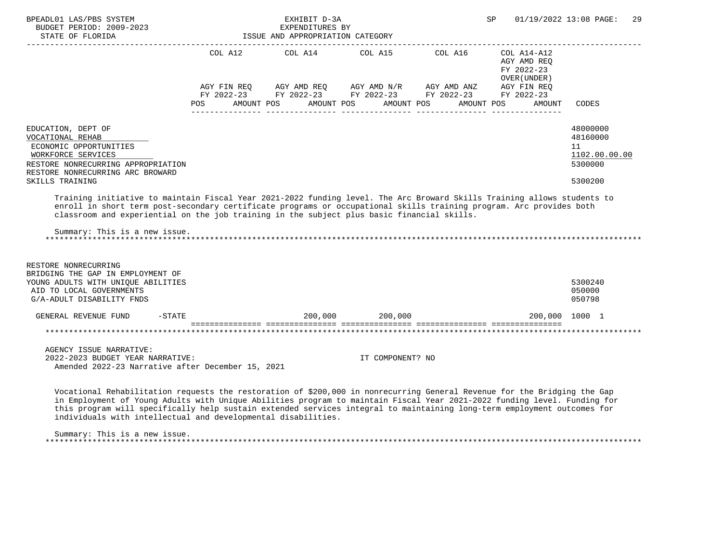| BPEADL01 LAS/PBS SYSTEM<br>BUDGET PERIOD: 2009-2023<br>STATE OF FLORIDA                                                                                                                                                                                                                                                                                                       |     | EXHIBIT D-3A<br>EXPENDITURES BY<br>ISSUE AND APPROPRIATION CATEGORY |                  |                                                                                                                                                                                                                                                                                                                                                                               | SP.                                                                | 01/19/2022 13:08 PAGE: 29                                         |
|-------------------------------------------------------------------------------------------------------------------------------------------------------------------------------------------------------------------------------------------------------------------------------------------------------------------------------------------------------------------------------|-----|---------------------------------------------------------------------|------------------|-------------------------------------------------------------------------------------------------------------------------------------------------------------------------------------------------------------------------------------------------------------------------------------------------------------------------------------------------------------------------------|--------------------------------------------------------------------|-------------------------------------------------------------------|
|                                                                                                                                                                                                                                                                                                                                                                               | POS | AMOUNT POS                                                          | AMOUNT POS       | COL A12 COL A14 COL A15 COL A16 COL A14-A12<br>$\begin{array}{lllllll} \text{AGY}\ \text{FIN}\ \text{REQ} & \text{AGY}\ \text{AMD}\ \text{REQ} & \text{AGY}\ \text{AMD}\ \text{N/R} & \text{AGY}\ \text{AMD}\ \text{ANZ} & \text{AGY}\ \text{FIN}\ \text{REQ} \\ \text{FY}\ 2022-23 & \text{FY}\ 2022-23 & \text{FY}\ 2022-23 & \text{FY}\ 2022-23 \end{array}$<br>AMOUNT POS | AGY AMD REQ<br>FY 2022-23<br>OVER (UNDER )<br>AMOUNT POS<br>AMOUNT | CODES                                                             |
|                                                                                                                                                                                                                                                                                                                                                                               |     |                                                                     |                  |                                                                                                                                                                                                                                                                                                                                                                               |                                                                    |                                                                   |
| EDUCATION, DEPT OF<br>VOCATIONAL REHAB<br>ECONOMIC OPPORTUNITIES<br>WORKFORCE SERVICES<br>RESTORE NONRECURRING APPROPRIATION<br>RESTORE NONRECURRING ARC BROWARD<br>SKILLS TRAINING                                                                                                                                                                                           |     |                                                                     |                  |                                                                                                                                                                                                                                                                                                                                                                               |                                                                    | 48000000<br>48160000<br>11<br>1102.00.00.00<br>5300000<br>5300200 |
| Training initiative to maintain Fiscal Year 2021-2022 funding level. The Arc Broward Skills Training allows students to<br>enroll in short term post-secondary certificate programs or occupational skills training program. Arc provides both<br>classroom and experiential on the job training in the subject plus basic financial skills.<br>Summary: This is a new issue. |     |                                                                     |                  |                                                                                                                                                                                                                                                                                                                                                                               |                                                                    |                                                                   |
| RESTORE NONRECURRING<br>BRIDGING THE GAP IN EMPLOYMENT OF<br>YOUNG ADULTS WITH UNIQUE ABILITIES<br>AID TO LOCAL GOVERNMENTS<br>G/A-ADULT DISABILITY FNDS                                                                                                                                                                                                                      |     |                                                                     |                  |                                                                                                                                                                                                                                                                                                                                                                               |                                                                    | 5300240<br>050000<br>050798                                       |
| GENERAL REVENUE FUND<br>$-$ STATE                                                                                                                                                                                                                                                                                                                                             |     |                                                                     | 200.000 200.000  |                                                                                                                                                                                                                                                                                                                                                                               |                                                                    | 200,000 1000 1                                                    |
|                                                                                                                                                                                                                                                                                                                                                                               |     |                                                                     |                  |                                                                                                                                                                                                                                                                                                                                                                               | soccoccoccoco occoccoccoco coococcococo escoccoccoco occoccoccococ |                                                                   |
| AGENCY ISSUE NARRATIVE:<br>2022-2023 BUDGET YEAR NARRATIVE:<br>Amended 2022-23 Narrative after December 15, 2021                                                                                                                                                                                                                                                              |     |                                                                     | IT COMPONENT? NO |                                                                                                                                                                                                                                                                                                                                                                               |                                                                    |                                                                   |
| Vocational Rehabilitation requests the restoration of \$200,000 in nonrecurring General Revenue for the Bridging the Gap<br>in Employment of Young Adults with Unique Abilities program to maintain Fiscal Year 2021-2022 funding level. Funding for                                                                                                                          |     |                                                                     |                  |                                                                                                                                                                                                                                                                                                                                                                               |                                                                    |                                                                   |

 this program will specifically help sustain extended services integral to maintaining long-term employment outcomes for individuals with intellectual and developmental disabilities.

Summary: This is a new issue.

\*\*\*\*\*\*\*\*\*\*\*\*\*\*\*\*\*\*\*\*\*\*\*\*\*\*\*\*\*\*\*\*\*\*\*\*\*\*\*\*\*\*\*\*\*\*\*\*\*\*\*\*\*\*\*\*\*\*\*\*\*\*\*\*\*\*\*\*\*\*\*\*\*\*\*\*\*\*\*\*\*\*\*\*\*\*\*\*\*\*\*\*\*\*\*\*\*\*\*\*\*\*\*\*\*\*\*\*\*\*\*\*\*\*\*\*\*\*\*\*\*\*\*\*\*\*\*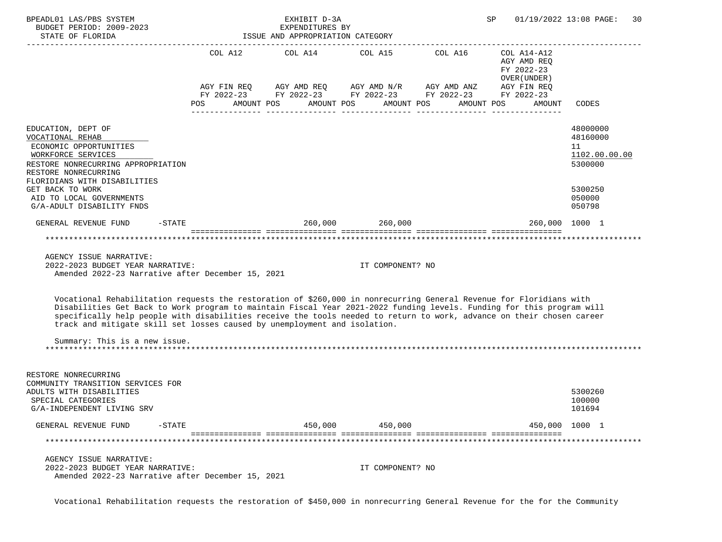| BPEADL01 LAS/PBS SYSTEM<br>BUDGET PERIOD: 2009-2023<br>STATE OF FLORIDA                                                                                                                                                                                                                                                                                                                                                                            |                | EXHIBIT D-3A<br>EXPENDITURES BY<br>ISSUE AND APPROPRIATION CATEGORY                                                                                                                                                                                                                                                                                                                         | SP                    | 01/19/2022 13:08 PAGE:<br>30 |                                            |                                                                             |
|----------------------------------------------------------------------------------------------------------------------------------------------------------------------------------------------------------------------------------------------------------------------------------------------------------------------------------------------------------------------------------------------------------------------------------------------------|----------------|---------------------------------------------------------------------------------------------------------------------------------------------------------------------------------------------------------------------------------------------------------------------------------------------------------------------------------------------------------------------------------------------|-----------------------|------------------------------|--------------------------------------------|-----------------------------------------------------------------------------|
|                                                                                                                                                                                                                                                                                                                                                                                                                                                    |                | COL A12 $\text{COL}$ A14 $\text{COL}$ A15 $\text{COL}$ A16 $\text{COL}$ A14-A12                                                                                                                                                                                                                                                                                                             |                       |                              | AGY AMD REQ<br>FY 2022-23<br>OVER (UNDER ) |                                                                             |
|                                                                                                                                                                                                                                                                                                                                                                                                                                                    | POS AMOUNT POS | $\begin{array}{lllllll} {\text{AGY}} & {\text{FIN}} & {\text{REG}} & {\text{AGY}} & {\text{AMD}} & {\text{REG}} & {\text{AGY}} & {\text{AMD}} & {\text{NY}} & {\text{MID}} & {\text{AND}} & {\text{ANZ}} & {\text{AGY}} & {\text{FIN}} & {\text{REG}} \\ {\text{FY}} & 2022-23 & {\text{FY}} & 2022-23 & {\text{FY}} & 2022-23 & {\text{FY}} & 2022-23 & {\text{FY}} & 2022-23 \end{array}$ | AMOUNT POS AMOUNT POS |                              | AMOUNT POS<br>AMOUNT                       | CODES                                                                       |
| EDUCATION, DEPT OF<br>VOCATIONAL REHAB<br>ECONOMIC OPPORTUNITIES<br>WORKFORCE SERVICES<br>RESTORE NONRECURRING APPROPRIATION<br>RESTORE NONRECURRING<br>FLORIDIANS WITH DISABILITIES<br>GET BACK TO WORK<br>AID TO LOCAL GOVERNMENTS                                                                                                                                                                                                               |                |                                                                                                                                                                                                                                                                                                                                                                                             |                       |                              |                                            | 48000000<br>48160000<br>11<br>1102.00.00.00<br>5300000<br>5300250<br>050000 |
| G/A-ADULT DISABILITY FNDS                                                                                                                                                                                                                                                                                                                                                                                                                          |                |                                                                                                                                                                                                                                                                                                                                                                                             |                       |                              |                                            | 050798                                                                      |
| $-$ STATE<br>GENERAL REVENUE FUND                                                                                                                                                                                                                                                                                                                                                                                                                  |                | $260,000$ 260,000                                                                                                                                                                                                                                                                                                                                                                           |                       |                              | 260,000 1000 1                             |                                                                             |
| AGENCY ISSUE NARRATIVE:<br>2022-2023 BUDGET YEAR NARRATIVE:<br>Amended 2022-23 Narrative after December 15, 2021                                                                                                                                                                                                                                                                                                                                   |                |                                                                                                                                                                                                                                                                                                                                                                                             | IT COMPONENT? NO      |                              |                                            |                                                                             |
| Vocational Rehabilitation requests the restoration of \$260,000 in nonrecurring General Revenue for Floridians with<br>Disabilities Get Back to Work program to maintain Fiscal Year 2021-2022 funding levels. Funding for this program will<br>specifically help people with disabilities receive the tools needed to return to work, advance on their chosen career<br>track and mitigate skill set losses caused by unemployment and isolation. |                |                                                                                                                                                                                                                                                                                                                                                                                             |                       |                              |                                            |                                                                             |
| Summary: This is a new issue.                                                                                                                                                                                                                                                                                                                                                                                                                      |                |                                                                                                                                                                                                                                                                                                                                                                                             |                       |                              |                                            |                                                                             |
| RESTORE NONRECURRING<br>COMMUNITY TRANSITION SERVICES FOR<br>ADULTS WITH DISABILITIES<br>SPECIAL CATEGORIES<br>G/A-INDEPENDENT LIVING SRV                                                                                                                                                                                                                                                                                                          |                |                                                                                                                                                                                                                                                                                                                                                                                             |                       |                              |                                            | 5300260<br>100000<br>101694                                                 |
| GENERAL REVENUE FUND<br>$-STATE$                                                                                                                                                                                                                                                                                                                                                                                                                   |                | 450,000                                                                                                                                                                                                                                                                                                                                                                                     | 450,000               |                              |                                            | 450,000 1000 1                                                              |
|                                                                                                                                                                                                                                                                                                                                                                                                                                                    |                |                                                                                                                                                                                                                                                                                                                                                                                             |                       |                              |                                            |                                                                             |
| AGENCY ISSUE NARRATIVE:<br>2022-2023 BUDGET YEAR NARRATIVE:<br>Amended 2022-23 Narrative after December 15, 2021                                                                                                                                                                                                                                                                                                                                   |                |                                                                                                                                                                                                                                                                                                                                                                                             | IT COMPONENT? NO      |                              |                                            |                                                                             |

Vocational Rehabilitation requests the restoration of \$450,000 in nonrecurring General Revenue for the for the Community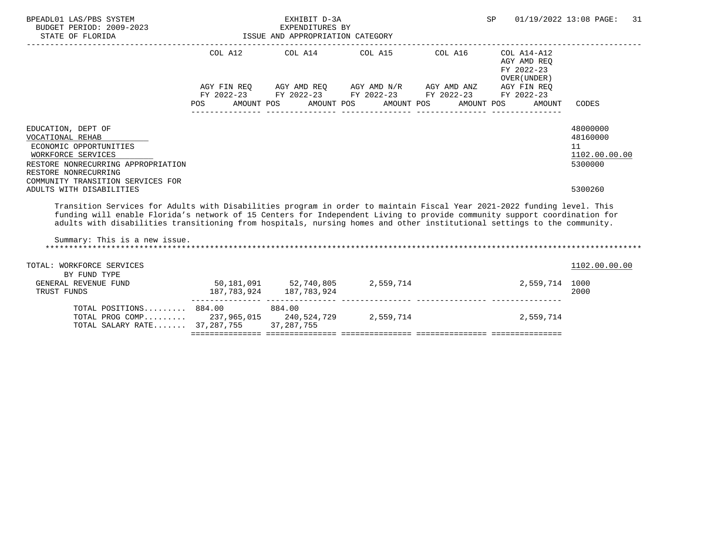| BPEADL01 LAS/PBS SYSTEM<br>BUDGET PERIOD: 2009-2023<br>STATE OF FLORIDA                                                                                                                                                                                                                                                                                                                                                                      | ISSUE AND APPROPRIATION CATEGORY | EXHIBIT D-3A<br>EXPENDITURES BY |                                                                                                                                                                                                          |            |                                                     | SP 01/19/2022 13:08 PAGE: 31                                      |
|----------------------------------------------------------------------------------------------------------------------------------------------------------------------------------------------------------------------------------------------------------------------------------------------------------------------------------------------------------------------------------------------------------------------------------------------|----------------------------------|---------------------------------|----------------------------------------------------------------------------------------------------------------------------------------------------------------------------------------------------------|------------|-----------------------------------------------------|-------------------------------------------------------------------|
|                                                                                                                                                                                                                                                                                                                                                                                                                                              | POS FOR                          |                                 | COL A12 COL A14 COL A15 COL A16 COL A14-A12<br>AGY FIN REQ AGY AMD REQ AGY AMD N/R AGY AMD ANZ AGY FIN REQ<br>FY 2022-23 FY 2022-23 FY 2022-23 FY 2022-23 FY 2022-23<br>AMOUNT POS AMOUNT POS AMOUNT POS | AMOUNT POS | AGY AMD REO<br>FY 2022-23<br>OVER (UNDER)<br>AMOUNT | CODES                                                             |
| EDUCATION, DEPT OF<br>VOCATIONAL REHAB<br>ECONOMIC OPPORTUNITIES<br>WORKFORCE SERVICES<br>RESTORE NONRECURRING APPROPRIATION<br>RESTORE NONRECURRING<br>COMMUNITY TRANSITION SERVICES FOR<br>ADULTS WITH DISABILITIES                                                                                                                                                                                                                        |                                  |                                 |                                                                                                                                                                                                          |            |                                                     | 48000000<br>48160000<br>11<br>1102.00.00.00<br>5300000<br>5300260 |
| Transition Services for Adults with Disabilities program in order to maintain Fiscal Year 2021-2022 funding level. This<br>funding will enable Florida's network of 15 Centers for Independent Living to provide community support coordination for<br>adults with disabilities transitioning from hospitals, nursing homes and other institutional settings to the community.<br>Summary: This is a new issue.<br>TOTAL: WORKFORCE SERVICES |                                  |                                 |                                                                                                                                                                                                          |            |                                                     | 1102.00.00.00                                                     |
| BY FUND TYPE<br>GENERAL REVENUE FUND<br>TRUST FUNDS                                                                                                                                                                                                                                                                                                                                                                                          |                                  | 187, 783, 924 187, 783, 924     | 50,181,091 52,740,805 2,559,714                                                                                                                                                                          |            | 2,559,714 1000                                      | 2000                                                              |
| TOTAL POSITIONS 884.00 884.00<br>TOTAL PROG COMP 237,965,015 240,524,729 2,559,714<br>TOTAL SALARY RATE 37,287,755 37,287,755                                                                                                                                                                                                                                                                                                                |                                  |                                 |                                                                                                                                                                                                          |            | 2,559,714                                           |                                                                   |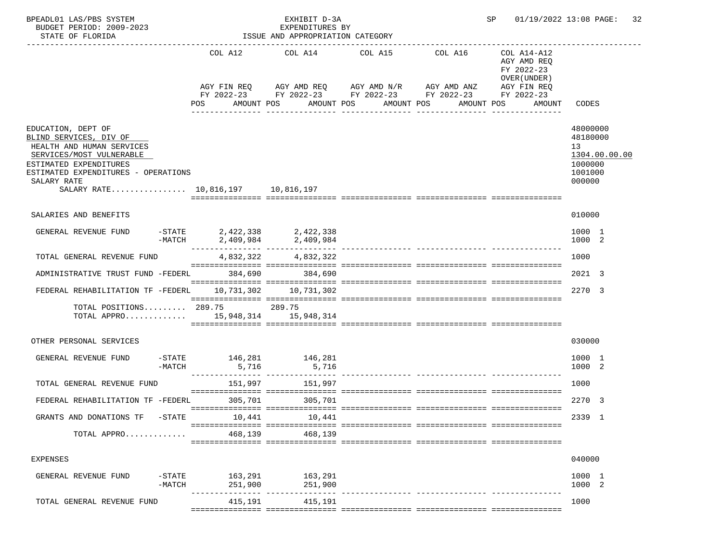| BPEADL01 LAS/PBS SYSTEM<br>BUDGET PERIOD: 2009-2023<br>STATE OF FLORIDA                                                                                                                                                    |                                        | EXHIBIT D-3A<br>EXPENDITURES BY<br>ISSUE AND APPROPRIATION CATEGORY |                                                                      | SP                                                                      | 01/19/2022 13:08 PAGE:<br>32                                                |
|----------------------------------------------------------------------------------------------------------------------------------------------------------------------------------------------------------------------------|----------------------------------------|---------------------------------------------------------------------|----------------------------------------------------------------------|-------------------------------------------------------------------------|-----------------------------------------------------------------------------|
|                                                                                                                                                                                                                            |                                        | COL A12 COL A14 COL A15                                             | COL A16<br>AGY FIN REQ AGY AMD REQ AGY AMD N/R AGY AMD ANZ           | COL A14-A12<br>AGY AMD REQ<br>FY 2022-23<br>OVER (UNDER)<br>AGY FIN REQ |                                                                             |
|                                                                                                                                                                                                                            | POS                                    | AMOUNT POS AMOUNT POS                                               | FY 2022-23 FY 2022-23 FY 2022-23 FY 2022-23 FY 2022-23<br>AMOUNT POS | AMOUNT POS<br>AMOUNT                                                    | CODES                                                                       |
| EDUCATION, DEPT OF<br>BLIND SERVICES, DIV OF<br>HEALTH AND HUMAN SERVICES<br>SERVICES/MOST VULNERABLE<br>ESTIMATED EXPENDITURES<br>ESTIMATED EXPENDITURES - OPERATIONS<br>SALARY RATE<br>SALARY RATE 10,816,197 10,816,197 |                                        |                                                                     |                                                                      |                                                                         | 48000000<br>48180000<br>13<br>1304.00.00.00<br>1000000<br>1001000<br>000000 |
| SALARIES AND BENEFITS                                                                                                                                                                                                      |                                        |                                                                     |                                                                      |                                                                         | 010000                                                                      |
| GENERAL REVENUE FUND                                                                                                                                                                                                       | -STATE 2,422,338 2,422,338<br>$-MATCH$ | 2,409,984 2,409,984                                                 |                                                                      |                                                                         | 1000 1<br>1000 2                                                            |
| TOTAL GENERAL REVENUE FUND                                                                                                                                                                                                 |                                        | 4,832,322 4,832,322                                                 |                                                                      |                                                                         | 1000                                                                        |
| ADMINISTRATIVE TRUST FUND -FEDERL                                                                                                                                                                                          | 384,690                                | 384,690                                                             |                                                                      |                                                                         | 2021 3                                                                      |
| FEDERAL REHABILITATION TF -FEDERL                                                                                                                                                                                          |                                        | 10,731,302    10,731,302                                            |                                                                      |                                                                         | 2270 3                                                                      |
| TOTAL POSITIONS 289.75 289.75<br>TOTAL APPRO 15,948,314 15,948,314                                                                                                                                                         |                                        |                                                                     |                                                                      |                                                                         |                                                                             |
| OTHER PERSONAL SERVICES                                                                                                                                                                                                    |                                        |                                                                     |                                                                      |                                                                         | 030000                                                                      |
| GENERAL REVENUE FUND<br>-MATCH                                                                                                                                                                                             | -STATE 146,281 146,281                 | 5,716 5,716                                                         |                                                                      |                                                                         | 1000 1<br>1000 2                                                            |
| TOTAL GENERAL REVENUE FUND                                                                                                                                                                                                 | 151,997                                | 151,997                                                             |                                                                      |                                                                         | 1000                                                                        |
| FEDERAL REHABILITATION TF -FEDERL 305,701                                                                                                                                                                                  |                                        | 305,701                                                             |                                                                      |                                                                         | 2270 3                                                                      |
| GRANTS AND DONATIONS TF<br>-STATE                                                                                                                                                                                          | 10,441                                 | 10,441                                                              |                                                                      |                                                                         | 2339 1                                                                      |
| TOTAL APPRO                                                                                                                                                                                                                | 468,139                                | 468,139                                                             |                                                                      |                                                                         |                                                                             |
| <b>EXPENSES</b>                                                                                                                                                                                                            |                                        |                                                                     |                                                                      |                                                                         | 040000                                                                      |
| GENERAL REVENUE FUND<br>$-$ STATE<br>$-MATCH$                                                                                                                                                                              | 251,900                                | 163,291 163,291<br>251,900                                          |                                                                      |                                                                         | 1000 1<br>1000 2                                                            |
| TOTAL GENERAL REVENUE FUND                                                                                                                                                                                                 | 415,191                                | 415,191                                                             | ------------- ----------------                                       |                                                                         | 1000                                                                        |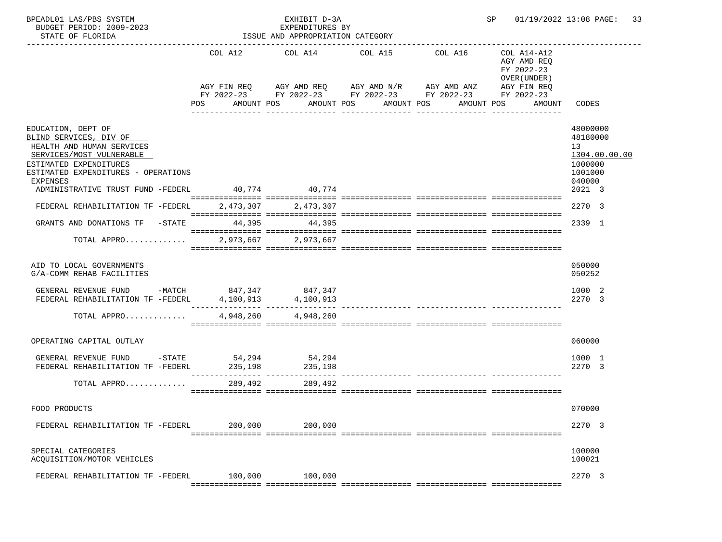| COL A12 COL A14 COL A15<br>COL A16<br>COL A14-A12<br>AGY AMD REQ<br>FY 2022-23<br>OVER (UNDER)<br>AGY FIN REQ AGY AMD REQ AGY AMD N/R AGY AMD ANZ<br>AGY FIN REQ<br>FY 2022-23 FY 2022-23 FY 2022-23 FY 2022-23 FY 2022-23<br>AMOUNT POS AMOUNT POS AMOUNT POS AMOUNT POS<br>POS<br>AMOUNT<br>CODES<br>_______________<br>EDUCATION, DEPT OF<br>48000000<br>BLIND SERVICES, DIV OF<br>48180000<br>HEALTH AND HUMAN SERVICES<br>13<br>SERVICES/MOST VULNERABLE<br>1304.00.00.00<br>ESTIMATED EXPENDITURES<br>1000000<br>ESTIMATED EXPENDITURES - OPERATIONS<br>1001000<br>040000<br>EXPENSES<br>40,774 40,774<br>2021 3<br>ADMINISTRATIVE TRUST FUND -FEDERL<br>2270 3<br>FEDERAL REHABILITATION TF -FEDERL<br>2,473,307 2,473,307<br>GRANTS AND DONATIONS TF -STATE 44,395 44,395<br>2339 1<br>2,973,667 2,973,667<br>TOTAL APPRO<br>AID TO LOCAL GOVERNMENTS<br>050000<br>G/A-COMM REHAB FACILITIES<br>050252<br>GENERAL REVENUE FUND -MATCH 847,347 847,347<br>1000 2<br>4,100,913<br>2270 3<br>FEDERAL REHABILITATION TF -FEDERL<br>4,100,913<br>4,948,260 4,948,260<br>TOTAL APPRO<br>OPERATING CAPITAL OUTLAY<br>060000<br>GENERAL REVENUE FUND -STATE 54,294 54,294<br>1000 1<br>FEDERAL REHABILITATION TF -FEDERL<br>235,198 235,198<br>2270 3<br>TOTAL APPRO<br>289,492<br>289,492<br>070000<br>FOOD PRODUCTS<br>2270 3<br>200,000<br>FEDERAL REHABILITATION TF -FEDERL<br>200,000<br>100000<br>SPECIAL CATEGORIES<br>100021<br>ACQUISITION/MOTOR VEHICLES<br>2270 3<br>100,000<br>100,000<br>FEDERAL REHABILITATION TF -FEDERL | BPEADL01 LAS/PBS SYSTEM<br>BUDGET PERIOD: 2009-2023<br>STATE OF FLORIDA | EXHIBIT D-3A<br>EXPENDITURES BY<br>ISSUE AND APPROPRIATION CATEGORY | SP and the set of the set of the set of the set of the set of the set of the set of the set of the set of the s | 01/19/2022 13:08 PAGE:<br>33 |
|-----------------------------------------------------------------------------------------------------------------------------------------------------------------------------------------------------------------------------------------------------------------------------------------------------------------------------------------------------------------------------------------------------------------------------------------------------------------------------------------------------------------------------------------------------------------------------------------------------------------------------------------------------------------------------------------------------------------------------------------------------------------------------------------------------------------------------------------------------------------------------------------------------------------------------------------------------------------------------------------------------------------------------------------------------------------------------------------------------------------------------------------------------------------------------------------------------------------------------------------------------------------------------------------------------------------------------------------------------------------------------------------------------------------------------------------------------------------------------------------------------------------------------------------|-------------------------------------------------------------------------|---------------------------------------------------------------------|-----------------------------------------------------------------------------------------------------------------|------------------------------|
|                                                                                                                                                                                                                                                                                                                                                                                                                                                                                                                                                                                                                                                                                                                                                                                                                                                                                                                                                                                                                                                                                                                                                                                                                                                                                                                                                                                                                                                                                                                                         | -----------------------                                                 |                                                                     |                                                                                                                 |                              |
|                                                                                                                                                                                                                                                                                                                                                                                                                                                                                                                                                                                                                                                                                                                                                                                                                                                                                                                                                                                                                                                                                                                                                                                                                                                                                                                                                                                                                                                                                                                                         |                                                                         |                                                                     |                                                                                                                 |                              |
|                                                                                                                                                                                                                                                                                                                                                                                                                                                                                                                                                                                                                                                                                                                                                                                                                                                                                                                                                                                                                                                                                                                                                                                                                                                                                                                                                                                                                                                                                                                                         |                                                                         |                                                                     |                                                                                                                 |                              |
|                                                                                                                                                                                                                                                                                                                                                                                                                                                                                                                                                                                                                                                                                                                                                                                                                                                                                                                                                                                                                                                                                                                                                                                                                                                                                                                                                                                                                                                                                                                                         |                                                                         |                                                                     |                                                                                                                 |                              |
|                                                                                                                                                                                                                                                                                                                                                                                                                                                                                                                                                                                                                                                                                                                                                                                                                                                                                                                                                                                                                                                                                                                                                                                                                                                                                                                                                                                                                                                                                                                                         |                                                                         |                                                                     |                                                                                                                 |                              |
|                                                                                                                                                                                                                                                                                                                                                                                                                                                                                                                                                                                                                                                                                                                                                                                                                                                                                                                                                                                                                                                                                                                                                                                                                                                                                                                                                                                                                                                                                                                                         |                                                                         |                                                                     |                                                                                                                 |                              |
|                                                                                                                                                                                                                                                                                                                                                                                                                                                                                                                                                                                                                                                                                                                                                                                                                                                                                                                                                                                                                                                                                                                                                                                                                                                                                                                                                                                                                                                                                                                                         |                                                                         |                                                                     |                                                                                                                 |                              |
|                                                                                                                                                                                                                                                                                                                                                                                                                                                                                                                                                                                                                                                                                                                                                                                                                                                                                                                                                                                                                                                                                                                                                                                                                                                                                                                                                                                                                                                                                                                                         |                                                                         |                                                                     |                                                                                                                 |                              |
|                                                                                                                                                                                                                                                                                                                                                                                                                                                                                                                                                                                                                                                                                                                                                                                                                                                                                                                                                                                                                                                                                                                                                                                                                                                                                                                                                                                                                                                                                                                                         |                                                                         |                                                                     |                                                                                                                 |                              |
|                                                                                                                                                                                                                                                                                                                                                                                                                                                                                                                                                                                                                                                                                                                                                                                                                                                                                                                                                                                                                                                                                                                                                                                                                                                                                                                                                                                                                                                                                                                                         |                                                                         |                                                                     |                                                                                                                 |                              |
|                                                                                                                                                                                                                                                                                                                                                                                                                                                                                                                                                                                                                                                                                                                                                                                                                                                                                                                                                                                                                                                                                                                                                                                                                                                                                                                                                                                                                                                                                                                                         |                                                                         |                                                                     |                                                                                                                 |                              |
|                                                                                                                                                                                                                                                                                                                                                                                                                                                                                                                                                                                                                                                                                                                                                                                                                                                                                                                                                                                                                                                                                                                                                                                                                                                                                                                                                                                                                                                                                                                                         |                                                                         |                                                                     |                                                                                                                 |                              |
|                                                                                                                                                                                                                                                                                                                                                                                                                                                                                                                                                                                                                                                                                                                                                                                                                                                                                                                                                                                                                                                                                                                                                                                                                                                                                                                                                                                                                                                                                                                                         |                                                                         |                                                                     |                                                                                                                 |                              |
|                                                                                                                                                                                                                                                                                                                                                                                                                                                                                                                                                                                                                                                                                                                                                                                                                                                                                                                                                                                                                                                                                                                                                                                                                                                                                                                                                                                                                                                                                                                                         |                                                                         |                                                                     |                                                                                                                 |                              |
|                                                                                                                                                                                                                                                                                                                                                                                                                                                                                                                                                                                                                                                                                                                                                                                                                                                                                                                                                                                                                                                                                                                                                                                                                                                                                                                                                                                                                                                                                                                                         |                                                                         |                                                                     |                                                                                                                 |                              |
|                                                                                                                                                                                                                                                                                                                                                                                                                                                                                                                                                                                                                                                                                                                                                                                                                                                                                                                                                                                                                                                                                                                                                                                                                                                                                                                                                                                                                                                                                                                                         |                                                                         |                                                                     |                                                                                                                 |                              |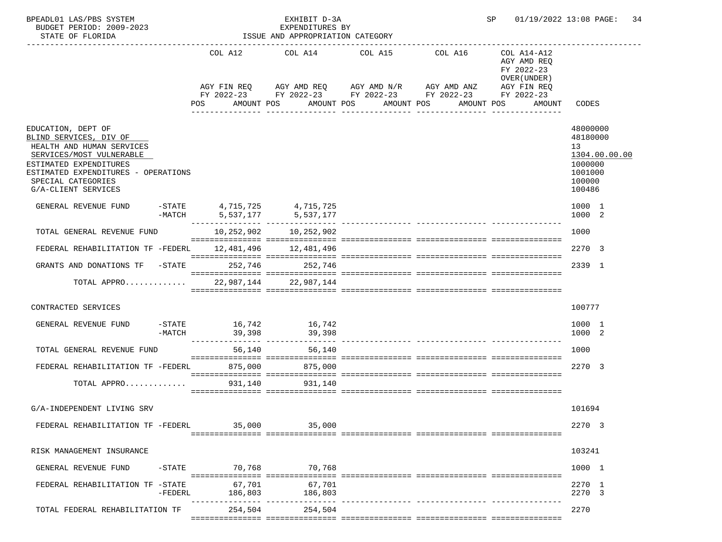| BPEADL01 LAS/PBS SYSTEM<br>BUDGET PERIOD: 2009-2023<br>STATE OF FLORIDA                                                                                                                                             |           |                                                                                                                | EXHIBIT D-3A<br>EXPENDITURES BY<br>ISSUE AND APPROPRIATION CATEGORY |                                                                     |                                                                                                                                                                                                           | SP 01/19/2022 13:08 PAGE: 34                                                          |
|---------------------------------------------------------------------------------------------------------------------------------------------------------------------------------------------------------------------|-----------|----------------------------------------------------------------------------------------------------------------|---------------------------------------------------------------------|---------------------------------------------------------------------|-----------------------------------------------------------------------------------------------------------------------------------------------------------------------------------------------------------|---------------------------------------------------------------------------------------|
|                                                                                                                                                                                                                     |           | POS FOR THE POST OF THE STATE STATE STATE STATE STATE STATE STATE STATE STATE STATE STATE STATE STATE STATE ST |                                                                     | COL A12 COL A14 COL A15 COL A16<br>AMOUNT POS AMOUNT POS AMOUNT POS | COL A14-A12<br>AGY AMD REQ<br>FY 2022-23<br>OVER (UNDER)<br>AGY FIN REQ AGY AMD REQ AGY AMD N/R AGY AMD ANZ AGY FIN REQ<br>FY 2022-23 FY 2022-23 FY 2022-23 FY 2022-23 FY 2022-23<br>AMOUNT POS<br>AMOUNT | CODES                                                                                 |
| EDUCATION, DEPT OF<br>BLIND SERVICES, DIV OF<br>HEALTH AND HUMAN SERVICES<br>SERVICES/MOST VULNERABLE<br>ESTIMATED EXPENDITURES<br>ESTIMATED EXPENDITURES - OPERATIONS<br>SPECIAL CATEGORIES<br>G/A-CLIENT SERVICES |           |                                                                                                                |                                                                     |                                                                     |                                                                                                                                                                                                           | 48000000<br>48180000<br>13<br>1304.00.00.00<br>1000000<br>1001000<br>100000<br>100486 |
| GENERAL REVENUE FUND                                                                                                                                                                                                |           |                                                                                                                | -STATE 4,715,725 4,715,725<br>-MATCH 5,537,177 5,537,177            |                                                                     |                                                                                                                                                                                                           | 1000 1<br>1000 2                                                                      |
| TOTAL GENERAL REVENUE FUND                                                                                                                                                                                          |           |                                                                                                                | 10,252,902 10,252,902                                               |                                                                     |                                                                                                                                                                                                           | 1000                                                                                  |
| FEDERAL REHABILITATION TF -FEDERL 12,481,496 12,481,496                                                                                                                                                             |           |                                                                                                                |                                                                     |                                                                     |                                                                                                                                                                                                           | 2270 3                                                                                |
| GRANTS AND DONATIONS TF -STATE 252,746 252,746                                                                                                                                                                      |           |                                                                                                                |                                                                     |                                                                     |                                                                                                                                                                                                           | 2339 1                                                                                |
| TOTAL APPRO $\ldots \ldots \ldots$ 22,987,144 22,987,144                                                                                                                                                            |           |                                                                                                                |                                                                     |                                                                     |                                                                                                                                                                                                           |                                                                                       |
| CONTRACTED SERVICES                                                                                                                                                                                                 |           |                                                                                                                |                                                                     |                                                                     |                                                                                                                                                                                                           | 100777                                                                                |
| GENERAL REVENUE FUND                                                                                                                                                                                                | -MATCH    | 39,398                                                                                                         | $-$ STATE $16, 742$ $16, 742$<br>39,398                             |                                                                     |                                                                                                                                                                                                           | 1000 1<br>1000 2                                                                      |
| TOTAL GENERAL REVENUE FUND                                                                                                                                                                                          |           | 56,140                                                                                                         | 56,140                                                              |                                                                     |                                                                                                                                                                                                           | 1000                                                                                  |
| FEDERAL REHABILITATION TF -FEDERL                                                                                                                                                                                   |           |                                                                                                                | 875,000 875,000                                                     |                                                                     |                                                                                                                                                                                                           | 2270 3                                                                                |
| TOTAL APPRO                                                                                                                                                                                                         |           | 931,140                                                                                                        | 931,140                                                             |                                                                     |                                                                                                                                                                                                           |                                                                                       |
| G/A-INDEPENDENT LIVING SRV                                                                                                                                                                                          |           |                                                                                                                |                                                                     |                                                                     |                                                                                                                                                                                                           | 101694                                                                                |
| FEDERAL REHABILITATION TF -FEDERL                                                                                                                                                                                   |           | 35,000                                                                                                         | 35,000                                                              |                                                                     |                                                                                                                                                                                                           | 2270 3                                                                                |
| RISK MANAGEMENT INSURANCE                                                                                                                                                                                           |           |                                                                                                                |                                                                     |                                                                     |                                                                                                                                                                                                           | 103241                                                                                |
| GENERAL REVENUE FUND                                                                                                                                                                                                | $-STATE$  | 70,768                                                                                                         | 70,768                                                              |                                                                     |                                                                                                                                                                                                           | 1000 1                                                                                |
| FEDERAL REHABILITATION TF -STATE                                                                                                                                                                                    | $-FEDERL$ | 67.701<br>186,803                                                                                              | 67,701<br>186,803                                                   |                                                                     |                                                                                                                                                                                                           | 2270 1<br>2270 3                                                                      |
| TOTAL FEDERAL REHABILITATION TF                                                                                                                                                                                     |           | 254,504                                                                                                        | 254,504                                                             |                                                                     | ------------- -----------------                                                                                                                                                                           | 2270                                                                                  |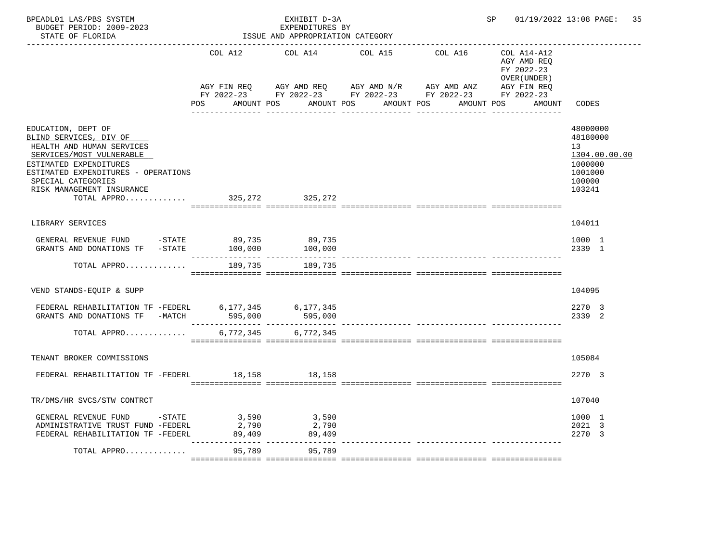| BPEADL01 LAS/PBS SYSTEM<br>BUDGET PERIOD: 2009-2023<br>STATE OF FLORIDA                                                                                                                                                                                  |                           | EXHIBIT D-3A<br>EXPENDITURES BY<br>ISSUE AND APPROPRIATION CATEGORY |                                                                                                                                                      |                     | SP <sub>2</sub>                           | 01/19/2022 13:08 PAGE: 35                                                                          |
|----------------------------------------------------------------------------------------------------------------------------------------------------------------------------------------------------------------------------------------------------------|---------------------------|---------------------------------------------------------------------|------------------------------------------------------------------------------------------------------------------------------------------------------|---------------------|-------------------------------------------|----------------------------------------------------------------------------------------------------|
|                                                                                                                                                                                                                                                          | COL A12                   | COL A14                                                             | COL A15                                                                                                                                              | COL A16 COL A14-A12 | AGY AMD REO<br>FY 2022-23<br>OVER (UNDER) |                                                                                                    |
|                                                                                                                                                                                                                                                          | AGY FIN REO<br><b>POS</b> | AMOUNT POS                                                          | AGY AMD REQ      AGY AMD N/R      AGY AMD ANZ      AGY FIN REQ<br>FY 2022-23 FY 2022-23 FY 2022-23 FY 2022-23 FY 2022-23<br>AMOUNT POS<br>AMOUNT POS | AMOUNT POS          | AMOUNT                                    | CODES                                                                                              |
| EDUCATION, DEPT OF<br>BLIND SERVICES, DIV OF<br>HEALTH AND HUMAN SERVICES<br>SERVICES/MOST VULNERABLE<br>ESTIMATED EXPENDITURES<br>ESTIMATED EXPENDITURES - OPERATIONS<br>SPECIAL CATEGORIES<br>RISK MANAGEMENT INSURANCE<br>TOTAL APPRO 325,272 325,272 |                           |                                                                     |                                                                                                                                                      |                     |                                           | 48000000<br>48180000<br>13 <sup>°</sup><br>1304.00.00.00<br>1000000<br>1001000<br>100000<br>103241 |
| LIBRARY SERVICES                                                                                                                                                                                                                                         |                           |                                                                     |                                                                                                                                                      |                     |                                           | 104011                                                                                             |
| GENERAL REVENUE FUND -STATE 89,735<br>GRANTS AND DONATIONS TF -STATE                                                                                                                                                                                     | 100,000                   | 89,735<br>100,000                                                   |                                                                                                                                                      |                     |                                           | 1000 1<br>2339 1                                                                                   |
| TOTAL APPRO                                                                                                                                                                                                                                              | 189,735                   | 189,735                                                             |                                                                                                                                                      |                     |                                           |                                                                                                    |
| VEND STANDS-EQUIP & SUPP                                                                                                                                                                                                                                 |                           |                                                                     |                                                                                                                                                      |                     |                                           | 104095                                                                                             |
| FEDERAL REHABILITATION TF -FEDERL 6,177,345 6,177,345                                                                                                                                                                                                    |                           |                                                                     |                                                                                                                                                      |                     |                                           | 2270 3<br>2339 2                                                                                   |
| TOTAL APPRO                                                                                                                                                                                                                                              | 6,772,345                 | 6,772,345                                                           |                                                                                                                                                      |                     |                                           |                                                                                                    |
| TENANT BROKER COMMISSIONS                                                                                                                                                                                                                                |                           |                                                                     |                                                                                                                                                      |                     |                                           | 105084                                                                                             |
| FEDERAL REHABILITATION TF -FEDERL 18,158 18,158                                                                                                                                                                                                          |                           |                                                                     |                                                                                                                                                      |                     |                                           | 2270 3                                                                                             |
| TR/DMS/HR SVCS/STW CONTRCT                                                                                                                                                                                                                               |                           |                                                                     |                                                                                                                                                      |                     |                                           | 107040                                                                                             |
| GENERAL REVENUE FUND -STATE<br>ADMINISTRATIVE TRUST FUND -FEDERL<br>FEDERAL REHABILITATION TF -FEDERL                                                                                                                                                    | 3,590<br>2,790<br>89,409  | 3,590<br>2,790<br>89,409                                            |                                                                                                                                                      |                     |                                           | 1000 1<br>2021 3<br>2270 3                                                                         |
| TOTAL APPRO                                                                                                                                                                                                                                              | 95,789                    | 95,789                                                              |                                                                                                                                                      |                     |                                           |                                                                                                    |
|                                                                                                                                                                                                                                                          |                           |                                                                     |                                                                                                                                                      |                     |                                           |                                                                                                    |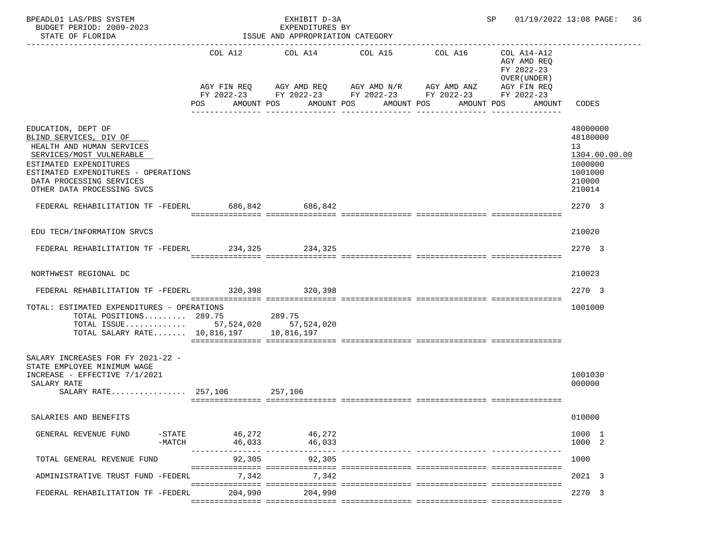| BPEADL01 LAS/PBS SYSTEM<br>BUDGET PERIOD: 2009-2023<br>STATE OF FLORIDA                                                                                                                                                                                                               |                                   | EXHIBIT D-3A<br>EXPENDITURES BY<br>ISSUE AND APPROPRIATION CATEGORY | SP 01/19/2022 13:08 PAGE: 36                                                                                                                             |                                                                                                                          |                                                                                                 |
|---------------------------------------------------------------------------------------------------------------------------------------------------------------------------------------------------------------------------------------------------------------------------------------|-----------------------------------|---------------------------------------------------------------------|----------------------------------------------------------------------------------------------------------------------------------------------------------|--------------------------------------------------------------------------------------------------------------------------|-------------------------------------------------------------------------------------------------|
|                                                                                                                                                                                                                                                                                       | COL A12<br>POS                    | COL A14<br>AMOUNT POS                                               | COL A15<br>AGY FIN REQ AGY AMD REQ AGY AMD N/R AGY AMD ANZ<br>FY 2022-23 FY 2022-23 FY 2022-23 FY 2022-23<br>AMOUNT POS<br>AMOUNT POS<br>--------------- | COL A16<br>COL A14-A12<br>AGY AMD REQ<br>FY 2022-23<br>OVER (UNDER)<br>AGY FIN REQ<br>FY 2022-23<br>AMOUNT POS<br>AMOUNT | CODES                                                                                           |
| EDUCATION, DEPT OF<br>BLIND SERVICES, DIV OF<br>HEALTH AND HUMAN SERVICES<br>SERVICES/MOST VULNERABLE<br>ESTIMATED EXPENDITURES<br>ESTIMATED EXPENDITURES - OPERATIONS<br>DATA PROCESSING SERVICES<br>OTHER DATA PROCESSING SVCS<br>FEDERAL REHABILITATION TF -FEDERL 686,842 686,842 |                                   |                                                                     |                                                                                                                                                          |                                                                                                                          | 48000000<br>48180000<br>13<br>1304.00.00.00<br>1000000<br>1001000<br>210000<br>210014<br>2270 3 |
|                                                                                                                                                                                                                                                                                       |                                   |                                                                     |                                                                                                                                                          |                                                                                                                          |                                                                                                 |
| EDU TECH/INFORMATION SRVCS                                                                                                                                                                                                                                                            |                                   |                                                                     |                                                                                                                                                          |                                                                                                                          | 210020                                                                                          |
| FEDERAL REHABILITATION TF -FEDERL 234,325 234,325                                                                                                                                                                                                                                     |                                   |                                                                     |                                                                                                                                                          |                                                                                                                          | 2270 3                                                                                          |
| NORTHWEST REGIONAL DC                                                                                                                                                                                                                                                                 |                                   |                                                                     |                                                                                                                                                          |                                                                                                                          | 210023                                                                                          |
| FEDERAL REHABILITATION TF -FEDERL 320,398 320,398                                                                                                                                                                                                                                     |                                   |                                                                     |                                                                                                                                                          |                                                                                                                          | 2270 3                                                                                          |
| TOTAL: ESTIMATED EXPENDITURES - OPERATIONS<br>TOTAL POSITIONS 289.75<br>TOTAL ISSUE 57,524,020 57,524,020<br>TOTAL SALARY RATE $10,816,197$                                                                                                                                           |                                   | 289.75<br>10,816,197                                                |                                                                                                                                                          |                                                                                                                          | 1001000                                                                                         |
| SALARY INCREASES FOR FY 2021-22 -<br>STATE EMPLOYEE MINIMUM WAGE<br>INCREASE - EFFECTIVE 7/1/2021<br>SALARY RATE<br>$SALARY RATE$ 257,106                                                                                                                                             |                                   | 257,106                                                             |                                                                                                                                                          |                                                                                                                          | 1001030<br>000000                                                                               |
| SALARIES AND BENEFITS                                                                                                                                                                                                                                                                 |                                   |                                                                     |                                                                                                                                                          |                                                                                                                          | 010000                                                                                          |
| GENERAL REVENUE FUND<br>$-MATCH$                                                                                                                                                                                                                                                      | $ \operatorname{STATE}$<br>46,033 | 46,272 46,272<br>46,033                                             |                                                                                                                                                          |                                                                                                                          | 1000 1<br>1000 2                                                                                |
| TOTAL GENERAL REVENUE FUND                                                                                                                                                                                                                                                            | 92,305                            | 92,305                                                              |                                                                                                                                                          |                                                                                                                          | 1000                                                                                            |
| ADMINISTRATIVE TRUST FUND -FEDERL                                                                                                                                                                                                                                                     | 7,342                             | 7,342                                                               |                                                                                                                                                          |                                                                                                                          | 2021 3                                                                                          |
| FEDERAL REHABILITATION TF -FEDERL                                                                                                                                                                                                                                                     | 204,990                           | 204,990                                                             |                                                                                                                                                          |                                                                                                                          | 2270 3                                                                                          |
|                                                                                                                                                                                                                                                                                       |                                   |                                                                     |                                                                                                                                                          |                                                                                                                          |                                                                                                 |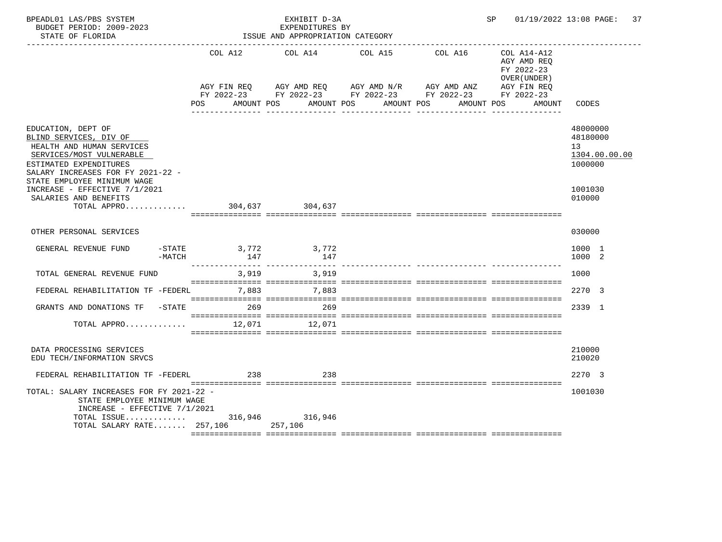| BPEADL01 LAS/PBS SYSTEM<br>BUDGET PERIOD: 2009-2023<br>STATE OF FLORIDA                                                                                              |                                            | EXHIBIT D-3A<br>EXPENDITURES BY<br>ISSUE AND APPROPRIATION CATEGORY |                                                                                                                                                              | SP 01/19/2022 13:08 PAGE: 37                                                     |                                                                     |
|----------------------------------------------------------------------------------------------------------------------------------------------------------------------|--------------------------------------------|---------------------------------------------------------------------|--------------------------------------------------------------------------------------------------------------------------------------------------------------|----------------------------------------------------------------------------------|---------------------------------------------------------------------|
|                                                                                                                                                                      | AMOUNT POS<br>POS                          | COL A12 COL A14 COL A15                                             | COL A16<br>AGY FIN REQ AGY AMD REQ AGY AMD N/R AGY AMD ANZ AGY FIN REQ<br>FY 2022-23 FY 2022-23 FY 2022-23 FY 2022-23 FY 2022-23<br>AMOUNT POS<br>AMOUNT POS | COL A14-A12<br>AGY AMD REO<br>FY 2022-23<br>OVER (UNDER)<br>AMOUNT POS<br>AMOUNT | CODES                                                               |
| EDUCATION, DEPT OF<br>BLIND SERVICES, DIV OF<br>HEALTH AND HUMAN SERVICES<br>SERVICES/MOST VULNERABLE<br>ESTIMATED EXPENDITURES<br>SALARY INCREASES FOR FY 2021-22 - |                                            |                                                                     |                                                                                                                                                              |                                                                                  | 48000000<br>48180000<br>13 <sup>7</sup><br>1304.00.00.00<br>1000000 |
| STATE EMPLOYEE MINIMUM WAGE<br>INCREASE - EFFECTIVE 7/1/2021<br>SALARIES AND BENEFITS<br>TOTAL APPRO $\ldots \ldots \ldots$                                          |                                            |                                                                     |                                                                                                                                                              |                                                                                  | 1001030<br>010000                                                   |
| OTHER PERSONAL SERVICES                                                                                                                                              |                                            |                                                                     |                                                                                                                                                              |                                                                                  | 030000                                                              |
| GENERAL REVENUE FUND<br>$-MATCH$                                                                                                                                     | -STATE 3,772 3,772<br>147                  | 147                                                                 |                                                                                                                                                              |                                                                                  | 1000 1<br>1000 2                                                    |
| TOTAL GENERAL REVENUE FUND                                                                                                                                           | ---------------------------------<br>3,919 | 3.919                                                               |                                                                                                                                                              |                                                                                  | 1000                                                                |
| FEDERAL REHABILITATION TF -FEDERL 7,883 7,883                                                                                                                        |                                            |                                                                     |                                                                                                                                                              |                                                                                  | 2270 3                                                              |
| GRANTS AND DONATIONS TF -STATE 269                                                                                                                                   |                                            | 269                                                                 |                                                                                                                                                              |                                                                                  | 2339 1                                                              |
| TOTAL APPRO                                                                                                                                                          | 12,071                                     | 12,071                                                              |                                                                                                                                                              |                                                                                  |                                                                     |
| DATA PROCESSING SERVICES<br>EDU TECH/INFORMATION SRVCS                                                                                                               |                                            |                                                                     |                                                                                                                                                              |                                                                                  | 210000<br>210020                                                    |
| FEDERAL REHABILITATION TF -FEDERL                                                                                                                                    | 238                                        | 238                                                                 |                                                                                                                                                              |                                                                                  | 2270 3                                                              |
| TOTAL: SALARY INCREASES FOR FY 2021-22 -<br>STATE EMPLOYEE MINIMUM WAGE<br>INCREASE - EFFECTIVE 7/1/2021<br>TOTAL SALARY RATE 257,106 257,106                        |                                            |                                                                     |                                                                                                                                                              |                                                                                  | 1001030                                                             |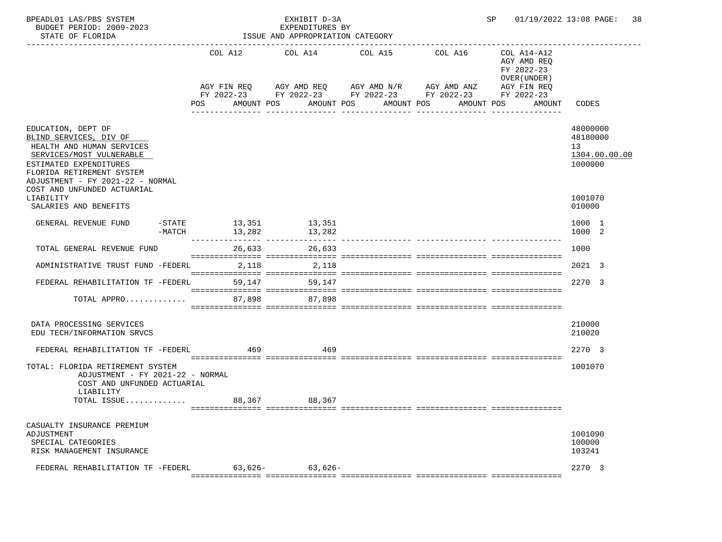| BPEADL01 LAS/PBS SYSTEM<br>BUDGET PERIOD: 2009-2023<br>STATE OF FLORIDA                                                                                                                          |                  |           | EXHIBIT D-3A<br>EXPENDITURES BY<br>ISSUE AND APPROPRIATION CATEGORY                                                                                           |                             |                                       | SP |                                                                                   | 01/19/2022 13:08 PAGE:<br>38                           |
|--------------------------------------------------------------------------------------------------------------------------------------------------------------------------------------------------|------------------|-----------|---------------------------------------------------------------------------------------------------------------------------------------------------------------|-----------------------------|---------------------------------------|----|-----------------------------------------------------------------------------------|--------------------------------------------------------|
|                                                                                                                                                                                                  | POS              |           | COL A12 COL A14 COL A15<br>AGY FIN REQ AGY AMD REQ AGY AMD N/R AGY AMD ANZ<br>FY 2022-23 FY 2022-23 FY 2022-23 FY 2022-23 FY 2022-23<br>AMOUNT POS AMOUNT POS | AMOUNT POS<br>------------- | COL A16<br>AMOUNT POS<br>------------ |    | COL A14-A12<br>AGY AMD REQ<br>FY 2022-23<br>OVER (UNDER)<br>AGY FIN REQ<br>AMOUNT | CODES                                                  |
| EDUCATION, DEPT OF<br>BLIND SERVICES, DIV OF<br>HEALTH AND HUMAN SERVICES<br>SERVICES/MOST VULNERABLE<br>ESTIMATED EXPENDITURES<br>FLORIDA RETIREMENT SYSTEM<br>ADJUSTMENT - FY 2021-22 - NORMAL |                  |           |                                                                                                                                                               |                             |                                       |    |                                                                                   | 48000000<br>48180000<br>13<br>1304.00.00.00<br>1000000 |
| COST AND UNFUNDED ACTUARIAL<br>LIABILITY<br>SALARIES AND BENEFITS                                                                                                                                |                  |           |                                                                                                                                                               |                             |                                       |    |                                                                                   | 1001070<br>010000                                      |
| GENERAL REVENUE FUND                                                                                                                                                                             | $-MATCH$ 13, 282 |           | -STATE 13,351 13,351<br>13,282                                                                                                                                |                             |                                       |    |                                                                                   | 1000 1<br>1000 2                                       |
| TOTAL GENERAL REVENUE FUND                                                                                                                                                                       |                  |           | 26,633 26,633                                                                                                                                                 |                             |                                       |    |                                                                                   | 1000                                                   |
| ADMINISTRATIVE TRUST FUND -FEDERL                                                                                                                                                                |                  | 2,118     | 2,118                                                                                                                                                         |                             |                                       |    |                                                                                   | 2021 3                                                 |
| FEDERAL REHABILITATION TF -FEDERL                                                                                                                                                                |                  | 59,147    | 59,147                                                                                                                                                        |                             |                                       |    |                                                                                   | 2270 3                                                 |
| TOTAL APPRO                                                                                                                                                                                      |                  | 87,898    | 87,898                                                                                                                                                        |                             |                                       |    |                                                                                   |                                                        |
| DATA PROCESSING SERVICES<br>EDU TECH/INFORMATION SRVCS                                                                                                                                           |                  |           |                                                                                                                                                               |                             |                                       |    |                                                                                   | 210000<br>210020                                       |
| FEDERAL REHABILITATION TF -FEDERL 469                                                                                                                                                            |                  |           | 469                                                                                                                                                           |                             |                                       |    |                                                                                   | 2270 3                                                 |
| TOTAL: FLORIDA RETIREMENT SYSTEM<br>ADJUSTMENT - FY 2021-22 - NORMAL<br>COST AND UNFUNDED ACTUARIAL<br>LIABILITY                                                                                 |                  |           |                                                                                                                                                               |                             |                                       |    |                                                                                   | 1001070                                                |
| TOTAL ISSUE                                                                                                                                                                                      |                  |           | 88,367 88,367                                                                                                                                                 |                             |                                       |    |                                                                                   |                                                        |
| CASUALTY INSURANCE PREMIUM<br>ADJUSTMENT<br>SPECIAL CATEGORIES<br>RISK MANAGEMENT INSURANCE                                                                                                      |                  |           |                                                                                                                                                               |                             |                                       |    |                                                                                   | 1001090<br>100000<br>103241                            |
| FEDERAL REHABILITATION TF -FEDERL                                                                                                                                                                |                  | $63,626-$ | $63,626-$                                                                                                                                                     |                             |                                       |    |                                                                                   | 2270 3                                                 |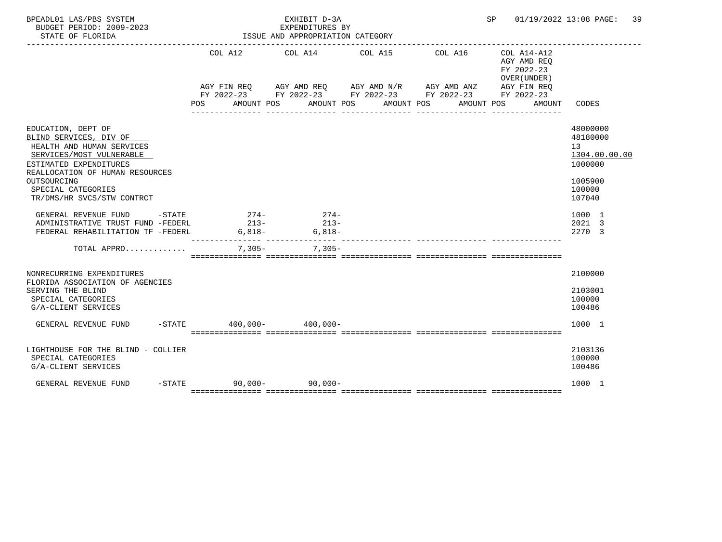| BPEADL01 LAS/PBS SYSTEM<br>BUDGET PERIOD: 2009-2023<br>STATE OF FLORIDA                                                                                                                                                               |     |                             | ISSUE AND APPROPRIATION CATEGORY | EXHIBIT D-3A<br>EXPENDITURES BY |  |                                                                                                                                                   |            |                                                                                      | SP 01/19/2022 13:08 PAGE: 39                                                          |
|---------------------------------------------------------------------------------------------------------------------------------------------------------------------------------------------------------------------------------------|-----|-----------------------------|----------------------------------|---------------------------------|--|---------------------------------------------------------------------------------------------------------------------------------------------------|------------|--------------------------------------------------------------------------------------|---------------------------------------------------------------------------------------|
|                                                                                                                                                                                                                                       | POS | COL A12<br>AMOUNT POS       |                                  | COL A14 COL A15<br>AMOUNT POS   |  | COL A16<br>AGY FIN REQ      AGY AMD REQ      AGY AMD N/R      AGY AMD ANZ<br>FY 2022-23 FY 2022-23 FY 2022-23 FY 2022-23 FY 2022-23<br>AMOUNT POS | AMOUNT POS | $COL A14- A12$<br>AGY AMD REO<br>FY 2022-23<br>OVER (UNDER)<br>AGY FIN REQ<br>AMOUNT | CODES                                                                                 |
| EDUCATION, DEPT OF<br>BLIND SERVICES, DIV OF<br>HEALTH AND HUMAN SERVICES<br>SERVICES/MOST VULNERABLE<br>ESTIMATED EXPENDITURES<br>REALLOCATION OF HUMAN RESOURCES<br>OUTSOURCING<br>SPECIAL CATEGORIES<br>TR/DMS/HR SVCS/STW CONTRCT |     |                             |                                  |                                 |  |                                                                                                                                                   |            |                                                                                      | 48000000<br>48180000<br>13<br>1304.00.00.00<br>1000000<br>1005900<br>100000<br>107040 |
| $-$ STATE<br>GENERAL REVENUE FUND<br>ADMINISTRATIVE TRUST FUND -FEDERL<br>FEDERAL REHABILITATION TF -FEDERL                                                                                                                           |     | $274-$<br>$213-$            | $6,818-$                         | $274-$<br>$213-$<br>$6,818-$    |  |                                                                                                                                                   |            |                                                                                      | 1000 1<br>2021 3<br>2270 3                                                            |
| TOTAL APPRO                                                                                                                                                                                                                           |     | $7,305-$                    |                                  | $7.305 -$                       |  |                                                                                                                                                   |            |                                                                                      |                                                                                       |
| NONRECURRING EXPENDITURES<br>FLORIDA ASSOCIATION OF AGENCIES<br>SERVING THE BLIND<br>SPECIAL CATEGORIES<br>G/A-CLIENT SERVICES                                                                                                        |     |                             |                                  |                                 |  |                                                                                                                                                   |            |                                                                                      | 2100000<br>2103001<br>100000<br>100486                                                |
| GENERAL REVENUE FUND                                                                                                                                                                                                                  |     | $-STATE$ 400,000-400,000-   |                                  |                                 |  |                                                                                                                                                   |            |                                                                                      | 1000 1                                                                                |
| LIGHTHOUSE FOR THE BLIND - COLLIER<br>SPECIAL CATEGORIES<br>G/A-CLIENT SERVICES                                                                                                                                                       |     |                             |                                  |                                 |  |                                                                                                                                                   |            |                                                                                      | 2103136<br>100000<br>100486                                                           |
| GENERAL REVENUE FUND                                                                                                                                                                                                                  |     | $-$ STATE 90.000 - 90.000 - |                                  |                                 |  |                                                                                                                                                   |            |                                                                                      | 1000 1                                                                                |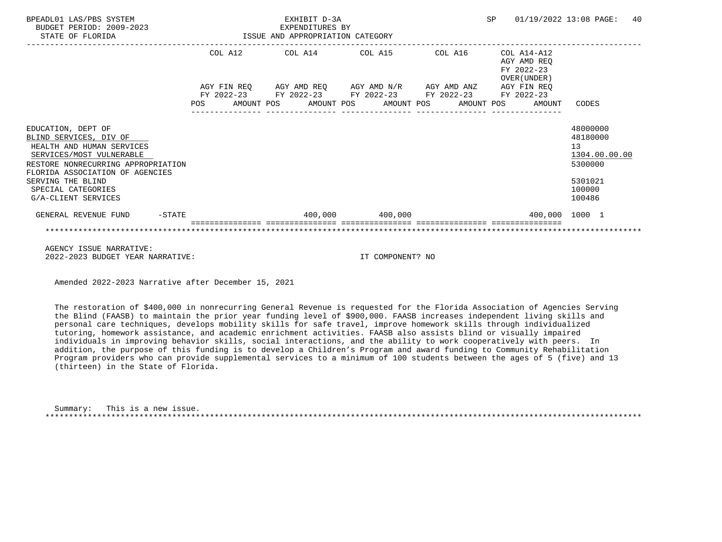|                                    |  | 01/19/2022 13:08 PAGE:                                              | 40                                                                                                                                |                                                                                                             |
|------------------------------------|--|---------------------------------------------------------------------|-----------------------------------------------------------------------------------------------------------------------------------|-------------------------------------------------------------------------------------------------------------|
|                                    |  |                                                                     | COL A14-A12<br>AGY AMD REO<br>FY 2022-23<br>OVER (UNDER)                                                                          |                                                                                                             |
| <b>POS</b>                         |  |                                                                     | AMOUNT                                                                                                                            | CODES                                                                                                       |
| RESTORE NONRECURRING APPROPRIATION |  |                                                                     |                                                                                                                                   | 48000000<br>48180000<br>13<br>1304.00.00.00<br>5300000<br>5301021<br>100000<br>100486                       |
| $-STATE$                           |  |                                                                     | 400,000 1000 1                                                                                                                    |                                                                                                             |
|                                    |  |                                                                     |                                                                                                                                   |                                                                                                             |
|                                    |  | EXHIBIT D-3A<br>EXPENDITURES BY<br>ISSUE AND APPROPRIATION CATEGORY | COL A12 COL A14 COL A15<br>AGY FIN REQ AGY AMD REQ AGY AMD N/R AGY AMD ANZ<br>AMOUNT POS AMOUNT POS AMOUNT POS<br>400,000 400,000 | <b>SP</b><br>COL A16<br>AGY FIN REQ<br>FY 2022-23 FY 2022-23 FY 2022-23 FY 2022-23 FY 2022-23<br>AMOUNT POS |

2022-2023 BUDGET YEAR NARRATIVE: IT COMPONENT? NO

Amended 2022-2023 Narrative after December 15, 2021

 The restoration of \$400,000 in nonrecurring General Revenue is requested for the Florida Association of Agencies Serving the Blind (FAASB) to maintain the prior year funding level of \$900,000. FAASB increases independent living skills and personal care techniques, develops mobility skills for safe travel, improve homework skills through individualized tutoring, homework assistance, and academic enrichment activities. FAASB also assists blind or visually impaired individuals in improving behavior skills, social interactions, and the ability to work cooperatively with peers. In addition, the purpose of this funding is to develop a Children's Program and award funding to Community Rehabilitation Program providers who can provide supplemental services to a minimum of 100 students between the ages of 5 (five) and 13 (thirteen) in the State of Florida.

| Summary: | This is a new issue. |
|----------|----------------------|
|          |                      |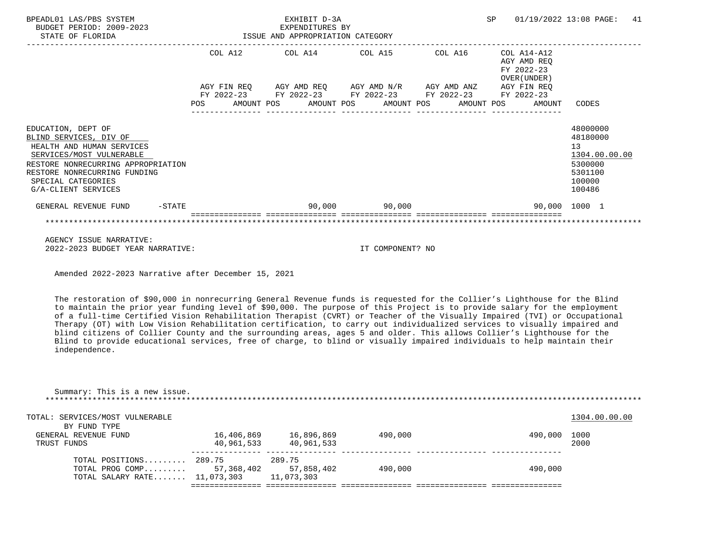| BPEADL01 LAS/PBS SYSTEM<br>BUDGET PERIOD: 2009-2023<br>STATE OF FLORIDA                                                                                                                                                  | EXHIBIT D-3A<br>EXPENDITURES BY<br>ISSUE AND APPROPRIATION CATEGORY |         |  |  |  |                                                                                                                                                  |  | SP |                                                          | 01/19/2022 13:08 PAGE:                                                                | 41 |
|--------------------------------------------------------------------------------------------------------------------------------------------------------------------------------------------------------------------------|---------------------------------------------------------------------|---------|--|--|--|--------------------------------------------------------------------------------------------------------------------------------------------------|--|----|----------------------------------------------------------|---------------------------------------------------------------------------------------|----|
|                                                                                                                                                                                                                          |                                                                     | COL A12 |  |  |  | COL A14 COL A15 COL A16<br>AGY FIN REO AGY AMD REO AGY AMD N/R AGY AMD ANZ AGY FIN REO<br>FY 2022-23 FY 2022-23 FY 2022-23 FY 2022-23 FY 2022-23 |  |    | COL A14-A12<br>AGY AMD REO<br>FY 2022-23<br>OVER (UNDER) |                                                                                       |    |
|                                                                                                                                                                                                                          | <b>POS</b>                                                          |         |  |  |  | AMOUNT POS AMOUNT POS AMOUNT POS AMOUNT POS                                                                                                      |  |    | AMOUNT                                                   | CODES                                                                                 |    |
| EDUCATION, DEPT OF<br>BLIND SERVICES, DIV OF<br>HEALTH AND HUMAN SERVICES<br>SERVICES/MOST VULNERABLE<br>RESTORE NONRECURRING APPROPRIATION<br>RESTORE NONRECURRING FUNDING<br>SPECIAL CATEGORIES<br>G/A-CLIENT SERVICES |                                                                     |         |  |  |  |                                                                                                                                                  |  |    |                                                          | 48000000<br>48180000<br>13<br>1304.00.00.00<br>5300000<br>5301100<br>100000<br>100486 |    |
| $-$ STATE<br>GENERAL REVENUE FUND                                                                                                                                                                                        |                                                                     |         |  |  |  | 90,000 90,000                                                                                                                                    |  |    |                                                          | 90,000 1000 1                                                                         |    |
|                                                                                                                                                                                                                          |                                                                     |         |  |  |  |                                                                                                                                                  |  |    |                                                          |                                                                                       |    |

 AGENCY ISSUE NARRATIVE: 2022-2023 BUDGET YEAR NARRATIVE: IT COMPONENT? NO

Amended 2022-2023 Narrative after December 15, 2021

 The restoration of \$90,000 in nonrecurring General Revenue funds is requested for the Collier's Lighthouse for the Blind to maintain the prior year funding level of \$90,000. The purpose of this Project is to provide salary for the employment of a full-time Certified Vision Rehabilitation Therapist (CVRT) or Teacher of the Visually Impaired (TVI) or Occupational Therapy (OT) with Low Vision Rehabilitation certification, to carry out individualized services to visually impaired and blind citizens of Collier County and the surrounding areas, ages 5 and older. This allows Collier's Lighthouse for the Blind to provide educational services, free of charge, to blind or visually impaired individuals to help maintain their independence.

| Summary: This is a new issue.   |            |            |         |         |               |
|---------------------------------|------------|------------|---------|---------|---------------|
| TOTAL: SERVICES/MOST VULNERABLE |            |            |         |         | 1304.00.00.00 |
| BY FUND TYPE                    |            |            |         |         |               |
| GENERAL REVENUE FUND            | 16,406,869 | 16,896,869 | 490,000 | 490,000 | 1000          |
| TRUST FUNDS                     | 40,961,533 | 40,961,533 |         |         | 2000          |
| TOTAL POSITIONS 289.75          |            | 289.75     |         |         |               |
| TOTAL PROG COMP $57,368,402$    |            | 57,858,402 | 490,000 | 490,000 |               |
| TOTAL SALARY RATE $11,073,303$  |            | 11,073,303 |         |         |               |
|                                 |            |            |         |         |               |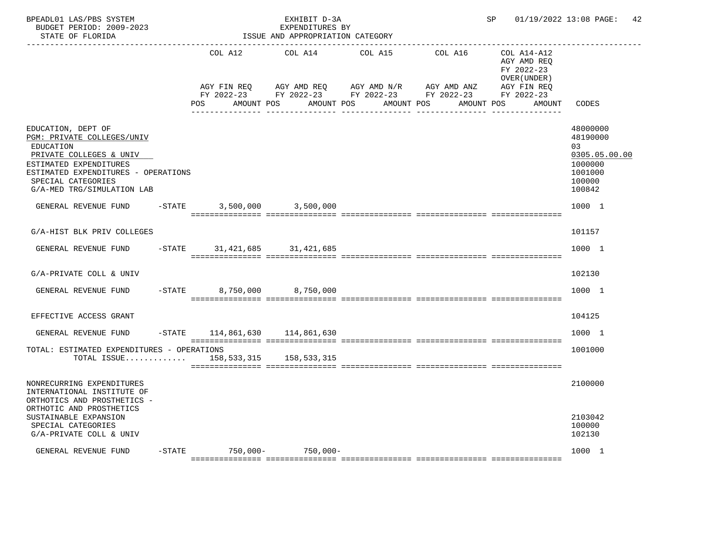| COL A12<br>COL A14<br>COL A15<br>COL A16<br>COL A14-A12<br>AGY AMD REQ<br>FY 2022-23<br>OVER (UNDER)<br>AGY FIN REO<br>AGY AMD REQ      AGY AMD N/R      AGY AMD ANZ<br>AGY FIN REO<br>FY 2022-23 FY 2022-23 FY 2022-23 FY 2022-23 FY 2022-23<br>POS.<br>AMOUNT POS AMOUNT POS<br>AMOUNT POS<br>AMOUNT POS<br>CODES<br>AMOUNT |               |
|-------------------------------------------------------------------------------------------------------------------------------------------------------------------------------------------------------------------------------------------------------------------------------------------------------------------------------|---------------|
|                                                                                                                                                                                                                                                                                                                               |               |
|                                                                                                                                                                                                                                                                                                                               |               |
| EDUCATION, DEPT OF<br>48000000<br>PGM: PRIVATE COLLEGES/UNIV<br>48190000<br>EDUCATION<br>0.3<br>PRIVATE COLLEGES & UNIV<br>ESTIMATED EXPENDITURES<br>1000000<br>ESTIMATED EXPENDITURES - OPERATIONS<br>1001000<br>SPECIAL CATEGORIES<br>100000<br>G/A-MED TRG/SIMULATION LAB<br>100842                                        | 0305.05.00.00 |
| GENERAL REVENUE FUND<br>$-$ STATE<br>3,500,000 3,500,000<br>1000 1                                                                                                                                                                                                                                                            |               |
| G/A-HIST BLK PRIV COLLEGES<br>101157                                                                                                                                                                                                                                                                                          |               |
| 1000 1<br>GENERAL REVENUE FUND<br>-STATE 31, 421, 685 31, 421, 685                                                                                                                                                                                                                                                            |               |
| G/A-PRIVATE COLL & UNIV<br>102130                                                                                                                                                                                                                                                                                             |               |
| GENERAL REVENUE FUND<br>$-$ STATE<br>8,750,000 8,750,000<br>1000 1                                                                                                                                                                                                                                                            |               |
| EFFECTIVE ACCESS GRANT<br>104125                                                                                                                                                                                                                                                                                              |               |
| $-STATE$ 114,861,630 114,861,630<br>1000 1<br>GENERAL REVENUE FUND                                                                                                                                                                                                                                                            |               |
| TOTAL: ESTIMATED EXPENDITURES - OPERATIONS<br>1001000<br>TOTAL ISSUE<br>158, 533, 315 158, 533, 315                                                                                                                                                                                                                           |               |
| NONRECURRING EXPENDITURES<br>2100000<br>INTERNATIONAL INSTITUTE OF<br>ORTHOTICS AND PROSTHETICS -<br>ORTHOTIC AND PROSTHETICS                                                                                                                                                                                                 |               |
| SUSTAINABLE EXPANSION<br>2103042<br>100000<br>SPECIAL CATEGORIES<br>G/A-PRIVATE COLL & UNIV<br>102130                                                                                                                                                                                                                         |               |
| -STATE 750,000- 750,000-<br>1000 1<br>GENERAL REVENUE FUND                                                                                                                                                                                                                                                                    |               |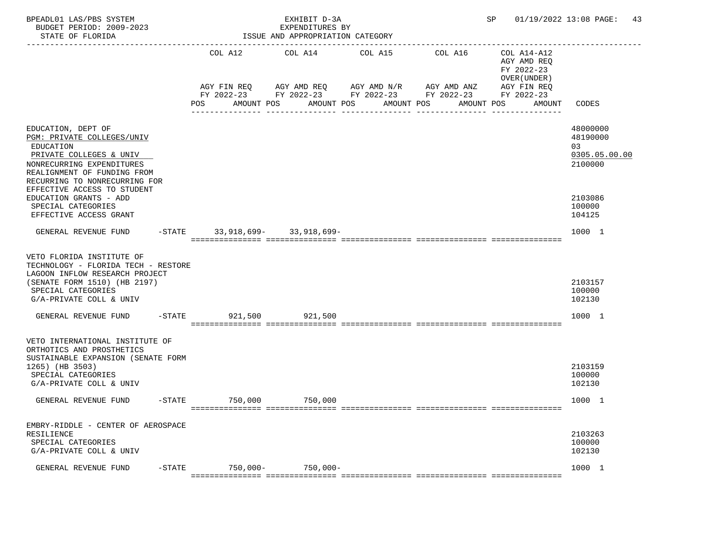| BPEADL01 LAS/PBS SYSTEM<br>BUDGET PERIOD: 2009-2023<br>STATE OF FLORIDA                                                                                                                                                                        |           | EXHIBIT D-3A<br>EXPENDITURES BY<br>ISSUE AND APPROPRIATION CATEGORY |                       |  |                                                                                                                                            |  |                    |               |                       |                                                                                   | SP 01/19/2022 13:08 PAGE: 43                                      |  |
|------------------------------------------------------------------------------------------------------------------------------------------------------------------------------------------------------------------------------------------------|-----------|---------------------------------------------------------------------|-----------------------|--|--------------------------------------------------------------------------------------------------------------------------------------------|--|--------------------|---------------|-----------------------|-----------------------------------------------------------------------------------|-------------------------------------------------------------------|--|
|                                                                                                                                                                                                                                                |           | POS                                                                 | COL A12<br>AMOUNT POS |  | COL A14 COL A15<br>AGY FIN REQ AGY AMD REQ AGY AMD N/R AGY AMD ANZ<br>FY 2022-23 FY 2022-23 FY 2022-23 FY 2022-23 FY 2022-23<br>AMOUNT POS |  | AMOUNT POS         |               | COL A16<br>AMOUNT POS | COL A14-A12<br>AGY AMD REQ<br>FY 2022-23<br>OVER (UNDER)<br>AGY FIN REQ<br>AMOUNT | CODES                                                             |  |
| EDUCATION, DEPT OF<br>PGM: PRIVATE COLLEGES/UNIV<br>EDUCATION<br>PRIVATE COLLEGES & UNIV<br>NONRECURRING EXPENDITURES<br>REALIGNMENT OF FUNDING FROM<br>RECURRING TO NONRECURRING FOR<br>EFFECTIVE ACCESS TO STUDENT<br>EDUCATION GRANTS - ADD |           |                                                                     |                       |  | _____________                                                                                                                              |  | -- --------------- | ------------- |                       |                                                                                   | 48000000<br>48190000<br>03<br>0305.05.00.00<br>2100000<br>2103086 |  |
| SPECIAL CATEGORIES<br>EFFECTIVE ACCESS GRANT<br>GENERAL REVENUE FUND                                                                                                                                                                           |           |                                                                     |                       |  | -STATE 33,918,699- 33,918,699-                                                                                                             |  |                    |               |                       |                                                                                   | 100000<br>104125<br>1000 1                                        |  |
| VETO FLORIDA INSTITUTE OF<br>TECHNOLOGY - FLORIDA TECH - RESTORE<br>LAGOON INFLOW RESEARCH PROJECT<br>(SENATE FORM 1510) (HB 2197)<br>SPECIAL CATEGORIES<br>G/A-PRIVATE COLL & UNIV                                                            |           |                                                                     |                       |  |                                                                                                                                            |  |                    |               |                       |                                                                                   | 2103157<br>100000<br>102130                                       |  |
| GENERAL REVENUE FUND                                                                                                                                                                                                                           |           |                                                                     |                       |  | -STATE 921,500 921,500                                                                                                                     |  |                    |               |                       |                                                                                   | 1000 1                                                            |  |
| VETO INTERNATIONAL INSTITUTE OF<br>ORTHOTICS AND PROSTHETICS<br>SUSTAINABLE EXPANSION (SENATE FORM<br>1265) (HB 3503)<br>SPECIAL CATEGORIES<br>G/A-PRIVATE COLL & UNIV                                                                         |           |                                                                     |                       |  |                                                                                                                                            |  |                    |               |                       |                                                                                   | 2103159<br>100000<br>102130                                       |  |
| GENERAL REVENUE FUND                                                                                                                                                                                                                           |           |                                                                     | -STATE 750,000        |  | 750,000                                                                                                                                    |  |                    |               |                       |                                                                                   | 1000 1                                                            |  |
| EMBRY-RIDDLE - CENTER OF AEROSPACE<br>RESILIENCE<br>SPECIAL CATEGORIES<br>G/A-PRIVATE COLL & UNIV                                                                                                                                              |           |                                                                     |                       |  |                                                                                                                                            |  |                    |               |                       |                                                                                   | 2103263<br>100000<br>102130                                       |  |
| GENERAL REVENUE FUND                                                                                                                                                                                                                           | $-$ STATE |                                                                     | $750,000 -$           |  | $750.000 -$                                                                                                                                |  |                    |               |                       |                                                                                   | 1000 1                                                            |  |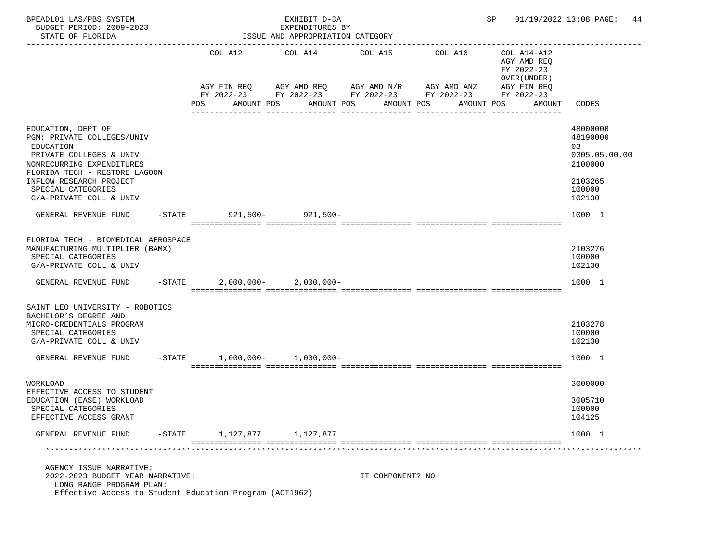| BPEADL01 LAS/PBS SYSTEM<br>BUDGET PERIOD: 2009-2023<br>STATE OF FLORIDA                                                                                                                                                            |                          | EXHIBIT D-3A<br>EXPENDITURES BY<br>ISSUE AND APPROPRIATION CATEGORY |                                              |                                                         |                                                                                       | SP 01/19/2022 13:08 PAGE: 44                                                          |
|------------------------------------------------------------------------------------------------------------------------------------------------------------------------------------------------------------------------------------|--------------------------|---------------------------------------------------------------------|----------------------------------------------|---------------------------------------------------------|---------------------------------------------------------------------------------------|---------------------------------------------------------------------------------------|
|                                                                                                                                                                                                                                    | COL A12                  | COL A14<br>AGY FIN REQ 6 AGY AMD REQ 6 AGY AMD N/R 66 AGY AMD ANZ   | COL A15                                      | COL A16<br>FY 2022-23 FY 2022-23 FY 2022-23 FY 2022-23  | COL A14-A12<br>AGY AMD REO<br>FY 2022-23<br>OVER (UNDER)<br>AGY FIN REQ<br>FY 2022-23 |                                                                                       |
|                                                                                                                                                                                                                                    | POS                      | AMOUNT POS<br>________________                                      | AMOUNT POS<br>AMOUNT POS<br>________________ | AMOUNT POS<br><u>u dia dia dia dia dali dia dia 40.</u> | AMOUNT<br>_______________                                                             | CODES                                                                                 |
| EDUCATION, DEPT OF<br>PGM: PRIVATE COLLEGES/UNIV<br>EDUCATION<br>PRIVATE COLLEGES & UNIV<br>NONRECURRING EXPENDITURES<br>FLORIDA TECH - RESTORE LAGOON<br>INFLOW RESEARCH PROJECT<br>SPECIAL CATEGORIES<br>G/A-PRIVATE COLL & UNIV |                          |                                                                     |                                              |                                                         |                                                                                       | 48000000<br>48190000<br>03<br>0305.05.00.00<br>2100000<br>2103265<br>100000<br>102130 |
| GENERAL REVENUE FUND                                                                                                                                                                                                               | -STATE 921,500- 921,500- |                                                                     |                                              |                                                         |                                                                                       | 1000 1                                                                                |
| FLORIDA TECH - BIOMEDICAL AEROSPACE<br>MANUFACTURING MULTIPLIER (BAMX)<br>SPECIAL CATEGORIES<br>G/A-PRIVATE COLL & UNIV                                                                                                            |                          |                                                                     |                                              |                                                         |                                                                                       | 2103276<br>100000<br>102130                                                           |
| GENERAL REVENUE FUND                                                                                                                                                                                                               | $-$ STATE                | $2,000,000 - 2,000,000 -$                                           |                                              |                                                         |                                                                                       | 1000 1                                                                                |
| SAINT LEO UNIVERSITY - ROBOTICS<br>BACHELOR'S DEGREE AND<br>MICRO-CREDENTIALS PROGRAM<br>SPECIAL CATEGORIES<br>G/A-PRIVATE COLL & UNIV                                                                                             |                          |                                                                     |                                              |                                                         |                                                                                       | 2103278<br>100000<br>102130                                                           |
| GENERAL REVENUE FUND                                                                                                                                                                                                               | $-STATE$                 | $1,000,000-1,000,000-$                                              |                                              |                                                         |                                                                                       | 1000 1                                                                                |
| WORKLOAD<br>EFFECTIVE ACCESS TO STUDENT<br>EDUCATION (EASE) WORKLOAD<br>SPECIAL CATEGORIES<br>EFFECTIVE ACCESS GRANT                                                                                                               |                          |                                                                     |                                              |                                                         |                                                                                       | 3000000<br>3005710<br>100000<br>104125                                                |
| $-$ STATE<br>GENERAL REVENUE FUND                                                                                                                                                                                                  |                          | 1, 127, 877 1, 127, 877                                             |                                              |                                                         |                                                                                       | 1000 1                                                                                |
|                                                                                                                                                                                                                                    |                          |                                                                     |                                              |                                                         |                                                                                       |                                                                                       |
| AGENCY ISSUE NARRATIVE:<br>2022-2023 BUDGET YEAR NARRATIVE:<br>LONG RANGE PROGRAM PLAN:<br>Effective Access to Student Education Program (ACT1962)                                                                                 |                          |                                                                     | IT COMPONENT? NO                             |                                                         |                                                                                       |                                                                                       |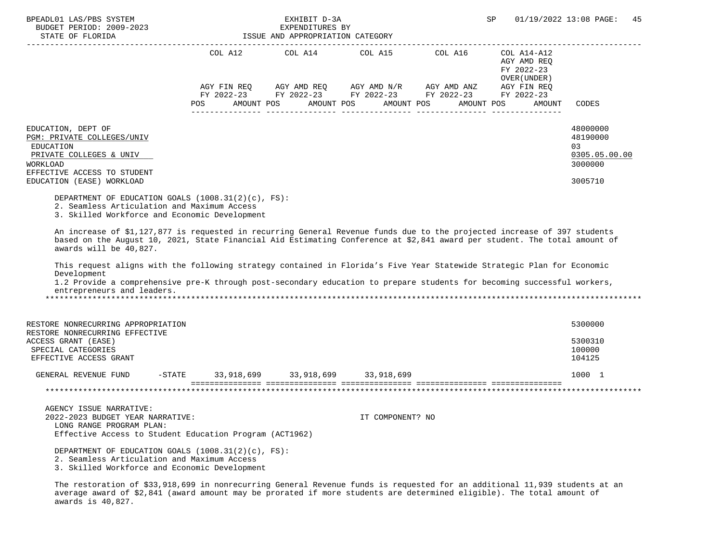| BPEADL01 LAS/PBS SYSTEM<br>BUDGET PERIOD: 2009-2023                                                                                                                                                                                                                                                                                                                                                                                                                                                                                                                                                                                                                                                                                        |                                               | EXHIBIT D-3A<br>EXPENDITURES BY                                                                           |                  |                          | SP                                                                       | 01/19/2022 13:08 PAGE:<br>45                           |
|--------------------------------------------------------------------------------------------------------------------------------------------------------------------------------------------------------------------------------------------------------------------------------------------------------------------------------------------------------------------------------------------------------------------------------------------------------------------------------------------------------------------------------------------------------------------------------------------------------------------------------------------------------------------------------------------------------------------------------------------|-----------------------------------------------|-----------------------------------------------------------------------------------------------------------|------------------|--------------------------|--------------------------------------------------------------------------|--------------------------------------------------------|
| STATE OF FLORIDA                                                                                                                                                                                                                                                                                                                                                                                                                                                                                                                                                                                                                                                                                                                           |                                               | ISSUE AND APPROPRIATION CATEGORY                                                                          |                  |                          |                                                                          |                                                        |
|                                                                                                                                                                                                                                                                                                                                                                                                                                                                                                                                                                                                                                                                                                                                            |                                               | COL A12 COL A14 COL A15 COL A16                                                                           |                  |                          | ------------<br>COL A14-A12<br>AGY AMD REQ<br>FY 2022-23<br>OVER (UNDER) |                                                        |
|                                                                                                                                                                                                                                                                                                                                                                                                                                                                                                                                                                                                                                                                                                                                            |                                               | AGY FIN REQ AGY AMD REQ AGY AMD N/R AGY AMD ANZ<br>FY 2022-23 FY 2022-23 FY 2022-23 FY 2022-23 FY 2022-23 |                  |                          | AGY FIN REQ                                                              |                                                        |
|                                                                                                                                                                                                                                                                                                                                                                                                                                                                                                                                                                                                                                                                                                                                            | AMOUNT POS<br>POS                             |                                                                                                           | AMOUNT POS       | AMOUNT POS<br>AMOUNT POS | AMOUNT                                                                   | CODES                                                  |
| EDUCATION, DEPT OF<br>PGM: PRIVATE COLLEGES/UNIV<br>EDUCATION<br>PRIVATE COLLEGES & UNIV<br>WORKLOAD<br>EFFECTIVE ACCESS TO STUDENT                                                                                                                                                                                                                                                                                                                                                                                                                                                                                                                                                                                                        |                                               |                                                                                                           |                  |                          |                                                                          | 48000000<br>48190000<br>03<br>0305.05.00.00<br>3000000 |
| EDUCATION (EASE) WORKLOAD                                                                                                                                                                                                                                                                                                                                                                                                                                                                                                                                                                                                                                                                                                                  |                                               |                                                                                                           |                  |                          |                                                                          | 3005710                                                |
| DEPARTMENT OF EDUCATION GOALS $(1008.31(2)(c), FS)$ :<br>2. Seamless Articulation and Maximum Access<br>3. Skilled Workforce and Economic Development<br>An increase of \$1,127,877 is requested in recurring General Revenue funds due to the projected increase of 397 students<br>based on the August 10, 2021, State Financial Aid Estimating Conference at \$2,841 award per student. The total amount of<br>awards will be 40,827.<br>This request aligns with the following strategy contained in Florida's Five Year Statewide Strategic Plan for Economic<br>Development<br>1.2 Provide a comprehensive pre-K through post-secondary education to prepare students for becoming successful workers,<br>entrepreneurs and leaders. |                                               |                                                                                                           |                  |                          |                                                                          |                                                        |
| RESTORE NONRECURRING APPROPRIATION                                                                                                                                                                                                                                                                                                                                                                                                                                                                                                                                                                                                                                                                                                         |                                               |                                                                                                           |                  |                          |                                                                          | 5300000                                                |
| RESTORE NONRECURRING EFFECTIVE<br>ACCESS GRANT (EASE)<br>SPECIAL CATEGORIES<br>EFFECTIVE ACCESS GRANT                                                                                                                                                                                                                                                                                                                                                                                                                                                                                                                                                                                                                                      |                                               |                                                                                                           |                  |                          |                                                                          | 5300310<br>100000<br>104125                            |
| GENERAL REVENUE FUND                                                                                                                                                                                                                                                                                                                                                                                                                                                                                                                                                                                                                                                                                                                       | -STATE 33, 918, 699 33, 918, 699 33, 918, 699 |                                                                                                           |                  |                          |                                                                          | 1000 1                                                 |
| AGENCY ISSUE NARRATIVE:<br>2022-2023 BUDGET YEAR NARRATIVE:<br>LONG RANGE PROGRAM PLAN:<br>Effective Access to Student Education Program (ACT1962)                                                                                                                                                                                                                                                                                                                                                                                                                                                                                                                                                                                         |                                               |                                                                                                           | IT COMPONENT? NO |                          |                                                                          |                                                        |
| DEPARTMENT OF EDUCATION GOALS (1008.31(2)(c), FS):<br>2. Seamless Articulation and Maximum Access<br>3. Skilled Workforce and Economic Development                                                                                                                                                                                                                                                                                                                                                                                                                                                                                                                                                                                         |                                               |                                                                                                           |                  |                          |                                                                          |                                                        |

 The restoration of \$33,918,699 in nonrecurring General Revenue funds is requested for an additional 11,939 students at an average award of \$2,841 (award amount may be prorated if more students are determined eligible). The total amount of awards is 40,827.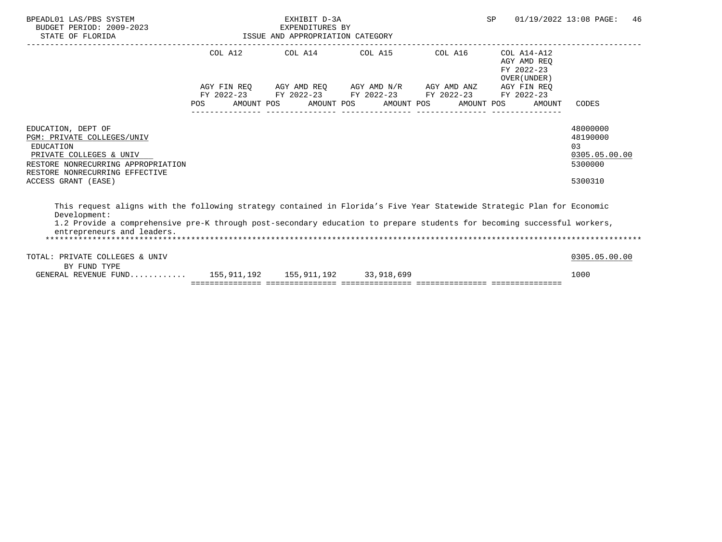| BPEADL01 LAS/PBS SYSTEM<br>BUDGET PERIOD: 2009-2023<br>STATE OF FLORIDA                                                                                                                                                                                                                         | ISSUE AND APPROPRIATION CATEGORY | EXHIBIT D-3A<br>EXPENDITURES BY |                                                                                                                                                |            | <b>SP</b> |                                                          | 01/19/2022 13:08 PAGE:                                            | 46 |
|-------------------------------------------------------------------------------------------------------------------------------------------------------------------------------------------------------------------------------------------------------------------------------------------------|----------------------------------|---------------------------------|------------------------------------------------------------------------------------------------------------------------------------------------|------------|-----------|----------------------------------------------------------|-------------------------------------------------------------------|----|
|                                                                                                                                                                                                                                                                                                 |                                  |                                 | COL A12 COL A14 COL A15 COL A16                                                                                                                |            |           | COL A14-A12<br>AGY AMD REO<br>FY 2022-23<br>OVER (UNDER) |                                                                   |    |
|                                                                                                                                                                                                                                                                                                 | <b>POS</b>                       |                                 | AGY FIN REQ AGY AMD REQ AGY AMD N/R AGY AMD ANZ AGY FIN REQ<br>FY 2022-23 FY 2022-23 FY 2022-23 FY 2022-23<br>AMOUNT POS AMOUNT POS AMOUNT POS | AMOUNT POS |           | FY 2022-23<br>AMOUNT                                     | CODES                                                             |    |
| EDUCATION, DEPT OF<br>PGM: PRIVATE COLLEGES/UNIV<br><b>EDUCATION</b><br>PRIVATE COLLEGES & UNIV<br>RESTORE NONRECURRING APPROPRIATION<br>RESTORE NONRECURRING EFFECTIVE<br>ACCESS GRANT (EASE)                                                                                                  |                                  |                                 |                                                                                                                                                |            |           |                                                          | 48000000<br>48190000<br>03<br>0305.05.00.00<br>5300000<br>5300310 |    |
| This request aligns with the following strategy contained in Florida's Five Year Statewide Strategic Plan for Economic<br>Development:<br>1.2 Provide a comprehensive pre-K through post-secondary education to prepare students for becoming successful workers,<br>entrepreneurs and leaders. |                                  |                                 |                                                                                                                                                |            |           |                                                          |                                                                   |    |
| TOTAL: PRIVATE COLLEGES & UNIV<br>BY FUND TYPE                                                                                                                                                                                                                                                  |                                  |                                 |                                                                                                                                                |            |           |                                                          | 0305.05.00.00                                                     |    |
| GENERAL REVENUE FUND 155,911,192 155,911,192 33,918,699                                                                                                                                                                                                                                         |                                  |                                 |                                                                                                                                                |            |           |                                                          | 1000                                                              |    |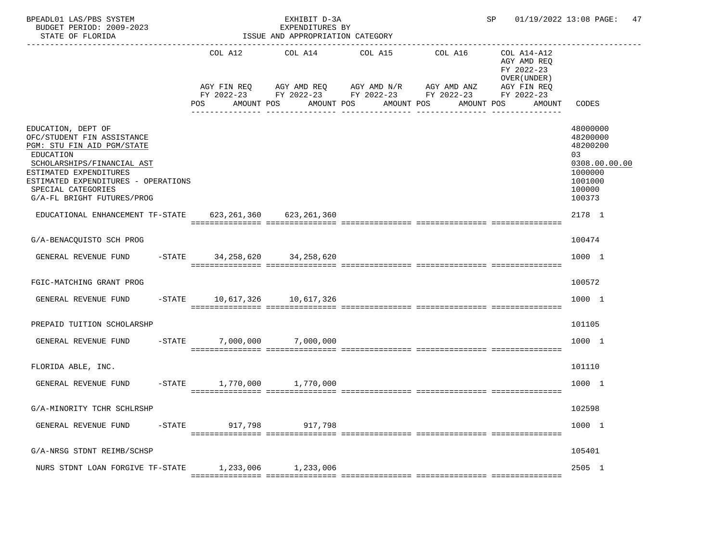| BPEADL01 LAS/PBS SYSTEM<br>BUDGET PERIOD: 2009-2023<br>STATE OF FLORIDA                                                                                                                                                                        |                              | EXHIBIT D-3A<br>EXPENDITURES BY<br>ISSUE AND APPROPRIATION CATEGORY |                                                                                                           | SP and the set of the set of the set of the set of the set of the set of the set of the set of the set of the set of the set of the set of the set of the set of the set of the set of the set of the set of the set of the se | 01/19/2022 13:08 PAGE:<br>47                                            |                                                                                                   |
|------------------------------------------------------------------------------------------------------------------------------------------------------------------------------------------------------------------------------------------------|------------------------------|---------------------------------------------------------------------|-----------------------------------------------------------------------------------------------------------|--------------------------------------------------------------------------------------------------------------------------------------------------------------------------------------------------------------------------------|-------------------------------------------------------------------------|---------------------------------------------------------------------------------------------------|
|                                                                                                                                                                                                                                                | COL A12                      | COL A14 COL A15                                                     | AGY FIN REQ AGY AMD REQ AGY AMD N/R AGY AMD ANZ<br>FY 2022-23 FY 2022-23 FY 2022-23 FY 2022-23 FY 2022-23 | COL A16                                                                                                                                                                                                                        | COL A14-A12<br>AGY AMD REQ<br>FY 2022-23<br>OVER (UNDER)<br>AGY FIN REQ |                                                                                                   |
|                                                                                                                                                                                                                                                | POS                          | AMOUNT POS AMOUNT POS                                               |                                                                                                           | AMOUNT POS AMOUNT POS                                                                                                                                                                                                          | AMOUNT                                                                  | CODES                                                                                             |
| EDUCATION, DEPT OF<br>OFC/STUDENT FIN ASSISTANCE<br>PGM: STU FIN AID PGM/STATE<br>EDUCATION<br>SCHOLARSHIPS/FINANCIAL AST<br>ESTIMATED EXPENDITURES<br>ESTIMATED EXPENDITURES - OPERATIONS<br>SPECIAL CATEGORIES<br>G/A-FL BRIGHT FUTURES/PROG |                              |                                                                     |                                                                                                           |                                                                                                                                                                                                                                |                                                                         | 48000000<br>48200000<br>48200200<br>03<br>0308.00.00.00<br>1000000<br>1001000<br>100000<br>100373 |
| EDUCATIONAL ENHANCEMENT TF-STATE 623, 261, 360 623, 261, 360                                                                                                                                                                                   |                              |                                                                     |                                                                                                           |                                                                                                                                                                                                                                |                                                                         | 2178 1                                                                                            |
| G/A-BENACQUISTO SCH PROG                                                                                                                                                                                                                       |                              |                                                                     |                                                                                                           |                                                                                                                                                                                                                                |                                                                         | 100474                                                                                            |
| GENERAL REVENUE FUND -STATE 34,258,620 34,258,620                                                                                                                                                                                              |                              |                                                                     |                                                                                                           |                                                                                                                                                                                                                                |                                                                         | 1000 1                                                                                            |
| FGIC-MATCHING GRANT PROG                                                                                                                                                                                                                       |                              |                                                                     |                                                                                                           |                                                                                                                                                                                                                                |                                                                         | 100572                                                                                            |
| GENERAL REVENUE FUND -STATE 10,617,326 10,617,326                                                                                                                                                                                              |                              |                                                                     |                                                                                                           |                                                                                                                                                                                                                                |                                                                         | 1000 1                                                                                            |
| PREPAID TUITION SCHOLARSHP                                                                                                                                                                                                                     |                              |                                                                     |                                                                                                           |                                                                                                                                                                                                                                |                                                                         | 101105                                                                                            |
| GENERAL REVENUE FUND -STATE 7,000,000 7,000,000                                                                                                                                                                                                |                              |                                                                     |                                                                                                           |                                                                                                                                                                                                                                |                                                                         | 1000 1                                                                                            |
| FLORIDA ABLE, INC.                                                                                                                                                                                                                             |                              |                                                                     |                                                                                                           |                                                                                                                                                                                                                                |                                                                         | 101110                                                                                            |
| GENERAL REVENUE FUND                                                                                                                                                                                                                           | $-STATE$ 1,770,000 1,770,000 |                                                                     |                                                                                                           |                                                                                                                                                                                                                                |                                                                         | 1000 1                                                                                            |
| G/A-MINORITY TCHR SCHLRSHP                                                                                                                                                                                                                     |                              |                                                                     |                                                                                                           |                                                                                                                                                                                                                                |                                                                         | 102598                                                                                            |
| GENERAL REVENUE FUND<br>$-$ STATE                                                                                                                                                                                                              | 917,798                      | 917,798                                                             |                                                                                                           |                                                                                                                                                                                                                                |                                                                         | 1000 1                                                                                            |
| G/A-NRSG STDNT REIMB/SCHSP                                                                                                                                                                                                                     |                              |                                                                     |                                                                                                           |                                                                                                                                                                                                                                |                                                                         | 105401                                                                                            |
| NURS STDNT LOAN FORGIVE TF-STATE                                                                                                                                                                                                               | 1,233,006                    | 1,233,006                                                           |                                                                                                           |                                                                                                                                                                                                                                |                                                                         | 2505 1                                                                                            |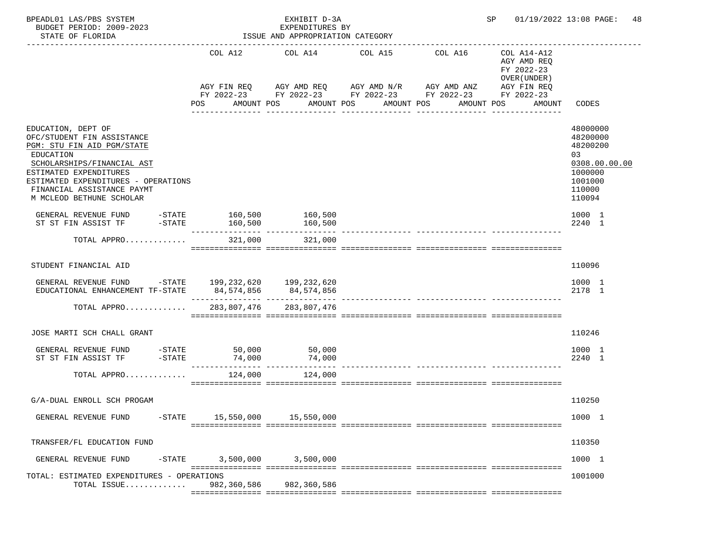| BPEADL01 LAS/PBS SYSTEM<br>BUDGET PERIOD: 2009-2023<br>STATE OF FLORIDA                                                                                                                                                                              |           |                                              | EXHIBIT D-3A<br>EXPENDITURES BY<br>ISSUE AND APPROPRIATION CATEGORY |                                                                                                                                                                        |                                        | SP                                                                                              | 01/19/2022 13:08 PAGE:<br>48                                                                      |
|------------------------------------------------------------------------------------------------------------------------------------------------------------------------------------------------------------------------------------------------------|-----------|----------------------------------------------|---------------------------------------------------------------------|------------------------------------------------------------------------------------------------------------------------------------------------------------------------|----------------------------------------|-------------------------------------------------------------------------------------------------|---------------------------------------------------------------------------------------------------|
|                                                                                                                                                                                                                                                      |           | COL A12<br>POS                               | COL A14 COL A15<br>AMOUNT POS                                       | AGY FIN REQ 6 AGY AMD REQ 6 AGY AMD N/R 66 AGY AMD ANZ<br>FY 2022-23 FY 2022-23 FY 2022-23 FY 2022-23<br>AMOUNT POS<br>AMOUNT POS<br>_________________________________ | COL A16<br>AMOUNT POS<br>------------- | COL A14-A12<br>AGY AMD REQ<br>FY 2022-23<br>OVER (UNDER)<br>AGY FIN REQ<br>FY 2022-23<br>AMOUNT | CODES                                                                                             |
| EDUCATION, DEPT OF<br>OFC/STUDENT FIN ASSISTANCE<br>PGM: STU FIN AID PGM/STATE<br>EDUCATION<br>SCHOLARSHIPS/FINANCIAL AST<br>ESTIMATED EXPENDITURES<br>ESTIMATED EXPENDITURES - OPERATIONS<br>FINANCIAL ASSISTANCE PAYMT<br>M MCLEOD BETHUNE SCHOLAR |           |                                              |                                                                     |                                                                                                                                                                        |                                        |                                                                                                 | 48000000<br>48200000<br>48200200<br>03<br>0308.00.00.00<br>1000000<br>1001000<br>110000<br>110094 |
| GENERAL REVENUE FUND -STATE 160,500<br>ST ST FIN ASSIST TF                                                                                                                                                                                           | $ STATE$  | 160,500                                      | 160,500<br>160,500                                                  |                                                                                                                                                                        |                                        |                                                                                                 | 1000 1<br>2240 1                                                                                  |
| TOTAL APPRO                                                                                                                                                                                                                                          |           | 321,000                                      | 321,000                                                             |                                                                                                                                                                        |                                        |                                                                                                 |                                                                                                   |
| STUDENT FINANCIAL AID                                                                                                                                                                                                                                |           |                                              |                                                                     |                                                                                                                                                                        |                                        |                                                                                                 | 110096                                                                                            |
| GENERAL REVENUE FUND<br>EDUCATIONAL ENHANCEMENT TF-STATE                                                                                                                                                                                             |           | -STATE 199,232,620 199,232,620<br>84,574,856 | 84,574,856                                                          |                                                                                                                                                                        |                                        |                                                                                                 | 1000 1<br>2178 1                                                                                  |
| TOTAL APPRO                                                                                                                                                                                                                                          |           | 283,807,476                                  | 283,807,476                                                         |                                                                                                                                                                        |                                        |                                                                                                 |                                                                                                   |
| JOSE MARTI SCH CHALL GRANT                                                                                                                                                                                                                           |           |                                              |                                                                     |                                                                                                                                                                        |                                        |                                                                                                 | 110246                                                                                            |
| GENERAL REVENUE FUND $-$ STATE 50,000 50,000<br>ST ST FIN ASSIST TF $-$ STATE 74,000 74,000                                                                                                                                                          |           | ________________                             | 74,000                                                              |                                                                                                                                                                        |                                        |                                                                                                 | 1000 1<br>2240 1                                                                                  |
| TOTAL APPRO                                                                                                                                                                                                                                          |           | 124,000                                      | 124,000                                                             |                                                                                                                                                                        |                                        |                                                                                                 |                                                                                                   |
| G/A-DUAL ENROLL SCH PROGAM                                                                                                                                                                                                                           |           |                                              |                                                                     |                                                                                                                                                                        |                                        |                                                                                                 | 110250                                                                                            |
| GENERAL REVENUE FUND                                                                                                                                                                                                                                 | $-$ STATE | 15,550,000                                   | 15,550,000                                                          |                                                                                                                                                                        |                                        |                                                                                                 | 1000 1                                                                                            |
| TRANSFER/FL EDUCATION FUND                                                                                                                                                                                                                           |           |                                              |                                                                     |                                                                                                                                                                        |                                        |                                                                                                 | 110350                                                                                            |
| GENERAL REVENUE FUND                                                                                                                                                                                                                                 | $-$ STATE | 3,500,000                                    | 3,500,000                                                           |                                                                                                                                                                        |                                        |                                                                                                 | 1000 1                                                                                            |
| TOTAL: ESTIMATED EXPENDITURES - OPERATIONS<br>TOTAL ISSUE                                                                                                                                                                                            |           | 982,360,586                                  | 982,360,586                                                         |                                                                                                                                                                        |                                        |                                                                                                 | 1001000                                                                                           |
|                                                                                                                                                                                                                                                      |           |                                              |                                                                     |                                                                                                                                                                        |                                        |                                                                                                 |                                                                                                   |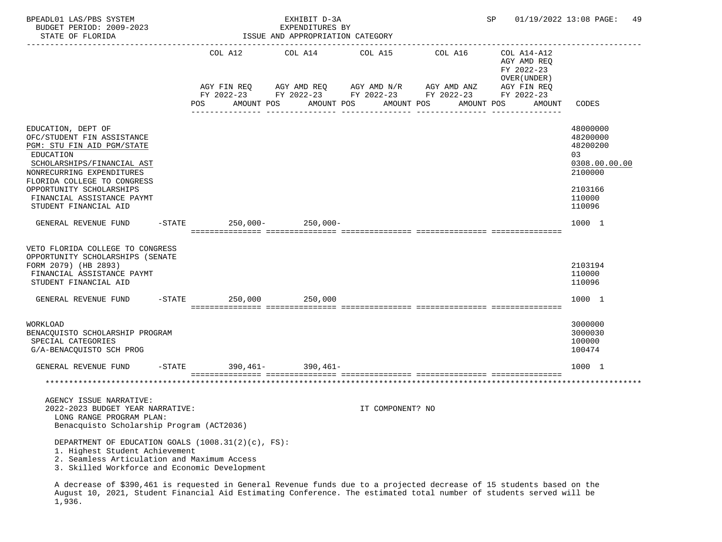| BPEADL01 LAS/PBS SYSTEM<br>BUDGET PERIOD: 2009-2023<br>STATE OF FLORIDA                                                                                                                                                                                                                          |           |     |                           | EXHIBIT D-3A<br>EXPENDITURES BY<br>ISSUE AND APPROPRIATION CATEGORY                                         |                  |            | SP |                                                           | 01/19/2022 13:08 PAGE:                                                                                      | 49 |
|--------------------------------------------------------------------------------------------------------------------------------------------------------------------------------------------------------------------------------------------------------------------------------------------------|-----------|-----|---------------------------|-------------------------------------------------------------------------------------------------------------|------------------|------------|----|-----------------------------------------------------------|-------------------------------------------------------------------------------------------------------------|----|
|                                                                                                                                                                                                                                                                                                  |           |     | COL A12                   | COL A14                                                                                                     | COL A15          | COL A16    |    | COL A14-A12<br>AGY AMD REQ<br>FY 2022-23<br>OVER (UNDER ) |                                                                                                             |    |
|                                                                                                                                                                                                                                                                                                  |           | POS | AGY FIN REQ<br>AMOUNT POS | AGY AMD REQ AGY AMD N/R AGY AMD ANZ<br>FY 2022-23 FY 2022-23 FY 2022-23 FY 2022-23 FY 2022-23<br>AMOUNT POS | AMOUNT POS       | AMOUNT POS |    | AGY FIN REQ<br>AMOUNT                                     | CODES                                                                                                       |    |
| EDUCATION, DEPT OF<br>OFC/STUDENT FIN ASSISTANCE<br>PGM: STU FIN AID PGM/STATE<br>EDUCATION<br>SCHOLARSHIPS/FINANCIAL AST<br>NONRECURRING EXPENDITURES<br>FLORIDA COLLEGE TO CONGRESS<br>OPPORTUNITY SCHOLARSHIPS<br>FINANCIAL ASSISTANCE PAYMT<br>STUDENT FINANCIAL AID<br>GENERAL REVENUE FUND | $-$ STATE |     |                           | $250,000 - 250,000 -$                                                                                       |                  |            |    |                                                           | 48000000<br>48200000<br>48200200<br>03<br>0308.00.00.00<br>2100000<br>2103166<br>110000<br>110096<br>1000 1 |    |
| VETO FLORIDA COLLEGE TO CONGRESS<br>OPPORTUNITY SCHOLARSHIPS (SENATE<br>FORM 2079) (HB 2893)<br>FINANCIAL ASSISTANCE PAYMT<br>STUDENT FINANCIAL AID<br>GENERAL REVENUE FUND                                                                                                                      |           |     |                           | $-$ STATE 250,000 250,000                                                                                   |                  |            |    |                                                           | 2103194<br>110000<br>110096<br>1000 1                                                                       |    |
|                                                                                                                                                                                                                                                                                                  |           |     |                           |                                                                                                             |                  |            |    |                                                           |                                                                                                             |    |
| WORKLOAD<br>BENACQUISTO SCHOLARSHIP PROGRAM<br>SPECIAL CATEGORIES<br>G/A-BENACQUISTO SCH PROG                                                                                                                                                                                                    |           |     |                           |                                                                                                             |                  |            |    |                                                           | 3000000<br>3000030<br>100000<br>100474                                                                      |    |
| GENERAL REVENUE FUND                                                                                                                                                                                                                                                                             | -STATE    |     | $390,461-$                | $390,461-$                                                                                                  |                  |            |    |                                                           | 1000 1                                                                                                      |    |
|                                                                                                                                                                                                                                                                                                  |           |     |                           |                                                                                                             |                  |            |    |                                                           | *************************************                                                                       |    |
|                                                                                                                                                                                                                                                                                                  |           |     |                           |                                                                                                             |                  |            |    |                                                           |                                                                                                             |    |
| AGENCY ISSUE NARRATIVE:<br>2022-2023 BUDGET YEAR NARRATIVE:<br>LONG RANGE PROGRAM PLAN:<br>Benacquisto Scholarship Program (ACT2036)                                                                                                                                                             |           |     |                           |                                                                                                             | IT COMPONENT? NO |            |    |                                                           |                                                                                                             |    |
| DEPARTMENT OF EDUCATION GOALS (1008.31(2)(c), FS):<br>1. Highest Student Achievement<br>2. Seamless Articulation and Maximum Access<br>3. Skilled Workforce and Economic Development                                                                                                             |           |     |                           |                                                                                                             |                  |            |    |                                                           |                                                                                                             |    |

 A decrease of \$390,461 is requested in General Revenue funds due to a projected decrease of 15 students based on the August 10, 2021, Student Financial Aid Estimating Conference. The estimated total number of students served will be 1,936.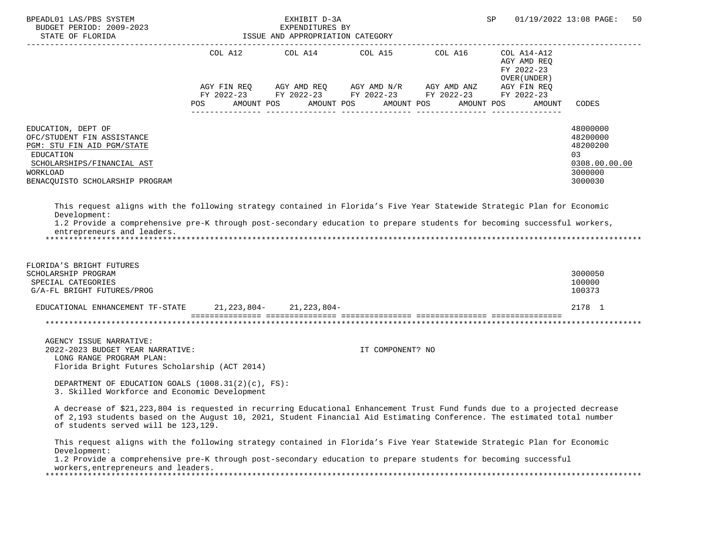| BPEADL01 LAS/PBS SYSTEM<br>BUDGET PERIOD: 2009-2023<br>STATE OF FLORIDA                                                                                                                                                                                                                         |         | EXHIBIT D-3A<br>EXPENDITURES BI<br>ISSUE AND APPROPRIATION CATEGORY | SP                                                                                                                                                                                                                                                                                                                                                                                                                                                                                         | 01/19/2022 13:08 PAGE:<br>50 |                                            |                                                                               |
|-------------------------------------------------------------------------------------------------------------------------------------------------------------------------------------------------------------------------------------------------------------------------------------------------|---------|---------------------------------------------------------------------|--------------------------------------------------------------------------------------------------------------------------------------------------------------------------------------------------------------------------------------------------------------------------------------------------------------------------------------------------------------------------------------------------------------------------------------------------------------------------------------------|------------------------------|--------------------------------------------|-------------------------------------------------------------------------------|
|                                                                                                                                                                                                                                                                                                 |         |                                                                     |                                                                                                                                                                                                                                                                                                                                                                                                                                                                                            |                              | AGY AMD REQ<br>FY 2022-23<br>OVER (UNDER ) |                                                                               |
|                                                                                                                                                                                                                                                                                                 | POS FOR |                                                                     | $\begin{array}{lllllll} {\text{AGY}} & {\text{FIN}} & {\text{REG}} & {\text{AGY}} & {\text{AMP}} & {\text{AGY}} & {\text{AMP}} & {\text{M}} \\ {\text{FY}} & 2022-23 & {\text{FY}} & 2022-23 & {\text{FY}} & 2022-23 & {\text{FY}} & 2022-23 \end{array} \qquad \begin{array}{llllll} {\text{AGY}} & {\text{MID}} & {\text{ANY}} & {\text{AGY}} & {\text{FIN}} & {\text{REG}} \\ {\text{FY}} & 2022-23 & {\text{FY}} & 2022-23 & {\text{FY}} & 2022-2$<br>AMOUNT POS AMOUNT POS AMOUNT POS |                              | AMOUNT POS<br>AMOUNT                       | <b>CODES</b>                                                                  |
| EDUCATION, DEPT OF<br>OFC/STUDENT FIN ASSISTANCE<br>PGM: STU FIN AID PGM/STATE<br>EDUCATION<br>SCHOLARSHIPS/FINANCIAL AST<br>WORKLOAD<br>BENACQUISTO SCHOLARSHIP PROGRAM                                                                                                                        |         |                                                                     |                                                                                                                                                                                                                                                                                                                                                                                                                                                                                            |                              |                                            | 48000000<br>48200000<br>48200200<br>03<br>0308.00.00.00<br>3000000<br>3000030 |
| This request aligns with the following strategy contained in Florida's Five Year Statewide Strategic Plan for Economic<br>Development:<br>1.2 Provide a comprehensive pre-K through post-secondary education to prepare students for becoming successful workers,<br>entrepreneurs and leaders. |         |                                                                     |                                                                                                                                                                                                                                                                                                                                                                                                                                                                                            |                              |                                            |                                                                               |
| FLORIDA'S BRIGHT FUTURES<br>SCHOLARSHIP PROGRAM<br>SPECIAL CATEGORIES<br>G/A-FL BRIGHT FUTURES/PROG                                                                                                                                                                                             |         |                                                                     |                                                                                                                                                                                                                                                                                                                                                                                                                                                                                            |                              |                                            | 3000050<br>100000<br>100373                                                   |
| EDUCATIONAL ENHANCEMENT TF-STATE 21, 223, 804- 21, 223, 804-                                                                                                                                                                                                                                    |         |                                                                     |                                                                                                                                                                                                                                                                                                                                                                                                                                                                                            |                              |                                            | 2178 1                                                                        |
|                                                                                                                                                                                                                                                                                                 |         |                                                                     |                                                                                                                                                                                                                                                                                                                                                                                                                                                                                            |                              |                                            |                                                                               |
| AGENCY ISSUE NARRATIVE:<br>2022-2023 BUDGET YEAR NARRATIVE:<br>LONG RANGE PROGRAM PLAN:<br>Florida Bright Futures Scholarship (ACT 2014)                                                                                                                                                        |         |                                                                     | IT COMPONENT? NO                                                                                                                                                                                                                                                                                                                                                                                                                                                                           |                              |                                            |                                                                               |
| DEPARTMENT OF EDUCATION GOALS $(1008.31(2)(c), FS)$ :<br>3. Skilled Workforce and Economic Development                                                                                                                                                                                          |         |                                                                     |                                                                                                                                                                                                                                                                                                                                                                                                                                                                                            |                              |                                            |                                                                               |
| A decrease of \$21,223,804 is requested in recurring Educational Enhancement Trust Fund funds due to a projected decrease<br>of 2,193 students based on the August 10, 2021, Student Financial Aid Estimating Conference. The estimated total number<br>of students served will be 123,129.     |         |                                                                     |                                                                                                                                                                                                                                                                                                                                                                                                                                                                                            |                              |                                            |                                                                               |
| This request aligns with the following strategy contained in Florida's Five Year Statewide Strategic Plan for Economic<br>Development:<br>1.2 Provide a comprehensive pre-K through post-secondary education to prepare students for becoming successful                                        |         |                                                                     |                                                                                                                                                                                                                                                                                                                                                                                                                                                                                            |                              |                                            |                                                                               |
| workers, entrepreneurs and leaders.                                                                                                                                                                                                                                                             |         |                                                                     |                                                                                                                                                                                                                                                                                                                                                                                                                                                                                            |                              |                                            |                                                                               |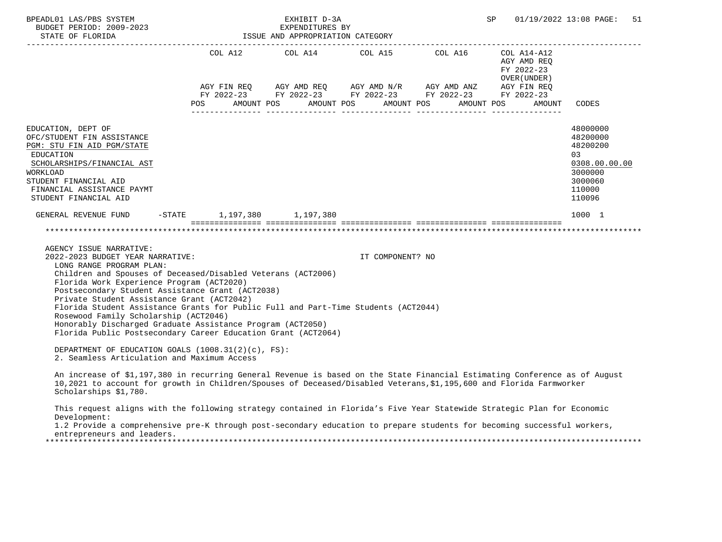| BPEADL01 LAS/PBS SYSTEM                                                                                                                                                                                                                                                                                                                                                                                                                                                                                                                                              |                                                                    | EXHIBIT D-3A                    |                  | SP                                                                                                                                                                                                                                                                                                                                    | 01/19/2022 13:08 PAGE:<br>51              |                                                                                                   |
|----------------------------------------------------------------------------------------------------------------------------------------------------------------------------------------------------------------------------------------------------------------------------------------------------------------------------------------------------------------------------------------------------------------------------------------------------------------------------------------------------------------------------------------------------------------------|--------------------------------------------------------------------|---------------------------------|------------------|---------------------------------------------------------------------------------------------------------------------------------------------------------------------------------------------------------------------------------------------------------------------------------------------------------------------------------------|-------------------------------------------|---------------------------------------------------------------------------------------------------|
|                                                                                                                                                                                                                                                                                                                                                                                                                                                                                                                                                                      |                                                                    |                                 |                  | $\begin{array}{lllllll} \text{AGY}\ \text{FIN}\ \text{REQ} & \text{AGY}\ \text{AMD}\ \text{REQ} & \text{AGY}\ \text{AMD}\ \text{N/R} & \text{AGY}\ \text{AMD}\ \text{ANZ} & \text{AGY}\ \text{FIN}\ \text{REQ} \\ \text{FY}\ 2022-23 & \text{FY}\ 2022-23 & \text{FY}\ 2022-23 & \text{FY}\ 2022-23 & \text{FY}\ 2022-23 \end{array}$ | AGY AMD REQ<br>FY 2022-23<br>OVER (UNDER) |                                                                                                   |
|                                                                                                                                                                                                                                                                                                                                                                                                                                                                                                                                                                      | POS AMOUNT POS AMOUNT POS AMOUNT POS<br><u>uuuuuuuuuuuuu uuuuu</u> | . _ _ _ _ _ _ _ _ _ _ _ _ _ _ _ |                  |                                                                                                                                                                                                                                                                                                                                       | AMOUNT POS<br>AMOUNT                      | CODES                                                                                             |
| EDUCATION, DEPT OF<br>OFC/STUDENT FIN ASSISTANCE<br>PGM: STU FIN AID PGM/STATE<br><b>EDUCATION</b><br>SCHOLARSHIPS/FINANCIAL AST<br>WORKLOAD<br>STUDENT FINANCIAL AID<br>FINANCIAL ASSISTANCE PAYMT<br>STUDENT FINANCIAL AID                                                                                                                                                                                                                                                                                                                                         |                                                                    |                                 |                  |                                                                                                                                                                                                                                                                                                                                       |                                           | 48000000<br>48200000<br>48200200<br>03<br>0308.00.00.00<br>3000000<br>3000060<br>110000<br>110096 |
| GENERAL REVENUE FUND -STATE 1,197,380 1,197,380                                                                                                                                                                                                                                                                                                                                                                                                                                                                                                                      |                                                                    |                                 |                  |                                                                                                                                                                                                                                                                                                                                       |                                           | 1000 1                                                                                            |
|                                                                                                                                                                                                                                                                                                                                                                                                                                                                                                                                                                      |                                                                    |                                 |                  |                                                                                                                                                                                                                                                                                                                                       |                                           |                                                                                                   |
| AGENCY ISSUE NARRATIVE:<br>2022-2023 BUDGET YEAR NARRATIVE:<br>LONG RANGE PROGRAM PLAN:<br>Children and Spouses of Deceased/Disabled Veterans (ACT2006)<br>Florida Work Experience Program (ACT2020)<br>Postsecondary Student Assistance Grant (ACT2038)<br>Private Student Assistance Grant (ACT2042)<br>Florida Student Assistance Grants for Public Full and Part-Time Students (ACT2044)<br>Rosewood Family Scholarship (ACT2046)<br>Honorably Discharged Graduate Assistance Program (ACT2050)<br>Florida Public Postsecondary Career Education Grant (ACT2064) |                                                                    |                                 | IT COMPONENT? NO |                                                                                                                                                                                                                                                                                                                                       |                                           |                                                                                                   |
| DEPARTMENT OF EDUCATION GOALS (1008.31(2)(c), FS):<br>2. Seamless Articulation and Maximum Access                                                                                                                                                                                                                                                                                                                                                                                                                                                                    |                                                                    |                                 |                  |                                                                                                                                                                                                                                                                                                                                       |                                           |                                                                                                   |
| An increase of \$1,197,380 in recurring General Revenue is based on the State Financial Estimating Conference as of August<br>10,2021 to account for growth in Children/Spouses of Deceased/Disabled Veterans, \$1,195,600 and Florida Farmworker<br>Scholarships \$1,780.                                                                                                                                                                                                                                                                                           |                                                                    |                                 |                  |                                                                                                                                                                                                                                                                                                                                       |                                           |                                                                                                   |
| This request aligns with the following strategy contained in Florida's Five Year Statewide Strategic Plan for Economic<br>Development:<br>1.2 Provide a comprehensive pre-K through post-secondary education to prepare students for becoming successful workers,<br>entrepreneurs and leaders.                                                                                                                                                                                                                                                                      |                                                                    |                                 |                  |                                                                                                                                                                                                                                                                                                                                       |                                           |                                                                                                   |
|                                                                                                                                                                                                                                                                                                                                                                                                                                                                                                                                                                      |                                                                    |                                 |                  |                                                                                                                                                                                                                                                                                                                                       |                                           |                                                                                                   |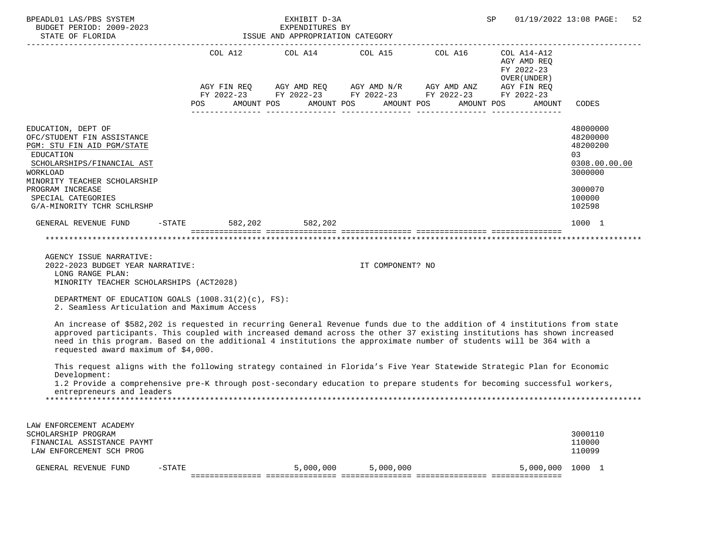| COL A12 COL A14 COL A15 COL A16 COL A14-A12<br>AGY AMD REQ<br>FY 2022-23<br>OVER (UNDER)<br>$AGY \text{ }\mathsf{FIN}\text{ }\mathsf{REQ}\qquad\quad \mathsf{AGY}\text{ }\mathsf{AMD}\text{ }\mathsf{REQ}\qquad\quad \mathsf{AGY}\text{ }\mathsf{AMD}\text{ }\mathsf{N/R}\qquad\quad \mathsf{AGY}\text{ }\mathsf{AMD}\text{ }\mathsf{ANZ}\qquad\quad \mathsf{AGY}\text{ }\mathsf{FIN}\text{ }\mathsf{REQ}$<br>FY 2022-23 FY 2022-23 FY 2022-23 FY 2022-23 FY 2022-23<br>POS AMOUNT POS AMOUNT POS AMOUNT POS<br>AMOUNT POS<br>CODES<br>AMOUNT<br>48000000<br>EDUCATION, DEPT OF<br>48200000<br>OFC/STUDENT FIN ASSISTANCE<br>48200200<br>PGM: STU FIN AID PGM/STATE<br><b>EDUCATION</b><br>03<br>0308.00.00.00<br>SCHOLARSHIPS/FINANCIAL AST | 01/19/2022 13:08 PAGE:<br>52 |
|----------------------------------------------------------------------------------------------------------------------------------------------------------------------------------------------------------------------------------------------------------------------------------------------------------------------------------------------------------------------------------------------------------------------------------------------------------------------------------------------------------------------------------------------------------------------------------------------------------------------------------------------------------------------------------------------------------------------------------------------|------------------------------|
|                                                                                                                                                                                                                                                                                                                                                                                                                                                                                                                                                                                                                                                                                                                                              |                              |
| 3000000<br>WORKLOAD<br>MINORITY TEACHER SCHOLARSHIP<br>PROGRAM INCREASE<br>3000070<br>SPECIAL CATEGORIES<br>100000<br>G/A-MINORITY TCHR SCHLRSHP<br>102598                                                                                                                                                                                                                                                                                                                                                                                                                                                                                                                                                                                   |                              |
| GENERAL REVENUE FUND -STATE 582,202 582,202<br>1000 1                                                                                                                                                                                                                                                                                                                                                                                                                                                                                                                                                                                                                                                                                        |                              |
|                                                                                                                                                                                                                                                                                                                                                                                                                                                                                                                                                                                                                                                                                                                                              |                              |
| AGENCY ISSUE NARRATIVE:<br>2022-2023 BUDGET YEAR NARRATIVE:<br>IT COMPONENT? NO<br>LONG RANGE PLAN:<br>MINORITY TEACHER SCHOLARSHIPS (ACT2028)                                                                                                                                                                                                                                                                                                                                                                                                                                                                                                                                                                                               |                              |
| DEPARTMENT OF EDUCATION GOALS $(1008.31(2)(c), FS)$ :<br>2. Seamless Articulation and Maximum Access                                                                                                                                                                                                                                                                                                                                                                                                                                                                                                                                                                                                                                         |                              |
| An increase of \$582,202 is requested in recurring General Revenue funds due to the addition of 4 institutions from state<br>approved participants. This coupled with increased demand across the other 37 existing institutions has shown increased<br>need in this program. Based on the additional 4 institutions the approximate number of students will be 364 with a<br>requested award maximum of \$4,000.                                                                                                                                                                                                                                                                                                                            |                              |
| This request aligns with the following strategy contained in Florida's Five Year Statewide Strategic Plan for Economic<br>Development:<br>1.2 Provide a comprehensive pre-K through post-secondary education to prepare students for becoming successful workers,<br>entrepreneurs and leaders                                                                                                                                                                                                                                                                                                                                                                                                                                               |                              |
| LAW ENFORCEMENT ACADEMY<br>3000110<br>SCHOLARSHIP PROGRAM<br>110000<br>FINANCIAL ASSISTANCE PAYMT<br>LAW ENFORCEMENT SCH PROG<br>110099                                                                                                                                                                                                                                                                                                                                                                                                                                                                                                                                                                                                      |                              |
| GENERAL REVENUE FUND<br>5,000,000<br>5,000,000<br>5,000,000<br>1000 1<br>$-STATE$                                                                                                                                                                                                                                                                                                                                                                                                                                                                                                                                                                                                                                                            |                              |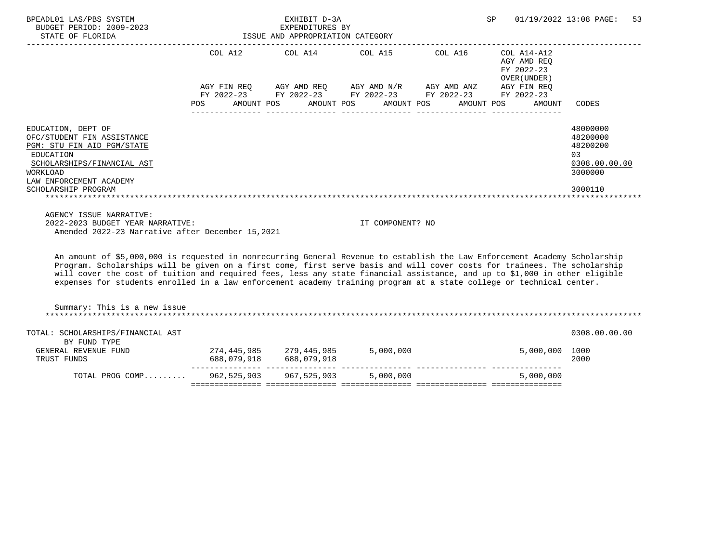| BPEADL01 LAS/PBS SYSTEM<br>BUDGET PERIOD: 2009-2023                                                                                                                                                                                                                                                                                                                                                                                                                                                           |                                      | EXHIBIT D-3A<br>EXPENDITURES BY  |                  |                                                                                                                       | SP                                                                | 01/19/2022 13:08 PAGE:<br>53                                       |
|---------------------------------------------------------------------------------------------------------------------------------------------------------------------------------------------------------------------------------------------------------------------------------------------------------------------------------------------------------------------------------------------------------------------------------------------------------------------------------------------------------------|--------------------------------------|----------------------------------|------------------|-----------------------------------------------------------------------------------------------------------------------|-------------------------------------------------------------------|--------------------------------------------------------------------|
| STATE OF FLORIDA                                                                                                                                                                                                                                                                                                                                                                                                                                                                                              |                                      | ISSUE AND APPROPRIATION CATEGORY |                  |                                                                                                                       |                                                                   |                                                                    |
|                                                                                                                                                                                                                                                                                                                                                                                                                                                                                                               | POS AMOUNT POS AMOUNT POS AMOUNT POS |                                  |                  | AGY FIN REQ AGY AMD REQ AGY AMD N/R AGY AMD ANZ AGY FIN REQ<br>FY 2022-23 FY 2022-23 FY 2022-23 FY 2022-23 FY 2022-23 | AGY AMD REQ<br>FY 2022-23<br>OVER (UNDER)<br>AMOUNT POS<br>AMOUNT | CODES                                                              |
| EDUCATION, DEPT OF<br>OFC/STUDENT FIN ASSISTANCE<br>PGM: STU FIN AID PGM/STATE<br>EDUCATION<br>SCHOLARSHIPS/FINANCIAL AST<br><b>WORKLOAD</b>                                                                                                                                                                                                                                                                                                                                                                  |                                      |                                  |                  |                                                                                                                       |                                                                   | 48000000<br>48200000<br>48200200<br>03<br>0308.00.00.00<br>3000000 |
| LAW ENFORCEMENT ACADEMY<br>SCHOLARSHIP PROGRAM                                                                                                                                                                                                                                                                                                                                                                                                                                                                |                                      |                                  |                  |                                                                                                                       |                                                                   | 3000110                                                            |
| AGENCY ISSUE NARRATIVE:<br>2022-2023 BUDGET YEAR NARRATIVE:<br>Amended 2022-23 Narrative after December 15,2021                                                                                                                                                                                                                                                                                                                                                                                               |                                      |                                  | IT COMPONENT? NO |                                                                                                                       |                                                                   |                                                                    |
| An amount of \$5,000,000 is requested in nonrecurring General Revenue to establish the Law Enforcement Academy Scholarship<br>Program. Scholarships will be given on a first come, first serve basis and will cover costs for trainees. The scholarship<br>will cover the cost of tuition and required fees, less any state financial assistance, and up to \$1,000 in other eligible<br>expenses for students enrolled in a law enforcement academy training program at a state college or technical center. |                                      |                                  |                  |                                                                                                                       |                                                                   |                                                                    |
| Summary: This is a new issue                                                                                                                                                                                                                                                                                                                                                                                                                                                                                  |                                      |                                  |                  |                                                                                                                       |                                                                   |                                                                    |
| TOTAL: SCHOLARSHIPS/FINANCIAL AST<br>BY FUND TYPE                                                                                                                                                                                                                                                                                                                                                                                                                                                             |                                      |                                  |                  |                                                                                                                       |                                                                   | 0308.00.00.00                                                      |
| GENERAL REVENUE FUND<br>TRUST FUNDS                                                                                                                                                                                                                                                                                                                                                                                                                                                                           | 274,445,985 279,445,985              |                                  |                  | 5,000,000                                                                                                             | 5,000,000 1000                                                    | 2000                                                               |
| TOTAL PROG COMP                                                                                                                                                                                                                                                                                                                                                                                                                                                                                               |                                      | 962, 525, 903 967, 525, 903      | 5,000,000        |                                                                                                                       | 5,000,000                                                         |                                                                    |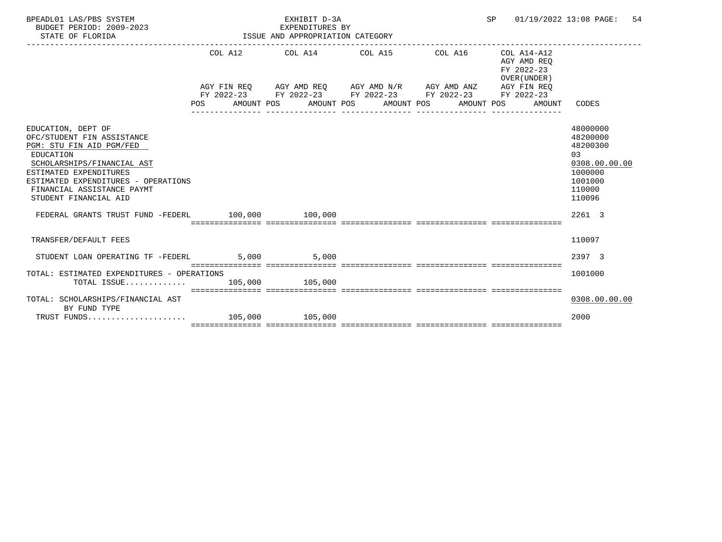| BPEADL01 LAS/PBS SYSTEM<br>BUDGET PERIOD: 2009-2023<br>STATE OF FLORIDA                                                                                                                                                                         |         | EXHIBIT D-3A<br>EXPENDITURES BY<br>ISSUE AND APPROPRIATION CATEGORY | SP 01/19/2022 13:08 PAGE:                                                                                                                                 | 54                                        |                                                                                                               |
|-------------------------------------------------------------------------------------------------------------------------------------------------------------------------------------------------------------------------------------------------|---------|---------------------------------------------------------------------|-----------------------------------------------------------------------------------------------------------------------------------------------------------|-------------------------------------------|---------------------------------------------------------------------------------------------------------------|
|                                                                                                                                                                                                                                                 |         |                                                                     | COL A12 COL A14 COL A15 COL A16 COL A14-A12                                                                                                               | AGY AMD REO<br>FY 2022-23<br>OVER (UNDER) |                                                                                                               |
|                                                                                                                                                                                                                                                 | POS FOR | AMOUNT POS                                                          | AGY FIN REQ AGY AMD REQ AGY AMD N/R AGY AMD ANZ AGY FIN REQ<br>FY 2022–23 FY 2022–23 FY 2022–23 FY 2022–23 FY 2022–23<br>AMOUNT POS AMOUNT POS AMOUNT POS | AMOUNT                                    | CODES                                                                                                         |
| EDUCATION, DEPT OF<br>OFC/STUDENT FIN ASSISTANCE<br>PGM: STU FIN AID PGM/FED<br>EDUCATION<br>SCHOLARSHIPS/FINANCIAL AST<br>ESTIMATED EXPENDITURES<br>ESTIMATED EXPENDITURES - OPERATIONS<br>FINANCIAL ASSISTANCE PAYMT<br>STUDENT FINANCIAL AID |         |                                                                     |                                                                                                                                                           |                                           | 48000000<br>48200000<br>48200300<br>0 <sub>3</sub><br>0308.00.00.00<br>1000000<br>1001000<br>110000<br>110096 |
| FEDERAL GRANTS TRUST FUND -FEDERL 100,000 100,000                                                                                                                                                                                               |         |                                                                     |                                                                                                                                                           |                                           | 2261 3                                                                                                        |
| TRANSFER/DEFAULT FEES                                                                                                                                                                                                                           |         |                                                                     |                                                                                                                                                           |                                           | 110097                                                                                                        |
| STUDENT LOAN OPERATING TF -FEDERL                                                                                                                                                                                                               |         | 5,000 5,000                                                         |                                                                                                                                                           |                                           | 2397 3                                                                                                        |
| TOTAL: ESTIMATED EXPENDITURES - OPERATIONS<br>TOTAL ISSUE 105,000 105,000                                                                                                                                                                       |         |                                                                     |                                                                                                                                                           |                                           | 1001000                                                                                                       |
| TOTAL: SCHOLARSHIPS/FINANCIAL AST<br>BY FUND TYPE                                                                                                                                                                                               |         |                                                                     |                                                                                                                                                           |                                           | 0308.00.00.00                                                                                                 |
|                                                                                                                                                                                                                                                 |         |                                                                     |                                                                                                                                                           |                                           | 2000                                                                                                          |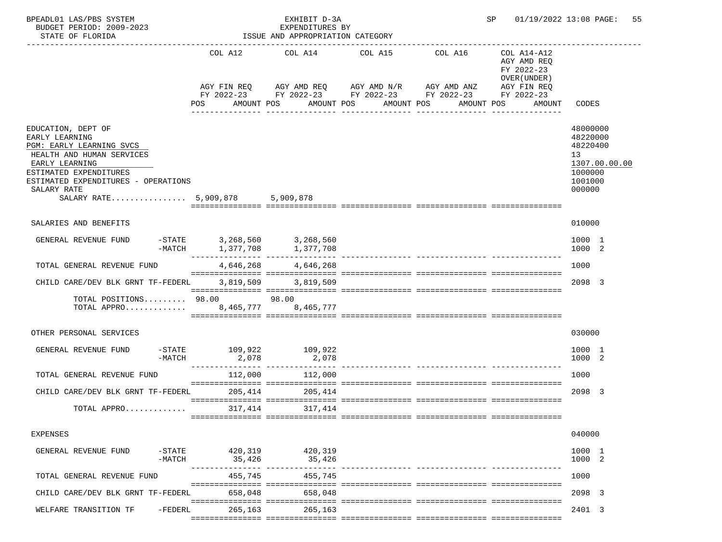| BPEADL01 LAS/PBS SYSTEM<br>BUDGET PERIOD: 2009-2023<br>STATE OF FLORIDA                                                                                                                                                            |                                                          | EXHIBIT D-3A<br>EXPENDITURES BY<br>ISSUE AND APPROPRIATION CATEGORY |                                                                                                                                                                    | SP                    |                                                                                   | 01/19/2022 13:08 PAGE:<br>55                                                            |
|------------------------------------------------------------------------------------------------------------------------------------------------------------------------------------------------------------------------------------|----------------------------------------------------------|---------------------------------------------------------------------|--------------------------------------------------------------------------------------------------------------------------------------------------------------------|-----------------------|-----------------------------------------------------------------------------------|-----------------------------------------------------------------------------------------|
|                                                                                                                                                                                                                                    | COL A12<br>POS                                           | COL A14<br>AMOUNT POS                                               | COL A15<br>AGY FIN REQ AGY AMD REQ AGY AMD N/R AGY AMD ANZ<br>FY 2022-23 FY 2022-23 FY 2022-23 FY 2022-23 FY 2022-23<br>AMOUNT POS<br>AMOUNT POS<br>-------------- | COL A16<br>AMOUNT POS | COL A14-A12<br>AGY AMD REQ<br>FY 2022-23<br>OVER (UNDER)<br>AGY FIN REQ<br>AMOUNT | CODES                                                                                   |
| EDUCATION, DEPT OF<br>EARLY LEARNING<br>PGM: EARLY LEARNING SVCS<br>HEALTH AND HUMAN SERVICES<br>EARLY LEARNING<br>ESTIMATED EXPENDITURES<br>ESTIMATED EXPENDITURES - OPERATIONS<br>SALARY RATE<br>SALARY RATE 5,909,878 5,909,878 |                                                          |                                                                     |                                                                                                                                                                    |                       |                                                                                   | 48000000<br>48220000<br>48220400<br>13<br>1307.00.00.00<br>1000000<br>1001000<br>000000 |
| SALARIES AND BENEFITS                                                                                                                                                                                                              |                                                          |                                                                     |                                                                                                                                                                    |                       |                                                                                   | 010000                                                                                  |
| GENERAL REVENUE FUND                                                                                                                                                                                                               | =STATE 3,268,560 3,268,560<br>-MATCH 1,377,708 1,377,708 |                                                                     |                                                                                                                                                                    |                       |                                                                                   | 1000 1<br>1000 2                                                                        |
| TOTAL GENERAL REVENUE FUND                                                                                                                                                                                                         |                                                          | 4,646,268 4,646,268                                                 |                                                                                                                                                                    |                       |                                                                                   | 1000                                                                                    |
| CHILD CARE/DEV BLK GRNT TF-FEDERL<br>TOTAL POSITIONS 98.00 98.00<br>TOTAL APPRO 8,465,777 8,465,777                                                                                                                                |                                                          | 3,819,509 3,819,509                                                 |                                                                                                                                                                    |                       |                                                                                   | 2098 3                                                                                  |
| OTHER PERSONAL SERVICES                                                                                                                                                                                                            |                                                          |                                                                     |                                                                                                                                                                    |                       |                                                                                   | 030000                                                                                  |
| GENERAL REVENUE FUND<br>-MATCH                                                                                                                                                                                                     | -STATE 109,922 109,922<br>2,078                          | 2,078                                                               | ______________ __________________                                                                                                                                  |                       |                                                                                   | 1000 1<br>1000 2                                                                        |
| TOTAL GENERAL REVENUE FUND                                                                                                                                                                                                         | 112,000                                                  | 112,000                                                             |                                                                                                                                                                    |                       |                                                                                   | 1000                                                                                    |
| CHILD CARE/DEV BLK GRNT TF-FEDERL                                                                                                                                                                                                  | 205,414                                                  | 205,414                                                             |                                                                                                                                                                    |                       |                                                                                   | 2098 3                                                                                  |
| TOTAL APPRO                                                                                                                                                                                                                        | 317,414                                                  | 317,414                                                             |                                                                                                                                                                    |                       |                                                                                   |                                                                                         |
| EXPENSES                                                                                                                                                                                                                           |                                                          |                                                                     |                                                                                                                                                                    |                       |                                                                                   | 040000                                                                                  |
| GENERAL REVENUE FUND<br>$-MATCH$                                                                                                                                                                                                   | -STATE 420,319 420,319<br>35,426                         | 35,426                                                              |                                                                                                                                                                    |                       |                                                                                   | 1000 1<br>1000 2                                                                        |
| TOTAL GENERAL REVENUE FUND                                                                                                                                                                                                         | 455,745                                                  | 455,745                                                             | ---------------- -------------                                                                                                                                     |                       |                                                                                   | 1000                                                                                    |
| CHILD CARE/DEV BLK GRNT TF-FEDERL                                                                                                                                                                                                  | 658,048                                                  | 658,048                                                             |                                                                                                                                                                    |                       |                                                                                   | 2098 3                                                                                  |
| $-FEDERL$<br>WELFARE TRANSITION TF                                                                                                                                                                                                 | 265,163                                                  | 265,163                                                             |                                                                                                                                                                    |                       |                                                                                   | 2401 3                                                                                  |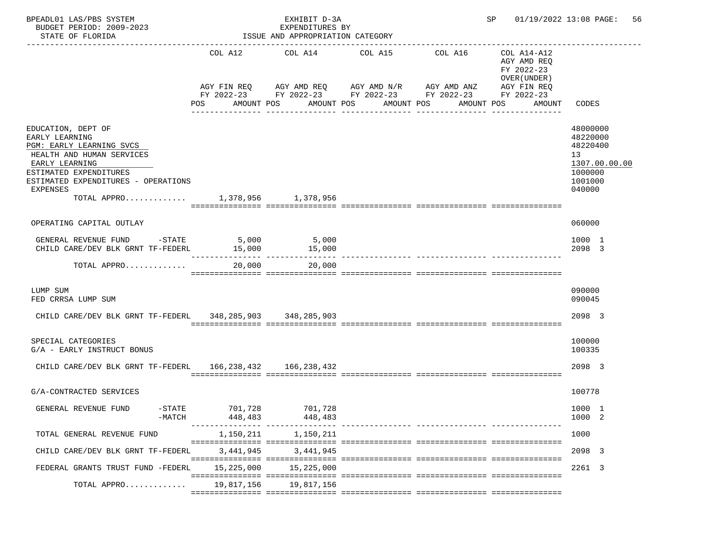| _________________________<br>COL A12<br>COL A14 COL A15<br>COL A16<br>COL A14-A12<br>AGY AMD REQ<br>FY 2022-23<br>OVER (UNDER)<br>AGY FIN REQ AGY AMD REQ AGY AMD N/R AGY AMD ANZ<br>AGY FIN REQ<br>FY 2022-23 FY 2022-23 FY 2022-23 FY 2022-23<br>FY 2022-23<br>POS<br>AMOUNT POS<br>AMOUNT POS<br>AMOUNT POS<br>AMOUNT POS<br>AMOUNT<br>CODES<br>____________<br>48000000<br>EDUCATION, DEPT OF<br>48220000<br>EARLY LEARNING<br>48220400<br>PGM: EARLY LEARNING SVCS<br>HEALTH AND HUMAN SERVICES<br>13<br>EARLY LEARNING<br>1307.00.00.00<br>ESTIMATED EXPENDITURES<br>1000000<br>ESTIMATED EXPENDITURES - OPERATIONS<br>1001000<br>EXPENSES<br>040000<br>TOTAL APPRO 1,378,956 1,378,956<br>OPERATING CAPITAL OUTLAY<br>060000<br>GENERAL REVENUE FUND -STATE 5,000 5,000<br>1000 1<br>15,000<br>CHILD CARE/DEV BLK GRNT TF-FEDERL<br>15,000<br>2098 3<br>20,000<br>20,000<br>TOTAL APPRO<br>090000<br>LUMP SUM<br>FED CRRSA LUMP SUM<br>090045<br>CHILD CARE/DEV BLK GRNT TF-FEDERL 348, 285, 903 348, 285, 903<br>2098 3<br>SPECIAL CATEGORIES<br>100000<br>G/A - EARLY INSTRUCT BONUS<br>100335 |  |
|---------------------------------------------------------------------------------------------------------------------------------------------------------------------------------------------------------------------------------------------------------------------------------------------------------------------------------------------------------------------------------------------------------------------------------------------------------------------------------------------------------------------------------------------------------------------------------------------------------------------------------------------------------------------------------------------------------------------------------------------------------------------------------------------------------------------------------------------------------------------------------------------------------------------------------------------------------------------------------------------------------------------------------------------------------------------------------------------------------|--|
|                                                                                                                                                                                                                                                                                                                                                                                                                                                                                                                                                                                                                                                                                                                                                                                                                                                                                                                                                                                                                                                                                                         |  |
|                                                                                                                                                                                                                                                                                                                                                                                                                                                                                                                                                                                                                                                                                                                                                                                                                                                                                                                                                                                                                                                                                                         |  |
|                                                                                                                                                                                                                                                                                                                                                                                                                                                                                                                                                                                                                                                                                                                                                                                                                                                                                                                                                                                                                                                                                                         |  |
|                                                                                                                                                                                                                                                                                                                                                                                                                                                                                                                                                                                                                                                                                                                                                                                                                                                                                                                                                                                                                                                                                                         |  |
|                                                                                                                                                                                                                                                                                                                                                                                                                                                                                                                                                                                                                                                                                                                                                                                                                                                                                                                                                                                                                                                                                                         |  |
|                                                                                                                                                                                                                                                                                                                                                                                                                                                                                                                                                                                                                                                                                                                                                                                                                                                                                                                                                                                                                                                                                                         |  |
|                                                                                                                                                                                                                                                                                                                                                                                                                                                                                                                                                                                                                                                                                                                                                                                                                                                                                                                                                                                                                                                                                                         |  |
|                                                                                                                                                                                                                                                                                                                                                                                                                                                                                                                                                                                                                                                                                                                                                                                                                                                                                                                                                                                                                                                                                                         |  |
| CHILD CARE/DEV BLK GRNT TF-FEDERL 166, 238, 432 166, 238, 432<br>2098 3                                                                                                                                                                                                                                                                                                                                                                                                                                                                                                                                                                                                                                                                                                                                                                                                                                                                                                                                                                                                                                 |  |
| 100778<br>G/A-CONTRACTED SERVICES                                                                                                                                                                                                                                                                                                                                                                                                                                                                                                                                                                                                                                                                                                                                                                                                                                                                                                                                                                                                                                                                       |  |
| GENERAL REVENUE FUND<br>$-$ STATE<br>701,728<br>701,728<br>1000 1<br>$-MATCH$<br>1000 2<br>448,483<br>448,483                                                                                                                                                                                                                                                                                                                                                                                                                                                                                                                                                                                                                                                                                                                                                                                                                                                                                                                                                                                           |  |
| 1,150,211<br>1,150,211<br>TOTAL GENERAL REVENUE FUND<br>1000                                                                                                                                                                                                                                                                                                                                                                                                                                                                                                                                                                                                                                                                                                                                                                                                                                                                                                                                                                                                                                            |  |
| 3,441,945<br>3,441,945<br>CHILD CARE/DEV BLK GRNT TF-FEDERL<br>2098 3                                                                                                                                                                                                                                                                                                                                                                                                                                                                                                                                                                                                                                                                                                                                                                                                                                                                                                                                                                                                                                   |  |
| 15,225,000<br>15,225,000<br>FEDERAL GRANTS TRUST FUND -FEDERL<br>2261 3                                                                                                                                                                                                                                                                                                                                                                                                                                                                                                                                                                                                                                                                                                                                                                                                                                                                                                                                                                                                                                 |  |
| 19,817,156<br>19,817,156<br>TOTAL APPRO                                                                                                                                                                                                                                                                                                                                                                                                                                                                                                                                                                                                                                                                                                                                                                                                                                                                                                                                                                                                                                                                 |  |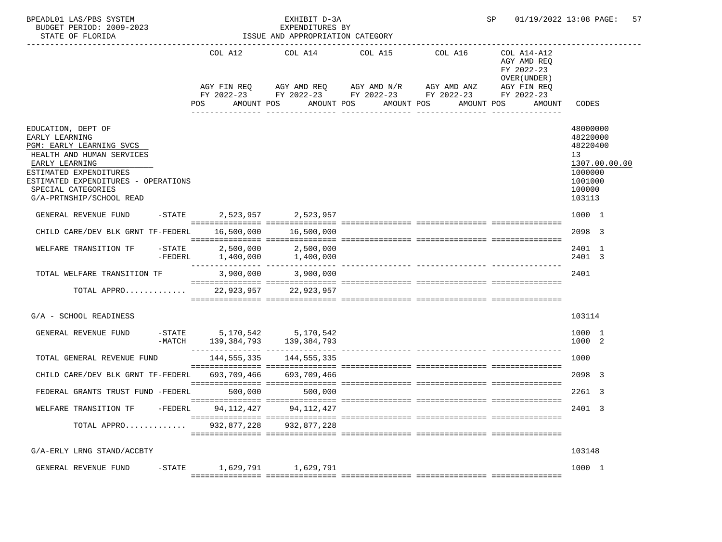| BPEADL01 LAS/PBS SYSTEM<br>BUDGET PERIOD: 2009-2023<br>STATE OF FLORIDA                                                                                                                                                            |           |                            | EXHIBIT D-3A<br>EXPENDITURES BY<br>ISSUE AND APPROPRIATION CATEGORY |                                                                                                                                                  |                                     | SP                                                                 | 01/19/2022 13:08 PAGE:<br>-57                                                                     |
|------------------------------------------------------------------------------------------------------------------------------------------------------------------------------------------------------------------------------------|-----------|----------------------------|---------------------------------------------------------------------|--------------------------------------------------------------------------------------------------------------------------------------------------|-------------------------------------|--------------------------------------------------------------------|---------------------------------------------------------------------------------------------------|
|                                                                                                                                                                                                                                    |           | POS                        | AMOUNT POS AMOUNT POS                                               | COL A12 COL A14 COL A15<br>AGY FIN REQ AGY AMD REQ AGY AMD N/R AGY AMD ANZ AGY FIN REQ<br>FY 2022-23 FY 2022-23 FY 2022-23 FY 2022-23 FY 2022-23 | COL A16<br>AMOUNT POS<br>AMOUNT POS | COL A14-A12<br>AGY AMD REQ<br>FY 2022-23<br>OVER (UNDER)<br>AMOUNT | CODES                                                                                             |
| EDUCATION, DEPT OF<br>EARLY LEARNING<br>PGM: EARLY LEARNING SVCS<br>HEALTH AND HUMAN SERVICES<br>EARLY LEARNING<br>ESTIMATED EXPENDITURES<br>ESTIMATED EXPENDITURES - OPERATIONS<br>SPECIAL CATEGORIES<br>G/A-PRTNSHIP/SCHOOL READ |           |                            |                                                                     |                                                                                                                                                  |                                     |                                                                    | 48000000<br>48220000<br>48220400<br>13<br>1307.00.00.00<br>1000000<br>1001000<br>100000<br>103113 |
| GENERAL REVENUE FUND                                                                                                                                                                                                               |           |                            | -STATE 2,523,957 2,523,957                                          |                                                                                                                                                  |                                     |                                                                    | 1000 1                                                                                            |
| CHILD CARE/DEV BLK GRNT TF-FEDERL                                                                                                                                                                                                  |           |                            | 16,500,000 16,500,000                                               |                                                                                                                                                  |                                     |                                                                    | 2098 3                                                                                            |
| WELFARE TRANSITION TF                                                                                                                                                                                                              |           | -STATE 2,500,000 2,500,000 |                                                                     |                                                                                                                                                  |                                     |                                                                    | 2401 1<br>2401 3                                                                                  |
| TOTAL WELFARE TRANSITION TF                                                                                                                                                                                                        |           |                            | 3,900,000 3,900,000                                                 |                                                                                                                                                  |                                     |                                                                    | 2401                                                                                              |
| TOTAL APPRO $\ldots \ldots \ldots$ 22,923,957 22,923,957                                                                                                                                                                           |           |                            |                                                                     |                                                                                                                                                  |                                     |                                                                    |                                                                                                   |
| G/A - SCHOOL READINESS                                                                                                                                                                                                             |           |                            |                                                                     |                                                                                                                                                  |                                     |                                                                    | 103114                                                                                            |
| GENERAL REVENUE FUND -STATE 5,170,542 5,170,542                                                                                                                                                                                    | -MATCH    |                            | 139, 384, 793 139, 384, 793                                         |                                                                                                                                                  |                                     |                                                                    | 1000 1<br>1000 2                                                                                  |
| TOTAL GENERAL REVENUE FUND                                                                                                                                                                                                         |           |                            | 144, 555, 335 144, 555, 335                                         |                                                                                                                                                  |                                     |                                                                    | 1000                                                                                              |
| CHILD CARE/DEV BLK GRNT TF-FEDERL 693,709,466 693,709,466                                                                                                                                                                          |           |                            |                                                                     |                                                                                                                                                  |                                     |                                                                    | 2098 3                                                                                            |
| FEDERAL GRANTS TRUST FUND -FEDERL 500,000                                                                                                                                                                                          |           |                            | 500,000                                                             |                                                                                                                                                  |                                     |                                                                    | 2261 3                                                                                            |
| WELFARE TRANSITION TF                                                                                                                                                                                                              | $-FEDERL$ | 94,112,427                 | 94,112,427                                                          |                                                                                                                                                  |                                     |                                                                    | 2401 3                                                                                            |
| TOTAL APPRO                                                                                                                                                                                                                        |           | 932,877,228                | 932,877,228                                                         |                                                                                                                                                  |                                     |                                                                    |                                                                                                   |
| G/A-ERLY LRNG STAND/ACCBTY                                                                                                                                                                                                         |           |                            |                                                                     |                                                                                                                                                  |                                     |                                                                    | 103148                                                                                            |
| GENERAL REVENUE FUND                                                                                                                                                                                                               | $-$ STATE |                            | 1,629,791 1,629,791                                                 |                                                                                                                                                  |                                     |                                                                    | 1000 1                                                                                            |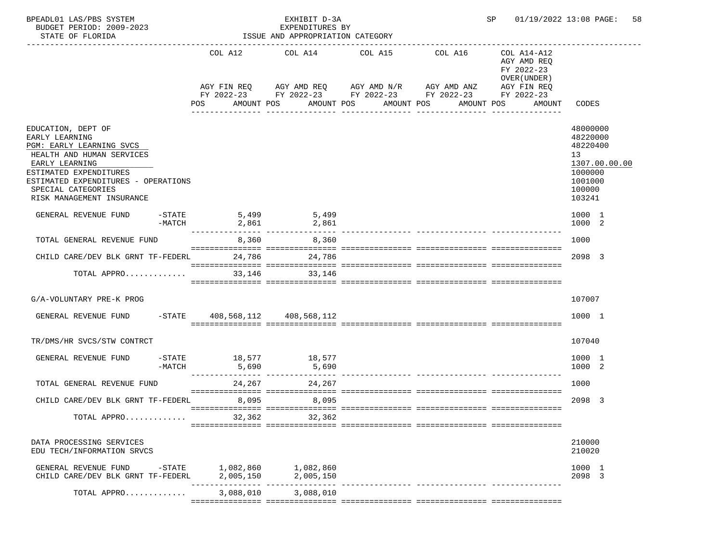| BPEADL01 LAS/PBS SYSTEM<br>BUDGET PERIOD: 2009-2023<br>STATE OF FLORIDA                                          |                     |                                   | EXHIBIT D-3A<br>EXPENDITURES BY<br>ISSUE AND APPROPRIATION CATEGORY | 01/19/2022 13:08 PAGE:<br>SP |                                                                                                           |                                                                                       |                                                         |
|------------------------------------------------------------------------------------------------------------------|---------------------|-----------------------------------|---------------------------------------------------------------------|------------------------------|-----------------------------------------------------------------------------------------------------------|---------------------------------------------------------------------------------------|---------------------------------------------------------|
|                                                                                                                  |                     |                                   | COL A12 COL A14 COL A15                                             |                              | COL A16<br>AGY FIN REQ AGY AMD REQ AGY AMD N/R AGY AMD ANZ<br>FY 2022-23 FY 2022-23 FY 2022-23 FY 2022-23 | COL A14-A12<br>AGY AMD REQ<br>FY 2022-23<br>OVER (UNDER)<br>AGY FIN REQ<br>FY 2022-23 |                                                         |
|                                                                                                                  |                     | POS                               | AMOUNT POS                                                          | AMOUNT POS                   | AMOUNT POS<br>AMOUNT POS                                                                                  | AMOUNT                                                                                | CODES                                                   |
| EDUCATION, DEPT OF<br>EARLY LEARNING<br>PGM: EARLY LEARNING SVCS<br>HEALTH AND HUMAN SERVICES<br>EARLY LEARNING  |                     |                                   |                                                                     |                              |                                                                                                           |                                                                                       | 48000000<br>48220000<br>48220400<br>13<br>1307.00.00.00 |
| ESTIMATED EXPENDITURES<br>ESTIMATED EXPENDITURES - OPERATIONS<br>SPECIAL CATEGORIES<br>RISK MANAGEMENT INSURANCE |                     |                                   |                                                                     |                              |                                                                                                           |                                                                                       | 1000000<br>1001000<br>100000<br>103241                  |
| GENERAL REVENUE FUND                                                                                             | $-$ STATE<br>-MATCH | 5,499<br>2,861<br>_______________ | 5,499<br>2,861                                                      |                              |                                                                                                           |                                                                                       | 1000 1<br>1000 2                                        |
| TOTAL GENERAL REVENUE FUND                                                                                       |                     |                                   | 8,360<br>8,360                                                      |                              |                                                                                                           |                                                                                       | 1000                                                    |
| CHILD CARE/DEV BLK GRNT TF-FEDERL 24,786 24,786                                                                  |                     |                                   |                                                                     |                              |                                                                                                           |                                                                                       | 2098 3                                                  |
| TOTAL APPRO                                                                                                      |                     | 33,146                            | 33,146                                                              |                              |                                                                                                           |                                                                                       |                                                         |
| G/A-VOLUNTARY PRE-K PROG                                                                                         |                     |                                   |                                                                     |                              |                                                                                                           |                                                                                       | 107007                                                  |
| GENERAL REVENUE FUND                                                                                             |                     | $-$ STATE 408,568,112 408,568,112 |                                                                     |                              |                                                                                                           |                                                                                       | 1000 1                                                  |
| TR/DMS/HR SVCS/STW CONTRCT                                                                                       |                     |                                   |                                                                     |                              |                                                                                                           |                                                                                       | 107040                                                  |
| GENERAL REVENUE FUND                                                                                             | $-MATCH$            | $-$ STATE $18,577$<br>5,690       | 18,577<br>5,690                                                     |                              |                                                                                                           |                                                                                       | 1000 1<br>1000 2                                        |
| TOTAL GENERAL REVENUE FUND                                                                                       |                     | 24,267                            | 24,267                                                              |                              |                                                                                                           |                                                                                       | 1000                                                    |
| CHILD CARE/DEV BLK GRNT TF-FEDERL                                                                                |                     | 8,095                             | 8,095                                                               |                              |                                                                                                           |                                                                                       | 2098 3                                                  |
| TOTAL APPRO                                                                                                      |                     | 32,362                            | 32,362                                                              |                              |                                                                                                           |                                                                                       |                                                         |
| DATA PROCESSING SERVICES<br>EDU TECH/INFORMATION SRVCS                                                           |                     |                                   |                                                                     |                              |                                                                                                           |                                                                                       | 210000<br>210020                                        |
| GENERAL REVENUE FUND<br>CHILD CARE/DEV BLK GRNT TF-FEDERL                                                        |                     | $-STATE$ 1,082,860 1,082,860      |                                                                     |                              |                                                                                                           |                                                                                       | 1000 1<br>2098 3                                        |
| TOTAL APPRO                                                                                                      |                     |                                   | 3,088,010 3,088,010                                                 |                              |                                                                                                           |                                                                                       |                                                         |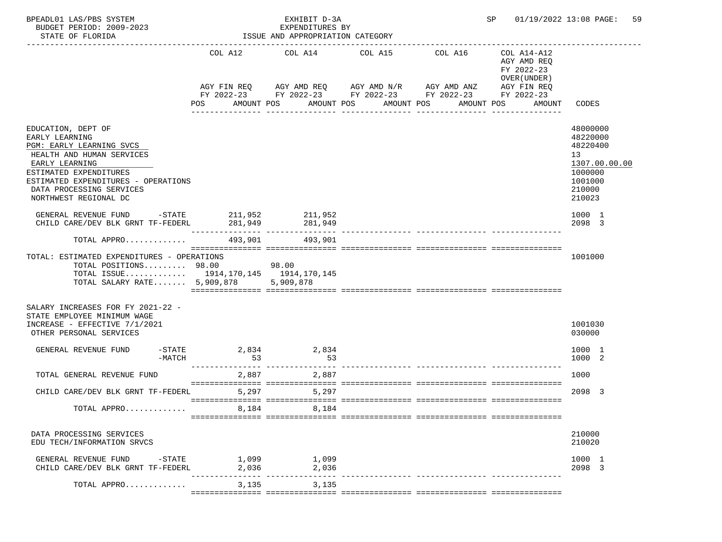| BPEADL01 LAS/PBS SYSTEM<br>BUDGET PERIOD: 2009-2023<br>STATE OF FLORIDA                                                                                                                                                               |                | EXHIBIT D-3A<br>EXPENDITURES BY<br>ISSUE AND APPROPRIATION CATEGORY |                                                                                                                                                                                      | SP              | 01/19/2022 13:08 PAGE:<br>59                                                                    |                                                                                                                |
|---------------------------------------------------------------------------------------------------------------------------------------------------------------------------------------------------------------------------------------|----------------|---------------------------------------------------------------------|--------------------------------------------------------------------------------------------------------------------------------------------------------------------------------------|-----------------|-------------------------------------------------------------------------------------------------|----------------------------------------------------------------------------------------------------------------|
|                                                                                                                                                                                                                                       | COL A12<br>POS | AMOUNT POS<br>----------------                                      | COL A14 COL A15 COL A16<br>AGY FIN REQ AGY AMD REQ AGY AMD N/R AGY AMD ANZ<br>FY 2022-23 FY 2022-23 FY 2022-23 FY 2022-23 FY 2022-23<br>AMOUNT POS<br>AMOUNT POS<br>________________ | --------------- | COL A14-A12<br>AGY AMD REO<br>FY 2022-23<br>OVER (UNDER)<br>AGY FIN REQ<br>AMOUNT POS<br>AMOUNT | CODES                                                                                                          |
| EDUCATION, DEPT OF<br>EARLY LEARNING<br>PGM: EARLY LEARNING SVCS<br>HEALTH AND HUMAN SERVICES<br>EARLY LEARNING<br>ESTIMATED EXPENDITURES<br>ESTIMATED EXPENDITURES - OPERATIONS<br>DATA PROCESSING SERVICES<br>NORTHWEST REGIONAL DC |                |                                                                     |                                                                                                                                                                                      |                 |                                                                                                 | 48000000<br>48220000<br>48220400<br>13 <sup>°</sup><br>1307.00.00.00<br>1000000<br>1001000<br>210000<br>210023 |
| GENERAL REVENUE FUND $-$ STATE 211,952 211,952<br>CHILD CARE/DEV BLK GRNT TF-FEDERL                                                                                                                                                   | 281,949        | 281,949                                                             |                                                                                                                                                                                      |                 |                                                                                                 | 1000 1<br>2098 3                                                                                               |
| TOTAL APPRO                                                                                                                                                                                                                           | 493,901        | 493,901                                                             |                                                                                                                                                                                      |                 |                                                                                                 |                                                                                                                |
| TOTAL: ESTIMATED EXPENDITURES - OPERATIONS<br>TOTAL POSITIONS 98.00<br>TOTAL ISSUE 1914,170,145 1914,170,145<br>TOTAL SALARY RATE 5,909,878 5,909,878                                                                                 |                | 98.00                                                               |                                                                                                                                                                                      |                 |                                                                                                 | 1001000                                                                                                        |
| SALARY INCREASES FOR FY 2021-22 -<br>STATE EMPLOYEE MINIMUM WAGE<br>INCREASE - EFFECTIVE 7/1/2021<br>OTHER PERSONAL SERVICES                                                                                                          |                |                                                                     |                                                                                                                                                                                      |                 |                                                                                                 | 1001030<br>030000                                                                                              |
| $-$ STATE<br>GENERAL REVENUE FUND<br>$-MATCH$                                                                                                                                                                                         | 2,834<br>53    | 2,834<br>53                                                         |                                                                                                                                                                                      |                 |                                                                                                 | 1000 1<br>1000 2                                                                                               |
| TOTAL GENERAL REVENUE FUND                                                                                                                                                                                                            | 2,887          | 2,887                                                               |                                                                                                                                                                                      |                 |                                                                                                 | 1000                                                                                                           |
| CHILD CARE/DEV BLK GRNT TF-FEDERL                                                                                                                                                                                                     | 5,297          | 5,297                                                               |                                                                                                                                                                                      |                 |                                                                                                 | 2098 3                                                                                                         |
| TOTAL APPRO                                                                                                                                                                                                                           | 8,184          | 8,184                                                               |                                                                                                                                                                                      |                 |                                                                                                 |                                                                                                                |
| DATA PROCESSING SERVICES<br>EDU TECH/INFORMATION SRVCS                                                                                                                                                                                |                |                                                                     |                                                                                                                                                                                      |                 |                                                                                                 | 210000<br>210020                                                                                               |
| GENERAL REVENUE FUND<br>-STATE<br>CHILD CARE/DEV BLK GRNT TF-FEDERL                                                                                                                                                                   | 1,099<br>2,036 | 1,099<br>2,036                                                      |                                                                                                                                                                                      |                 |                                                                                                 | 1000 1<br>2098 3                                                                                               |
| TOTAL APPRO                                                                                                                                                                                                                           | 3,135          | 3,135                                                               |                                                                                                                                                                                      |                 |                                                                                                 |                                                                                                                |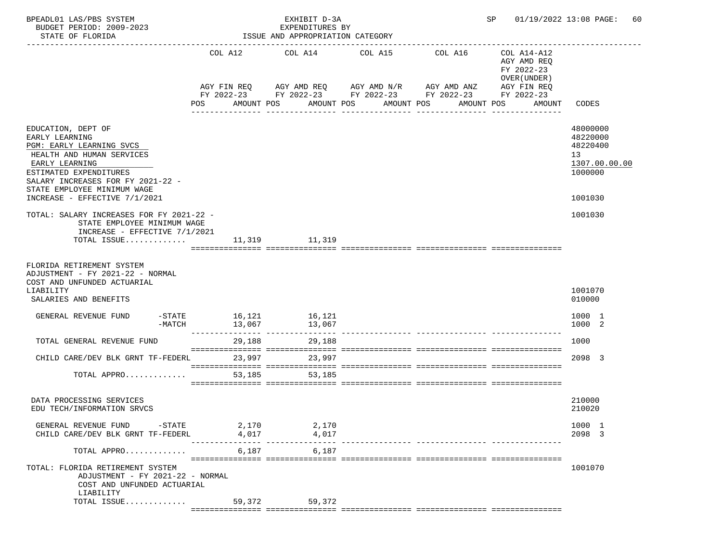| BPEADL01 LAS/PBS SYSTEM<br>BUDGET PERIOD: 2009-2023<br>STATE OF FLORIDA                                                                   |                            | EXHIBIT D-3A<br>EXPENDITURES BY<br>ISSUE AND APPROPRIATION CATEGORY |                                                                             | SP 01/19/2022 13:08 PAGE: 60                                                        |                                                                    |
|-------------------------------------------------------------------------------------------------------------------------------------------|----------------------------|---------------------------------------------------------------------|-----------------------------------------------------------------------------|-------------------------------------------------------------------------------------|--------------------------------------------------------------------|
|                                                                                                                                           | COL A12                    |                                                                     | COL A14 COL A15                                                             | COL A16<br>COL A14-A12<br>AGY AMD REQ<br>FY 2022-23<br>OVER (UNDER)                 |                                                                    |
|                                                                                                                                           | POS                        | AMOUNT POS                                                          | AGY FIN REQ AGY AMD REQ AGY AMD N/R AGY AMD ANZ<br>AMOUNT POS<br>AMOUNT POS | AGY FIN REQ<br>FY 2022-23 FY 2022-23 FY 2022-23 FY 2022-23 FY 2022-23<br>AMOUNT POS | AMOUNT<br>CODES                                                    |
| EDUCATION, DEPT OF<br>EARLY LEARNING<br>PGM: EARLY LEARNING SVCS<br>HEALTH AND HUMAN SERVICES<br>EARLY LEARNING<br>ESTIMATED EXPENDITURES |                            |                                                                     | -------------                                                               | -----------                                                                         | 48000000<br>48220000<br>48220400<br>13<br>1307.00.00.00<br>1000000 |
| SALARY INCREASES FOR FY 2021-22 -<br>STATE EMPLOYEE MINIMUM WAGE<br>INCREASE - EFFECTIVE 7/1/2021                                         |                            |                                                                     |                                                                             |                                                                                     | 1001030                                                            |
| TOTAL: SALARY INCREASES FOR FY 2021-22 -<br>STATE EMPLOYEE MINIMUM WAGE<br>INCREASE - EFFECTIVE $7/1/2021$<br>TOTAL ISSUE                 |                            | 11,319 11,319                                                       |                                                                             |                                                                                     | 1001030                                                            |
| FLORIDA RETIREMENT SYSTEM<br>ADJUSTMENT - FY 2021-22 - NORMAL<br>COST AND UNFUNDED ACTUARIAL<br>LIABILITY<br>SALARIES AND BENEFITS        |                            |                                                                     |                                                                             |                                                                                     | 1001070<br>010000                                                  |
| GENERAL REVENUE FUND<br>-MATCH                                                                                                            | $-STATE$ 16, 121<br>13,067 | 16,121<br>13,067                                                    |                                                                             |                                                                                     | 1000 1<br>1000 2                                                   |
| TOTAL GENERAL REVENUE FUND                                                                                                                |                            | 29,188 29,188                                                       |                                                                             |                                                                                     | 1000                                                               |
| CHILD CARE/DEV BLK GRNT TF-FEDERL 23,997 23,997                                                                                           |                            |                                                                     |                                                                             |                                                                                     | 2098 3                                                             |
| TOTAL APPRO                                                                                                                               | 53,185                     | 53,185                                                              |                                                                             |                                                                                     |                                                                    |
| DATA PROCESSING SERVICES<br>EDU TECH/INFORMATION SRVCS                                                                                    |                            |                                                                     |                                                                             |                                                                                     | 210000<br>210020                                                   |
| GENERAL REVENUE FUND -STATE<br>CHILD CARE/DEV BLK GRNT TF-FEDERL                                                                          | 2,170<br>4,017             | 2,170<br>4,017                                                      |                                                                             |                                                                                     | 1000 1<br>2098 3                                                   |
| TOTAL APPRO                                                                                                                               |                            | 6,187 6,187                                                         |                                                                             |                                                                                     |                                                                    |
| TOTAL: FLORIDA RETIREMENT SYSTEM<br>ADJUSTMENT - FY 2021-22 - NORMAL<br>COST AND UNFUNDED ACTUARIAL                                       |                            |                                                                     |                                                                             |                                                                                     | 1001070                                                            |
| LIABILITY<br>TOTAL ISSUE                                                                                                                  |                            | 59,372 59,372                                                       |                                                                             |                                                                                     |                                                                    |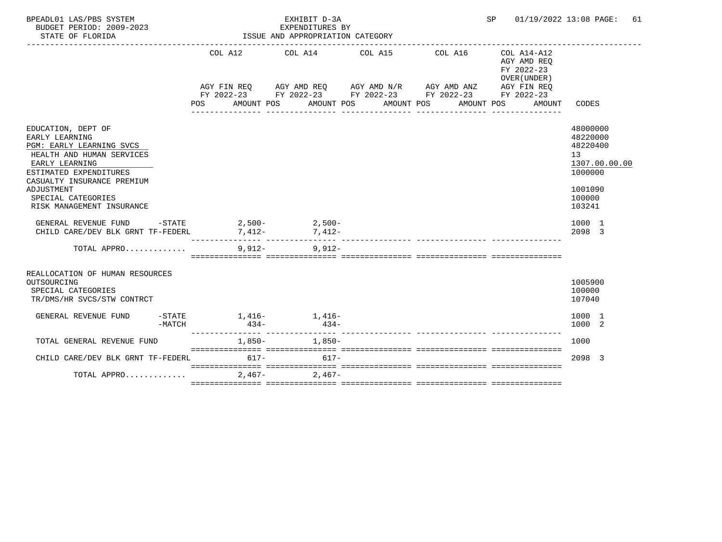| BPEADL01 LAS/PBS SYSTEM<br>BUDGET PERIOD: 2009-2023<br>STATE OF FLORIDA                                                                                                                                                                                                                                                                                      |        |                  |           | EXHIBIT D-3A<br>EXPENDITURES BY<br>ISSUE AND APPROPRIATION CATEGORY |                  |                                                                                                           | SP 01/19/2022 13:08 PAGE:                                                                                                                       | 61                                                                                                                    |
|--------------------------------------------------------------------------------------------------------------------------------------------------------------------------------------------------------------------------------------------------------------------------------------------------------------------------------------------------------------|--------|------------------|-----------|---------------------------------------------------------------------|------------------|-----------------------------------------------------------------------------------------------------------|-------------------------------------------------------------------------------------------------------------------------------------------------|-----------------------------------------------------------------------------------------------------------------------|
|                                                                                                                                                                                                                                                                                                                                                              |        | POS FOR          |           | COL A12 COL A14 COL A15                                             | ________________ | COL A16<br>AGY FIN REQ AGY AMD REQ AGY AMD N/R AGY AMD ANZ<br>AMOUNT POS AMOUNT POS AMOUNT POS AMOUNT POS | $COL A14 - A12$<br>AGY AMD REO<br>FY 2022-23<br>OVER (UNDER)<br>AGY FIN REQ<br>FY 2022-23 FY 2022-23 FY 2022-23 FY 2022-23 FY 2022-23<br>AMOUNT | CODES                                                                                                                 |
| EDUCATION, DEPT OF<br>EARLY LEARNING<br>PGM: EARLY LEARNING SVCS<br>HEALTH AND HUMAN SERVICES<br>EARLY LEARNING<br>ESTIMATED EXPENDITURES<br>CASUALTY INSURANCE PREMIUM<br>ADJUSTMENT<br>SPECIAL CATEGORIES<br>RISK MANAGEMENT INSURANCE<br>GENERAL REVENUE FUND -STATE 2,500-<br>2,500-<br>2,500-<br>CHILD CARE/DEV BLK GRNT TF-FEDERL 7,412-<br>7,412-<br> |        |                  |           |                                                                     |                  |                                                                                                           |                                                                                                                                                 | 48000000<br>48220000<br>48220400<br>13<br>1307.00.00.00<br>1000000<br>1001090<br>100000<br>103241<br>1000 1<br>2098 3 |
| TOTAL APPRO                                                                                                                                                                                                                                                                                                                                                  |        | ________________ | $9.912 -$ | $9.912 -$                                                           |                  | ----------- --------------- ----                                                                          |                                                                                                                                                 |                                                                                                                       |
| REALLOCATION OF HUMAN RESOURCES<br>OUTSOURCING<br>SPECIAL CATEGORIES<br>TR/DMS/HR SVCS/STW CONTRCT                                                                                                                                                                                                                                                           |        |                  |           |                                                                     |                  |                                                                                                           |                                                                                                                                                 | 1005900<br>100000<br>107040                                                                                           |
| GENERAL REVENUE FUND                                                                                                                                                                                                                                                                                                                                         | -MATCH |                  | $434-$    | $-$ STATE $1.416 1.416-$<br>$434-$                                  |                  |                                                                                                           |                                                                                                                                                 | 1000 1<br>1000 2                                                                                                      |
| TOTAL GENERAL REVENUE FUND                                                                                                                                                                                                                                                                                                                                   |        |                  |           | $1,850-1,850-$                                                      |                  |                                                                                                           |                                                                                                                                                 | 1000                                                                                                                  |
| CHILD CARE/DEV BLK GRNT TF-FEDERL 617- 617- 617-                                                                                                                                                                                                                                                                                                             |        |                  |           |                                                                     |                  |                                                                                                           |                                                                                                                                                 | 2098 3                                                                                                                |
| TOTAL APPRO                                                                                                                                                                                                                                                                                                                                                  |        |                  | $2.467-$  | $2.467-$                                                            |                  |                                                                                                           |                                                                                                                                                 |                                                                                                                       |
|                                                                                                                                                                                                                                                                                                                                                              |        |                  |           |                                                                     |                  |                                                                                                           |                                                                                                                                                 |                                                                                                                       |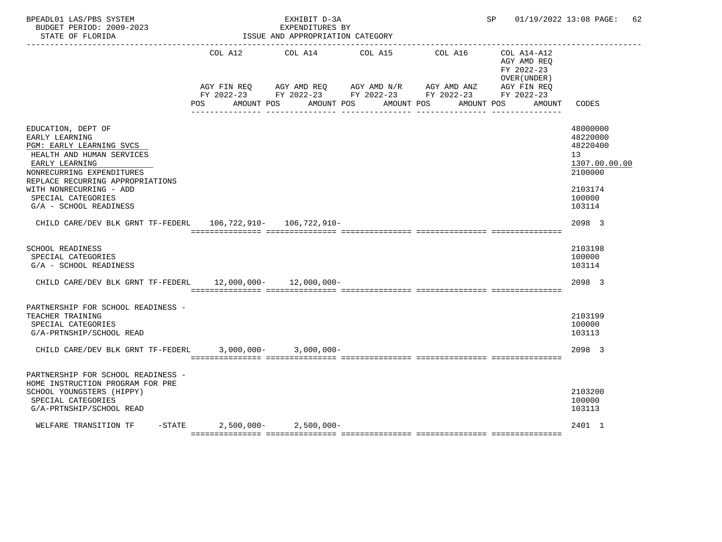| BPEADL01 LAS/PBS SYSTEM<br>BUDGET PERIOD: 2009-2023<br>STATE OF FLORIDA                                                                                                                                                                                     |                                | EXHIBIT D-3A<br>EXPENDITURES BY<br>ISSUE AND APPROPRIATION CATEGORY |                                                                                                                       |            |                                                          | SP 01/19/2022 13:08 PAGE: 62                                                                      |
|-------------------------------------------------------------------------------------------------------------------------------------------------------------------------------------------------------------------------------------------------------------|--------------------------------|---------------------------------------------------------------------|-----------------------------------------------------------------------------------------------------------------------|------------|----------------------------------------------------------|---------------------------------------------------------------------------------------------------|
|                                                                                                                                                                                                                                                             | COL A12                        | COL A14 COL A15                                                     |                                                                                                                       | COL A16    | COL A14-A12<br>AGY AMD REQ<br>FY 2022-23<br>OVER (UNDER) |                                                                                                   |
|                                                                                                                                                                                                                                                             |                                |                                                                     | AGY FIN REQ AGY AMD REQ AGY AMD N/R AGY AMD ANZ AGY FIN REQ<br>FY 2022-23 FY 2022-23 FY 2022-23 FY 2022-23 FY 2022-23 |            |                                                          |                                                                                                   |
|                                                                                                                                                                                                                                                             | AMOUNT POS<br>POS              |                                                                     | AMOUNT POS                                                                                                            | AMOUNT POS | AMOUNT POS<br>AMOUNT                                     | CODES                                                                                             |
| EDUCATION, DEPT OF<br>EARLY LEARNING<br>PGM: EARLY LEARNING SVCS<br>HEALTH AND HUMAN SERVICES<br>EARLY LEARNING<br>NONRECURRING EXPENDITURES<br>REPLACE RECURRING APPROPRIATIONS<br>WITH NONRECURRING - ADD<br>SPECIAL CATEGORIES<br>G/A - SCHOOL READINESS |                                |                                                                     |                                                                                                                       |            |                                                          | 48000000<br>48220000<br>48220400<br>13<br>1307.00.00.00<br>2100000<br>2103174<br>100000<br>103114 |
| CHILD CARE/DEV BLK GRNT TF-FEDERL 106,722,910- 106,722,910-                                                                                                                                                                                                 |                                |                                                                     |                                                                                                                       |            |                                                          | 2098 3                                                                                            |
| <b>SCHOOL READINESS</b><br>SPECIAL CATEGORIES<br>G/A - SCHOOL READINESS                                                                                                                                                                                     |                                |                                                                     |                                                                                                                       |            |                                                          | 2103198<br>100000<br>103114                                                                       |
| CHILD CARE/DEV BLK GRNT TF-FEDERL                                                                                                                                                                                                                           |                                | 12,000,000- 12,000,000-                                             |                                                                                                                       |            |                                                          | 2098 3                                                                                            |
| PARTNERSHIP FOR SCHOOL READINESS -<br>TEACHER TRAINING<br>SPECIAL CATEGORIES<br>G/A-PRTNSHIP/SCHOOL READ                                                                                                                                                    |                                |                                                                     |                                                                                                                       |            |                                                          | 2103199<br>100000<br>103113                                                                       |
| CHILD CARE/DEV BLK GRNT TF-FEDERL                                                                                                                                                                                                                           |                                | $3,000,000 - 3,000,000 -$                                           |                                                                                                                       |            |                                                          | 2098 3                                                                                            |
| PARTNERSHIP FOR SCHOOL READINESS -<br>HOME INSTRUCTION PROGRAM FOR PRE<br>SCHOOL YOUNGSTERS (HIPPY)<br>SPECIAL CATEGORIES<br>G/A-PRTNSHIP/SCHOOL READ                                                                                                       |                                |                                                                     |                                                                                                                       |            |                                                          | 2103200<br>100000<br>103113                                                                       |
| WELFARE TRANSITION TF                                                                                                                                                                                                                                       | $-STATE$ 2,500,000- 2,500,000- |                                                                     |                                                                                                                       |            |                                                          | 2401 1                                                                                            |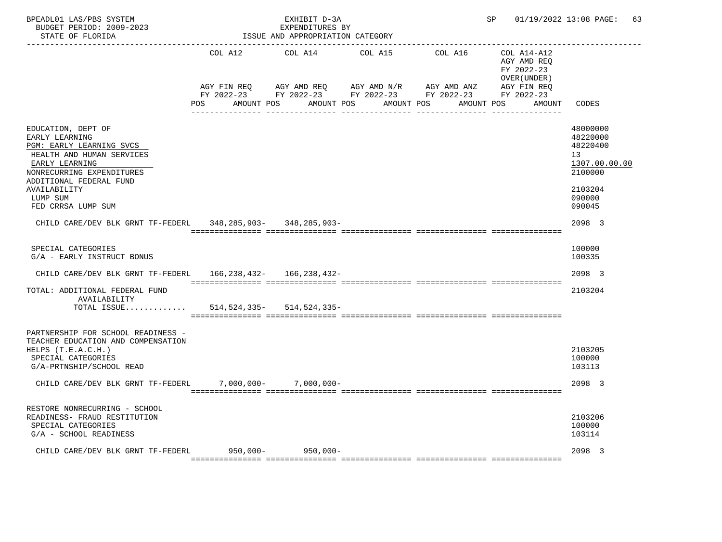| BPEADL01 LAS/PBS SYSTEM<br>BUDGET PERIOD: 2009-2023<br>STATE OF FLORIDA                                                                                                                                                   |                                  | EXHIBIT D-3A<br>EXPENDITURES BY<br>ISSUE AND APPROPRIATION CATEGORY |                                                                                                 |            | SP and the set of the set of the set of the set of the set of the set of the set of the set of the set of the set of the set of the set of the set of the set of the set of the set of the set of the set of the set of the se | 01/19/2022 13:08 PAGE: 63                                                                         |  |
|---------------------------------------------------------------------------------------------------------------------------------------------------------------------------------------------------------------------------|----------------------------------|---------------------------------------------------------------------|-------------------------------------------------------------------------------------------------|------------|--------------------------------------------------------------------------------------------------------------------------------------------------------------------------------------------------------------------------------|---------------------------------------------------------------------------------------------------|--|
|                                                                                                                                                                                                                           | COL A12                          | COL A14                                                             | COL A15                                                                                         | COL A16    | COL A14-A12<br>AGY AMD REQ<br>FY 2022-23<br>OVER (UNDER)                                                                                                                                                                       |                                                                                                   |  |
|                                                                                                                                                                                                                           | AGY FIN REQ<br>POS<br>AMOUNT POS | AGY AMD REQ                                                         | AGY AMD N/R AGY AMD ANZ<br>FY 2022-23 FY 2022-23 FY 2022-23 FY 2022-23 FY 2022-23<br>AMOUNT POS | AMOUNT POS | AGY FIN REQ<br>AMOUNT POS<br>AMOUNT                                                                                                                                                                                            | CODES                                                                                             |  |
| EDUCATION, DEPT OF<br>EARLY LEARNING<br>PGM: EARLY LEARNING SVCS<br>HEALTH AND HUMAN SERVICES<br>EARLY LEARNING<br>NONRECURRING EXPENDITURES<br>ADDITIONAL FEDERAL FUND<br>AVAILABILITY<br>LUMP SUM<br>FED CRRSA LUMP SUM |                                  |                                                                     |                                                                                                 |            |                                                                                                                                                                                                                                | 48000000<br>48220000<br>48220400<br>13<br>1307.00.00.00<br>2100000<br>2103204<br>090000<br>090045 |  |
| CHILD CARE/DEV BLK GRNT TF-FEDERL 348,285,903- 348,285,903-                                                                                                                                                               |                                  |                                                                     |                                                                                                 |            |                                                                                                                                                                                                                                | 2098 3                                                                                            |  |
| SPECIAL CATEGORIES<br>G/A - EARLY INSTRUCT BONUS<br>CHILD CARE/DEV BLK GRNT TF-FEDERL                                                                                                                                     |                                  | 166,238,432- 166,238,432-                                           |                                                                                                 |            |                                                                                                                                                                                                                                | 100000<br>100335<br>2098 3                                                                        |  |
| TOTAL: ADDITIONAL FEDERAL FUND<br>AVAILABILITY<br>TOTAL ISSUE                                                                                                                                                             |                                  | 514,524,335-514,524,335-                                            |                                                                                                 |            |                                                                                                                                                                                                                                | 2103204                                                                                           |  |
| PARTNERSHIP FOR SCHOOL READINESS -<br>TEACHER EDUCATION AND COMPENSATION<br>HELPS $(T.E.A.C.H.)$<br>SPECIAL CATEGORIES<br>G/A-PRTNSHIP/SCHOOL READ<br>CHILD CARE/DEV BLK GRNT TF-FEDERL                                   |                                  | $7,000,000 - 7,000,000 -$                                           |                                                                                                 |            |                                                                                                                                                                                                                                | 2103205<br>100000<br>103113<br>2098 3                                                             |  |
| RESTORE NONRECURRING - SCHOOL<br>READINESS- FRAUD RESTITUTION<br>SPECIAL CATEGORIES<br>G/A - SCHOOL READINESS                                                                                                             |                                  |                                                                     |                                                                                                 |            |                                                                                                                                                                                                                                | 2103206<br>100000<br>103114                                                                       |  |
| CHILD CARE/DEV BLK GRNT TF-FEDERL                                                                                                                                                                                         |                                  | $950,000 - 950,000 -$                                               |                                                                                                 |            |                                                                                                                                                                                                                                | 2098 3                                                                                            |  |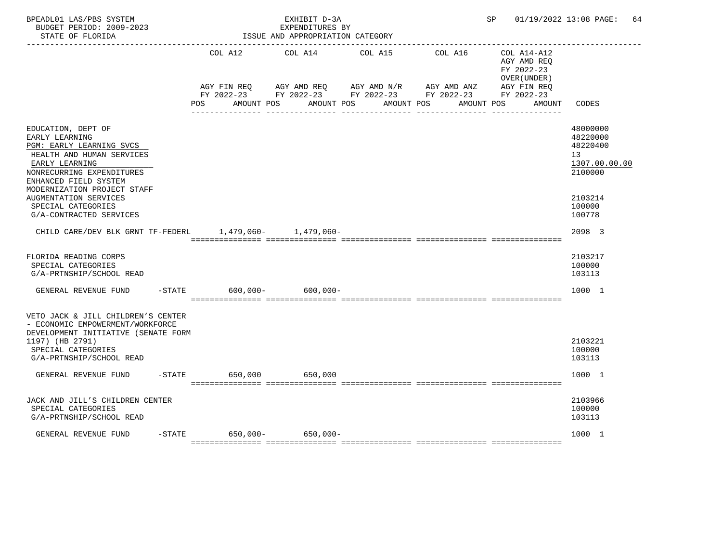| BPEADL01 LAS/PBS SYSTEM<br>BUDGET PERIOD: 2009-2023<br>STATE OF FLORIDA                                                                                                            |                                          | EXHIBIT D-3A<br>EXPENDITURES BY<br>ISSUE AND APPROPRIATION CATEGORY |                                                                                                           |            | SP and the set of the set of the set of the set of the set of the set of the set of the set of the set of the set of the set of the set of the set of the set of the set of the set of the set of the set of the set of the se | 01/19/2022 13:08 PAGE: 64                                          |
|------------------------------------------------------------------------------------------------------------------------------------------------------------------------------------|------------------------------------------|---------------------------------------------------------------------|-----------------------------------------------------------------------------------------------------------|------------|--------------------------------------------------------------------------------------------------------------------------------------------------------------------------------------------------------------------------------|--------------------------------------------------------------------|
|                                                                                                                                                                                    | COL A12                                  | COL A14 COL A15                                                     |                                                                                                           | COL A16    | COL A14-A12<br>AGY AMD REO<br>FY 2022-23<br>OVER (UNDER)                                                                                                                                                                       |                                                                    |
|                                                                                                                                                                                    | AGY FIN REO<br>POS AMOUNT POS AMOUNT POS |                                                                     | AGY AMD REQ AGY AMD N/R AGY AMD ANZ AGY FIN REQ<br>FY 2022-23 FY 2022-23 FY 2022-23 FY 2022-23 FY 2022-23 | AMOUNT POS | AMOUNT POS<br>AMOUNT                                                                                                                                                                                                           | CODES                                                              |
| EDUCATION, DEPT OF<br>EARLY LEARNING<br>PGM: EARLY LEARNING SVCS<br>HEALTH AND HUMAN SERVICES<br>EARLY LEARNING<br>NONRECURRING EXPENDITURES<br>ENHANCED FIELD SYSTEM              |                                          |                                                                     |                                                                                                           |            |                                                                                                                                                                                                                                | 48000000<br>48220000<br>48220400<br>13<br>1307.00.00.00<br>2100000 |
| MODERNIZATION PROJECT STAFF<br>AUGMENTATION SERVICES<br>SPECIAL CATEGORIES<br>G/A-CONTRACTED SERVICES                                                                              |                                          |                                                                     |                                                                                                           |            |                                                                                                                                                                                                                                | 2103214<br>100000<br>100778                                        |
| CHILD CARE/DEV BLK GRNT TF-FEDERL 1,479,060- 1,479,060-                                                                                                                            |                                          |                                                                     |                                                                                                           |            |                                                                                                                                                                                                                                | 2098 3                                                             |
| FLORIDA READING CORPS<br>SPECIAL CATEGORIES<br>G/A-PRTNSHIP/SCHOOL READ                                                                                                            |                                          |                                                                     |                                                                                                           |            |                                                                                                                                                                                                                                | 2103217<br>100000<br>103113                                        |
| GENERAL REVENUE FUND                                                                                                                                                               | $600,000 -$<br>$-$ STATE                 | $600,000 -$                                                         |                                                                                                           |            |                                                                                                                                                                                                                                | 1000 1                                                             |
| VETO JACK & JILL CHILDREN'S CENTER<br>- ECONOMIC EMPOWERMENT/WORKFORCE<br>DEVELOPMENT INITIATIVE (SENATE FORM<br>1197) (HB 2791)<br>SPECIAL CATEGORIES<br>G/A-PRTNSHIP/SCHOOL READ |                                          |                                                                     |                                                                                                           |            |                                                                                                                                                                                                                                | 2103221<br>100000<br>103113                                        |
| GENERAL REVENUE FUND                                                                                                                                                               | -STATE 650,000 650,000                   |                                                                     |                                                                                                           |            |                                                                                                                                                                                                                                | 1000 1                                                             |
| JACK AND JILL'S CHILDREN CENTER<br>SPECIAL CATEGORIES<br>G/A-PRTNSHIP/SCHOOL READ                                                                                                  |                                          |                                                                     |                                                                                                           |            |                                                                                                                                                                                                                                | 2103966<br>100000<br>103113                                        |
| GENERAL REVENUE FUND                                                                                                                                                               | $-$ STATE 650,000 –                      | $650,000 -$                                                         |                                                                                                           |            |                                                                                                                                                                                                                                | 1000 1                                                             |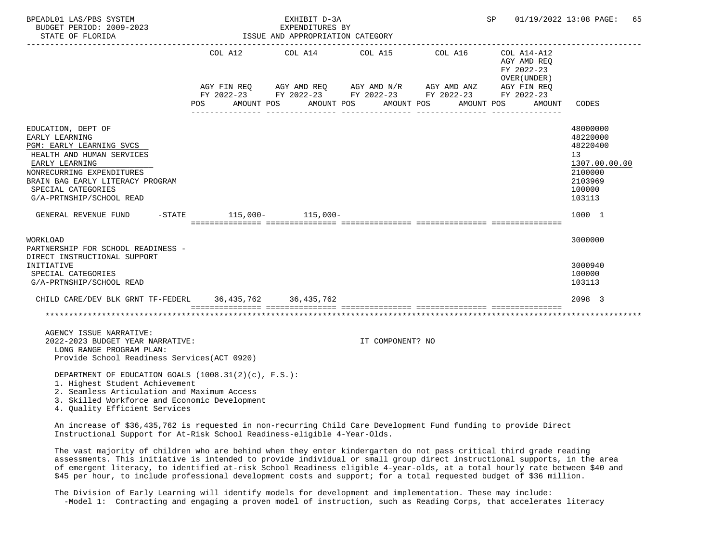| BPEADL01 LAS/PBS SYSTEM<br>BUDGET PERIOD: 2009-2023<br>STATE OF FLORIDA                                                                                                                                                            |                            | EXHIBIT D-3A<br>EXPENDITURES BY<br>ISSUE AND APPROPRIATION CATEGORY |                          |                                                                                                                                    | SP                                                                                | 01/19/2022 13:08 PAGE: 65                                                                         |
|------------------------------------------------------------------------------------------------------------------------------------------------------------------------------------------------------------------------------------|----------------------------|---------------------------------------------------------------------|--------------------------|------------------------------------------------------------------------------------------------------------------------------------|-----------------------------------------------------------------------------------|---------------------------------------------------------------------------------------------------|
|                                                                                                                                                                                                                                    | POS                        | COL A12 COL A14 COL A15<br>AMOUNT POS                               | AMOUNT POS<br>AMOUNT POS | COL A16<br>AGY FIN REQ AGY AMD REQ AGY AMD N/R AGY AMD ANZ<br>FY 2022-23 FY 2022-23 FY 2022-23 FY 2022-23 FY 2022-23<br>AMOUNT POS | COL A14-A12<br>AGY AMD REO<br>FY 2022-23<br>OVER (UNDER)<br>AGY FIN REO<br>AMOUNT | CODES                                                                                             |
| EDUCATION, DEPT OF<br>EARLY LEARNING<br>PGM: EARLY LEARNING SVCS<br>HEALTH AND HUMAN SERVICES<br>EARLY LEARNING<br>NONRECURRING EXPENDITURES<br>BRAIN BAG EARLY LITERACY PROGRAM<br>SPECIAL CATEGORIES<br>G/A-PRTNSHIP/SCHOOL READ |                            |                                                                     |                          |                                                                                                                                    |                                                                                   | 48000000<br>48220000<br>48220400<br>13<br>1307.00.00.00<br>2100000<br>2103969<br>100000<br>103113 |
| GENERAL REVENUE FUND                                                                                                                                                                                                               | $-STATE$ 115,000- 115,000- |                                                                     |                          |                                                                                                                                    |                                                                                   | 1000 1                                                                                            |
| <b>WORKLOAD</b><br>PARTNERSHIP FOR SCHOOL READINESS -<br>DIRECT INSTRUCTIONAL SUPPORT<br>INITIATIVE<br>SPECIAL CATEGORIES                                                                                                          |                            |                                                                     |                          |                                                                                                                                    |                                                                                   | 3000000<br>3000940<br>100000                                                                      |
| G/A-PRTNSHIP/SCHOOL READ                                                                                                                                                                                                           |                            |                                                                     |                          |                                                                                                                                    |                                                                                   | 103113                                                                                            |
| CHILD CARE/DEV BLK GRNT TF-FEDERL 36,435,762 36,435,762                                                                                                                                                                            |                            |                                                                     |                          |                                                                                                                                    |                                                                                   | 2098 3                                                                                            |
| AGENCY ISSUE NARRATIVE:<br>2022-2023 BUDGET YEAR NARRATIVE:<br>LONG RANGE PROGRAM PLAN:<br>Provide School Readiness Services (ACT 0920)<br>DEPARTMENT OF EDUCATION GOALS (1008.31(2)(c), F.S.):<br>1. Highest Student Achievement  |                            |                                                                     | IT COMPONENT? NO         |                                                                                                                                    |                                                                                   |                                                                                                   |
| 2. Seamless Articulation and Maximum Access<br>3. Skilled Workforce and Economic Development<br>4. Quality Efficient Services                                                                                                      |                            |                                                                     |                          |                                                                                                                                    |                                                                                   |                                                                                                   |

 An increase of \$36,435,762 is requested in non-recurring Child Care Development Fund funding to provide Direct Instructional Support for At-Risk School Readiness-eligible 4-Year-Olds.

 The vast majority of children who are behind when they enter kindergarten do not pass critical third grade reading assessments. This initiative is intended to provide individual or small group direct instructional supports, in the area of emergent literacy, to identified at-risk School Readiness eligible 4-year-olds, at a total hourly rate between \$40 and \$45 per hour, to include professional development costs and support; for a total requested budget of \$36 million.

 The Division of Early Learning will identify models for development and implementation. These may include: -Model 1: Contracting and engaging a proven model of instruction, such as Reading Corps, that accelerates literacy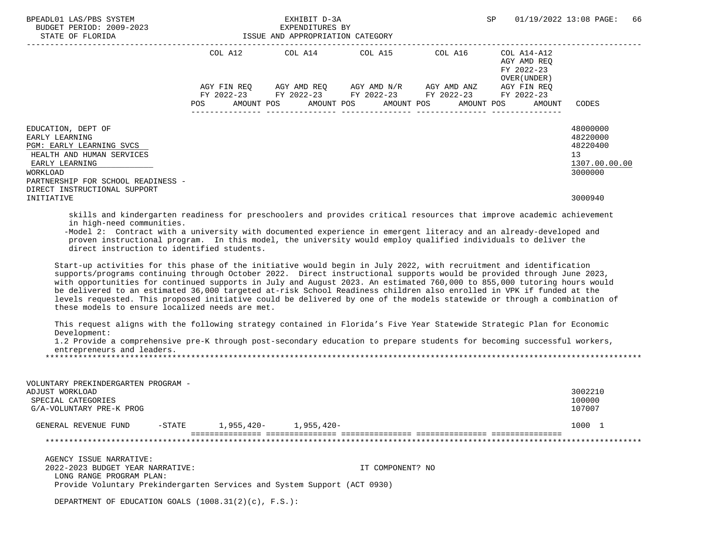| BPEADL01 LAS/PBS SYSTEM<br>BUDGET PERIOD: 2009-2023<br>STATE OF FLORIDA                                                                                           | EXHIBIT D-3A<br>EXPENDITURES BY<br>ISSUE AND APPROPRIATION CATEGORY |             |                 |            |  |                                                                                                  |         |  | SP                                                       |                                     | 01/19/2022 13:08 PAGE:                                             | 66 |
|-------------------------------------------------------------------------------------------------------------------------------------------------------------------|---------------------------------------------------------------------|-------------|-----------------|------------|--|--------------------------------------------------------------------------------------------------|---------|--|----------------------------------------------------------|-------------------------------------|--------------------------------------------------------------------|----|
|                                                                                                                                                                   | COL A12                                                             |             | COL A14 COL A15 |            |  |                                                                                                  | COL A16 |  | COL A14-A12<br>AGY AMD REO<br>FY 2022-23<br>OVER (UNDER) |                                     |                                                                    |    |
|                                                                                                                                                                   | POS                                                                 | AGY FIN REO | AMOUNT POS      | AMOUNT POS |  | AGY AMD REQ AGY AMD N/R AGY AMD ANZ<br>FY 2022-23 FY 2022-23 FY 2022-23 FY 2022-23<br>AMOUNT POS |         |  | AMOUNT POS                                               | AGY FIN REO<br>FY 2022-23<br>AMOUNT | CODES                                                              |    |
| EDUCATION, DEPT OF<br>EARLY LEARNING<br>PGM: EARLY LEARNING SVCS<br>HEALTH AND HUMAN SERVICES<br>EARLY LEARNING<br>WORKLOAD<br>PARTNERSHIP FOR SCHOOL READINESS - |                                                                     |             |                 |            |  |                                                                                                  |         |  |                                                          |                                     | 48000000<br>48220000<br>48220400<br>13<br>1307.00.00.00<br>3000000 |    |
| DIRECT INSTRUCTIONAL SUPPORT<br>INITIATIVE                                                                                                                        |                                                                     |             |                 |            |  |                                                                                                  |         |  |                                                          |                                     | 3000940                                                            |    |
| skills and kindergarten readiness for preschoolers and provides critical resources that improve academic achievement                                              |                                                                     |             |                 |            |  |                                                                                                  |         |  |                                                          |                                     |                                                                    |    |

in high-need communities.

 -Model 2: Contract with a university with documented experience in emergent literacy and an already-developed and proven instructional program. In this model, the university would employ qualified individuals to deliver the direct instruction to identified students.

 Start-up activities for this phase of the initiative would begin in July 2022, with recruitment and identification supports/programs continuing through October 2022. Direct instructional supports would be provided through June 2023, with opportunities for continued supports in July and August 2023. An estimated 760,000 to 855,000 tutoring hours would be delivered to an estimated 36,000 targeted at-risk School Readiness children also enrolled in VPK if funded at the levels requested. This proposed initiative could be delivered by one of the models statewide or through a combination of these models to ensure localized needs are met.

 This request aligns with the following strategy contained in Florida's Five Year Statewide Strategic Plan for Economic Development:

 1.2 Provide a comprehensive pre-K through post-secondary education to prepare students for becoming successful workers, entrepreneurs and leaders. \*\*\*\*\*\*\*\*\*\*\*\*\*\*\*\*\*\*\*\*\*\*\*\*\*\*\*\*\*\*\*\*\*\*\*\*\*\*\*\*\*\*\*\*\*\*\*\*\*\*\*\*\*\*\*\*\*\*\*\*\*\*\*\*\*\*\*\*\*\*\*\*\*\*\*\*\*\*\*\*\*\*\*\*\*\*\*\*\*\*\*\*\*\*\*\*\*\*\*\*\*\*\*\*\*\*\*\*\*\*\*\*\*\*\*\*\*\*\*\*\*\*\*\*\*\*\*

 VOLUNTARY PREKINDERGARTEN PROGRAM - ADJUST WORKLOAD 3002210 SPECIAL CATEGORIES 100000 PHOTOS CONTROLLER ENTIRE AND SUPERIOR OF THE SERVICE SERVICE OF THE SERVICE OF THE S<br>G/A-VOLUNTARY PRE-K PROG G/A-VOLUNTARY PRE-K PROG GENERAL REVENUE FUND -STATE 1,955,420- 1,955,420- 1,955,420- 1000 1 =============== =============== =============== =============== =============== \*\*\*\*\*\*\*\*\*\*\*\*\*\*\*\*\*\*\*\*\*\*\*\*\*\*\*\*\*\*\*\*\*\*\*\*\*\*\*\*\*\*\*\*\*\*\*\*\*\*\*\*\*\*\*\*\*\*\*\*\*\*\*\*\*\*\*\*\*\*\*\*\*\*\*\*\*\*\*\*\*\*\*\*\*\*\*\*\*\*\*\*\*\*\*\*\*\*\*\*\*\*\*\*\*\*\*\*\*\*\*\*\*\*\*\*\*\*\*\*\*\*\*\*\*\*\* AGENCY ISSUE NARRATIVE: 2022-2023 BUDGET YEAR NARRATIVE: IT COMPONENT? NO LONG RANGE PROGRAM PLAN:

Provide Voluntary Prekindergarten Services and System Support (ACT 0930)

DEPARTMENT OF EDUCATION GOALS (1008.31(2)(c), F.S.):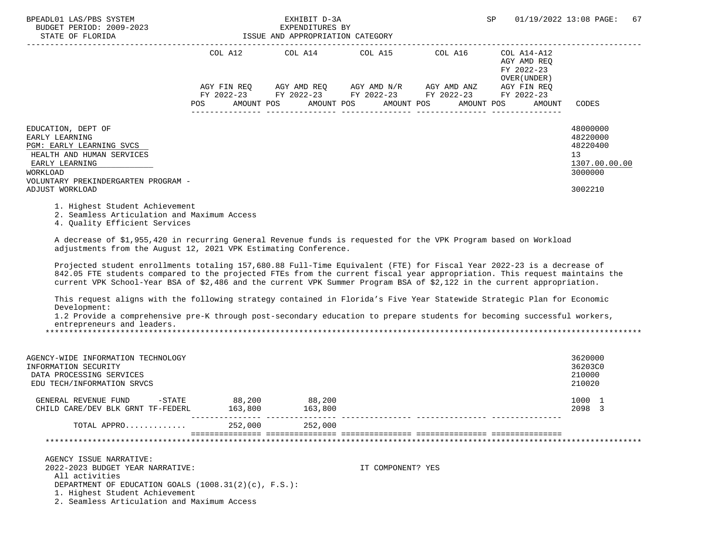| BPEADL01 LAS/PBS SYSTEM<br>BUDGET PERIOD: 2009-2023<br>STATE OF FLORIDA                                                                                                                                                                                                                                                                                                      | ISSUE AND APPROPRIATION CATEGORY | EXHIBIT D-3A<br>EXPENDITURES BY |                                                             |                          | SP                                                       | 01/19/2022 13:08 PAGE:<br>67                                                  |
|------------------------------------------------------------------------------------------------------------------------------------------------------------------------------------------------------------------------------------------------------------------------------------------------------------------------------------------------------------------------------|----------------------------------|---------------------------------|-------------------------------------------------------------|--------------------------|----------------------------------------------------------|-------------------------------------------------------------------------------|
|                                                                                                                                                                                                                                                                                                                                                                              | COL A12                          |                                 | COL A14 COL A15                                             | COL A16                  | COL A14-A12<br>AGY AMD REO<br>FY 2022-23<br>OVER (UNDER) |                                                                               |
|                                                                                                                                                                                                                                                                                                                                                                              |                                  |                                 | AGY FIN REO AGY AMD REO AGY AMD N/R AGY AMD ANZ AGY FIN REO |                          |                                                          |                                                                               |
|                                                                                                                                                                                                                                                                                                                                                                              | POS FOR                          | AMOUNT POS AMOUNT POS           | FY 2022-23 FY 2022-23 FY 2022-23 FY 2022-23 FY 2022-23      | AMOUNT POS<br>AMOUNT POS | AMOUNT                                                   | CODES                                                                         |
| EDUCATION, DEPT OF<br>EARLY LEARNING<br>PGM: EARLY LEARNING SVCS<br>HEALTH AND HUMAN SERVICES<br>EARLY LEARNING<br>WORKLOAD<br>VOLUNTARY PREKINDERGARTEN PROGRAM -<br>ADJUST WORKLOAD                                                                                                                                                                                        |                                  |                                 |                                                             |                          |                                                          | 48000000<br>48220000<br>48220400<br>13<br>1307.00.00.00<br>3000000<br>3002210 |
| 1. Highest Student Achievement<br>2. Seamless Articulation and Maximum Access<br>4. Quality Efficient Services                                                                                                                                                                                                                                                               |                                  |                                 |                                                             |                          |                                                          |                                                                               |
| A decrease of \$1,955,420 in recurring General Revenue funds is requested for the VPK Program based on Workload<br>adjustments from the August 12, 2021 VPK Estimating Conference.                                                                                                                                                                                           |                                  |                                 |                                                             |                          |                                                          |                                                                               |
| Projected student enrollments totaling 157,680.88 Full-Time Equivalent (FTE) for Fiscal Year 2022-23 is a decrease of<br>842.05 FTE students compared to the projected FTEs from the current fiscal year appropriation. This request maintains the<br>current VPK School-Year BSA of \$2,486 and the current VPK Summer Program BSA of \$2,122 in the current appropriation. |                                  |                                 |                                                             |                          |                                                          |                                                                               |

 This request aligns with the following strategy contained in Florida's Five Year Statewide Strategic Plan for Economic Development:

 1.2 Provide a comprehensive pre-K through post-secondary education to prepare students for becoming successful workers, entrepreneurs and leaders.

\*\*\*\*\*\*\*\*\*\*\*\*\*\*\*\*\*\*\*\*\*\*\*\*\*\*\*\*\*\*\*\*\*\*\*\*\*\*\*\*\*\*\*\*\*\*\*\*\*\*\*\*\*\*\*\*\*\*\*\*\*\*\*\*\*\*\*\*\*\*\*\*\*\*\*\*\*\*\*\*\*\*\*\*\*\*\*\*\*\*\*\*\*\*\*\*\*\*\*\*\*\*\*\*\*\*\*\*\*\*\*\*\*\*\*\*\*\*\*\*\*\*\*\*\*\*\*

| AGENCY-WIDE INFORMATION TECHNOLOGY<br>INFORMATION SECURITY<br>DATA PROCESSING SERVICES<br>EDU TECH/INFORMATION SRVCS                                                                                                   |                   |                   |                   | 3620000<br>36203C0<br>210000<br>210020 |
|------------------------------------------------------------------------------------------------------------------------------------------------------------------------------------------------------------------------|-------------------|-------------------|-------------------|----------------------------------------|
| GENERAL REVENUE FUND<br>-STATE<br>CHILD CARE/DEV BLK GRNT TF-FEDERL                                                                                                                                                    | 88,200<br>163,800 | 88,200<br>163,800 |                   | 1000 1<br>2098<br>-3                   |
| TOTAL APPRO                                                                                                                                                                                                            | 252,000           | 252,000           |                   |                                        |
|                                                                                                                                                                                                                        |                   |                   |                   |                                        |
| AGENCY ISSUE NARRATIVE:<br>2022-2023 BUDGET YEAR NARRATIVE:<br>All activities<br>DEPARTMENT OF EDUCATION GOALS (1008.31(2)(c), F.S.):<br>1. Highest Student Achievement<br>2. Seamless Articulation and Maximum Access |                   |                   | IT COMPONENT? YES |                                        |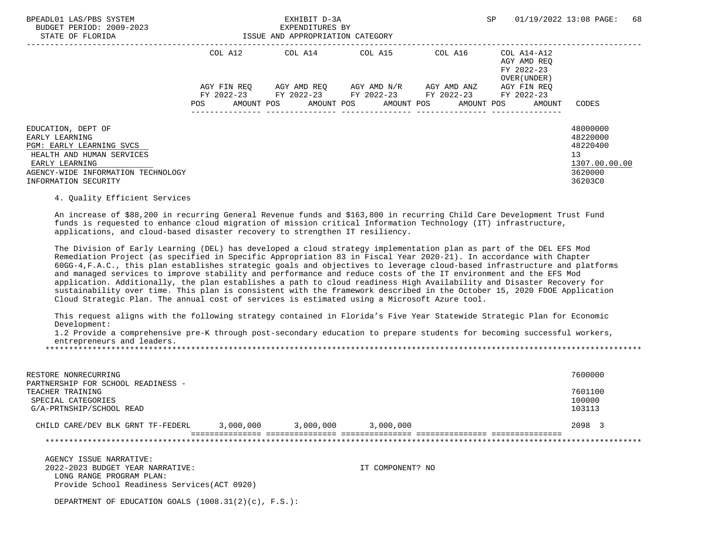| BPEADL01 LAS/PBS SYSTEM<br>BUDGET PERIOD: 2009-2023<br>STATE OF FLORIDA                                         |             | EXHIBIT D-3A<br>EXPENDITURES BY<br>ISSUE AND APPROPRIATION CATEGORY                                   |                                               | 01/19/2022 13:08 PAGE:<br>SP                                     |                                                         |  |  |
|-----------------------------------------------------------------------------------------------------------------|-------------|-------------------------------------------------------------------------------------------------------|-----------------------------------------------|------------------------------------------------------------------|---------------------------------------------------------|--|--|
|                                                                                                                 | COL A12     | COL A14 COL A15                                                                                       |                                               | COL A16 COL A14-A12<br>AGY AMD REO<br>FY 2022-23<br>OVER (UNDER) |                                                         |  |  |
|                                                                                                                 | AGY FIN REO |                                                                                                       | AGY AMD REO      AGY AMD N/R      AGY AMD ANZ | AGY FIN REO                                                      |                                                         |  |  |
|                                                                                                                 | POS         | FY 2022-23 FY 2022-23 FY 2022-23 FY 2022-23 FY 2022-23<br>AMOUNT POS AMOUNT POS AMOUNT POS AMOUNT POS |                                               | AMOUNT                                                           | CODES                                                   |  |  |
| EDUCATION, DEPT OF<br>EARLY LEARNING<br>PGM: EARLY LEARNING SVCS<br>HEALTH AND HUMAN SERVICES<br>EARLY LEARNING |             |                                                                                                       |                                               |                                                                  | 48000000<br>48220000<br>48220400<br>13<br>1307.00.00.00 |  |  |
| AGENCY-WIDE INFORMATION TECHNOLOGY<br>INFORMATION SECURITY                                                      |             |                                                                                                       |                                               |                                                                  | 3620000<br>36203C0                                      |  |  |

## 4. Quality Efficient Services

 An increase of \$88,200 in recurring General Revenue funds and \$163,800 in recurring Child Care Development Trust Fund funds is requested to enhance cloud migration of mission critical Information Technology (IT) infrastructure, applications, and cloud-based disaster recovery to strengthen IT resiliency.

 The Division of Early Learning (DEL) has developed a cloud strategy implementation plan as part of the DEL EFS Mod Remediation Project (as specified in Specific Appropriation 83 in Fiscal Year 2020-21). In accordance with Chapter 60GG-4,F.A.C., this plan establishes strategic goals and objectives to leverage cloud-based infrastructure and platforms and managed services to improve stability and performance and reduce costs of the IT environment and the EFS Mod application. Additionally, the plan establishes a path to cloud readiness High Availability and Disaster Recovery for sustainability over time. This plan is consistent with the framework described in the October 15, 2020 FDOE Application Cloud Strategic Plan. The annual cost of services is estimated using a Microsoft Azure tool.

 This request aligns with the following strategy contained in Florida's Five Year Statewide Strategic Plan for Economic Development:

 1.2 Provide a comprehensive pre-K through post-secondary education to prepare students for becoming successful workers, entrepreneurs and leaders.

\*\*\*\*\*\*\*\*\*\*\*\*\*\*\*\*\*\*\*\*\*\*\*\*\*\*\*\*\*\*\*\*\*\*\*\*\*\*\*\*\*\*\*\*\*\*\*\*\*\*\*\*\*\*\*\*\*\*\*\*\*\*\*\*\*\*\*\*\*\*\*\*\*\*\*\*\*\*\*\*\*\*\*\*\*\*\*\*\*\*\*\*\*\*\*\*\*\*\*\*\*\*\*\*\*\*\*\*\*\*\*\*\*\*\*\*\*\*\*\*\*\*\*\*\*\*\*

| RESTORE NONRECURRING<br>PARTNERSHIP FOR SCHOOL READINESS -         |           |           |           | 7600000                     |
|--------------------------------------------------------------------|-----------|-----------|-----------|-----------------------------|
| TEACHER TRAINING<br>SPECIAL CATEGORIES<br>G/A-PRTNSHIP/SCHOOL READ |           |           |           | 7601100<br>100000<br>103113 |
| CHILD CARE/DEV BLK GRNT TF-FEDERL                                  | 3,000,000 | 3,000,000 | 3,000,000 | 2098                        |

\*\*\*\*\*\*\*\*\*\*\*\*\*\*\*\*\*\*\*\*\*\*\*\*\*\*\*\*\*\*\*\*\*\*\*\*\*\*\*\*\*\*\*\*\*\*\*\*\*\*\*\*\*\*\*\*\*\*\*\*\*\*\*\*\*\*\*\*\*\*\*\*\*\*\*\*\*\*\*\*\*\*\*\*\*\*\*\*\*\*\*\*\*\*\*\*\*\*\*\*\*\*\*\*\*\*\*\*\*\*\*\*\*\*\*\*\*\*\*\*\*\*\*\*\*\*\*

 AGENCY ISSUE NARRATIVE: 2022-2023 BUDGET YEAR NARRATIVE: IT COMPONENT? NO LONG RANGE PROGRAM PLAN: Provide School Readiness Services(ACT 0920)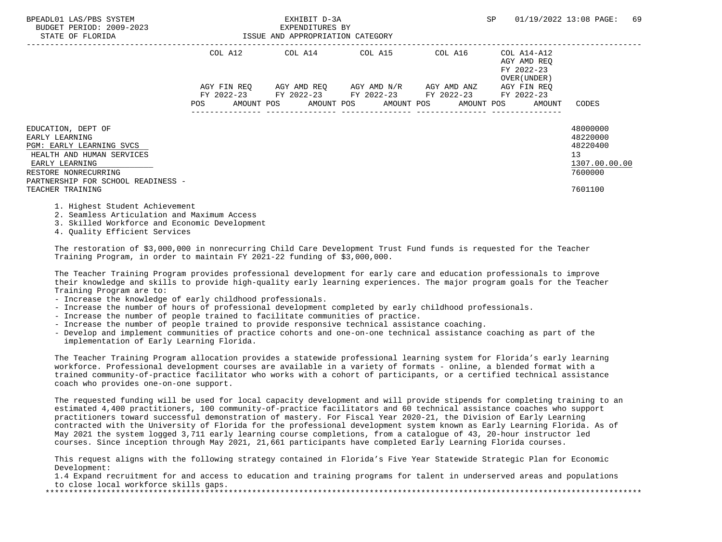| BPEADL01 LAS/PBS SYSTEM<br>BUDGET PERIOD: 2009-2023<br>STATE OF FLORIDA                                                                                                                           |                    | EXHIBIT D-3A<br>EXPENDITURES BY<br>ISSUE AND APPROPRIATION CATEGORY                        |                         |             | SP                                                        | 69<br>01/19/2022 13:08 PAGE:                                                  |
|---------------------------------------------------------------------------------------------------------------------------------------------------------------------------------------------------|--------------------|--------------------------------------------------------------------------------------------|-------------------------|-------------|-----------------------------------------------------------|-------------------------------------------------------------------------------|
|                                                                                                                                                                                                   | COL A12            | COL A14 COL A15                                                                            |                         | COL A16     | COL A14-A12<br>AGY AMD REO<br>FY 2022-23<br>OVER (UNDER ) |                                                                               |
|                                                                                                                                                                                                   | AGY FIN REO<br>POS | FY 2022-23 FY 2022-23 FY 2022-23 FY 2022-23<br>AMOUNT POS AMOUNT POS AMOUNT POS AMOUNT POS | AGY AMD REQ AGY AMD N/R | AGY AMD ANZ | AGY FIN REO<br>FY 2022-23<br>AMOUNT                       | CODES                                                                         |
| EDUCATION, DEPT OF<br>EARLY LEARNING<br>PGM: EARLY LEARNING SVCS<br>HEALTH AND HUMAN SERVICES<br>EARLY LEARNING<br>RESTORE NONRECURRING<br>PARTNERSHIP FOR SCHOOL READINESS -<br>TEACHER TRAINING |                    |                                                                                            |                         |             |                                                           | 48000000<br>48220000<br>48220400<br>13<br>1307.00.00.00<br>7600000<br>7601100 |

- 1. Highest Student Achievement
- 2. Seamless Articulation and Maximum Access
- 3. Skilled Workforce and Economic Development
- 4. Quality Efficient Services

 The restoration of \$3,000,000 in nonrecurring Child Care Development Trust Fund funds is requested for the Teacher Training Program, in order to maintain FY 2021-22 funding of \$3,000,000.

 The Teacher Training Program provides professional development for early care and education professionals to improve their knowledge and skills to provide high-quality early learning experiences. The major program goals for the Teacher Training Program are to:

- Increase the knowledge of early childhood professionals.
- Increase the number of hours of professional development completed by early childhood professionals.
- Increase the number of people trained to facilitate communities of practice.
- Increase the number of people trained to provide responsive technical assistance coaching.
- Develop and implement communities of practice cohorts and one-on-one technical assistance coaching as part of the implementation of Early Learning Florida.

 The Teacher Training Program allocation provides a statewide professional learning system for Florida's early learning workforce. Professional development courses are available in a variety of formats - online, a blended format with a trained community-of-practice facilitator who works with a cohort of participants, or a certified technical assistance coach who provides one-on-one support.

 The requested funding will be used for local capacity development and will provide stipends for completing training to an estimated 4,400 practitioners, 100 community-of-practice facilitators and 60 technical assistance coaches who support practitioners toward successful demonstration of mastery. For Fiscal Year 2020-21, the Division of Early Learning contracted with the University of Florida for the professional development system known as Early Learning Florida. As of May 2021 the system logged 3,711 early learning course completions, from a catalogue of 43, 20-hour instructor led courses. Since inception through May 2021, 21,661 participants have completed Early Learning Florida courses.

 This request aligns with the following strategy contained in Florida's Five Year Statewide Strategic Plan for Economic Development:

 1.4 Expand recruitment for and access to education and training programs for talent in underserved areas and populations to close local workforce skills gaps.

\*\*\*\*\*\*\*\*\*\*\*\*\*\*\*\*\*\*\*\*\*\*\*\*\*\*\*\*\*\*\*\*\*\*\*\*\*\*\*\*\*\*\*\*\*\*\*\*\*\*\*\*\*\*\*\*\*\*\*\*\*\*\*\*\*\*\*\*\*\*\*\*\*\*\*\*\*\*\*\*\*\*\*\*\*\*\*\*\*\*\*\*\*\*\*\*\*\*\*\*\*\*\*\*\*\*\*\*\*\*\*\*\*\*\*\*\*\*\*\*\*\*\*\*\*\*\*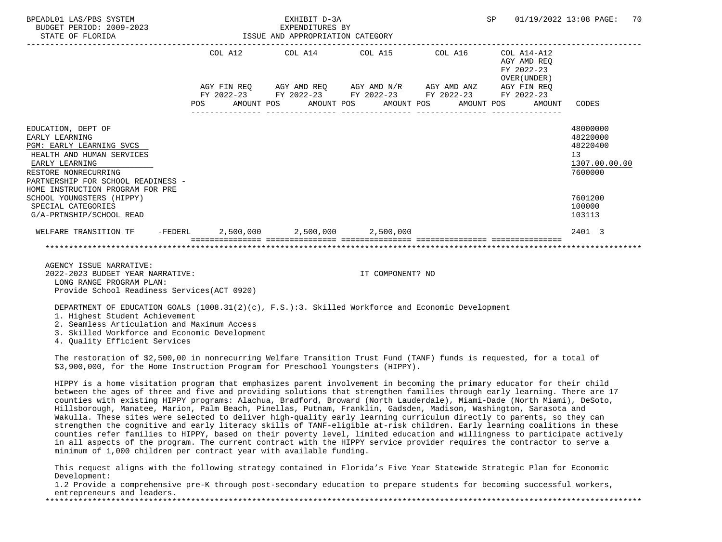| BPEADL01 LAS/PBS SYSTEM<br>BUDGET PERIOD: 2009-2023<br>STATE OF FLORIDA                                                                               | EXHIBIT D-3A<br>EXPENDITURES BY<br>ISSUE AND APPROPRIATION CATEGORY |  |                                 |                                                                                                       |  |                  |  |  | SP |                                                             | 01/19/2022 13:08 PAGE:                                             | 70 |
|-------------------------------------------------------------------------------------------------------------------------------------------------------|---------------------------------------------------------------------|--|---------------------------------|-------------------------------------------------------------------------------------------------------|--|------------------|--|--|----|-------------------------------------------------------------|--------------------------------------------------------------------|----|
|                                                                                                                                                       |                                                                     |  | COL A12 COL A14 COL A15 COL A16 |                                                                                                       |  |                  |  |  |    | COL A14-A12<br>AGY AMD REO<br>FY 2022-23<br>OVER (UNDER)    |                                                                    |    |
|                                                                                                                                                       | POS FOR                                                             |  |                                 | FY 2022-23 FY 2022-23 FY 2022-23 FY 2022-23 FY 2022-23<br>AMOUNT POS AMOUNT POS AMOUNT POS AMOUNT POS |  |                  |  |  |    | AGY FIN REO AGY AMD REO AGY AMD N/R AGY AMD ANZ AGY FIN REO | AMOUNT CODES                                                       |    |
| EDUCATION, DEPT OF<br>EARLY LEARNING<br>PGM: EARLY LEARNING SVCS<br>HEALTH AND HUMAN SERVICES<br>EARLY LEARNING<br>RESTORE NONRECURRING               |                                                                     |  |                                 |                                                                                                       |  |                  |  |  |    |                                                             | 48000000<br>48220000<br>48220400<br>13<br>1307.00.00.00<br>7600000 |    |
| PARTNERSHIP FOR SCHOOL READINESS -<br>HOME INSTRUCTION PROGRAM FOR PRE<br>SCHOOL YOUNGSTERS (HIPPY)<br>SPECIAL CATEGORIES<br>G/A-PRTNSHIP/SCHOOL READ |                                                                     |  |                                 |                                                                                                       |  |                  |  |  |    |                                                             | 7601200<br>100000<br>103113                                        |    |
| WELFARE TRANSITION TF $-$ FEDERL $2,500,000$ $2,500,000$                                                                                              |                                                                     |  |                                 |                                                                                                       |  | 2,500,000        |  |  |    |                                                             | 2401 3                                                             |    |
|                                                                                                                                                       |                                                                     |  |                                 |                                                                                                       |  |                  |  |  |    |                                                             |                                                                    |    |
| AGENCY ISSUE NARRATIVE:<br>2022-2023 BUDGET YEAR NARRATIVE:<br>LONG RANGE PROGRAM PLAN:<br>Provide School Readiness Services (ACT 0920)               |                                                                     |  |                                 |                                                                                                       |  | IT COMPONENT? NO |  |  |    |                                                             |                                                                    |    |

DEPARTMENT OF EDUCATION GOALS (1008.31(2)(c), F.S.):3. Skilled Workforce and Economic Development

1. Highest Student Achievement

2. Seamless Articulation and Maximum Access

3. Skilled Workforce and Economic Development

4. Quality Efficient Services

 The restoration of \$2,500,00 in nonrecurring Welfare Transition Trust Fund (TANF) funds is requested, for a total of \$3,900,000, for the Home Instruction Program for Preschool Youngsters (HIPPY).

 HIPPY is a home visitation program that emphasizes parent involvement in becoming the primary educator for their child between the ages of three and five and providing solutions that strengthen families through early learning. There are 17 counties with existing HIPPY programs: Alachua, Bradford, Broward (North Lauderdale), Miami-Dade (North Miami), DeSoto, Hillsborough, Manatee, Marion, Palm Beach, Pinellas, Putnam, Franklin, Gadsden, Madison, Washington, Sarasota and Wakulla. These sites were selected to deliver high-quality early learning curriculum directly to parents, so they can strengthen the cognitive and early literacy skills of TANF-eligible at-risk children. Early learning coalitions in these counties refer families to HIPPY, based on their poverty level, limited education and willingness to participate actively in all aspects of the program. The current contract with the HIPPY service provider requires the contractor to serve a minimum of 1,000 children per contract year with available funding.

 This request aligns with the following strategy contained in Florida's Five Year Statewide Strategic Plan for Economic Development:

 1.2 Provide a comprehensive pre-K through post-secondary education to prepare students for becoming successful workers, entrepreneurs and leaders.<br>\*\*\*\*\*\*\*\*\*\*\*\*\*\*\*\*\*\*\*\*\*\*\*\*\*\*\*\*\*\*\*\*\*

\*\*\*\*\*\*\*\*\*\*\*\*\*\*\*\*\*\*\*\*\*\*\*\*\*\*\*\*\*\*\*\*\*\*\*\*\*\*\*\*\*\*\*\*\*\*\*\*\*\*\*\*\*\*\*\*\*\*\*\*\*\*\*\*\*\*\*\*\*\*\*\*\*\*\*\*\*\*\*\*\*\*\*\*\*\*\*\*\*\*\*\*\*\*\*\*\*\*\*\*\*\*\*\*\*\*\*\*\*\*\*\*\*\*\*\*\*\*\*\*\*\*\*\*\*\*\*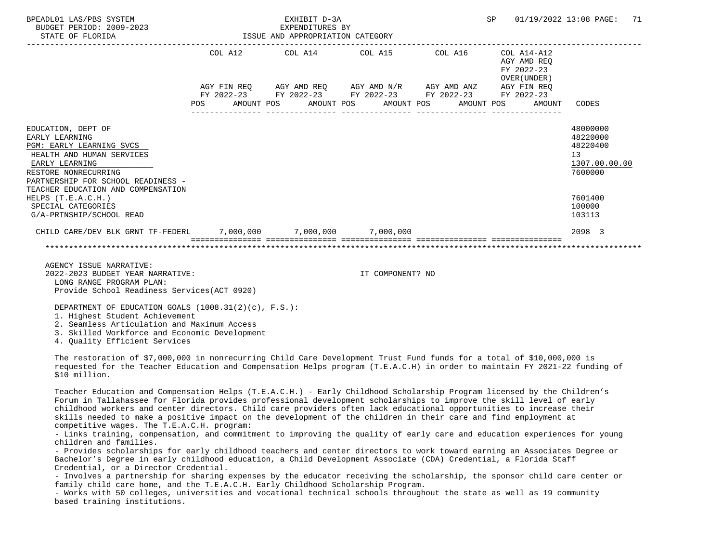| BPEADL01 LAS/PBS SYSTEM<br>BUDGET PERIOD: 2009-2023<br>STATE OF FLORIDA                                                                                                                                                                                                                     | EXHIBIT D-3A<br>EXPENDITURES BY<br>ISSUE AND APPROPRIATION CATEGORY |            |  |                                                                                                                                                                                                                                                                                                                                                |  |                  |  |            | SP | 01/19/2022 13:08 PAGE:                              | 71                                                                                                |  |
|---------------------------------------------------------------------------------------------------------------------------------------------------------------------------------------------------------------------------------------------------------------------------------------------|---------------------------------------------------------------------|------------|--|------------------------------------------------------------------------------------------------------------------------------------------------------------------------------------------------------------------------------------------------------------------------------------------------------------------------------------------------|--|------------------|--|------------|----|-----------------------------------------------------|---------------------------------------------------------------------------------------------------|--|
|                                                                                                                                                                                                                                                                                             | POS FOR                                                             | AMOUNT POS |  | COL A12 COL A14 COL A15 COL A16 COL A14-A12<br>$\begin{array}{lllllll} {\text{AGY}} & {\text{FIN}} & {\text{REG}} & {\text{AGY}} & {\text{AMP}} & {\text{AGY}} & {\text{AMP}} & {\text{M}} \\ {\text{FY}} & 2022-23 & {\text{FY}} & 2022-23 & {\text{FY}} & 2022-23 & {\text{FY}} & 2022-23 & {\text{FY}} & 2022-23 \end{array}$<br>AMOUNT POS |  | AMOUNT POS       |  | AMOUNT POS |    | AGY AMD REO<br>FY 2022-23<br>OVER (UNDER)<br>AMOUNT | CODES                                                                                             |  |
| EDUCATION, DEPT OF<br>EARLY LEARNING<br>PGM: EARLY LEARNING SVCS<br>HEALTH AND HUMAN SERVICES<br>EARLY LEARNING<br>RESTORE NONRECURRING<br>PARTNERSHIP FOR SCHOOL READINESS -<br>TEACHER EDUCATION AND COMPENSATION<br>HELPS (T.E.A.C.H.)<br>SPECIAL CATEGORIES<br>G/A-PRTNSHIP/SCHOOL READ |                                                                     |            |  |                                                                                                                                                                                                                                                                                                                                                |  |                  |  |            |    |                                                     | 48000000<br>48220000<br>48220400<br>13<br>1307.00.00.00<br>7600000<br>7601400<br>100000<br>103113 |  |
| CHILD CARE/DEV BLK GRNT TF-FEDERL 7,000,000 7,000,000 7,000,000                                                                                                                                                                                                                             |                                                                     |            |  |                                                                                                                                                                                                                                                                                                                                                |  |                  |  |            |    |                                                     | 2098 3                                                                                            |  |
|                                                                                                                                                                                                                                                                                             |                                                                     |            |  |                                                                                                                                                                                                                                                                                                                                                |  |                  |  |            |    |                                                     |                                                                                                   |  |
| AGENCY ISSUE NARRATIVE:<br>2022-2023 BUDGET YEAR NARRATIVE:<br>LONG RANGE PROGRAM PLAN:<br>Provide School Readiness Services (ACT 0920)                                                                                                                                                     |                                                                     |            |  |                                                                                                                                                                                                                                                                                                                                                |  | IT COMPONENT? NO |  |            |    |                                                     |                                                                                                   |  |
| DEPARTMENT OF EDUCATION GOALS (1008.31(2)(c), F.S.):<br>1. Highest Student Achievement<br>2. Seamless Articulation and Maximum Access<br>3. Skilled Workforce and Economic Development<br>4. Quality Efficient Services                                                                     |                                                                     |            |  |                                                                                                                                                                                                                                                                                                                                                |  |                  |  |            |    |                                                     |                                                                                                   |  |
| The restoration of \$7,000,000 in nonrecurring Child Care Development Trust Fund funds for a total of \$10,000,000 is<br>requested for the Teacher Education and Compensation Helps program (T.E.A.C.H) in order to maintain FY 2021-22 funding of<br>\$10 million.                         |                                                                     |            |  |                                                                                                                                                                                                                                                                                                                                                |  |                  |  |            |    |                                                     |                                                                                                   |  |
| Teacher Education and Compensation Helps (T.E.A.C.H.) - Early Childhood Scholarship Program licensed by the Children's                                                                                                                                                                      |                                                                     |            |  |                                                                                                                                                                                                                                                                                                                                                |  |                  |  |            |    |                                                     |                                                                                                   |  |

 Forum in Tallahassee for Florida provides professional development scholarships to improve the skill level of early childhood workers and center directors. Child care providers often lack educational opportunities to increase their skills needed to make a positive impact on the development of the children in their care and find employment at competitive wages. The T.E.A.C.H. program:

 - Links training, compensation, and commitment to improving the quality of early care and education experiences for young children and families.

 - Provides scholarships for early childhood teachers and center directors to work toward earning an Associates Degree or Bachelor's Degree in early childhood education, a Child Development Associate (CDA) Credential, a Florida Staff Credential, or a Director Credential.

 - Involves a partnership for sharing expenses by the educator receiving the scholarship, the sponsor child care center or family child care home, and the T.E.A.C.H. Early Childhood Scholarship Program.

 - Works with 50 colleges, universities and vocational technical schools throughout the state as well as 19 community based training institutions.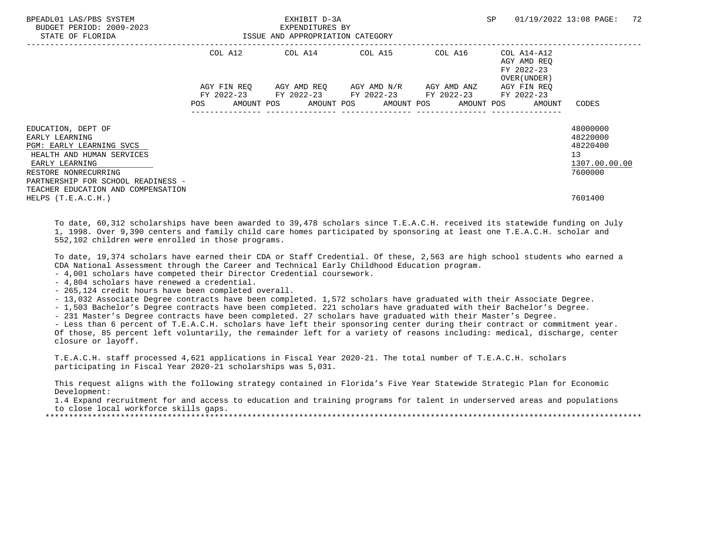| BPEADL01 LAS/PBS SYSTEM<br>BUDGET PERIOD: 2009-2023<br>STATE OF FLORIDA | ISSUE AND APPROPRIATION CATEGORY | EXHIBIT D-3A<br>EXPENDITURES BY                                                                           | SP | 01/19/2022 13:08 PAGE: 72                          |                                              |
|-------------------------------------------------------------------------|----------------------------------|-----------------------------------------------------------------------------------------------------------|----|----------------------------------------------------|----------------------------------------------|
|                                                                         |                                  | $COL A12$ $COL A14$ $COL A15$ $COL A16$ $COL A14-A12$                                                     |    | AGY AMD REO<br>FY 2022-23<br>OVER (UNDER )         |                                              |
|                                                                         |                                  | AGY FIN REQ 6GY AMD REQ 6GY AMD N/R 6GY AMD ANZ<br>FY 2022-23 FY 2022-23 FY 2022-23 FY 2022-23 FY 2022-23 |    | AGY FIN REO                                        |                                              |
|                                                                         | <b>POS</b>                       |                                                                                                           |    | AMOUNT POS AMOUNT POS AMOUNT POS AMOUNT POS AMOUNT | CODES                                        |
| EDUCATION, DEPT OF<br>EARLY LEARNING                                    |                                  |                                                                                                           |    |                                                    | 48000000<br>48220000                         |
| PGM: EARLY LEARNING SVCS<br>HEALTH AND HUMAN SERVICES<br>EARLY LEARNING |                                  |                                                                                                           |    |                                                    | 48220400<br>13 <sup>°</sup><br>1307.00.00.00 |
| RESTORE NONRECURRING<br>PARTNERSHIP FOR SCHOOL READINESS -              |                                  |                                                                                                           |    |                                                    | 7600000                                      |
| TEACHER EDUCATION AND COMPENSATION<br>HELPS $(T.E.A.C.H.)$              |                                  |                                                                                                           |    |                                                    | 7601400                                      |

 To date, 60,312 scholarships have been awarded to 39,478 scholars since T.E.A.C.H. received its statewide funding on July 1, 1998. Over 9,390 centers and family child care homes participated by sponsoring at least one T.E.A.C.H. scholar and 552,102 children were enrolled in those programs.

 To date, 19,374 scholars have earned their CDA or Staff Credential. Of these, 2,563 are high school students who earned a CDA National Assessment through the Career and Technical Early Childhood Education program.

- 4,001 scholars have competed their Director Credential coursework.

- 4,804 scholars have renewed a credential.

- 265,124 credit hours have been completed overall.

- 13,032 Associate Degree contracts have been completed. 1,572 scholars have graduated with their Associate Degree.

- 1,503 Bachelor's Degree contracts have been completed. 221 scholars have graduated with their Bachelor's Degree.

- 231 Master's Degree contracts have been completed. 27 scholars have graduated with their Master's Degree.

 - Less than 6 percent of T.E.A.C.H. scholars have left their sponsoring center during their contract or commitment year. Of those, 85 percent left voluntarily, the remainder left for a variety of reasons including: medical, discharge, center closure or layoff.

 T.E.A.C.H. staff processed 4,621 applications in Fiscal Year 2020-21. The total number of T.E.A.C.H. scholars participating in Fiscal Year 2020-21 scholarships was 5,031.

 This request aligns with the following strategy contained in Florida's Five Year Statewide Strategic Plan for Economic Development:

 1.4 Expand recruitment for and access to education and training programs for talent in underserved areas and populations to close local workforce skills gaps.

\*\*\*\*\*\*\*\*\*\*\*\*\*\*\*\*\*\*\*\*\*\*\*\*\*\*\*\*\*\*\*\*\*\*\*\*\*\*\*\*\*\*\*\*\*\*\*\*\*\*\*\*\*\*\*\*\*\*\*\*\*\*\*\*\*\*\*\*\*\*\*\*\*\*\*\*\*\*\*\*\*\*\*\*\*\*\*\*\*\*\*\*\*\*\*\*\*\*\*\*\*\*\*\*\*\*\*\*\*\*\*\*\*\*\*\*\*\*\*\*\*\*\*\*\*\*\*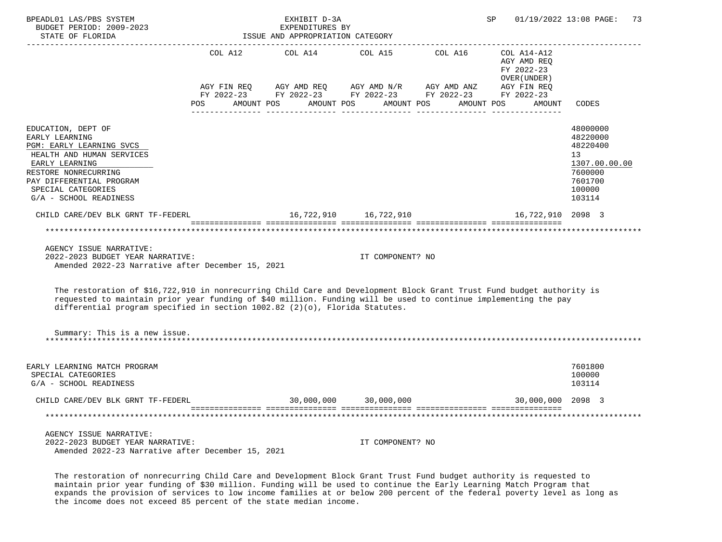| BPEADL01 LAS/PBS SYSTEM<br>BUDGET PERIOD: 2009-2023<br>STATE OF FLORIDA                                                                                                                                                                                                                                                                                                                                                                                                        | SP<br>01/19/2022 13:08 PAGE:<br>EXHIBIT D-3A<br>EXPENDITURES BY<br>ISSUE AND APPROPRIATION CATEGORY |  |                                                                                                                                                                                                                            |  |                                                                                  |                                                                                                                |  |  |
|--------------------------------------------------------------------------------------------------------------------------------------------------------------------------------------------------------------------------------------------------------------------------------------------------------------------------------------------------------------------------------------------------------------------------------------------------------------------------------|-----------------------------------------------------------------------------------------------------|--|----------------------------------------------------------------------------------------------------------------------------------------------------------------------------------------------------------------------------|--|----------------------------------------------------------------------------------|----------------------------------------------------------------------------------------------------------------|--|--|
|                                                                                                                                                                                                                                                                                                                                                                                                                                                                                | POS AMOUNT POS AMOUNT POS AMOUNT POS                                                                |  | COL A12 COL A14 COL A15 COL A16<br>$AGY \text{ FIN REQ} \qquad \text{AGY AMD REQ} \qquad \text{AGY AMD N/R} \qquad \text{AGY AMD ANZ} \qquad \text{AGY FIN REQ}$<br>FY 2022-23 FY 2022-23 FY 2022-23 FY 2022-23 FY 2022-23 |  | COL A14-A12<br>AGY AMD REQ<br>FY 2022-23<br>OVER (UNDER)<br>AMOUNT POS<br>AMOUNT | CODES                                                                                                          |  |  |
| EDUCATION, DEPT OF<br>EARLY LEARNING<br>PGM: EARLY LEARNING SVCS<br>HEALTH AND HUMAN SERVICES<br>EARLY LEARNING<br>RESTORE NONRECURRING<br>PAY DIFFERENTIAL PROGRAM<br>SPECIAL CATEGORIES<br>G/A - SCHOOL READINESS                                                                                                                                                                                                                                                            |                                                                                                     |  |                                                                                                                                                                                                                            |  |                                                                                  | 48000000<br>48220000<br>48220400<br>13 <sup>°</sup><br>1307.00.00.00<br>7600000<br>7601700<br>100000<br>103114 |  |  |
| CHILD CARE/DEV BLK GRNT TF-FEDERL                                                                                                                                                                                                                                                                                                                                                                                                                                              |                                                                                                     |  | 16,722,910    16,722,910                                                                                                                                                                                                   |  | 16,722,910 2098 3                                                                |                                                                                                                |  |  |
| AGENCY ISSUE NARRATIVE:<br>2022-2023 BUDGET YEAR NARRATIVE:<br>Amended 2022-23 Narrative after December 15, 2021<br>The restoration of \$16,722,910 in nonrecurring Child Care and Development Block Grant Trust Fund budget authority is<br>requested to maintain prior year funding of \$40 million. Funding will be used to continue implementing the pay<br>differential program specified in section $1002.82$ (2)(o), Florida Statutes.<br>Summary: This is a new issue. |                                                                                                     |  | IT COMPONENT? NO                                                                                                                                                                                                           |  |                                                                                  |                                                                                                                |  |  |
|                                                                                                                                                                                                                                                                                                                                                                                                                                                                                |                                                                                                     |  |                                                                                                                                                                                                                            |  |                                                                                  |                                                                                                                |  |  |
| EARLY LEARNING MATCH PROGRAM<br>SPECIAL CATEGORIES<br>G/A - SCHOOL READINESS                                                                                                                                                                                                                                                                                                                                                                                                   |                                                                                                     |  |                                                                                                                                                                                                                            |  |                                                                                  | 7601800<br>100000<br>103114                                                                                    |  |  |
| CHILD CARE/DEV BLK GRNT TF-FEDERL                                                                                                                                                                                                                                                                                                                                                                                                                                              |                                                                                                     |  | 30,000,000 30,000,000                                                                                                                                                                                                      |  | 30,000,000 2098 3                                                                |                                                                                                                |  |  |
|                                                                                                                                                                                                                                                                                                                                                                                                                                                                                |                                                                                                     |  |                                                                                                                                                                                                                            |  |                                                                                  |                                                                                                                |  |  |
| AGENCY ISSUE NARRATIVE:<br>2022-2023 BUDGET YEAR NARRATIVE:<br>Amended 2022-23 Narrative after December 15, 2021                                                                                                                                                                                                                                                                                                                                                               |                                                                                                     |  | IT COMPONENT? NO                                                                                                                                                                                                           |  |                                                                                  |                                                                                                                |  |  |

 The restoration of nonrecurring Child Care and Development Block Grant Trust Fund budget authority is requested to maintain prior year funding of \$30 million. Funding will be used to continue the Early Learning Match Program that expands the provision of services to low income families at or below 200 percent of the federal poverty level as long as the income does not exceed 85 percent of the state median income.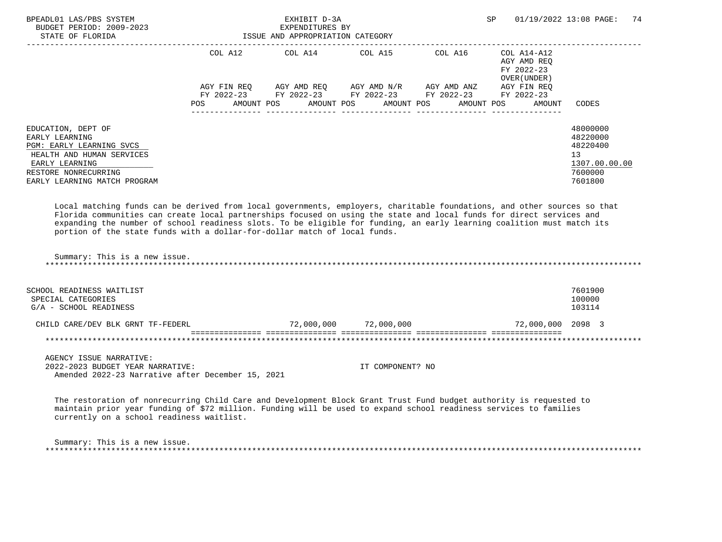| BPEADL01 LAS/PBS SYSTEM<br>BUDGET PERIOD: 2009-2023<br>STATE OF FLORIDA                                                                                                 | ISSUE AND APPROPRIATION CATEGORY | EXHIBIT D-3A<br>EXPENDITURES BY |                                     |                                             | SP                                                                              | 74<br>01/19/2022 13:08 PAGE:                                                  |
|-------------------------------------------------------------------------------------------------------------------------------------------------------------------------|----------------------------------|---------------------------------|-------------------------------------|---------------------------------------------|---------------------------------------------------------------------------------|-------------------------------------------------------------------------------|
|                                                                                                                                                                         | COL A12                          |                                 |                                     | COL A14 COL A15 COL A16                     | COL A14-A12<br>AGY AMD REO<br>FY 2022-23<br>OVER (UNDER)                        |                                                                               |
|                                                                                                                                                                         | AGY FIN REO<br><b>POS</b>        |                                 | AGY AMD REO AGY AMD N/R AGY AMD ANZ | FY 2022-23 FY 2022-23 FY 2022-23 FY 2022-23 | AGY FIN REO<br>FY 2022-23<br>AMOUNT POS AMOUNT POS AMOUNT POS AMOUNT POS AMOUNT | CODES                                                                         |
| EDUCATION, DEPT OF<br>EARLY LEARNING<br>PGM: EARLY LEARNING SVCS<br>HEALTH AND HUMAN SERVICES<br>EARLY LEARNING<br>RESTORE NONRECURRING<br>EARLY LEARNING MATCH PROGRAM |                                  |                                 |                                     |                                             |                                                                                 | 48000000<br>48220000<br>48220400<br>13<br>1307.00.00.00<br>7600000<br>7601800 |

 Local matching funds can be derived from local governments, employers, charitable foundations, and other sources so that Florida communities can create local partnerships focused on using the state and local funds for direct services and expanding the number of school readiness slots. To be eligible for funding, an early learning coalition must match its portion of the state funds with a dollar-for-dollar match of local funds.

 Summary: This is a new issue. \*\*\*\*\*\*\*\*\*\*\*\*\*\*\*\*\*\*\*\*\*\*\*\*\*\*\*\*\*\*\*\*\*\*\*\*\*\*\*\*\*\*\*\*\*\*\*\*\*\*\*\*\*\*\*\*\*\*\*\*\*\*\*\*\*\*\*\*\*\*\*\*\*\*\*\*\*\*\*\*\*\*\*\*\*\*\*\*\*\*\*\*\*\*\*\*\*\*\*\*\*\*\*\*\*\*\*\*\*\*\*\*\*\*\*\*\*\*\*\*\*\*\*\*\*\*\*

| SCHOOL READINESS WAITLIST<br>SPECIAL CATEGORIES<br>G/A - SCHOOL READINESS |            |            |                   | 7601900<br>100000<br>103114 |
|---------------------------------------------------------------------------|------------|------------|-------------------|-----------------------------|
| CHILD CARE/DEV BLK GRNT TF-FEDERL                                         | 72,000,000 | 72,000,000 | 72,000,000 2098 3 |                             |
|                                                                           |            |            |                   |                             |

 AGENCY ISSUE NARRATIVE: 2022-2023 BUDGET YEAR NARRATIVE: IT COMPONENT? NO Amended 2022-23 Narrative after December 15, 2021

 The restoration of nonrecurring Child Care and Development Block Grant Trust Fund budget authority is requested to maintain prior year funding of \$72 million. Funding will be used to expand school readiness services to families currently on a school readiness waitlist.

 Summary: This is a new issue. \*\*\*\*\*\*\*\*\*\*\*\*\*\*\*\*\*\*\*\*\*\*\*\*\*\*\*\*\*\*\*\*\*\*\*\*\*\*\*\*\*\*\*\*\*\*\*\*\*\*\*\*\*\*\*\*\*\*\*\*\*\*\*\*\*\*\*\*\*\*\*\*\*\*\*\*\*\*\*\*\*\*\*\*\*\*\*\*\*\*\*\*\*\*\*\*\*\*\*\*\*\*\*\*\*\*\*\*\*\*\*\*\*\*\*\*\*\*\*\*\*\*\*\*\*\*\*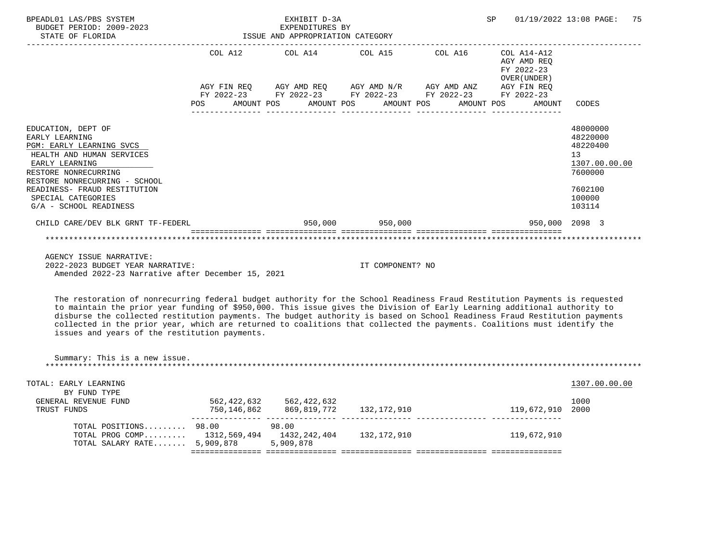| BPEADL01 LAS/PBS SYSTEM<br>BUDGET PERIOD: 2009-2023<br>ISSUE AND APPROPRIATION CATEGORY<br>STATE OF FLORIDA                                                              |     |  | EXHIBIT D-3A<br>EXPENDITURES BY   |                                                                                                                    |  | SP |                                                          | 01/19/2022 13:08 PAGE:                                             | 75 |
|--------------------------------------------------------------------------------------------------------------------------------------------------------------------------|-----|--|-----------------------------------|--------------------------------------------------------------------------------------------------------------------|--|----|----------------------------------------------------------|--------------------------------------------------------------------|----|
|                                                                                                                                                                          |     |  | . _ _ _ _ _ _ _ _ _ _ _ _ _ _ _ _ | COL A12 COL A14 COL A15 COL A16                                                                                    |  |    | COL A14-A12<br>AGY AMD REO<br>FY 2022-23<br>OVER (UNDER) |                                                                    |    |
|                                                                                                                                                                          |     |  |                                   | AGY FIN REQ AGY AMD REQ AGY AMD N/R AGY AMD ANZ AGY FIN REQ                                                        |  |    |                                                          |                                                                    |    |
|                                                                                                                                                                          | POS |  |                                   | FY 2022-23 FY 2022-23 FY 2022-23 FY 2022-23 FY 2022-23<br>AMOUNT POS      AMOUNT POS     AMOUNT POS     AMOUNT POS |  |    | AMOUNT                                                   | CODES                                                              |    |
| EDUCATION, DEPT OF<br>EARLY LEARNING<br>PGM: EARLY LEARNING SVCS<br>HEALTH AND HUMAN SERVICES<br>EARLY LEARNING<br>RESTORE NONRECURRING<br>RESTORE NONRECURRING - SCHOOL |     |  |                                   |                                                                                                                    |  |    |                                                          | 48000000<br>48220000<br>48220400<br>13<br>1307.00.00.00<br>7600000 |    |
| READINESS- FRAUD RESTITUTION<br>SPECIAL CATEGORIES                                                                                                                       |     |  |                                   |                                                                                                                    |  |    |                                                          | 7602100<br>100000                                                  |    |
| G/A - SCHOOL READINESS                                                                                                                                                   |     |  |                                   |                                                                                                                    |  |    |                                                          | 103114                                                             |    |
| CHILD CARE/DEV BLK GRNT TF-FEDERL                                                                                                                                        |     |  |                                   | $950,000$ $950,000$                                                                                                |  |    | 950,000 2098 3                                           |                                                                    |    |
|                                                                                                                                                                          |     |  |                                   |                                                                                                                    |  |    |                                                          |                                                                    |    |
| AGENCY ISSUE NARRATIVE:                                                                                                                                                  |     |  |                                   |                                                                                                                    |  |    |                                                          |                                                                    |    |

 2022-2023 BUDGET YEAR NARRATIVE: IT COMPONENT? NO Amended 2022-23 Narrative after December 15, 2021

 The restoration of nonrecurring federal budget authority for the School Readiness Fraud Restitution Payments is requested to maintain the prior year funding of \$950,000. This issue gives the Division of Early Learning additional authority to disburse the collected restitution payments. The budget authority is based on School Readiness Fraud Restitution payments collected in the prior year, which are returned to coalitions that collected the payments. Coalitions must identify the issues and years of the restitution payments.

| Summary: This is a new issue. |             |              |             |             |               |
|-------------------------------|-------------|--------------|-------------|-------------|---------------|
| TOTAL: EARLY LEARNING         |             |              |             |             | 1307.00.00.00 |
| BY FUND TYPE                  |             |              |             |             |               |
| GENERAL REVENUE FUND          | 562,422,632 | 562,422,632  |             |             | 1000          |
| TRUST FUNDS                   | 750,146,862 | 869,819,772  | 132,172,910 | 119,672,910 | 2000          |
| TOTAL POSITIONS               | 98.00       | 98.00        |             |             |               |
| TOTAL PROG COMP 1312,569,494  |             | 1432,242,404 | 132,172,910 | 119,672,910 |               |
| TOTAL SALARY RATE             | 5,909,878   | 5,909,878    |             |             |               |
|                               |             |              |             |             |               |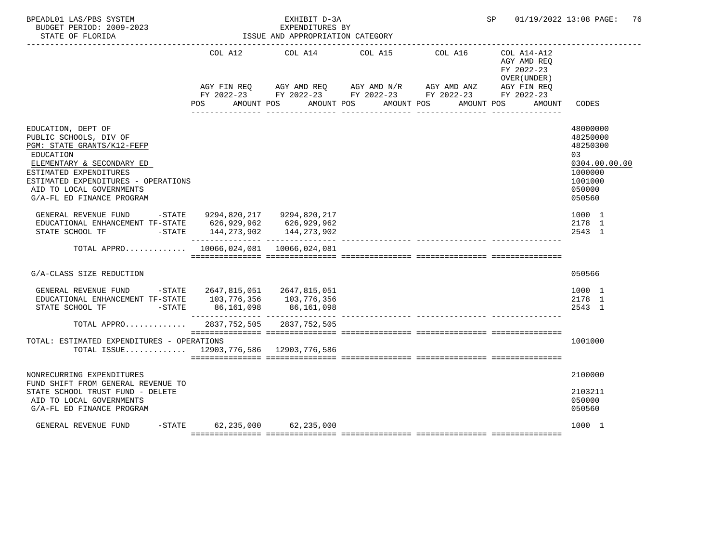| BPEADL01 LAS/PBS SYSTEM<br>BUDGET PERIOD: 2009-2023<br>STATE OF FLORIDA                                                                                                                                                                        |                                    | EXHIBIT D-3A<br>EXPENDITURES BY<br>ISSUE AND APPROPRIATION CATEGORY | SP         | 01/19/2022 13:08 PAGE: 76                                                                                                                                   |                                                                                                   |
|------------------------------------------------------------------------------------------------------------------------------------------------------------------------------------------------------------------------------------------------|------------------------------------|---------------------------------------------------------------------|------------|-------------------------------------------------------------------------------------------------------------------------------------------------------------|---------------------------------------------------------------------------------------------------|
|                                                                                                                                                                                                                                                | COL A12                            | COL A14                                                             | COL A15    | COL A16<br>COL A14-A12<br>AGY AMD REO<br>FY 2022-23<br>OVER (UNDER)                                                                                         |                                                                                                   |
|                                                                                                                                                                                                                                                | POS                                | AMOUNT POS                                                          | AMOUNT POS | AGY FIN REQ AGY AMD REQ AGY AMD N/R AGY AMD ANZ AGY FIN REQ<br>FY 2022-23 FY 2022-23 FY 2022-23 FY 2022-23 FY 2022-23<br>AMOUNT POS<br>AMOUNT POS<br>AMOUNT | CODES                                                                                             |
| EDUCATION, DEPT OF<br>PUBLIC SCHOOLS, DIV OF<br>PGM: STATE GRANTS/K12-FEFP<br>EDUCATION<br>ELEMENTARY & SECONDARY ED<br>ESTIMATED EXPENDITURES<br>ESTIMATED EXPENDITURES - OPERATIONS<br>AID TO LOCAL GOVERNMENTS<br>G/A-FL ED FINANCE PROGRAM |                                    |                                                                     |            |                                                                                                                                                             | 48000000<br>48250000<br>48250300<br>03<br>0304.00.00.00<br>1000000<br>1001000<br>050000<br>050560 |
| GENERAL REVENUE FUND - STATE 9294,820,217 9294,820,217<br>EDUCATIONAL ENHANCEMENT TF-STATE 626,929,962 626,929,962<br>STATE SCHOOL TF                                                                                                          | $-STATE$ 144, 273, 902             | 144,273,902                                                         |            |                                                                                                                                                             | 1000 1<br>2178 1<br>2543 1                                                                        |
| TOTAL APPRO $10066, 024, 081$ 10066,024,081                                                                                                                                                                                                    |                                    |                                                                     |            |                                                                                                                                                             |                                                                                                   |
| G/A-CLASS SIZE REDUCTION                                                                                                                                                                                                                       |                                    |                                                                     |            |                                                                                                                                                             | 050566                                                                                            |
| GENERAL REVENUE FUND -STATE 2647,815,051 2647,815,051<br>EDUCATIONAL ENHANCEMENT TF-STATE 103,776,356 103,776,356<br>STATE SCHOOL TF -STATE 86,161,098 86,161,098                                                                              |                                    |                                                                     |            | _____________________________                                                                                                                               | 1000 1<br>2178 1<br>2543 1                                                                        |
| TOTAL APPRO 2837,752,505 2837,752,505                                                                                                                                                                                                          |                                    |                                                                     |            |                                                                                                                                                             |                                                                                                   |
| TOTAL: ESTIMATED EXPENDITURES - OPERATIONS<br>TOTAL ISSUE 12903,776,586 12903,776,586                                                                                                                                                          |                                    |                                                                     |            |                                                                                                                                                             | 1001000                                                                                           |
| NONRECURRING EXPENDITURES<br>FUND SHIFT FROM GENERAL REVENUE TO<br>STATE SCHOOL TRUST FUND - DELETE<br>AID TO LOCAL GOVERNMENTS<br>G/A-FL ED FINANCE PROGRAM                                                                                   |                                    |                                                                     |            |                                                                                                                                                             | 2100000<br>2103211<br>050000<br>050560                                                            |
| GENERAL REVENUE FUND                                                                                                                                                                                                                           | $-STATE$ 62, 235, 000 62, 235, 000 |                                                                     |            |                                                                                                                                                             | 1000 1                                                                                            |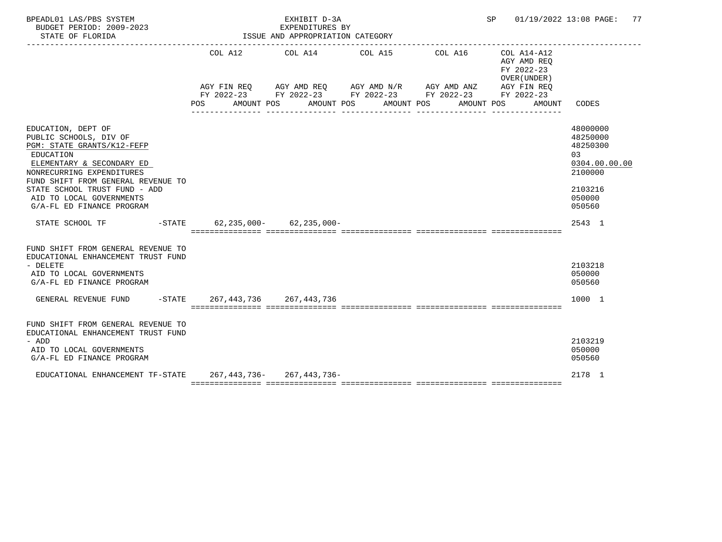| BPEADL01 LAS/PBS SYSTEM<br>BUDGET PERIOD: 2009-2023<br>STATE OF FLORIDA                                                                                                                                                                                                           |        | EXHIBIT D-3A<br>EXPENDITURES BY<br>ISSUE AND APPROPRIATION CATEGORY |                                 |                                                                                                                                                |                                                                    | SP 01/19/2022 13:08 PAGE: 77                                                                      |
|-----------------------------------------------------------------------------------------------------------------------------------------------------------------------------------------------------------------------------------------------------------------------------------|--------|---------------------------------------------------------------------|---------------------------------|------------------------------------------------------------------------------------------------------------------------------------------------|--------------------------------------------------------------------|---------------------------------------------------------------------------------------------------|
|                                                                                                                                                                                                                                                                                   | POS DO | AMOUNT POS AMOUNT POS                                               | COL A12 COL A14 COL A15 COL A16 | AGY FIN REQ AGY AMD REQ AGY AMD N/R AGY AMD ANZ AGY FIN REQ<br>FY 2022-23 FY 2022-23 FY 2022-23 FY 2022-23 FY 2022-23<br>AMOUNT POS AMOUNT POS | COL A14-A12<br>AGY AMD REO<br>FY 2022-23<br>OVER (UNDER)<br>AMOUNT | CODES                                                                                             |
| EDUCATION, DEPT OF<br>PUBLIC SCHOOLS, DIV OF<br>PGM: STATE GRANTS/K12-FEFP<br>EDUCATION<br>ELEMENTARY & SECONDARY ED<br>NONRECURRING EXPENDITURES<br>FUND SHIFT FROM GENERAL REVENUE TO<br>STATE SCHOOL TRUST FUND - ADD<br>AID TO LOCAL GOVERNMENTS<br>G/A-FL ED FINANCE PROGRAM |        |                                                                     |                                 |                                                                                                                                                |                                                                    | 48000000<br>48250000<br>48250300<br>03<br>0304.00.00.00<br>2100000<br>2103216<br>050000<br>050560 |
| STATE SCHOOL TF -STATE 62,235,000- 62,235,000-                                                                                                                                                                                                                                    |        |                                                                     |                                 |                                                                                                                                                |                                                                    | 2543 1                                                                                            |
| FUND SHIFT FROM GENERAL REVENUE TO<br>EDUCATIONAL ENHANCEMENT TRUST FUND<br>- DELETE<br>AID TO LOCAL GOVERNMENTS<br>G/A-FL ED FINANCE PROGRAM<br>GENERAL REVENUE FUND -STATE 267, 443, 736 267, 443, 736                                                                          |        |                                                                     |                                 |                                                                                                                                                |                                                                    | 2103218<br>050000<br>050560<br>1000 1                                                             |
| FUND SHIFT FROM GENERAL REVENUE TO<br>EDUCATIONAL ENHANCEMENT TRUST FUND<br>- ADD<br>AID TO LOCAL GOVERNMENTS<br>G/A-FL ED FINANCE PROGRAM                                                                                                                                        |        |                                                                     |                                 |                                                                                                                                                |                                                                    | 2103219<br>050000<br>050560                                                                       |
| EDUCATIONAL ENHANCEMENT TF-STATE 267, 443, 736-267, 443, 736-                                                                                                                                                                                                                     |        |                                                                     |                                 |                                                                                                                                                |                                                                    | 2178 1                                                                                            |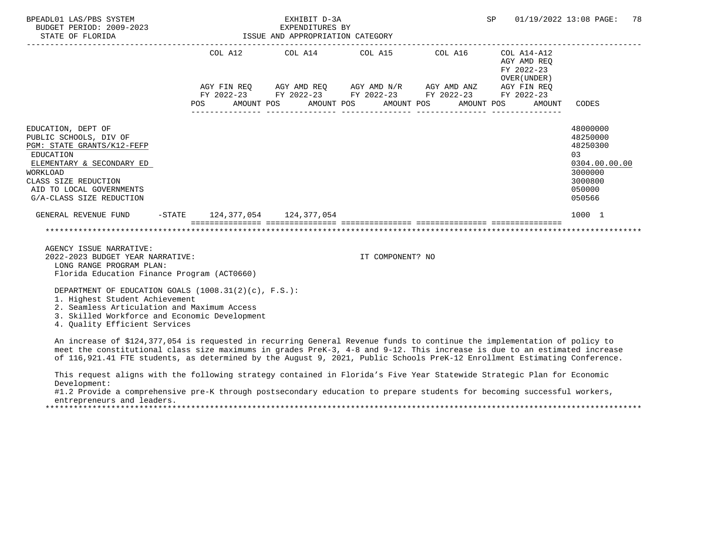| BPEADL01 LAS/PBS SYSTEM<br>BUDGET PERIOD: 2009-2023<br>STATE OF FLORIDA                                                                                                                                                 |                                       | EXHIBIT D-3A<br>EXPENDITURES BY<br>ISSUE AND APPROPRIATION CATEGORY | SP                                                                                                                    | 01/19/2022 13:08 PAGE:<br>78                             |                                                                                                    |
|-------------------------------------------------------------------------------------------------------------------------------------------------------------------------------------------------------------------------|---------------------------------------|---------------------------------------------------------------------|-----------------------------------------------------------------------------------------------------------------------|----------------------------------------------------------|----------------------------------------------------------------------------------------------------|
|                                                                                                                                                                                                                         |                                       |                                                                     | COL A12 COL A14 COL A15 COL A16                                                                                       | COL A14-A12<br>AGY AMD REO<br>FY 2022-23<br>OVER (UNDER) |                                                                                                    |
|                                                                                                                                                                                                                         | POS AMOUNT POS AMOUNT POS AMOUNT POS  |                                                                     | AGY FIN REQ AGY AMD REQ AGY AMD N/R AGY AMD ANZ AGY FIN REQ<br>FY 2022-23 FY 2022-23 FY 2022-23 FY 2022-23 FY 2022-23 | AMOUNT POS                                               | AMOUNT CODES                                                                                       |
| EDUCATION, DEPT OF<br>PUBLIC SCHOOLS, DIV OF<br>PGM: STATE GRANTS/K12-FEFP<br>EDUCATION<br>ELEMENTARY & SECONDARY ED<br>WORKLOAD<br>CLASS SIZE REDUCTION<br>AID TO LOCAL GOVERNMENTS<br>G/A-CLASS SIZE REDUCTION        |                                       |                                                                     |                                                                                                                       |                                                          | 48000000<br>48250000<br>48250300<br>0.3<br>0304.00.00.00<br>3000000<br>3000800<br>050000<br>050566 |
| GENERAL REVENUE FUND                                                                                                                                                                                                    | $-$ STATE 124, 377, 054 124, 377, 054 |                                                                     |                                                                                                                       |                                                          | 1000 1                                                                                             |
|                                                                                                                                                                                                                         |                                       |                                                                     |                                                                                                                       |                                                          |                                                                                                    |
| AGENCY ISSUE NARRATIVE:<br>2022-2023 BUDGET YEAR NARRATIVE:<br>LONG RANGE PROGRAM PLAN:<br>Florida Education Finance Program (ACT0660)                                                                                  |                                       |                                                                     | IT COMPONENT? NO                                                                                                      |                                                          |                                                                                                    |
| DEPARTMENT OF EDUCATION GOALS (1008.31(2)(c), F.S.):<br>1. Highest Student Achievement<br>2. Seamless Articulation and Maximum Access<br>3. Skilled Workforce and Economic Development<br>4. Ouality Efficient Services |                                       |                                                                     |                                                                                                                       |                                                          |                                                                                                    |

 An increase of \$124,377,054 is requested in recurring General Revenue funds to continue the implementation of policy to meet the constitutional class size maximums in grades PreK-3, 4-8 and 9-12. This increase is due to an estimated increase of 116,921.41 FTE students, as determined by the August 9, 2021, Public Schools PreK-12 Enrollment Estimating Conference.

 This request aligns with the following strategy contained in Florida's Five Year Statewide Strategic Plan for Economic Development:

 #1.2 Provide a comprehensive pre-K through postsecondary education to prepare students for becoming successful workers, entrepreneurs and leaders.

\*\*\*\*\*\*\*\*\*\*\*\*\*\*\*\*\*\*\*\*\*\*\*\*\*\*\*\*\*\*\*\*\*\*\*\*\*\*\*\*\*\*\*\*\*\*\*\*\*\*\*\*\*\*\*\*\*\*\*\*\*\*\*\*\*\*\*\*\*\*\*\*\*\*\*\*\*\*\*\*\*\*\*\*\*\*\*\*\*\*\*\*\*\*\*\*\*\*\*\*\*\*\*\*\*\*\*\*\*\*\*\*\*\*\*\*\*\*\*\*\*\*\*\*\*\*\*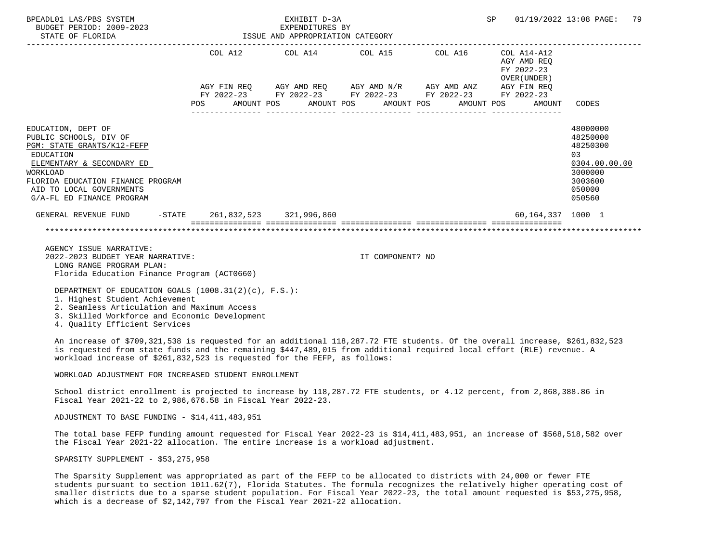| BPEADL01 LAS/PBS SYSTEM<br>BUDGET PERIOD: 2009-2023<br>STATE OF FLORIDA                                                                                                                                                        |     |  | EXHIBIT D-3A<br>EXPENDITURES BY<br>ISSUE AND APPROPRIATION CATEGORY |                                                                                                                       |  |                                                                           | SP 01/19/2022 13:08 PAGE:                                                                         | 79 |
|--------------------------------------------------------------------------------------------------------------------------------------------------------------------------------------------------------------------------------|-----|--|---------------------------------------------------------------------|-----------------------------------------------------------------------------------------------------------------------|--|---------------------------------------------------------------------------|---------------------------------------------------------------------------------------------------|----|
|                                                                                                                                                                                                                                |     |  |                                                                     | COL A12 COL A14 COL A15 COL A16                                                                                       |  | COL A14-A12<br>AGY AMD REO<br>FY 2022-23<br>OVER (UNDER)                  |                                                                                                   |    |
|                                                                                                                                                                                                                                |     |  |                                                                     | AGY FIN REO AGY AMD REO AGY AMD N/R AGY AMD ANZ AGY FIN REO<br>FY 2022-23 FY 2022-23 FY 2022-23 FY 2022-23 FY 2022-23 |  |                                                                           |                                                                                                   |    |
|                                                                                                                                                                                                                                | POS |  |                                                                     |                                                                                                                       |  | AMOUNT POS       AMOUNT POS       AMOUNT POS       AMOUNT POS      AMOUNT | CODES                                                                                             |    |
| EDUCATION, DEPT OF<br>PUBLIC SCHOOLS, DIV OF<br>PGM: STATE GRANTS/K12-FEFP<br>EDUCATION<br>ELEMENTARY & SECONDARY ED<br>WORKLOAD<br>FLORIDA EDUCATION FINANCE PROGRAM<br>AID TO LOCAL GOVERNMENTS<br>G/A-FL ED FINANCE PROGRAM |     |  |                                                                     |                                                                                                                       |  |                                                                           | 48000000<br>48250000<br>48250300<br>03<br>0304.00.00.00<br>3000000<br>3003600<br>050000<br>050560 |    |
| GENERAL REVENUE FUND                                                                                                                                                                                                           |     |  | -STATE 261,832,523 321,996,860                                      |                                                                                                                       |  | 60,164,337 1000 1                                                         |                                                                                                   |    |
|                                                                                                                                                                                                                                |     |  |                                                                     |                                                                                                                       |  |                                                                           |                                                                                                   |    |

 AGENCY ISSUE NARRATIVE: 2022-2023 BUDGET YEAR NARRATIVE: IT COMPONENT? NO LONG RANGE PROGRAM PLAN: Florida Education Finance Program (ACT0660)

DEPARTMENT OF EDUCATION GOALS (1008.31(2)(c), F.S.):

1. Highest Student Achievement

2. Seamless Articulation and Maximum Access

3. Skilled Workforce and Economic Development

4. Quality Efficient Services

 An increase of \$709,321,538 is requested for an additional 118,287.72 FTE students. Of the overall increase, \$261,832,523 is requested from state funds and the remaining \$447,489,015 from additional required local effort (RLE) revenue. A workload increase of \$261,832,523 is requested for the FEFP, as follows:

WORKLOAD ADJUSTMENT FOR INCREASED STUDENT ENROLLMENT

 School district enrollment is projected to increase by 118,287.72 FTE students, or 4.12 percent, from 2,868,388.86 in Fiscal Year 2021-22 to 2,986,676.58 in Fiscal Year 2022-23.

ADJUSTMENT TO BASE FUNDING - \$14,411,483,951

 The total base FEFP funding amount requested for Fiscal Year 2022-23 is \$14,411,483,951, an increase of \$568,518,582 over the Fiscal Year 2021-22 allocation. The entire increase is a workload adjustment.

SPARSITY SUPPLEMENT - \$53,275,958

 The Sparsity Supplement was appropriated as part of the FEFP to be allocated to districts with 24,000 or fewer FTE students pursuant to section 1011.62(7), Florida Statutes. The formula recognizes the relatively higher operating cost of smaller districts due to a sparse student population. For Fiscal Year 2022-23, the total amount requested is \$53,275,958, which is a decrease of \$2,142,797 from the Fiscal Year 2021-22 allocation.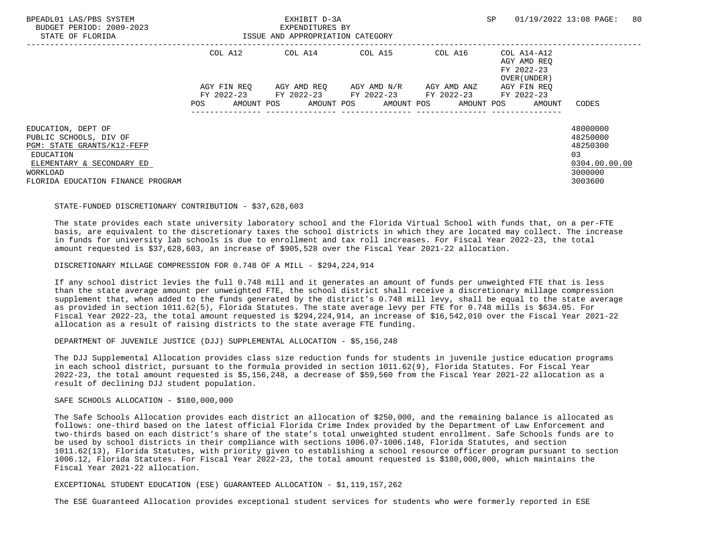| COL A12<br>COL A14 COL A15<br>COL A16 COL A14-A12<br>AGY AMD REO<br>FY 2022-23 |
|--------------------------------------------------------------------------------|
| OVER (UNDER)                                                                   |
| AGY FIN REO<br>AGY AMD REO AGY AMD N/R<br>AGY AMD ANZ<br>AGY FIN REO           |
| FY 2022-23 FY 2022-23 FY 2022-23 FY 2022-23<br>FY 2022-23                      |
| AMOUNT POS<br>AMOUNT POS AMOUNT POS AMOUNT POS<br>POS<br>AMOUNT<br>CODES       |
| 48000000<br>EDUCATION, DEPT OF                                                 |
| 48250000<br>PUBLIC SCHOOLS, DIV OF                                             |
| 48250300<br>PGM: STATE GRANTS/K12-FEFP                                         |
| 0.3<br>EDUCATION                                                               |
| 0304.00.00.00<br>ELEMENTARY & SECONDARY ED                                     |
| 3000000<br>WORKLOAD                                                            |
| 3003600<br>FLORIDA EDUCATION FINANCE PROGRAM                                   |

#### STATE-FUNDED DISCRETIONARY CONTRIBUTION - \$37,628,603

 The state provides each state university laboratory school and the Florida Virtual School with funds that, on a per-FTE basis, are equivalent to the discretionary taxes the school districts in which they are located may collect. The increase in funds for university lab schools is due to enrollment and tax roll increases. For Fiscal Year 2022-23, the total amount requested is \$37,628,603, an increase of \$905,528 over the Fiscal Year 2021-22 allocation.

DISCRETIONARY MILLAGE COMPRESSION FOR 0.748 OF A MILL - \$294,224,914

 If any school district levies the full 0.748 mill and it generates an amount of funds per unweighted FTE that is less than the state average amount per unweighted FTE, the school district shall receive a discretionary millage compression supplement that, when added to the funds generated by the district's 0.748 mill levy, shall be equal to the state average as provided in section 1011.62(5), Florida Statutes. The state average levy per FTE for 0.748 mills is \$634.05. For Fiscal Year 2022-23, the total amount requested is \$294,224,914, an increase of \$16,542,010 over the Fiscal Year 2021-22 allocation as a result of raising districts to the state average FTE funding.

DEPARTMENT OF JUVENILE JUSTICE (DJJ) SUPPLEMENTAL ALLOCATION - \$5,156,248

 The DJJ Supplemental Allocation provides class size reduction funds for students in juvenile justice education programs in each school district, pursuant to the formula provided in section 1011.62(9), Florida Statutes. For Fiscal Year 2022-23, the total amount requested is \$5,156,248, a decrease of \$59,560 from the Fiscal Year 2021-22 allocation as a result of declining DJJ student population.

SAFE SCHOOLS ALLOCATION - \$180,000,000

 The Safe Schools Allocation provides each district an allocation of \$250,000, and the remaining balance is allocated as follows: one-third based on the latest official Florida Crime Index provided by the Department of Law Enforcement and two-thirds based on each district's share of the state's total unweighted student enrollment. Safe Schools funds are to be used by school districts in their compliance with sections 1006.07-1006.148, Florida Statutes, and section 1011.62(13), Florida Statutes, with priority given to establishing a school resource officer program pursuant to section 1006.12, Florida Statutes. For Fiscal Year 2022-23, the total amount requested is \$180,000,000, which maintains the Fiscal Year 2021-22 allocation.

EXCEPTIONAL STUDENT EDUCATION (ESE) GUARANTEED ALLOCATION - \$1,119,157,262

The ESE Guaranteed Allocation provides exceptional student services for students who were formerly reported in ESE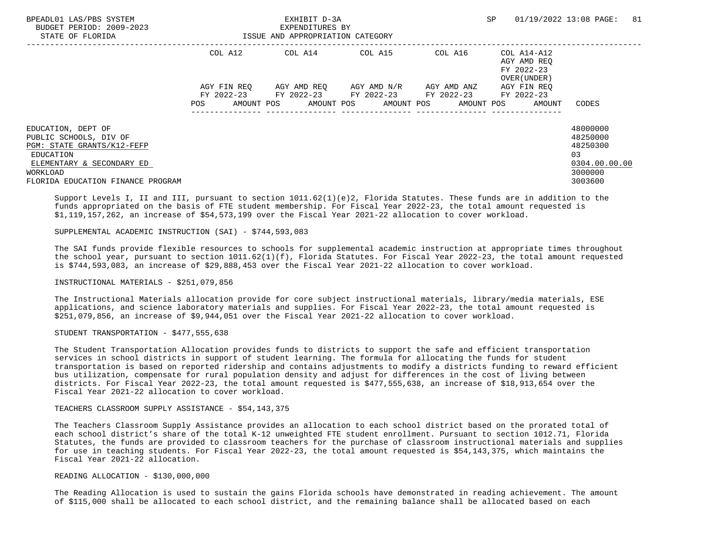| BPEADL01 LAS/PBS SYSTEM<br>BUDGET PERIOD: 2009-2023<br>STATE OF FLORIDA |             | EXHIBIT D-3A<br>EXPENDITURES BY<br>ISSUE AND APPROPRIATION CATEGORY |                                  | SP.                                                      | 01/19/2022 13:08 PAGE:<br>81 |
|-------------------------------------------------------------------------|-------------|---------------------------------------------------------------------|----------------------------------|----------------------------------------------------------|------------------------------|
|                                                                         | COL A12     | COL A14 COL A15                                                     | COL A16                          | COL A14-A12<br>AGY AMD REO<br>FY 2022-23<br>OVER (UNDER) |                              |
|                                                                         | AGY FIN REO | AGY AMD REO      AGY AMD N/R      AGY AMD ANZ                       |                                  | AGY FIN REO                                              |                              |
|                                                                         |             | FY 2022-23 FY 2022-23 FY 2022-23 FY 2022-23 FY 2022-23              |                                  |                                                          |                              |
|                                                                         | POS         | AMOUNT POS                                                          | AMOUNT POS AMOUNT POS AMOUNT POS | AMOUNT                                                   | CODES                        |
| EDUCATION, DEPT OF                                                      |             |                                                                     |                                  |                                                          | 48000000                     |
| PUBLIC SCHOOLS, DIV OF                                                  |             |                                                                     |                                  |                                                          | 48250000                     |
| PGM: STATE GRANTS/K12-FEFP                                              |             |                                                                     |                                  |                                                          | 48250300                     |
| EDUCATION                                                               |             |                                                                     |                                  |                                                          | 03                           |
| ELEMENTARY & SECONDARY ED                                               |             |                                                                     |                                  |                                                          | 0304.00.00.00                |
| WORKLOAD                                                                |             |                                                                     |                                  |                                                          | 3000000                      |
| FLORIDA EDUCATION FINANCE PROGRAM                                       |             |                                                                     |                                  |                                                          | 3003600                      |

 Support Levels I, II and III, pursuant to section 1011.62(1)(e)2, Florida Statutes. These funds are in addition to the funds appropriated on the basis of FTE student membership. For Fiscal Year 2022-23, the total amount requested is \$1,119,157,262, an increase of \$54,573,199 over the Fiscal Year 2021-22 allocation to cover workload.

### SUPPLEMENTAL ACADEMIC INSTRUCTION (SAI) - \$744,593,083

 The SAI funds provide flexible resources to schools for supplemental academic instruction at appropriate times throughout the school year, pursuant to section 1011.62(1)(f), Florida Statutes. For Fiscal Year 2022-23, the total amount requested is \$744,593,083, an increase of \$29,888,453 over the Fiscal Year 2021-22 allocation to cover workload.

INSTRUCTIONAL MATERIALS - \$251,079,856

 The Instructional Materials allocation provide for core subject instructional materials, library/media materials, ESE applications, and science laboratory materials and supplies. For Fiscal Year 2022-23, the total amount requested is \$251,079,856, an increase of \$9,944,051 over the Fiscal Year 2021-22 allocation to cover workload.

STUDENT TRANSPORTATION - \$477,555,638

 The Student Transportation Allocation provides funds to districts to support the safe and efficient transportation services in school districts in support of student learning. The formula for allocating the funds for student transportation is based on reported ridership and contains adjustments to modify a districts funding to reward efficient bus utilization, compensate for rural population density and adjust for differences in the cost of living between districts. For Fiscal Year 2022-23, the total amount requested is \$477,555,638, an increase of \$18,913,654 over the Fiscal Year 2021-22 allocation to cover workload.

## TEACHERS CLASSROOM SUPPLY ASSISTANCE - \$54,143,375

 The Teachers Classroom Supply Assistance provides an allocation to each school district based on the prorated total of each school district's share of the total K-12 unweighted FTE student enrollment. Pursuant to section 1012.71, Florida Statutes, the funds are provided to classroom teachers for the purchase of classroom instructional materials and supplies for use in teaching students. For Fiscal Year 2022-23, the total amount requested is \$54,143,375, which maintains the Fiscal Year 2021-22 allocation.

## READING ALLOCATION - \$130,000,000

 The Reading Allocation is used to sustain the gains Florida schools have demonstrated in reading achievement. The amount of \$115,000 shall be allocated to each school district, and the remaining balance shall be allocated based on each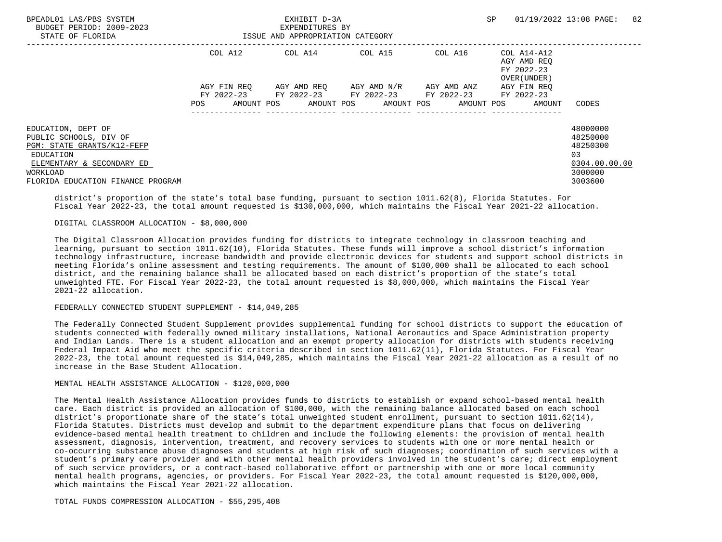| BPEADL01 LAS/PBS SYSTEM<br>BUDGET PERIOD: 2009-2023<br>STATE OF FLORIDA | EXHIBIT D-3A<br>EXPENDITURES BY<br>ISSUE AND APPROPRIATION CATEGORY |             |  |                 |  |                                                        |             | <b>SP</b> |                                                                  | 01/19/2022 13:08 PAGE: | 82 |
|-------------------------------------------------------------------------|---------------------------------------------------------------------|-------------|--|-----------------|--|--------------------------------------------------------|-------------|-----------|------------------------------------------------------------------|------------------------|----|
|                                                                         |                                                                     | COL A12     |  | COL A14 COL A15 |  |                                                        |             |           | COL A16 COL A14-A12<br>AGY AMD REO<br>FY 2022-23<br>OVER (UNDER) |                        |    |
|                                                                         |                                                                     | AGY FIN REO |  |                 |  | AGY AMD REO AGY AMD N/R                                | AGY AMD ANZ |           | AGY FIN REO                                                      |                        |    |
|                                                                         |                                                                     |             |  |                 |  | FY 2022-23 FY 2022-23 FY 2022-23 FY 2022-23 FY 2022-23 |             |           |                                                                  |                        |    |
|                                                                         | POS                                                                 | AMOUNT POS  |  |                 |  | AMOUNT POS AMOUNT POS AMOUNT POS                       |             |           | AMOUNT                                                           | CODES                  |    |
| EDUCATION, DEPT OF                                                      |                                                                     |             |  |                 |  |                                                        |             |           |                                                                  | 48000000               |    |
| PUBLIC SCHOOLS, DIV OF                                                  |                                                                     |             |  |                 |  |                                                        |             |           |                                                                  | 48250000               |    |
| PGM: STATE GRANTS/K12-FEFP                                              |                                                                     |             |  |                 |  |                                                        |             |           |                                                                  | 48250300               |    |
| EDUCATION                                                               |                                                                     |             |  |                 |  |                                                        |             |           |                                                                  | 0.3                    |    |
| ELEMENTARY & SECONDARY ED                                               |                                                                     |             |  |                 |  |                                                        |             |           |                                                                  | 0304.00.00.00          |    |
| WORKLOAD                                                                |                                                                     |             |  |                 |  |                                                        |             |           |                                                                  | 3000000                |    |
| FLORIDA EDUCATION FINANCE PROGRAM                                       |                                                                     |             |  |                 |  |                                                        |             |           |                                                                  | 3003600                |    |

 district's proportion of the state's total base funding, pursuant to section 1011.62(8), Florida Statutes. For Fiscal Year 2022-23, the total amount requested is \$130,000,000, which maintains the Fiscal Year 2021-22 allocation.

# DIGITAL CLASSROOM ALLOCATION - \$8,000,000

 The Digital Classroom Allocation provides funding for districts to integrate technology in classroom teaching and learning, pursuant to section 1011.62(10), Florida Statutes. These funds will improve a school district's information technology infrastructure, increase bandwidth and provide electronic devices for students and support school districts in meeting Florida's online assessment and testing requirements. The amount of \$100,000 shall be allocated to each school district, and the remaining balance shall be allocated based on each district's proportion of the state's total unweighted FTE. For Fiscal Year 2022-23, the total amount requested is \$8,000,000, which maintains the Fiscal Year 2021-22 allocation.

### FEDERALLY CONNECTED STUDENT SUPPLEMENT - \$14,049,285

 The Federally Connected Student Supplement provides supplemental funding for school districts to support the education of students connected with federally owned military installations, National Aeronautics and Space Administration property and Indian Lands. There is a student allocation and an exempt property allocation for districts with students receiving Federal Impact Aid who meet the specific criteria described in section 1011.62(11), Florida Statutes. For Fiscal Year 2022-23, the total amount requested is \$14,049,285, which maintains the Fiscal Year 2021-22 allocation as a result of no increase in the Base Student Allocation.

#### MENTAL HEALTH ASSISTANCE ALLOCATION - \$120,000,000

 The Mental Health Assistance Allocation provides funds to districts to establish or expand school-based mental health care. Each district is provided an allocation of \$100,000, with the remaining balance allocated based on each school district's proportionate share of the state's total unweighted student enrollment, pursuant to section 1011.62(14), Florida Statutes. Districts must develop and submit to the department expenditure plans that focus on delivering evidence-based mental health treatment to children and include the following elements: the provision of mental health assessment, diagnosis, intervention, treatment, and recovery services to students with one or more mental health or co-occurring substance abuse diagnoses and students at high risk of such diagnoses; coordination of such services with a student's primary care provider and with other mental health providers involved in the student's care; direct employment of such service providers, or a contract-based collaborative effort or partnership with one or more local community mental health programs, agencies, or providers. For Fiscal Year 2022-23, the total amount requested is \$120,000,000, which maintains the Fiscal Year 2021-22 allocation.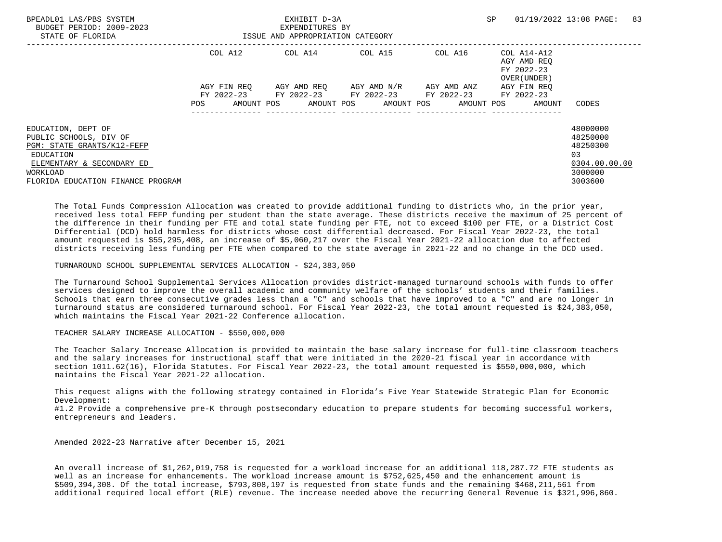| BPEADL01 LAS/PBS SYSTEM<br>BUDGET PERIOD: 2009-2023<br>STATE OF FLORIDA | EXHIBIT D-3A<br>EXPENDITURES BY<br>ISSUE AND APPROPRIATION CATEGORY |  |                                             |  |  |  | <b>SP</b>   |  |                                           | 01/19/2022 13:08 PAGE: | 83 |
|-------------------------------------------------------------------------|---------------------------------------------------------------------|--|---------------------------------------------|--|--|--|-------------|--|-------------------------------------------|------------------------|----|
|                                                                         | COL A12                                                             |  | COL A14 COL A15 COL A16 COL A14-A12         |  |  |  |             |  | AGY AMD REO<br>FY 2022-23<br>OVER (UNDER) |                        |    |
|                                                                         | AGY FIN REO                                                         |  | AGY AMD REO AGY AMD N/R                     |  |  |  | AGY AMD ANZ |  | AGY FIN REO                               |                        |    |
|                                                                         |                                                                     |  | FY 2022-23 FY 2022-23 FY 2022-23 FY 2022-23 |  |  |  |             |  | FY 2022-23                                |                        |    |
|                                                                         | POS                                                                 |  | AMOUNT POS AMOUNT POS AMOUNT POS AMOUNT POS |  |  |  |             |  | AMOUNT                                    | CODES                  |    |
| EDUCATION, DEPT OF                                                      |                                                                     |  |                                             |  |  |  |             |  |                                           | 48000000               |    |
| PUBLIC SCHOOLS, DIV OF                                                  |                                                                     |  |                                             |  |  |  |             |  |                                           | 48250000               |    |
| PGM: STATE GRANTS/K12-FEFP                                              |                                                                     |  |                                             |  |  |  |             |  |                                           | 48250300               |    |
| EDUCATION                                                               |                                                                     |  |                                             |  |  |  |             |  |                                           | 03                     |    |
| ELEMENTARY & SECONDARY ED                                               |                                                                     |  |                                             |  |  |  |             |  |                                           | 0304.00.00.00          |    |
| WORKLOAD                                                                |                                                                     |  |                                             |  |  |  |             |  |                                           | 3000000                |    |
| FLORIDA EDUCATION FINANCE PROGRAM                                       |                                                                     |  |                                             |  |  |  |             |  |                                           | 3003600                |    |

 The Total Funds Compression Allocation was created to provide additional funding to districts who, in the prior year, received less total FEFP funding per student than the state average. These districts receive the maximum of 25 percent of the difference in their funding per FTE and total state funding per FTE, not to exceed \$100 per FTE, or a District Cost Differential (DCD) hold harmless for districts whose cost differential decreased. For Fiscal Year 2022-23, the total amount requested is \$55,295,408, an increase of \$5,060,217 over the Fiscal Year 2021-22 allocation due to affected districts receiving less funding per FTE when compared to the state average in 2021-22 and no change in the DCD used.

TURNAROUND SCHOOL SUPPLEMENTAL SERVICES ALLOCATION - \$24,383,050

 The Turnaround School Supplemental Services Allocation provides district-managed turnaround schools with funds to offer services designed to improve the overall academic and community welfare of the schools' students and their families. Schools that earn three consecutive grades less than a "C" and schools that have improved to a "C" and are no longer in turnaround status are considered turnaround school. For Fiscal Year 2022-23, the total amount requested is \$24,383,050, which maintains the Fiscal Year 2021-22 Conference allocation.

TEACHER SALARY INCREASE ALLOCATION - \$550,000,000

 The Teacher Salary Increase Allocation is provided to maintain the base salary increase for full-time classroom teachers and the salary increases for instructional staff that were initiated in the 2020-21 fiscal year in accordance with section 1011.62(16), Florida Statutes. For Fiscal Year 2022-23, the total amount requested is \$550,000,000, which maintains the Fiscal Year 2021-22 allocation.

 This request aligns with the following strategy contained in Florida's Five Year Statewide Strategic Plan for Economic Development:

 #1.2 Provide a comprehensive pre-K through postsecondary education to prepare students for becoming successful workers, entrepreneurs and leaders.

Amended 2022-23 Narrative after December 15, 2021

 An overall increase of \$1,262,019,758 is requested for a workload increase for an additional 118,287.72 FTE students as well as an increase for enhancements. The workload increase amount is \$752,625,450 and the enhancement amount is \$509,394,308. Of the total increase, \$793,808,197 is requested from state funds and the remaining \$468,211,561 from additional required local effort (RLE) revenue. The increase needed above the recurring General Revenue is \$321,996,860.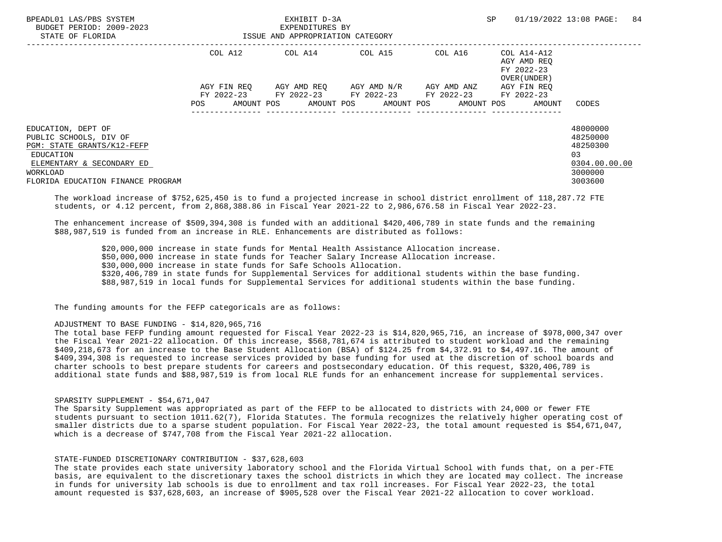| BPEADL01 LAS/PBS SYSTEM<br>BUDGET PERIOD: 2009-2023<br>STATE OF FLORIDA |             | EXHIBIT D-3A<br>EXPENDITURES BY<br>ISSUE AND APPROPRIATION CATEGORY |                                               |         | SP.                                                      | 01/19/2022 13:08 PAGE:<br>84 |
|-------------------------------------------------------------------------|-------------|---------------------------------------------------------------------|-----------------------------------------------|---------|----------------------------------------------------------|------------------------------|
|                                                                         | COL A12     | COL A14 COL A15                                                     |                                               | COL A16 | COL A14-A12<br>AGY AMD REO<br>FY 2022-23<br>OVER (UNDER) |                              |
|                                                                         | AGY FIN REO |                                                                     | AGY AMD REO      AGY AMD N/R      AGY AMD ANZ |         | AGY FIN REO                                              |                              |
|                                                                         |             | FY 2022-23 FY 2022-23 FY 2022-23 FY 2022-23                         |                                               |         | FY 2022-23                                               |                              |
|                                                                         | POS         | AMOUNT POS AMOUNT POS AMOUNT POS AMOUNT POS                         |                                               |         | AMOUNT                                                   | CODES                        |
| EDUCATION, DEPT OF                                                      |             |                                                                     |                                               |         |                                                          | 48000000                     |
| PUBLIC SCHOOLS, DIV OF                                                  |             |                                                                     |                                               |         |                                                          | 48250000                     |
| PGM: STATE GRANTS/K12-FEFP                                              |             |                                                                     |                                               |         |                                                          | 48250300                     |
| EDUCATION                                                               |             |                                                                     |                                               |         |                                                          | 03                           |
| ELEMENTARY & SECONDARY ED                                               |             |                                                                     |                                               |         |                                                          | 0304.00.00.00                |
| WORKLOAD                                                                |             |                                                                     |                                               |         |                                                          | 3000000                      |
| FLORIDA EDUCATION FINANCE PROGRAM                                       |             |                                                                     |                                               |         |                                                          | 3003600                      |

 The workload increase of \$752,625,450 is to fund a projected increase in school district enrollment of 118,287.72 FTE students, or 4.12 percent, from 2,868,388.86 in Fiscal Year 2021-22 to 2,986,676.58 in Fiscal Year 2022-23.

 The enhancement increase of \$509,394,308 is funded with an additional \$420,406,789 in state funds and the remaining \$88,987,519 is funded from an increase in RLE. Enhancements are distributed as follows:

 \$20,000,000 increase in state funds for Mental Health Assistance Allocation increase. \$50,000,000 increase in state funds for Teacher Salary Increase Allocation increase. \$30,000,000 increase in state funds for Safe Schools Allocation. \$320,406,789 in state funds for Supplemental Services for additional students within the base funding. \$88,987,519 in local funds for Supplemental Services for additional students within the base funding.

The funding amounts for the FEFP categoricals are as follows:

### ADJUSTMENT TO BASE FUNDING - \$14,820,965,716

 The total base FEFP funding amount requested for Fiscal Year 2022-23 is \$14,820,965,716, an increase of \$978,000,347 over the Fiscal Year 2021-22 allocation. Of this increase, \$568,781,674 is attributed to student workload and the remaining \$409,218,673 for an increase to the Base Student Allocation (BSA) of \$124.25 from \$4,372.91 to \$4,497.16. The amount of \$409,394,308 is requested to increase services provided by base funding for used at the discretion of school boards and charter schools to best prepare students for careers and postsecondary education. Of this request, \$320,406,789 is additional state funds and \$88,987,519 is from local RLE funds for an enhancement increase for supplemental services.

### SPARSITY SUPPLEMENT - \$54,671,047

 The Sparsity Supplement was appropriated as part of the FEFP to be allocated to districts with 24,000 or fewer FTE students pursuant to section 1011.62(7), Florida Statutes. The formula recognizes the relatively higher operating cost of smaller districts due to a sparse student population. For Fiscal Year 2022-23, the total amount requested is \$54,671,047, which is a decrease of \$747,708 from the Fiscal Year 2021-22 allocation.

## STATE-FUNDED DISCRETIONARY CONTRIBUTION - \$37,628,603

 The state provides each state university laboratory school and the Florida Virtual School with funds that, on a per-FTE basis, are equivalent to the discretionary taxes the school districts in which they are located may collect. The increase in funds for university lab schools is due to enrollment and tax roll increases. For Fiscal Year 2022-23, the total amount requested is \$37,628,603, an increase of \$905,528 over the Fiscal Year 2021-22 allocation to cover workload.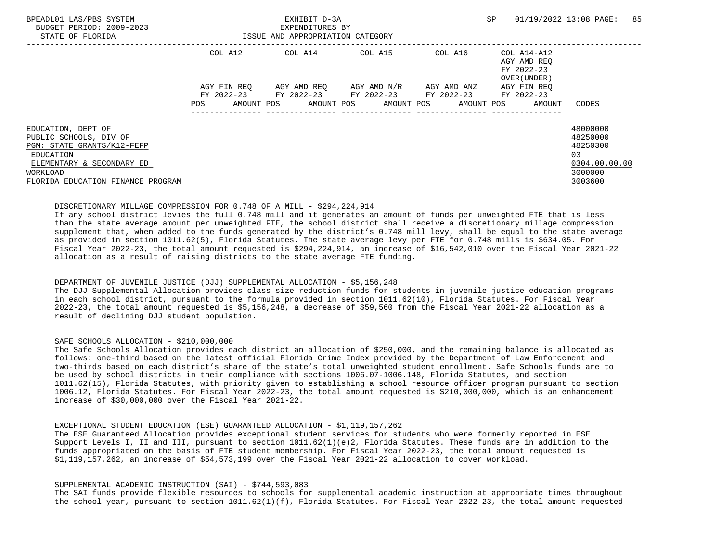| BPEADL01 LAS/PBS SYSTEM<br>BUDGET PERIOD: 2009-2023<br>STATE OF FLORIDA | EXHIBIT D-3A<br>EXPENDITURES BY<br>ISSUE AND APPROPRIATION CATEGORY |                           |  |         |  |                                                                                                                        |  |         | SP                                                       | 01/19/2022 13:08 PAGE:              | 85            |  |
|-------------------------------------------------------------------------|---------------------------------------------------------------------|---------------------------|--|---------|--|------------------------------------------------------------------------------------------------------------------------|--|---------|----------------------------------------------------------|-------------------------------------|---------------|--|
|                                                                         | COL A12                                                             |                           |  | COL A14 |  | COL A15                                                                                                                |  | COL A16 | COL A14-A12<br>AGY AMD REO<br>FY 2022-23<br>OVER (UNDER) |                                     |               |  |
|                                                                         | POS                                                                 | AGY FIN REO<br>AMOUNT POS |  |         |  | AGY AMD REO AGY AMD N/R AGY AMD ANZ<br>FY 2022-23 FY 2022-23 FY 2022-23 FY 2022-23<br>AMOUNT POS AMOUNT POS AMOUNT POS |  |         |                                                          | AGY FIN REO<br>FY 2022-23<br>AMOUNT | CODES         |  |
|                                                                         |                                                                     |                           |  |         |  |                                                                                                                        |  |         |                                                          |                                     |               |  |
| EDUCATION, DEPT OF                                                      |                                                                     |                           |  |         |  |                                                                                                                        |  |         |                                                          |                                     | 48000000      |  |
| PUBLIC SCHOOLS, DIV OF                                                  |                                                                     |                           |  |         |  |                                                                                                                        |  |         |                                                          |                                     | 48250000      |  |
| PGM: STATE GRANTS/K12-FEFP                                              |                                                                     |                           |  |         |  |                                                                                                                        |  |         |                                                          |                                     | 48250300      |  |
| EDUCATION                                                               |                                                                     |                           |  |         |  |                                                                                                                        |  |         |                                                          |                                     | 0.3           |  |
| ELEMENTARY & SECONDARY ED                                               |                                                                     |                           |  |         |  |                                                                                                                        |  |         |                                                          |                                     | 0304.00.00.00 |  |
| WORKLOAD                                                                |                                                                     |                           |  |         |  |                                                                                                                        |  |         |                                                          |                                     | 3000000       |  |
| FLORIDA EDUCATION FINANCE PROGRAM                                       |                                                                     |                           |  |         |  |                                                                                                                        |  |         |                                                          |                                     | 3003600       |  |

## DISCRETIONARY MILLAGE COMPRESSION FOR 0.748 OF A MILL - \$294,224,914

 If any school district levies the full 0.748 mill and it generates an amount of funds per unweighted FTE that is less than the state average amount per unweighted FTE, the school district shall receive a discretionary millage compression supplement that, when added to the funds generated by the district's 0.748 mill levy, shall be equal to the state average as provided in section 1011.62(5), Florida Statutes. The state average levy per FTE for 0.748 mills is \$634.05. For Fiscal Year 2022-23, the total amount requested is \$294,224,914, an increase of \$16,542,010 over the Fiscal Year 2021-22 allocation as a result of raising districts to the state average FTE funding.

### DEPARTMENT OF JUVENILE JUSTICE (DJJ) SUPPLEMENTAL ALLOCATION - \$5,156,248

 The DJJ Supplemental Allocation provides class size reduction funds for students in juvenile justice education programs in each school district, pursuant to the formula provided in section 1011.62(10), Florida Statutes. For Fiscal Year 2022-23, the total amount requested is \$5,156,248, a decrease of \$59,560 from the Fiscal Year 2021-22 allocation as a result of declining DJJ student population.

## SAFE SCHOOLS ALLOCATION - \$210,000,000

 The Safe Schools Allocation provides each district an allocation of \$250,000, and the remaining balance is allocated as follows: one-third based on the latest official Florida Crime Index provided by the Department of Law Enforcement and two-thirds based on each district's share of the state's total unweighted student enrollment. Safe Schools funds are to be used by school districts in their compliance with sections 1006.07-1006.148, Florida Statutes, and section 1011.62(15), Florida Statutes, with priority given to establishing a school resource officer program pursuant to section 1006.12, Florida Statutes. For Fiscal Year 2022-23, the total amount requested is \$210,000,000, which is an enhancement increase of \$30,000,000 over the Fiscal Year 2021-22.

### EXCEPTIONAL STUDENT EDUCATION (ESE) GUARANTEED ALLOCATION - \$1,119,157,262

 The ESE Guaranteed Allocation provides exceptional student services for students who were formerly reported in ESE Support Levels I, II and III, pursuant to section 1011.62(1)(e)2, Florida Statutes. These funds are in addition to the funds appropriated on the basis of FTE student membership. For Fiscal Year 2022-23, the total amount requested is \$1,119,157,262, an increase of \$54,573,199 over the Fiscal Year 2021-22 allocation to cover workload.

#### SUPPLEMENTAL ACADEMIC INSTRUCTION (SAI) - \$744,593,083

 The SAI funds provide flexible resources to schools for supplemental academic instruction at appropriate times throughout the school year, pursuant to section 1011.62(1)(f), Florida Statutes. For Fiscal Year 2022-23, the total amount requested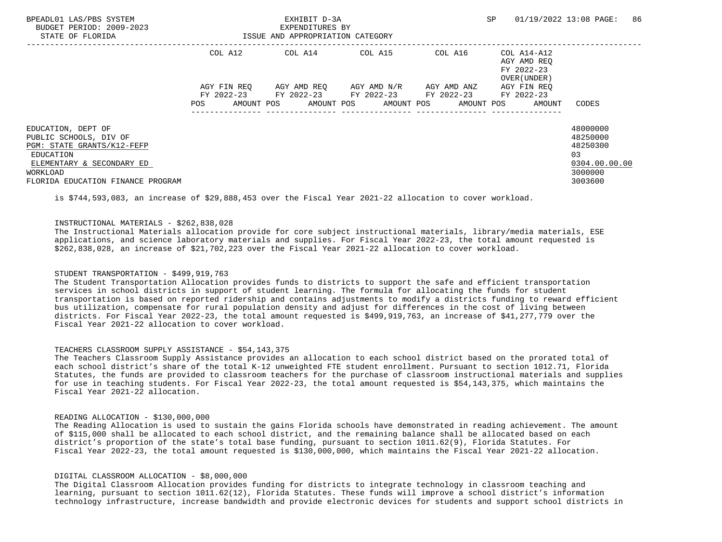| BPEADL01 LAS/PBS SYSTEM<br>BUDGET PERIOD: 2009-2023<br>STATE OF FLORIDA    |                   | EXHIBIT D-3A<br>EXPENDITURES BY<br>ISSUE AND APPROPRIATION CATEGORY |                                                                                 |         | <b>SP</b>                                                | 86<br>01/19/2022 13:08 PAGE:     |
|----------------------------------------------------------------------------|-------------------|---------------------------------------------------------------------|---------------------------------------------------------------------------------|---------|----------------------------------------------------------|----------------------------------|
|                                                                            | COL A12           |                                                                     | COL A14 COL A15                                                                 | COL A16 | COL A14-A12<br>AGY AMD REO<br>FY 2022-23<br>OVER (UNDER) |                                  |
|                                                                            | AGY FIN REO       |                                                                     | AGY AMD REO     AGY AMD N/R     AGY AMD ANZ                                     |         | AGY FIN REO                                              |                                  |
|                                                                            | AMOUNT POS<br>POS |                                                                     | FY 2022-23 FY 2022-23 FY 2022-23 FY 2022-23<br>AMOUNT POS AMOUNT POS AMOUNT POS |         | FY 2022-23<br>AMOUNT                                     | CODES                            |
| EDUCATION, DEPT OF<br>PUBLIC SCHOOLS, DIV OF<br>PGM: STATE GRANTS/K12-FEFP |                   |                                                                     |                                                                                 |         |                                                          | 48000000<br>48250000<br>48250300 |
| EDUCATION<br>ELEMENTARY & SECONDARY ED                                     |                   |                                                                     |                                                                                 |         |                                                          | 03<br>0304.00.00.00              |
| WORKLOAD                                                                   |                   |                                                                     |                                                                                 |         |                                                          | 3000000                          |
| FLORIDA EDUCATION FINANCE PROGRAM                                          |                   |                                                                     |                                                                                 |         |                                                          | 3003600                          |

is \$744,593,083, an increase of \$29,888,453 over the Fiscal Year 2021-22 allocation to cover workload.

# INSTRUCTIONAL MATERIALS - \$262,838,028

 The Instructional Materials allocation provide for core subject instructional materials, library/media materials, ESE applications, and science laboratory materials and supplies. For Fiscal Year 2022-23, the total amount requested is \$262,838,028, an increase of \$21,702,223 over the Fiscal Year 2021-22 allocation to cover workload.

## STUDENT TRANSPORTATION - \$499.919.763

 The Student Transportation Allocation provides funds to districts to support the safe and efficient transportation services in school districts in support of student learning. The formula for allocating the funds for student transportation is based on reported ridership and contains adjustments to modify a districts funding to reward efficient bus utilization, compensate for rural population density and adjust for differences in the cost of living between districts. For Fiscal Year 2022-23, the total amount requested is \$499,919,763, an increase of \$41,277,779 over the Fiscal Year 2021-22 allocation to cover workload.

### TEACHERS CLASSROOM SUPPLY ASSISTANCE - \$54,143,375

 The Teachers Classroom Supply Assistance provides an allocation to each school district based on the prorated total of each school district's share of the total K-12 unweighted FTE student enrollment. Pursuant to section 1012.71, Florida Statutes, the funds are provided to classroom teachers for the purchase of classroom instructional materials and supplies for use in teaching students. For Fiscal Year 2022-23, the total amount requested is \$54,143,375, which maintains the Fiscal Year 2021-22 allocation.

### READING ALLOCATION - \$130,000,000

 The Reading Allocation is used to sustain the gains Florida schools have demonstrated in reading achievement. The amount of \$115,000 shall be allocated to each school district, and the remaining balance shall be allocated based on each district's proportion of the state's total base funding, pursuant to section 1011.62(9), Florida Statutes. For Fiscal Year 2022-23, the total amount requested is \$130,000,000, which maintains the Fiscal Year 2021-22 allocation.

### DIGITAL CLASSROOM ALLOCATION - \$8,000,000

 The Digital Classroom Allocation provides funding for districts to integrate technology in classroom teaching and learning, pursuant to section 1011.62(12), Florida Statutes. These funds will improve a school district's information technology infrastructure, increase bandwidth and provide electronic devices for students and support school districts in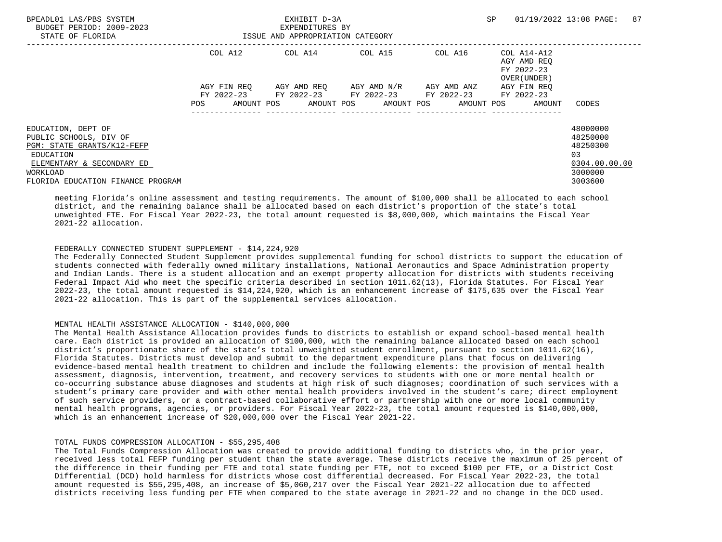| BPEADL01 LAS/PBS SYSTEM<br>BUDGET PERIOD: 2009-2023<br>STATE OF FLORIDA | EXHIBIT D-3A<br>EXPENDITURES BY<br>ISSUE AND APPROPRIATION CATEGORY |             |  |                 |  |                                                        |             | <b>SP</b><br>01/19/2022 13:08 PAGE: |                                                                  |               | 87 |
|-------------------------------------------------------------------------|---------------------------------------------------------------------|-------------|--|-----------------|--|--------------------------------------------------------|-------------|-------------------------------------|------------------------------------------------------------------|---------------|----|
|                                                                         |                                                                     | COL A12     |  | COL A14 COL A15 |  |                                                        |             |                                     | COL A16 COL A14-A12<br>AGY AMD REO<br>FY 2022-23<br>OVER (UNDER) |               |    |
|                                                                         |                                                                     | AGY FIN REO |  |                 |  | AGY AMD REO AGY AMD N/R                                | AGY AMD ANZ |                                     | AGY FIN REO                                                      |               |    |
|                                                                         |                                                                     |             |  |                 |  | FY 2022-23 FY 2022-23 FY 2022-23 FY 2022-23 FY 2022-23 |             |                                     |                                                                  |               |    |
|                                                                         | POS                                                                 | AMOUNT POS  |  |                 |  | AMOUNT POS AMOUNT POS AMOUNT POS                       |             |                                     | AMOUNT                                                           | CODES         |    |
| EDUCATION, DEPT OF                                                      |                                                                     |             |  |                 |  |                                                        |             |                                     |                                                                  | 48000000      |    |
| PUBLIC SCHOOLS, DIV OF                                                  |                                                                     |             |  |                 |  |                                                        |             |                                     |                                                                  | 48250000      |    |
| PGM: STATE GRANTS/K12-FEFP                                              |                                                                     |             |  |                 |  |                                                        |             |                                     |                                                                  | 48250300      |    |
| EDUCATION                                                               |                                                                     |             |  |                 |  |                                                        |             |                                     |                                                                  | 0.3           |    |
| ELEMENTARY & SECONDARY ED                                               |                                                                     |             |  |                 |  |                                                        |             |                                     |                                                                  | 0304.00.00.00 |    |
| WORKLOAD                                                                |                                                                     |             |  |                 |  |                                                        |             |                                     |                                                                  | 3000000       |    |
| FLORIDA EDUCATION FINANCE PROGRAM                                       |                                                                     |             |  |                 |  |                                                        |             |                                     |                                                                  | 3003600       |    |

 meeting Florida's online assessment and testing requirements. The amount of \$100,000 shall be allocated to each school district, and the remaining balance shall be allocated based on each district's proportion of the state's total unweighted FTE. For Fiscal Year 2022-23, the total amount requested is \$8,000,000, which maintains the Fiscal Year 2021-22 allocation.

# FEDERALLY CONNECTED STUDENT SUPPLEMENT - \$14,224,920

 The Federally Connected Student Supplement provides supplemental funding for school districts to support the education of students connected with federally owned military installations, National Aeronautics and Space Administration property and Indian Lands. There is a student allocation and an exempt property allocation for districts with students receiving Federal Impact Aid who meet the specific criteria described in section 1011.62(13), Florida Statutes. For Fiscal Year 2022-23, the total amount requested is \$14,224,920, which is an enhancement increase of \$175,635 over the Fiscal Year 2021-22 allocation. This is part of the supplemental services allocation.

## MENTAL HEALTH ASSISTANCE ALLOCATION - \$140,000,000

 The Mental Health Assistance Allocation provides funds to districts to establish or expand school-based mental health care. Each district is provided an allocation of \$100,000, with the remaining balance allocated based on each school district's proportionate share of the state's total unweighted student enrollment, pursuant to section 1011.62(16), Florida Statutes. Districts must develop and submit to the department expenditure plans that focus on delivering evidence-based mental health treatment to children and include the following elements: the provision of mental health assessment, diagnosis, intervention, treatment, and recovery services to students with one or more mental health or co-occurring substance abuse diagnoses and students at high risk of such diagnoses; coordination of such services with a student's primary care provider and with other mental health providers involved in the student's care; direct employment of such service providers, or a contract-based collaborative effort or partnership with one or more local community mental health programs, agencies, or providers. For Fiscal Year 2022-23, the total amount requested is \$140,000,000, which is an enhancement increase of \$20,000,000 over the Fiscal Year 2021-22.

### TOTAL FUNDS COMPRESSION ALLOCATION - \$55,295,408

 The Total Funds Compression Allocation was created to provide additional funding to districts who, in the prior year, received less total FEFP funding per student than the state average. These districts receive the maximum of 25 percent of the difference in their funding per FTE and total state funding per FTE, not to exceed \$100 per FTE, or a District Cost Differential (DCD) hold harmless for districts whose cost differential decreased. For Fiscal Year 2022-23, the total amount requested is \$55,295,408, an increase of \$5,060,217 over the Fiscal Year 2021-22 allocation due to affected districts receiving less funding per FTE when compared to the state average in 2021-22 and no change in the DCD used.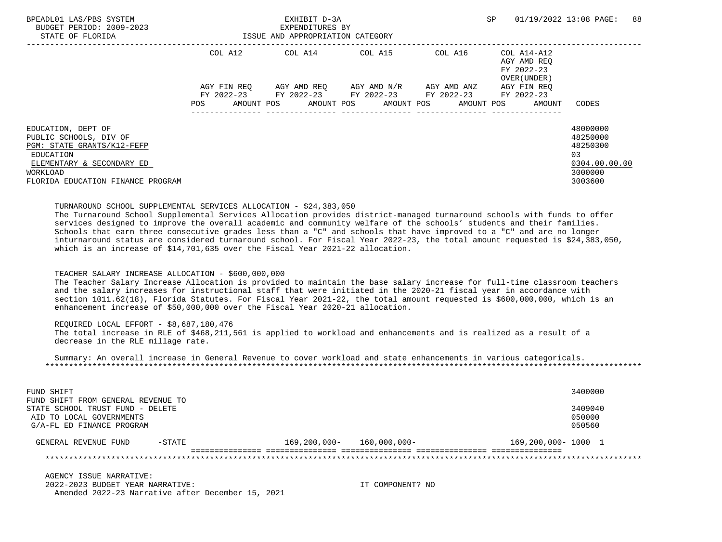| BPEADL01 LAS/PBS SYSTEM<br>BUDGET PERIOD: 2009-2023<br>STATE OF FLORIDA |             | EXHIBIT D-3A<br>EXPENDITURES BY<br>ISSUE AND APPROPRIATION CATEGORY |                                             |                 | SP                                                       | 88<br>01/19/2022 13:08 PAGE: |
|-------------------------------------------------------------------------|-------------|---------------------------------------------------------------------|---------------------------------------------|-----------------|----------------------------------------------------------|------------------------------|
|                                                                         | COL A12     |                                                                     | COL A14 COL A15                             | COL A16         | COL A14-A12<br>AGY AMD REO<br>FY 2022-23<br>OVER (UNDER) |                              |
|                                                                         | AGY FIN REO |                                                                     | AGY AMD REO AGY AMD N/R AGY AMD ANZ         |                 | AGY FIN REO                                              |                              |
|                                                                         |             |                                                                     | FY 2022-23 FY 2022-23 FY 2022-23 FY 2022-23 |                 | FY 2022-23                                               |                              |
|                                                                         | POS         |                                                                     | AMOUNT POS AMOUNT POS AMOUNT POS AMOUNT POS | --------------- | AMOUNT                                                   | CODES                        |
| EDUCATION, DEPT OF                                                      |             |                                                                     |                                             |                 |                                                          | 48000000                     |
| PUBLIC SCHOOLS, DIV OF                                                  |             |                                                                     |                                             |                 |                                                          | 48250000                     |
| PGM: STATE GRANTS/K12-FEFP                                              |             |                                                                     |                                             |                 |                                                          | 48250300                     |
| EDUCATION                                                               |             |                                                                     |                                             |                 |                                                          | 03                           |
| ELEMENTARY & SECONDARY ED                                               |             |                                                                     |                                             |                 |                                                          | 0304.00.00.00                |
| WORKLOAD                                                                |             |                                                                     |                                             |                 |                                                          | 3000000                      |
| FLORIDA EDUCATION FINANCE PROGRAM                                       |             |                                                                     |                                             |                 |                                                          | 3003600                      |

#### TURNAROUND SCHOOL SUPPLEMENTAL SERVICES ALLOCATION - \$24,383,050

 The Turnaround School Supplemental Services Allocation provides district-managed turnaround schools with funds to offer services designed to improve the overall academic and community welfare of the schools' students and their families. Schools that earn three consecutive grades less than a "C" and schools that have improved to a "C" and are no longer inturnaround status are considered turnaround school. For Fiscal Year 2022-23, the total amount requested is \$24,383,050, which is an increase of \$14,701,635 over the Fiscal Year 2021-22 allocation.

#### TEACHER SALARY INCREASE ALLOCATION - \$600,000,000

 The Teacher Salary Increase Allocation is provided to maintain the base salary increase for full-time classroom teachers and the salary increases for instructional staff that were initiated in the 2020-21 fiscal year in accordance with section 1011.62(18), Florida Statutes. For Fiscal Year 2021-22, the total amount requested is \$600,000,000, which is an enhancement increase of \$50,000,000 over the Fiscal Year 2020-21 allocation.

#### REQUIRED LOCAL EFFORT - \$8,687,180,476

 The total increase in RLE of \$468,211,561 is applied to workload and enhancements and is realized as a result of a decrease in the RLE millage rate.

 Summary: An overall increase in General Revenue to cover workload and state enhancements in various categoricals. \*\*\*\*\*\*\*\*\*\*\*\*\*\*\*\*\*\*\*\*\*\*\*\*\*\*\*\*\*\*\*\*\*\*\*\*\*\*\*\*\*\*\*\*\*\*\*\*\*\*\*\*\*\*\*\*\*\*\*\*\*\*\*\*\*\*\*\*\*\*\*\*\*\*\*\*\*\*\*\*\*\*\*\*\*\*\*\*\*\*\*\*\*\*\*\*\*\*\*\*\*\*\*\*\*\*\*\*\*\*\*\*\*\*\*\*\*\*\*\*\*\*\*\*\*\*\*

| FUND SHIFT                         |           |              |              |                    | 3400000 |
|------------------------------------|-----------|--------------|--------------|--------------------|---------|
| FUND SHIFT FROM GENERAL REVENUE TO |           |              |              |                    |         |
| STATE SCHOOL TRUST FUND - DELETE   |           |              |              |                    | 3409040 |
| AID TO LOCAL GOVERNMENTS           |           |              |              |                    | 050000  |
| G/A-FL ED FINANCE PROGRAM          |           |              |              |                    | 050560  |
| GENERAL REVENUE FUND               | $-$ STATE | 169,200,000- | 160,000,000- | 169,200,000-1000 1 |         |
|                                    |           |              |              |                    |         |

 AGENCY ISSUE NARRATIVE: 2022-2023 BUDGET YEAR NARRATIVE: IT COMPONENT? NO Amended 2022-23 Narrative after December 15, 2021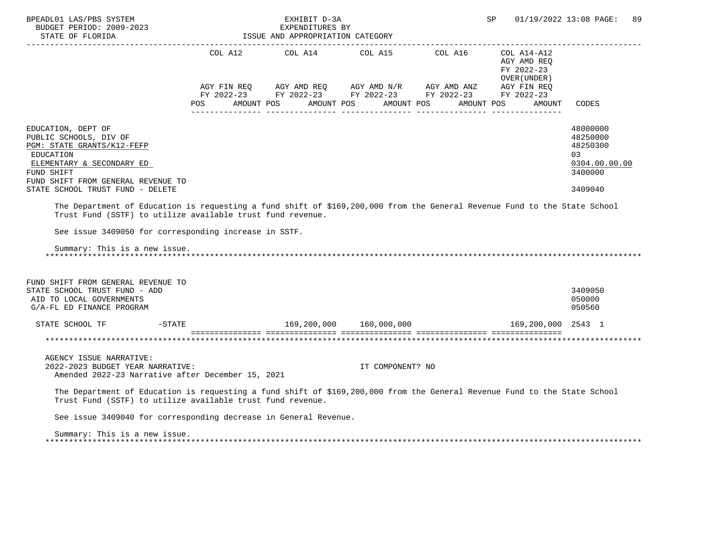| BPEADL01 LAS/PBS SYSTEM<br>BUDGET PERIOD: 2009-2023<br>STATE OF FLORIDA                                                                                                                                                                          |                | EXHIBIT D-3A<br>EXPENDITURES BY<br>ISSUE AND APPROPRIATION CATEGORY |                                                                                                                                     |            | SP                                                           | 01/19/2022 13:08 PAGE:<br>89                                                  |
|--------------------------------------------------------------------------------------------------------------------------------------------------------------------------------------------------------------------------------------------------|----------------|---------------------------------------------------------------------|-------------------------------------------------------------------------------------------------------------------------------------|------------|--------------------------------------------------------------|-------------------------------------------------------------------------------|
|                                                                                                                                                                                                                                                  | COL A12        |                                                                     | COL A14 COL A15 COL A16                                                                                                             |            | $COL A14 - A12$<br>AGY AMD REQ<br>FY 2022-23<br>OVER (UNDER) |                                                                               |
|                                                                                                                                                                                                                                                  | POS AMOUNT POS |                                                                     | AGY FIN REQ AGY AMD REQ AGY AMD N/R AGY AMD ANZ AGY FIN REQ<br>FY 2022-23 FY 2022-23 FY 2022-23 FY 2022-23 FY 2022-23<br>AMOUNT POS | AMOUNT POS | AMOUNT POS<br>AMOUNT                                         | CODES                                                                         |
| EDUCATION, DEPT OF<br>PUBLIC SCHOOLS, DIV OF<br>PGM: STATE GRANTS/K12-FEFP<br>EDUCATION<br>ELEMENTARY & SECONDARY ED<br>FUND SHIFT<br>FUND SHIFT FROM GENERAL REVENUE TO<br>STATE SCHOOL TRUST FUND - DELETE                                     |                |                                                                     |                                                                                                                                     |            |                                                              | 48000000<br>48250000<br>48250300<br>03<br>0304.00.00.00<br>3400000<br>3409040 |
| The Department of Education is requesting a fund shift of \$169,200,000 from the General Revenue Fund to the State School<br>Trust Fund (SSTF) to utilize available trust fund revenue.<br>See issue 3409050 for corresponding increase in SSTF. |                |                                                                     |                                                                                                                                     |            |                                                              |                                                                               |
| Summary: This is a new issue.                                                                                                                                                                                                                    |                |                                                                     |                                                                                                                                     |            |                                                              |                                                                               |
| FUND SHIFT FROM GENERAL REVENUE TO<br>STATE SCHOOL TRUST FUND - ADD<br>AID TO LOCAL GOVERNMENTS<br>G/A-FL ED FINANCE PROGRAM                                                                                                                     |                |                                                                     |                                                                                                                                     |            |                                                              | 3409050<br>050000<br>050560                                                   |
| STATE SCHOOL TF                                                                                                                                                                                                                                  | $-STATE$       |                                                                     | 169,200,000 160,000,000                                                                                                             |            | 169,200,000 2543 1                                           |                                                                               |
|                                                                                                                                                                                                                                                  |                |                                                                     |                                                                                                                                     |            |                                                              |                                                                               |
| AGENCY ISSUE NARRATIVE:<br>2022-2023 BUDGET YEAR NARRATIVE:<br>Amended 2022-23 Narrative after December 15, 2021                                                                                                                                 |                |                                                                     | IT COMPONENT? NO                                                                                                                    |            |                                                              |                                                                               |
| The Department of Education is requesting a fund shift of \$169,200,000 from the General Revenue Fund to the State School<br>Trust Fund (SSTF) to utilize available trust fund revenue.                                                          |                |                                                                     |                                                                                                                                     |            |                                                              |                                                                               |
| See issue 3409040 for corresponding decrease in General Revenue.                                                                                                                                                                                 |                |                                                                     |                                                                                                                                     |            |                                                              |                                                                               |
| Summary: This is a new issue.                                                                                                                                                                                                                    |                |                                                                     |                                                                                                                                     |            |                                                              |                                                                               |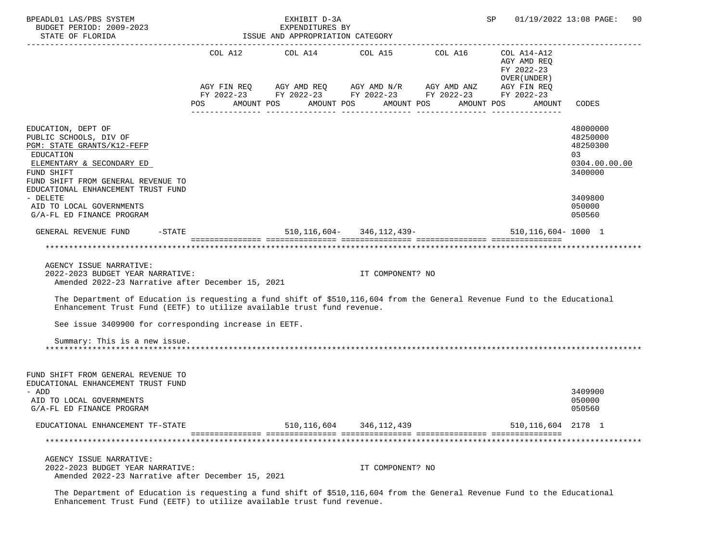| BPEADL01 LAS/PBS SYSTEM<br>BUDGET PERIOD: 2009-2023<br>STATE OF FLORIDA                                                                                                                                                                                                                      |            | EXHIBIT D-3A<br>EXPENDITURES BY<br>ISSUE AND APPROPRIATION CATEGORY                                                                               |                             |            | SP                                         | 01/19/2022 13:08 PAGE:<br>90.                                                           |
|----------------------------------------------------------------------------------------------------------------------------------------------------------------------------------------------------------------------------------------------------------------------------------------------|------------|---------------------------------------------------------------------------------------------------------------------------------------------------|-----------------------------|------------|--------------------------------------------|-----------------------------------------------------------------------------------------|
|                                                                                                                                                                                                                                                                                              |            | COL A12 $\qquad$ COL A14 $\qquad$ COL A15 $\qquad$ COL A16 $\qquad$ COL A14-A12                                                                   |                             |            | AGY AMD REQ<br>FY 2022-23<br>OVER (UNDER ) |                                                                                         |
|                                                                                                                                                                                                                                                                                              | <b>POS</b> | AGY FIN REQ AGY AMD REQ AGY AMD N/R AGY AMD ANZ AGY FIN REQ<br>FY 2022-23 FY 2022-23 FY 2022-23 FY 2022-23 FY 2022-23<br>AMOUNT POS<br>AMOUNT POS |                             | AMOUNT POS | AMOUNT POS<br>AMOUNT                       | CODES                                                                                   |
| EDUCATION, DEPT OF<br>PUBLIC SCHOOLS, DIV OF<br>PGM: STATE GRANTS/K12-FEFP<br>EDUCATION<br>ELEMENTARY & SECONDARY ED<br>FUND SHIFT<br>FUND SHIFT FROM GENERAL REVENUE TO<br>EDUCATIONAL ENHANCEMENT TRUST FUND<br>- DELETE<br>AID TO LOCAL GOVERNMENTS                                       |            |                                                                                                                                                   |                             |            |                                            | 48000000<br>48250000<br>48250300<br>03<br>0304.00.00.00<br>3400000<br>3409800<br>050000 |
| G/A-FL ED FINANCE PROGRAM<br>GENERAL REVENUE FUND<br>$-$ STATE                                                                                                                                                                                                                               |            | 510,116,604-346,112,439-                                                                                                                          |                             |            | 510, 116, 604 - 1000 1                     | 050560                                                                                  |
| AGENCY ISSUE NARRATIVE:<br>2022-2023 BUDGET YEAR NARRATIVE:<br>Amended 2022-23 Narrative after December 15, 2021                                                                                                                                                                             |            |                                                                                                                                                   | IT COMPONENT? NO            |            |                                            |                                                                                         |
| The Department of Education is requesting a fund shift of \$510,116,604 from the General Revenue Fund to the Educational<br>Enhancement Trust Fund (EETF) to utilize available trust fund revenue.<br>See issue 3409900 for corresponding increase in EETF.<br>Summary: This is a new issue. |            |                                                                                                                                                   |                             |            |                                            |                                                                                         |
|                                                                                                                                                                                                                                                                                              |            |                                                                                                                                                   |                             |            |                                            |                                                                                         |
| FUND SHIFT FROM GENERAL REVENUE TO<br>EDUCATIONAL ENHANCEMENT TRUST FUND<br>- ADD<br>AID TO LOCAL GOVERNMENTS<br>G/A-FL ED FINANCE PROGRAM                                                                                                                                                   |            |                                                                                                                                                   |                             |            |                                            | 3409900<br>050000<br>050560                                                             |
| EDUCATIONAL ENHANCEMENT TF-STATE                                                                                                                                                                                                                                                             |            |                                                                                                                                                   | 510, 116, 604 346, 112, 439 |            | 510, 116, 604 2178 1                       |                                                                                         |
|                                                                                                                                                                                                                                                                                              |            |                                                                                                                                                   |                             |            |                                            |                                                                                         |
| AGENCY ISSUE NARRATIVE:<br>2022-2023 BUDGET YEAR NARRATIVE:<br>Amended 2022-23 Narrative after December 15, 2021                                                                                                                                                                             |            |                                                                                                                                                   | IT COMPONENT? NO            |            |                                            |                                                                                         |

 The Department of Education is requesting a fund shift of \$510,116,604 from the General Revenue Fund to the Educational Enhancement Trust Fund (EETF) to utilize available trust fund revenue.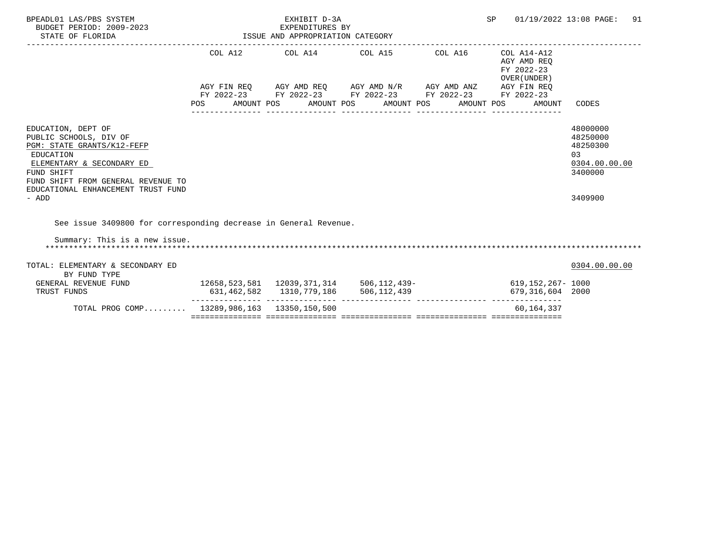| BPEADL01 LAS/PBS SYSTEM<br>BUDGET PERIOD: 2009-2023<br>STATE OF FLORIDA                                                                                                                                                 | EXPENDITURES BY<br>ISSUE AND APPROPRIATION CATEGORY    | EXHIBIT D-3A | <b>SP</b>                                                                                                                                                            | 01/19/2022 13:08 PAGE:<br>91 |                                           |                                                                               |
|-------------------------------------------------------------------------------------------------------------------------------------------------------------------------------------------------------------------------|--------------------------------------------------------|--------------|----------------------------------------------------------------------------------------------------------------------------------------------------------------------|------------------------------|-------------------------------------------|-------------------------------------------------------------------------------|
|                                                                                                                                                                                                                         | POS AMOUNT POS AMOUNT POS AMOUNT POS AMOUNT POS AMOUNT |              | COL A12 COL A14 COL A15 COL A16 COL A14-A12<br>AGY FIN REQ AGY AMD REQ AGY AMD N/R AGY AMD ANZ AGY FIN REQ<br>FY 2022-23 FY 2022-23 FY 2022-23 FY 2022-23 FY 2022-23 |                              | AGY AMD REO<br>FY 2022-23<br>OVER (UNDER) | CODES                                                                         |
| EDUCATION, DEPT OF<br>PUBLIC SCHOOLS, DIV OF<br>PGM: STATE GRANTS/K12-FEFP<br>EDUCATION<br>ELEMENTARY & SECONDARY ED<br>FUND SHIFT<br>FUND SHIFT FROM GENERAL REVENUE TO<br>EDUCATIONAL ENHANCEMENT TRUST FUND<br>- ADD |                                                        |              |                                                                                                                                                                      |                              |                                           | 48000000<br>48250000<br>48250300<br>03<br>0304.00.00.00<br>3400000<br>3409900 |
| See issue 3409800 for corresponding decrease in General Revenue.<br>Summary: This is a new issue.                                                                                                                       |                                                        |              |                                                                                                                                                                      |                              |                                           |                                                                               |
| TOTAL: ELEMENTARY & SECONDARY ED<br>BY FUND TYPE                                                                                                                                                                        |                                                        |              |                                                                                                                                                                      |                              |                                           | 0304.00.00.00                                                                 |
| GENERAL REVENUE FUND<br>TRUST FUNDS                                                                                                                                                                                     | $12658, 523, 581$ $12039, 371, 314$ 506, 112, 439-     |              | 631, 462, 582 1310, 779, 186 506, 112, 439                                                                                                                           |                              | 619,152,267– 1000<br>679,316,604 2000     |                                                                               |
| TOTAL PROG COMP 13289,986,163 13350,150,500                                                                                                                                                                             |                                                        |              |                                                                                                                                                                      |                              | 60,164,337                                |                                                                               |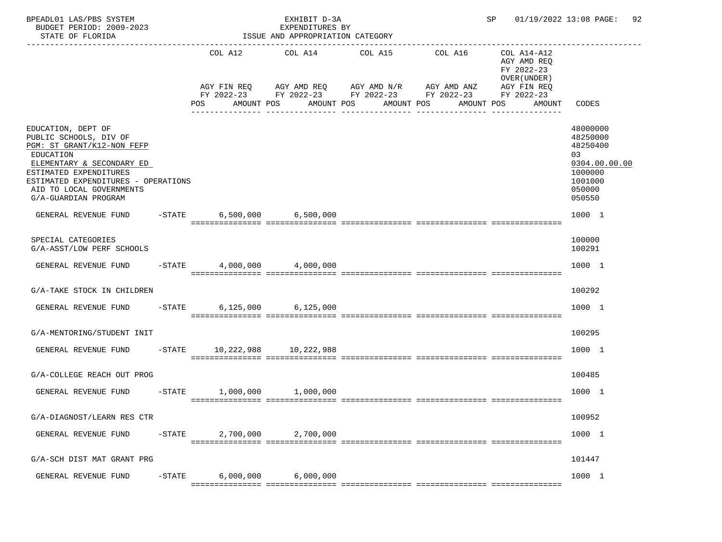| BPEADL01 LAS/PBS SYSTEM<br>BUDGET PERIOD: 2009-2023<br>STATE OF FLORIDA                                                                                                                                                                   |           | ISSUE AND APPROPRIATION CATEGORY       | SP and the set of the set of the set of the set of the set of the set of the set of the set of the set of the set of the set of the set of the set of the set of the set of the set of the set of the set of the set of the se | 01/19/2022 13:08 PAGE:<br>92                                                                                                                                                                                  |         |                                                                    |                                                                                                   |
|-------------------------------------------------------------------------------------------------------------------------------------------------------------------------------------------------------------------------------------------|-----------|----------------------------------------|--------------------------------------------------------------------------------------------------------------------------------------------------------------------------------------------------------------------------------|---------------------------------------------------------------------------------------------------------------------------------------------------------------------------------------------------------------|---------|--------------------------------------------------------------------|---------------------------------------------------------------------------------------------------|
|                                                                                                                                                                                                                                           |           | POS                                    | COL A12 COL A14 COL A15                                                                                                                                                                                                        | AGY FIN REQ AGY AMD REQ AGY AMD N/R AGY AMD ANZ AGY FIN REQ<br>FY 2022-23 FY 2022-23 FY 2022-23 FY 2022-23 FY 2022-23<br>AMOUNT POS AMOUNT POS AMOUNT POS AMOUNT POS<br>_____________________________________ | COL A16 | COL A14-A12<br>AGY AMD REQ<br>FY 2022-23<br>OVER (UNDER)<br>AMOUNT | CODES                                                                                             |
| EDUCATION, DEPT OF<br>PUBLIC SCHOOLS, DIV OF<br>PGM: ST GRANT/K12-NON FEFP<br>EDUCATION<br>ELEMENTARY & SECONDARY ED<br>ESTIMATED EXPENDITURES<br>ESTIMATED EXPENDITURES - OPERATIONS<br>AID TO LOCAL GOVERNMENTS<br>G/A-GUARDIAN PROGRAM |           |                                        |                                                                                                                                                                                                                                |                                                                                                                                                                                                               |         |                                                                    | 48000000<br>48250000<br>48250400<br>03<br>0304.00.00.00<br>1000000<br>1001000<br>050000<br>050550 |
| GENERAL REVENUE FUND -STATE 6,500,000 6,500,000                                                                                                                                                                                           |           |                                        |                                                                                                                                                                                                                                |                                                                                                                                                                                                               |         |                                                                    | 1000 1                                                                                            |
| SPECIAL CATEGORIES<br>G/A-ASST/LOW PERF SCHOOLS                                                                                                                                                                                           |           |                                        |                                                                                                                                                                                                                                |                                                                                                                                                                                                               |         |                                                                    | 100000<br>100291                                                                                  |
| GENERAL REVENUE FUND -STATE                                                                                                                                                                                                               |           |                                        | 4,000,000 4,000,000                                                                                                                                                                                                            |                                                                                                                                                                                                               |         |                                                                    | 1000 1                                                                                            |
| G/A-TAKE STOCK IN CHILDREN                                                                                                                                                                                                                |           |                                        |                                                                                                                                                                                                                                |                                                                                                                                                                                                               |         |                                                                    | 100292                                                                                            |
| GENERAL REVENUE FUND -STATE                                                                                                                                                                                                               |           |                                        | 6,125,000 6,125,000                                                                                                                                                                                                            |                                                                                                                                                                                                               |         |                                                                    | 1000 1                                                                                            |
| G/A-MENTORING/STUDENT INIT                                                                                                                                                                                                                |           |                                        |                                                                                                                                                                                                                                |                                                                                                                                                                                                               |         |                                                                    | 100295                                                                                            |
| GENERAL REVENUE FUND                                                                                                                                                                                                                      |           |                                        | -STATE 10,222,988 10,222,988                                                                                                                                                                                                   |                                                                                                                                                                                                               |         |                                                                    | 1000 1                                                                                            |
| G/A-COLLEGE REACH OUT PROG                                                                                                                                                                                                                |           |                                        |                                                                                                                                                                                                                                |                                                                                                                                                                                                               |         |                                                                    | 100485                                                                                            |
| GENERAL REVENUE FUND                                                                                                                                                                                                                      |           |                                        | $-STATE$ 1,000,000 1,000,000                                                                                                                                                                                                   |                                                                                                                                                                                                               |         |                                                                    | 1000 1                                                                                            |
| G/A-DIAGNOST/LEARN RES CTR                                                                                                                                                                                                                |           |                                        |                                                                                                                                                                                                                                |                                                                                                                                                                                                               |         |                                                                    | 100952                                                                                            |
| GENERAL REVENUE FUND                                                                                                                                                                                                                      | $-$ STATE | 2,700,000<br>========================= | 2,700,000                                                                                                                                                                                                                      |                                                                                                                                                                                                               |         | -===============                                                   | 1000 1                                                                                            |
| G/A-SCH DIST MAT GRANT PRG                                                                                                                                                                                                                |           |                                        |                                                                                                                                                                                                                                |                                                                                                                                                                                                               |         |                                                                    | 101447                                                                                            |
| GENERAL REVENUE FUND                                                                                                                                                                                                                      | $-$ STATE | 6,000,000                              | 6,000,000                                                                                                                                                                                                                      |                                                                                                                                                                                                               |         |                                                                    | 1000 1                                                                                            |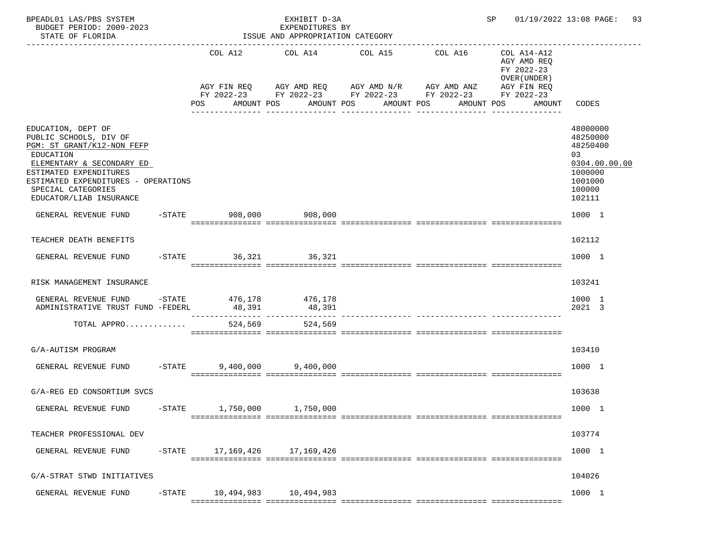| BPEADL01 LAS/PBS SYSTEM<br>BUDGET PERIOD: 2009-2023<br>STATE OF FLORIDA                                                                                                                                                                | ISSUE AND APPROPRIATION CATEGORY | SP and the set of the set of the set of the set of the set of the set of the set of the set of the set of the s | 01/19/2022 13:08 PAGE:<br>93                                                                                                                                                                                 |                                                                                  |                                                                                                   |
|----------------------------------------------------------------------------------------------------------------------------------------------------------------------------------------------------------------------------------------|----------------------------------|-----------------------------------------------------------------------------------------------------------------|--------------------------------------------------------------------------------------------------------------------------------------------------------------------------------------------------------------|----------------------------------------------------------------------------------|---------------------------------------------------------------------------------------------------|
|                                                                                                                                                                                                                                        | <b>POS</b>                       | AMOUNT POS AMOUNT POS                                                                                           | COL A12 COL A14 COL A15 COL A16<br>AGY FIN REQ AGY AMD REQ AGY AMD N/R AGY AMD ANZ AGY FIN REQ<br>FY 2022-23 FY 2022-23 FY 2022-23 FY 2022-23 FY 2022-23<br>AMOUNT POS<br>_______________<br>--------------- | COL A14-A12<br>AGY AMD REQ<br>FY 2022-23<br>OVER (UNDER)<br>AMOUNT POS<br>AMOUNT | CODES                                                                                             |
| EDUCATION, DEPT OF<br>PUBLIC SCHOOLS, DIV OF<br>PGM: ST GRANT/K12-NON FEFP<br>EDUCATION<br>ELEMENTARY & SECONDARY ED<br>ESTIMATED EXPENDITURES<br>ESTIMATED EXPENDITURES - OPERATIONS<br>SPECIAL CATEGORIES<br>EDUCATOR/LIAB INSURANCE |                                  |                                                                                                                 |                                                                                                                                                                                                              |                                                                                  | 48000000<br>48250000<br>48250400<br>03<br>0304.00.00.00<br>1000000<br>1001000<br>100000<br>102111 |
| GENERAL REVENUE FUND                                                                                                                                                                                                                   | -STATE 908,000 908,000           |                                                                                                                 |                                                                                                                                                                                                              |                                                                                  | 1000 1                                                                                            |
| TEACHER DEATH BENEFITS                                                                                                                                                                                                                 |                                  |                                                                                                                 |                                                                                                                                                                                                              |                                                                                  | 102112                                                                                            |
| GENERAL REVENUE FUND -STATE 36,321 36,321                                                                                                                                                                                              |                                  |                                                                                                                 |                                                                                                                                                                                                              |                                                                                  | 1000 1                                                                                            |
| RISK MANAGEMENT INSURANCE                                                                                                                                                                                                              |                                  |                                                                                                                 |                                                                                                                                                                                                              |                                                                                  | 103241                                                                                            |
| GENERAL REVENUE FUND -STATE 476,178 476,178<br>ADMINISTRATIVE TRUST FUND -FEDERL                                                                                                                                                       | 48,391                           | 48,391                                                                                                          |                                                                                                                                                                                                              |                                                                                  | 1000 1<br>2021 3                                                                                  |
| TOTAL APPRO                                                                                                                                                                                                                            |                                  | 524,569<br>524,569                                                                                              |                                                                                                                                                                                                              |                                                                                  |                                                                                                   |
| G/A-AUTISM PROGRAM                                                                                                                                                                                                                     |                                  |                                                                                                                 |                                                                                                                                                                                                              |                                                                                  | 103410                                                                                            |
| GENERAL REVENUE FUND -STATE                                                                                                                                                                                                            |                                  | 9,400,000 9,400,000                                                                                             |                                                                                                                                                                                                              |                                                                                  | 1000 1                                                                                            |
| G/A-REG ED CONSORTIUM SVCS                                                                                                                                                                                                             |                                  |                                                                                                                 |                                                                                                                                                                                                              |                                                                                  | 103638                                                                                            |
| GENERAL REVENUE FUND<br>$-$ STATE                                                                                                                                                                                                      | 1,750,000                        | 1,750,000                                                                                                       |                                                                                                                                                                                                              |                                                                                  | 1000 1                                                                                            |
| TEACHER PROFESSIONAL DEV                                                                                                                                                                                                               |                                  |                                                                                                                 |                                                                                                                                                                                                              |                                                                                  | 103774                                                                                            |
| GENERAL REVENUE FUND                                                                                                                                                                                                                   | -STATE 17, 169, 426 17, 169, 426 |                                                                                                                 |                                                                                                                                                                                                              |                                                                                  | 1000 1                                                                                            |
| G/A-STRAT STWD INITIATIVES                                                                                                                                                                                                             |                                  |                                                                                                                 |                                                                                                                                                                                                              |                                                                                  | 104026                                                                                            |
| GENERAL REVENUE FUND<br>$-$ STATE                                                                                                                                                                                                      |                                  |                                                                                                                 |                                                                                                                                                                                                              |                                                                                  | 1000 1                                                                                            |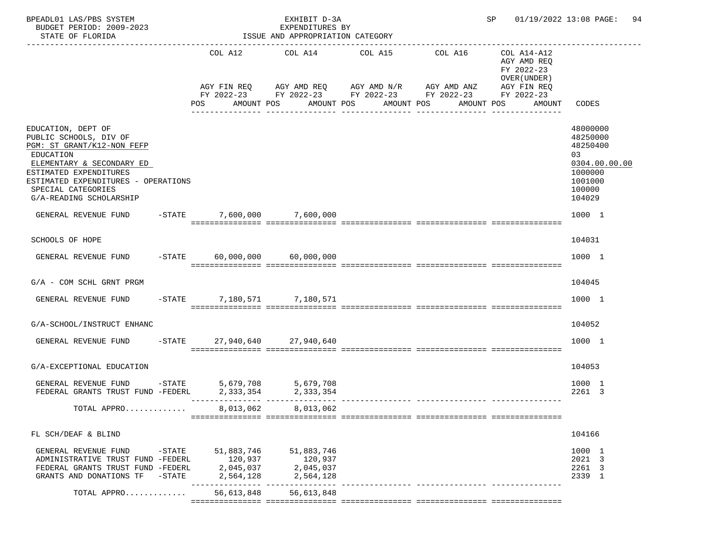| BPEADL01 LAS/PBS SYSTEM<br>BUDGET PERIOD: 2009-2023<br>STATE OF FLORIDA                                                                                                                                                                |           |                                   | EXHIBIT D-3A<br>EXPENDITURES BY<br>ISSUE AND APPROPRIATION CATEGORY |                                                                                                                                                          | SP 01/19/2022 13:08 PAGE:<br>94                                                                   |
|----------------------------------------------------------------------------------------------------------------------------------------------------------------------------------------------------------------------------------------|-----------|-----------------------------------|---------------------------------------------------------------------|----------------------------------------------------------------------------------------------------------------------------------------------------------|---------------------------------------------------------------------------------------------------|
| _______________________                                                                                                                                                                                                                |           |                                   |                                                                     | COL A12 COL A14 COL A15 COL A16<br>AGY FIN REQ AGY AMD REQ AGY AMD N/R AGY AMD ANZ AGY FIN REQ<br>FY 2022-23 FY 2022-23 FY 2022-23 FY 2022-23 FY 2022-23 | COL A14-A12<br>AGY AMD REO<br>FY 2022-23<br>OVER (UNDER)                                          |
|                                                                                                                                                                                                                                        |           |                                   |                                                                     | POS AMOUNT POS AMOUNT POS AMOUNT POS AMOUNT POS                                                                                                          | CODES<br>AMOUNT                                                                                   |
| EDUCATION, DEPT OF<br>PUBLIC SCHOOLS, DIV OF<br>PGM: ST GRANT/K12-NON FEFP<br>EDUCATION<br>ELEMENTARY & SECONDARY ED<br>ESTIMATED EXPENDITURES<br>ESTIMATED EXPENDITURES - OPERATIONS<br>SPECIAL CATEGORIES<br>G/A-READING SCHOLARSHIP |           |                                   |                                                                     |                                                                                                                                                          | 48000000<br>48250000<br>48250400<br>03<br>0304.00.00.00<br>1000000<br>1001000<br>100000<br>104029 |
| GENERAL REVENUE FUND -STATE 7,600,000 7,600,000                                                                                                                                                                                        |           |                                   |                                                                     |                                                                                                                                                          | 1000 1                                                                                            |
| <b>SCHOOLS OF HOPE</b>                                                                                                                                                                                                                 |           |                                   |                                                                     |                                                                                                                                                          | 104031                                                                                            |
| GENERAL REVENUE FUND -STATE 60,000,000 60,000,000                                                                                                                                                                                      |           |                                   |                                                                     |                                                                                                                                                          | 1000 1                                                                                            |
| $G/A$ - COM SCHL GRNT PRGM                                                                                                                                                                                                             |           |                                   |                                                                     |                                                                                                                                                          | 104045                                                                                            |
| GENERAL REVENUE FUND -STATE 7,180,571 7,180,571                                                                                                                                                                                        |           |                                   |                                                                     |                                                                                                                                                          | 1000 1                                                                                            |
| G/A-SCHOOL/INSTRUCT ENHANC                                                                                                                                                                                                             |           |                                   |                                                                     |                                                                                                                                                          | 104052                                                                                            |
| GENERAL REVENUE FUND -STATE 27,940,640 27,940,640                                                                                                                                                                                      |           |                                   |                                                                     |                                                                                                                                                          | 1000 1                                                                                            |
| G/A-EXCEPTIONAL EDUCATION                                                                                                                                                                                                              |           |                                   |                                                                     |                                                                                                                                                          | 104053                                                                                            |
| GENERAL REVENUE FUND -STATE 5,679,708 5,679,708<br>FEDERAL GRANTS TRUST FUND -FEDERL 2, 333, 354 2, 333, 354                                                                                                                           |           |                                   |                                                                     |                                                                                                                                                          | 1000 1<br>2261 3                                                                                  |
| TOTAL APPRO                                                                                                                                                                                                                            |           |                                   | 8,013,062 8,013,062                                                 |                                                                                                                                                          |                                                                                                   |
| FL SCH/DEAF & BLIND                                                                                                                                                                                                                    |           |                                   |                                                                     |                                                                                                                                                          | 104166                                                                                            |
| GENERAL REVENUE FUND<br>ADMINISTRATIVE TRUST FUND -FEDERL<br>FEDERAL GRANTS TRUST FUND -FEDERL<br>GRANTS AND DONATIONS TF                                                                                                              | $-$ STATE | 120,937<br>2,045,037<br>2,564,128 | -STATE 51,883,746 51,883,746<br>120,937<br>2,045,037<br>2,564,128   |                                                                                                                                                          | 1000 1<br>2021 3<br>2261 3<br>2339 1                                                              |
| TOTAL APPRO                                                                                                                                                                                                                            |           |                                   | 56,613,848 56,613,848                                               |                                                                                                                                                          |                                                                                                   |
|                                                                                                                                                                                                                                        |           |                                   |                                                                     |                                                                                                                                                          |                                                                                                   |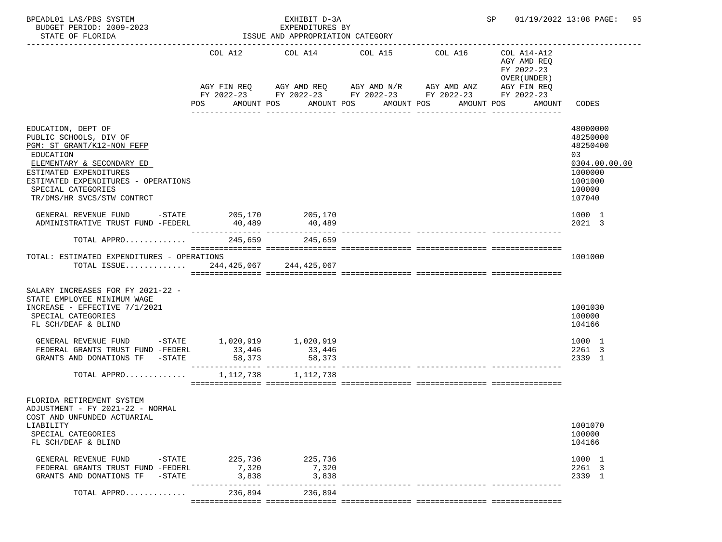| BPEADL01 LAS/PBS SYSTEM<br>BUDGET PERIOD: 2009-2023<br>STATE OF FLORIDA                                                                                                                                                                   |                                          | EXHIBIT D-3A<br>EXPENDITURES BY<br>ISSUE AND APPROPRIATION CATEGORY |                                                                                                                            | SP 01/19/2022 13:08 PAGE: 95                                                                                                                 |                                                                                                   |
|-------------------------------------------------------------------------------------------------------------------------------------------------------------------------------------------------------------------------------------------|------------------------------------------|---------------------------------------------------------------------|----------------------------------------------------------------------------------------------------------------------------|----------------------------------------------------------------------------------------------------------------------------------------------|---------------------------------------------------------------------------------------------------|
|                                                                                                                                                                                                                                           | COL A12<br>POS                           | COL A14 COL A15<br>AMOUNT POS                                       | AGY FIN REQ AGY AMD REQ AGY AMD N/R AGY AMD ANZ<br>FY 2022-23 FY 2022-23 FY 2022-23 FY 2022-23<br>AMOUNT POS<br>AMOUNT POS | COL A16<br>COL A14-A12<br>AGY AMD REQ<br>FY 2022-23<br>OVER (UNDER)<br>AGY FIN REQ<br>FY 2022-23<br>AMOUNT POS<br>AMOUNT<br>---------------- | CODES                                                                                             |
| EDUCATION, DEPT OF<br>PUBLIC SCHOOLS, DIV OF<br>PGM: ST GRANT/K12-NON FEFP<br>EDUCATION<br>ELEMENTARY & SECONDARY ED<br>ESTIMATED EXPENDITURES<br>ESTIMATED EXPENDITURES - OPERATIONS<br>SPECIAL CATEGORIES<br>TR/DMS/HR SVCS/STW CONTRCT |                                          |                                                                     |                                                                                                                            |                                                                                                                                              | 48000000<br>48250000<br>48250400<br>03<br>0304.00.00.00<br>1000000<br>1001000<br>100000<br>107040 |
| GENERAL REVENUE FUND $-$ STATE 205,170 205,170<br>ADMINISTRATIVE TRUST FUND -FEDERL                                                                                                                                                       | 40,489                                   | 40,489                                                              |                                                                                                                            |                                                                                                                                              | 1000 1<br>2021 3                                                                                  |
| TOTAL APPRO                                                                                                                                                                                                                               | 245,659                                  | 245,659                                                             |                                                                                                                            |                                                                                                                                              |                                                                                                   |
| TOTAL: ESTIMATED EXPENDITURES - OPERATIONS<br>TOTAL ISSUE 244,425,067 244,425,067                                                                                                                                                         |                                          |                                                                     |                                                                                                                            |                                                                                                                                              | 1001000                                                                                           |
| SALARY INCREASES FOR FY 2021-22 -<br>STATE EMPLOYEE MINIMUM WAGE<br>INCREASE - EFFECTIVE 7/1/2021<br>SPECIAL CATEGORIES<br>FL SCH/DEAF & BLIND                                                                                            |                                          |                                                                     |                                                                                                                            |                                                                                                                                              | 1001030<br>100000<br>104166                                                                       |
| GENERAL REVENUE FUND -STATE 1,020,919 1,020,919<br>FEDERAL GRANTS TRUST FUND -FEDERL<br>GRANTS AND DONATIONS TF -STATE                                                                                                                    | 33,446<br>58,373                         | $-33,446$<br>58.000<br>58.000                                       |                                                                                                                            |                                                                                                                                              | 1000 1<br>2261 3<br>2339 1                                                                        |
| TOTAL APPRO                                                                                                                                                                                                                               | 1,112,738                                | 1,112,738                                                           |                                                                                                                            |                                                                                                                                              |                                                                                                   |
| FLORIDA RETIREMENT SYSTEM<br>ADJUSTMENT - FY 2021-22 - NORMAL<br>COST AND UNFUNDED ACTUARIAL<br>LIABILITY<br>SPECIAL CATEGORIES<br>FL SCH/DEAF & BLIND                                                                                    |                                          |                                                                     |                                                                                                                            |                                                                                                                                              | 1001070<br>100000<br>104166                                                                       |
| GENERAL REVENUE FUND<br>FEDERAL GRANTS TRUST FUND -FEDERL<br>GRANTS AND DONATIONS TF<br>$-$ STATE                                                                                                                                         | -STATE 225,736 225,736<br>7,320<br>3,838 | 7,320<br>3,838                                                      |                                                                                                                            |                                                                                                                                              | 1000 1<br>2261 3<br>2339 1                                                                        |
| TOTAL APPRO                                                                                                                                                                                                                               | -------------<br>236,894                 | 236,894                                                             |                                                                                                                            |                                                                                                                                              |                                                                                                   |
|                                                                                                                                                                                                                                           |                                          |                                                                     |                                                                                                                            |                                                                                                                                              |                                                                                                   |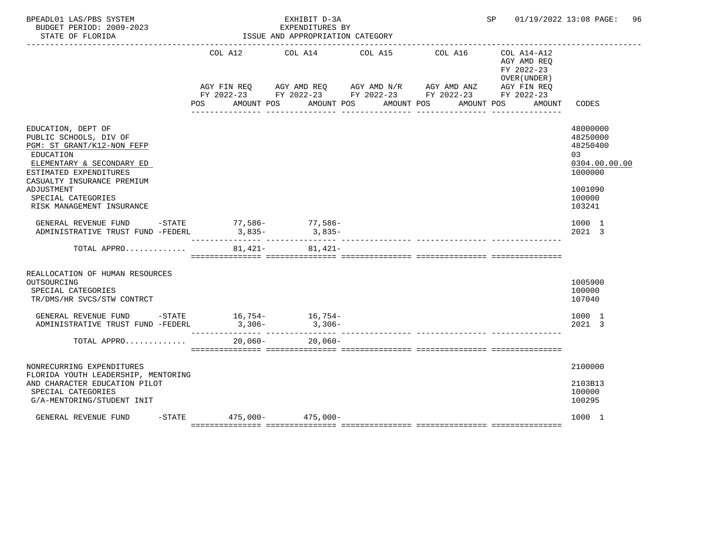| BPEADL01 LAS/PBS SYSTEM<br>BUDGET PERIOD: 2009-2023<br>STATE OF FLORIDA                                                                                                                    |                               | EXHIBIT D-3A<br>EXPENDITURES BY<br>ISSUE AND APPROPRIATION CATEGORY |                                                                                                                                  |                                                           | SP 01/19/2022 13:08 PAGE: 96                                                  |
|--------------------------------------------------------------------------------------------------------------------------------------------------------------------------------------------|-------------------------------|---------------------------------------------------------------------|----------------------------------------------------------------------------------------------------------------------------------|-----------------------------------------------------------|-------------------------------------------------------------------------------|
|                                                                                                                                                                                            |                               | COL A12 COL A14 COL A15                                             | COL A16<br>AGY FIN REQ AGY AMD REQ AGY AMD N/R AGY AMD ANZ AGY FIN REQ<br>FY 2022-23 FY 2022-23 FY 2022-23 FY 2022-23 FY 2022-23 | COL A14-A12<br>AGY AMD REQ<br>FY 2022-23<br>OVER (UNDER ) |                                                                               |
|                                                                                                                                                                                            |                               |                                                                     | POS AMOUNT POS AMOUNT POS AMOUNT POS                                                                                             | AMOUNT POS<br>AMOUNT                                      | CODES                                                                         |
| EDUCATION, DEPT OF<br>PUBLIC SCHOOLS, DIV OF<br>PGM: ST GRANT/K12-NON FEFP<br>EDUCATION<br>ELEMENTARY & SECONDARY ED<br>ESTIMATED EXPENDITURES<br>CASUALTY INSURANCE PREMIUM<br>ADJUSTMENT |                               |                                                                     |                                                                                                                                  |                                                           | 48000000<br>48250000<br>48250400<br>03<br>0304.00.00.00<br>1000000<br>1001090 |
| SPECIAL CATEGORIES<br>RISK MANAGEMENT INSURANCE                                                                                                                                            |                               |                                                                     |                                                                                                                                  |                                                           | 100000<br>103241                                                              |
| GENERAL REVENUE FUND -STATE 77,586- 77,586-<br>ADMINISTRATIVE TRUST FUND -FEDERL                                                                                                           | $3,835-$                      | $3,835-$<br>______________________________                          |                                                                                                                                  |                                                           | 1000 1<br>2021 3                                                              |
| TOTAL APPRO                                                                                                                                                                                |                               | $81,421 81,421-$                                                    |                                                                                                                                  |                                                           |                                                                               |
| REALLOCATION OF HUMAN RESOURCES<br>OUTSOURCING<br>SPECIAL CATEGORIES<br>TR/DMS/HR SVCS/STW CONTRCT                                                                                         |                               |                                                                     |                                                                                                                                  |                                                           | 1005900<br>100000<br>107040                                                   |
| GENERAL REVENUE FUND $-$ STATE $16,754 16,754-$<br>ADMINISTRATIVE TRUST FUND -FEDERL                                                                                                       | $3,306-$                      | $3,306-$                                                            |                                                                                                                                  |                                                           | 1000 1<br>2021 3                                                              |
| TOTAL APPRO                                                                                                                                                                                | $20,060-$                     | 20,060-                                                             |                                                                                                                                  |                                                           |                                                                               |
| NONRECURRING EXPENDITURES<br>FLORIDA YOUTH LEADERSHIP, MENTORING<br>AND CHARACTER EDUCATION PILOT                                                                                          |                               |                                                                     |                                                                                                                                  |                                                           | 2100000<br>2103B13                                                            |
| SPECIAL CATEGORIES<br>G/A-MENTORING/STUDENT INIT                                                                                                                                           |                               |                                                                     |                                                                                                                                  |                                                           | 100000<br>100295                                                              |
| GENERAL REVENUE FUND                                                                                                                                                                       | $-$ STATE 475,000 - 475,000 - |                                                                     |                                                                                                                                  |                                                           | 1000 1                                                                        |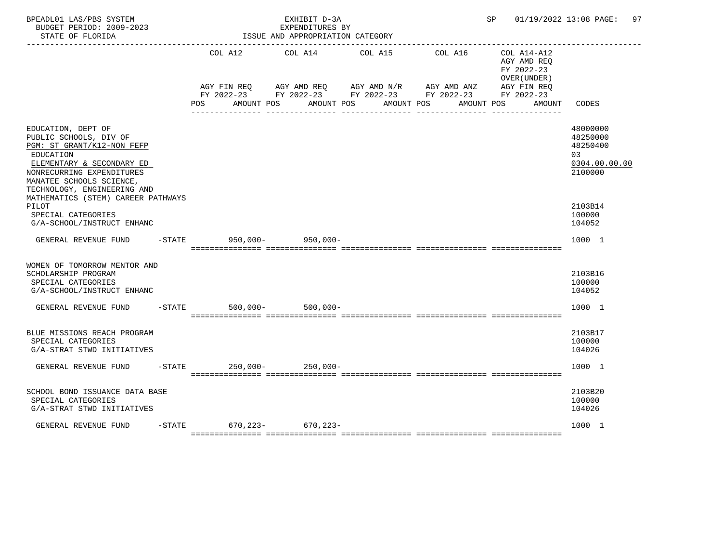| BPEADL01 LAS/PBS SYSTEM<br>BUDGET PERIOD: 2009-2023<br>STATE OF FLORIDA                                                                                                                                                                            |           |     |                  | EXHIBIT D-3A<br>EXPENDITURES BY<br>ISSUE AND APPROPRIATION CATEGORY                                                   |  |  | SP 01/19/2022 13:08 PAGE: 97 |            |                                          |                                                                    |
|----------------------------------------------------------------------------------------------------------------------------------------------------------------------------------------------------------------------------------------------------|-----------|-----|------------------|-----------------------------------------------------------------------------------------------------------------------|--|--|------------------------------|------------|------------------------------------------|--------------------------------------------------------------------|
|                                                                                                                                                                                                                                                    |           |     |                  | COL A12 COL A14 COL A15                                                                                               |  |  |                              | COL A16    | COL A14-A12<br>AGY AMD REQ<br>FY 2022-23 |                                                                    |
|                                                                                                                                                                                                                                                    |           |     |                  | AGY FIN REQ AGY AMD REQ AGY AMD N/R AGY AMD ANZ AGY FIN REQ<br>FY 2022-23 FY 2022-23 FY 2022-23 FY 2022-23 FY 2022-23 |  |  |                              |            | OVER (UNDER)                             |                                                                    |
|                                                                                                                                                                                                                                                    |           | POS |                  | AMOUNT POS AMOUNT POS                                                                                                 |  |  | AMOUNT POS                   | AMOUNT POS | AMOUNT                                   | CODES                                                              |
| EDUCATION, DEPT OF<br>PUBLIC SCHOOLS, DIV OF<br>PGM: ST GRANT/K12-NON FEFP<br>EDUCATION<br>ELEMENTARY & SECONDARY ED<br>NONRECURRING EXPENDITURES<br>MANATEE SCHOOLS SCIENCE,<br>TECHNOLOGY, ENGINEERING AND<br>MATHEMATICS (STEM) CAREER PATHWAYS |           |     |                  |                                                                                                                       |  |  |                              |            |                                          | 48000000<br>48250000<br>48250400<br>03<br>0304.00.00.00<br>2100000 |
| PILOT<br>SPECIAL CATEGORIES<br>G/A-SCHOOL/INSTRUCT ENHANC                                                                                                                                                                                          |           |     |                  |                                                                                                                       |  |  |                              |            |                                          | 2103B14<br>100000<br>104052                                        |
| GENERAL REVENUE FUND                                                                                                                                                                                                                               | $-$ STATE |     | $950,000 -$      | $950,000 -$                                                                                                           |  |  |                              |            |                                          | 1000 1                                                             |
| WOMEN OF TOMORROW MENTOR AND<br>SCHOLARSHIP PROGRAM<br>SPECIAL CATEGORIES<br>G/A-SCHOOL/INSTRUCT ENHANC                                                                                                                                            |           |     |                  |                                                                                                                       |  |  |                              |            |                                          | 2103B16<br>100000<br>104052                                        |
| GENERAL REVENUE FUND                                                                                                                                                                                                                               | $-$ STATE |     | $500.000 -$      | $500,000 -$                                                                                                           |  |  |                              |            |                                          | 1000 1                                                             |
| BLUE MISSIONS REACH PROGRAM<br>SPECIAL CATEGORIES<br>G/A-STRAT STWD INITIATIVES                                                                                                                                                                    |           |     |                  |                                                                                                                       |  |  |                              |            |                                          | 2103B17<br>100000<br>104026                                        |
| GENERAL REVENUE FUND                                                                                                                                                                                                                               |           |     |                  | -STATE 250,000-250,000-                                                                                               |  |  |                              |            |                                          | 1000 1                                                             |
| SCHOOL BOND ISSUANCE DATA BASE<br>SPECIAL CATEGORIES<br>G/A-STRAT STWD INITIATIVES                                                                                                                                                                 |           |     |                  |                                                                                                                       |  |  |                              |            |                                          | 2103B20<br>100000<br>104026                                        |
| GENERAL REVENUE FUND                                                                                                                                                                                                                               |           |     | -STATE 670, 223- | 670,223-                                                                                                              |  |  |                              |            |                                          | 1000 1                                                             |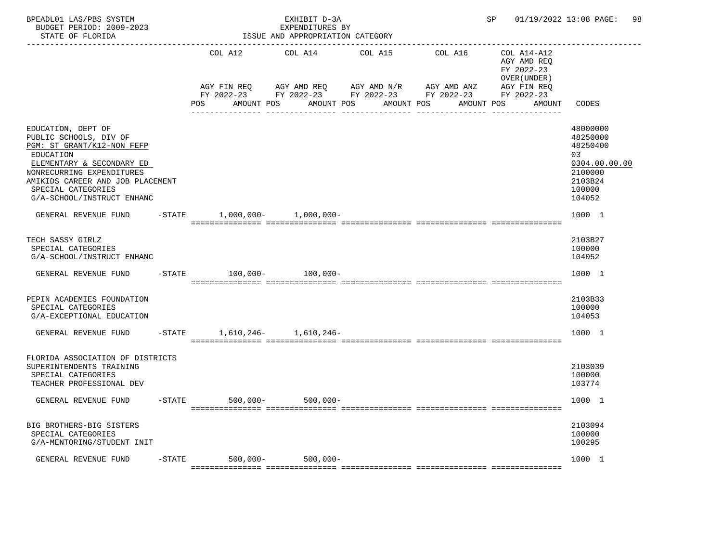| BPEADL01 LAS/PBS SYSTEM<br>BUDGET PERIOD: 2009-2023<br>STATE OF FLORIDA                                                                                                                                                                   |           |                   | EXHIBIT D-3A<br>EXPENDITURES BY<br>ISSUE AND APPROPRIATION CATEGORY       |            |            | SP                                                                       | 01/19/2022 13:08 PAGE:<br>98                                                                      |
|-------------------------------------------------------------------------------------------------------------------------------------------------------------------------------------------------------------------------------------------|-----------|-------------------|---------------------------------------------------------------------------|------------|------------|--------------------------------------------------------------------------|---------------------------------------------------------------------------------------------------|
|                                                                                                                                                                                                                                           |           | COL A12           | COL A14<br>AGY FIN REQ      AGY AMD REQ      AGY AMD N/R      AGY AMD ANZ | COL A15    | COL A16    | COL A14-A12<br>AGY AMD REO<br>FY 2022-23<br>OVER (UNDER )<br>AGY FIN REQ |                                                                                                   |
|                                                                                                                                                                                                                                           |           | POS<br>AMOUNT POS | FY 2022-23 FY 2022-23 FY 2022-23 FY 2022-23 FY 2022-23<br>AMOUNT POS      | AMOUNT POS | AMOUNT POS | AMOUNT                                                                   | CODES                                                                                             |
| EDUCATION, DEPT OF<br>PUBLIC SCHOOLS, DIV OF<br>PGM: ST GRANT/K12-NON FEFP<br>EDUCATION<br>ELEMENTARY & SECONDARY ED<br>NONRECURRING EXPENDITURES<br>AMIKIDS CAREER AND JOB PLACEMENT<br>SPECIAL CATEGORIES<br>G/A-SCHOOL/INSTRUCT ENHANC |           |                   |                                                                           |            |            |                                                                          | 48000000<br>48250000<br>48250400<br>03<br>0304.00.00.00<br>2100000<br>2103B24<br>100000<br>104052 |
| GENERAL REVENUE FUND                                                                                                                                                                                                                      |           |                   | $-$ STATE $1,000,000 1,000,000-$                                          |            |            |                                                                          | 1000 1                                                                                            |
| TECH SASSY GIRLZ<br>SPECIAL CATEGORIES<br>G/A-SCHOOL/INSTRUCT ENHANC                                                                                                                                                                      |           |                   |                                                                           |            |            |                                                                          | 2103B27<br>100000<br>104052                                                                       |
| GENERAL REVENUE FUND                                                                                                                                                                                                                      |           |                   | $-STATE$ 100,000- 100,000-                                                |            |            |                                                                          | 1000 1                                                                                            |
| PEPIN ACADEMIES FOUNDATION<br>SPECIAL CATEGORIES<br>G/A-EXCEPTIONAL EDUCATION                                                                                                                                                             |           |                   |                                                                           |            |            |                                                                          | 2103B33<br>100000<br>104053                                                                       |
| GENERAL REVENUE FUND                                                                                                                                                                                                                      | $-$ STATE |                   | $1,610,246 - 1,610,246 -$                                                 |            |            |                                                                          | 1000 1                                                                                            |
| FLORIDA ASSOCIATION OF DISTRICTS<br>SUPERINTENDENTS TRAINING<br>SPECIAL CATEGORIES<br>TEACHER PROFESSIONAL DEV                                                                                                                            |           |                   |                                                                           |            |            |                                                                          | 2103039<br>100000<br>103774                                                                       |
| GENERAL REVENUE FUND                                                                                                                                                                                                                      |           |                   | -STATE 500,000- 500,000-                                                  |            |            |                                                                          | 1000 1                                                                                            |
| BIG BROTHERS-BIG SISTERS<br>SPECIAL CATEGORIES<br>G/A-MENTORING/STUDENT INIT                                                                                                                                                              |           |                   |                                                                           |            |            |                                                                          | 2103094<br>100000<br>100295                                                                       |
| GENERAL REVENUE FUND                                                                                                                                                                                                                      | $-STATE$  | $500,000 -$       | $500,000 -$                                                               |            |            |                                                                          | 1000 1                                                                                            |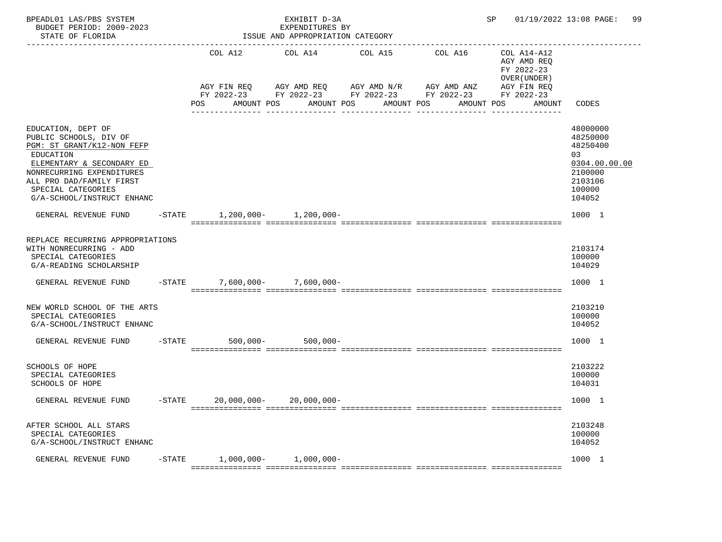| BPEADL01 LAS/PBS SYSTEM<br>BUDGET PERIOD: 2009-2023<br>STATE OF FLORIDA                                                                                                                                                           |           |                                   | EXHIBIT D-3A<br>EXPENDITURES BY<br>ISSUE AND APPROPRIATION CATEGORY |                                                                                                                                       |         | SP                                                        | 01/19/2022 13:08 PAGE:<br>99                                                                      |
|-----------------------------------------------------------------------------------------------------------------------------------------------------------------------------------------------------------------------------------|-----------|-----------------------------------|---------------------------------------------------------------------|---------------------------------------------------------------------------------------------------------------------------------------|---------|-----------------------------------------------------------|---------------------------------------------------------------------------------------------------|
|                                                                                                                                                                                                                                   |           | COL A12                           | COL A14                                                             | COL A15                                                                                                                               | COL A16 | COL A14-A12<br>AGY AMD REQ<br>FY 2022-23<br>OVER (UNDER ) |                                                                                                   |
|                                                                                                                                                                                                                                   |           | POS                               | AMOUNT POS                                                          | AGY FIN REQ AGY AMD REQ AGY AMD N/R AGY AMD ANZ<br>FY 2022-23 FY 2022-23 FY 2022-23 FY 2022-23 FY 2022-23<br>AMOUNT POS<br>AMOUNT POS |         | AGY FIN REQ<br>AMOUNT POS<br>AMOUNT                       | CODES                                                                                             |
| EDUCATION, DEPT OF<br>PUBLIC SCHOOLS, DIV OF<br>PGM: ST GRANT/K12-NON FEFP<br>EDUCATION<br>ELEMENTARY & SECONDARY ED<br>NONRECURRING EXPENDITURES<br>ALL PRO DAD/FAMILY FIRST<br>SPECIAL CATEGORIES<br>G/A-SCHOOL/INSTRUCT ENHANC |           |                                   |                                                                     |                                                                                                                                       |         |                                                           | 48000000<br>48250000<br>48250400<br>03<br>0304.00.00.00<br>2100000<br>2103106<br>100000<br>104052 |
| GENERAL REVENUE FUND -STATE 1,200,000- 1,200,000-                                                                                                                                                                                 |           |                                   |                                                                     |                                                                                                                                       |         |                                                           | 1000 1                                                                                            |
| REPLACE RECURRING APPROPRIATIONS<br>WITH NONRECURRING - ADD<br>SPECIAL CATEGORIES<br>G/A-READING SCHOLARSHIP                                                                                                                      |           |                                   |                                                                     |                                                                                                                                       |         |                                                           | 2103174<br>100000<br>104029                                                                       |
| GENERAL REVENUE FUND                                                                                                                                                                                                              |           | $-$ STATE 7,600,000 - 7,600,000 - |                                                                     |                                                                                                                                       |         |                                                           | 1000 1                                                                                            |
| NEW WORLD SCHOOL OF THE ARTS<br>SPECIAL CATEGORIES<br>G/A-SCHOOL/INSTRUCT ENHANC                                                                                                                                                  |           |                                   |                                                                     |                                                                                                                                       |         |                                                           | 2103210<br>100000<br>104052                                                                       |
| GENERAL REVENUE FUND -STATE                                                                                                                                                                                                       |           | $500,000 -$                       | $500,000 -$                                                         |                                                                                                                                       |         |                                                           | 1000 1                                                                                            |
| SCHOOLS OF HOPE<br>SPECIAL CATEGORIES<br><b>SCHOOLS OF HOPE</b>                                                                                                                                                                   |           |                                   |                                                                     |                                                                                                                                       |         |                                                           | 2103222<br>100000<br>104031                                                                       |
| GENERAL REVENUE FUND -STATE                                                                                                                                                                                                       |           | 20,000,000-                       | 20,000,000-                                                         |                                                                                                                                       |         |                                                           | 1000 1                                                                                            |
| AFTER SCHOOL ALL STARS<br>SPECIAL CATEGORIES<br>G/A-SCHOOL/INSTRUCT ENHANC                                                                                                                                                        |           |                                   |                                                                     |                                                                                                                                       |         |                                                           | 2103248<br>100000<br>104052                                                                       |
| GENERAL REVENUE FUND                                                                                                                                                                                                              | $-$ STATE | $1,000,000-$                      | $1,000,000-$                                                        |                                                                                                                                       |         |                                                           | 1000 1                                                                                            |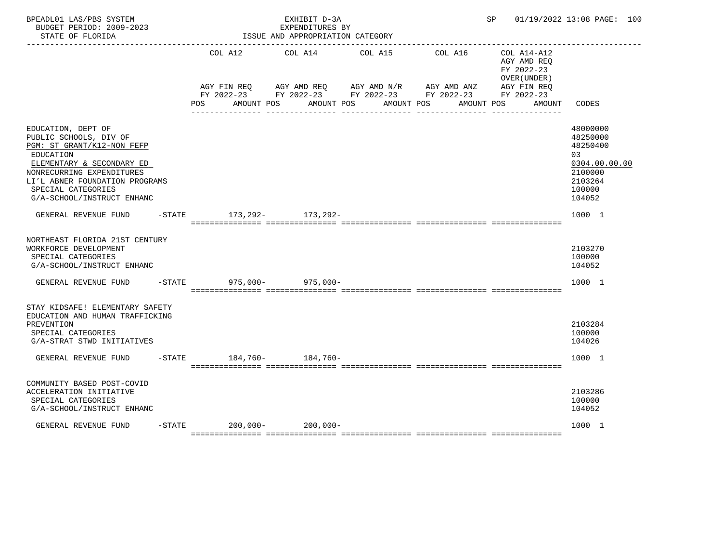| BPEADL01 LAS/PBS SYSTEM<br>BUDGET PERIOD: 2009-2023<br>STATE OF FLORIDA                                                                                                                                                                 | EXHIBIT D-3A<br>EXPENDITURES BY<br>ISSUE AND APPROPRIATION CATEGORY |  |  |                                                                                                                       |  |  |            |            |  | SP and the set of the set of the set of the set of the set of the set of the set of the set of the set of the s | 01/19/2022 13:08 PAGE: 100                                                                        |
|-----------------------------------------------------------------------------------------------------------------------------------------------------------------------------------------------------------------------------------------|---------------------------------------------------------------------|--|--|-----------------------------------------------------------------------------------------------------------------------|--|--|------------|------------|--|-----------------------------------------------------------------------------------------------------------------|---------------------------------------------------------------------------------------------------|
|                                                                                                                                                                                                                                         | COL A12 COL A14 COL A15                                             |  |  |                                                                                                                       |  |  | COL A16    |            |  | COL A14-A12<br>AGY AMD REQ<br>FY 2022-23<br>OVER (UNDER)                                                        |                                                                                                   |
|                                                                                                                                                                                                                                         |                                                                     |  |  | AGY FIN REQ AGY AMD REQ AGY AMD N/R AGY AMD ANZ AGY FIN REQ<br>FY 2022-23 FY 2022-23 FY 2022-23 FY 2022-23 FY 2022-23 |  |  |            |            |  |                                                                                                                 |                                                                                                   |
|                                                                                                                                                                                                                                         | <b>POS</b>                                                          |  |  | AMOUNT POS AMOUNT POS                                                                                                 |  |  | AMOUNT POS | AMOUNT POS |  | AMOUNT                                                                                                          | CODES                                                                                             |
| EDUCATION, DEPT OF<br>PUBLIC SCHOOLS, DIV OF<br>PGM: ST GRANT/K12-NON FEFP<br>EDUCATION<br>ELEMENTARY & SECONDARY ED<br>NONRECURRING EXPENDITURES<br>LI'L ABNER FOUNDATION PROGRAMS<br>SPECIAL CATEGORIES<br>G/A-SCHOOL/INSTRUCT ENHANC |                                                                     |  |  |                                                                                                                       |  |  |            |            |  |                                                                                                                 | 48000000<br>48250000<br>48250400<br>03<br>0304.00.00.00<br>2100000<br>2103264<br>100000<br>104052 |
| GENERAL REVENUE FUND                                                                                                                                                                                                                    |                                                                     |  |  | -STATE 173, 292- 173, 292-                                                                                            |  |  |            |            |  |                                                                                                                 | 1000 1                                                                                            |
| NORTHEAST FLORIDA 21ST CENTURY<br>WORKFORCE DEVELOPMENT<br>SPECIAL CATEGORIES<br>G/A-SCHOOL/INSTRUCT ENHANC                                                                                                                             |                                                                     |  |  |                                                                                                                       |  |  |            |            |  |                                                                                                                 | 2103270<br>100000<br>104052                                                                       |
| GENERAL REVENUE FUND                                                                                                                                                                                                                    |                                                                     |  |  | $-STATE$ 975,000-975,000-                                                                                             |  |  |            |            |  |                                                                                                                 | 1000 1                                                                                            |
| STAY KIDSAFE! ELEMENTARY SAFETY<br>EDUCATION AND HUMAN TRAFFICKING<br>PREVENTION<br>SPECIAL CATEGORIES<br>G/A-STRAT STWD INITIATIVES                                                                                                    |                                                                     |  |  |                                                                                                                       |  |  |            |            |  |                                                                                                                 | 2103284<br>100000<br>104026                                                                       |
| GENERAL REVENUE FUND -STATE 184,760-<br>184,760-                                                                                                                                                                                        |                                                                     |  |  |                                                                                                                       |  |  |            |            |  |                                                                                                                 | 1000 1                                                                                            |
| COMMUNITY BASED POST-COVID<br>ACCELERATION INITIATIVE<br>SPECIAL CATEGORIES<br>G/A-SCHOOL/INSTRUCT ENHANC                                                                                                                               |                                                                     |  |  |                                                                                                                       |  |  |            |            |  |                                                                                                                 | 2103286<br>100000<br>104052                                                                       |
| GENERAL REVENUE FUND                                                                                                                                                                                                                    |                                                                     |  |  | $-$ STATE 200,000 - 200,000 -                                                                                         |  |  |            |            |  |                                                                                                                 | 1000 1                                                                                            |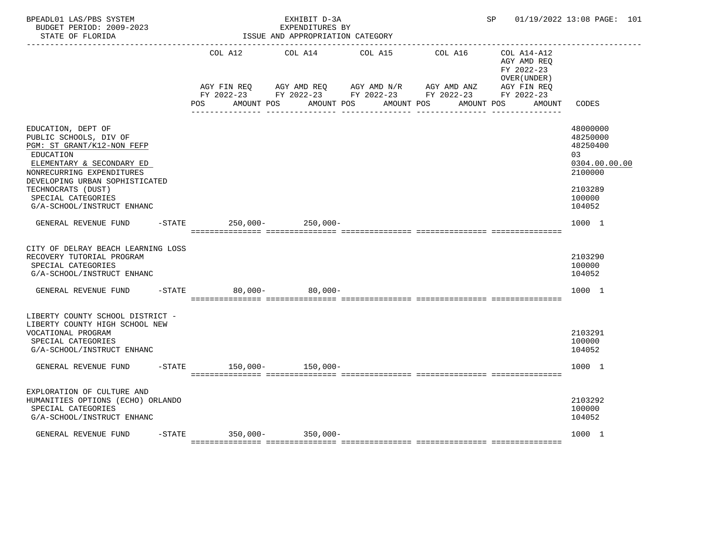| BPEADL01 LAS/PBS SYSTEM<br>BUDGET PERIOD: 2009-2023<br>STATE OF FLORIDA                                                                                                                                                                                       |          |                                                                                                                |  | EXHIBIT D-3A<br>EXPENDITURES BY<br>ISSUE AND APPROPRIATION CATEGORY |  |                                                                                                                                       |                                                          | SP 01/19/2022 13:08 PAGE: 101 |                                                                                                   |
|---------------------------------------------------------------------------------------------------------------------------------------------------------------------------------------------------------------------------------------------------------------|----------|----------------------------------------------------------------------------------------------------------------|--|---------------------------------------------------------------------|--|---------------------------------------------------------------------------------------------------------------------------------------|----------------------------------------------------------|-------------------------------|---------------------------------------------------------------------------------------------------|
|                                                                                                                                                                                                                                                               |          | COL A12                                                                                                        |  | COL A14 COL A15                                                     |  | COL A16                                                                                                                               | COL A14-A12<br>AGY AMD REQ<br>FY 2022-23<br>OVER (UNDER) |                               |                                                                                                   |
|                                                                                                                                                                                                                                                               |          | POS FOR THE POST OF THE STATE STATE STATE STATE STATE STATE STATE STATE STATE STATE STATE STATE STATE STATE ST |  | AMOUNT POS AMOUNT POS                                               |  | AGY FIN REQ AGY AMD REQ AGY AMD N/R AGY AMD ANZ<br>FY 2022-23 FY 2022-23 FY 2022-23 FY 2022-23 FY 2022-23<br>AMOUNT POS<br>AMOUNT POS |                                                          | AGY FIN REQ<br>AMOUNT         | CODES                                                                                             |
| EDUCATION, DEPT OF<br>PUBLIC SCHOOLS, DIV OF<br>PGM: ST GRANT/K12-NON FEFP<br>EDUCATION<br>ELEMENTARY & SECONDARY ED<br>NONRECURRING EXPENDITURES<br>DEVELOPING URBAN SOPHISTICATED<br>TECHNOCRATS (DUST)<br>SPECIAL CATEGORIES<br>G/A-SCHOOL/INSTRUCT ENHANC |          |                                                                                                                |  |                                                                     |  |                                                                                                                                       |                                                          |                               | 48000000<br>48250000<br>48250400<br>03<br>0304.00.00.00<br>2100000<br>2103289<br>100000<br>104052 |
| GENERAL REVENUE FUND                                                                                                                                                                                                                                          | $-STATE$ |                                                                                                                |  | $250,000 - 250,000 -$                                               |  |                                                                                                                                       |                                                          |                               | 1000 1                                                                                            |
| CITY OF DELRAY BEACH LEARNING LOSS<br>RECOVERY TUTORIAL PROGRAM<br>SPECIAL CATEGORIES<br>G/A-SCHOOL/INSTRUCT ENHANC                                                                                                                                           |          |                                                                                                                |  |                                                                     |  |                                                                                                                                       |                                                          |                               | 2103290<br>100000<br>104052                                                                       |
| GENERAL REVENUE FUND                                                                                                                                                                                                                                          | $-STATE$ |                                                                                                                |  | $80,000 - 80,000 -$                                                 |  |                                                                                                                                       |                                                          |                               | 1000 1                                                                                            |
| LIBERTY COUNTY SCHOOL DISTRICT -<br>LIBERTY COUNTY HIGH SCHOOL NEW<br>VOCATIONAL PROGRAM<br>SPECIAL CATEGORIES<br>G/A-SCHOOL/INSTRUCT ENHANC                                                                                                                  |          |                                                                                                                |  |                                                                     |  |                                                                                                                                       |                                                          |                               | 2103291<br>100000<br>104052                                                                       |
| GENERAL REVENUE FUND -STATE 150,000- 150,000-                                                                                                                                                                                                                 |          |                                                                                                                |  |                                                                     |  |                                                                                                                                       |                                                          |                               | 1000 1                                                                                            |
| EXPLORATION OF CULTURE AND<br>HUMANITIES OPTIONS (ECHO) ORLANDO<br>SPECIAL CATEGORIES<br>G/A-SCHOOL/INSTRUCT ENHANC                                                                                                                                           |          |                                                                                                                |  |                                                                     |  |                                                                                                                                       |                                                          |                               | 2103292<br>100000<br>104052                                                                       |
| GENERAL REVENUE FUND                                                                                                                                                                                                                                          |          | $-STATE$ 350,000- 350,000-                                                                                     |  |                                                                     |  |                                                                                                                                       |                                                          |                               | 1000 1                                                                                            |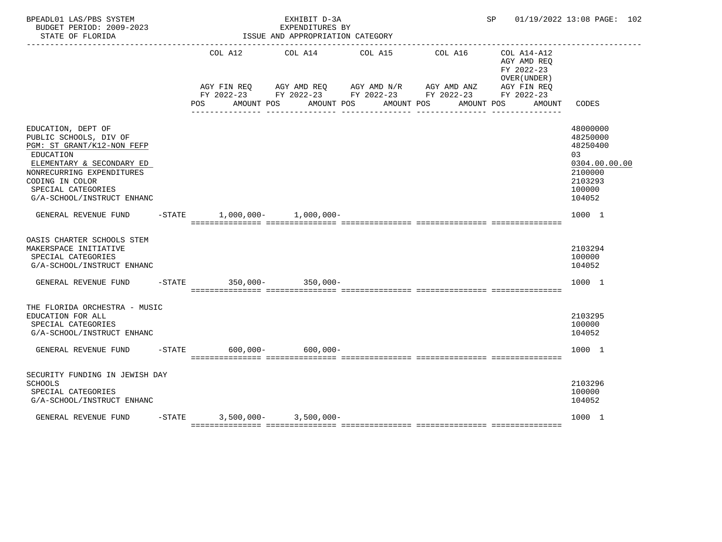| BPEADL01 LAS/PBS SYSTEM<br>BUDGET PERIOD: 2009-2023<br>STATE OF FLORIDA                                                                                                                                                  |           |     |  | EXHIBIT D-3A<br>EXPENDITURES BY<br>ISSUE AND APPROPRIATION CATEGORY                                                                                                       |  |                                  | SP |                                                                    | 01/19/2022 13:08 PAGE: 102                                                                        |
|--------------------------------------------------------------------------------------------------------------------------------------------------------------------------------------------------------------------------|-----------|-----|--|---------------------------------------------------------------------------------------------------------------------------------------------------------------------------|--|----------------------------------|----|--------------------------------------------------------------------|---------------------------------------------------------------------------------------------------|
|                                                                                                                                                                                                                          |           | POS |  | COL A12 COL A14 COL A15<br>AGY FIN REQ AGY AMD REQ AGY AMD N/R AGY AMD ANZ AGY FIN REQ<br>FY 2022-23 FY 2022-23 FY 2022-23 FY 2022-23 FY 2022-23<br>AMOUNT POS AMOUNT POS |  | COL A16<br>AMOUNT POS AMOUNT POS |    | COL A14-A12<br>AGY AMD REQ<br>FY 2022-23<br>OVER (UNDER)<br>AMOUNT | CODES                                                                                             |
| EDUCATION, DEPT OF<br>PUBLIC SCHOOLS, DIV OF<br>PGM: ST GRANT/K12-NON FEFP<br>EDUCATION<br>ELEMENTARY & SECONDARY ED<br>NONRECURRING EXPENDITURES<br>CODING IN COLOR<br>SPECIAL CATEGORIES<br>G/A-SCHOOL/INSTRUCT ENHANC |           |     |  |                                                                                                                                                                           |  |                                  |    |                                                                    | 48000000<br>48250000<br>48250400<br>03<br>0304.00.00.00<br>2100000<br>2103293<br>100000<br>104052 |
| GENERAL REVENUE FUND                                                                                                                                                                                                     | $-$ STATE |     |  | $1,000,000 - 1,000,000 -$                                                                                                                                                 |  |                                  |    |                                                                    | 1000 1                                                                                            |
| OASIS CHARTER SCHOOLS STEM<br>MAKERSPACE INITIATIVE<br>SPECIAL CATEGORIES<br>G/A-SCHOOL/INSTRUCT ENHANC                                                                                                                  |           |     |  |                                                                                                                                                                           |  |                                  |    |                                                                    | 2103294<br>100000<br>104052                                                                       |
| GENERAL REVENUE FUND                                                                                                                                                                                                     |           |     |  | -STATE 350,000- 350,000-                                                                                                                                                  |  |                                  |    |                                                                    | 1000 1                                                                                            |
| THE FLORIDA ORCHESTRA - MUSIC<br>EDUCATION FOR ALL<br>SPECIAL CATEGORIES<br>G/A-SCHOOL/INSTRUCT ENHANC<br>GENERAL REVENUE FUND                                                                                           |           |     |  | $-STATE$ 600,000- 600,000-                                                                                                                                                |  |                                  |    |                                                                    | 2103295<br>100000<br>104052<br>1000 1                                                             |
| SECURITY FUNDING IN JEWISH DAY<br><b>SCHOOLS</b><br>SPECIAL CATEGORIES<br>G/A-SCHOOL/INSTRUCT ENHANC                                                                                                                     |           |     |  |                                                                                                                                                                           |  |                                  |    |                                                                    | 2103296<br>100000<br>104052                                                                       |
| GENERAL REVENUE FUND                                                                                                                                                                                                     |           |     |  | $-STATE$ 3,500,000- 3,500,000-                                                                                                                                            |  |                                  |    |                                                                    | 1000 1                                                                                            |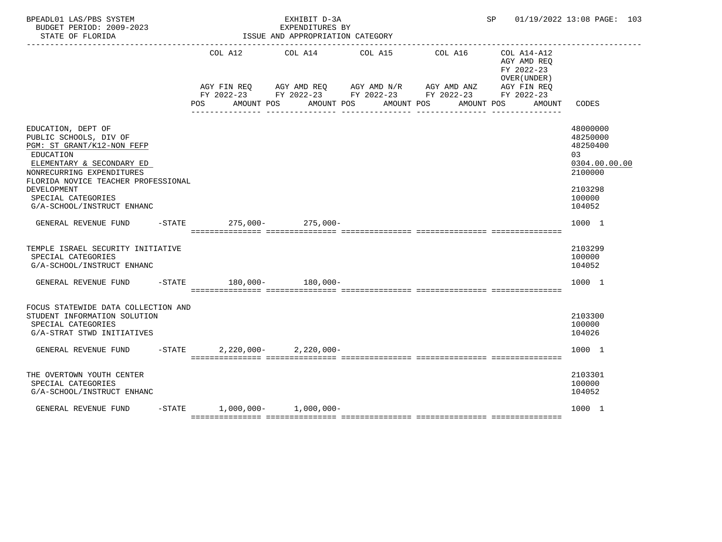| BPEADL01 LAS/PBS SYSTEM<br>BUDGET PERIOD: 2009-2023<br>STATE OF FLORIDA                                                                                                                                                                                     |          |                                | EXHIBIT D-3A<br>EXPENDITURES BY<br>ISSUE AND APPROPRIATION CATEGORY |                                                                                                                                     |                       | SP 01/19/2022 13:08 PAGE: 103                                      |                                                                                                   |
|-------------------------------------------------------------------------------------------------------------------------------------------------------------------------------------------------------------------------------------------------------------|----------|--------------------------------|---------------------------------------------------------------------|-------------------------------------------------------------------------------------------------------------------------------------|-----------------------|--------------------------------------------------------------------|---------------------------------------------------------------------------------------------------|
|                                                                                                                                                                                                                                                             |          | POS<br>AMOUNT POS              | COL A12 COL A14 COL A15<br>AMOUNT POS                               | AGY FIN REQ AGY AMD REQ AGY AMD N/R AGY AMD ANZ AGY FIN REQ<br>FY 2022-23 FY 2022-23 FY 2022-23 FY 2022-23 FY 2022-23<br>AMOUNT POS | COL A16<br>AMOUNT POS | COL A14-A12<br>AGY AMD REQ<br>FY 2022-23<br>OVER (UNDER)<br>AMOUNT | CODES                                                                                             |
| EDUCATION, DEPT OF<br>PUBLIC SCHOOLS, DIV OF<br>PGM: ST GRANT/K12-NON FEFP<br>EDUCATION<br>ELEMENTARY & SECONDARY ED<br>NONRECURRING EXPENDITURES<br>FLORIDA NOVICE TEACHER PROFESSIONAL<br>DEVELOPMENT<br>SPECIAL CATEGORIES<br>G/A-SCHOOL/INSTRUCT ENHANC |          |                                |                                                                     |                                                                                                                                     |                       |                                                                    | 48000000<br>48250000<br>48250400<br>03<br>0304.00.00.00<br>2100000<br>2103298<br>100000<br>104052 |
| GENERAL REVENUE FUND -STATE 275,000- 275,000-                                                                                                                                                                                                               |          |                                |                                                                     |                                                                                                                                     |                       |                                                                    | 1000 1                                                                                            |
| TEMPLE ISRAEL SECURITY INITIATIVE<br>SPECIAL CATEGORIES<br>G/A-SCHOOL/INSTRUCT ENHANC                                                                                                                                                                       |          |                                |                                                                     |                                                                                                                                     |                       |                                                                    | 2103299<br>100000<br>104052                                                                       |
| GENERAL REVENUE FUND                                                                                                                                                                                                                                        |          | $-$ STATE 180,000- 180,000-    |                                                                     | accordinations consecutives consecutives consecutives accordingly                                                                   |                       |                                                                    | 1000 1                                                                                            |
| FOCUS STATEWIDE DATA COLLECTION AND<br>STUDENT INFORMATION SOLUTION<br>SPECIAL CATEGORIES<br>G/A-STRAT STWD INITIATIVES                                                                                                                                     |          |                                |                                                                     |                                                                                                                                     |                       |                                                                    | 2103300<br>100000<br>104026                                                                       |
| GENERAL REVENUE FUND                                                                                                                                                                                                                                        | $-STATE$ |                                | $2,220,000 - 2,220,000 -$                                           |                                                                                                                                     |                       |                                                                    | 1000 1                                                                                            |
| THE OVERTOWN YOUTH CENTER<br>SPECIAL CATEGORIES<br>G/A-SCHOOL/INSTRUCT ENHANC                                                                                                                                                                               |          |                                |                                                                     |                                                                                                                                     |                       |                                                                    | 2103301<br>100000<br>104052                                                                       |
| GENERAL REVENUE FUND                                                                                                                                                                                                                                        |          | $-STATE$ 1,000,000- 1,000,000- |                                                                     |                                                                                                                                     |                       |                                                                    | 1000 1                                                                                            |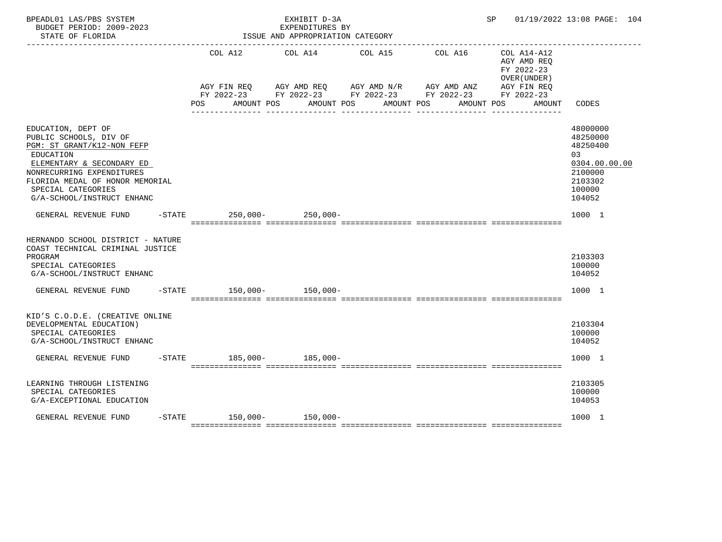| BPEADL01 LAS/PBS SYSTEM<br>BUDGET PERIOD: 2009-2023<br>STATE OF FLORIDA                                                                                                                                                                  |                                                                                                                              | EXHIBIT D-3A<br>EXPENDITURES BY<br>ISSUE AND APPROPRIATION CATEGORY |  |                                  |                                                                    | SP 01/19/2022 13:08 PAGE: 104                                                                     |  |
|------------------------------------------------------------------------------------------------------------------------------------------------------------------------------------------------------------------------------------------|------------------------------------------------------------------------------------------------------------------------------|---------------------------------------------------------------------|--|----------------------------------|--------------------------------------------------------------------|---------------------------------------------------------------------------------------------------|--|
|                                                                                                                                                                                                                                          | AGY FIN REQ AGY AMD REQ AGY AMD N/R AGY AMD ANZ AGY FIN REQ<br>FY 2022-23 FY 2022-23 FY 2022-23 FY 2022-23 FY 2022-23<br>POS | COL A12 COL A14 COL A15<br>AMOUNT POS AMOUNT POS                    |  | COL A16<br>AMOUNT POS AMOUNT POS | COL A14-A12<br>AGY AMD REQ<br>FY 2022-23<br>OVER (UNDER)<br>AMOUNT | CODES                                                                                             |  |
| EDUCATION, DEPT OF<br>PUBLIC SCHOOLS, DIV OF<br>PGM: ST GRANT/K12-NON FEFP<br>EDUCATION<br>ELEMENTARY & SECONDARY ED<br>NONRECURRING EXPENDITURES<br>FLORIDA MEDAL OF HONOR MEMORIAL<br>SPECIAL CATEGORIES<br>G/A-SCHOOL/INSTRUCT ENHANC |                                                                                                                              |                                                                     |  |                                  |                                                                    | 48000000<br>48250000<br>48250400<br>03<br>0304.00.00.00<br>2100000<br>2103302<br>100000<br>104052 |  |
| GENERAL REVENUE FUND                                                                                                                                                                                                                     | $-$ STATE 250,000 - 250,000 -                                                                                                |                                                                     |  |                                  |                                                                    | 1000 1                                                                                            |  |
| HERNANDO SCHOOL DISTRICT - NATURE<br>COAST TECHNICAL CRIMINAL JUSTICE<br>PROGRAM<br>SPECIAL CATEGORIES<br>G/A-SCHOOL/INSTRUCT ENHANC                                                                                                     |                                                                                                                              |                                                                     |  |                                  |                                                                    | 2103303<br>100000<br>104052                                                                       |  |
| GENERAL REVENUE FUND                                                                                                                                                                                                                     | $-STATE$ 150.000- 150.000-                                                                                                   |                                                                     |  |                                  |                                                                    | 1000 1                                                                                            |  |
| KID'S C.O.D.E. (CREATIVE ONLINE<br>DEVELOPMENTAL EDUCATION)<br>SPECIAL CATEGORIES<br>G/A-SCHOOL/INSTRUCT ENHANC                                                                                                                          |                                                                                                                              |                                                                     |  |                                  |                                                                    | 2103304<br>100000<br>104052                                                                       |  |
| GENERAL REVENUE FUND                                                                                                                                                                                                                     | $-STATE$ 185,000- 185,000-                                                                                                   |                                                                     |  |                                  |                                                                    | 1000 1                                                                                            |  |
| LEARNING THROUGH LISTENING<br>SPECIAL CATEGORIES<br>G/A-EXCEPTIONAL EDUCATION                                                                                                                                                            |                                                                                                                              |                                                                     |  |                                  |                                                                    | 2103305<br>100000<br>104053                                                                       |  |
| GENERAL REVENUE FUND                                                                                                                                                                                                                     | $-STATE$ 150,000- 150,000-                                                                                                   |                                                                     |  |                                  |                                                                    | 1000 1                                                                                            |  |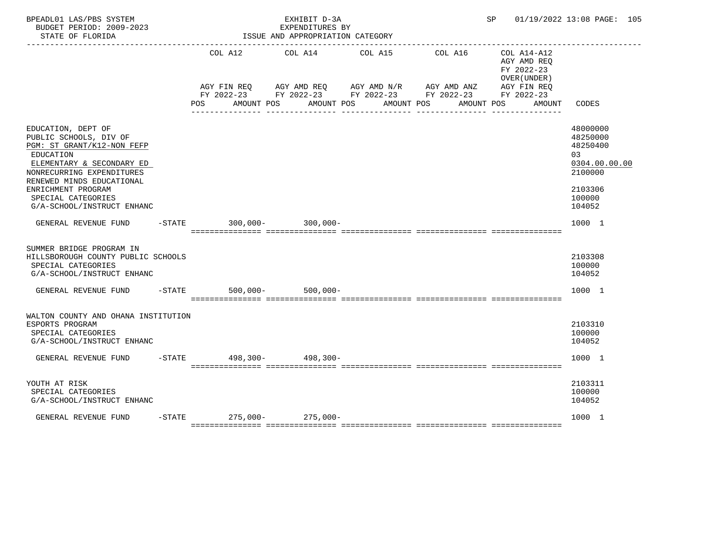| BPEADL01 LAS/PBS SYSTEM<br>BUDGET PERIOD: 2009-2023<br>STATE OF FLORIDA                                                                                                                                                                                                          | EXHIBIT D-3A<br>EXPENDITURES BY<br>ISSUE AND APPROPRIATION CATEGORY |                     |                                                                                                                                                                           |                           |  |  |                       |  |                                                                                  |  | SP 01/19/2022 13:08 PAGE: 105                                                                               |  |
|----------------------------------------------------------------------------------------------------------------------------------------------------------------------------------------------------------------------------------------------------------------------------------|---------------------------------------------------------------------|---------------------|---------------------------------------------------------------------------------------------------------------------------------------------------------------------------|---------------------------|--|--|-----------------------|--|----------------------------------------------------------------------------------|--|-------------------------------------------------------------------------------------------------------------|--|
|                                                                                                                                                                                                                                                                                  | POS                                                                 |                     | COL A12 COL A14 COL A15<br>AGY FIN REQ AGY AMD REQ AGY AMD N/R AGY AMD ANZ AGY FIN REQ<br>FY 2022-23 FY 2022-23 FY 2022-23 FY 2022-23 FY 2022-23<br>AMOUNT POS AMOUNT POS |                           |  |  | COL A16<br>AMOUNT POS |  | COL A14-A12<br>AGY AMD REQ<br>FY 2022-23<br>OVER (UNDER)<br>AMOUNT POS<br>AMOUNT |  | CODES                                                                                                       |  |
| EDUCATION, DEPT OF<br>PUBLIC SCHOOLS, DIV OF<br>PGM: ST GRANT/K12-NON FEFP<br>EDUCATION<br>ELEMENTARY & SECONDARY ED<br>NONRECURRING EXPENDITURES<br>RENEWED MINDS EDUCATIONAL<br>ENRICHMENT PROGRAM<br>SPECIAL CATEGORIES<br>G/A-SCHOOL/INSTRUCT ENHANC<br>GENERAL REVENUE FUND |                                                                     |                     |                                                                                                                                                                           | -STATE 300,000- 300,000-  |  |  |                       |  |                                                                                  |  | 48000000<br>48250000<br>48250400<br>03<br>0304.00.00.00<br>2100000<br>2103306<br>100000<br>104052<br>1000 1 |  |
| SUMMER BRIDGE PROGRAM IN<br>HILLSBOROUGH COUNTY PUBLIC SCHOOLS<br>SPECIAL CATEGORIES<br>G/A-SCHOOL/INSTRUCT ENHANC<br>GENERAL REVENUE FUND                                                                                                                                       |                                                                     | $-$ STATE 500,000 - |                                                                                                                                                                           | $500.000 -$               |  |  |                       |  |                                                                                  |  | 2103308<br>100000<br>104052<br>1000 1                                                                       |  |
| WALTON COUNTY AND OHANA INSTITUTION<br>ESPORTS PROGRAM<br>SPECIAL CATEGORIES<br>G/A-SCHOOL/INSTRUCT ENHANC<br>GENERAL REVENUE FUND                                                                                                                                               |                                                                     |                     |                                                                                                                                                                           | -STATE 498,300- 498,300-  |  |  |                       |  |                                                                                  |  | 2103310<br>100000<br>104052<br>1000 1                                                                       |  |
| YOUTH AT RISK<br>SPECIAL CATEGORIES<br>G/A-SCHOOL/INSTRUCT ENHANC<br>GENERAL REVENUE FUND                                                                                                                                                                                        |                                                                     |                     |                                                                                                                                                                           | $-STATE$ 275,000-275,000- |  |  |                       |  |                                                                                  |  | 2103311<br>100000<br>104052<br>1000 1                                                                       |  |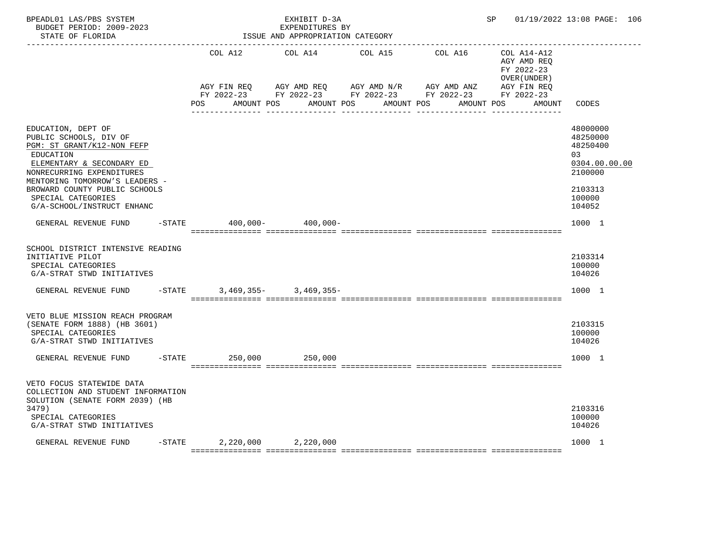| BPEADL01 LAS/PBS SYSTEM<br>BUDGET PERIOD: 2009-2023<br>STATE OF FLORIDA<br>----------------                                                                                                                                                                              |           |                               | EXHIBIT D-3A<br>EXPENDITURES BY<br>ISSUE AND APPROPRIATION CATEGORY |                                                                         |                                                        | SP 01/19/2022 13:08 PAGE: 106                            |                                                                                                   |  |
|--------------------------------------------------------------------------------------------------------------------------------------------------------------------------------------------------------------------------------------------------------------------------|-----------|-------------------------------|---------------------------------------------------------------------|-------------------------------------------------------------------------|--------------------------------------------------------|----------------------------------------------------------|---------------------------------------------------------------------------------------------------|--|
|                                                                                                                                                                                                                                                                          |           | COL A12                       | COL A14                                                             | COL A15                                                                 | COL A16                                                | COL A14-A12<br>AGY AMD REO<br>FY 2022-23<br>OVER (UNDER) |                                                                                                   |  |
|                                                                                                                                                                                                                                                                          |           | AGY FIN REQ<br>POS            |                                                                     | AGY AMD REQ AGY AMD N/R AGY AMD ANZ<br>AMOUNT POS AMOUNT POS AMOUNT POS | FY 2022-23 FY 2022-23 FY 2022-23 FY 2022-23 FY 2022-23 | AGY FIN REQ<br>AMOUNT POS<br>AMOUNT                      | CODES                                                                                             |  |
| EDUCATION, DEPT OF<br>PUBLIC SCHOOLS, DIV OF<br>PGM: ST GRANT/K12-NON FEFP<br>EDUCATION<br>ELEMENTARY & SECONDARY ED<br>NONRECURRING EXPENDITURES<br>MENTORING TOMORROW'S LEADERS -<br>BROWARD COUNTY PUBLIC SCHOOLS<br>SPECIAL CATEGORIES<br>G/A-SCHOOL/INSTRUCT ENHANC |           |                               |                                                                     |                                                                         |                                                        |                                                          | 48000000<br>48250000<br>48250400<br>03<br>0304.00.00.00<br>2100000<br>2103313<br>100000<br>104052 |  |
| GENERAL REVENUE FUND                                                                                                                                                                                                                                                     | $-$ STATE |                               | 400,000- 400,000-                                                   |                                                                         |                                                        |                                                          | 1000 1                                                                                            |  |
| SCHOOL DISTRICT INTENSIVE READING<br>INITIATIVE PILOT<br>SPECIAL CATEGORIES<br>G/A-STRAT STWD INITIATIVES<br>GENERAL REVENUE FUND -STATE                                                                                                                                 |           |                               | $3,469,355 - 3,469,355 -$                                           |                                                                         |                                                        |                                                          | 2103314<br>100000<br>104026<br>1000 1                                                             |  |
|                                                                                                                                                                                                                                                                          |           |                               |                                                                     |                                                                         |                                                        |                                                          |                                                                                                   |  |
| VETO BLUE MISSION REACH PROGRAM<br>(SENATE FORM 1888) (HB 3601)<br>SPECIAL CATEGORIES<br>G/A-STRAT STWD INITIATIVES                                                                                                                                                      |           |                               |                                                                     |                                                                         |                                                        |                                                          | 2103315<br>100000<br>104026                                                                       |  |
| GENERAL REVENUE FUND                                                                                                                                                                                                                                                     |           | $-STATE$                      | 250,000 250,000                                                     |                                                                         |                                                        |                                                          | 1000 1                                                                                            |  |
| VETO FOCUS STATEWIDE DATA<br>COLLECTION AND STUDENT INFORMATION<br>SOLUTION (SENATE FORM 2039) (HB<br>3479)<br>SPECIAL CATEGORIES<br>G/A-STRAT STWD INITIATIVES                                                                                                          |           |                               |                                                                     |                                                                         |                                                        |                                                          | 2103316<br>100000<br>104026                                                                       |  |
| GENERAL REVENUE FUND                                                                                                                                                                                                                                                     |           | $-$ STATE 2,220,000 2,220,000 |                                                                     |                                                                         |                                                        |                                                          | 1000 1                                                                                            |  |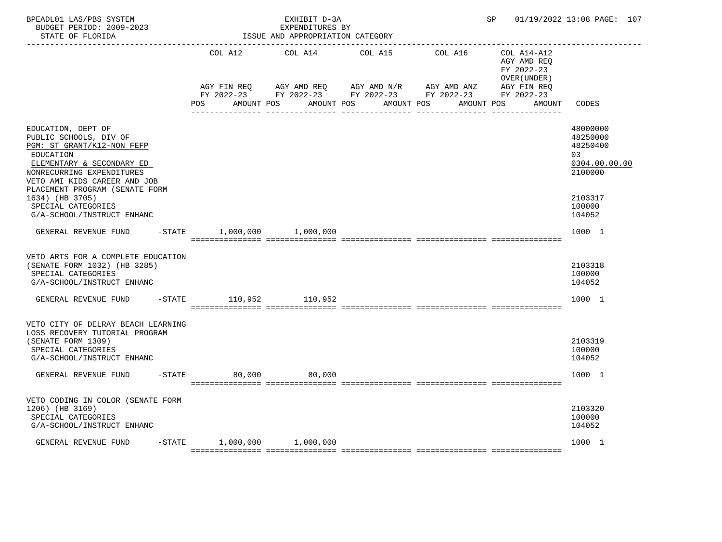| BPEADL01 LAS/PBS SYSTEM<br>BUDGET PERIOD: 2009-2023<br>STATE OF FLORIDA                                                                                                                                                                                      | EXHIBIT D-3A<br>EXPENDITURES BY<br>ISSUE AND APPROPRIATION CATEGORY |         |  |                       |  |            |  |         |                           |                                                          | 01/19/2022 13:08 PAGE: 107                                                               |  |
|--------------------------------------------------------------------------------------------------------------------------------------------------------------------------------------------------------------------------------------------------------------|---------------------------------------------------------------------|---------|--|-----------------------|--|------------|--|---------|---------------------------|----------------------------------------------------------|------------------------------------------------------------------------------------------|--|
|                                                                                                                                                                                                                                                              |                                                                     | COL A12 |  | COL A14 COL A15       |  |            |  | COL A16 |                           | COL A14-A12<br>AGY AMD REQ<br>FY 2022-23<br>OVER (UNDER) |                                                                                          |  |
|                                                                                                                                                                                                                                                              | POS                                                                 |         |  | AMOUNT POS AMOUNT POS |  | AMOUNT POS |  |         | AGY FIN REQ<br>AMOUNT POS | AMOUNT                                                   | CODES                                                                                    |  |
| EDUCATION, DEPT OF<br>PUBLIC SCHOOLS, DIV OF<br>PGM: ST GRANT/K12-NON FEFP<br>EDUCATION<br>ELEMENTARY & SECONDARY ED<br>NONRECURRING EXPENDITURES<br>VETO AMI KIDS CAREER AND JOB<br>PLACEMENT PROGRAM (SENATE FORM<br>1634) (HB 3705)<br>SPECIAL CATEGORIES |                                                                     |         |  |                       |  |            |  |         |                           |                                                          | 48000000<br>48250000<br>48250400<br>0.3<br>0304.00.00.00<br>2100000<br>2103317<br>100000 |  |
| G/A-SCHOOL/INSTRUCT ENHANC<br>GENERAL REVENUE FUND -STATE 1,000,000 1,000,000                                                                                                                                                                                |                                                                     |         |  |                       |  |            |  |         |                           |                                                          | 104052<br>1000 1                                                                         |  |
| VETO ARTS FOR A COMPLETE EDUCATION<br>(SENATE FORM 1032) (HB 3285)<br>SPECIAL CATEGORIES<br>G/A-SCHOOL/INSTRUCT ENHANC                                                                                                                                       |                                                                     |         |  |                       |  |            |  |         |                           |                                                          | 2103318<br>100000<br>104052                                                              |  |
| GENERAL REVENUE FUND                                                                                                                                                                                                                                         | -STATE 110,952 110,952                                              |         |  |                       |  |            |  |         |                           |                                                          | 1000 1                                                                                   |  |
| VETO CITY OF DELRAY BEACH LEARNING<br>LOSS RECOVERY TUTORIAL PROGRAM<br>(SENATE FORM 1309)<br>SPECIAL CATEGORIES<br>G/A-SCHOOL/INSTRUCT ENHANC                                                                                                               |                                                                     |         |  |                       |  |            |  |         |                           |                                                          | 2103319<br>100000<br>104052                                                              |  |
| GENERAL REVENUE FUND                                                                                                                                                                                                                                         | $-STATE$                                                            | 80,000  |  | 80,000                |  |            |  |         |                           |                                                          | 1000 1                                                                                   |  |
| VETO CODING IN COLOR (SENATE FORM<br>1206) (HB 3169)<br>SPECIAL CATEGORIES<br>G/A-SCHOOL/INSTRUCT ENHANC                                                                                                                                                     |                                                                     |         |  |                       |  |            |  |         |                           |                                                          | 2103320<br>100000<br>104052                                                              |  |
| GENERAL REVENUE FUND                                                                                                                                                                                                                                         | $-STATE$ 1,000,000 1,000,000                                        |         |  |                       |  |            |  |         |                           |                                                          | 1000 1                                                                                   |  |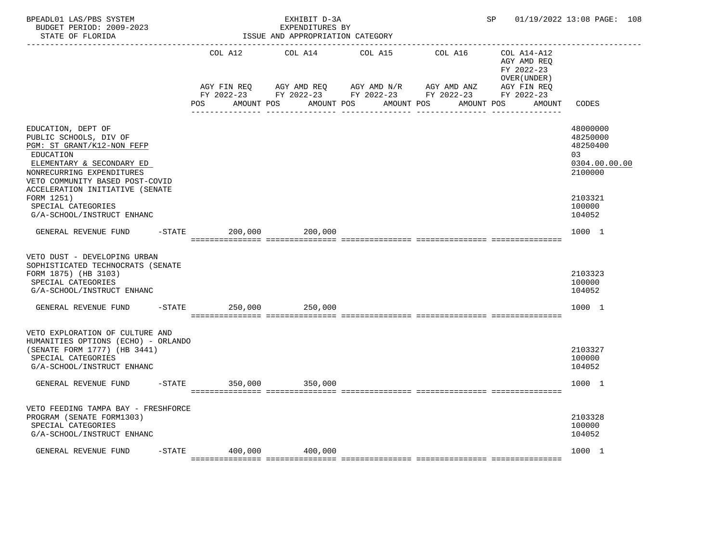| BPEADL01 LAS/PBS SYSTEM<br>BUDGET PERIOD: 2009-2023<br>STATE OF FLORIDA                                                                                                                                                 |          |                        | EXHIBIT D-3A<br>EXPENDITURES BY<br>ISSUE AND APPROPRIATION CATEGORY |                                                                                                                                           |            |                                                          | SP 01/19/2022 13:08 PAGE: 108                                      |
|-------------------------------------------------------------------------------------------------------------------------------------------------------------------------------------------------------------------------|----------|------------------------|---------------------------------------------------------------------|-------------------------------------------------------------------------------------------------------------------------------------------|------------|----------------------------------------------------------|--------------------------------------------------------------------|
|                                                                                                                                                                                                                         |          | COL A12                | COL A14 COL A15                                                     |                                                                                                                                           | COL A16    | COL A14-A12<br>AGY AMD REQ<br>FY 2022-23<br>OVER (UNDER) |                                                                    |
|                                                                                                                                                                                                                         |          | AGY FIN REQ<br>POS FOR | AMOUNT POS AMOUNT POS                                               | AGY AMD REQ      AGY AMD N/R      AGY AMD ANZ<br>FY 2022-23 FY 2022-23 FY 2022-23 FY 2022-23 FY 2022-23<br>AMOUNT POS<br>________________ | AMOUNT POS | AGY FIN REQ                                              | AMOUNT CODES                                                       |
| EDUCATION, DEPT OF<br>PUBLIC SCHOOLS, DIV OF<br>PGM: ST GRANT/K12-NON FEFP<br>EDUCATION<br>ELEMENTARY & SECONDARY ED<br>NONRECURRING EXPENDITURES<br>VETO COMMUNITY BASED POST-COVID<br>ACCELERATION INITIATIVE (SENATE |          |                        |                                                                     |                                                                                                                                           |            |                                                          | 48000000<br>48250000<br>48250400<br>03<br>0304.00.00.00<br>2100000 |
| FORM 1251)<br>SPECIAL CATEGORIES<br>G/A-SCHOOL/INSTRUCT ENHANC                                                                                                                                                          |          |                        |                                                                     |                                                                                                                                           |            |                                                          | 2103321<br>100000<br>104052                                        |
| GENERAL REVENUE FUND                                                                                                                                                                                                    |          | $-$ STATE              | 200,000 200,000                                                     |                                                                                                                                           |            |                                                          | 1000 1                                                             |
| VETO DUST - DEVELOPING URBAN<br>SOPHISTICATED TECHNOCRATS (SENATE<br>FORM 1875) (HB 3103)<br>SPECIAL CATEGORIES<br>G/A-SCHOOL/INSTRUCT ENHANC                                                                           |          |                        |                                                                     |                                                                                                                                           |            |                                                          | 2103323<br>100000<br>104052                                        |
| GENERAL REVENUE FUND                                                                                                                                                                                                    |          | $-$ STATE 250,000      | 250,000                                                             |                                                                                                                                           |            |                                                          | 1000 1                                                             |
| VETO EXPLORATION OF CULTURE AND<br>HUMANITIES OPTIONS (ECHO) - ORLANDO<br>(SENATE FORM 1777) (HB 3441)<br>SPECIAL CATEGORIES<br>G/A-SCHOOL/INSTRUCT ENHANC                                                              |          |                        |                                                                     |                                                                                                                                           |            |                                                          | 2103327<br>100000<br>104052                                        |
| GENERAL REVENUE FUND                                                                                                                                                                                                    | $-STATE$ |                        | 350,000 350,000                                                     |                                                                                                                                           |            |                                                          | 1000 1                                                             |
| VETO FEEDING TAMPA BAY - FRESHFORCE<br>PROGRAM (SENATE FORM1303)<br>SPECIAL CATEGORIES<br>G/A-SCHOOL/INSTRUCT ENHANC                                                                                                    |          |                        |                                                                     |                                                                                                                                           |            |                                                          | 2103328<br>100000<br>104052                                        |
| GENERAL REVENUE FUND                                                                                                                                                                                                    |          | $-$ STATE 400,000      | 400,000                                                             |                                                                                                                                           |            |                                                          | 1000 1                                                             |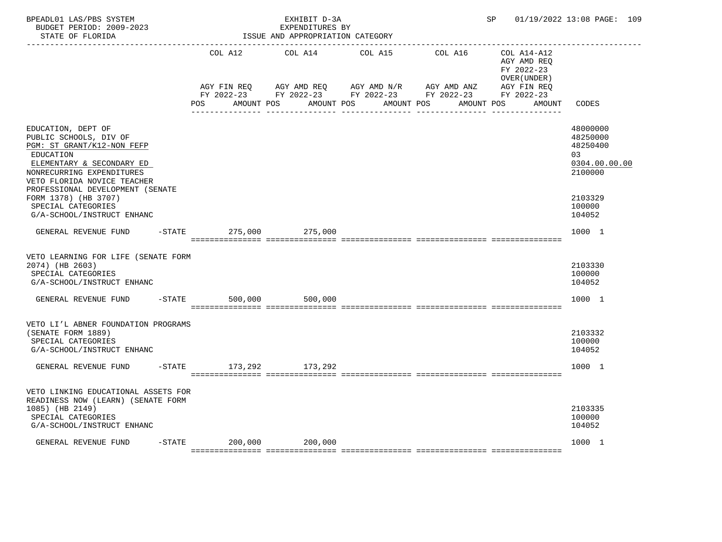| BPEADL01 LAS/PBS SYSTEM<br>BUDGET PERIOD: 2009-2023<br>STATE OF FLORIDA<br>----------------                                                                                                                                                                        |  |                | EXHIBIT D-3A<br>EXPENDITURES BY<br>ISSUE AND APPROPRIATION CATEGORY |                                                                                                                                                                                                                    |         | SP                                                       | 01/19/2022 13:08 PAGE: 109                                                              |
|--------------------------------------------------------------------------------------------------------------------------------------------------------------------------------------------------------------------------------------------------------------------|--|----------------|---------------------------------------------------------------------|--------------------------------------------------------------------------------------------------------------------------------------------------------------------------------------------------------------------|---------|----------------------------------------------------------|-----------------------------------------------------------------------------------------|
|                                                                                                                                                                                                                                                                    |  |                | COL A12 COL A14 COL A15                                             |                                                                                                                                                                                                                    | COL A16 | COL A14-A12<br>AGY AMD REQ<br>FY 2022-23<br>OVER (UNDER) |                                                                                         |
|                                                                                                                                                                                                                                                                    |  |                |                                                                     | AGY FIN REQ       AGY AMD REQ       AGY AMD N/R       AGY AMD ANZ        AGY FIN REQ<br>FY 2022-23         FY 2022-23       FY 2022-23        FY 2022-23        FY 2022-23<br>POS AMOUNT POS AMOUNT POS AMOUNT POS |         | AGY FIN REQ<br>AMOUNT POS AMOUNT                         | CODES                                                                                   |
| EDUCATION, DEPT OF<br>PUBLIC SCHOOLS, DIV OF<br>PGM: ST GRANT/K12-NON FEFP<br>EDUCATION<br>ELEMENTARY & SECONDARY ED<br>NONRECURRING EXPENDITURES<br>VETO FLORIDA NOVICE TEACHER<br>PROFESSIONAL DEVELOPMENT (SENATE<br>FORM 1378) (HB 3707)<br>SPECIAL CATEGORIES |  |                |                                                                     |                                                                                                                                                                                                                    |         |                                                          | 48000000<br>48250000<br>48250400<br>03<br>0304.00.00.00<br>2100000<br>2103329<br>100000 |
| G/A-SCHOOL/INSTRUCT ENHANC<br>GENERAL REVENUE FUND                                                                                                                                                                                                                 |  |                | -STATE 275,000 275,000                                              |                                                                                                                                                                                                                    |         |                                                          | 104052<br>1000 1                                                                        |
| VETO LEARNING FOR LIFE (SENATE FORM<br>2074) (HB 2603)<br>SPECIAL CATEGORIES<br>G/A-SCHOOL/INSTRUCT ENHANC                                                                                                                                                         |  |                |                                                                     |                                                                                                                                                                                                                    |         |                                                          | 2103330<br>100000<br>104052                                                             |
| GENERAL REVENUE FUND                                                                                                                                                                                                                                               |  | $-STATE$       | 500,000<br>500,000                                                  |                                                                                                                                                                                                                    |         |                                                          | 1000 1                                                                                  |
| VETO LI'L ABNER FOUNDATION PROGRAMS<br>(SENATE FORM 1889)<br>SPECIAL CATEGORIES<br>G/A-SCHOOL/INSTRUCT ENHANC                                                                                                                                                      |  |                |                                                                     |                                                                                                                                                                                                                    |         |                                                          | 2103332<br>100000<br>104052                                                             |
| GENERAL REVENUE FUND                                                                                                                                                                                                                                               |  | -STATE 173,292 | 173,292                                                             |                                                                                                                                                                                                                    |         |                                                          | 1000 1                                                                                  |
| VETO LINKING EDUCATIONAL ASSETS FOR<br>READINESS NOW (LEARN) (SENATE FORM<br>1085) (HB 2149)<br>SPECIAL CATEGORIES<br>G/A-SCHOOL/INSTRUCT ENHANC                                                                                                                   |  |                |                                                                     |                                                                                                                                                                                                                    |         |                                                          | 2103335<br>100000<br>104052                                                             |
| GENERAL REVENUE FUND                                                                                                                                                                                                                                               |  |                | -STATE 200,000 200,000                                              |                                                                                                                                                                                                                    |         |                                                          | 1000 1                                                                                  |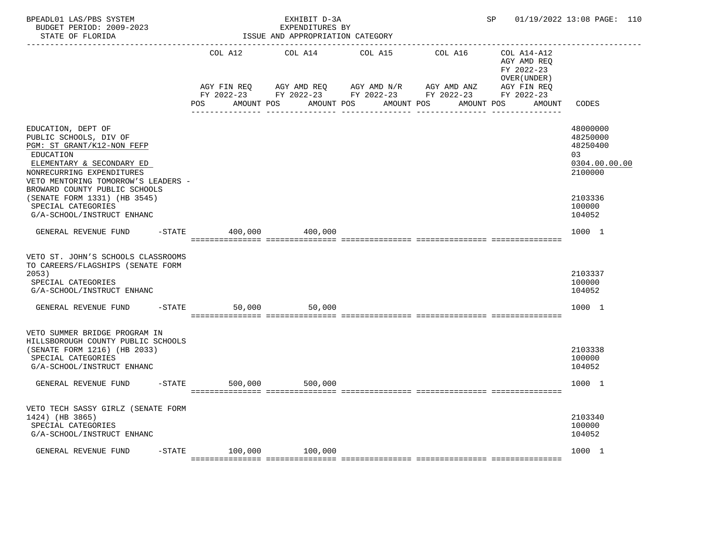| BPEADL01 LAS/PBS SYSTEM<br>BUDGET PERIOD: 2009-2023<br>STATE OF FLORIDA                                                                                                                                                   |                               | EXHIBIT D-3A<br>EXPENDITURES BY<br>ISSUE AND APPROPRIATION CATEGORY |                                                                                                                                                 |                                                          | SP 01/19/2022 13:08 PAGE: 110                                      |
|---------------------------------------------------------------------------------------------------------------------------------------------------------------------------------------------------------------------------|-------------------------------|---------------------------------------------------------------------|-------------------------------------------------------------------------------------------------------------------------------------------------|----------------------------------------------------------|--------------------------------------------------------------------|
|                                                                                                                                                                                                                           | COL A12                       | COL A14 COL A15                                                     | COL A16                                                                                                                                         | COL A14-A12<br>AGY AMD REQ<br>FY 2022-23<br>OVER (UNDER) |                                                                    |
|                                                                                                                                                                                                                           | AGY FIN REQ<br>POS FOR        |                                                                     | AGY AMD REQ        AGY AMD N/R        AGY AMD ANZ<br>FY 2022-23 FY 2022-23 FY 2022-23 FY 2022-23 FY 2022-23<br>AMOUNT POS AMOUNT POS AMOUNT POS | AGY FIN REQ<br>AMOUNT POS                                | AMOUNT CODES                                                       |
| EDUCATION, DEPT OF<br>PUBLIC SCHOOLS, DIV OF<br>PGM: ST GRANT/K12-NON FEFP<br>EDUCATION<br>ELEMENTARY & SECONDARY ED<br>NONRECURRING EXPENDITURES<br>VETO MENTORING TOMORROW'S LEADERS -<br>BROWARD COUNTY PUBLIC SCHOOLS |                               |                                                                     |                                                                                                                                                 |                                                          | 48000000<br>48250000<br>48250400<br>03<br>0304.00.00.00<br>2100000 |
| (SENATE FORM 1331) (HB 3545)<br>SPECIAL CATEGORIES<br>G/A-SCHOOL/INSTRUCT ENHANC                                                                                                                                          |                               |                                                                     |                                                                                                                                                 |                                                          | 2103336<br>100000<br>104052                                        |
| GENERAL REVENUE FUND                                                                                                                                                                                                      | $-$ STATE 400,000 400,000     |                                                                     |                                                                                                                                                 |                                                          | 1000 1                                                             |
| VETO ST. JOHN'S SCHOOLS CLASSROOMS<br>TO CAREERS/FLAGSHIPS (SENATE FORM<br>2053)<br>SPECIAL CATEGORIES<br>G/A-SCHOOL/INSTRUCT ENHANC                                                                                      |                               |                                                                     |                                                                                                                                                 |                                                          | 2103337<br>100000<br>104052                                        |
| GENERAL REVENUE FUND                                                                                                                                                                                                      | $-STATE$<br>50,000            | 50,000                                                              |                                                                                                                                                 |                                                          | 1000 1                                                             |
| VETO SUMMER BRIDGE PROGRAM IN<br>HILLSBOROUGH COUNTY PUBLIC SCHOOLS<br>(SENATE FORM 1216) (HB 2033)<br>SPECIAL CATEGORIES<br>G/A-SCHOOL/INSTRUCT ENHANC                                                                   |                               |                                                                     |                                                                                                                                                 |                                                          | 2103338<br>100000<br>104052                                        |
| $-STATE$<br>GENERAL REVENUE FUND                                                                                                                                                                                          |                               | 500,000 500,000                                                     |                                                                                                                                                 |                                                          | 1000 1                                                             |
| VETO TECH SASSY GIRLZ (SENATE FORM<br>1424) (HB 3865)<br>SPECIAL CATEGORIES<br>G/A-SCHOOL/INSTRUCT ENHANC                                                                                                                 |                               |                                                                     |                                                                                                                                                 |                                                          | 2103340<br>100000<br>104052                                        |
| GENERAL REVENUE FUND                                                                                                                                                                                                      | $-$ STATE $100,000$ $100,000$ |                                                                     |                                                                                                                                                 |                                                          | 1000 1                                                             |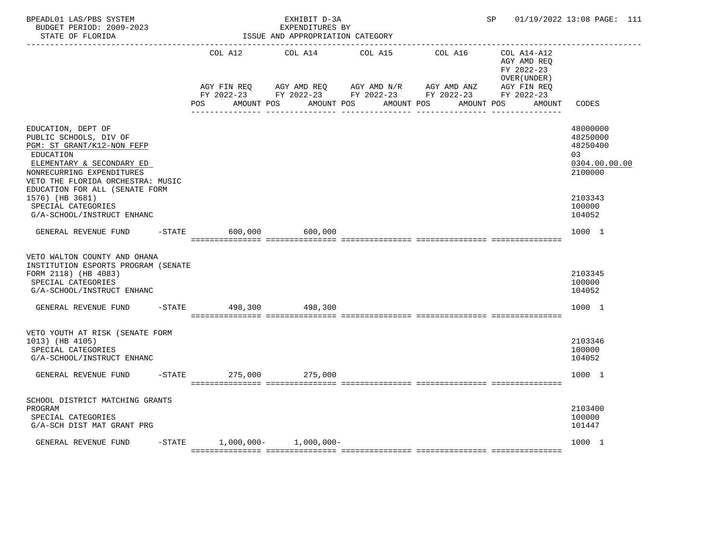| BPEADL01 LAS/PBS SYSTEM<br>BUDGET PERIOD: 2009-2023<br>STATE OF FLORIDA                                                                                                                                                                                           |  |                           | EXHIBIT D-3A<br>EXPENDITURES BY<br>ISSUE AND APPROPRIATION CATEGORY |                                                   |         | SP <sub>2</sub>                                          | 01/19/2022 13:08 PAGE: 111                                                              |
|-------------------------------------------------------------------------------------------------------------------------------------------------------------------------------------------------------------------------------------------------------------------|--|---------------------------|---------------------------------------------------------------------|---------------------------------------------------|---------|----------------------------------------------------------|-----------------------------------------------------------------------------------------|
|                                                                                                                                                                                                                                                                   |  |                           | COL A12 COL A14 COL A15                                             |                                                   | COL A16 | COL A14-A12<br>AGY AMD REQ<br>FY 2022-23<br>OVER (UNDER) |                                                                                         |
|                                                                                                                                                                                                                                                                   |  | AGY FIN REQ<br><b>POS</b> | AMOUNT POS AMOUNT POS                                               | AGY AMD REQ AGY AMD N/R AGY AMD ANZ<br>AMOUNT POS |         | AGY FIN REQ<br>AMOUNT POS<br>AMOUNT                      | CODES                                                                                   |
| EDUCATION, DEPT OF<br>PUBLIC SCHOOLS, DIV OF<br>PGM: ST GRANT/K12-NON FEFP<br>EDUCATION<br>ELEMENTARY & SECONDARY ED<br>NONRECURRING EXPENDITURES<br>VETO THE FLORIDA ORCHESTRA: MUSIC<br>EDUCATION FOR ALL (SENATE FORM<br>1576) (HB 3681)<br>SPECIAL CATEGORIES |  |                           |                                                                     |                                                   |         |                                                          | 48000000<br>48250000<br>48250400<br>03<br>0304.00.00.00<br>2100000<br>2103343<br>100000 |
| G/A-SCHOOL/INSTRUCT ENHANC<br>GENERAL REVENUE FUND -STATE                                                                                                                                                                                                         |  | 600,000                   | 600,000                                                             |                                                   |         |                                                          | 104052<br>1000 1                                                                        |
| VETO WALTON COUNTY AND OHANA<br>INSTITUTION ESPORTS PROGRAM (SENATE<br>FORM 2118) (HB 4083)<br>SPECIAL CATEGORIES<br>G/A-SCHOOL/INSTRUCT ENHANC                                                                                                                   |  |                           |                                                                     |                                                   |         |                                                          | 2103345<br>100000<br>104052                                                             |
| GENERAL REVENUE FUND                                                                                                                                                                                                                                              |  | -STATE 498,300            | 498.300                                                             |                                                   |         |                                                          | 1000 1                                                                                  |
| VETO YOUTH AT RISK (SENATE FORM<br>1013) (HB 4105)<br>SPECIAL CATEGORIES<br>G/A-SCHOOL/INSTRUCT ENHANC                                                                                                                                                            |  |                           |                                                                     |                                                   |         |                                                          | 2103346<br>100000<br>104052                                                             |
| GENERAL REVENUE FUND                                                                                                                                                                                                                                              |  | -STATE 275,000 275,000    |                                                                     |                                                   |         |                                                          | 1000 1                                                                                  |
| SCHOOL DISTRICT MATCHING GRANTS<br>PROGRAM<br>SPECIAL CATEGORIES<br>G/A-SCH DIST MAT GRANT PRG                                                                                                                                                                    |  |                           |                                                                     |                                                   |         |                                                          | 2103400<br>100000<br>101447                                                             |
| GENERAL REVENUE FUND                                                                                                                                                                                                                                              |  |                           | $-$ STATE 1,000,000- 1,000,000-                                     |                                                   |         |                                                          | 1000 1                                                                                  |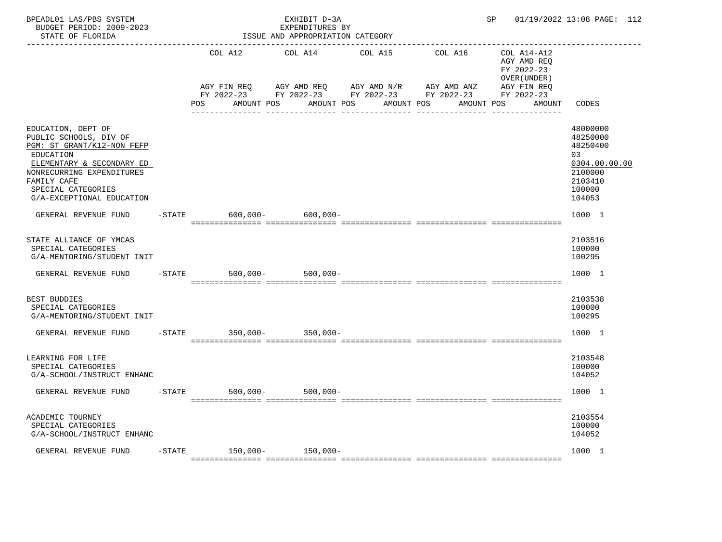| BPEADL01 LAS/PBS SYSTEM<br>BUDGET PERIOD: 2009-2023<br>STATE OF FLORIDA                                                                                                                                             |           |                            | EXHIBIT D-3A<br>EXPENDITURES BY<br>ISSUE AND APPROPRIATION CATEGORY |                                                                      |                        | SP and the set of the set of the set of the set of the set of the set of the set of the set of the set of the set of the set of the set of the set of the set of the set of the set of the set of the set of the set of the se | 01/19/2022 13:08 PAGE: 112                                                                        |
|---------------------------------------------------------------------------------------------------------------------------------------------------------------------------------------------------------------------|-----------|----------------------------|---------------------------------------------------------------------|----------------------------------------------------------------------|------------------------|--------------------------------------------------------------------------------------------------------------------------------------------------------------------------------------------------------------------------------|---------------------------------------------------------------------------------------------------|
|                                                                                                                                                                                                                     |           | COL A12<br>AGY FIN REQ     | COL A14<br>AGY AMD REQ                                              | COL A15<br>AGY AMD N/R                                               | COL A16<br>AGY AMD ANZ | COL A14-A12<br>AGY AMD REQ<br>FY 2022-23<br>OVER (UNDER)<br>AGY FIN REQ                                                                                                                                                        |                                                                                                   |
|                                                                                                                                                                                                                     |           | POS<br>AMOUNT POS          | AMOUNT POS                                                          | FY 2022-23 FY 2022-23 FY 2022-23 FY 2022-23 FY 2022-23<br>AMOUNT POS | AMOUNT POS             | AMOUNT                                                                                                                                                                                                                         | CODES                                                                                             |
| EDUCATION, DEPT OF<br>PUBLIC SCHOOLS, DIV OF<br>PGM: ST GRANT/K12-NON FEFP<br>EDUCATION<br>ELEMENTARY & SECONDARY ED<br>NONRECURRING EXPENDITURES<br>FAMILY CAFE<br>SPECIAL CATEGORIES<br>G/A-EXCEPTIONAL EDUCATION |           |                            |                                                                     |                                                                      |                        |                                                                                                                                                                                                                                | 48000000<br>48250000<br>48250400<br>03<br>0304.00.00.00<br>2100000<br>2103410<br>100000<br>104053 |
| GENERAL REVENUE FUND                                                                                                                                                                                                | $-$ STATE |                            | $600,000 - 600,000 -$                                               |                                                                      |                        |                                                                                                                                                                                                                                | 1000 1                                                                                            |
| STATE ALLIANCE OF YMCAS<br>SPECIAL CATEGORIES<br>G/A-MENTORING/STUDENT INIT                                                                                                                                         |           |                            |                                                                     |                                                                      |                        |                                                                                                                                                                                                                                | 2103516<br>100000<br>100295                                                                       |
| GENERAL REVENUE FUND                                                                                                                                                                                                |           | $-STATE$<br>$500,000-$     | $500,000 -$                                                         |                                                                      |                        |                                                                                                                                                                                                                                | 1000 1                                                                                            |
| BEST BUDDIES<br>SPECIAL CATEGORIES<br>G/A-MENTORING/STUDENT INIT                                                                                                                                                    |           |                            |                                                                     |                                                                      |                        |                                                                                                                                                                                                                                | 2103538<br>100000<br>100295                                                                       |
| GENERAL REVENUE FUND                                                                                                                                                                                                |           | -STATE 350,000- 350,000-   |                                                                     |                                                                      |                        |                                                                                                                                                                                                                                | 1000 1                                                                                            |
| LEARNING FOR LIFE<br>SPECIAL CATEGORIES<br>G/A-SCHOOL/INSTRUCT ENHANC                                                                                                                                               |           |                            |                                                                     |                                                                      |                        |                                                                                                                                                                                                                                | 2103548<br>100000<br>104052                                                                       |
| GENERAL REVENUE FUND                                                                                                                                                                                                | $-$ STATE | 500,000-                   | $500,000 -$                                                         |                                                                      |                        |                                                                                                                                                                                                                                | 1000 1                                                                                            |
| ACADEMIC TOURNEY<br>SPECIAL CATEGORIES<br>G/A-SCHOOL/INSTRUCT ENHANC                                                                                                                                                |           |                            |                                                                     |                                                                      |                        |                                                                                                                                                                                                                                | 2103554<br>100000<br>104052                                                                       |
| GENERAL REVENUE FUND                                                                                                                                                                                                |           | $-STATE$ 150,000- 150,000- |                                                                     |                                                                      |                        |                                                                                                                                                                                                                                | 1000 1                                                                                            |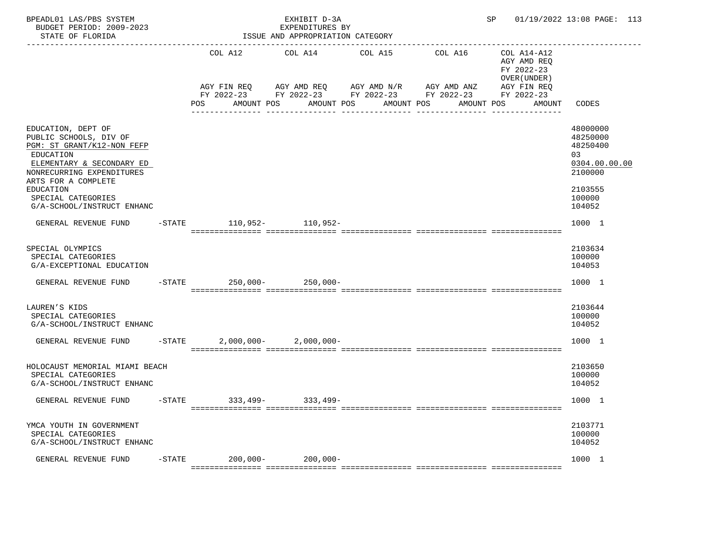| BPEADL01 LAS/PBS SYSTEM<br>BUDGET PERIOD: 2009-2023<br>STATE OF FLORIDA                                                                                                                                                                   |           |                                 | EXHIBIT D-3A<br>EXPENDITURES BY<br>ISSUE AND APPROPRIATION CATEGORY |                                                                      |                                                                                    | SP                                                                                              | 01/19/2022 13:08 PAGE: 113                                                                        |
|-------------------------------------------------------------------------------------------------------------------------------------------------------------------------------------------------------------------------------------------|-----------|---------------------------------|---------------------------------------------------------------------|----------------------------------------------------------------------|------------------------------------------------------------------------------------|-------------------------------------------------------------------------------------------------|---------------------------------------------------------------------------------------------------|
|                                                                                                                                                                                                                                           |           | COL A12<br>POS<br>AMOUNT POS    | COL A14 COL A15                                                     | AGY FIN REQ 6 AGY AMD REQ 6 AGY AMD N/R 66 AGY AMD ANZ<br>AMOUNT POS | COL A16<br>FY 2022-23 FY 2022-23 FY 2022-23 FY 2022-23<br>AMOUNT POS<br>AMOUNT POS | COL A14-A12<br>AGY AMD REQ<br>FY 2022-23<br>OVER (UNDER)<br>AGY FIN REQ<br>FY 2022-23<br>AMOUNT | CODES                                                                                             |
| EDUCATION, DEPT OF<br>PUBLIC SCHOOLS, DIV OF<br>PGM: ST GRANT/K12-NON FEFP<br>EDUCATION<br>ELEMENTARY & SECONDARY ED<br>NONRECURRING EXPENDITURES<br>ARTS FOR A COMPLETE<br>EDUCATION<br>SPECIAL CATEGORIES<br>G/A-SCHOOL/INSTRUCT ENHANC |           |                                 |                                                                     |                                                                      |                                                                                    |                                                                                                 | 48000000<br>48250000<br>48250400<br>03<br>0304.00.00.00<br>2100000<br>2103555<br>100000<br>104052 |
| GENERAL REVENUE FUND<br>SPECIAL OLYMPICS<br>SPECIAL CATEGORIES<br>G/A-EXCEPTIONAL EDUCATION                                                                                                                                               |           | -STATE 110,952- 110,952-        |                                                                     |                                                                      |                                                                                    |                                                                                                 | 1000 1<br>2103634<br>100000<br>104053                                                             |
| GENERAL REVENUE FUND<br>LAUREN'S KIDS                                                                                                                                                                                                     |           | $-$ STATE 250,000 - 250,000 -   |                                                                     |                                                                      |                                                                                    |                                                                                                 | 1000 1<br>2103644                                                                                 |
| SPECIAL CATEGORIES<br>G/A-SCHOOL/INSTRUCT ENHANC<br>GENERAL REVENUE FUND                                                                                                                                                                  | $-$ STATE |                                 | $2,000,000 - 2,000,000 -$                                           |                                                                      |                                                                                    |                                                                                                 | 100000<br>104052<br>1000 1                                                                        |
| HOLOCAUST MEMORIAL MIAMI BEACH<br>SPECIAL CATEGORIES<br>G/A-SCHOOL/INSTRUCT ENHANC                                                                                                                                                        |           |                                 |                                                                     |                                                                      |                                                                                    |                                                                                                 | 2103650<br>100000<br>104052                                                                       |
| GENERAL REVENUE FUND                                                                                                                                                                                                                      |           | $-$ STATE 333, 499 - 333, 499 - |                                                                     |                                                                      |                                                                                    |                                                                                                 | 1000 1                                                                                            |
| YMCA YOUTH IN GOVERNMENT<br>SPECIAL CATEGORIES<br>G/A-SCHOOL/INSTRUCT ENHANC                                                                                                                                                              |           |                                 |                                                                     |                                                                      |                                                                                    |                                                                                                 | 2103771<br>100000<br>104052                                                                       |
| GENERAL REVENUE FUND                                                                                                                                                                                                                      | $-$ STATE | $200,000 -$                     | $200,000 -$                                                         |                                                                      |                                                                                    |                                                                                                 | 1000 1                                                                                            |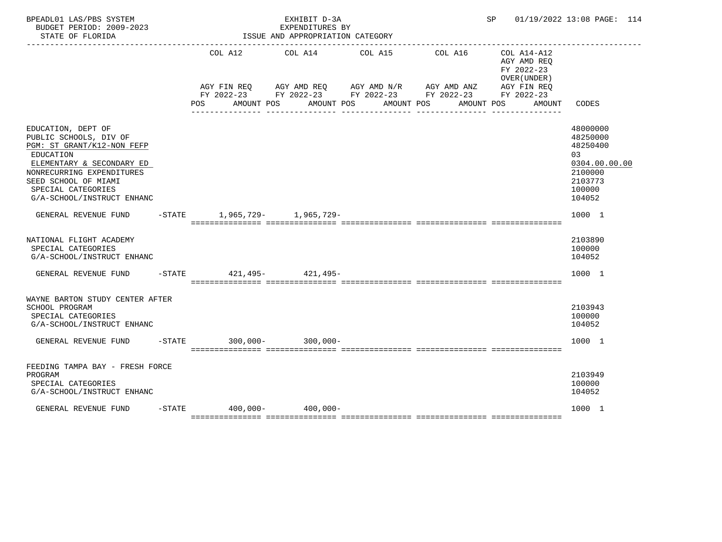| BPEADL01 LAS/PBS SYSTEM<br>BUDGET PERIOD: 2009-2023<br>STATE OF FLORIDA                                                                                                                                                       |     | EXHIBIT D-3A<br>EXPENDITURES BY<br>ISSUE AND APPROPRIATION CATEGORY |            | SP                                                                                                                                             |                                                                                      | 01/19/2022 13:08 PAGE: 114                                                                        |
|-------------------------------------------------------------------------------------------------------------------------------------------------------------------------------------------------------------------------------|-----|---------------------------------------------------------------------|------------|------------------------------------------------------------------------------------------------------------------------------------------------|--------------------------------------------------------------------------------------|---------------------------------------------------------------------------------------------------|
|                                                                                                                                                                                                                               | POS | COL A12 COL A14 COL A15<br>AMOUNT POS AMOUNT POS                    | AMOUNT POS | COL A16<br>AGY FIN REQ AGY AMD REQ AGY AMD N/R AGY AMD ANZ AGY FIN REQ<br>FY 2022-23 FY 2022-23 FY 2022-23 FY 2022-23 FY 2022-23<br>AMOUNT POS | $COL A14- A12$<br>AGY AMD REQ<br>FY 2022-23<br>OVER (UNDER)<br>AGY FIN REQ<br>AMOUNT | CODES                                                                                             |
| EDUCATION, DEPT OF<br>PUBLIC SCHOOLS, DIV OF<br>PGM: ST GRANT/K12-NON FEFP<br>EDUCATION<br>ELEMENTARY & SECONDARY ED<br>NONRECURRING EXPENDITURES<br>SEED SCHOOL OF MIAMI<br>SPECIAL CATEGORIES<br>G/A-SCHOOL/INSTRUCT ENHANC |     |                                                                     |            |                                                                                                                                                |                                                                                      | 48000000<br>48250000<br>48250400<br>03<br>0304.00.00.00<br>2100000<br>2103773<br>100000<br>104052 |
| GENERAL REVENUE FUND                                                                                                                                                                                                          |     | -STATE 1,965,729- 1,965,729-                                        |            |                                                                                                                                                |                                                                                      | 1000 1                                                                                            |
| NATIONAL FLIGHT ACADEMY<br>SPECIAL CATEGORIES<br>G/A-SCHOOL/INSTRUCT ENHANC                                                                                                                                                   |     |                                                                     |            |                                                                                                                                                |                                                                                      | 2103890<br>100000<br>104052                                                                       |
| GENERAL REVENUE FUND                                                                                                                                                                                                          |     | -STATE 421, 495- 421, 495-                                          |            |                                                                                                                                                |                                                                                      | 1000 1                                                                                            |
| WAYNE BARTON STUDY CENTER AFTER<br>SCHOOL PROGRAM<br>SPECIAL CATEGORIES<br>G/A-SCHOOL/INSTRUCT ENHANC<br>GENERAL REVENUE FUND                                                                                                 |     | -STATE 300,000- 300,000-                                            |            |                                                                                                                                                |                                                                                      | 2103943<br>100000<br>104052<br>1000 1                                                             |
| FEEDING TAMPA BAY - FRESH FORCE<br>PROGRAM<br>SPECIAL CATEGORIES<br>G/A-SCHOOL/INSTRUCT ENHANC                                                                                                                                |     |                                                                     |            |                                                                                                                                                |                                                                                      | 2103949<br>100000<br>104052                                                                       |
| GENERAL REVENUE FUND                                                                                                                                                                                                          |     | $-STATE$ 400.000- 400.000-                                          |            |                                                                                                                                                |                                                                                      | 1000 1                                                                                            |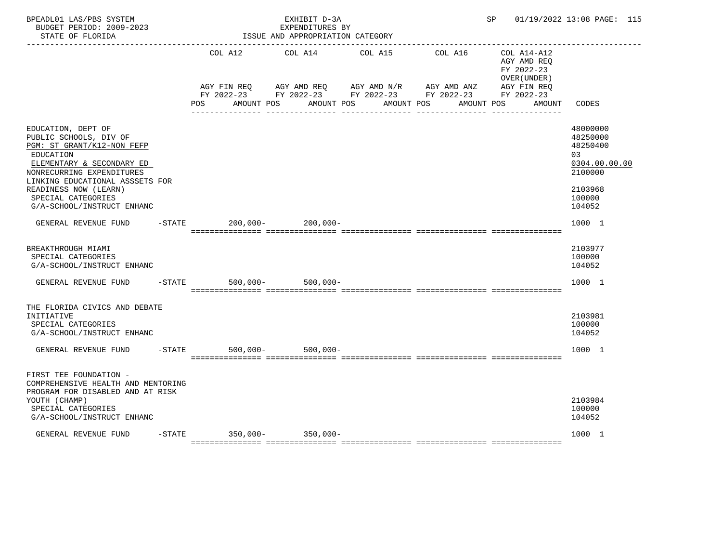| BPEADL01 LAS/PBS SYSTEM<br>BUDGET PERIOD: 2009-2023<br>STATE OF FLORIDA                                                                                                                                                                                           |           |                         | EXHIBIT D-3A<br>EXPENDITURES BY<br>ISSUE AND APPROPRIATION CATEGORY |                                                                                                                                                 |         |                                                          | SP 01/19/2022 13:08 PAGE: 115                                                                     |
|-------------------------------------------------------------------------------------------------------------------------------------------------------------------------------------------------------------------------------------------------------------------|-----------|-------------------------|---------------------------------------------------------------------|-------------------------------------------------------------------------------------------------------------------------------------------------|---------|----------------------------------------------------------|---------------------------------------------------------------------------------------------------|
|                                                                                                                                                                                                                                                                   |           | COL A12                 | COL A14 COL A15                                                     |                                                                                                                                                 | COL A16 | COL A14-A12<br>AGY AMD REQ<br>FY 2022-23<br>OVER (UNDER) |                                                                                                   |
|                                                                                                                                                                                                                                                                   |           | POS                     |                                                                     | AGY FIN REQ AGY AMD REQ AGY AMD $N/R$ AGY AMD ANZ<br>FY 2022-23 FY 2022-23 FY 2022-23 FY 2022-23 FY 2022-23<br>AMOUNT POS AMOUNT POS AMOUNT POS |         | AGY FIN REQ<br>AMOUNT POS<br>AMOUNT                      | CODES                                                                                             |
| EDUCATION, DEPT OF<br>PUBLIC SCHOOLS, DIV OF<br>PGM: ST GRANT/K12-NON FEFP<br>EDUCATION<br>ELEMENTARY & SECONDARY ED<br>NONRECURRING EXPENDITURES<br>LINKING EDUCATIONAL ASSSETS FOR<br>READINESS NOW (LEARN)<br>SPECIAL CATEGORIES<br>G/A-SCHOOL/INSTRUCT ENHANC |           |                         |                                                                     |                                                                                                                                                 |         |                                                          | 48000000<br>48250000<br>48250400<br>03<br>0304.00.00.00<br>2100000<br>2103968<br>100000<br>104052 |
| GENERAL REVENUE FUND                                                                                                                                                                                                                                              |           | $-STATE$                | $200,000 - 200,000 -$                                               |                                                                                                                                                 |         |                                                          | 1000 1                                                                                            |
| BREAKTHROUGH MIAMI<br>SPECIAL CATEGORIES<br>G/A-SCHOOL/INSTRUCT ENHANC                                                                                                                                                                                            |           |                         |                                                                     |                                                                                                                                                 |         |                                                          | 2103977<br>100000<br>104052                                                                       |
| GENERAL REVENUE FUND                                                                                                                                                                                                                                              |           | $-$ STATE               | $500,000 - 500,000 -$                                               |                                                                                                                                                 |         |                                                          | 1000 1                                                                                            |
| THE FLORIDA CIVICS AND DEBATE<br>INITIATIVE<br>SPECIAL CATEGORIES<br>G/A-SCHOOL/INSTRUCT ENHANC                                                                                                                                                                   |           |                         |                                                                     |                                                                                                                                                 |         |                                                          | 2103981<br>100000<br>104052                                                                       |
| GENERAL REVENUE FUND                                                                                                                                                                                                                                              |           | $-STATE$<br>$500,000 -$ | $500,000 -$                                                         |                                                                                                                                                 |         |                                                          | 1000 1                                                                                            |
| FIRST TEE FOUNDATION -<br>COMPREHENSIVE HEALTH AND MENTORING<br>PROGRAM FOR DISABLED AND AT RISK<br>YOUTH (CHAMP)<br>SPECIAL CATEGORIES<br>G/A-SCHOOL/INSTRUCT ENHANC                                                                                             |           |                         |                                                                     |                                                                                                                                                 |         |                                                          | 2103984<br>100000<br>104052                                                                       |
| GENERAL REVENUE FUND                                                                                                                                                                                                                                              | $-$ STATE | $350,000 - 350,000 -$   |                                                                     |                                                                                                                                                 |         |                                                          | 1000 1                                                                                            |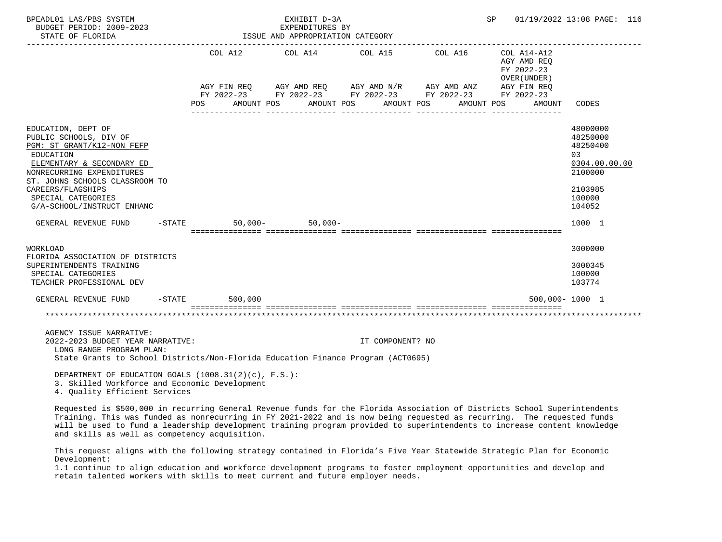| BPEADL01 LAS/PBS SYSTEM<br>BUDGET PERIOD: 2009-2023<br>STATE OF FLORIDA                                                                                                                                                                                      |                  |            | EXHIBIT D-3A<br>EXPENDITURES BY<br>ISSUE AND APPROPRIATION CATEGORY                                                                                            |                  |                       |            | SP |                                                                     | 01/19/2022 13:08 PAGE: 116                                                                         |  |
|--------------------------------------------------------------------------------------------------------------------------------------------------------------------------------------------------------------------------------------------------------------|------------------|------------|----------------------------------------------------------------------------------------------------------------------------------------------------------------|------------------|-----------------------|------------|----|---------------------------------------------------------------------|----------------------------------------------------------------------------------------------------|--|
|                                                                                                                                                                                                                                                              | POS              | AMOUNT POS | COL A12 COL A14 COL A15<br>AGY FIN REQ AGY AMD REQ AGY AMD N/R AGY AMD ANZ AGY FIN REQ<br>FY 2022-23 FY 2022-23 FY 2022-23 FY 2022-23 FY 2022-23<br>AMOUNT POS |                  | COL A16<br>AMOUNT POS | AMOUNT POS |    | COL A14-A12<br>AGY AMD REQ<br>FY 2022-23<br>OVER (UNDER )<br>AMOUNT | <b>CODES</b>                                                                                       |  |
| EDUCATION, DEPT OF<br>PUBLIC SCHOOLS, DIV OF<br>PGM: ST GRANT/K12-NON FEFP<br>EDUCATION<br>ELEMENTARY & SECONDARY ED<br>NONRECURRING EXPENDITURES<br>ST. JOHNS SCHOOLS CLASSROOM TO<br>CAREERS/FLAGSHIPS<br>SPECIAL CATEGORIES<br>G/A-SCHOOL/INSTRUCT ENHANC |                  |            |                                                                                                                                                                |                  |                       |            |    |                                                                     | 48000000<br>48250000<br>48250400<br>0.3<br>0304.00.00.00<br>2100000<br>2103985<br>100000<br>104052 |  |
| GENERAL REVENUE FUND -STATE                                                                                                                                                                                                                                  |                  |            | $50,000 - 50,000 -$                                                                                                                                            |                  |                       |            |    |                                                                     | 1000 1                                                                                             |  |
| WORKLOAD<br>FLORIDA ASSOCIATION OF DISTRICTS<br>SUPERINTENDENTS TRAINING<br>SPECIAL CATEGORIES<br>TEACHER PROFESSIONAL DEV                                                                                                                                   |                  |            |                                                                                                                                                                |                  |                       |            |    |                                                                     | 3000000<br>3000345<br>100000<br>103774                                                             |  |
| GENERAL REVENUE FUND                                                                                                                                                                                                                                         | $-STATE$ 500.000 |            |                                                                                                                                                                |                  |                       |            |    |                                                                     | 500,000-1000 1                                                                                     |  |
|                                                                                                                                                                                                                                                              |                  |            |                                                                                                                                                                |                  |                       |            |    |                                                                     |                                                                                                    |  |
| AGENCY ISSUE NARRATIVE:<br>2022-2023 BUDGET YEAR NARRATIVE:<br>LONG RANGE PROGRAM PLAN:<br>State Grants to School Districts/Non-Florida Education Finance Program (ACT0695)                                                                                  |                  |            |                                                                                                                                                                | IT COMPONENT? NO |                       |            |    |                                                                     |                                                                                                    |  |
| DEPARTMENT OF EDUCATION GOALS $(1008.31(2)(c)$ , F.S.):<br>3. Skilled Workforce and Economic Development<br>4. Quality Efficient Services                                                                                                                    |                  |            |                                                                                                                                                                |                  |                       |            |    |                                                                     |                                                                                                    |  |

 Requested is \$500,000 in recurring General Revenue funds for the Florida Association of Districts School Superintendents Training. This was funded as nonrecurring in FY 2021-2022 and is now being requested as recurring. The requested funds will be used to fund a leadership development training program provided to superintendents to increase content knowledge and skills as well as competency acquisition.

 This request aligns with the following strategy contained in Florida's Five Year Statewide Strategic Plan for Economic Development:

 1.1 continue to align education and workforce development programs to foster employment opportunities and develop and retain talented workers with skills to meet current and future employer needs.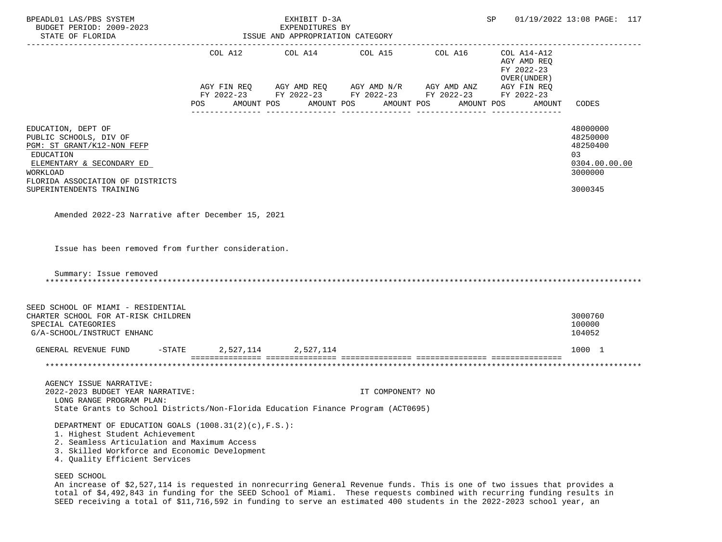| BPEADL01 LAS/PBS SYSTEM<br>BUDGET PERIOD: 2009-2023<br>STATE OF FLORIDA                                                                                                                                                                               |     | EXHIBIT D-3A<br>EXPENDITURES BY<br>ISSUE AND APPROPRIATION CATEGORY |                  |                                                                                                                                                                                                  | SP 01/19/2022 13:08 PAGE: 117                        |                                                                               |
|-------------------------------------------------------------------------------------------------------------------------------------------------------------------------------------------------------------------------------------------------------|-----|---------------------------------------------------------------------|------------------|--------------------------------------------------------------------------------------------------------------------------------------------------------------------------------------------------|------------------------------------------------------|-------------------------------------------------------------------------------|
|                                                                                                                                                                                                                                                       | POS | AMOUNT POS                                                          | AMOUNT POS       | COL A12 COL A14 COL A15 COL A16 COL A14-A12<br>AGY FIN REQ AGY AMD REQ AGY AMD N/R AGY AMD ANZ AGY FIN REQ<br>FY 2022-23 FY 2022-23 FY 2022-23 FY 2022-23 FY 2022-23<br>AMOUNT POS<br>AMOUNT POS | AGY AMD REQ<br>FY 2022-23<br>OVER (UNDER )<br>AMOUNT | CODES                                                                         |
| EDUCATION, DEPT OF<br>PUBLIC SCHOOLS, DIV OF<br>PGM: ST GRANT/K12-NON FEFP<br>EDUCATION<br>ELEMENTARY & SECONDARY ED<br>WORKLOAD<br>FLORIDA ASSOCIATION OF DISTRICTS<br>SUPERINTENDENTS TRAINING<br>Amended 2022-23 Narrative after December 15, 2021 |     |                                                                     |                  |                                                                                                                                                                                                  |                                                      | 48000000<br>48250000<br>48250400<br>03<br>0304.00.00.00<br>3000000<br>3000345 |
| Issue has been removed from further consideration.<br>Summary: Issue removed                                                                                                                                                                          |     |                                                                     |                  |                                                                                                                                                                                                  |                                                      |                                                                               |
| SEED SCHOOL OF MIAMI - RESIDENTIAL<br>CHARTER SCHOOL FOR AT-RISK CHILDREN<br>SPECIAL CATEGORIES<br>G/A-SCHOOL/INSTRUCT ENHANC                                                                                                                         |     |                                                                     |                  |                                                                                                                                                                                                  |                                                      | 3000760<br>100000<br>104052                                                   |
| GENERAL REVENUE FUND -STATE 2,527,114 2,527,114                                                                                                                                                                                                       |     |                                                                     |                  |                                                                                                                                                                                                  |                                                      | 1000 1                                                                        |
| AGENCY ISSUE NARRATIVE:<br>2022-2023 BUDGET YEAR NARRATIVE:<br>LONG RANGE PROGRAM PLAN:<br>State Grants to School Districts/Non-Florida Education Finance Program (ACT0695)                                                                           |     |                                                                     | IT COMPONENT? NO |                                                                                                                                                                                                  |                                                      |                                                                               |
| DEPARTMENT OF EDUCATION GOALS (1008.31(2)(c), F.S.):<br>1. Highest Student Achievement<br>2. Seamless Articulation and Maximum Access<br>3. Skilled Workforce and Economic Development<br>4. Quality Efficient Services<br>SEED SCHOOL                |     |                                                                     |                  |                                                                                                                                                                                                  |                                                      |                                                                               |

 An increase of \$2,527,114 is requested in nonrecurring General Revenue funds. This is one of two issues that provides a total of \$4,492,843 in funding for the SEED School of Miami. These requests combined with recurring funding results in SEED receiving a total of \$11,716,592 in funding to serve an estimated 400 students in the 2022-2023 school year, an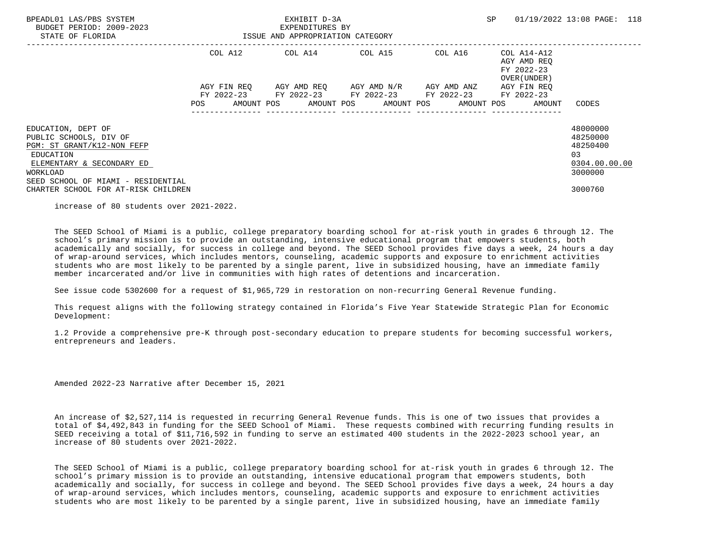| BPEADL01 LAS/PBS SYSTEM<br>BUDGET PERIOD: 2009-2023<br>STATE OF FLORIDA                                                                                                |             | EXHIBIT D-3A<br>EXPENDITURES BY<br>ISSUE AND APPROPRIATION CATEGORY                                                    | SP. | 01/19/2022 13:08 PAGE: 118                               |                                                                    |
|------------------------------------------------------------------------------------------------------------------------------------------------------------------------|-------------|------------------------------------------------------------------------------------------------------------------------|-----|----------------------------------------------------------|--------------------------------------------------------------------|
|                                                                                                                                                                        | COL A12     | COL A14 COL A15 COL A16                                                                                                |     | COL A14-A12<br>AGY AMD REO<br>FY 2022-23<br>OVER (UNDER) |                                                                    |
|                                                                                                                                                                        | AGY FIN REO | AGY AMD REQ        AGY AMD N/R        AGY AMD ANZ                                                                      |     | AGY FIN REO                                              |                                                                    |
|                                                                                                                                                                        |             | FY 2022-23 FY 2022-23 FY 2022-23 FY 2022-23 FY 2022-23<br>POS AMOUNT POS AMOUNT POS AMOUNT POS AMOUNT POS AMOUNT CODES |     |                                                          |                                                                    |
| EDUCATION, DEPT OF<br>PUBLIC SCHOOLS, DIV OF<br>PGM: ST GRANT/K12-NON FEFP<br>EDUCATION<br>ELEMENTARY & SECONDARY ED<br>WORKLOAD<br>SEED SCHOOL OF MIAMI - RESIDENTIAL |             |                                                                                                                        |     |                                                          | 48000000<br>48250000<br>48250400<br>03<br>0304.00.00.00<br>3000000 |
| CHARTER SCHOOL FOR AT-RISK CHILDREN                                                                                                                                    |             |                                                                                                                        |     |                                                          | 3000760                                                            |

increase of 80 students over 2021-2022.

 The SEED School of Miami is a public, college preparatory boarding school for at-risk youth in grades 6 through 12. The school's primary mission is to provide an outstanding, intensive educational program that empowers students, both academically and socially, for success in college and beyond. The SEED School provides five days a week, 24 hours a day of wrap-around services, which includes mentors, counseling, academic supports and exposure to enrichment activities students who are most likely to be parented by a single parent, live in subsidized housing, have an immediate family member incarcerated and/or live in communities with high rates of detentions and incarceration.

See issue code 5302600 for a request of \$1,965,729 in restoration on non-recurring General Revenue funding.

 This request aligns with the following strategy contained in Florida's Five Year Statewide Strategic Plan for Economic Development:

 1.2 Provide a comprehensive pre-K through post-secondary education to prepare students for becoming successful workers, entrepreneurs and leaders.

Amended 2022-23 Narrative after December 15, 2021

 An increase of \$2,527,114 is requested in recurring General Revenue funds. This is one of two issues that provides a total of \$4,492,843 in funding for the SEED School of Miami. These requests combined with recurring funding results in SEED receiving a total of \$11,716,592 in funding to serve an estimated 400 students in the 2022-2023 school year, an increase of 80 students over 2021-2022.

 The SEED School of Miami is a public, college preparatory boarding school for at-risk youth in grades 6 through 12. The school's primary mission is to provide an outstanding, intensive educational program that empowers students, both academically and socially, for success in college and beyond. The SEED School provides five days a week, 24 hours a day of wrap-around services, which includes mentors, counseling, academic supports and exposure to enrichment activities students who are most likely to be parented by a single parent, live in subsidized housing, have an immediate family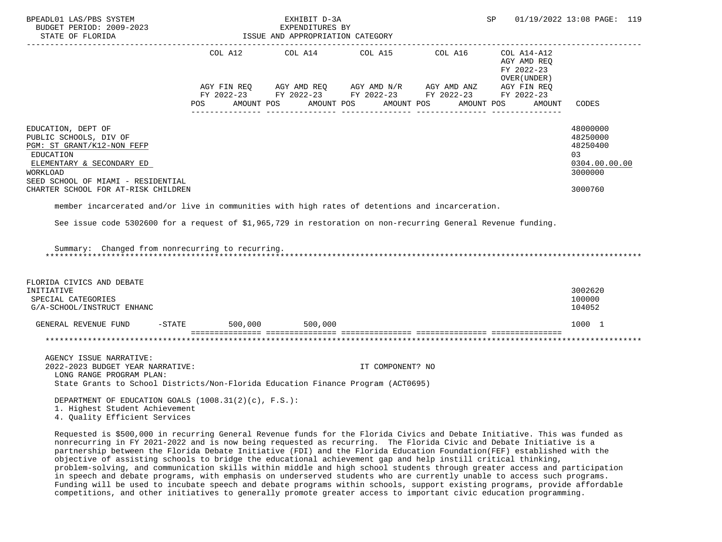| BPEADL01 LAS/PBS SYSTEM<br>BUDGET PERIOD: 2009-2023<br>STATE OF FLORIDA                                                                                                     |                                | EXHIBIT D-3A<br>EXPENDITURES BY<br>ISSUE AND APPROPRIATION CATEGORY                                                                                                                                                                                                                                                                                                                                                   |                  | SP                                                       | 01/19/2022 13:08 PAGE: 119                                         |
|-----------------------------------------------------------------------------------------------------------------------------------------------------------------------------|--------------------------------|-----------------------------------------------------------------------------------------------------------------------------------------------------------------------------------------------------------------------------------------------------------------------------------------------------------------------------------------------------------------------------------------------------------------------|------------------|----------------------------------------------------------|--------------------------------------------------------------------|
|                                                                                                                                                                             |                                | COL A12 COL A14 COL A15 COL A16                                                                                                                                                                                                                                                                                                                                                                                       |                  | COL A14-A12<br>AGY AMD REQ<br>FY 2022-23<br>OVER (UNDER) |                                                                    |
|                                                                                                                                                                             | POS FOR THE POST OF THE STREET | $\begin{array}{lllllll} \textsc{AGY} & \textsc{FIN} & \textsc{REG} & \textsc{AGY} & \textsc{AND} & \textsc{NN} \textsc{N} / \textsc{R} & \textsc{AGY} & \textsc{AND} & \textsc{ANZ} & \textsc{AGY} & \textsc{FIN} & \textsc{REG} \\ \textsc{FY} & 2022-23 & \textsc{FY} & 2022-23 & \textsc{FY} & 2022-23 & \textsc{FY} & 2022-23 & \textsc{FY} & 2022-23 \end{array}$<br>AMOUNT POS AMOUNT POS AMOUNT POS AMOUNT POS |                  | AMOUNT                                                   | <b>CODES</b>                                                       |
| EDUCATION, DEPT OF<br>PUBLIC SCHOOLS, DIV OF<br>PGM: ST GRANT/K12-NON FEFP<br>EDUCATION<br>ELEMENTARY & SECONDARY ED<br>WORKLOAD<br>SEED SCHOOL OF MIAMI - RESIDENTIAL      |                                |                                                                                                                                                                                                                                                                                                                                                                                                                       |                  |                                                          | 48000000<br>48250000<br>48250400<br>03<br>0304.00.00.00<br>3000000 |
| CHARTER SCHOOL FOR AT-RISK CHILDREN                                                                                                                                         |                                |                                                                                                                                                                                                                                                                                                                                                                                                                       |                  |                                                          | 3000760                                                            |
| member incarcerated and/or live in communities with high rates of detentions and incarceration.                                                                             |                                |                                                                                                                                                                                                                                                                                                                                                                                                                       |                  |                                                          |                                                                    |
| See issue code 5302600 for a request of \$1,965,729 in restoration on non-recurring General Revenue funding.<br>Summary: Changed from nonrecurring to recurring.            |                                |                                                                                                                                                                                                                                                                                                                                                                                                                       |                  |                                                          |                                                                    |
| FLORIDA CIVICS AND DEBATE<br>INITIATIVE<br>SPECIAL CATEGORIES<br>G/A-SCHOOL/INSTRUCT ENHANC                                                                                 |                                |                                                                                                                                                                                                                                                                                                                                                                                                                       |                  |                                                          | 3002620<br>100000<br>104052                                        |
| GENERAL REVENUE FUND                                                                                                                                                        |                                | -STATE 500,000 500,000                                                                                                                                                                                                                                                                                                                                                                                                |                  |                                                          | 1000 1                                                             |
|                                                                                                                                                                             |                                |                                                                                                                                                                                                                                                                                                                                                                                                                       |                  |                                                          |                                                                    |
| AGENCY ISSUE NARRATIVE:<br>2022-2023 BUDGET YEAR NARRATIVE:<br>LONG RANGE PROGRAM PLAN:<br>State Grants to School Districts/Non-Florida Education Finance Program (ACT0695) |                                |                                                                                                                                                                                                                                                                                                                                                                                                                       | IT COMPONENT? NO |                                                          |                                                                    |
| DEPARTMENT OF EDUCATION GOALS $(1008.31(2)(c), F.S.):$<br>1. Highest Student Achievement<br>4. Quality Efficient Services                                                   |                                |                                                                                                                                                                                                                                                                                                                                                                                                                       |                  |                                                          |                                                                    |
| Requested is \$500,000 in recurring General Revenue funds for the Florida Civics and Debate Initiative. This was funded as                                                  |                                |                                                                                                                                                                                                                                                                                                                                                                                                                       |                  |                                                          |                                                                    |

 nonrecurring in FY 2021-2022 and is now being requested as recurring. The Florida Civic and Debate Initiative is a partnership between the Florida Debate Initiative (FDI) and the Florida Education Foundation(FEF) established with the objective of assisting schools to bridge the educational achievement gap and help instill critical thinking, problem-solving, and communication skills within middle and high school students through greater access and participation in speech and debate programs, with emphasis on underserved students who are currently unable to access such programs. Funding will be used to incubate speech and debate programs within schools, support existing programs, provide affordable competitions, and other initiatives to generally promote greater access to important civic education programming.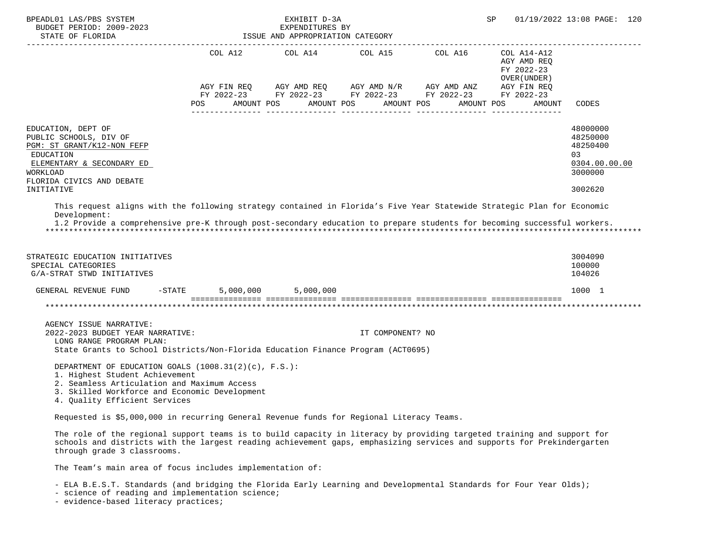| BPEADL01 LAS/PBS SYSTEM<br>BUDGET PERIOD: 2009-2023                                                                                                                                                                                                                                                                                                      |                   | EXHIBIT D-3A<br>EXPENDITURES BY  |                                               |                                                                                                                            | SP                                                                                              | 01/19/2022 13:08 PAGE: 120                                                    |
|----------------------------------------------------------------------------------------------------------------------------------------------------------------------------------------------------------------------------------------------------------------------------------------------------------------------------------------------------------|-------------------|----------------------------------|-----------------------------------------------|----------------------------------------------------------------------------------------------------------------------------|-------------------------------------------------------------------------------------------------|-------------------------------------------------------------------------------|
| STATE OF FLORIDA                                                                                                                                                                                                                                                                                                                                         |                   | ISSUE AND APPROPRIATION CATEGORY |                                               |                                                                                                                            |                                                                                                 |                                                                               |
|                                                                                                                                                                                                                                                                                                                                                          | POS<br>AMOUNT POS |                                  | COL A12 COL A14 COL A15 COL A16<br>AMOUNT POS | AGY FIN REQ AGY AMD REQ AGY AMD N/R AGY AMD ANZ<br>FY 2022-23 FY 2022-23 FY 2022-23 FY 2022-23<br>AMOUNT POS<br>AMOUNT POS | COL A14-A12<br>AGY AMD REQ<br>FY 2022-23<br>OVER (UNDER)<br>AGY FIN REQ<br>FY 2022-23<br>AMOUNT | CODES                                                                         |
| EDUCATION, DEPT OF<br>PUBLIC SCHOOLS, DIV OF<br>PGM: ST GRANT/K12-NON FEFP<br>EDUCATION<br>ELEMENTARY & SECONDARY ED<br>WORKLOAD<br>FLORIDA CIVICS AND DEBATE<br>INITIATIVE                                                                                                                                                                              |                   |                                  |                                               |                                                                                                                            |                                                                                                 | 48000000<br>48250000<br>48250400<br>03<br>0304.00.00.00<br>3000000<br>3002620 |
| This request aligns with the following strategy contained in Florida's Five Year Statewide Strategic Plan for Economic<br>Development:<br>1.2 Provide a comprehensive pre-K through post-secondary education to prepare students for becoming successful workers.<br>STRATEGIC EDUCATION INITIATIVES<br>SPECIAL CATEGORIES<br>G/A-STRAT STWD INITIATIVES |                   |                                  |                                               |                                                                                                                            |                                                                                                 | 3004090<br>100000<br>104026                                                   |
| GENERAL REVENUE FUND                                                                                                                                                                                                                                                                                                                                     | $-$ STATE         | 5,000,000 5,000,000              |                                               |                                                                                                                            |                                                                                                 | 1000 1                                                                        |
|                                                                                                                                                                                                                                                                                                                                                          |                   |                                  |                                               |                                                                                                                            |                                                                                                 |                                                                               |
| AGENCY ISSUE NARRATIVE:<br>2022-2023 BUDGET YEAR NARRATIVE:<br>LONG RANGE PROGRAM PLAN:<br>State Grants to School Districts/Non-Florida Education Finance Program (ACT0695)                                                                                                                                                                              |                   |                                  | IT COMPONENT? NO                              |                                                                                                                            |                                                                                                 |                                                                               |
| DEPARTMENT OF EDUCATION GOALS $(1008.31(2)(c), F.S.)$ :<br>1. Highest Student Achievement<br>2. Seamless Articulation and Maximum Access<br>3. Skilled Workforce and Economic Development<br>4. Quality Efficient Services                                                                                                                               |                   |                                  |                                               |                                                                                                                            |                                                                                                 |                                                                               |
| Requested is \$5,000,000 in recurring General Revenue funds for Regional Literacy Teams.                                                                                                                                                                                                                                                                 |                   |                                  |                                               |                                                                                                                            |                                                                                                 |                                                                               |
| The role of the regional support teams is to build capacity in literacy by providing targeted training and support for<br>schools and districts with the largest reading achievement gaps, emphasizing services and supports for Prekindergarten<br>through grade 3 classrooms.                                                                          |                   |                                  |                                               |                                                                                                                            |                                                                                                 |                                                                               |
| The Team's main area of focus includes implementation of:                                                                                                                                                                                                                                                                                                |                   |                                  |                                               |                                                                                                                            |                                                                                                 |                                                                               |

- ELA B.E.S.T. Standards (and bridging the Florida Early Learning and Developmental Standards for Four Year Olds);

- science of reading and implementation science;

- evidence-based literacy practices;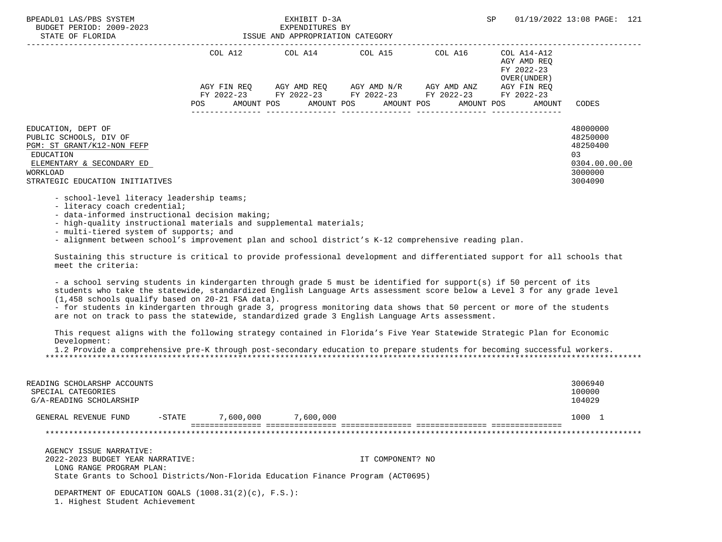| BPEADL01 LAS/PBS SYSTEM<br>BUDGET PERIOD: 2009-2023<br>STATE OF FLORIDA               | ISSUE AND APPROPRIATION CATEGORY | EXHIBIT D-3A<br>EXPENDITURES BY |                                                                                            |         | SP                                                       | 01/19/2022 13:08 PAGE: 121                |
|---------------------------------------------------------------------------------------|----------------------------------|---------------------------------|--------------------------------------------------------------------------------------------|---------|----------------------------------------------------------|-------------------------------------------|
|                                                                                       | COL A12                          |                                 | COL A14 COL A15                                                                            | COL A16 | COL A14-A12<br>AGY AMD REO<br>FY 2022-23<br>OVER (UNDER) |                                           |
|                                                                                       | AGY FIN REO                      |                                 | AGY AMD REQ AGY AMD N/R AGY AMD ANZ                                                        |         | AGY FIN REO                                              |                                           |
|                                                                                       | POS                              |                                 | FY 2022-23 FY 2022-23 FY 2022-23 FY 2022-23<br>AMOUNT POS AMOUNT POS AMOUNT POS AMOUNT POS |         | FY 2022-23                                               | CODES<br>AMOUNT                           |
| EDUCATION, DEPT OF<br>PUBLIC SCHOOLS, DIV OF<br>PGM: ST GRANT/K12-NON FEFP            |                                  |                                 |                                                                                            |         |                                                          | 48000000<br>48250000<br>48250400          |
| EDUCATION<br>ELEMENTARY & SECONDARY ED<br>WORKLOAD<br>STRATEGIC EDUCATION INITIATIVES |                                  |                                 |                                                                                            |         |                                                          | 03<br>0304.00.00.00<br>3000000<br>3004090 |

- school-level literacy leadership teams;

- literacy coach credential;

- data-informed instructional decision making;

- high-quality instructional materials and supplemental materials;

- multi-tiered system of supports; and

- alignment between school's improvement plan and school district's K-12 comprehensive reading plan.

 Sustaining this structure is critical to provide professional development and differentiated support for all schools that meet the criteria:

 - a school serving students in kindergarten through grade 5 must be identified for support(s) if 50 percent of its students who take the statewide, standardized English Language Arts assessment score below a Level 3 for any grade level (1,458 schools qualify based on 20-21 FSA data).

 - for students in kindergarten through grade 3, progress monitoring data shows that 50 percent or more of the students are not on track to pass the statewide, standardized grade 3 English Language Arts assessment.

 This request aligns with the following strategy contained in Florida's Five Year Statewide Strategic Plan for Economic Development:

 1.2 Provide a comprehensive pre-K through post-secondary education to prepare students for becoming successful workers. \*\*\*\*\*\*\*\*\*\*\*\*\*\*\*\*\*\*\*\*\*\*\*\*\*\*\*\*\*\*\*\*\*\*\*\*\*\*\*\*\*\*\*\*\*\*\*\*\*\*\*\*\*\*\*\*\*\*\*\*\*\*\*\*\*\*\*\*\*\*\*\*\*\*\*\*\*\*\*\*\*\*\*\*\*\*\*\*\*\*\*\*\*\*\*\*\*\*\*\*\*\*\*\*\*\*\*\*\*\*\*\*\*\*\*\*\*\*\*\*\*\*\*\*\*\*\*

| READING SCHOLARSHP ACCOUNTS<br>SPECIAL CATEGORIES<br>G/A-READING SCHOLARSHIP |           |           |                                                                                  | 3006940<br>100000<br>104029 |
|------------------------------------------------------------------------------|-----------|-----------|----------------------------------------------------------------------------------|-----------------------------|
| GENERAL REVENUE FUND                                                         | $-$ STATE | 7,600,000 | 7,600,000                                                                        | 1000 1                      |
|                                                                              |           |           |                                                                                  |                             |
| AGENCY ISSUE NARRATIVE:                                                      |           |           |                                                                                  |                             |
| 2022-2023 BUDGET YEAR NARRATIVE:<br>LONG RANGE PROGRAM PLAN:                 |           |           | IT COMPONENT? NO                                                                 |                             |
|                                                                              |           |           | State Grants to School Districts/Non-Florida Education Finance Program (ACT0695) |                             |
| DEPARTMENT OF EDUCATION GOALS $(1008.31(2)(c), F.S.):$                       |           |           |                                                                                  |                             |

1. Highest Student Achievement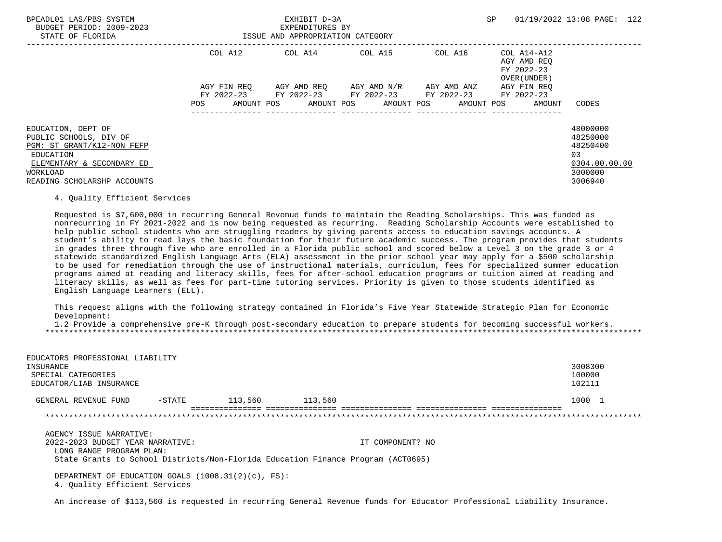| BPEADL01 LAS/PBS SYSTEM<br>BUDGET PERIOD: 2009-2023<br>STATE OF FLORIDA                                                                                         |                    | EXHIBIT D-3A<br>EXPENDITURES BY<br>ISSUE AND APPROPRIATION CATEGORY |                                     |                                                                         | 01/19/2022 13:08 PAGE: 122<br>SP                         |                                                                                           |  |
|-----------------------------------------------------------------------------------------------------------------------------------------------------------------|--------------------|---------------------------------------------------------------------|-------------------------------------|-------------------------------------------------------------------------|----------------------------------------------------------|-------------------------------------------------------------------------------------------|--|
|                                                                                                                                                                 | COL A12            |                                                                     | COL A14 COL A15                     | COL A16                                                                 | COL A14-A12<br>AGY AMD REO<br>FY 2022-23<br>OVER (UNDER) |                                                                                           |  |
|                                                                                                                                                                 | AGY FIN REO<br>POS | AMOUNT POS AMOUNT POS                                               | AGY AMD REO AGY AMD N/R AGY AMD ANZ | FY 2022-23 FY 2022-23 FY 2022-23 FY 2022-23<br>AMOUNT POS<br>AMOUNT POS | AGY FIN REO<br>FY 2022-23<br>AMOUNT                      | CODES                                                                                     |  |
| EDUCATION, DEPT OF<br>PUBLIC SCHOOLS, DIV OF<br>PGM: ST GRANT/K12-NON FEFP<br>EDUCATION<br>ELEMENTARY & SECONDARY ED<br>WORKLOAD<br>READING SCHOLARSHP ACCOUNTS |                    |                                                                     |                                     |                                                                         |                                                          | 48000000<br>48250000<br>48250400<br>0 <sub>3</sub><br>0304.00.00.00<br>3000000<br>3006940 |  |

## 4. Quality Efficient Services

 Requested is \$7,600,000 in recurring General Revenue funds to maintain the Reading Scholarships. This was funded as nonrecurring in FY 2021-2022 and is now being requested as recurring. Reading Scholarship Accounts were established to help public school students who are struggling readers by giving parents access to education savings accounts. A student's ability to read lays the basic foundation for their future academic success. The program provides that students in grades three through five who are enrolled in a Florida public school and scored below a Level 3 on the grade 3 or 4 statewide standardized English Language Arts (ELA) assessment in the prior school year may apply for a \$500 scholarship to be used for remediation through the use of instructional materials, curriculum, fees for specialized summer education programs aimed at reading and literacy skills, fees for after-school education programs or tuition aimed at reading and literacy skills, as well as fees for part-time tutoring services. Priority is given to those students identified as English Language Learners (ELL).

 This request aligns with the following strategy contained in Florida's Five Year Statewide Strategic Plan for Economic Development:

 1.2 Provide a comprehensive pre-K through post-secondary education to prepare students for becoming successful workers. \*\*\*\*\*\*\*\*\*\*\*\*\*\*\*\*\*\*\*\*\*\*\*\*\*\*\*\*\*\*\*\*\*\*\*\*\*\*\*\*\*\*\*\*\*\*\*\*\*\*\*\*\*\*\*\*\*\*\*\*\*\*\*\*\*\*\*\*\*\*\*\*\*\*\*\*\*\*\*\*\*\*\*\*\*\*\*\*\*\*\*\*\*\*\*\*\*\*\*\*\*\*\*\*\*\*\*\*\*\*\*\*\*\*\*\*\*\*\*\*\*\*\*\*\*\*\*

| EDUCATORS PROFESSIONAL LIABILITY<br>INSURANCE<br>SPECIAL CATEGORIES<br>EDUCATOR/LIAB INSURANCE |           |         |         |                  | 3008300<br>100000<br>102111 |
|------------------------------------------------------------------------------------------------|-----------|---------|---------|------------------|-----------------------------|
| GENERAL REVENUE FUND                                                                           | $-$ STATE | 113,560 | 113,560 |                  | 1000 1                      |
|                                                                                                |           |         |         |                  |                             |
| AGENCY ISSUE NARRATIVE:                                                                        |           |         |         |                  |                             |
| 2022-2023 BUDGET YEAR NARRATIVE:<br>LONG RANGE PROGRAM PLAN:                                   |           |         |         | IT COMPONENT? NO |                             |
| State Grants to School Districts/Non-Florida Education Finance Program (ACT0695)               |           |         |         |                  |                             |
|                                                                                                |           |         |         |                  |                             |

 DEPARTMENT OF EDUCATION GOALS (1008.31(2)(c), FS): 4. Quality Efficient Services

An increase of \$113,560 is requested in recurring General Revenue funds for Educator Professional Liability Insurance.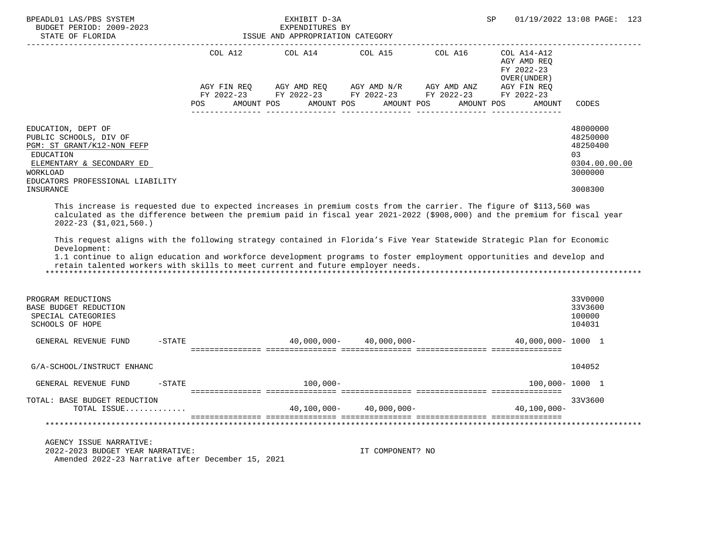| BPEADL01 LAS/PBS SYSTEM<br>BUDGET PERIOD: 2009-2023<br>STATE OF FLORIDA                                                                                                                                                                                                                                                                                                                                                                                                                                                                                                                                                              |         | EXHIBIT D-3A<br>EXPENDITURES BY<br>ISSUE AND APPROPRIATION CATEGORY |                  |                                                                                                            | SP                                                       | 01/19/2022 13:08 PAGE: 123                                                    |
|--------------------------------------------------------------------------------------------------------------------------------------------------------------------------------------------------------------------------------------------------------------------------------------------------------------------------------------------------------------------------------------------------------------------------------------------------------------------------------------------------------------------------------------------------------------------------------------------------------------------------------------|---------|---------------------------------------------------------------------|------------------|------------------------------------------------------------------------------------------------------------|----------------------------------------------------------|-------------------------------------------------------------------------------|
|                                                                                                                                                                                                                                                                                                                                                                                                                                                                                                                                                                                                                                      | COL A12 |                                                                     |                  | COL A14 COL A15 COL A16                                                                                    | COL A14-A12<br>AGY AMD REQ<br>FY 2022-23<br>OVER (UNDER) |                                                                               |
|                                                                                                                                                                                                                                                                                                                                                                                                                                                                                                                                                                                                                                      | POS     | AMOUNT POS                                                          | AMOUNT POS       | AGY FIN REQ AGY AMD REQ AGY AMD N/R AGY AMD ANZ AGY FIN REQ FY 2022-23 FY 2022-23 FY 2022-23<br>AMOUNT POS | AMOUNT POS<br>AMOUNT                                     | CODES                                                                         |
| EDUCATION, DEPT OF<br>PUBLIC SCHOOLS, DIV OF<br>PGM: ST GRANT/K12-NON FEFP<br>EDUCATION<br>ELEMENTARY & SECONDARY ED<br>WORKLOAD<br>EDUCATORS PROFESSIONAL LIABILITY<br>INSURANCE                                                                                                                                                                                                                                                                                                                                                                                                                                                    |         |                                                                     |                  |                                                                                                            |                                                          | 48000000<br>48250000<br>48250400<br>03<br>0304.00.00.00<br>3000000<br>3008300 |
| This increase is requested due to expected increases in premium costs from the carrier. The figure of \$113,560 was<br>calculated as the difference between the premium paid in fiscal year 2021-2022 (\$908,000) and the premium for fiscal year<br>$2022 - 23$ (\$1,021,560.)<br>This request aligns with the following strategy contained in Florida's Five Year Statewide Strategic Plan for Economic<br>Development:<br>1.1 continue to align education and workforce development programs to foster employment opportunities and develop and<br>retain talented workers with skills to meet current and future employer needs. |         |                                                                     |                  |                                                                                                            |                                                          |                                                                               |
| PROGRAM REDUCTIONS<br>BASE BUDGET REDUCTION<br>SPECIAL CATEGORIES<br><b>SCHOOLS OF HOPE</b>                                                                                                                                                                                                                                                                                                                                                                                                                                                                                                                                          |         |                                                                     |                  |                                                                                                            |                                                          | 33V0000<br>33V3600<br>100000<br>104031                                        |
| $-$ STATE<br>GENERAL REVENUE FUND                                                                                                                                                                                                                                                                                                                                                                                                                                                                                                                                                                                                    |         |                                                                     |                  | $40,000,000 - 40,000,000 -$                                                                                | 40,000,000-1000 1                                        |                                                                               |
| G/A-SCHOOL/INSTRUCT ENHANC                                                                                                                                                                                                                                                                                                                                                                                                                                                                                                                                                                                                           |         |                                                                     |                  |                                                                                                            |                                                          | 104052                                                                        |
| $-$ STATE<br>GENERAL REVENUE FUND                                                                                                                                                                                                                                                                                                                                                                                                                                                                                                                                                                                                    |         | $100,000 -$                                                         |                  |                                                                                                            | 100,000-1000 1                                           |                                                                               |
| TOTAL: BASE BUDGET REDUCTION<br>TOTAL ISSUE                                                                                                                                                                                                                                                                                                                                                                                                                                                                                                                                                                                          |         | 40,100,000-                                                         | $40,000,000-$    |                                                                                                            | $40,100,000 -$                                           | 33V3600                                                                       |
|                                                                                                                                                                                                                                                                                                                                                                                                                                                                                                                                                                                                                                      |         |                                                                     |                  |                                                                                                            |                                                          |                                                                               |
| AGENCY ISSUE NARRATIVE:<br>2022-2023 BUDGET YEAR NARRATIVE:<br>Amended 2022-23 Narrative after December 15, 2021                                                                                                                                                                                                                                                                                                                                                                                                                                                                                                                     |         |                                                                     | IT COMPONENT? NO |                                                                                                            |                                                          |                                                                               |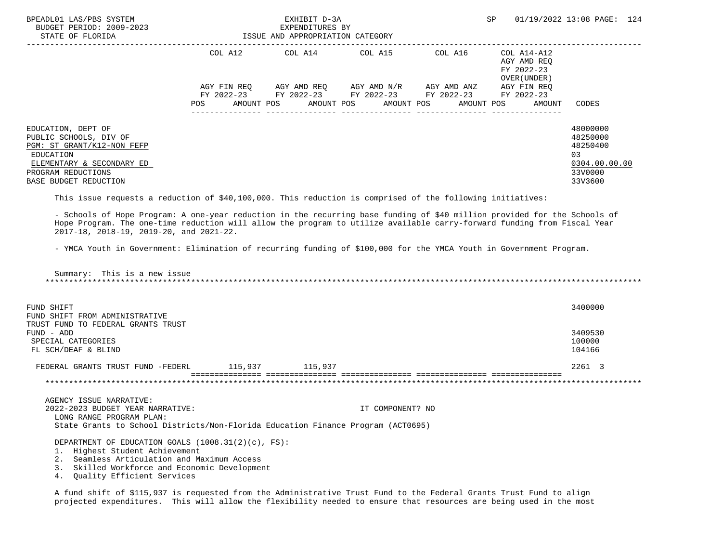| BPEADL01 LAS/PBS SYSTEM<br>BUDGET PERIOD: 2009-2023<br>STATE OF FLORIDA                                                                                                                                                                                                                                                                                                                                                                                                                                                                                              |                                  | EXHIBIT D-3A<br>EXPENDITURES BY<br>ISSUE AND APPROPRIATION CATEGORY |                  |                                                                                                                                                                                        | SP                                                   | 01/19/2022 13:08 PAGE: 124                                                     |
|----------------------------------------------------------------------------------------------------------------------------------------------------------------------------------------------------------------------------------------------------------------------------------------------------------------------------------------------------------------------------------------------------------------------------------------------------------------------------------------------------------------------------------------------------------------------|----------------------------------|---------------------------------------------------------------------|------------------|----------------------------------------------------------------------------------------------------------------------------------------------------------------------------------------|------------------------------------------------------|--------------------------------------------------------------------------------|
|                                                                                                                                                                                                                                                                                                                                                                                                                                                                                                                                                                      | AGY FIN REQ<br>POS<br>AMOUNT POS |                                                                     | AMOUNT POS       | COL A12 COL A14 COL A15 COL A16 COL A14-A12<br>AGY AMD REQ AGY AMD $N/R$ AGY AMD ANZ AGY FIN REQ<br>FY 2022-23 FY 2022-23 FY 2022-23 FY 2022-23 FY 2022-23<br>AMOUNT POS<br>AMOUNT POS | AGY AMD REO<br>FY 2022-23<br>OVER (UNDER )<br>AMOUNT | CODES                                                                          |
| EDUCATION, DEPT OF<br>PUBLIC SCHOOLS, DIV OF<br>PGM: ST GRANT/K12-NON FEFP<br><b>EDUCATION</b><br>ELEMENTARY & SECONDARY ED<br>PROGRAM REDUCTIONS<br>BASE BUDGET REDUCTION                                                                                                                                                                                                                                                                                                                                                                                           |                                  |                                                                     |                  |                                                                                                                                                                                        |                                                      | 48000000<br>48250000<br>48250400<br>0.3<br>0304.00.00.00<br>33V0000<br>33V3600 |
| This issue requests a reduction of \$40,100,000. This reduction is comprised of the following initiatives:<br>- Schools of Hope Program: A one-year reduction in the recurring base funding of \$40 million provided for the Schools of<br>Hope Program. The one-time reduction will allow the program to utilize available carry-forward funding from Fiscal Year<br>2017-18, 2018-19, 2019-20, and 2021-22.<br>- YMCA Youth in Government: Elimination of recurring funding of \$100,000 for the YMCA Youth in Government Program.<br>Summary: This is a new issue |                                  |                                                                     |                  |                                                                                                                                                                                        |                                                      |                                                                                |
| FUND SHIFT<br>FUND SHIFT FROM ADMINISTRATIVE                                                                                                                                                                                                                                                                                                                                                                                                                                                                                                                         |                                  |                                                                     |                  |                                                                                                                                                                                        |                                                      | 3400000                                                                        |
| TRUST FUND TO FEDERAL GRANTS TRUST<br>FUND - ADD<br>SPECIAL CATEGORIES<br>FL SCH/DEAF & BLIND                                                                                                                                                                                                                                                                                                                                                                                                                                                                        |                                  |                                                                     |                  |                                                                                                                                                                                        |                                                      | 3409530<br>100000<br>104166                                                    |
| FEDERAL GRANTS TRUST FUND -FEDERL 115,937 115,937                                                                                                                                                                                                                                                                                                                                                                                                                                                                                                                    |                                  |                                                                     |                  |                                                                                                                                                                                        |                                                      | 2261 3                                                                         |
|                                                                                                                                                                                                                                                                                                                                                                                                                                                                                                                                                                      |                                  |                                                                     |                  |                                                                                                                                                                                        |                                                      |                                                                                |
| AGENCY ISSUE NARRATIVE:<br>2022-2023 BUDGET YEAR NARRATIVE:<br>LONG RANGE PROGRAM PLAN:<br>State Grants to School Districts/Non-Florida Education Finance Program (ACT0695)                                                                                                                                                                                                                                                                                                                                                                                          |                                  |                                                                     | IT COMPONENT? NO |                                                                                                                                                                                        |                                                      |                                                                                |
| DEPARTMENT OF EDUCATION GOALS $(1008.31(2)(c), FS)$ :<br>1. Highest Student Achievement                                                                                                                                                                                                                                                                                                                                                                                                                                                                              |                                  |                                                                     |                  |                                                                                                                                                                                        |                                                      |                                                                                |

2. Seamless Articulation and Maximum Access

3. Skilled Workforce and Economic Development

4. Quality Efficient Services

 A fund shift of \$115,937 is requested from the Administrative Trust Fund to the Federal Grants Trust Fund to align projected expenditures. This will allow the flexibility needed to ensure that resources are being used in the most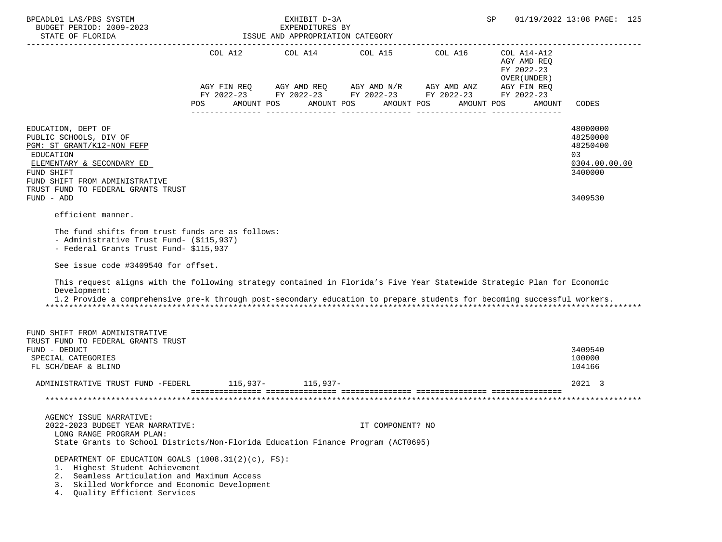| BPEADL01 LAS/PBS SYSTEM                                                                                                                                                                                                                                           |                   | EXHIBIT D-3A                                        |                                                 |                                             | SP                                                                     | 01/19/2022 13:08 PAGE: 125       |
|-------------------------------------------------------------------------------------------------------------------------------------------------------------------------------------------------------------------------------------------------------------------|-------------------|-----------------------------------------------------|-------------------------------------------------|---------------------------------------------|------------------------------------------------------------------------|----------------------------------|
| BUDGET PERIOD: 2009-2023<br>STATE OF FLORIDA                                                                                                                                                                                                                      |                   | EXPENDITURES BY<br>ISSUE AND APPROPRIATION CATEGORY |                                                 |                                             |                                                                        |                                  |
|                                                                                                                                                                                                                                                                   |                   |                                                     | COL A12 COL A14 COL A15 COL A16                 |                                             | COL A14-A12                                                            |                                  |
|                                                                                                                                                                                                                                                                   |                   |                                                     | AGY FIN REQ AGY AMD REQ AGY AMD N/R AGY AMD ANZ | FY 2022-23 FY 2022-23 FY 2022-23 FY 2022-23 | AGY AMD REQ<br>FY 2022-23<br>OVER (UNDER)<br>AGY FIN REQ<br>FY 2022-23 |                                  |
|                                                                                                                                                                                                                                                                   | AMOUNT POS<br>POS |                                                     | AMOUNT POS                                      | AMOUNT POS<br>AMOUNT POS                    | AMOUNT                                                                 | CODES                            |
| EDUCATION, DEPT OF<br>PUBLIC SCHOOLS, DIV OF<br>PGM: ST GRANT/K12-NON FEFP                                                                                                                                                                                        |                   |                                                     |                                                 |                                             |                                                                        | 48000000<br>48250000<br>48250400 |
| EDUCATION<br>ELEMENTARY & SECONDARY ED<br>FUND SHIFT<br>FUND SHIFT FROM ADMINISTRATIVE                                                                                                                                                                            |                   |                                                     |                                                 |                                             |                                                                        | 03<br>0304.00.00.00<br>3400000   |
| TRUST FUND TO FEDERAL GRANTS TRUST<br>FUND - ADD                                                                                                                                                                                                                  |                   |                                                     |                                                 |                                             |                                                                        | 3409530                          |
| efficient manner.                                                                                                                                                                                                                                                 |                   |                                                     |                                                 |                                             |                                                                        |                                  |
| The fund shifts from trust funds are as follows:<br>- Administrative Trust Fund- (\$115,937)<br>- Federal Grants Trust Fund- \$115,937                                                                                                                            |                   |                                                     |                                                 |                                             |                                                                        |                                  |
| See issue code #3409540 for offset.                                                                                                                                                                                                                               |                   |                                                     |                                                 |                                             |                                                                        |                                  |
| This request aligns with the following strategy contained in Florida's Five Year Statewide Strategic Plan for Economic<br>Development:<br>1.2 Provide a comprehensive pre-k through post-secondary education to prepare students for becoming successful workers. |                   |                                                     |                                                 |                                             |                                                                        |                                  |
| FUND SHIFT FROM ADMINISTRATIVE<br>TRUST FUND TO FEDERAL GRANTS TRUST                                                                                                                                                                                              |                   |                                                     |                                                 |                                             |                                                                        |                                  |
| FUND - DEDUCT<br>SPECIAL CATEGORIES<br>FL SCH/DEAF & BLIND                                                                                                                                                                                                        |                   |                                                     |                                                 |                                             |                                                                        | 3409540<br>100000<br>104166      |
| ADMINISTRATIVE TRUST FUND -FEDERL 115,937- 115,937-                                                                                                                                                                                                               |                   |                                                     |                                                 |                                             |                                                                        | 2021 3                           |
|                                                                                                                                                                                                                                                                   |                   |                                                     |                                                 |                                             |                                                                        |                                  |
| AGENCY ISSUE NARRATIVE:<br>2022-2023 BUDGET YEAR NARRATIVE:<br>LONG RANGE PROGRAM PLAN:                                                                                                                                                                           |                   |                                                     | IT COMPONENT? NO                                |                                             |                                                                        |                                  |
| State Grants to School Districts/Non-Florida Education Finance Program (ACT0695)                                                                                                                                                                                  |                   |                                                     |                                                 |                                             |                                                                        |                                  |
| DEPARTMENT OF EDUCATION GOALS (1008.31(2)(c), FS):<br>1. Highest Student Achievement<br>2. Seamless Articulation and Maximum Access<br>3. Skilled Workforce and Economic Development<br>4. Quality Efficient Services                                             |                   |                                                     |                                                 |                                             |                                                                        |                                  |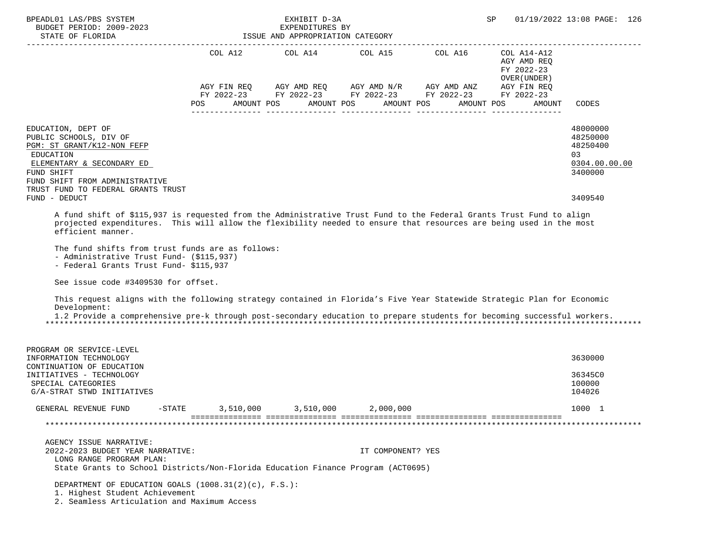| BPEADL01 LAS/PBS SYSTEM<br>BUDGET PERIOD: 2009-2023<br>STATE OF FLORIDA                                                                                                                                                                                                                                                                                                                                                                                                                                                                                                                                                                                                                                                                          |           | EXHIBIT D-3A<br>EXPENDITURES BY<br>ISSUE AND APPROPRIATION CATEGORY                                                                | SP                    | 01/19/2022 13:08 PAGE: 126                               |                                                                    |
|--------------------------------------------------------------------------------------------------------------------------------------------------------------------------------------------------------------------------------------------------------------------------------------------------------------------------------------------------------------------------------------------------------------------------------------------------------------------------------------------------------------------------------------------------------------------------------------------------------------------------------------------------------------------------------------------------------------------------------------------------|-----------|------------------------------------------------------------------------------------------------------------------------------------|-----------------------|----------------------------------------------------------|--------------------------------------------------------------------|
|                                                                                                                                                                                                                                                                                                                                                                                                                                                                                                                                                                                                                                                                                                                                                  |           | COL A12 $\qquad$ COL A14 $\qquad$ COL A15 $\qquad$ COL A16 $\qquad$ COL A14-A12<br>AGY FIN REQ AGY AMD REQ AGY AMD N/R AGY AMD ANZ |                       | AGY AMD REO<br>FY 2022-23<br>OVER (UNDER)<br>AGY FIN REQ |                                                                    |
|                                                                                                                                                                                                                                                                                                                                                                                                                                                                                                                                                                                                                                                                                                                                                  |           | FY 2022-23 FY 2022-23 FY 2022-23 FY 2022-23 FY 2022-23                                                                             |                       |                                                          |                                                                    |
|                                                                                                                                                                                                                                                                                                                                                                                                                                                                                                                                                                                                                                                                                                                                                  | POS       | AMOUNT POS                                                                                                                         | AMOUNT POS AMOUNT POS | AMOUNT POS<br>AMOUNT                                     | CODES                                                              |
| EDUCATION, DEPT OF<br>PUBLIC SCHOOLS, DIV OF<br>PGM: ST GRANT/K12-NON FEFP<br>EDUCATION<br>ELEMENTARY & SECONDARY ED<br>FUND SHIFT<br>FUND SHIFT FROM ADMINISTRATIVE                                                                                                                                                                                                                                                                                                                                                                                                                                                                                                                                                                             |           |                                                                                                                                    |                       |                                                          | 48000000<br>48250000<br>48250400<br>03<br>0304.00.00.00<br>3400000 |
| TRUST FUND TO FEDERAL GRANTS TRUST<br>FUND - DEDUCT                                                                                                                                                                                                                                                                                                                                                                                                                                                                                                                                                                                                                                                                                              |           |                                                                                                                                    |                       |                                                          | 3409540                                                            |
| A fund shift of \$115,937 is requested from the Administrative Trust Fund to the Federal Grants Trust Fund to align<br>projected expenditures. This will allow the flexibility needed to ensure that resources are being used in the most<br>efficient manner.<br>The fund shifts from trust funds are as follows:<br>- Administrative Trust Fund- (\$115,937)<br>- Federal Grants Trust Fund- \$115,937<br>See issue code #3409530 for offset.<br>This request aligns with the following strategy contained in Florida's Five Year Statewide Strategic Plan for Economic<br>Development:<br>1.2 Provide a comprehensive pre-k through post-secondary education to prepare students for becoming successful workers.<br>PROGRAM OR SERVICE-LEVEL |           |                                                                                                                                    |                       |                                                          |                                                                    |
| INFORMATION TECHNOLOGY<br>CONTINUATION OF EDUCATION                                                                                                                                                                                                                                                                                                                                                                                                                                                                                                                                                                                                                                                                                              |           |                                                                                                                                    |                       |                                                          | 3630000                                                            |
| INITIATIVES - TECHNOLOGY<br>SPECIAL CATEGORIES<br>G/A-STRAT STWD INITIATIVES                                                                                                                                                                                                                                                                                                                                                                                                                                                                                                                                                                                                                                                                     |           |                                                                                                                                    |                       |                                                          | 36345C0<br>100000<br>104026                                        |
| GENERAL REVENUE FUND<br>-STATE                                                                                                                                                                                                                                                                                                                                                                                                                                                                                                                                                                                                                                                                                                                   | 3,510,000 | 3,510,000                                                                                                                          | 2,000,000             |                                                          | 1000 1                                                             |
|                                                                                                                                                                                                                                                                                                                                                                                                                                                                                                                                                                                                                                                                                                                                                  |           |                                                                                                                                    |                       |                                                          |                                                                    |
| AGENCY ISSUE NARRATIVE:<br>2022-2023 BUDGET YEAR NARRATIVE:<br>LONG RANGE PROGRAM PLAN:<br>State Grants to School Districts/Non-Florida Education Finance Program (ACT0695)                                                                                                                                                                                                                                                                                                                                                                                                                                                                                                                                                                      |           |                                                                                                                                    | IT COMPONENT? YES     |                                                          |                                                                    |
| DEPARTMENT OF EDUCATION GOALS (1008.31(2)(c), F.S.):<br>1. Highest Student Achievement<br>2. Seamless Articulation and Maximum Access                                                                                                                                                                                                                                                                                                                                                                                                                                                                                                                                                                                                            |           |                                                                                                                                    |                       |                                                          |                                                                    |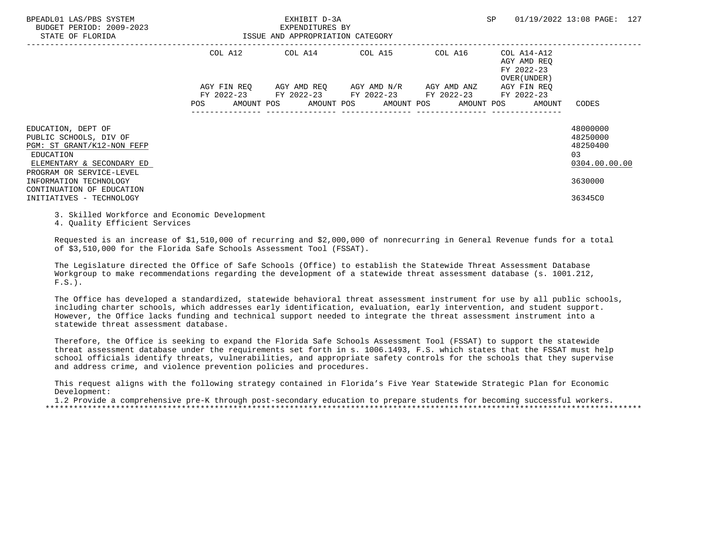| BPEADL01 LAS/PBS SYSTEM<br>BUDGET PERIOD: 2009-2023<br>STATE OF FLORIDA                                                                          | EXHIBIT D-3A<br>EXPENDITURES BY<br>ISSUE AND APPROPRIATION CATEGORY |                                                                                                |  |  | SP                                                                              | 01/19/2022 13:08 PAGE: 127                              |
|--------------------------------------------------------------------------------------------------------------------------------------------------|---------------------------------------------------------------------|------------------------------------------------------------------------------------------------|--|--|---------------------------------------------------------------------------------|---------------------------------------------------------|
|                                                                                                                                                  | COL A12                                                             | COL A14 COL A15 COL A16                                                                        |  |  | COL A14-A12<br>AGY AMD REO<br>FY 2022-23<br>OVER (UNDER )                       |                                                         |
|                                                                                                                                                  | POS                                                                 | AGY FIN REQ AGY AMD REQ AGY AMD N/R AGY AMD ANZ<br>FY 2022-23 FY 2022-23 FY 2022-23 FY 2022-23 |  |  | AGY FIN REO<br>FY 2022-23<br>AMOUNT POS AMOUNT POS AMOUNT POS AMOUNT POS AMOUNT | CODES                                                   |
| EDUCATION, DEPT OF<br>PUBLIC SCHOOLS, DIV OF<br>PGM: ST GRANT/K12-NON FEFP<br>EDUCATION<br>ELEMENTARY & SECONDARY ED<br>PROGRAM OR SERVICE-LEVEL |                                                                     |                                                                                                |  |  |                                                                                 | 48000000<br>48250000<br>48250400<br>03<br>0304.00.00.00 |
| INFORMATION TECHNOLOGY<br>CONTINUATION OF EDUCATION<br>INITIATIVES - TECHNOLOGY                                                                  |                                                                     |                                                                                                |  |  |                                                                                 | 3630000<br>36345C0                                      |

3. Skilled Workforce and Economic Development

4. Quality Efficient Services

 Requested is an increase of \$1,510,000 of recurring and \$2,000,000 of nonrecurring in General Revenue funds for a total of \$3,510,000 for the Florida Safe Schools Assessment Tool (FSSAT).

 The Legislature directed the Office of Safe Schools (Office) to establish the Statewide Threat Assessment Database Workgroup to make recommendations regarding the development of a statewide threat assessment database (s. 1001.212,  $F.S.$ ).

 The Office has developed a standardized, statewide behavioral threat assessment instrument for use by all public schools, including charter schools, which addresses early identification, evaluation, early intervention, and student support. However, the Office lacks funding and technical support needed to integrate the threat assessment instrument into a statewide threat assessment database.

 Therefore, the Office is seeking to expand the Florida Safe Schools Assessment Tool (FSSAT) to support the statewide threat assessment database under the requirements set forth in s. 1006.1493, F.S. which states that the FSSAT must help school officials identify threats, vulnerabilities, and appropriate safety controls for the schools that they supervise and address crime, and violence prevention policies and procedures.

 This request aligns with the following strategy contained in Florida's Five Year Statewide Strategic Plan for Economic Development:

 1.2 Provide a comprehensive pre-K through post-secondary education to prepare students for becoming successful workers. \*\*\*\*\*\*\*\*\*\*\*\*\*\*\*\*\*\*\*\*\*\*\*\*\*\*\*\*\*\*\*\*\*\*\*\*\*\*\*\*\*\*\*\*\*\*\*\*\*\*\*\*\*\*\*\*\*\*\*\*\*\*\*\*\*\*\*\*\*\*\*\*\*\*\*\*\*\*\*\*\*\*\*\*\*\*\*\*\*\*\*\*\*\*\*\*\*\*\*\*\*\*\*\*\*\*\*\*\*\*\*\*\*\*\*\*\*\*\*\*\*\*\*\*\*\*\*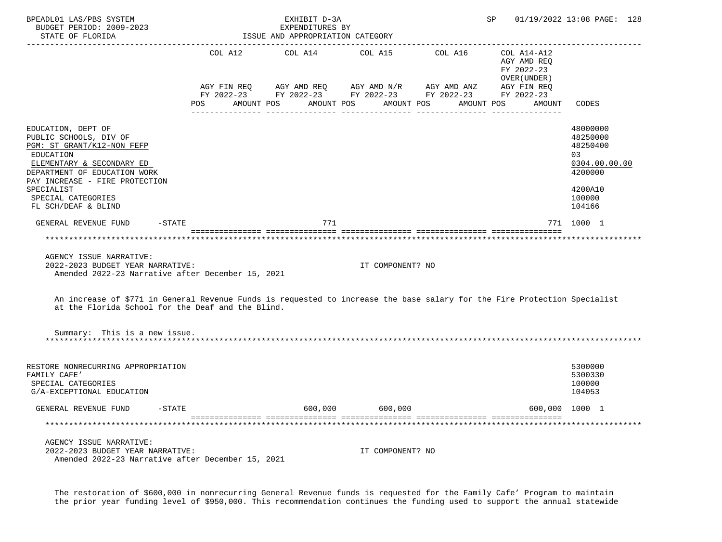| BPEADL01 LAS/PBS SYSTEM<br>BUDGET PERIOD: 2009-2023<br>STATE OF FLORIDA                                                                                                                                                                           |         | EXHIBIT D-3A<br>EXPENDITURES BY<br>ISSUE AND APPROPRIATION CATEGORY |                  |                                                                                                                    | SP                                                        | 01/19/2022 13:08 PAGE: 128                                                                         |
|---------------------------------------------------------------------------------------------------------------------------------------------------------------------------------------------------------------------------------------------------|---------|---------------------------------------------------------------------|------------------|--------------------------------------------------------------------------------------------------------------------|-----------------------------------------------------------|----------------------------------------------------------------------------------------------------|
|                                                                                                                                                                                                                                                   | COL A12 | COL A14                                                             | COL A15          | COL A16<br>AGY FIN REQ AGY AMD REQ AGY AMD N/R AGY AMD ANZ AGY FIN REQ FIN REQ AGY AMD N/R AGY AMD ANZ AGY FIN REQ | COL A14-A12<br>AGY AMD REQ<br>FY 2022-23<br>OVER (UNDER ) |                                                                                                    |
|                                                                                                                                                                                                                                                   | POS     | AMOUNT POS                                                          | AMOUNT POS       | AMOUNT POS                                                                                                         | AMOUNT POS<br>AMOUNT                                      | CODES                                                                                              |
| EDUCATION, DEPT OF<br>PUBLIC SCHOOLS, DIV OF<br>PGM: ST GRANT/K12-NON FEFP<br>EDUCATION<br>ELEMENTARY & SECONDARY ED<br>DEPARTMENT OF EDUCATION WORK<br>PAY INCREASE - FIRE PROTECTION<br>SPECIALIST<br>SPECIAL CATEGORIES<br>FL SCH/DEAF & BLIND |         |                                                                     |                  |                                                                                                                    |                                                           | 48000000<br>48250000<br>48250400<br>0.3<br>0304.00.00.00<br>4200000<br>4200A10<br>100000<br>104166 |
| $-\mathtt{STATE}$<br>GENERAL REVENUE FUND                                                                                                                                                                                                         |         | 771                                                                 |                  |                                                                                                                    |                                                           | 771 1000 1                                                                                         |
| ************************<br>AGENCY ISSUE NARRATIVE:<br>2022-2023 BUDGET YEAR NARRATIVE:<br>Amended 2022-23 Narrative after December 15, 2021                                                                                                      |         |                                                                     | IT COMPONENT? NO |                                                                                                                    |                                                           |                                                                                                    |
| An increase of \$771 in General Revenue Funds is requested to increase the base salary for the Fire Protection Specialist<br>at the Florida School for the Deaf and the Blind.                                                                    |         |                                                                     |                  |                                                                                                                    |                                                           |                                                                                                    |
| Summary: This is a new issue.                                                                                                                                                                                                                     |         |                                                                     |                  |                                                                                                                    |                                                           |                                                                                                    |
| RESTORE NONRECURRING APPROPRIATION<br>FAMILY CAFE'<br>SPECIAL CATEGORIES<br>G/A-EXCEPTIONAL EDUCATION                                                                                                                                             |         |                                                                     |                  |                                                                                                                    |                                                           | 5300000<br>5300330<br>100000<br>104053                                                             |
| GENERAL REVENUE FUND<br>$-$ STATE                                                                                                                                                                                                                 |         | 600,000                                                             | 600,000          |                                                                                                                    |                                                           | 600,000 1000 1                                                                                     |
| ***********************************                                                                                                                                                                                                               |         |                                                                     |                  |                                                                                                                    |                                                           |                                                                                                    |
| AGENCY ISSUE NARRATIVE:<br>2022-2023 BUDGET YEAR NARRATIVE:<br>Amended 2022-23 Narrative after December 15, 2021                                                                                                                                  |         |                                                                     | IT COMPONENT? NO |                                                                                                                    |                                                           |                                                                                                    |

 The restoration of \$600,000 in nonrecurring General Revenue funds is requested for the Family Cafe' Program to maintain the prior year funding level of \$950,000. This recommendation continues the funding used to support the annual statewide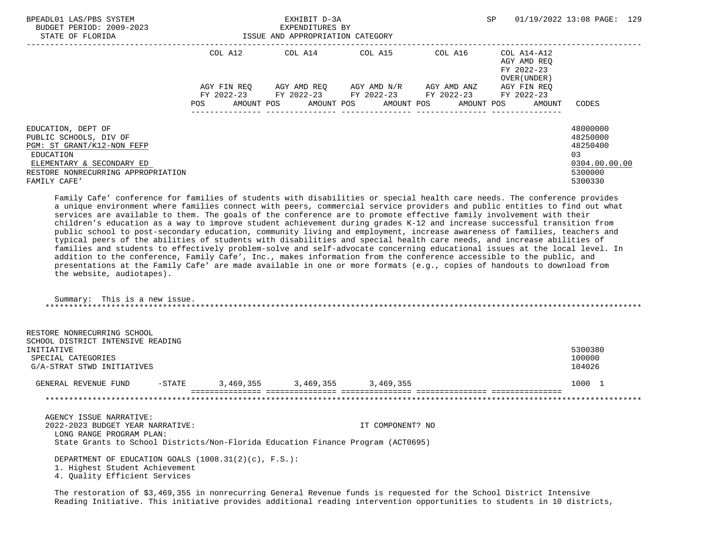| BPEADL01 LAS/PBS SYSTEM<br>BUDGET PERIOD: 2009-2023<br>STATE OF FLORIDA                                                                                                    | EXHIBIT D-3A<br>EXPENDITURES BY<br>ISSUE AND APPROPRIATION CATEGORY |                 |                                               |                                                                                 | SP                                                        | 01/19/2022 13:08 PAGE: 129                                                     |
|----------------------------------------------------------------------------------------------------------------------------------------------------------------------------|---------------------------------------------------------------------|-----------------|-----------------------------------------------|---------------------------------------------------------------------------------|-----------------------------------------------------------|--------------------------------------------------------------------------------|
|                                                                                                                                                                            | COL A12                                                             | COL A14 COL A15 |                                               | COL A16                                                                         | COL A14-A12<br>AGY AMD REO<br>FY 2022-23<br>OVER (UNDER ) |                                                                                |
|                                                                                                                                                                            | AGY FIN REO<br>POS<br>AMOUNT POS                                    |                 | AGY AMD REO      AGY AMD N/R      AGY AMD ANZ | FY 2022-23 FY 2022-23 FY 2022-23 FY 2022-23<br>AMOUNT POS AMOUNT POS AMOUNT POS | AGY FIN REO<br>FY 2022-23<br>AMOUNT                       | CODES                                                                          |
| EDUCATION, DEPT OF<br>PUBLIC SCHOOLS, DIV OF<br>PGM: ST GRANT/K12-NON FEFP<br>EDUCATION<br>ELEMENTARY & SECONDARY ED<br>RESTORE NONRECURRING APPROPRIATION<br>FAMILY CAFE' |                                                                     |                 |                                               |                                                                                 |                                                           | 48000000<br>48250000<br>48250400<br>0.3<br>0304.00.00.00<br>5300000<br>5300330 |

 Family Cafe' conference for families of students with disabilities or special health care needs. The conference provides a unique environment where families connect with peers, commercial service providers and public entities to find out what services are available to them. The goals of the conference are to promote effective family involvement with their children's education as a way to improve student achievement during grades K-12 and increase successful transition from public school to post-secondary education, community living and employment, increase awareness of families, teachers and typical peers of the abilities of students with disabilities and special health care needs, and increase abilities of families and students to effectively problem-solve and self-advocate concerning educational issues at the local level. In addition to the conference, Family Cafe', Inc., makes information from the conference accessible to the public, and presentations at the Family Cafe' are made available in one or more formats (e.g., copies of handouts to download from the website, audiotapes).

 Summary: This is a new issue. \*\*\*\*\*\*\*\*\*\*\*\*\*\*\*\*\*\*\*\*\*\*\*\*\*\*\*\*\*\*\*\*\*\*\*\*\*\*\*\*\*\*\*\*\*\*\*\*\*\*\*\*\*\*\*\*\*\*\*\*\*\*\*\*\*\*\*\*\*\*\*\*\*\*\*\*\*\*\*\*\*\*\*\*\*\*\*\*\*\*\*\*\*\*\*\*\*\*\*\*\*\*\*\*\*\*\*\*\*\*\*\*\*\*\*\*\*\*\*\*\*\*\*\*\*\*\*

| RESTORE NONRECURRING SCHOOL       |           |           |           |           |         |
|-----------------------------------|-----------|-----------|-----------|-----------|---------|
| SCHOOL DISTRICT INTENSIVE READING |           |           |           |           |         |
| INITIATIVE                        |           |           |           |           | 5300380 |
| SPECIAL CATEGORIES                |           |           |           |           | 100000  |
| G/A-STRAT STWD INITIATIVES        |           |           |           |           | 104026  |
| GENERAL REVENUE FUND              | $-$ STATE | 3,469,355 | 3,469,355 | 3,469,355 | 1000 1  |
|                                   |           |           |           |           |         |

 AGENCY ISSUE NARRATIVE: 2022-2023 BUDGET YEAR NARRATIVE: IT COMPONENT? NO LONG RANGE PROGRAM PLAN: State Grants to School Districts/Non-Florida Education Finance Program (ACT0695)

 DEPARTMENT OF EDUCATION GOALS (1008.31(2)(c), F.S.): 1. Highest Student Achievement 4. Quality Efficient Services

 The restoration of \$3,469,355 in nonrecurring General Revenue funds is requested for the School District Intensive Reading Initiative. This initiative provides additional reading intervention opportunities to students in 10 districts,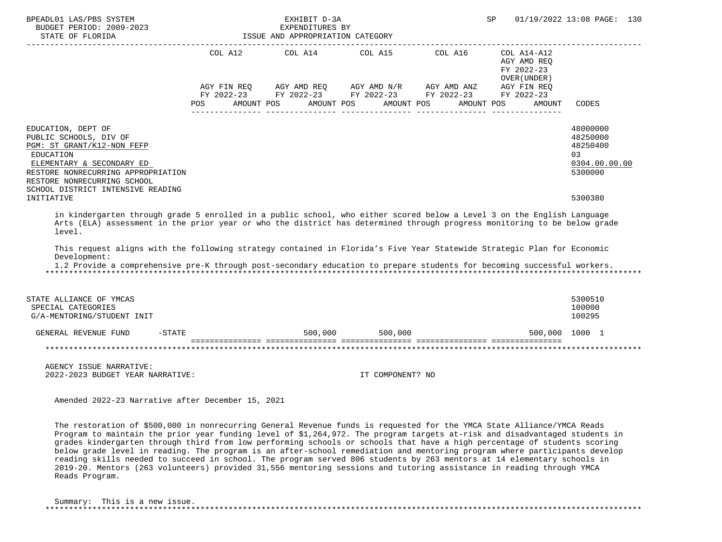| BPEADL01 LAS/PBS SYSTEM<br>BUDGET PERIOD: 2009-2023<br>STATE OF FLORIDA                                                                                                                                                                                           | EXHIBIT D-3A<br>EXPENDITURES BY<br>ISSUE AND APPROPRIATION CATEGORY |  |                                                                                                                                                                                  |  | SP                                                                                                 | 01/19/2022 13:08 PAGE: 130                                                    |
|-------------------------------------------------------------------------------------------------------------------------------------------------------------------------------------------------------------------------------------------------------------------|---------------------------------------------------------------------|--|----------------------------------------------------------------------------------------------------------------------------------------------------------------------------------|--|----------------------------------------------------------------------------------------------------|-------------------------------------------------------------------------------|
|                                                                                                                                                                                                                                                                   | POS FOR                                                             |  | COL A12 COL A14 COL A15 COL A16<br>AGY FIN REQ AGY AMD REQ AGY AMD N/R AGY AMD ANZ<br>FY 2022-23 FY 2022-23 FY 2022-23 FY 2022-23 FY 2022-23<br>AMOUNT POS AMOUNT POS AMOUNT POS |  | $COL A14- A12$<br>AGY AMD REO<br>FY 2022-23<br>OVER (UNDER)<br>AGY FIN REQ<br>AMOUNT POS<br>AMOUNT | CODES                                                                         |
| EDUCATION, DEPT OF<br>PUBLIC SCHOOLS, DIV OF<br>PGM: ST GRANT/K12-NON FEFP<br><b>EDUCATION</b><br>ELEMENTARY & SECONDARY ED<br>RESTORE NONRECURRING APPROPRIATION<br>RESTORE NONRECURRING SCHOOL<br>SCHOOL DISTRICT INTENSIVE READING<br>INITIATIVE               |                                                                     |  |                                                                                                                                                                                  |  |                                                                                                    | 48000000<br>48250000<br>48250400<br>03<br>0304.00.00.00<br>5300000<br>5300380 |
| in kindergarten through grade 5 enrolled in a public school, who either scored below a Level 3 on the English Language<br>Arts (ELA) assessment in the prior year or who the district has determined through progress monitoring to be below grade<br>level.      |                                                                     |  |                                                                                                                                                                                  |  |                                                                                                    |                                                                               |
| This request aligns with the following strategy contained in Florida's Five Year Statewide Strategic Plan for Economic<br>Development:<br>1.2 Provide a comprehensive pre-K through post-secondary education to prepare students for becoming successful workers. |                                                                     |  |                                                                                                                                                                                  |  |                                                                                                    |                                                                               |
| STATE ALLIANCE OF YMCAS<br>SPECIAL CATEGORIES<br>G/A-MENTORING/STUDENT INIT                                                                                                                                                                                       |                                                                     |  |                                                                                                                                                                                  |  |                                                                                                    | 5300510<br>100000<br>100295                                                   |
| GENERAL REVENUE FUND<br>$-STATE$                                                                                                                                                                                                                                  |                                                                     |  | 500,000 500,000                                                                                                                                                                  |  |                                                                                                    | 500,000 1000 1                                                                |
|                                                                                                                                                                                                                                                                   |                                                                     |  |                                                                                                                                                                                  |  |                                                                                                    |                                                                               |
| AGENCY ISSUE NARRATIVE:<br>2022-2023 BUDGET YEAR NARRATIVE:                                                                                                                                                                                                       |                                                                     |  | IT COMPONENT? NO                                                                                                                                                                 |  |                                                                                                    |                                                                               |
| Amended 2022-23 Narrative after December 15, 2021                                                                                                                                                                                                                 |                                                                     |  |                                                                                                                                                                                  |  |                                                                                                    |                                                                               |

 The restoration of \$500,000 in nonrecurring General Revenue funds is requested for the YMCA State Alliance/YMCA Reads Program to maintain the prior year funding level of \$1,264,972. The program targets at-risk and disadvantaged students in grades kindergarten through third from low performing schools or schools that have a high percentage of students scoring below grade level in reading. The program is an after-school remediation and mentoring program where participants develop reading skills needed to succeed in school. The program served 806 students by 263 mentors at 14 elementary schools in 2019-20. Mentors (263 volunteers) provided 31,556 mentoring sessions and tutoring assistance in reading through YMCA Reads Program.

| Summary: This is a new issue. |  |  |  |
|-------------------------------|--|--|--|
|                               |  |  |  |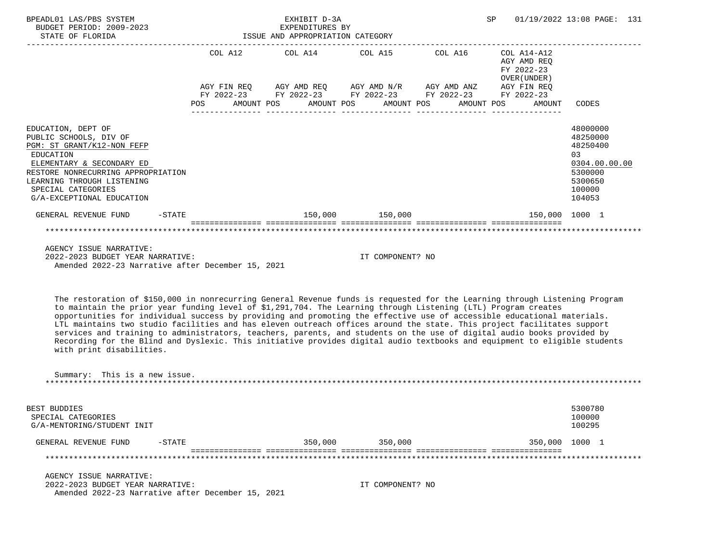| BPEADL01 LAS/PBS SYSTEM<br>BUDGET PERIOD: 2009-2023<br>STATE OF FLORIDA                                                                                                                                                                     |                                                                                                                | EXHIBIT D-3A<br>EXPENDITURES BY<br>ISSUE AND APPROPRIATION CATEGORY |                                                                                                       | <b>SP</b>                                                | 01/19/2022 13:08 PAGE: 131                                                                        |
|---------------------------------------------------------------------------------------------------------------------------------------------------------------------------------------------------------------------------------------------|----------------------------------------------------------------------------------------------------------------|---------------------------------------------------------------------|-------------------------------------------------------------------------------------------------------|----------------------------------------------------------|---------------------------------------------------------------------------------------------------|
|                                                                                                                                                                                                                                             |                                                                                                                |                                                                     | COL A12 COL A14 COL A15 COL A16                                                                       | COL A14-A12<br>AGY AMD REO<br>FY 2022-23<br>OVER (UNDER) |                                                                                                   |
|                                                                                                                                                                                                                                             |                                                                                                                |                                                                     | AGY FIN REQ AGY AMD REQ AGY AMD N/R AGY AMD ANZ AGY FIN REQ                                           |                                                          |                                                                                                   |
|                                                                                                                                                                                                                                             | POS FOR THE POST OF THE STATE STATE STATE STATE STATE STATE STATE STATE STATE STATE STATE STATE STATE STATE ST |                                                                     | FY 2022-23 FY 2022-23 FY 2022-23 FY 2022-23 FY 2022-23<br>AMOUNT POS AMOUNT POS AMOUNT POS AMOUNT POS | AMOUNT                                                   | CODES                                                                                             |
| EDUCATION, DEPT OF<br>PUBLIC SCHOOLS, DIV OF<br>PGM: ST GRANT/K12-NON FEFP<br>EDUCATION<br>ELEMENTARY & SECONDARY ED<br>RESTORE NONRECURRING APPROPRIATION<br>LEARNING THROUGH LISTENING<br>SPECIAL CATEGORIES<br>G/A-EXCEPTIONAL EDUCATION |                                                                                                                |                                                                     |                                                                                                       |                                                          | 48000000<br>48250000<br>48250400<br>03<br>0304.00.00.00<br>5300000<br>5300650<br>100000<br>104053 |
| $-STATE$<br>GENERAL REVENUE FUND                                                                                                                                                                                                            |                                                                                                                |                                                                     | 150,000 150,000                                                                                       | 150,000 1000 1                                           |                                                                                                   |
|                                                                                                                                                                                                                                             |                                                                                                                |                                                                     |                                                                                                       |                                                          |                                                                                                   |
| AGENCY ISSUE NARRATIVE:<br>2022-2023 BUDGET YEAR NARRATIVE:<br>Amended 2022-23 Narrative after December 15, 2021                                                                                                                            |                                                                                                                |                                                                     | IT COMPONENT? NO                                                                                      |                                                          |                                                                                                   |

 The restoration of \$150,000 in nonrecurring General Revenue funds is requested for the Learning through Listening Program to maintain the prior year funding level of \$1,291,704. The Learning through Listening (LTL) Program creates opportunities for individual success by providing and promoting the effective use of accessible educational materials. LTL maintains two studio facilities and has eleven outreach offices around the state. This project facilitates support services and training to administrators, teachers, parents, and students on the use of digital audio books provided by Recording for the Blind and Dyslexic. This initiative provides digital audio textbooks and equipment to eligible students with print disabilities.

| Summary: This is a new issue. |         |
|-------------------------------|---------|
|                               |         |
|                               |         |
|                               |         |
| BEST BUDDIES                  | 5300780 |
| SPECIAL CATEGORIES            | 100000  |

| REVENUE<br><b>FUND</b><br>7F.NER AI | -STATE | 350,000 | 350,000 | 350,000 | .000 |
|-------------------------------------|--------|---------|---------|---------|------|
|                                     |        |         |         |         |      |

G/A-MENTORING/STUDENT INIT 100295

 AGENCY ISSUE NARRATIVE: 2022-2023 BUDGET YEAR NARRATIVE: IT COMPONENT? NO Amended 2022-23 Narrative after December 15, 2021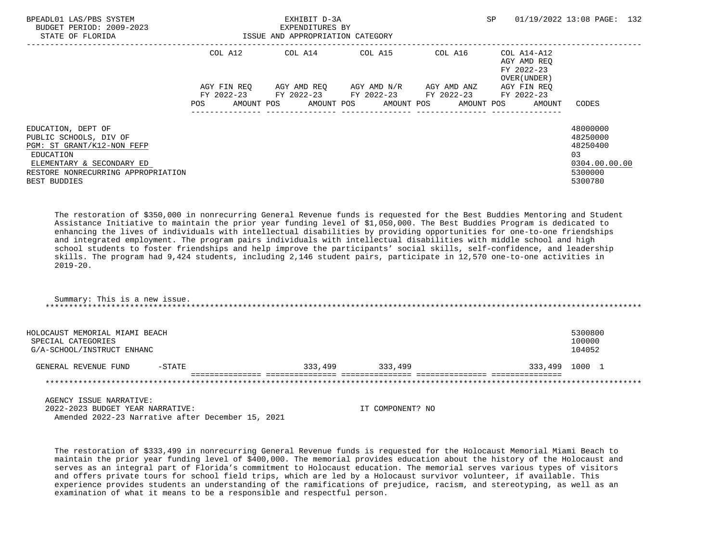| BPEADL01 LAS/PBS SYSTEM<br>BUDGET PERIOD: 2009-2023<br>STATE OF FLORIDA                                                                                                    | ISSUE AND APPROPRIATION CATEGORY | EXHIBIT D-3A<br>EXPENDITURES BY |                                                 |                                                                                            | SP                                                       | 01/19/2022 13:08 PAGE: 132                                                    |
|----------------------------------------------------------------------------------------------------------------------------------------------------------------------------|----------------------------------|---------------------------------|-------------------------------------------------|--------------------------------------------------------------------------------------------|----------------------------------------------------------|-------------------------------------------------------------------------------|
|                                                                                                                                                                            | COL A12                          |                                 |                                                 | COL A14 COL A15 COL A16                                                                    | COL A14-A12<br>AGY AMD REO<br>FY 2022-23<br>OVER (UNDER) |                                                                               |
|                                                                                                                                                                            | POS                              |                                 | AGY FIN REO AGY AMD REO AGY AMD N/R AGY AMD ANZ | FY 2022-23 FY 2022-23 FY 2022-23 FY 2022-23<br>AMOUNT POS AMOUNT POS AMOUNT POS AMOUNT POS | AGY FIN REO<br>FY 2022-23<br>AMOUNT                      | CODES                                                                         |
| EDUCATION, DEPT OF<br>PUBLIC SCHOOLS, DIV OF<br>PGM: ST GRANT/K12-NON FEFP<br>EDUCATION<br>ELEMENTARY & SECONDARY ED<br>RESTORE NONRECURRING APPROPRIATION<br>BEST BUDDIES |                                  |                                 |                                                 |                                                                                            |                                                          | 48000000<br>48250000<br>48250400<br>03<br>0304.00.00.00<br>5300000<br>5300780 |

 The restoration of \$350,000 in nonrecurring General Revenue funds is requested for the Best Buddies Mentoring and Student Assistance Initiative to maintain the prior year funding level of \$1,050,000. The Best Buddies Program is dedicated to enhancing the lives of individuals with intellectual disabilities by providing opportunities for one-to-one friendships and integrated employment. The program pairs individuals with intellectual disabilities with middle school and high school students to foster friendships and help improve the participants' social skills, self-confidence, and leadership skills. The program had 9,424 students, including 2,146 student pairs, participate in 12,570 one-to-one activities in  $2019 - 20$ .

 Summary: This is a new issue. \*\*\*\*\*\*\*\*\*\*\*\*\*\*\*\*\*\*\*\*\*\*\*\*\*\*\*\*\*\*\*\*\*\*\*\*\*\*\*\*\*\*\*\*\*\*\*\*\*\*\*\*\*\*\*\*\*\*\*\*\*\*\*\*\*\*\*\*\*\*\*\*\*\*\*\*\*\*\*\*\*\*\*\*\*\*\*\*\*\*\*\*\*\*\*\*\*\*\*\*\*\*\*\*\*\*\*\*\*\*\*\*\*\*\*\*\*\*\*\*\*\*\*\*\*\*\*

| HOLOCAUST MEMORIAL MIAMI BEACH<br>SPECIAL CATEGORIES<br>G/A-SCHOOL/INSTRUCT ENHANC |           |         |         | 5300800<br>100000<br>104052 |
|------------------------------------------------------------------------------------|-----------|---------|---------|-----------------------------|
| GENERAL REVENUE FUND                                                               | $-$ STATE | 333,499 | 333,499 | 333,499 1000 1              |
|                                                                                    |           |         |         |                             |

 AGENCY ISSUE NARRATIVE: 2022-2023 BUDGET YEAR NARRATIVE: IT COMPONENT? NO Amended 2022-23 Narrative after December 15, 2021

 The restoration of \$333,499 in nonrecurring General Revenue funds is requested for the Holocaust Memorial Miami Beach to maintain the prior year funding level of \$400,000. The memorial provides education about the history of the Holocaust and serves as an integral part of Florida's commitment to Holocaust education. The memorial serves various types of visitors and offers private tours for school field trips, which are led by a Holocaust survivor volunteer, if available. This experience provides students an understanding of the ramifications of prejudice, racism, and stereotyping, as well as an examination of what it means to be a responsible and respectful person.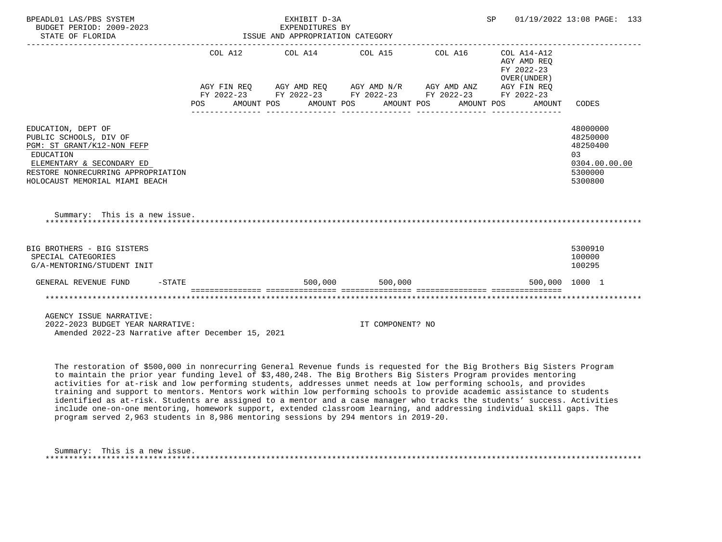| BPEADL01 LAS/PBS SYSTEM<br>BUDGET PERIOD: 2009-2023<br>STATE OF FLORIDA                                                                                                                      |            | EXHIBIT D-3A<br>EXPENDITURES BY<br>EXPENDITURES BY<br>ISSUE AND APPROPRIATION CATEGORY |  |  |  |                                                                                                            |  |            |  |                                           | 01/19/2022 13:08 PAGE: 133                                                     |  |
|----------------------------------------------------------------------------------------------------------------------------------------------------------------------------------------------|------------|----------------------------------------------------------------------------------------|--|--|--|------------------------------------------------------------------------------------------------------------|--|------------|--|-------------------------------------------|--------------------------------------------------------------------------------|--|
|                                                                                                                                                                                              |            |                                                                                        |  |  |  | COL A12 COL A14 COL A15 COL A16 COL A14-A12<br>AGY FIN REQ AGY AMD REQ AGY AMD N/R AGY AMD ANZ AGY FIN REQ |  |            |  | AGY AMD REO<br>FY 2022-23<br>OVER (UNDER) |                                                                                |  |
|                                                                                                                                                                                              | <b>POS</b> |                                                                                        |  |  |  | FY 2022-23 FY 2022-23 FY 2022-23 FY 2022-23 FY 2022-23<br>AMOUNT POS AMOUNT POS AMOUNT POS                 |  | AMOUNT POS |  | AMOUNT                                    | CODES                                                                          |  |
| EDUCATION, DEPT OF<br>PUBLIC SCHOOLS, DIV OF<br>PGM: ST GRANT/K12-NON FEFP<br>EDUCATION<br>ELEMENTARY & SECONDARY ED<br>RESTORE NONRECURRING APPROPRIATION<br>HOLOCAUST MEMORIAL MIAMI BEACH |            |                                                                                        |  |  |  |                                                                                                            |  |            |  |                                           | 48000000<br>48250000<br>48250400<br>0.3<br>0304.00.00.00<br>5300000<br>5300800 |  |
| Summary: This is a new issue.                                                                                                                                                                |            |                                                                                        |  |  |  |                                                                                                            |  |            |  |                                           |                                                                                |  |
| BIG BROTHERS - BIG SISTERS<br>SPECIAL CATEGORIES<br>G/A-MENTORING/STUDENT INIT                                                                                                               |            |                                                                                        |  |  |  |                                                                                                            |  |            |  |                                           | 5300910<br>100000<br>100295                                                    |  |
| $-$ STATE<br>GENERAL REVENUE FUND                                                                                                                                                            |            |                                                                                        |  |  |  | 500,000 500,000                                                                                            |  |            |  |                                           | 500,000 1000 1                                                                 |  |
|                                                                                                                                                                                              |            |                                                                                        |  |  |  |                                                                                                            |  |            |  |                                           |                                                                                |  |
| AGENCY ISSUE NARRATIVE:<br>2022-2023 BUDGET YEAR NARRATIVE:<br>Amended 2022-23 Narrative after December 15, 2021                                                                             |            |                                                                                        |  |  |  | IT COMPONENT? NO                                                                                           |  |            |  |                                           |                                                                                |  |

 The restoration of \$500,000 in nonrecurring General Revenue funds is requested for the Big Brothers Big Sisters Program to maintain the prior year funding level of \$3,480,248. The Big Brothers Big Sisters Program provides mentoring activities for at-risk and low performing students, addresses unmet needs at low performing schools, and provides training and support to mentors. Mentors work within low performing schools to provide academic assistance to students identified as at-risk. Students are assigned to a mentor and a case manager who tracks the students' success. Activities include one-on-one mentoring, homework support, extended classroom learning, and addressing individual skill gaps. The program served 2,963 students in 8,986 mentoring sessions by 294 mentors in 2019-20.

 Summary: This is a new issue. \*\*\*\*\*\*\*\*\*\*\*\*\*\*\*\*\*\*\*\*\*\*\*\*\*\*\*\*\*\*\*\*\*\*\*\*\*\*\*\*\*\*\*\*\*\*\*\*\*\*\*\*\*\*\*\*\*\*\*\*\*\*\*\*\*\*\*\*\*\*\*\*\*\*\*\*\*\*\*\*\*\*\*\*\*\*\*\*\*\*\*\*\*\*\*\*\*\*\*\*\*\*\*\*\*\*\*\*\*\*\*\*\*\*\*\*\*\*\*\*\*\*\*\*\*\*\*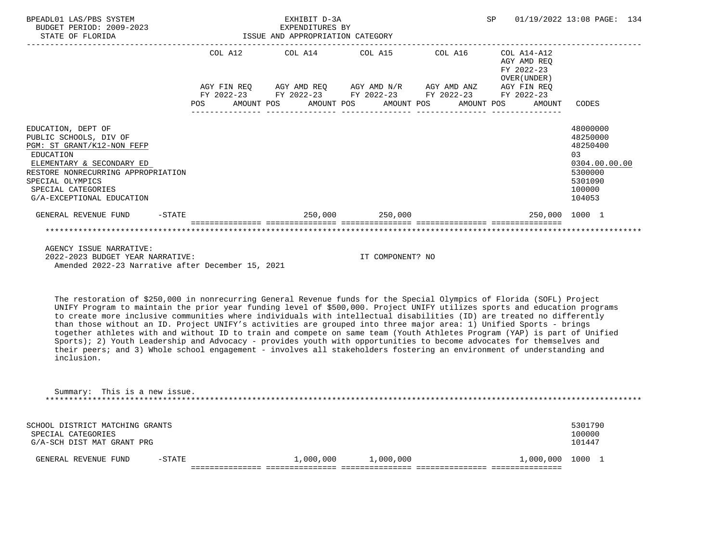| BPEADL01 LAS/PBS SYSTEM<br>BUDGET PERIOD: 2009-2023<br>ISSUE AND APPROPRIATION CATEGORY<br>STATE OF FLORIDA                                                                                                                       |            |  | EXHIBIT D-3A<br>EXPENDITURES BY                                                                                                                                      |                   |            | SP |                                           | 01/19/2022 13:08 PAGE: 134                                                                        |  |
|-----------------------------------------------------------------------------------------------------------------------------------------------------------------------------------------------------------------------------------|------------|--|----------------------------------------------------------------------------------------------------------------------------------------------------------------------|-------------------|------------|----|-------------------------------------------|---------------------------------------------------------------------------------------------------|--|
|                                                                                                                                                                                                                                   |            |  | COL A12 COL A14 COL A15 COL A16 COL A14-A12                                                                                                                          |                   |            |    | AGY AMD REO<br>FY 2022-23<br>OVER (UNDER) |                                                                                                   |  |
|                                                                                                                                                                                                                                   | <b>POS</b> |  | AGY FIN REQ AGY AMD REQ AGY AMD N/R AGY AMD ANZ AGY FIN REQ<br>FY 2022-23 FY 2022-23 FY 2022-23 FY 2022-23 FY 2022-23<br>AMOUNT POS       AMOUNT POS      AMOUNT POS |                   | AMOUNT POS |    | AMOUNT                                    | CODES                                                                                             |  |
| EDUCATION, DEPT OF<br>PUBLIC SCHOOLS, DIV OF<br>PGM: ST GRANT/K12-NON FEFP<br>EDUCATION<br>ELEMENTARY & SECONDARY ED<br>RESTORE NONRECURRING APPROPRIATION<br>SPECIAL OLYMPICS<br>SPECIAL CATEGORIES<br>G/A-EXCEPTIONAL EDUCATION |            |  |                                                                                                                                                                      |                   |            |    |                                           | 48000000<br>48250000<br>48250400<br>03<br>0304.00.00.00<br>5300000<br>5301090<br>100000<br>104053 |  |
| GENERAL REVENUE FUND<br>$-$ STATE                                                                                                                                                                                                 |            |  |                                                                                                                                                                      | 250,000 250,000   |            |    | 250,000 1000 1                            |                                                                                                   |  |
|                                                                                                                                                                                                                                   |            |  |                                                                                                                                                                      |                   |            |    |                                           |                                                                                                   |  |
| AGENCY ISSUE NARRATIVE:<br>2022.2227                                                                                                                                                                                              |            |  |                                                                                                                                                                      | TH COMPONITION NO |            |    |                                           |                                                                                                   |  |

 2022-2023 BUDGET YEAR NARRATIVE: IT COMPONENT? NO Amended 2022-23 Narrative after December 15, 2021

 The restoration of \$250,000 in nonrecurring General Revenue funds for the Special Olympics of Florida (SOFL) Project UNIFY Program to maintain the prior year funding level of \$500,000. Project UNIFY utilizes sports and education programs to create more inclusive communities where individuals with intellectual disabilities (ID) are treated no differently than those without an ID. Project UNIFY's activities are grouped into three major area: 1) Unified Sports - brings together athletes with and without ID to train and compete on same team (Youth Athletes Program (YAP) is part of Unified Sports); 2) Youth Leadership and Advocacy - provides youth with opportunities to become advocates for themselves and their peers; and 3) Whole school engagement - involves all stakeholders fostering an environment of understanding and inclusion.

| Summary: This is a new issue.   |         |
|---------------------------------|---------|
|                                 |         |
|                                 |         |
|                                 |         |
| SCHOOL DISTRICT MATCHING GRANTS | 5301790 |
| SPECIAL CATEGORIES              | 100000  |
| G/A-SCH DIST MAT GRANT PRG      | 101447  |

|                                  |                           | ________________ |            | ________________       | ________<br>____ |      |  |
|----------------------------------|---------------------------|------------------|------------|------------------------|------------------|------|--|
| FE N<br>$\overline{\phantom{a}}$ | $\lambda$ m $\tau$<br>UNL |                  | 00(<br>nnr | 00 <sub>1</sub><br>nnn | $\cap$           | .000 |  |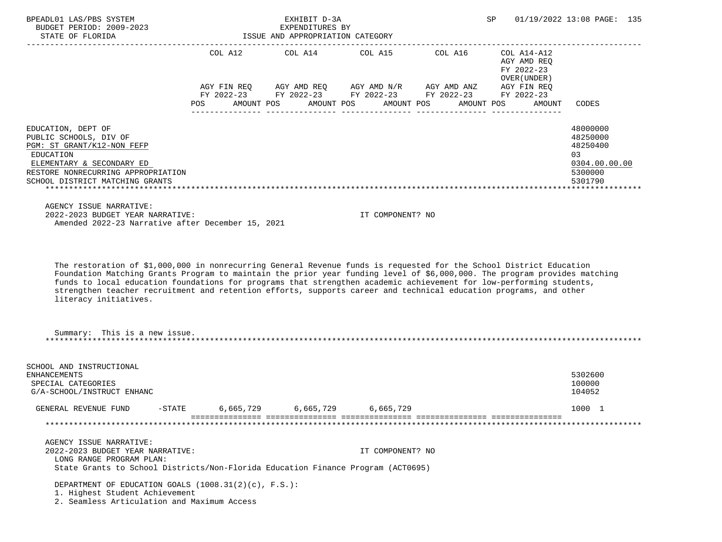| BPEADL01 LAS/PBS SYSTEM<br>BUDGET PERIOD: 2009-2023<br>STATE OF FLORIDA<br>STATE OF FLORIDA                                                                                                                                                                                                                                                                                                                                                                                                                           |           | EXHIBIT D-3A<br>EXPENDITURES BY<br>ISSUE AND APPROPRIATION CATEGORY |                                  | SP                                                                                                                                                                                 |                                                      | 01/19/2022 13:08 PAGE: 135                                                    |
|-----------------------------------------------------------------------------------------------------------------------------------------------------------------------------------------------------------------------------------------------------------------------------------------------------------------------------------------------------------------------------------------------------------------------------------------------------------------------------------------------------------------------|-----------|---------------------------------------------------------------------|----------------------------------|------------------------------------------------------------------------------------------------------------------------------------------------------------------------------------|------------------------------------------------------|-------------------------------------------------------------------------------|
|                                                                                                                                                                                                                                                                                                                                                                                                                                                                                                                       | POS       |                                                                     | AMOUNT POS AMOUNT POS AMOUNT POS | COL A12 COL A14 COL A15 COL A16 COL A14-A12<br>AGY FIN REQ AGY AMD REQ AGY AMD N/R AGY AMD ANZ AGY FIN REQ<br>FY 2022-23 FY 2022-23 FY 2022-23 FY 2022-23 FY 2022-23<br>AMOUNT POS | AGY AMD REQ<br>FY 2022-23<br>OVER (UNDER )<br>AMOUNT | CODES                                                                         |
| EDUCATION, DEPT OF<br>PUBLIC SCHOOLS, DIV OF<br>PGM: ST GRANT/K12-NON FEFP<br>EDUCATION<br>ELEMENTARY & SECONDARY ED<br>RESTORE NONRECURRING APPROPRIATION<br>SCHOOL DISTRICT MATCHING GRANTS                                                                                                                                                                                                                                                                                                                         |           |                                                                     |                                  |                                                                                                                                                                                    |                                                      | 48000000<br>48250000<br>48250400<br>03<br>0304.00.00.00<br>5300000<br>5301790 |
| AGENCY ISSUE NARRATIVE:<br>2022-2023 BUDGET YEAR NARRATIVE:<br>Amended 2022-23 Narrative after December 15, 2021                                                                                                                                                                                                                                                                                                                                                                                                      |           |                                                                     | IT COMPONENT? NO                 |                                                                                                                                                                                    |                                                      |                                                                               |
| The restoration of \$1,000,000 in nonrecurring General Revenue funds is requested for the School District Education<br>Foundation Matching Grants Program to maintain the prior year funding level of \$6,000,000. The program provides matching<br>funds to local education foundations for programs that strengthen academic achievement for low-performing students,<br>strengthen teacher recruitment and retention efforts, supports career and technical education programs, and other<br>literacy initiatives. |           |                                                                     |                                  |                                                                                                                                                                                    |                                                      |                                                                               |
| Summary: This is a new issue.                                                                                                                                                                                                                                                                                                                                                                                                                                                                                         |           |                                                                     |                                  |                                                                                                                                                                                    |                                                      |                                                                               |
| SCHOOL AND INSTRUCTIONAL<br>ENHANCEMENTS<br>SPECIAL CATEGORIES<br>G/A-SCHOOL/INSTRUCT ENHANC                                                                                                                                                                                                                                                                                                                                                                                                                          |           |                                                                     |                                  |                                                                                                                                                                                    |                                                      | 5302600<br>100000<br>104052                                                   |
| GENERAL REVENUE FUND<br>$-$ STATE                                                                                                                                                                                                                                                                                                                                                                                                                                                                                     | 6,665,729 | 6,665,729                                                           | 6,665,729                        |                                                                                                                                                                                    |                                                      | 1000 1                                                                        |
|                                                                                                                                                                                                                                                                                                                                                                                                                                                                                                                       |           |                                                                     |                                  |                                                                                                                                                                                    |                                                      |                                                                               |
| AGENCY ISSUE NARRATIVE:<br>2022-2023 BUDGET YEAR NARRATIVE:<br>LONG RANGE PROGRAM PLAN:<br>State Grants to School Districts/Non-Florida Education Finance Program (ACT0695)                                                                                                                                                                                                                                                                                                                                           |           |                                                                     | IT COMPONENT? NO                 |                                                                                                                                                                                    |                                                      |                                                                               |
| DEPARTMENT OF EDUCATION GOALS $(1008.31(2)(c), F.S.):$<br>1. Highest Student Achievement<br>2. Seamless Articulation and Maximum Access                                                                                                                                                                                                                                                                                                                                                                               |           |                                                                     |                                  |                                                                                                                                                                                    |                                                      |                                                                               |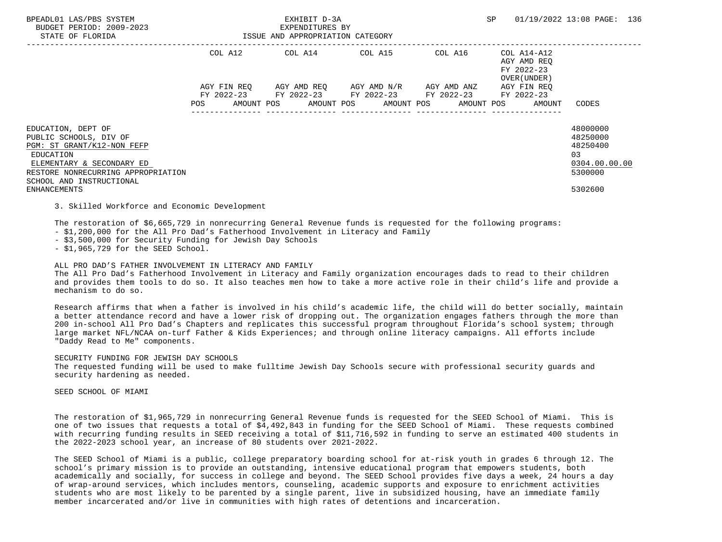| BPEADL01 LAS/PBS SYSTEM<br>BUDGET PERIOD: 2009-2023<br>STATE OF FLORIDA                                                                                                                |            |             | EXHIBIT D-3A<br>EXPENDITURES BY<br>ISSUE AND APPROPRIATION CATEGORY                                                               |                                   |         | SP |                                                          | 01/19/2022 13:08 PAGE: 136                                                     |  |
|----------------------------------------------------------------------------------------------------------------------------------------------------------------------------------------|------------|-------------|-----------------------------------------------------------------------------------------------------------------------------------|-----------------------------------|---------|----|----------------------------------------------------------|--------------------------------------------------------------------------------|--|
|                                                                                                                                                                                        |            | COL A12     | COL A14 COL A15                                                                                                                   |                                   | COL A16 |    | COL A14-A12<br>AGY AMD REO<br>FY 2022-23<br>OVER (UNDER) |                                                                                |  |
|                                                                                                                                                                                        | <b>POS</b> | AGY FIN REO | AGY AMD REO AGY AMD N/R AGY AMD ANZ<br>FY 2022-23 FY 2022-23 FY 2022-23 FY 2022-23<br>AMOUNT POS AMOUNT POS AMOUNT POS AMOUNT POS | ---------------- ---------------- |         |    | AGY FIN REO<br>FY 2022-23<br>AMOUNT                      | CODES                                                                          |  |
| EDUCATION, DEPT OF<br>PUBLIC SCHOOLS, DIV OF<br>PGM: ST GRANT/K12-NON FEFP<br>EDUCATION<br>ELEMENTARY & SECONDARY ED<br>RESTORE NONRECURRING APPROPRIATION<br>SCHOOL AND INSTRUCTIONAL |            |             |                                                                                                                                   |                                   |         |    |                                                          | 48000000<br>48250000<br>48250400<br>0 <sub>3</sub><br>0304.00.00.00<br>5300000 |  |
| ENHANCEMENTS                                                                                                                                                                           |            |             |                                                                                                                                   |                                   |         |    |                                                          | 5302600                                                                        |  |

3. Skilled Workforce and Economic Development

The restoration of \$6,665,729 in nonrecurring General Revenue funds is requested for the following programs:

- \$1,200,000 for the All Pro Dad's Fatherhood Involvement in Literacy and Family

- \$3,500,000 for Security Funding for Jewish Day Schools

- \$1,965,729 for the SEED School.

## ALL PRO DAD'S FATHER INVOLVEMENT IN LITERACY AND FAMILY

 The All Pro Dad's Fatherhood Involvement in Literacy and Family organization encourages dads to read to their children and provides them tools to do so. It also teaches men how to take a more active role in their child's life and provide a mechanism to do so.

 Research affirms that when a father is involved in his child's academic life, the child will do better socially, maintain a better attendance record and have a lower risk of dropping out. The organization engages fathers through the more than 200 in-school All Pro Dad's Chapters and replicates this successful program throughout Florida's school system; through large market NFL/NCAA on-turf Father & Kids Experiences; and through online literacy campaigns. All efforts include "Daddy Read to Me" components.

## SECURITY FUNDING FOR JEWISH DAY SCHOOLS

 The requested funding will be used to make fulltime Jewish Day Schools secure with professional security guards and security hardening as needed.

SEED SCHOOL OF MIAMI

 The restoration of \$1,965,729 in nonrecurring General Revenue funds is requested for the SEED School of Miami. This is one of two issues that requests a total of \$4,492,843 in funding for the SEED School of Miami. These requests combined with recurring funding results in SEED receiving a total of \$11,716,592 in funding to serve an estimated 400 students in the 2022-2023 school year, an increase of 80 students over 2021-2022.

 The SEED School of Miami is a public, college preparatory boarding school for at-risk youth in grades 6 through 12. The school's primary mission is to provide an outstanding, intensive educational program that empowers students, both academically and socially, for success in college and beyond. The SEED School provides five days a week, 24 hours a day of wrap-around services, which includes mentors, counseling, academic supports and exposure to enrichment activities students who are most likely to be parented by a single parent, live in subsidized housing, have an immediate family member incarcerated and/or live in communities with high rates of detentions and incarceration.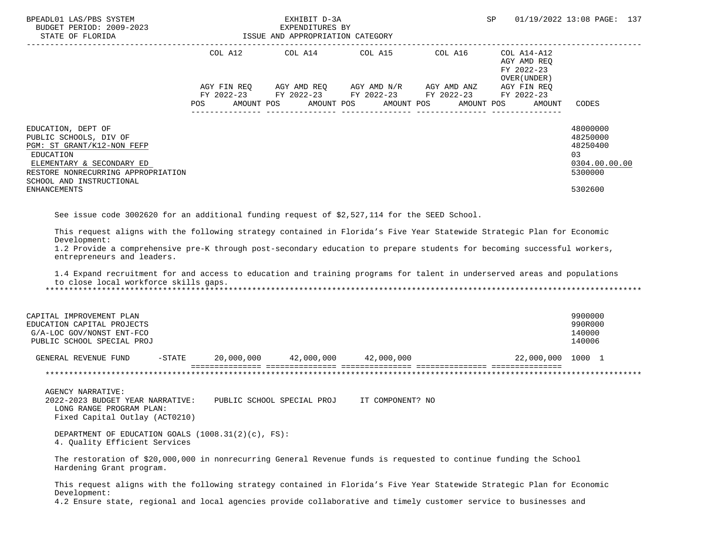| BPEADL01 LAS/PBS SYSTEM                                                                                                                                                                                                                                     |                   | EXHIBIT D-3A                                        |                                  |                                                                         | SP.                                                      | 01/19/2022 13:08 PAGE: 137                                         |
|-------------------------------------------------------------------------------------------------------------------------------------------------------------------------------------------------------------------------------------------------------------|-------------------|-----------------------------------------------------|----------------------------------|-------------------------------------------------------------------------|----------------------------------------------------------|--------------------------------------------------------------------|
| BUDGET PERIOD: 2009-2023<br>STATE OF FLORIDA                                                                                                                                                                                                                |                   | EXPENDITURES BY<br>ISSUE AND APPROPRIATION CATEGORY |                                  |                                                                         |                                                          |                                                                    |
|                                                                                                                                                                                                                                                             | COL A12           |                                                     | COL A14 COL A15 COL A16          |                                                                         | COL A14-A12<br>AGY AMD REQ<br>FY 2022-23<br>OVER (UNDER) |                                                                    |
|                                                                                                                                                                                                                                                             |                   |                                                     |                                  | AGY FIN REQ AGY AMD REQ AGY AMD N/R AGY AMD ANZ AGY FIN REQ             |                                                          |                                                                    |
|                                                                                                                                                                                                                                                             | POS<br>AMOUNT POS |                                                     | AMOUNT POS                       | FY 2022-23 FY 2022-23 FY 2022-23 FY 2022-23<br>AMOUNT POS<br>AMOUNT POS | FY 2022-23<br>AMOUNT                                     | CODES                                                              |
| EDUCATION, DEPT OF<br>PUBLIC SCHOOLS, DIV OF<br>PGM: ST GRANT/K12-NON FEFP<br>EDUCATION<br>ELEMENTARY & SECONDARY ED<br>RESTORE NONRECURRING APPROPRIATION<br>SCHOOL AND INSTRUCTIONAL                                                                      |                   |                                                     |                                  |                                                                         |                                                          | 48000000<br>48250000<br>48250400<br>03<br>0304.00.00.00<br>5300000 |
| <b>ENHANCEMENTS</b>                                                                                                                                                                                                                                         |                   |                                                     |                                  |                                                                         |                                                          | 5302600                                                            |
| entrepreneurs and leaders.<br>1.4 Expand recruitment for and access to education and training programs for talent in underserved areas and populations<br>to close local workforce skills gaps.<br>CAPITAL IMPROVEMENT PLAN<br>EDUCATION CAPITAL PROJECTS   |                   |                                                     |                                  |                                                                         |                                                          | 9900000<br>990R000                                                 |
| G/A-LOC GOV/NONST ENT-FCO<br>PUBLIC SCHOOL SPECIAL PROJ                                                                                                                                                                                                     |                   |                                                     |                                  |                                                                         |                                                          | 140000<br>140006                                                   |
| GENERAL REVENUE FUND                                                                                                                                                                                                                                        | $-$ STATE         |                                                     | 20,000,000 42,000,000 42,000,000 |                                                                         | 22,000,000 1000 1                                        |                                                                    |
|                                                                                                                                                                                                                                                             |                   |                                                     |                                  |                                                                         |                                                          |                                                                    |
| <b>AGENCY NARRATIVE:</b><br>2022-2023 BUDGET YEAR NARRATIVE: PUBLIC SCHOOL SPECIAL PROJ<br>LONG RANGE PROGRAM PLAN:<br>Fixed Capital Outlay (ACT0210)                                                                                                       |                   |                                                     | IT COMPONENT? NO                 |                                                                         |                                                          |                                                                    |
| DEPARTMENT OF EDUCATION GOALS $(1008.31(2)(c), FS)$ :<br>4. Quality Efficient Services                                                                                                                                                                      |                   |                                                     |                                  |                                                                         |                                                          |                                                                    |
| The restoration of \$20,000,000 in nonrecurring General Revenue funds is requested to continue funding the School<br>Hardening Grant program.                                                                                                               |                   |                                                     |                                  |                                                                         |                                                          |                                                                    |
| This request aligns with the following strategy contained in Florida's Five Year Statewide Strategic Plan for Economic<br>Development:<br>4.2 Ensure state, regional and local agencies provide collaborative and timely customer service to businesses and |                   |                                                     |                                  |                                                                         |                                                          |                                                                    |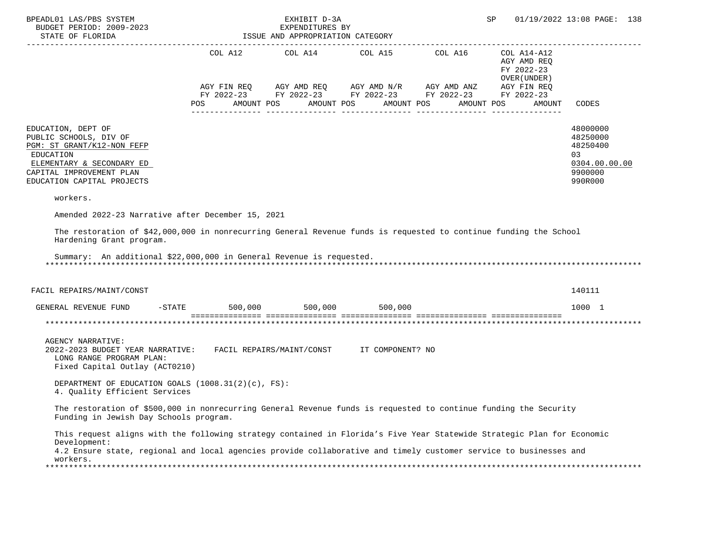| BPEADL01 LAS/PBS SYSTEM<br>BUDGET PERIOD: 2009-2023<br>STATE OF FLORIDA                                                                                                                                               |     | EXHIBIT D-3A<br>EXPENDITURES BY<br>ISSUE AND APPROPRIATION CATEGORY |                                                                                                                                     |            | SP                                         | 01/19/2022 13:08 PAGE: 138                                                    |
|-----------------------------------------------------------------------------------------------------------------------------------------------------------------------------------------------------------------------|-----|---------------------------------------------------------------------|-------------------------------------------------------------------------------------------------------------------------------------|------------|--------------------------------------------|-------------------------------------------------------------------------------|
|                                                                                                                                                                                                                       |     |                                                                     | COL A12 COL A14 COL A15 COL A16 COL A14-A12                                                                                         |            | AGY AMD REQ<br>FY 2022-23<br>OVER (UNDER ) |                                                                               |
|                                                                                                                                                                                                                       | POS | AMOUNT POS                                                          | AGY FIN REQ AGY AMD REQ AGY AMD N/R AGY AMD ANZ AGY FIN REQ<br>FY 2022-23 FY 2022-23 FY 2022-23 FY 2022-23 FY 2022-23<br>AMOUNT POS | AMOUNT POS | AMOUNT POS<br>AMOUNT                       | CODES                                                                         |
| EDUCATION, DEPT OF<br>PUBLIC SCHOOLS, DIV OF<br>PGM: ST GRANT/K12-NON FEFP<br>EDUCATION<br>ELEMENTARY & SECONDARY ED<br>CAPITAL IMPROVEMENT PLAN<br>EDUCATION CAPITAL PROJECTS                                        |     |                                                                     |                                                                                                                                     |            |                                            | 48000000<br>48250000<br>48250400<br>03<br>0304.00.00.00<br>9900000<br>990R000 |
| workers.                                                                                                                                                                                                              |     |                                                                     |                                                                                                                                     |            |                                            |                                                                               |
| Amended 2022-23 Narrative after December 15, 2021                                                                                                                                                                     |     |                                                                     |                                                                                                                                     |            |                                            |                                                                               |
| The restoration of \$42,000,000 in nonrecurring General Revenue funds is requested to continue funding the School<br>Hardening Grant program.<br>Summary: An additional \$22,000,000 in General Revenue is requested. |     |                                                                     |                                                                                                                                     |            |                                            |                                                                               |
| FACIL REPAIRS/MAINT/CONST                                                                                                                                                                                             |     |                                                                     |                                                                                                                                     |            |                                            | 140111                                                                        |
| GENERAL REVENUE FUND -STATE 500,000 500,000 500,000 500,000                                                                                                                                                           |     |                                                                     |                                                                                                                                     |            |                                            | 1000 1                                                                        |
|                                                                                                                                                                                                                       |     |                                                                     |                                                                                                                                     |            |                                            |                                                                               |
| <b>AGENCY NARRATIVE:</b><br>2022-2023 BUDGET YEAR NARRATIVE: FACIL REPAIRS/MAINT/CONST IT COMPONENT? NO<br>LONG RANGE PROGRAM PLAN:<br>Fixed Capital Outlay (ACT0210)                                                 |     |                                                                     |                                                                                                                                     |            |                                            |                                                                               |
| DEPARTMENT OF EDUCATION GOALS $(1008.31(2)(c), FS)$ :<br>4. Quality Efficient Services                                                                                                                                |     |                                                                     |                                                                                                                                     |            |                                            |                                                                               |
| The restoration of \$500,000 in nonrecurring General Revenue funds is requested to continue funding the Security<br>Funding in Jewish Day Schools program.                                                            |     |                                                                     |                                                                                                                                     |            |                                            |                                                                               |
| This request aligns with the following strategy contained in Florida's Five Year Statewide Strategic Plan for Economic<br>Development:                                                                                |     |                                                                     |                                                                                                                                     |            |                                            |                                                                               |
| 4.2 Ensure state, regional and local agencies provide collaborative and timely customer service to businesses and<br>workers.                                                                                         |     |                                                                     |                                                                                                                                     |            |                                            |                                                                               |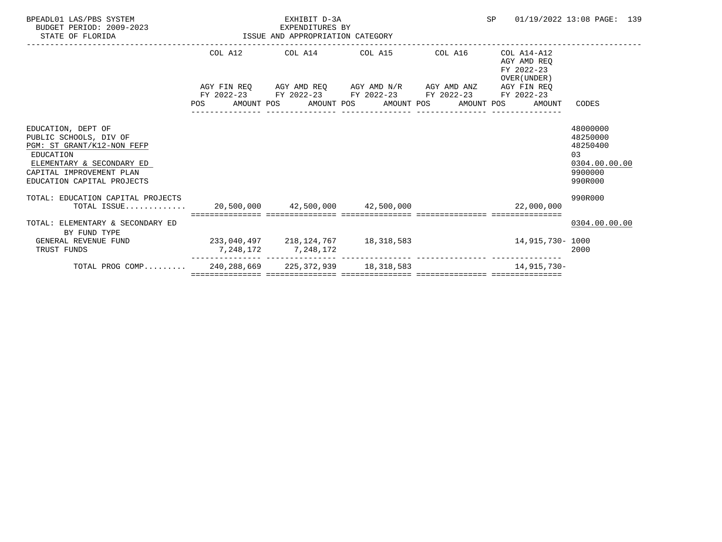| BPEADL01 LAS/PBS SYSTEM<br>BUDGET PERIOD: 2009-2023<br>STATE OF FLORIDA                                                                                                        | EXPENDITURES BY<br>ISSUE AND APPROPRIATION CATEGORY | EXHIBIT D-3A<br>EXPENDITURES BY |                                                                                                                       |                 | SP                                                       | 01/19/2022 13:08 PAGE: 139                                                     |
|--------------------------------------------------------------------------------------------------------------------------------------------------------------------------------|-----------------------------------------------------|---------------------------------|-----------------------------------------------------------------------------------------------------------------------|-----------------|----------------------------------------------------------|--------------------------------------------------------------------------------|
|                                                                                                                                                                                |                                                     | ------------------------------  | COL A12 COL A14 COL A15 COL A16                                                                                       |                 | COL A14-A12<br>AGY AMD REO<br>FY 2022-23<br>OVER (UNDER) |                                                                                |
|                                                                                                                                                                                |                                                     |                                 | AGY FIN REQ AGY AMD REQ AGY AMD N/R AGY AMD ANZ AGY FIN REQ<br>FY 2022-23 FY 2022-23 FY 2022-23 FY 2022-23 FY 2022-23 | --------------- | POS AMOUNT POS AMOUNT POS AMOUNT POS AMOUNT POS AMOUNT   | CODES                                                                          |
| EDUCATION, DEPT OF<br>PUBLIC SCHOOLS, DIV OF<br>PGM: ST GRANT/K12-NON FEFP<br>EDUCATION<br>ELEMENTARY & SECONDARY ED<br>CAPITAL IMPROVEMENT PLAN<br>EDUCATION CAPITAL PROJECTS |                                                     |                                 |                                                                                                                       |                 |                                                          | 48000000<br>48250000<br>48250400<br>0.3<br>0304.00.00.00<br>9900000<br>990R000 |
| TOTAL: EDUCATION CAPITAL PROJECTS<br>TOTAL ISSUE                                                                                                                               |                                                     |                                 |                                                                                                                       |                 | $20,500,000$ $42,500,000$ $42,500,000$ $22,000,000$      | 990R000                                                                        |
| TOTAL: ELEMENTARY & SECONDARY ED<br>BY FUND TYPE<br>GENERAL REVENUE FUND<br>TRUST FUNDS                                                                                        | $233,040,497$ $218,124,767$ $18,318,583$            | 7,248,172 7,248,172             |                                                                                                                       |                 | 14,915,730- 1000                                         | 0304.00.00.00<br>2000                                                          |
| TOTAL PROG COMP 240,288,669 225,372,939 18,318,583                                                                                                                             |                                                     |                                 |                                                                                                                       |                 | 14,915,730-                                              |                                                                                |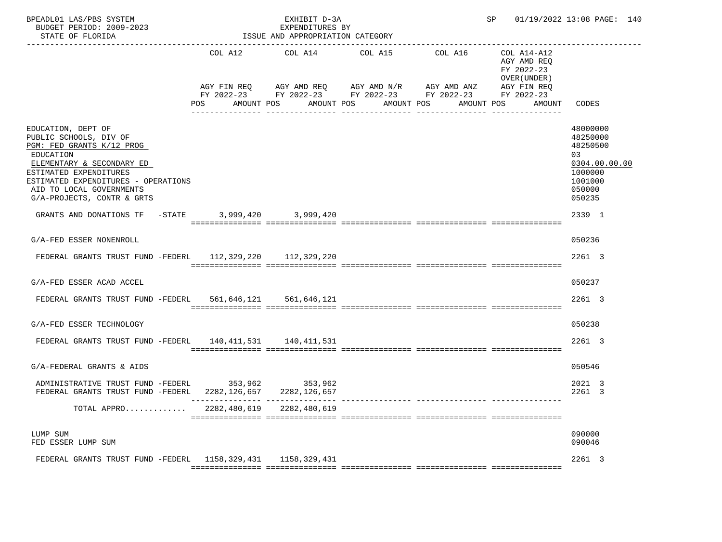| BPEADL01 LAS/PBS SYSTEM<br>BUDGET PERIOD: 2009-2023<br>STATE OF FLORIDA<br>-------------------------                                                                                                                                           |              | EXHIBIT D-3A<br>EXPENDITURES BY<br>ISSUE AND APPROPRIATION CATEGORY |                                                                                                                        | SP 01/19/2022 13:08 PAGE: 140                            |                                                                                                   |
|------------------------------------------------------------------------------------------------------------------------------------------------------------------------------------------------------------------------------------------------|--------------|---------------------------------------------------------------------|------------------------------------------------------------------------------------------------------------------------|----------------------------------------------------------|---------------------------------------------------------------------------------------------------|
|                                                                                                                                                                                                                                                |              |                                                                     | COL A12 COL A14 COL A15 COL A16<br>AGY FIN REQ AGY AMD REQ AGY AMD N/R AGY AMD ANZ AGY FIN REQ                         | COL A14-A12<br>AGY AMD REQ<br>FY 2022-23<br>OVER (UNDER) |                                                                                                   |
|                                                                                                                                                                                                                                                |              |                                                                     | FY 2022-23 FY 2022-23 FY 2022-23 FY 2022-23 FY 2022-23<br>POS AMOUNT POS AMOUNT POS AMOUNT POS AMOUNT POS AMOUNT CODES |                                                          |                                                                                                   |
| EDUCATION, DEPT OF<br>PUBLIC SCHOOLS, DIV OF<br>PGM: FED GRANTS K/12 PROG<br>EDUCATION<br>ELEMENTARY & SECONDARY ED<br>ESTIMATED EXPENDITURES<br>ESTIMATED EXPENDITURES - OPERATIONS<br>AID TO LOCAL GOVERNMENTS<br>G/A-PROJECTS, CONTR & GRTS |              |                                                                     |                                                                                                                        |                                                          | 48000000<br>48250000<br>48250500<br>03<br>0304.00.00.00<br>1000000<br>1001000<br>050000<br>050235 |
| GRANTS AND DONATIONS TF -STATE 3,999,420 3,999,420                                                                                                                                                                                             |              |                                                                     |                                                                                                                        |                                                          | 2339 1                                                                                            |
| G/A-FED ESSER NONENROLL                                                                                                                                                                                                                        |              |                                                                     |                                                                                                                        |                                                          | 050236                                                                                            |
| FEDERAL GRANTS TRUST FUND -FEDERL 112,329,220 112,329,220                                                                                                                                                                                      |              |                                                                     |                                                                                                                        |                                                          | 2261 3                                                                                            |
| G/A-FED ESSER ACAD ACCEL                                                                                                                                                                                                                       |              |                                                                     |                                                                                                                        |                                                          | 050237                                                                                            |
| FEDERAL GRANTS TRUST FUND -FEDERL 561,646,121 561,646,121                                                                                                                                                                                      |              |                                                                     |                                                                                                                        |                                                          | 2261 3                                                                                            |
| G/A-FED ESSER TECHNOLOGY                                                                                                                                                                                                                       |              |                                                                     |                                                                                                                        |                                                          | 050238                                                                                            |
| FEDERAL GRANTS TRUST FUND -FEDERL 140, 411, 531 140, 411, 531                                                                                                                                                                                  |              |                                                                     |                                                                                                                        |                                                          | 2261 3                                                                                            |
| G/A-FEDERAL GRANTS & AIDS                                                                                                                                                                                                                      |              |                                                                     |                                                                                                                        |                                                          | 050546                                                                                            |
| ADMINISTRATIVE TRUST FUND -FEDERL 353,962 353,962<br>FEDERAL GRANTS TRUST FUND -FEDERL 2282, 126, 657 2282, 126, 657                                                                                                                           |              |                                                                     |                                                                                                                        |                                                          | 2021 3<br>2261 3                                                                                  |
| TOTAL APPRO                                                                                                                                                                                                                                    | 2282,480,619 | 2282, 480, 619                                                      |                                                                                                                        |                                                          |                                                                                                   |
| LUMP SUM<br>FED ESSER LUMP SUM                                                                                                                                                                                                                 |              |                                                                     |                                                                                                                        |                                                          | 090000<br>090046                                                                                  |
| FEDERAL GRANTS TRUST FUND -FEDERL 1158, 329, 431 1158, 329, 431                                                                                                                                                                                |              |                                                                     |                                                                                                                        |                                                          | 2261 3                                                                                            |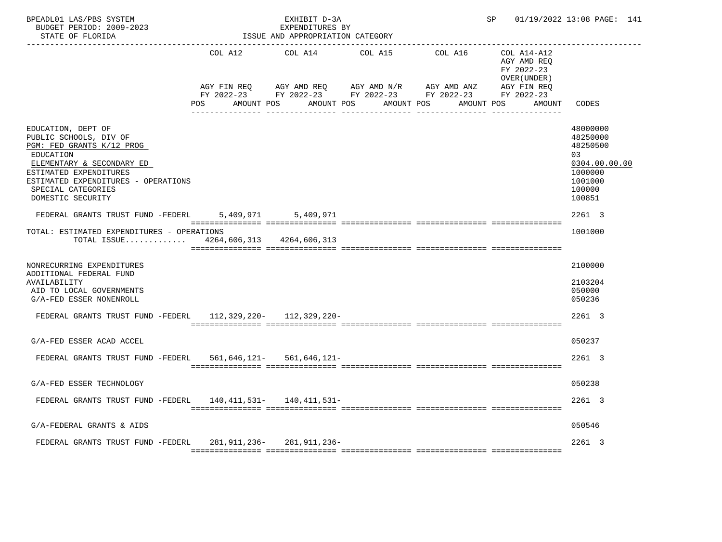| BPEADL01 LAS/PBS SYSTEM<br>BUDGET PERIOD: 2009-2023<br>STATE OF FLORIDA                                                                                                                                                         | EXHIBIT D-3A<br>EXPENDITURES BY<br>ISSUE AND APPROPRIATION CATEGORY |                                                                                                                                                                                                                             |         | SP 01/19/2022 13:08 PAGE: 141                            |                                                                                                    |
|---------------------------------------------------------------------------------------------------------------------------------------------------------------------------------------------------------------------------------|---------------------------------------------------------------------|-----------------------------------------------------------------------------------------------------------------------------------------------------------------------------------------------------------------------------|---------|----------------------------------------------------------|----------------------------------------------------------------------------------------------------|
|                                                                                                                                                                                                                                 | COL A12 COL A14 COL A15                                             |                                                                                                                                                                                                                             | COL A16 | COL A14-A12<br>AGY AMD REQ<br>FY 2022-23<br>OVER (UNDER) |                                                                                                    |
|                                                                                                                                                                                                                                 |                                                                     | AGY FIN REQ        AGY AMD REQ        AGY AMD N/R        AGY AMD ANZ          AGY FIN REQ<br>FY 2022-23          FY 2022-23        FY 2022-23         FY 2022-23         FY 2022-23<br>POS AMOUNT POS AMOUNT POS AMOUNT POS |         | AGY FIN REQ<br>AMOUNT POS<br>AMOUNT                      | CODES                                                                                              |
| EDUCATION, DEPT OF<br>PUBLIC SCHOOLS, DIV OF<br>PGM: FED GRANTS K/12 PROG<br>EDUCATION<br>ELEMENTARY & SECONDARY ED<br>ESTIMATED EXPENDITURES<br>ESTIMATED EXPENDITURES - OPERATIONS<br>SPECIAL CATEGORIES<br>DOMESTIC SECURITY |                                                                     |                                                                                                                                                                                                                             |         |                                                          | 48000000<br>48250000<br>48250500<br>0.3<br>0304.00.00.00<br>1000000<br>1001000<br>100000<br>100851 |
| FEDERAL GRANTS TRUST FUND -FEDERL 5,409,971 5,409,971                                                                                                                                                                           |                                                                     |                                                                                                                                                                                                                             |         |                                                          | 2261 3                                                                                             |
| TOTAL: ESTIMATED EXPENDITURES - OPERATIONS<br>TOTAL ISSUE $4264,606,313$ $4264,606,313$                                                                                                                                         |                                                                     |                                                                                                                                                                                                                             |         |                                                          | 1001000                                                                                            |
| NONRECURRING EXPENDITURES<br>ADDITIONAL FEDERAL FUND<br>AVAILABILITY<br>AID TO LOCAL GOVERNMENTS<br>G/A-FED ESSER NONENROLL                                                                                                     |                                                                     |                                                                                                                                                                                                                             |         |                                                          | 2100000<br>2103204<br>050000<br>050236                                                             |
| FEDERAL GRANTS TRUST FUND -FEDERL 112,329,220- 112,329,220-                                                                                                                                                                     |                                                                     |                                                                                                                                                                                                                             |         |                                                          | 2261 3                                                                                             |
| G/A-FED ESSER ACAD ACCEL                                                                                                                                                                                                        |                                                                     |                                                                                                                                                                                                                             |         |                                                          | 050237                                                                                             |
| FEDERAL GRANTS TRUST FUND -FEDERL 561,646,121- 561,646,121-                                                                                                                                                                     |                                                                     |                                                                                                                                                                                                                             |         |                                                          | 2261 3                                                                                             |
| G/A-FED ESSER TECHNOLOGY                                                                                                                                                                                                        |                                                                     |                                                                                                                                                                                                                             |         |                                                          | 050238                                                                                             |
| FEDERAL GRANTS TRUST FUND -FEDERL 140,411,531- 140,411,531-                                                                                                                                                                     |                                                                     |                                                                                                                                                                                                                             |         |                                                          | 2261 3                                                                                             |
| G/A-FEDERAL GRANTS & AIDS                                                                                                                                                                                                       |                                                                     |                                                                                                                                                                                                                             |         |                                                          | 050546                                                                                             |
| FEDERAL GRANTS TRUST FUND -FEDERL 281,911,236- 281,911,236-                                                                                                                                                                     |                                                                     |                                                                                                                                                                                                                             |         |                                                          | 2261 3                                                                                             |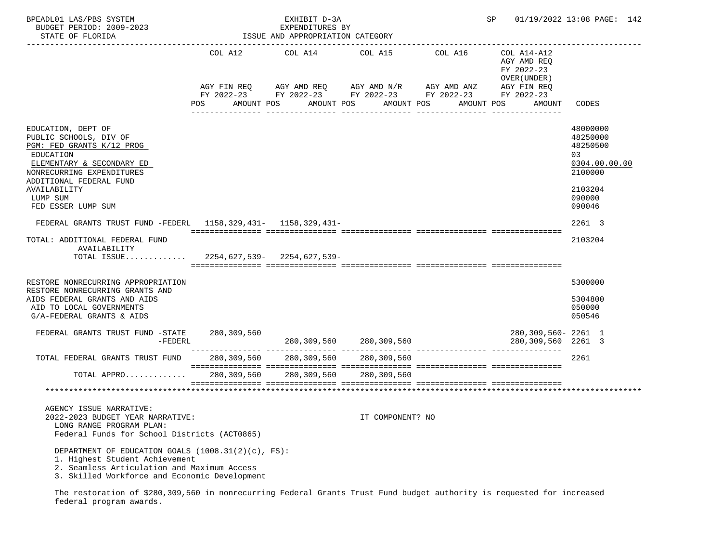| BPEADL01 LAS/PBS SYSTEM<br>BUDGET PERIOD: 2009-2023<br>STATE OF FLORIDA                                                                                                              |             | EXHIBIT D-3A<br>EXPENDITURES BY<br>ISSUE AND APPROPRIATION CATEGORY |                                                                                    |            | SP and the set of the set of the set of the set of the set of the set of the set of the set of the set of the set of the set of the set of the set of the set of the set of the set of the set of the set of the set of the se | 01/19/2022 13:08 PAGE: 142                                         |
|--------------------------------------------------------------------------------------------------------------------------------------------------------------------------------------|-------------|---------------------------------------------------------------------|------------------------------------------------------------------------------------|------------|--------------------------------------------------------------------------------------------------------------------------------------------------------------------------------------------------------------------------------|--------------------------------------------------------------------|
|                                                                                                                                                                                      | COL A12     | COL A14                                                             | COL A15<br>AGY FIN REQ 6 AGY AMD REQ 6 AGY AMD N/R 66 AGY AMD ANZ                  | COL A16    | COL A14-A12<br>AGY AMD REQ<br>FY 2022-23<br>OVER (UNDER)<br>AGY FIN REQ                                                                                                                                                        |                                                                    |
|                                                                                                                                                                                      | POS         | AMOUNT POS                                                          | FY 2022-23 FY 2022-23 FY 2022-23 FY 2022-23 FY 2022-23<br>AMOUNT POS<br>AMOUNT POS | AMOUNT POS | AMOUNT                                                                                                                                                                                                                         | CODES                                                              |
|                                                                                                                                                                                      |             |                                                                     |                                                                                    |            |                                                                                                                                                                                                                                |                                                                    |
| EDUCATION, DEPT OF<br>PUBLIC SCHOOLS, DIV OF<br>PGM: FED GRANTS K/12 PROG<br>EDUCATION<br>ELEMENTARY & SECONDARY ED<br>NONRECURRING EXPENDITURES<br>ADDITIONAL FEDERAL FUND          |             |                                                                     |                                                                                    |            |                                                                                                                                                                                                                                | 48000000<br>48250000<br>48250500<br>03<br>0304.00.00.00<br>2100000 |
| AVAILABILITY<br>LUMP SUM<br>FED ESSER LUMP SUM                                                                                                                                       |             |                                                                     |                                                                                    |            |                                                                                                                                                                                                                                | 2103204<br>090000<br>090046                                        |
| FEDERAL GRANTS TRUST FUND -FEDERL 1158,329,431- 1158,329,431-                                                                                                                        |             |                                                                     |                                                                                    |            |                                                                                                                                                                                                                                | 2261 3                                                             |
| TOTAL: ADDITIONAL FEDERAL FUND<br>AVAILABILITY<br>TOTAL ISSUE 2254,627,539- 2254,627,539-                                                                                            |             |                                                                     |                                                                                    |            |                                                                                                                                                                                                                                | 2103204                                                            |
| RESTORE NONRECURRING APPROPRIATION<br>RESTORE NONRECURRING GRANTS AND<br>AIDS FEDERAL GRANTS AND AIDS<br>AID TO LOCAL GOVERNMENTS<br>G/A-FEDERAL GRANTS & AIDS                       |             |                                                                     |                                                                                    |            |                                                                                                                                                                                                                                | 5300000<br>5304800<br>050000<br>050546                             |
| FEDERAL GRANTS TRUST FUND -STATE 280,309,560<br>$-FEDERL$                                                                                                                            |             |                                                                     | 280, 309, 560 280, 309, 560                                                        |            | 280,309,560- 2261 1<br>280,309,560 2261 3                                                                                                                                                                                      |                                                                    |
| TOTAL FEDERAL GRANTS TRUST FUND                                                                                                                                                      |             |                                                                     | 280,309,560 280,309,560 280,309,560                                                |            |                                                                                                                                                                                                                                | 2261                                                               |
| TOTAL APPRO                                                                                                                                                                          | 280,309,560 | 280,309,560                                                         | 280,309,560                                                                        |            |                                                                                                                                                                                                                                |                                                                    |
|                                                                                                                                                                                      |             |                                                                     |                                                                                    |            |                                                                                                                                                                                                                                |                                                                    |
| AGENCY ISSUE NARRATIVE:<br>2022-2023 BUDGET YEAR NARRATIVE:<br>LONG RANGE PROGRAM PLAN:<br>Federal Funds for School Districts (ACT0865)                                              |             |                                                                     | IT COMPONENT? NO                                                                   |            |                                                                                                                                                                                                                                |                                                                    |
| DEPARTMENT OF EDUCATION GOALS (1008.31(2)(c), FS):<br>1. Highest Student Achievement<br>2. Seamless Articulation and Maximum Access<br>3. Skilled Workforce and Economic Development |             |                                                                     |                                                                                    |            |                                                                                                                                                                                                                                |                                                                    |

 The restoration of \$280,309,560 in nonrecurring Federal Grants Trust Fund budget authority is requested for increased federal program awards.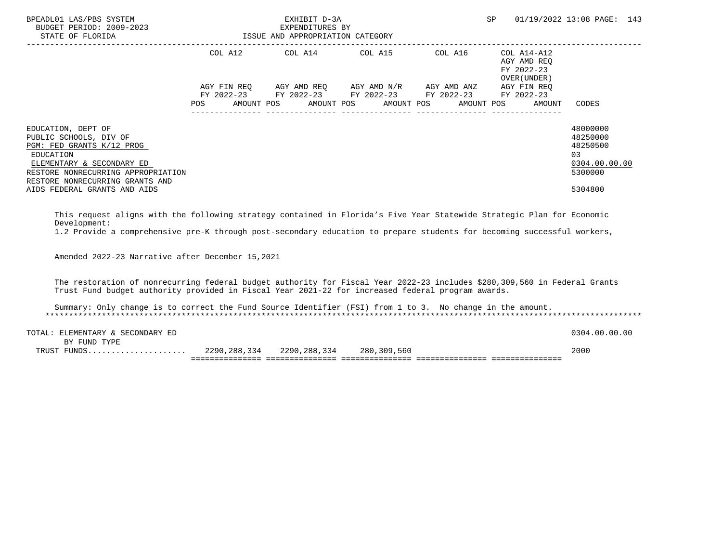| BPEADL01 LAS/PBS SYSTEM<br>BUDGET PERIOD: 2009-2023<br>STATE OF FLORIDA                                                                                                                      | EXHIBIT D-3A<br>EXPENDITURES BY<br>ISSUE AND APPROPRIATION CATEGORY |  |                                     |                                                                                            | SP                                                       | 01/19/2022 13:08 PAGE: 143                                          |
|----------------------------------------------------------------------------------------------------------------------------------------------------------------------------------------------|---------------------------------------------------------------------|--|-------------------------------------|--------------------------------------------------------------------------------------------|----------------------------------------------------------|---------------------------------------------------------------------|
|                                                                                                                                                                                              | COL A12                                                             |  |                                     | COL A14 COL A15 COL A16                                                                    | COL A14-A12<br>AGY AMD REO<br>FY 2022-23<br>OVER (UNDER) |                                                                     |
|                                                                                                                                                                                              | AGY FIN REO<br><b>POS</b>                                           |  | AGY AMD REO AGY AMD N/R AGY AMD ANZ | FY 2022-23 FY 2022-23 FY 2022-23 FY 2022-23<br>AMOUNT POS AMOUNT POS AMOUNT POS AMOUNT POS | AGY FIN REO<br>FY 2022-23<br>AMOUNT                      | CODES                                                               |
| EDUCATION, DEPT OF<br>PUBLIC SCHOOLS, DIV OF<br>PGM: FED GRANTS K/12 PROG<br>EDUCATION<br>ELEMENTARY & SECONDARY ED<br>RESTORE NONRECURRING APPROPRIATION<br>RESTORE NONRECURRING GRANTS AND |                                                                     |  |                                     |                                                                                            |                                                          | 48000000<br>48250000<br>48250500<br>0.3<br>0304.00.00.00<br>5300000 |
| AIDS FEDERAL GRANTS AND AIDS                                                                                                                                                                 |                                                                     |  |                                     |                                                                                            |                                                          | 5304800                                                             |

 This request aligns with the following strategy contained in Florida's Five Year Statewide Strategic Plan for Economic Development:

1.2 Provide a comprehensive pre-K through post-secondary education to prepare students for becoming successful workers,

Amended 2022-23 Narrative after December 15,2021

 The restoration of nonrecurring federal budget authority for Fiscal Year 2022-23 includes \$280,309,560 in Federal Grants Trust Fund budget authority provided in Fiscal Year 2021-22 for increased federal program awards.

 Summary: Only change is to correct the Fund Source Identifier (FSI) from 1 to 3. No change in the amount. \*\*\*\*\*\*\*\*\*\*\*\*\*\*\*\*\*\*\*\*\*\*\*\*\*\*\*\*\*\*\*\*\*\*\*\*\*\*\*\*\*\*\*\*\*\*\*\*\*\*\*\*\*\*\*\*\*\*\*\*\*\*\*\*\*\*\*\*\*\*\*\*\*\*\*\*\*\*\*\*\*\*\*\*\*\*\*\*\*\*\*\*\*\*\*\*\*\*\*\*\*\*\*\*\*\*\*\*\*\*\*\*\*\*\*\*\*\*\*\*\*\*\*\*\*\*\*

| TOTAL<br>LEMENTARY & SECONDARY ED |              |              |             | .00.00<br>. വ<br>304 |
|-----------------------------------|--------------|--------------|-------------|----------------------|
| FUND TYPE<br><b>RV</b>            |              |              |             |                      |
| TPITOT<br>.                       | 2290,288,334 | 2290,288,334 | 280,309,560 | 2000                 |
|                                   |              |              |             |                      |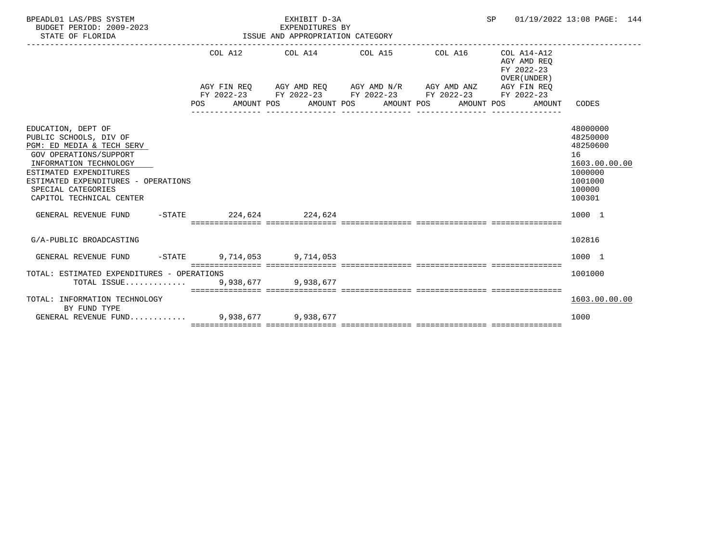| BPEADL01 LAS/PBS SYSTEM<br>BUDGET PERIOD: 2009-2023<br>STATE OF FLORIDA                                                                                                                                                                          |  |  | EXHIBIT D-3A<br>EXPENDITURES BY<br>ISSUE AND APPROPRIATION CATEGORY                                                                                                                                                                                  |  |                                             |  | SP 01/19/2022 13:08 PAGE: 144 |                                           |                                                                                                   |  |
|--------------------------------------------------------------------------------------------------------------------------------------------------------------------------------------------------------------------------------------------------|--|--|------------------------------------------------------------------------------------------------------------------------------------------------------------------------------------------------------------------------------------------------------|--|---------------------------------------------|--|-------------------------------|-------------------------------------------|---------------------------------------------------------------------------------------------------|--|
|                                                                                                                                                                                                                                                  |  |  |                                                                                                                                                                                                                                                      |  | COL A12 COL A14 COL A15 COL A16 COL A14-A12 |  |                               | AGY AMD REO<br>FY 2022-23<br>OVER (UNDER) |                                                                                                   |  |
|                                                                                                                                                                                                                                                  |  |  | $AGY \texttt{ FIN REQ} \qquad \texttt{AGY AMD REQ} \qquad \texttt{AGY AMD N/R} \qquad \texttt{AGY AMD ANZ} \qquad \texttt{AGY FIN REQ}$<br>FY 2022-23 FY 2022-23 FY 2022-23 FY 2022-23 FY 2022-23<br>POS AMOUNT POS AMOUNT POS AMOUNT POS AMOUNT POS |  |                                             |  |                               | AMOUNT                                    | CODES                                                                                             |  |
| EDUCATION, DEPT OF<br>PUBLIC SCHOOLS, DIV OF<br>PGM: ED MEDIA & TECH SERV<br>GOV OPERATIONS/SUPPORT<br>INFORMATION TECHNOLOGY<br>ESTIMATED EXPENDITURES<br>ESTIMATED EXPENDITURES - OPERATIONS<br>SPECIAL CATEGORIES<br>CAPITOL TECHNICAL CENTER |  |  |                                                                                                                                                                                                                                                      |  |                                             |  |                               |                                           | 48000000<br>48250000<br>48250600<br>16<br>1603.00.00.00<br>1000000<br>1001000<br>100000<br>100301 |  |
| GENERAL REVENUE FUND -STATE 224.624 224.624                                                                                                                                                                                                      |  |  |                                                                                                                                                                                                                                                      |  |                                             |  |                               |                                           | 1000 1                                                                                            |  |
| G/A-PUBLIC BROADCASTING                                                                                                                                                                                                                          |  |  |                                                                                                                                                                                                                                                      |  |                                             |  |                               |                                           | 102816                                                                                            |  |
| GENERAL REVENUE FUND -STATE 9.714.053 9.714.053                                                                                                                                                                                                  |  |  |                                                                                                                                                                                                                                                      |  |                                             |  |                               |                                           | 1000 1                                                                                            |  |
| TOTAL: ESTIMATED EXPENDITURES - OPERATIONS<br>TOTAL ISSUE 9,938,677 9,938,677                                                                                                                                                                    |  |  |                                                                                                                                                                                                                                                      |  |                                             |  |                               |                                           | 1001000                                                                                           |  |
| TOTAL: INFORMATION TECHNOLOGY<br>BY FUND TYPE                                                                                                                                                                                                    |  |  |                                                                                                                                                                                                                                                      |  |                                             |  |                               |                                           | 1603.00.00.00                                                                                     |  |
| GENERAL REVENUE FUND 9,938,677 9,938,677                                                                                                                                                                                                         |  |  |                                                                                                                                                                                                                                                      |  |                                             |  |                               |                                           | 1000                                                                                              |  |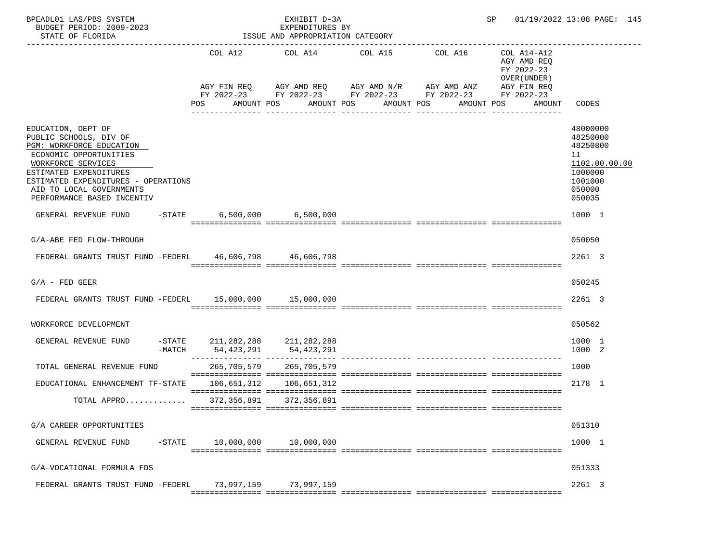|            |                                                                                       |                                                                                                   |                                                                                                                                                                                                                                                                                                                                                                                                |                                                                    | 01/19/2022 13:08 PAGE: 145                                                                                                                                                                                                                                                                |
|------------|---------------------------------------------------------------------------------------|---------------------------------------------------------------------------------------------------|------------------------------------------------------------------------------------------------------------------------------------------------------------------------------------------------------------------------------------------------------------------------------------------------------------------------------------------------------------------------------------------------|--------------------------------------------------------------------|-------------------------------------------------------------------------------------------------------------------------------------------------------------------------------------------------------------------------------------------------------------------------------------------|
| <b>POS</b> |                                                                                       |                                                                                                   |                                                                                                                                                                                                                                                                                                                                                                                                | COL A14-A12<br>AGY AMD REQ<br>FY 2022-23<br>OVER (UNDER)<br>AMOUNT | CODES                                                                                                                                                                                                                                                                                     |
|            |                                                                                       |                                                                                                   |                                                                                                                                                                                                                                                                                                                                                                                                |                                                                    | 48000000<br>48250000<br>48250800<br>11<br>1102.00.00.00<br>1000000<br>1001000<br>050000<br>050035                                                                                                                                                                                         |
|            |                                                                                       |                                                                                                   |                                                                                                                                                                                                                                                                                                                                                                                                |                                                                    | 1000 1                                                                                                                                                                                                                                                                                    |
|            |                                                                                       |                                                                                                   |                                                                                                                                                                                                                                                                                                                                                                                                |                                                                    | 050050                                                                                                                                                                                                                                                                                    |
|            |                                                                                       |                                                                                                   |                                                                                                                                                                                                                                                                                                                                                                                                |                                                                    | 2261 3                                                                                                                                                                                                                                                                                    |
|            |                                                                                       |                                                                                                   |                                                                                                                                                                                                                                                                                                                                                                                                |                                                                    | 050245                                                                                                                                                                                                                                                                                    |
|            |                                                                                       |                                                                                                   |                                                                                                                                                                                                                                                                                                                                                                                                |                                                                    | 2261 3                                                                                                                                                                                                                                                                                    |
|            |                                                                                       |                                                                                                   |                                                                                                                                                                                                                                                                                                                                                                                                |                                                                    | 050562                                                                                                                                                                                                                                                                                    |
|            |                                                                                       |                                                                                                   |                                                                                                                                                                                                                                                                                                                                                                                                |                                                                    | 1000 1<br>1000 2                                                                                                                                                                                                                                                                          |
|            |                                                                                       |                                                                                                   |                                                                                                                                                                                                                                                                                                                                                                                                |                                                                    | 1000                                                                                                                                                                                                                                                                                      |
|            |                                                                                       |                                                                                                   |                                                                                                                                                                                                                                                                                                                                                                                                |                                                                    | 2178 1                                                                                                                                                                                                                                                                                    |
|            |                                                                                       |                                                                                                   |                                                                                                                                                                                                                                                                                                                                                                                                |                                                                    |                                                                                                                                                                                                                                                                                           |
|            |                                                                                       |                                                                                                   |                                                                                                                                                                                                                                                                                                                                                                                                |                                                                    | 051310                                                                                                                                                                                                                                                                                    |
|            | 10,000,000                                                                            |                                                                                                   |                                                                                                                                                                                                                                                                                                                                                                                                |                                                                    | 1000 1                                                                                                                                                                                                                                                                                    |
|            |                                                                                       |                                                                                                   |                                                                                                                                                                                                                                                                                                                                                                                                |                                                                    | 051333                                                                                                                                                                                                                                                                                    |
|            |                                                                                       |                                                                                                   |                                                                                                                                                                                                                                                                                                                                                                                                |                                                                    | 2261 3                                                                                                                                                                                                                                                                                    |
|            | ESTIMATED EXPENDITURES - OPERATIONS<br>$-$ STATE<br>FEDERAL GRANTS TRUST FUND -FEDERL | $-$ STATE 211, 282, 288 211, 282, 288<br>-MATCH 54,423,291<br>10,000,000<br>73,997,159 73,997,159 | EXHIBIT D-3A<br>EXPENDITURES BY<br>ISSUE AND APPROPRIATION CATEGORY<br>AMOUNT POS AMOUNT POS<br>$-STATE$ 6,500,000 6,500,000<br>FEDERAL GRANTS TRUST FUND -FEDERL 46,606,798 46,606,798<br>FEDERAL GRANTS TRUST FUND -FEDERL 15,000,000 15,000,000<br>54,423,291<br>265,705,579 265,705,579<br>EDUCATIONAL ENHANCEMENT TF-STATE 106,651,312 106,651,312<br>TOTAL APPRO 372,356,891 372,356,891 | AMOUNT POS                                                         | SP and the set of the set of the set of the set of the set of the set of the set of the set of the set of the s<br>COL A12 COL A14 COL A15 COL A16<br>AGY FIN REQ AGY AMD REQ AGY AMD N/R AGY AMD ANZ AGY FIN REQ<br>FY 2022-23 FY 2022-23 FY 2022-23 FY 2022-23 FY 2022-23<br>AMOUNT POS |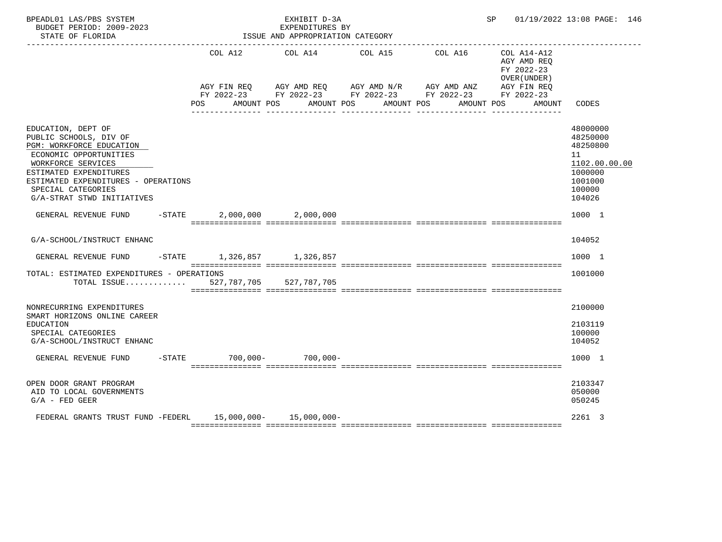| BPEADL01 LAS/PBS SYSTEM<br>BUDGET PERIOD: 2009-2023<br>STATE OF FLORIDA                                                                                                                                                                       |           | EXHIBIT D-3A<br>EXPENDITURES BY<br>ISSUE AND APPROPRIATION CATEGORY |  |                                                                                                                                                                               |  | SP 01/19/2022 13:08 PAGE: 146 |                     |                                                                           |                                                                                                   |
|-----------------------------------------------------------------------------------------------------------------------------------------------------------------------------------------------------------------------------------------------|-----------|---------------------------------------------------------------------|--|-------------------------------------------------------------------------------------------------------------------------------------------------------------------------------|--|-------------------------------|---------------------|---------------------------------------------------------------------------|---------------------------------------------------------------------------------------------------|
|                                                                                                                                                                                                                                               |           |                                                                     |  | COL A12 COL A14 COL A15<br>AGY FIN REQ AGY AMD REQ AGY AMD N/R AGY AMD ANZ AGY FIN REQ<br>FY 2022-23 FY 2022-23 FY 2022-23 FY 2022-23 FY 2022-23<br>POS AMOUNT POS AMOUNT POS |  |                               | COL A16 COL A14-A12 | AGY AMD REO<br>FY 2022-23<br>OVER (UNDER)<br>AMOUNT POS AMOUNT POS AMOUNT | CODES                                                                                             |
| EDUCATION, DEPT OF<br>PUBLIC SCHOOLS, DIV OF<br>PGM: WORKFORCE EDUCATION<br>ECONOMIC OPPORTUNITIES<br>WORKFORCE SERVICES<br>ESTIMATED EXPENDITURES<br>ESTIMATED EXPENDITURES - OPERATIONS<br>SPECIAL CATEGORIES<br>G/A-STRAT STWD INITIATIVES |           |                                                                     |  |                                                                                                                                                                               |  |                               |                     |                                                                           | 48000000<br>48250000<br>48250800<br>11<br>1102.00.00.00<br>1000000<br>1001000<br>100000<br>104026 |
| GENERAL REVENUE FUND                                                                                                                                                                                                                          | $-$ STATE |                                                                     |  | 2,000,000 2,000,000                                                                                                                                                           |  |                               |                     |                                                                           | 1000 1                                                                                            |
| G/A-SCHOOL/INSTRUCT ENHANC                                                                                                                                                                                                                    |           |                                                                     |  |                                                                                                                                                                               |  |                               |                     |                                                                           | 104052                                                                                            |
| GENERAL REVENUE FUND                                                                                                                                                                                                                          |           |                                                                     |  | -STATE 1,326,857 1,326,857                                                                                                                                                    |  |                               |                     |                                                                           | 1000 1                                                                                            |
| TOTAL: ESTIMATED EXPENDITURES - OPERATIONS<br>TOTAL ISSUE 527,787,705 527,787,705                                                                                                                                                             |           |                                                                     |  |                                                                                                                                                                               |  |                               |                     |                                                                           | 1001000                                                                                           |
| NONRECURRING EXPENDITURES<br>SMART HORIZONS ONLINE CAREER<br>EDUCATION<br>SPECIAL CATEGORIES<br>G/A-SCHOOL/INSTRUCT ENHANC                                                                                                                    |           |                                                                     |  |                                                                                                                                                                               |  |                               |                     |                                                                           | 2100000<br>2103119<br>100000<br>104052                                                            |
| GENERAL REVENUE FUND                                                                                                                                                                                                                          |           |                                                                     |  | -STATE 700,000- 700,000-                                                                                                                                                      |  |                               |                     |                                                                           | 1000 1                                                                                            |
| OPEN DOOR GRANT PROGRAM<br>AID TO LOCAL GOVERNMENTS<br>$G/A$ - FED GEER                                                                                                                                                                       |           |                                                                     |  |                                                                                                                                                                               |  |                               |                     |                                                                           | 2103347<br>050000<br>050245                                                                       |
| FEDERAL GRANTS TRUST FUND -FEDERL 15,000,000- 15,000,000-                                                                                                                                                                                     |           |                                                                     |  |                                                                                                                                                                               |  |                               |                     |                                                                           | 2261 3                                                                                            |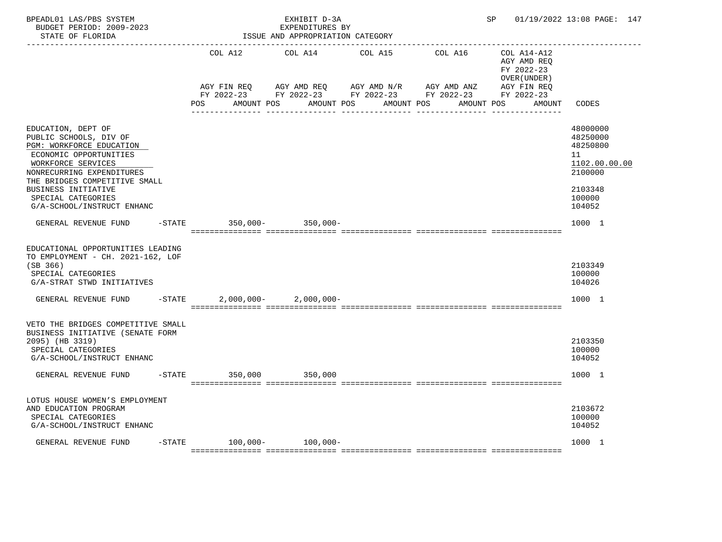| BPEADL01 LAS/PBS SYSTEM<br>BUDGET PERIOD: 2009-2023<br>STATE OF FLORIDA                                                                                                                                                                                                  |           |     |                           | EXHIBIT D-3A<br>EXPENDITURES BY<br>ISSUE AND APPROPRIATION CATEGORY |                                                                                                                         |            |                                                          | SP 01/19/2022 13:08 PAGE: 147                                                                     |
|--------------------------------------------------------------------------------------------------------------------------------------------------------------------------------------------------------------------------------------------------------------------------|-----------|-----|---------------------------|---------------------------------------------------------------------|-------------------------------------------------------------------------------------------------------------------------|------------|----------------------------------------------------------|---------------------------------------------------------------------------------------------------|
|                                                                                                                                                                                                                                                                          |           |     | COL A12                   | COL A14                                                             | COL A15                                                                                                                 | COL A16    | COL A14-A12<br>AGY AMD REQ<br>FY 2022-23<br>OVER (UNDER) |                                                                                                   |
|                                                                                                                                                                                                                                                                          |           | POS | AGY FIN REQ<br>AMOUNT POS | AMOUNT POS                                                          | AGY AMD REQ       AGY AMD N/R       AGY AMD ANZ<br>FY 2022-23 FY 2022-23 FY 2022-23 FY 2022-23 FY 2022-23<br>AMOUNT POS | AMOUNT POS | AGY FIN REQ<br>AMOUNT                                    | CODES                                                                                             |
| EDUCATION, DEPT OF<br>PUBLIC SCHOOLS, DIV OF<br>PGM: WORKFORCE EDUCATION<br>ECONOMIC OPPORTUNITIES<br>WORKFORCE SERVICES<br>NONRECURRING EXPENDITURES<br>THE BRIDGES COMPETITIVE SMALL<br><b>BUSINESS INITIATIVE</b><br>SPECIAL CATEGORIES<br>G/A-SCHOOL/INSTRUCT ENHANC |           |     |                           |                                                                     |                                                                                                                         |            |                                                          | 48000000<br>48250000<br>48250800<br>11<br>1102.00.00.00<br>2100000<br>2103348<br>100000<br>104052 |
| GENERAL REVENUE FUND                                                                                                                                                                                                                                                     |           |     |                           | -STATE 350,000- 350,000-                                            |                                                                                                                         |            |                                                          | 1000 1                                                                                            |
| EDUCATIONAL OPPORTUNITIES LEADING<br>TO EMPLOYMENT - CH. 2021-162, LOF<br>(SB 366)<br>SPECIAL CATEGORIES<br>G/A-STRAT STWD INITIATIVES                                                                                                                                   |           |     |                           |                                                                     |                                                                                                                         |            |                                                          | 2103349<br>100000<br>104026                                                                       |
| GENERAL REVENUE FUND                                                                                                                                                                                                                                                     | $-$ STATE |     |                           | $2,000,000 - 2,000,000 -$                                           |                                                                                                                         |            |                                                          | 1000 1                                                                                            |
| VETO THE BRIDGES COMPETITIVE SMALL<br>BUSINESS INITIATIVE (SENATE FORM<br>2095) (HB 3319)<br>SPECIAL CATEGORIES<br>G/A-SCHOOL/INSTRUCT ENHANC<br>GENERAL REVENUE FUND -STATE                                                                                             |           |     |                           | 350,000 350,000                                                     |                                                                                                                         |            |                                                          | 2103350<br>100000<br>104052<br>1000 1                                                             |
|                                                                                                                                                                                                                                                                          |           |     |                           |                                                                     |                                                                                                                         |            |                                                          |                                                                                                   |
| LOTUS HOUSE WOMEN'S EMPLOYMENT<br>AND EDUCATION PROGRAM<br>SPECIAL CATEGORIES<br>G/A-SCHOOL/INSTRUCT ENHANC                                                                                                                                                              |           |     |                           |                                                                     |                                                                                                                         |            |                                                          | 2103672<br>100000<br>104052                                                                       |
| GENERAL REVENUE FUND                                                                                                                                                                                                                                                     | $-$ STATE |     | $100,000-$                | $100,000-$                                                          |                                                                                                                         |            |                                                          | 1000 1                                                                                            |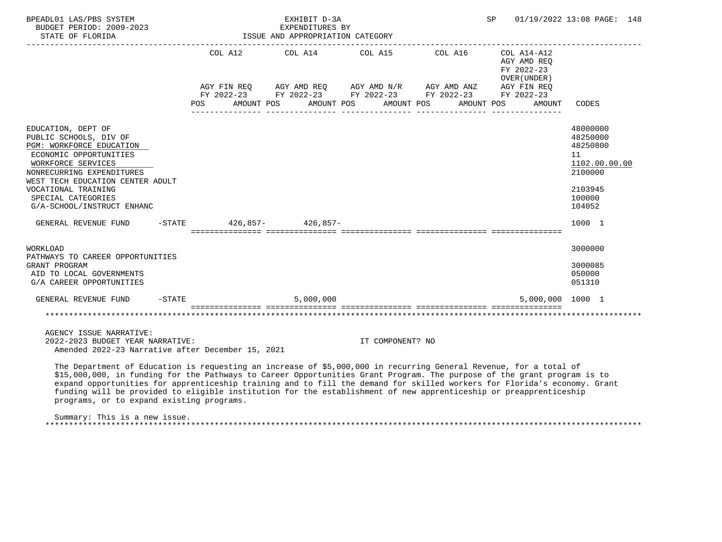| BPEADL01 LAS/PBS SYSTEM<br>BUDGET PERIOD: 2009-2023<br>STATE OF FLORIDA                                                                                                                                                                                                                                                                                                                                                                                                                                                                    |                            | EXHIBIT D-3A<br>EXPENDITURES BY<br>ISSUE AND APPROPRIATION CATEGORY |                                                                                                                                               |                       | SP                                                                                                  | 01/19/2022 13:08 PAGE: 148                                                                        |
|--------------------------------------------------------------------------------------------------------------------------------------------------------------------------------------------------------------------------------------------------------------------------------------------------------------------------------------------------------------------------------------------------------------------------------------------------------------------------------------------------------------------------------------------|----------------------------|---------------------------------------------------------------------|-----------------------------------------------------------------------------------------------------------------------------------------------|-----------------------|-----------------------------------------------------------------------------------------------------|---------------------------------------------------------------------------------------------------|
|                                                                                                                                                                                                                                                                                                                                                                                                                                                                                                                                            | COL A12<br><b>POS</b>      | AMOUNT POS                                                          | COL A14 COL A15<br>AGY FIN REQ AGY AMD REQ AGY AMD N/R AGY AMD ANZ<br>FY 2022-23 FY 2022-23 FY 2022-23 FY 2022-23<br>AMOUNT POS<br>AMOUNT POS | COL A16<br>AMOUNT POS | $COL A14 - A12$<br>AGY AMD REO<br>FY 2022-23<br>OVER (UNDER)<br>AGY FIN REO<br>FY 2022-23<br>AMOUNT | CODES                                                                                             |
| EDUCATION, DEPT OF<br>PUBLIC SCHOOLS, DIV OF<br>PGM: WORKFORCE EDUCATION<br>ECONOMIC OPPORTUNITIES<br>WORKFORCE SERVICES<br>NONRECURRING EXPENDITURES<br>WEST TECH EDUCATION CENTER ADULT<br>VOCATIONAL TRAINING<br>SPECIAL CATEGORIES<br>G/A-SCHOOL/INSTRUCT ENHANC                                                                                                                                                                                                                                                                       |                            |                                                                     |                                                                                                                                               |                       |                                                                                                     | 48000000<br>48250000<br>48250800<br>11<br>1102.00.00.00<br>2100000<br>2103945<br>100000<br>104052 |
| GENERAL REVENUE FUND                                                                                                                                                                                                                                                                                                                                                                                                                                                                                                                       | $-$ STATE 426,857-426,857- |                                                                     |                                                                                                                                               |                       |                                                                                                     | 1000 1                                                                                            |
| WORKLOAD<br>PATHWAYS TO CAREER OPPORTUNITIES<br>GRANT PROGRAM<br>AID TO LOCAL GOVERNMENTS<br>G/A CAREER OPPORTUNITIES                                                                                                                                                                                                                                                                                                                                                                                                                      |                            |                                                                     |                                                                                                                                               |                       |                                                                                                     | 3000000<br>3000085<br>050000<br>051310                                                            |
| GENERAL REVENUE FUND                                                                                                                                                                                                                                                                                                                                                                                                                                                                                                                       | $-STATE$                   | 5,000,000                                                           |                                                                                                                                               |                       | 5,000,000 1000 1                                                                                    |                                                                                                   |
|                                                                                                                                                                                                                                                                                                                                                                                                                                                                                                                                            |                            |                                                                     |                                                                                                                                               |                       | *************************************                                                               |                                                                                                   |
| AGENCY ISSUE NARRATIVE:<br>2022-2023 BUDGET YEAR NARRATIVE:<br>Amended 2022-23 Narrative after December 15, 2021                                                                                                                                                                                                                                                                                                                                                                                                                           |                            |                                                                     | IT COMPONENT? NO                                                                                                                              |                       |                                                                                                     |                                                                                                   |
| The Department of Education is requesting an increase of \$5,000,000 in recurring General Revenue, for a total of<br>\$15,000,000, in funding for the Pathways to Career Opportunities Grant Program. The purpose of the grant program is to<br>expand opportunities for apprenticeship training and to fill the demand for skilled workers for Florida's economy. Grant<br>funding will be provided to eligible institution for the establishment of new apprenticeship or preapprenticeship<br>programs, or to expand existing programs. |                            |                                                                     |                                                                                                                                               |                       |                                                                                                     |                                                                                                   |

 Summary: This is a new issue. \*\*\*\*\*\*\*\*\*\*\*\*\*\*\*\*\*\*\*\*\*\*\*\*\*\*\*\*\*\*\*\*\*\*\*\*\*\*\*\*\*\*\*\*\*\*\*\*\*\*\*\*\*\*\*\*\*\*\*\*\*\*\*\*\*\*\*\*\*\*\*\*\*\*\*\*\*\*\*\*\*\*\*\*\*\*\*\*\*\*\*\*\*\*\*\*\*\*\*\*\*\*\*\*\*\*\*\*\*\*\*\*\*\*\*\*\*\*\*\*\*\*\*\*\*\*\*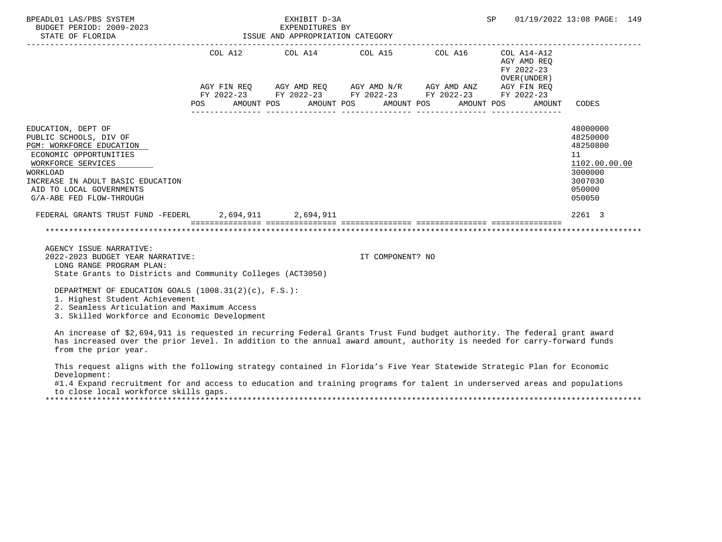| BPEADL01 LAS/PBS SYSTEM<br>BUDGET PERIOD: 2009-2023<br>STATE OF FLORIDA                                                                                                                                                           |            |  | EXHIBIT D-3A<br>EXPENDITURES BY<br>EXPENDITURES BY<br>ISSUE AND APPROPRIATION CATEGORY |                                                                                                       |  |                                                          | SP 01/19/2022 13:08 PAGE: 149                                                                     |  |
|-----------------------------------------------------------------------------------------------------------------------------------------------------------------------------------------------------------------------------------|------------|--|----------------------------------------------------------------------------------------|-------------------------------------------------------------------------------------------------------|--|----------------------------------------------------------|---------------------------------------------------------------------------------------------------|--|
|                                                                                                                                                                                                                                   |            |  |                                                                                        | COL A12 COL A14 COL A15 COL A16                                                                       |  | COL A14-A12<br>AGY AMD REO<br>FY 2022-23<br>OVER (UNDER) |                                                                                                   |  |
|                                                                                                                                                                                                                                   |            |  |                                                                                        | AGY FIN REQ 6 AGY AMD REQ 6 AGY AMD N/R 6 AGY AMD ANZ 6 AGY FIN REQ                                   |  |                                                          |                                                                                                   |  |
|                                                                                                                                                                                                                                   | <b>POS</b> |  |                                                                                        | FY 2022-23 FY 2022-23 FY 2022-23 FY 2022-23 FY 2022-23<br>AMOUNT POS AMOUNT POS AMOUNT POS AMOUNT POS |  | AMOUNT                                                   | CODES                                                                                             |  |
| EDUCATION, DEPT OF<br>PUBLIC SCHOOLS, DIV OF<br>PGM: WORKFORCE EDUCATION<br>ECONOMIC OPPORTUNITIES<br>WORKFORCE SERVICES<br>WORKLOAD<br>INCREASE IN ADULT BASIC EDUCATION<br>AID TO LOCAL GOVERNMENTS<br>G/A-ABE FED FLOW-THROUGH |            |  |                                                                                        |                                                                                                       |  |                                                          | 48000000<br>48250000<br>48250800<br>11<br>1102.00.00.00<br>3000000<br>3007030<br>050000<br>050050 |  |
| FEDERAL GRANTS TRUST FUND -FEDERL 2.694.911 2.694.911                                                                                                                                                                             |            |  |                                                                                        |                                                                                                       |  |                                                          | 2261 3                                                                                            |  |
|                                                                                                                                                                                                                                   |            |  |                                                                                        |                                                                                                       |  |                                                          |                                                                                                   |  |
| AGENCY ISSUE NARRATIVE:<br>2022-2023 BUDGET YEAR NARRATIVE:<br>LONG RANGE PROGRAM PLAN:                                                                                                                                           |            |  |                                                                                        | IT COMPONENT? NO                                                                                      |  |                                                          |                                                                                                   |  |

State Grants to Districts and Community Colleges (ACT3050)

DEPARTMENT OF EDUCATION GOALS (1008.31(2)(c), F.S.):

1. Highest Student Achievement

2. Seamless Articulation and Maximum Access

3. Skilled Workforce and Economic Development

 An increase of \$2,694,911 is requested in recurring Federal Grants Trust Fund budget authority. The federal grant award has increased over the prior level. In addition to the annual award amount, authority is needed for carry-forward funds from the prior year.

 This request aligns with the following strategy contained in Florida's Five Year Statewide Strategic Plan for Economic Development:

 #1.4 Expand recruitment for and access to education and training programs for talent in underserved areas and populations to close local workforce skills gaps.

\*\*\*\*\*\*\*\*\*\*\*\*\*\*\*\*\*\*\*\*\*\*\*\*\*\*\*\*\*\*\*\*\*\*\*\*\*\*\*\*\*\*\*\*\*\*\*\*\*\*\*\*\*\*\*\*\*\*\*\*\*\*\*\*\*\*\*\*\*\*\*\*\*\*\*\*\*\*\*\*\*\*\*\*\*\*\*\*\*\*\*\*\*\*\*\*\*\*\*\*\*\*\*\*\*\*\*\*\*\*\*\*\*\*\*\*\*\*\*\*\*\*\*\*\*\*\*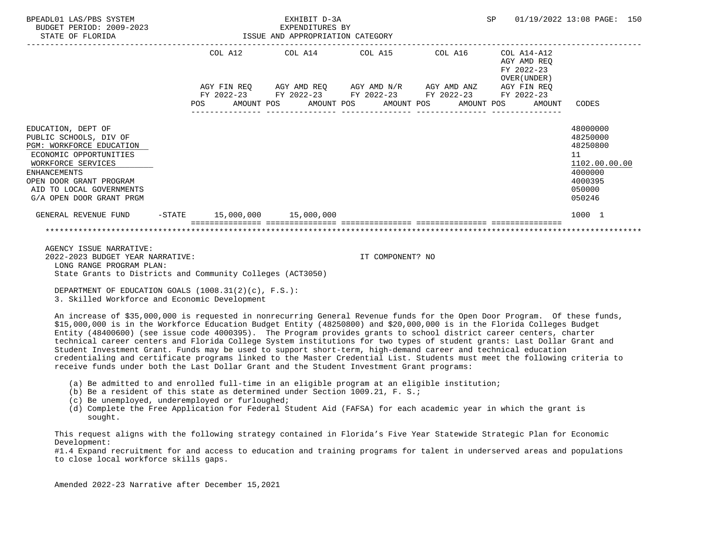| BPEADL01 LAS/PBS SYSTEM<br>BUDGET PERIOD: 2009-2023<br>STATE OF FLORIDA                                                                                                                                                            |  |  | EXHIBIT D-3A<br>EXPENDITURES BY<br>ISSUE AND APPROPRIATION CATEGORY |                                                                                                                       |                 | SP | 01/19/2022 13:08 PAGE: 150                                   |                                                                                                   |  |
|------------------------------------------------------------------------------------------------------------------------------------------------------------------------------------------------------------------------------------|--|--|---------------------------------------------------------------------|-----------------------------------------------------------------------------------------------------------------------|-----------------|----|--------------------------------------------------------------|---------------------------------------------------------------------------------------------------|--|
|                                                                                                                                                                                                                                    |  |  |                                                                     | COL A12 COL A14 COL A15 COL A16 COL A14-A12                                                                           |                 |    | AGY AMD REO<br>FY 2022-23<br>OVER (UNDER )                   |                                                                                                   |  |
|                                                                                                                                                                                                                                    |  |  |                                                                     | AGY FIN REQ AGY AMD REQ AGY AMD N/R AGY AMD ANZ AGY FIN REQ<br>FY 2022-23 FY 2022-23 FY 2022-23 FY 2022-23 FY 2022-23 | --------------- |    | POS AMOUNT POS AMOUNT POS AMOUNT POS AMOUNT POS AMOUNT CODES |                                                                                                   |  |
| EDUCATION, DEPT OF<br>PUBLIC SCHOOLS, DIV OF<br>PGM: WORKFORCE EDUCATION<br>ECONOMIC OPPORTUNITIES<br>WORKFORCE SERVICES<br><b>ENHANCEMENTS</b><br>OPEN DOOR GRANT PROGRAM<br>AID TO LOCAL GOVERNMENTS<br>G/A OPEN DOOR GRANT PRGM |  |  |                                                                     |                                                                                                                       |                 |    |                                                              | 48000000<br>48250000<br>48250800<br>11<br>1102.00.00.00<br>4000000<br>4000395<br>050000<br>050246 |  |
| GENERAL REVENUE FUND -STATE 15,000,000 15,000,000                                                                                                                                                                                  |  |  |                                                                     |                                                                                                                       |                 |    |                                                              | 1000 1                                                                                            |  |
|                                                                                                                                                                                                                                    |  |  |                                                                     |                                                                                                                       |                 |    |                                                              |                                                                                                   |  |

 AGENCY ISSUE NARRATIVE: 2022-2023 BUDGET YEAR NARRATIVE: IT COMPONENT? NO LONG RANGE PROGRAM PLAN: State Grants to Districts and Community Colleges (ACT3050)

DEPARTMENT OF EDUCATION GOALS (1008.31(2)(c), F.S.):

3. Skilled Workforce and Economic Development

 An increase of \$35,000,000 is requested in nonrecurring General Revenue funds for the Open Door Program. Of these funds, \$15,000,000 is in the Workforce Education Budget Entity (48250800) and \$20,000,000 is in the Florida Colleges Budget Entity (48400600) (see issue code 4000395). The Program provides grants to school district career centers, charter technical career centers and Florida College System institutions for two types of student grants: Last Dollar Grant and Student Investment Grant. Funds may be used to support short-term, high-demand career and technical education credentialing and certificate programs linked to the Master Credential List. Students must meet the following criteria to receive funds under both the Last Dollar Grant and the Student Investment Grant programs:

- (a) Be admitted to and enrolled full-time in an eligible program at an eligible institution;
- (b) Be a resident of this state as determined under Section 1009.21, F. S.;
- (c) Be unemployed, underemployed or furloughed;
- (d) Complete the Free Application for Federal Student Aid (FAFSA) for each academic year in which the grant is sought.

 This request aligns with the following strategy contained in Florida's Five Year Statewide Strategic Plan for Economic Development:

 #1.4 Expand recruitment for and access to education and training programs for talent in underserved areas and populations to close local workforce skills gaps.

Amended 2022-23 Narrative after December 15,2021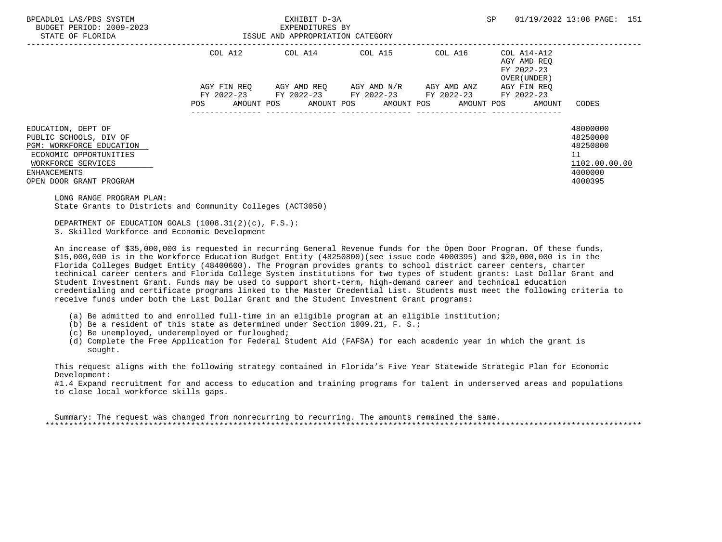| BPEADL01 LAS/PBS SYSTEM<br>BUDGET PERIOD: 2009-2023                                     |                                  | EXHIBIT D-3A<br>EXPENDITURES BY                                                                |  | SP                                                                                  | 01/19/2022 13:08 PAGE: 151                |  |
|-----------------------------------------------------------------------------------------|----------------------------------|------------------------------------------------------------------------------------------------|--|-------------------------------------------------------------------------------------|-------------------------------------------|--|
| STATE OF FLORIDA                                                                        | ISSUE AND APPROPRIATION CATEGORY |                                                                                                |  |                                                                                     |                                           |  |
|                                                                                         |                                  | $COL A12$ $COL A14$ $COL A15$ $COL A16$ $COL A14-A12$                                          |  | AGY AMD REO<br>FY 2022-23<br>OVER (UNDER )                                          |                                           |  |
|                                                                                         |                                  | AGY FIN REQ 6GY AMD REQ 6GY AMD N/R 6GY AMD ANZ<br>FY 2022-23 FY 2022-23 FY 2022-23 FY 2022-23 |  | AGY FIN REO<br>FY 2022-23<br>POS AMOUNT POS AMOUNT POS AMOUNT POS AMOUNT POS AMOUNT | CODES                                     |  |
|                                                                                         |                                  |                                                                                                |  |                                                                                     |                                           |  |
| EDUCATION, DEPT OF<br>PUBLIC SCHOOLS, DIV OF<br>PGM: WORKFORCE EDUCATION                |                                  |                                                                                                |  |                                                                                     | 48000000<br>48250000<br>48250800          |  |
| ECONOMIC OPPORTUNITIES<br>WORKFORCE SERVICES<br>ENHANCEMENTS<br>OPEN DOOR GRANT PROGRAM |                                  |                                                                                                |  |                                                                                     | 11<br>1102.00.00.00<br>4000000<br>4000395 |  |
| LONG RANGE PROGRAM PLAN:                                                                |                                  |                                                                                                |  |                                                                                     |                                           |  |

State Grants to Districts and Community Colleges (ACT3050)

 DEPARTMENT OF EDUCATION GOALS (1008.31(2)(c), F.S.): 3. Skilled Workforce and Economic Development

 An increase of \$35,000,000 is requested in recurring General Revenue funds for the Open Door Program. Of these funds, \$15,000,000 is in the Workforce Education Budget Entity (48250800)(see issue code 4000395) and \$20,000,000 is in the Florida Colleges Budget Entity (48400600). The Program provides grants to school district career centers, charter technical career centers and Florida College System institutions for two types of student grants: Last Dollar Grant and Student Investment Grant. Funds may be used to support short-term, high-demand career and technical education credentialing and certificate programs linked to the Master Credential List. Students must meet the following criteria to receive funds under both the Last Dollar Grant and the Student Investment Grant programs:

- (a) Be admitted to and enrolled full-time in an eligible program at an eligible institution;
- (b) Be a resident of this state as determined under Section 1009.21, F. S.;
- (c) Be unemployed, underemployed or furloughed;
- (d) Complete the Free Application for Federal Student Aid (FAFSA) for each academic year in which the grant is sought.

 This request aligns with the following strategy contained in Florida's Five Year Statewide Strategic Plan for Economic Development:

 #1.4 Expand recruitment for and access to education and training programs for talent in underserved areas and populations to close local workforce skills gaps.

 Summary: The request was changed from nonrecurring to recurring. The amounts remained the same. \*\*\*\*\*\*\*\*\*\*\*\*\*\*\*\*\*\*\*\*\*\*\*\*\*\*\*\*\*\*\*\*\*\*\*\*\*\*\*\*\*\*\*\*\*\*\*\*\*\*\*\*\*\*\*\*\*\*\*\*\*\*\*\*\*\*\*\*\*\*\*\*\*\*\*\*\*\*\*\*\*\*\*\*\*\*\*\*\*\*\*\*\*\*\*\*\*\*\*\*\*\*\*\*\*\*\*\*\*\*\*\*\*\*\*\*\*\*\*\*\*\*\*\*\*\*\*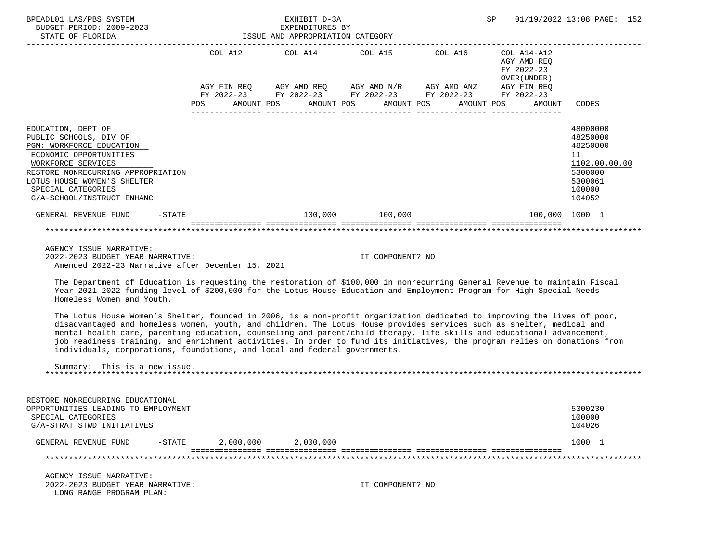| BPEADL01 LAS/PBS SYSTEM<br>BUDGET PERIOD: 2009-2023<br>ISSUE AND APPROPRIATION CATEGORY<br>STATE OF FLORIDA                                                                                                                                       |                                                                                                                       | EXHIBIT D-3A<br>EXPENDITURES BY |                                |                               | SP |                                                           | 01/19/2022 13:08 PAGE: 152                                                                        |  |
|---------------------------------------------------------------------------------------------------------------------------------------------------------------------------------------------------------------------------------------------------|-----------------------------------------------------------------------------------------------------------------------|---------------------------------|--------------------------------|-------------------------------|----|-----------------------------------------------------------|---------------------------------------------------------------------------------------------------|--|
|                                                                                                                                                                                                                                                   | COL A12 COL A14 COL A15 COL A16                                                                                       |                                 |                                | _____________________________ |    | COL A14-A12<br>AGY AMD REO<br>FY 2022-23<br>OVER (UNDER ) |                                                                                                   |  |
|                                                                                                                                                                                                                                                   | AGY FIN REQ AGY AMD REQ AGY AMD N/R AGY AMD ANZ AGY FIN REQ<br>FY 2022-23 FY 2022-23 FY 2022-23 FY 2022-23 FY 2022-23 |                                 |                                |                               |    |                                                           |                                                                                                   |  |
|                                                                                                                                                                                                                                                   | POS AMOUNT POS AMOUNT POS AMOUNT POS AMOUNT POS AMOUNT                                                                |                                 | ----------------               | ________________              |    |                                                           | CODES                                                                                             |  |
| EDUCATION, DEPT OF<br>PUBLIC SCHOOLS, DIV OF<br>PGM: WORKFORCE EDUCATION<br>ECONOMIC OPPORTUNITIES<br>WORKFORCE SERVICES<br>RESTORE NONRECURRING APPROPRIATION<br>LOTUS HOUSE WOMEN'S SHELTER<br>SPECIAL CATEGORIES<br>G/A-SCHOOL/INSTRUCT ENHANC |                                                                                                                       |                                 |                                |                               |    |                                                           | 48000000<br>48250000<br>48250800<br>11<br>1102.00.00.00<br>5300000<br>5300061<br>100000<br>104052 |  |
| $-$ STATE<br>GENERAL REVENUE FUND                                                                                                                                                                                                                 |                                                                                                                       |                                 | 100,000 100,000                |                               |    | 100,000 1000 1                                            |                                                                                                   |  |
|                                                                                                                                                                                                                                                   |                                                                                                                       |                                 | ============================== |                               |    |                                                           |                                                                                                   |  |

 AGENCY ISSUE NARRATIVE: 2022-2023 BUDGET YEAR NARRATIVE: IT COMPONENT? NO Amended 2022-23 Narrative after December 15, 2021

 The Department of Education is requesting the restoration of \$100,000 in nonrecurring General Revenue to maintain Fiscal Year 2021-2022 funding level of \$200,000 for the Lotus House Education and Employment Program for High Special Needs Homeless Women and Youth.

 The Lotus House Women's Shelter, founded in 2006, is a non-profit organization dedicated to improving the lives of poor, disadvantaged and homeless women, youth, and children. The Lotus House provides services such as shelter, medical and mental health care, parenting education, counseling and parent/child therapy, life skills and educational advancement, job readiness training, and enrichment activities. In order to fund its initiatives, the program relies on donations from individuals, corporations, foundations, and local and federal governments.

 Summary: This is a new issue. \*\*\*\*\*\*\*\*\*\*\*\*\*\*\*\*\*\*\*\*\*\*\*\*\*\*\*\*\*\*\*\*\*\*\*\*\*\*\*\*\*\*\*\*\*\*\*\*\*\*\*\*\*\*\*\*\*\*\*\*\*\*\*\*\*\*\*\*\*\*\*\*\*\*\*\*\*\*\*\*\*\*\*\*\*\*\*\*\*\*\*\*\*\*\*\*\*\*\*\*\*\*\*\*\*\*\*\*\*\*\*\*\*\*\*\*\*\*\*\*\*\*\*\*\*\*\*

| RESTORE NONRECURRING EDUCATIONAL               |           |           |           |        |  |  |  |  |
|------------------------------------------------|-----------|-----------|-----------|--------|--|--|--|--|
| 5300230<br>OPPORTUNITIES LEADING TO EMPLOYMENT |           |           |           |        |  |  |  |  |
| SPECIAL CATEGORIES                             |           |           |           | 100000 |  |  |  |  |
| G/A-STRAT STWD INITIATIVES                     |           |           |           | 104026 |  |  |  |  |
| GENERAL REVENUE FUND                           | $-$ STATE | 2,000,000 | 2,000,000 | 1000   |  |  |  |  |
|                                                |           |           |           |        |  |  |  |  |

 AGENCY ISSUE NARRATIVE: 2022-2023 BUDGET YEAR NARRATIVE: IT COMPONENT? NO LONG RANGE PROGRAM PLAN: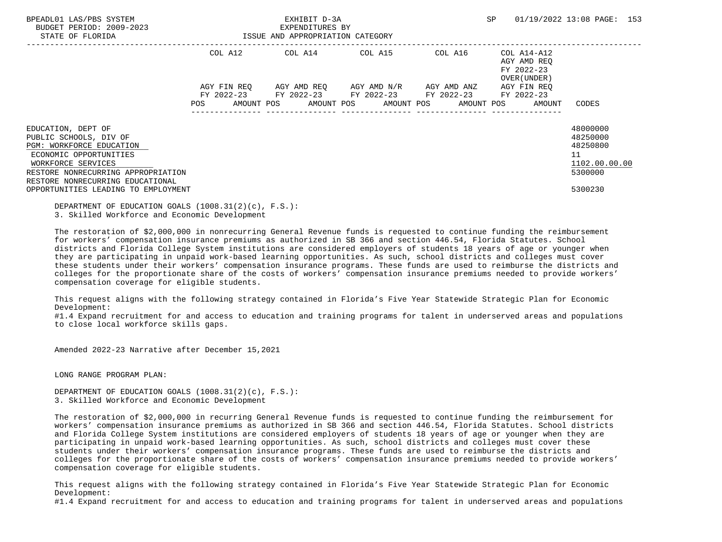| BPEADL01 LAS/PBS SYSTEM<br>BUDGET PERIOD: 2009-2023<br>STATE OF FLORIDA                                                  |             | EXHIBIT D-3A<br>EXPENDITURES BY<br>ISSUE AND APPROPRIATION CATEGORY | SP                                  | 01/19/2022 13:08 PAGE: 153 |                                                          |                                                         |
|--------------------------------------------------------------------------------------------------------------------------|-------------|---------------------------------------------------------------------|-------------------------------------|----------------------------|----------------------------------------------------------|---------------------------------------------------------|
|                                                                                                                          | COL A12     | COL A14 COL A15                                                     |                                     | COL A16                    | COL A14-A12<br>AGY AMD REQ<br>FY 2022-23<br>OVER (UNDER) |                                                         |
|                                                                                                                          | AGY FIN REO | FY 2022-23 FY 2022-23 FY 2022-23 FY 2022-23                         | AGY AMD REO AGY AMD N/R AGY AMD ANZ |                            | AGY FIN REO                                              |                                                         |
|                                                                                                                          | POS         | AMOUNT POS AMOUNT POS AMOUNT POS AMOUNT POS                         |                                     |                            | FY 2022-23<br>AMOUNT                                     | CODES                                                   |
| EDUCATION, DEPT OF<br>PUBLIC SCHOOLS, DIV OF<br>PGM: WORKFORCE EDUCATION<br>ECONOMIC OPPORTUNITIES<br>WORKFORCE SERVICES |             |                                                                     |                                     |                            |                                                          | 48000000<br>48250000<br>48250800<br>11<br>1102.00.00.00 |
| RESTORE NONRECURRING APPROPRIATION<br>RESTORE NONRECURRING EDUCATIONAL<br>OPPORTUNITIES LEADING TO EMPLOYMENT            |             |                                                                     |                                     |                            |                                                          | 5300000<br>5300230                                      |

 DEPARTMENT OF EDUCATION GOALS (1008.31(2)(c), F.S.): 3. Skilled Workforce and Economic Development

 The restoration of \$2,000,000 in nonrecurring General Revenue funds is requested to continue funding the reimbursement for workers' compensation insurance premiums as authorized in SB 366 and section 446.54, Florida Statutes. School districts and Florida College System institutions are considered employers of students 18 years of age or younger when they are participating in unpaid work-based learning opportunities. As such, school districts and colleges must cover these students under their workers' compensation insurance programs. These funds are used to reimburse the districts and colleges for the proportionate share of the costs of workers' compensation insurance premiums needed to provide workers' compensation coverage for eligible students.

 This request aligns with the following strategy contained in Florida's Five Year Statewide Strategic Plan for Economic Development:

 #1.4 Expand recruitment for and access to education and training programs for talent in underserved areas and populations to close local workforce skills gaps.

Amended 2022-23 Narrative after December 15,2021

LONG RANGE PROGRAM PLAN:

 DEPARTMENT OF EDUCATION GOALS (1008.31(2)(c), F.S.): 3. Skilled Workforce and Economic Development

 The restoration of \$2,000,000 in recurring General Revenue funds is requested to continue funding the reimbursement for workers' compensation insurance premiums as authorized in SB 366 and section 446.54, Florida Statutes. School districts and Florida College System institutions are considered employers of students 18 years of age or younger when they are participating in unpaid work-based learning opportunities. As such, school districts and colleges must cover these students under their workers' compensation insurance programs. These funds are used to reimburse the districts and colleges for the proportionate share of the costs of workers' compensation insurance premiums needed to provide workers' compensation coverage for eligible students.

 This request aligns with the following strategy contained in Florida's Five Year Statewide Strategic Plan for Economic Development:

#1.4 Expand recruitment for and access to education and training programs for talent in underserved areas and populations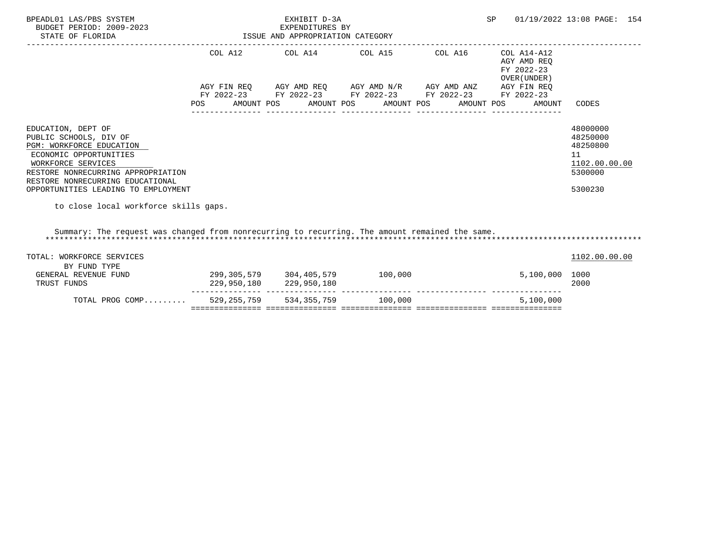| BPEADL01 LAS/PBS SYSTEM<br>BUDGET PERIOD: 2009-2023<br>STATE OF FLORIDA                                                                                                                                                                                                            | ISSUE AND APPROPRIATION CATEGORY | EXHIBIT D-3A<br>EXPENDITURES BY |                                                                                                                                                                           | SP         | 01/19/2022 13:08 PAGE: 154                                                       |                                                                               |
|------------------------------------------------------------------------------------------------------------------------------------------------------------------------------------------------------------------------------------------------------------------------------------|----------------------------------|---------------------------------|---------------------------------------------------------------------------------------------------------------------------------------------------------------------------|------------|----------------------------------------------------------------------------------|-------------------------------------------------------------------------------|
|                                                                                                                                                                                                                                                                                    | POS<br>AMOUNT POS                |                                 | COL A12 COL A14 COL A15 COL A16<br>AGY FIN REQ AGY AMD REQ AGY AMD N/R AGY AMD ANZ AGY FIN REQ<br>FY 2022-23 FY 2022-23 FY 2022-23 FY 2022-23<br>AMOUNT POS<br>AMOUNT POS | AMOUNT POS | COL A14-A12<br>AGY AMD REQ<br>FY 2022-23<br>OVER (UNDER)<br>FY 2022-23<br>AMOUNT | CODES                                                                         |
| EDUCATION, DEPT OF<br>PUBLIC SCHOOLS, DIV OF<br>PGM: WORKFORCE EDUCATION<br>ECONOMIC OPPORTUNITIES<br>WORKFORCE SERVICES<br>RESTORE NONRECURRING APPROPRIATION<br>RESTORE NONRECURRING EDUCATIONAL<br>OPPORTUNITIES LEADING TO EMPLOYMENT<br>to close local workforce skills gaps. |                                  |                                 |                                                                                                                                                                           |            |                                                                                  | 48000000<br>48250000<br>48250800<br>11<br>1102.00.00.00<br>5300000<br>5300230 |
| Summary: The request was changed from nonrecurring to recurring. The amount remained the same.                                                                                                                                                                                     |                                  |                                 |                                                                                                                                                                           |            |                                                                                  |                                                                               |
| TOTAL: WORKFORCE SERVICES<br>BY FUND TYPE                                                                                                                                                                                                                                          |                                  |                                 |                                                                                                                                                                           |            |                                                                                  | 1102.00.00.00                                                                 |
| GENERAL REVENUE FUND<br>TRUST FUNDS                                                                                                                                                                                                                                                |                                  | 229,950,180 229,950,180         |                                                                                                                                                                           |            | 5,100,000                                                                        | 1000<br>2000                                                                  |
| TOTAL PROG COMP                                                                                                                                                                                                                                                                    |                                  |                                 | 529, 255, 759 534, 355, 759 100, 000                                                                                                                                      |            | 5,100,000                                                                        |                                                                               |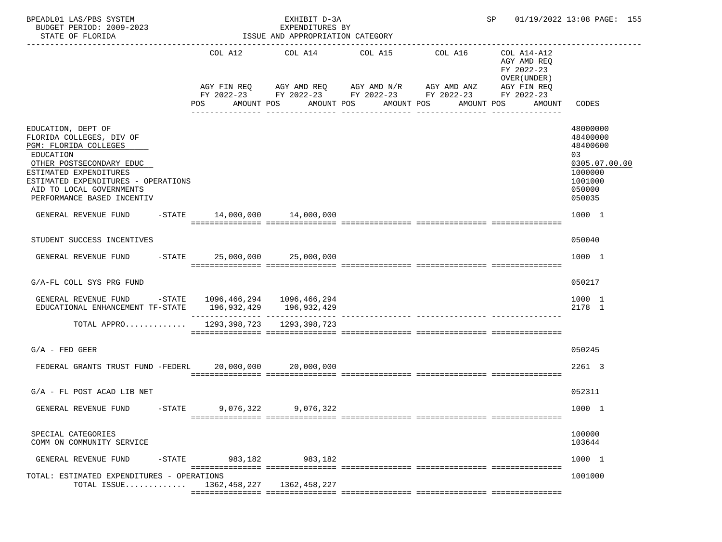| BPEADL01 LAS/PBS SYSTEM<br>BUDGET PERIOD: 2009-2023<br>STATE OF FLORIDA                                                                                                                                                                     |                | EXHIBIT D-3A<br>EXPENDITURES BY<br>ISSUE AND APPROPRIATION CATEGORY |                                                                                                                                                                |                 | SP 01/19/2022 13:08 PAGE: 155                                      |                                                                                                   |
|---------------------------------------------------------------------------------------------------------------------------------------------------------------------------------------------------------------------------------------------|----------------|---------------------------------------------------------------------|----------------------------------------------------------------------------------------------------------------------------------------------------------------|-----------------|--------------------------------------------------------------------|---------------------------------------------------------------------------------------------------|
|                                                                                                                                                                                                                                             | COL A12<br>POS | AMOUNT POS AMOUNT POS                                               | COL A14 COL A15 COL A16<br>AGY FIN REQ AGY AMD REQ AGY AMD N/R AGY AMD ANZ AGY FIN REQ<br>FY 2022-23 FY 2022-23 FY 2022-23 FY 2022-23 FY 2022-23<br>AMOUNT POS | AMOUNT POS      | COL A14-A12<br>AGY AMD REQ<br>FY 2022-23<br>OVER (UNDER)<br>AMOUNT | CODES                                                                                             |
| EDUCATION, DEPT OF<br>FLORIDA COLLEGES, DIV OF<br>PGM: FLORIDA COLLEGES<br>EDUCATION<br>OTHER POSTSECONDARY EDUC<br>ESTIMATED EXPENDITURES<br>ESTIMATED EXPENDITURES - OPERATIONS<br>AID TO LOCAL GOVERNMENTS<br>PERFORMANCE BASED INCENTIV |                |                                                                     |                                                                                                                                                                | _______________ |                                                                    | 48000000<br>48400000<br>48400600<br>03<br>0305.07.00.00<br>1000000<br>1001000<br>050000<br>050035 |
| GENERAL REVENUE FUND -STATE 14,000,000 14,000,000                                                                                                                                                                                           |                |                                                                     |                                                                                                                                                                |                 |                                                                    | 1000 1                                                                                            |
| STUDENT SUCCESS INCENTIVES                                                                                                                                                                                                                  |                |                                                                     |                                                                                                                                                                |                 |                                                                    | 050040                                                                                            |
| GENERAL REVENUE FUND -STATE 25,000,000 25,000,000                                                                                                                                                                                           |                |                                                                     |                                                                                                                                                                |                 |                                                                    | 1000 1                                                                                            |
| G/A-FL COLL SYS PRG FUND                                                                                                                                                                                                                    |                |                                                                     |                                                                                                                                                                |                 |                                                                    | 050217                                                                                            |
| GENERAL REVENUE FUND -STATE 1096,466,294 1096,466,294<br>EDUCATIONAL ENHANCEMENT TF-STATE 196,932,429 196,932,429                                                                                                                           |                |                                                                     |                                                                                                                                                                |                 |                                                                    | 1000 1<br>2178 1                                                                                  |
| TOTAL APPRO 1293,398,723 1293,398,723                                                                                                                                                                                                       |                |                                                                     |                                                                                                                                                                |                 |                                                                    |                                                                                                   |
| $G/A$ - FED GEER                                                                                                                                                                                                                            |                |                                                                     |                                                                                                                                                                |                 |                                                                    | 050245                                                                                            |
| FEDERAL GRANTS TRUST FUND -FEDERL 20,000,000 20,000,000                                                                                                                                                                                     |                |                                                                     |                                                                                                                                                                |                 |                                                                    | 2261 3                                                                                            |
| $G/A$ - FL POST ACAD LIB NET                                                                                                                                                                                                                |                |                                                                     |                                                                                                                                                                |                 |                                                                    | 052311                                                                                            |
| GENERAL REVENUE FUND<br>$-$ STATE                                                                                                                                                                                                           | 9,076,322      | 9,076,322                                                           |                                                                                                                                                                |                 |                                                                    | 1000 1                                                                                            |
| SPECIAL CATEGORIES<br>COMM ON COMMUNITY SERVICE                                                                                                                                                                                             |                |                                                                     |                                                                                                                                                                |                 |                                                                    | 100000<br>103644                                                                                  |
| GENERAL REVENUE FUND<br>-STATE                                                                                                                                                                                                              | 983,182        | 983,182                                                             |                                                                                                                                                                |                 |                                                                    | 1000 1                                                                                            |
| TOTAL: ESTIMATED EXPENDITURES - OPERATIONS<br>TOTAL ISSUE $1362,458,227$                                                                                                                                                                    |                | 1362,458,227                                                        |                                                                                                                                                                |                 |                                                                    | 1001000                                                                                           |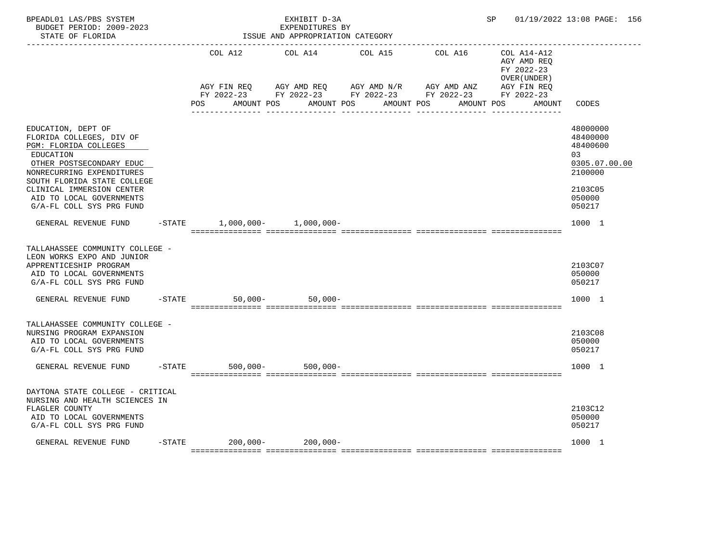| BPEADL01 LAS/PBS SYSTEM<br>BUDGET PERIOD: 2009-2023<br>STATE OF FLORIDA<br>. <u>_ _ _ _ _ _ _ _ _ _ _ _ _ _ _</u> _                                                                                                                                               |          |     |         | EXHIBIT D-3A<br>EXPENDITURES BY<br>ISSUE AND APPROPRIATION CATEGORY |         |                                                                                                                       |                                                          | SP 01/19/2022 13:08 PAGE: 156                                                                                  |
|-------------------------------------------------------------------------------------------------------------------------------------------------------------------------------------------------------------------------------------------------------------------|----------|-----|---------|---------------------------------------------------------------------|---------|-----------------------------------------------------------------------------------------------------------------------|----------------------------------------------------------|----------------------------------------------------------------------------------------------------------------|
|                                                                                                                                                                                                                                                                   |          |     | COL A12 | COL A14                                                             | COL A15 | COL A16                                                                                                               | COL A14-A12<br>AGY AMD REQ<br>FY 2022-23<br>OVER (UNDER) |                                                                                                                |
|                                                                                                                                                                                                                                                                   |          | POS |         | AMOUNT POS AMOUNT POS AMOUNT POS                                    |         | AGY FIN REQ AGY AMD REQ AGY AMD N/R AGY AMD ANZ AGY FIN REQ<br>FY 2022-23 FY 2022-23 FY 2022-23 FY 2022-23 FY 2022-23 | AGY FIN REQ<br>AMOUNT POS<br>AMOUNT                      | CODES                                                                                                          |
| EDUCATION, DEPT OF<br>FLORIDA COLLEGES, DIV OF<br>PGM: FLORIDA COLLEGES<br>EDUCATION<br>OTHER POSTSECONDARY EDUC<br>NONRECURRING EXPENDITURES<br>SOUTH FLORIDA STATE COLLEGE<br>CLINICAL IMMERSION CENTER<br>AID TO LOCAL GOVERNMENTS<br>G/A-FL COLL SYS PRG FUND |          |     |         |                                                                     |         |                                                                                                                       |                                                          | 48000000<br>48400000<br>48400600<br>03 <sub>o</sub><br>0305.07.00.00<br>2100000<br>2103C05<br>050000<br>050217 |
| GENERAL REVENUE FUND                                                                                                                                                                                                                                              |          |     |         | $-$ STATE 1,000,000 - 1,000,000 -                                   |         |                                                                                                                       |                                                          | 1000 1                                                                                                         |
| TALLAHASSEE COMMUNITY COLLEGE -<br>LEON WORKS EXPO AND JUNIOR<br>APPRENTICESHIP PROGRAM<br>AID TO LOCAL GOVERNMENTS<br>G/A-FL COLL SYS PRG FUND                                                                                                                   |          |     |         |                                                                     |         |                                                                                                                       |                                                          | 2103C07<br>050000<br>050217                                                                                    |
| GENERAL REVENUE FUND                                                                                                                                                                                                                                              | $-STATE$ |     |         | $50,000 - 50,000 -$                                                 |         |                                                                                                                       |                                                          | 1000 1                                                                                                         |
| TALLAHASSEE COMMUNITY COLLEGE -<br>NURSING PROGRAM EXPANSION<br>AID TO LOCAL GOVERNMENTS<br>G/A-FL COLL SYS PRG FUND                                                                                                                                              |          |     |         |                                                                     |         |                                                                                                                       |                                                          | 2103C08<br>050000<br>050217                                                                                    |
| GENERAL REVENUE FUND                                                                                                                                                                                                                                              |          |     |         | -STATE 500,000- 500,000-                                            |         |                                                                                                                       |                                                          | 1000 1                                                                                                         |
| DAYTONA STATE COLLEGE - CRITICAL<br>NURSING AND HEALTH SCIENCES IN<br>FLAGLER COUNTY<br>AID TO LOCAL GOVERNMENTS<br>G/A-FL COLL SYS PRG FUND                                                                                                                      |          |     |         |                                                                     |         |                                                                                                                       |                                                          | 2103C12<br>050000<br>050217                                                                                    |
| GENERAL REVENUE FUND                                                                                                                                                                                                                                              |          |     |         | -STATE 200,000- 200,000-                                            |         |                                                                                                                       |                                                          | 1000 1                                                                                                         |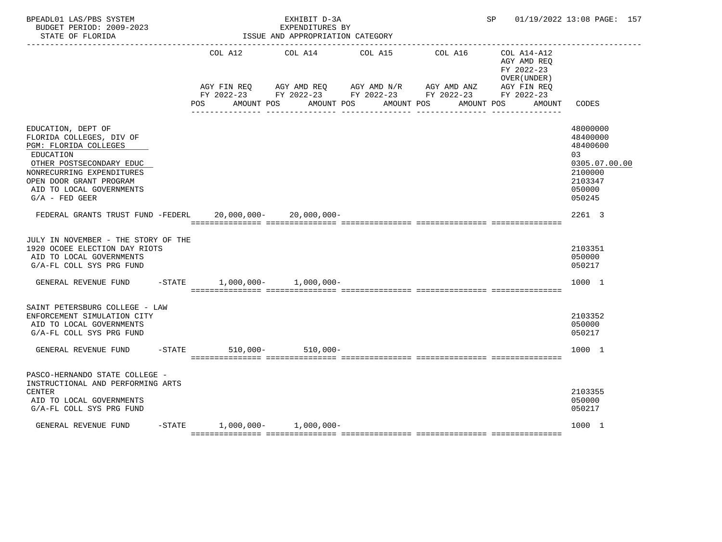| BPEADL01 LAS/PBS SYSTEM<br>BUDGET PERIOD: 2009-2023<br>STATE OF FLORIDA                                                                                                                                                  |                                |     |                         |  | EXHIBIT D-3A<br>EXPENDITURES BY<br>ISSUE AND APPROPRIATION CATEGORY |  |                                                                                                                       |                       |                                                          | SP and the set of the set of the set of the set of the set of the set of the set of the set of the set of the set of the set of the set of the set of the set of the set of the set of the set of the set of the set of the se |  |        | 01/19/2022 13:08 PAGE: 157                                                                        |  |
|--------------------------------------------------------------------------------------------------------------------------------------------------------------------------------------------------------------------------|--------------------------------|-----|-------------------------|--|---------------------------------------------------------------------|--|-----------------------------------------------------------------------------------------------------------------------|-----------------------|----------------------------------------------------------|--------------------------------------------------------------------------------------------------------------------------------------------------------------------------------------------------------------------------------|--|--------|---------------------------------------------------------------------------------------------------|--|
|                                                                                                                                                                                                                          |                                |     | COL A12 COL A14 COL A15 |  |                                                                     |  | COL A16                                                                                                               |                       | COL A14-A12<br>AGY AMD REQ<br>FY 2022-23<br>OVER (UNDER) |                                                                                                                                                                                                                                |  |        |                                                                                                   |  |
|                                                                                                                                                                                                                          |                                | POS |                         |  | AMOUNT POS AMOUNT POS                                               |  | AGY FIN REQ AGY AMD REQ AGY AMD N/R AGY AMD ANZ AGY FIN REQ<br>FY 2022-23 FY 2022-23 FY 2022-23 FY 2022-23 FY 2022-23 | AMOUNT POS AMOUNT POS |                                                          |                                                                                                                                                                                                                                |  | AMOUNT | CODES                                                                                             |  |
| EDUCATION, DEPT OF<br>FLORIDA COLLEGES, DIV OF<br>PGM: FLORIDA COLLEGES<br>EDUCATION<br>OTHER POSTSECONDARY EDUC<br>NONRECURRING EXPENDITURES<br>OPEN DOOR GRANT PROGRAM<br>AID TO LOCAL GOVERNMENTS<br>$G/A$ - FED GEER |                                |     |                         |  |                                                                     |  |                                                                                                                       |                       |                                                          |                                                                                                                                                                                                                                |  |        | 48000000<br>48400000<br>48400600<br>03<br>0305.07.00.00<br>2100000<br>2103347<br>050000<br>050245 |  |
| FEDERAL GRANTS TRUST FUND -FEDERL 20,000,000- 20,000,000-                                                                                                                                                                |                                |     |                         |  |                                                                     |  |                                                                                                                       |                       |                                                          |                                                                                                                                                                                                                                |  |        | 2261 3                                                                                            |  |
| JULY IN NOVEMBER - THE STORY OF THE<br>1920 OCOEE ELECTION DAY RIOTS<br>AID TO LOCAL GOVERNMENTS<br>G/A-FL COLL SYS PRG FUND                                                                                             |                                |     |                         |  |                                                                     |  |                                                                                                                       |                       |                                                          |                                                                                                                                                                                                                                |  |        | 2103351<br>050000<br>050217                                                                       |  |
| GENERAL REVENUE FUND                                                                                                                                                                                                     | $-STATE$ 1,000,000- 1,000,000- |     |                         |  |                                                                     |  |                                                                                                                       |                       |                                                          |                                                                                                                                                                                                                                |  |        | 1000 1                                                                                            |  |
| SAINT PETERSBURG COLLEGE - LAW<br>ENFORCEMENT SIMULATION CITY<br>AID TO LOCAL GOVERNMENTS<br>G/A-FL COLL SYS PRG FUND                                                                                                    |                                |     |                         |  |                                                                     |  |                                                                                                                       |                       |                                                          |                                                                                                                                                                                                                                |  |        | 2103352<br>050000<br>050217                                                                       |  |
| GENERAL REVENUE FUND                                                                                                                                                                                                     | -STATE 510,000- 510,000-       |     |                         |  |                                                                     |  |                                                                                                                       |                       |                                                          |                                                                                                                                                                                                                                |  |        | 1000 1                                                                                            |  |
| PASCO-HERNANDO STATE COLLEGE -<br>INSTRUCTIONAL AND PERFORMING ARTS<br><b>CENTER</b><br>AID TO LOCAL GOVERNMENTS<br>G/A-FL COLL SYS PRG FUND                                                                             |                                |     |                         |  |                                                                     |  |                                                                                                                       |                       |                                                          |                                                                                                                                                                                                                                |  |        | 2103355<br>050000<br>050217                                                                       |  |
| GENERAL REVENUE FUND                                                                                                                                                                                                     | $-STATE$ 1,000,000- 1,000,000- |     |                         |  |                                                                     |  |                                                                                                                       |                       |                                                          |                                                                                                                                                                                                                                |  |        | 1000 1                                                                                            |  |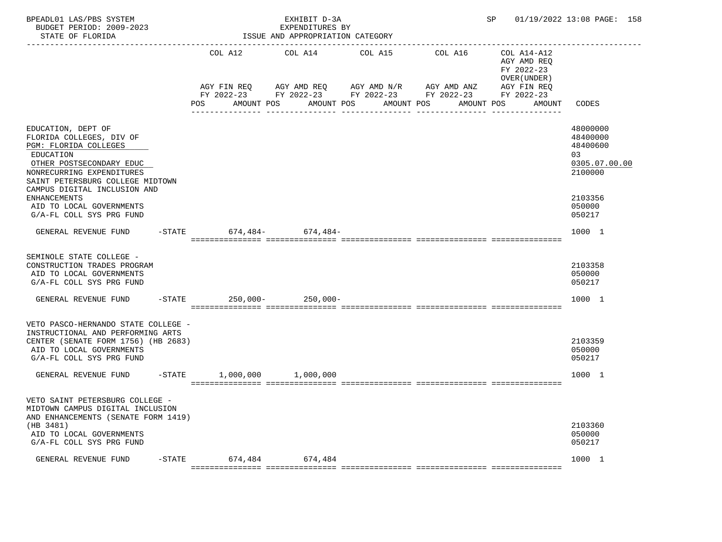| BPEADL01 LAS/PBS SYSTEM<br>BUDGET PERIOD: 2009-2023<br>STATE OF FLORIDA                                                                                                                                           |           |                   | EXHIBIT D-3A<br>EXPENDITURES BY<br>ISSUE AND APPROPRIATION CATEGORY |                          |                                                                                                | SP                                                       | 01/19/2022 13:08 PAGE: 158                                         |
|-------------------------------------------------------------------------------------------------------------------------------------------------------------------------------------------------------------------|-----------|-------------------|---------------------------------------------------------------------|--------------------------|------------------------------------------------------------------------------------------------|----------------------------------------------------------|--------------------------------------------------------------------|
|                                                                                                                                                                                                                   |           |                   | COL A12 COL A14 COL A15                                             |                          | COL A16                                                                                        | COL A14-A12<br>AGY AMD REQ<br>FY 2022-23<br>OVER (UNDER) |                                                                    |
|                                                                                                                                                                                                                   |           | POS<br>AMOUNT POS |                                                                     | AMOUNT POS<br>AMOUNT POS | AGY FIN REQ AGY AMD REQ AGY AMD N/R AGY AMD ANZ<br>FY 2022-23 FY 2022-23 FY 2022-23 FY 2022-23 | AGY FIN REQ<br>FY 2022-23<br>AMOUNT POS<br>AMOUNT        | CODES                                                              |
| EDUCATION, DEPT OF<br>FLORIDA COLLEGES, DIV OF<br>PGM: FLORIDA COLLEGES<br>EDUCATION<br>OTHER POSTSECONDARY EDUC<br>NONRECURRING EXPENDITURES<br>SAINT PETERSBURG COLLEGE MIDTOWN<br>CAMPUS DIGITAL INCLUSION AND |           |                   |                                                                     |                          |                                                                                                |                                                          | 48000000<br>48400000<br>48400600<br>03<br>0305.07.00.00<br>2100000 |
| <b>ENHANCEMENTS</b><br>AID TO LOCAL GOVERNMENTS<br>G/A-FL COLL SYS PRG FUND                                                                                                                                       |           |                   |                                                                     |                          |                                                                                                |                                                          | 2103356<br>050000<br>050217                                        |
| GENERAL REVENUE FUND -STATE 674,484- 674,484-                                                                                                                                                                     |           |                   |                                                                     |                          |                                                                                                |                                                          | 1000 1                                                             |
| SEMINOLE STATE COLLEGE -<br>CONSTRUCTION TRADES PROGRAM<br>AID TO LOCAL GOVERNMENTS<br>G/A-FL COLL SYS PRG FUND                                                                                                   |           |                   |                                                                     |                          |                                                                                                |                                                          | 2103358<br>050000<br>050217                                        |
| GENERAL REVENUE FUND -STATE 250,000- 250,000-                                                                                                                                                                     |           |                   |                                                                     |                          |                                                                                                |                                                          | 1000 1                                                             |
| VETO PASCO-HERNANDO STATE COLLEGE -<br>INSTRUCTIONAL AND PERFORMING ARTS<br>CENTER (SENATE FORM 1756) (HB 2683)<br>AID TO LOCAL GOVERNMENTS<br>G/A-FL COLL SYS PRG FUND                                           |           |                   |                                                                     |                          |                                                                                                |                                                          | 2103359<br>050000<br>050217                                        |
| GENERAL REVENUE FUND -STATE                                                                                                                                                                                       |           |                   | 1,000,000 1,000,000                                                 |                          |                                                                                                |                                                          | 1000 1                                                             |
| VETO SAINT PETERSBURG COLLEGE -<br>MIDTOWN CAMPUS DIGITAL INCLUSION<br>AND ENHANCEMENTS (SENATE FORM 1419)<br>(HB 3481)<br>AID TO LOCAL GOVERNMENTS<br>G/A-FL COLL SYS PRG FUND                                   |           |                   |                                                                     |                          |                                                                                                |                                                          | 2103360<br>050000<br>050217                                        |
| GENERAL REVENUE FUND                                                                                                                                                                                              | $-$ STATE | 674,484           | 674,484                                                             |                          |                                                                                                |                                                          | 1000 1                                                             |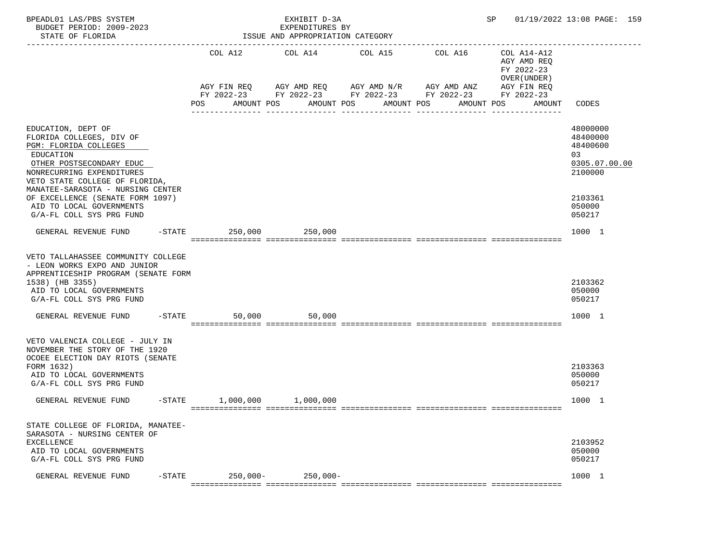| BPEADL01 LAS/PBS SYSTEM<br>BUDGET PERIOD: 2009-2023<br>STATE OF FLORIDA                                                                                                                                                                                                                                          |            | EXHIBIT D-3A<br>EXPENDITURES BY<br>ISSUE AND APPROPRIATION CATEGORY |                                                                                                                                              | SP 01/19/2022 13:08 PAGE: 159                                                                              |                                                                                                   |
|------------------------------------------------------------------------------------------------------------------------------------------------------------------------------------------------------------------------------------------------------------------------------------------------------------------|------------|---------------------------------------------------------------------|----------------------------------------------------------------------------------------------------------------------------------------------|------------------------------------------------------------------------------------------------------------|---------------------------------------------------------------------------------------------------|
|                                                                                                                                                                                                                                                                                                                  | POS        | COL A12 COL A14 COL A15<br>AMOUNT POS                               | AGY FIN REQ 6 AGY AMD REQ 6 AGY AMD N/R 66 AGY AMD ANZ<br>FY 2022-23 FY 2022-23 FY 2022-23 FY 2022-23 FY 2022-23<br>AMOUNT POS<br>AMOUNT POS | COL A16<br>COL A14-A12<br>AGY AMD REQ<br>FY 2022-23<br>OVER (UNDER)<br>AGY FIN REQ<br>AMOUNT POS<br>AMOUNT | CODES                                                                                             |
| EDUCATION, DEPT OF<br>FLORIDA COLLEGES, DIV OF<br>PGM: FLORIDA COLLEGES<br>EDUCATION<br>OTHER POSTSECONDARY EDUC<br>NONRECURRING EXPENDITURES<br>VETO STATE COLLEGE OF FLORIDA,<br>MANATEE-SARASOTA - NURSING CENTER<br>OF EXCELLENCE (SENATE FORM 1097)<br>AID TO LOCAL GOVERNMENTS<br>G/A-FL COLL SYS PRG FUND |            |                                                                     |                                                                                                                                              |                                                                                                            | 48000000<br>48400000<br>48400600<br>03<br>0305.07.00.00<br>2100000<br>2103361<br>050000<br>050217 |
| GENERAL REVENUE FUND -STATE 250,000 250,000                                                                                                                                                                                                                                                                      |            |                                                                     |                                                                                                                                              |                                                                                                            | 1000 1                                                                                            |
| VETO TALLAHASSEE COMMUNITY COLLEGE<br>- LEON WORKS EXPO AND JUNIOR<br>APPRENTICESHIP PROGRAM (SENATE FORM<br>1538) (HB 3355)<br>AID TO LOCAL GOVERNMENTS<br>G/A-FL COLL SYS PRG FUND                                                                                                                             |            |                                                                     |                                                                                                                                              |                                                                                                            | 2103362<br>050000<br>050217                                                                       |
| GENERAL REVENUE FUND -STATE                                                                                                                                                                                                                                                                                      |            | 50,000<br>50,000                                                    |                                                                                                                                              |                                                                                                            | 1000 1                                                                                            |
| VETO VALENCIA COLLEGE - JULY IN<br>NOVEMBER THE STORY OF THE 1920<br>OCOEE ELECTION DAY RIOTS (SENATE<br>FORM 1632)<br>AID TO LOCAL GOVERNMENTS<br>G/A-FL COLL SYS PRG FUND                                                                                                                                      |            |                                                                     |                                                                                                                                              |                                                                                                            | 2103363<br>050000<br>050217                                                                       |
| GENERAL REVENUE FUND -STATE 1,000,000 1,000,000                                                                                                                                                                                                                                                                  |            |                                                                     |                                                                                                                                              |                                                                                                            | 1000 1                                                                                            |
| STATE COLLEGE OF FLORIDA, MANATEE-<br>SARASOTA - NURSING CENTER OF<br><b>EXCELLENCE</b><br>AID TO LOCAL GOVERNMENTS<br>G/A-FL COLL SYS PRG FUND<br>GENERAL REVENUE FUND<br>$-$ STATE                                                                                                                             | $250,000-$ | $250,000-$                                                          |                                                                                                                                              |                                                                                                            | 2103952<br>050000<br>050217<br>1000 1                                                             |
|                                                                                                                                                                                                                                                                                                                  |            |                                                                     |                                                                                                                                              |                                                                                                            |                                                                                                   |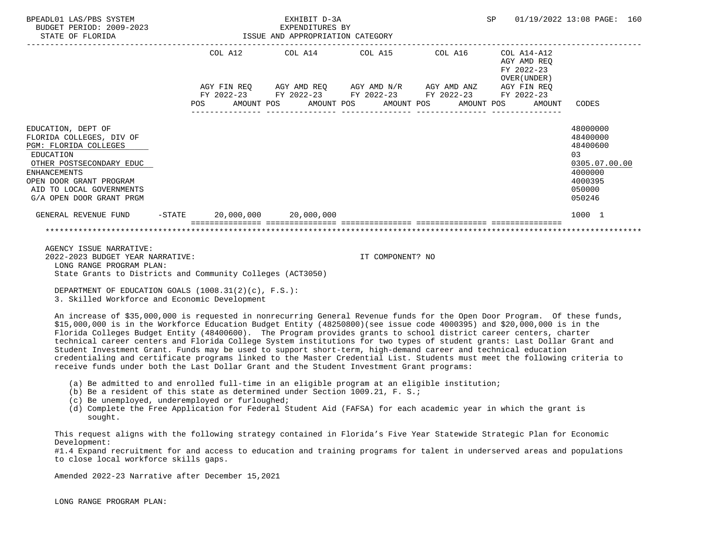| BPEADL01 LAS/PBS SYSTEM<br>BUDGET PERIOD: 2009-2023<br>STATE OF FLORIDA                                                                                                                                                    |  | ISSUE AND APPROPRIATION CATEGORY | EXHIBIT D-3A<br>EXPENDITURES BY |                                                                                                                       |  | SP |                                                        | 01/19/2022 13:08 PAGE: 160                                                                        |  |
|----------------------------------------------------------------------------------------------------------------------------------------------------------------------------------------------------------------------------|--|----------------------------------|---------------------------------|-----------------------------------------------------------------------------------------------------------------------|--|----|--------------------------------------------------------|---------------------------------------------------------------------------------------------------|--|
|                                                                                                                                                                                                                            |  |                                  |                                 | COL A12 COL A14 COL A15 COL A16 COL A14-A12                                                                           |  |    | AGY AMD REO<br>FY 2022-23<br>OVER (UNDER)              |                                                                                                   |  |
|                                                                                                                                                                                                                            |  |                                  |                                 | AGY FIN REO AGY AMD REO AGY AMD N/R AGY AMD ANZ AGY FIN REO<br>FY 2022-23 FY 2022-23 FY 2022-23 FY 2022-23 FY 2022-23 |  |    | POS AMOUNT POS AMOUNT POS AMOUNT POS AMOUNT POS AMOUNT | CODES                                                                                             |  |
| EDUCATION, DEPT OF<br>FLORIDA COLLEGES, DIV OF<br>PGM: FLORIDA COLLEGES<br>EDUCATION<br>OTHER POSTSECONDARY EDUC<br><b>ENHANCEMENTS</b><br>OPEN DOOR GRANT PROGRAM<br>AID TO LOCAL GOVERNMENTS<br>G/A OPEN DOOR GRANT PRGM |  |                                  |                                 |                                                                                                                       |  |    |                                                        | 48000000<br>48400000<br>48400600<br>03<br>0305.07.00.00<br>4000000<br>4000395<br>050000<br>050246 |  |
| GENERAL REVENUE FUND -STATE 20,000,000 20,000,000                                                                                                                                                                          |  |                                  |                                 |                                                                                                                       |  |    |                                                        | 1000 1                                                                                            |  |
|                                                                                                                                                                                                                            |  |                                  |                                 |                                                                                                                       |  |    |                                                        |                                                                                                   |  |

 AGENCY ISSUE NARRATIVE: 2022-2023 BUDGET YEAR NARRATIVE: IT COMPONENT? NO LONG RANGE PROGRAM PLAN: State Grants to Districts and Community Colleges (ACT3050)

 DEPARTMENT OF EDUCATION GOALS (1008.31(2)(c), F.S.): 3. Skilled Workforce and Economic Development

 An increase of \$35,000,000 is requested in nonrecurring General Revenue funds for the Open Door Program. Of these funds, \$15,000,000 is in the Workforce Education Budget Entity (48250800)(see issue code 4000395) and \$20,000,000 is in the Florida Colleges Budget Entity (48400600). The Program provides grants to school district career centers, charter technical career centers and Florida College System institutions for two types of student grants: Last Dollar Grant and Student Investment Grant. Funds may be used to support short-term, high-demand career and technical education credentialing and certificate programs linked to the Master Credential List. Students must meet the following criteria to receive funds under both the Last Dollar Grant and the Student Investment Grant programs:

- (a) Be admitted to and enrolled full-time in an eligible program at an eligible institution;
- (b) Be a resident of this state as determined under Section 1009.21, F. S.;
- (c) Be unemployed, underemployed or furloughed;
- (d) Complete the Free Application for Federal Student Aid (FAFSA) for each academic year in which the grant is sought.

 This request aligns with the following strategy contained in Florida's Five Year Statewide Strategic Plan for Economic Development:

 #1.4 Expand recruitment for and access to education and training programs for talent in underserved areas and populations to close local workforce skills gaps.

Amended 2022-23 Narrative after December 15,2021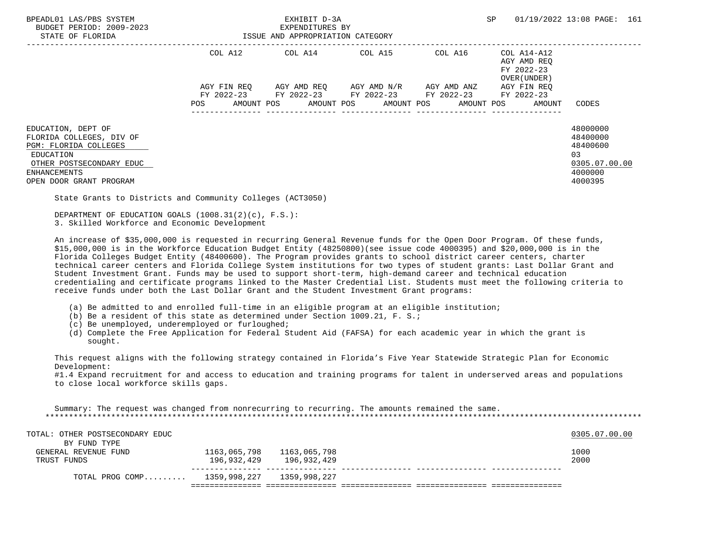| BPEADL01 LAS/PBS SYSTEM<br>BUDGET PERIOD: 2009-2023<br>STATE OF FLORIDA                                                                                            |                    | EXHIBIT D-3A<br>EXPENDITURES BY<br>ISSUE AND APPROPRIATION CATEGORY                 |                                             | 01/19/2022 13:08 PAGE: 161<br>SP                         |                                                                               |  |
|--------------------------------------------------------------------------------------------------------------------------------------------------------------------|--------------------|-------------------------------------------------------------------------------------|---------------------------------------------|----------------------------------------------------------|-------------------------------------------------------------------------------|--|
|                                                                                                                                                                    | COL A12            | COL A14 COL A15                                                                     | COL A16                                     | COL A14-A12<br>AGY AMD REO<br>FY 2022-23<br>OVER (UNDER) |                                                                               |  |
|                                                                                                                                                                    | AGY FIN REO<br>POS | AGY AMD REO       AGY AMD N/R       AGY AMD ANZ<br>AMOUNT POS AMOUNT POS AMOUNT POS | FY 2022-23 FY 2022-23 FY 2022-23 FY 2022-23 | AGY FIN REO<br>FY 2022-23<br>AMOUNT POS<br>AMOUNT        | CODES                                                                         |  |
| EDUCATION, DEPT OF<br>FLORIDA COLLEGES, DIV OF<br>PGM: FLORIDA COLLEGES<br>EDUCATION<br>OTHER POSTSECONDARY EDUC<br><b>ENHANCEMENTS</b><br>OPEN DOOR GRANT PROGRAM |                    |                                                                                     |                                             |                                                          | 48000000<br>48400000<br>48400600<br>03<br>0305.07.00.00<br>4000000<br>4000395 |  |

State Grants to Districts and Community Colleges (ACT3050)

 DEPARTMENT OF EDUCATION GOALS (1008.31(2)(c), F.S.): 3. Skilled Workforce and Economic Development

 An increase of \$35,000,000 is requested in recurring General Revenue funds for the Open Door Program. Of these funds, \$15,000,000 is in the Workforce Education Budget Entity (48250800)(see issue code 4000395) and \$20,000,000 is in the Florida Colleges Budget Entity (48400600). The Program provides grants to school district career centers, charter technical career centers and Florida College System institutions for two types of student grants: Last Dollar Grant and Student Investment Grant. Funds may be used to support short-term, high-demand career and technical education credentialing and certificate programs linked to the Master Credential List. Students must meet the following criteria to receive funds under both the Last Dollar Grant and the Student Investment Grant programs:

- (a) Be admitted to and enrolled full-time in an eligible program at an eligible institution;
- (b) Be a resident of this state as determined under Section 1009.21, F. S.;
- (c) Be unemployed, underemployed or furloughed;
- (d) Complete the Free Application for Federal Student Aid (FAFSA) for each academic year in which the grant is sought.

 This request aligns with the following strategy contained in Florida's Five Year Statewide Strategic Plan for Economic Development:

 #1.4 Expand recruitment for and access to education and training programs for talent in underserved areas and populations to close local workforce skills gaps.

 Summary: The request was changed from nonrecurring to recurring. The amounts remained the same. \*\*\*\*\*\*\*\*\*\*\*\*\*\*\*\*\*\*\*\*\*\*\*\*\*\*\*\*\*\*\*\*\*\*\*\*\*\*\*\*\*\*\*\*\*\*\*\*\*\*\*\*\*\*\*\*\*\*\*\*\*\*\*\*\*\*\*\*\*\*\*\*\*\*\*\*\*\*\*\*\*\*\*\*\*\*\*\*\*\*\*\*\*\*\*\*\*\*\*\*\*\*\*\*\*\*\*\*\*\*\*\*\*\*\*\*\*\*\*\*\*\*\*\*\*\*\*

| TOTAL: OTHER POSTSECONDARY EDUC           |                              | 0305.07.00.00 |
|-------------------------------------------|------------------------------|---------------|
| BY FUND TYPE                              |                              |               |
| GENERAL REVENUE FUND                      | 1163,065,798    1163,065,798 | 1000          |
| TRUST FUNDS                               | 196,932,429 196,932,429      | 2000          |
| TOTAL PROG COMP 1359,998,227 1359,998,227 |                              |               |
|                                           |                              |               |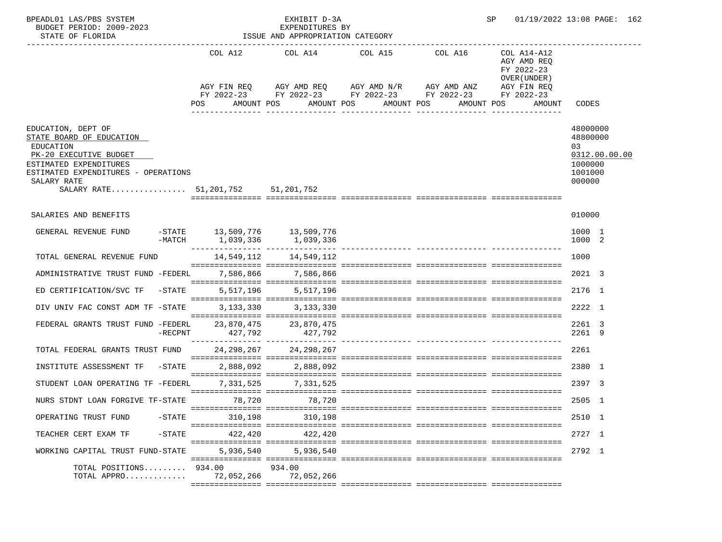| BPEADL01 LAS/PBS SYSTEM<br>BUDGET PERIOD: 2009-2023<br>STATE OF FLORIDA                                                                                                                                    |                                              | EXHIBIT D-3A<br>EXPENDITURES BY<br>ISSUE AND APPROPRIATION CATEGORY |                          |                                                                                                                 | SP                                                                                              | 01/19/2022 13:08 PAGE: 162                                                  |
|------------------------------------------------------------------------------------------------------------------------------------------------------------------------------------------------------------|----------------------------------------------|---------------------------------------------------------------------|--------------------------|-----------------------------------------------------------------------------------------------------------------|-------------------------------------------------------------------------------------------------|-----------------------------------------------------------------------------|
|                                                                                                                                                                                                            | POS<br>AMOUNT POS                            | AGY FIN REQ AGY AMD REQ AGY AMD N/R AGY AMD ANZ                     | AMOUNT POS<br>AMOUNT POS | COL A12 COL A14 COL A15 COL A16<br>FY 2022-23 FY 2022-23 FY 2022-23 FY 2022-23<br>AMOUNT POS<br>--------------- | COL A14-A12<br>AGY AMD REQ<br>FY 2022-23<br>OVER (UNDER)<br>AGY FIN REQ<br>FY 2022-23<br>AMOUNT | CODES                                                                       |
| EDUCATION, DEPT OF<br>STATE BOARD OF EDUCATION<br>EDUCATION<br>PK-20 EXECUTIVE BUDGET<br>ESTIMATED EXPENDITURES<br>ESTIMATED EXPENDITURES - OPERATIONS<br>SALARY RATE<br>SALARY RATE 51,201,752 51,201,752 |                                              |                                                                     |                          |                                                                                                                 |                                                                                                 | 48000000<br>48800000<br>03<br>0312.00.00.00<br>1000000<br>1001000<br>000000 |
| SALARIES AND BENEFITS                                                                                                                                                                                      |                                              |                                                                     |                          |                                                                                                                 |                                                                                                 | 010000                                                                      |
| GENERAL REVENUE FUND<br>-MATCH                                                                                                                                                                             | $-$ STATE 13,509,776 13,509,776<br>1,039,336 | 1,039,336                                                           |                          |                                                                                                                 |                                                                                                 | 1000 1<br>1000 2                                                            |
| TOTAL GENERAL REVENUE FUND                                                                                                                                                                                 | 14,549,112                                   | 14,549,112                                                          |                          |                                                                                                                 |                                                                                                 | 1000                                                                        |
| ADMINISTRATIVE TRUST FUND -FEDERL                                                                                                                                                                          |                                              | 7,586,866 7,586,866                                                 |                          |                                                                                                                 |                                                                                                 | 2021 3                                                                      |
| ED CERTIFICATION/SVC TF<br>$-$ STATE                                                                                                                                                                       |                                              | 5,517,196 5,517,196                                                 |                          |                                                                                                                 |                                                                                                 | 2176 1                                                                      |
| DIV UNIV FAC CONST ADM TF -STATE                                                                                                                                                                           |                                              | 3, 133, 330 3, 133, 330                                             |                          |                                                                                                                 |                                                                                                 | 2222 1                                                                      |
| FEDERAL GRANTS TRUST FUND -FEDERL<br>$-RECPNT$                                                                                                                                                             | 23,870,475<br>427,792                        | $23,870,475$<br>$427,700$<br>427,792                                |                          |                                                                                                                 |                                                                                                 | 2261 3<br>2261 9                                                            |
| TOTAL FEDERAL GRANTS TRUST FUND 24, 298, 267 24, 298, 267                                                                                                                                                  |                                              |                                                                     |                          |                                                                                                                 |                                                                                                 | 2261                                                                        |
| INSTITUTE ASSESSMENT TF<br>$-$ STATE                                                                                                                                                                       |                                              | 2,888,092 2,888,092                                                 |                          |                                                                                                                 |                                                                                                 | 2380 1                                                                      |
| STUDENT LOAN OPERATING TF -FEDERL                                                                                                                                                                          |                                              | 7, 331, 525 7, 331, 525                                             |                          |                                                                                                                 |                                                                                                 | 2397 3                                                                      |
| NURS STDNT LOAN FORGIVE TF-STATE                                                                                                                                                                           | 78,720                                       | 78,720                                                              |                          |                                                                                                                 |                                                                                                 | 2505 1                                                                      |
| OPERATING TRUST FUND<br>$-$ STATE                                                                                                                                                                          | 310,198                                      | 310,198                                                             |                          |                                                                                                                 |                                                                                                 | 2510 1                                                                      |
| TEACHER CERT EXAM TF<br>$-STATE$                                                                                                                                                                           | 422,420                                      | 422.420                                                             |                          |                                                                                                                 |                                                                                                 | 2727 1                                                                      |
| WORKING CAPITAL TRUST FUND-STATE                                                                                                                                                                           | 5,936,540                                    | 5,936,540                                                           |                          |                                                                                                                 |                                                                                                 | 2792 1                                                                      |
| TOTAL POSITIONS 934.00<br>TOTAL APPRO                                                                                                                                                                      | 72,052,266                                   | 934.00<br>72,052,266                                                |                          |                                                                                                                 |                                                                                                 |                                                                             |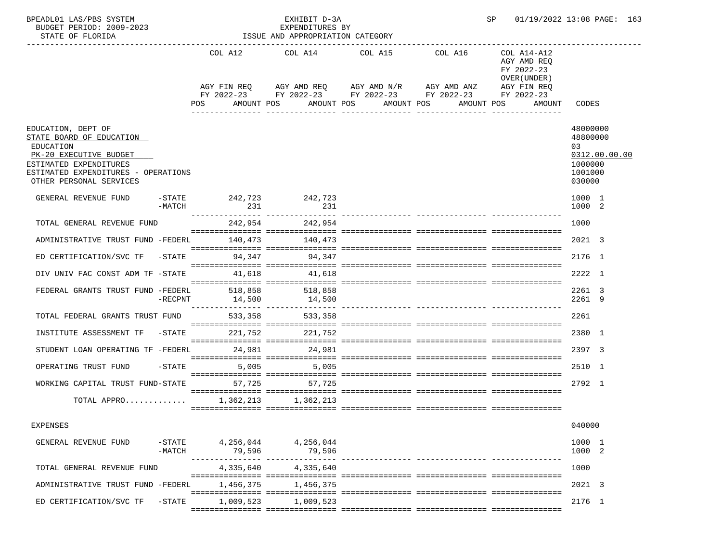| BPEADL01 LAS/PBS SYSTEM<br>BUDGET PERIOD: 2009-2023<br>STATE OF FLORIDA                                                                                                           |           |                                             | EXHIBIT D-3A<br>EXPENDITURES BY<br>ISSUE AND APPROPRIATION CATEGORY |            |                                                                                                                       | SP                                                       | 01/19/2022 13:08 PAGE: 163                                                  |
|-----------------------------------------------------------------------------------------------------------------------------------------------------------------------------------|-----------|---------------------------------------------|---------------------------------------------------------------------|------------|-----------------------------------------------------------------------------------------------------------------------|----------------------------------------------------------|-----------------------------------------------------------------------------|
|                                                                                                                                                                                   |           |                                             | COL A12 COL A14 COL A15 COL A16                                     |            | AGY FIN REQ AGY AMD REQ AGY AMD N/R AGY AMD ANZ AGY FIN REQ<br>FY 2022-23 FY 2022-23 FY 2022-23 FY 2022-23 FY 2022-23 | COL A14-A12<br>AGY AMD REO<br>FY 2022-23<br>OVER (UNDER) |                                                                             |
|                                                                                                                                                                                   |           | POS DO                                      | AMOUNT POS                                                          | AMOUNT POS | AMOUNT POS                                                                                                            | AMOUNT POS<br>AMOUNT                                     | CODES                                                                       |
| EDUCATION, DEPT OF<br>STATE BOARD OF EDUCATION<br>EDUCATION<br>PK-20 EXECUTIVE BUDGET<br>ESTIMATED EXPENDITURES<br>ESTIMATED EXPENDITURES - OPERATIONS<br>OTHER PERSONAL SERVICES |           |                                             |                                                                     |            |                                                                                                                       |                                                          | 48000000<br>48800000<br>03<br>0312.00.00.00<br>1000000<br>1001000<br>030000 |
| GENERAL REVENUE FUND -STATE 242,723 242,723                                                                                                                                       | -MATCH    | 231                                         | 231                                                                 |            |                                                                                                                       |                                                          | 1000 1<br>1000 2                                                            |
| TOTAL GENERAL REVENUE FUND                                                                                                                                                        |           |                                             | 242,954 242,954                                                     |            |                                                                                                                       |                                                          | 1000                                                                        |
| ADMINISTRATIVE TRUST FUND -FEDERL 140,473 140,473                                                                                                                                 |           |                                             |                                                                     |            |                                                                                                                       |                                                          | 2021 3                                                                      |
| ED CERTIFICATION/SVC TF -STATE 94,347 94,347                                                                                                                                      |           |                                             |                                                                     |            |                                                                                                                       |                                                          | 2176 1                                                                      |
| DIV UNIV FAC CONST ADM TF -STATE 41,618                                                                                                                                           |           |                                             | 41,618                                                              |            |                                                                                                                       |                                                          | 2222 1                                                                      |
| FEDERAL GRANTS TRUST FUND -FEDERL 518,858 518,858                                                                                                                                 | -RECPNT   |                                             | 14,500 14,500                                                       |            |                                                                                                                       |                                                          | 2261 3<br>2261 9                                                            |
| TOTAL FEDERAL GRANTS TRUST FUND 533,358                                                                                                                                           |           |                                             | 533,358                                                             |            |                                                                                                                       |                                                          | 2261                                                                        |
| INSTITUTE ASSESSMENT TF -STATE 221,752 221,752                                                                                                                                    |           |                                             |                                                                     |            |                                                                                                                       |                                                          | 2380 1                                                                      |
| STUDENT LOAN OPERATING TF -FEDERL 24,981 24,981                                                                                                                                   |           |                                             |                                                                     |            |                                                                                                                       |                                                          | 2397 3                                                                      |
| OPERATING TRUST FUND -STATE                                                                                                                                                       |           |                                             | 5,005 5,005                                                         |            |                                                                                                                       |                                                          | 2510 1                                                                      |
| WORKING CAPITAL TRUST FUND-STATE                                                                                                                                                  |           |                                             | 57,725 57,725                                                       |            |                                                                                                                       |                                                          | 2792 1                                                                      |
| TOTAL APPRO 1,362,213 1,362,213                                                                                                                                                   |           |                                             |                                                                     |            |                                                                                                                       |                                                          |                                                                             |
| <b>EXPENSES</b>                                                                                                                                                                   |           |                                             |                                                                     |            |                                                                                                                       |                                                          | 040000                                                                      |
| GENERAL REVENUE FUND                                                                                                                                                              | $-MATCH$  | $-$ STATE 4, 256, 044 4, 256, 044<br>79,596 | 79,596                                                              |            |                                                                                                                       |                                                          | 1000 1<br>1000 2                                                            |
| TOTAL GENERAL REVENUE FUND                                                                                                                                                        |           | 4,335,640                                   | 4,335,640                                                           |            |                                                                                                                       |                                                          | 1000                                                                        |
| ADMINISTRATIVE TRUST FUND -FEDERL                                                                                                                                                 |           | 1,456,375                                   | 1,456,375                                                           |            |                                                                                                                       |                                                          | 2021 3                                                                      |
| ED CERTIFICATION/SVC TF                                                                                                                                                           | $-$ STATE | 1,009,523                                   | 1,009,523                                                           |            |                                                                                                                       |                                                          | 2176 1                                                                      |
|                                                                                                                                                                                   |           |                                             |                                                                     |            |                                                                                                                       |                                                          |                                                                             |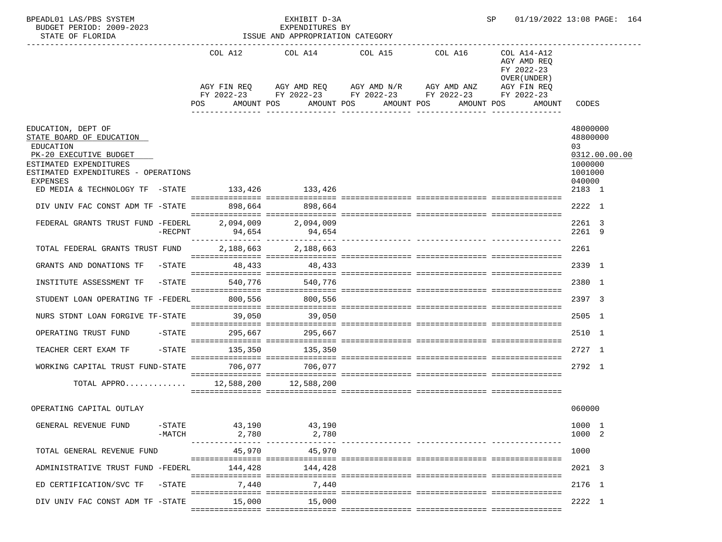| BPEADL01 LAS/PBS SYSTEM<br>BUDGET PERIOD: 2009-2023<br>STATE OF FLORIDA                                                                                                                                                  |                       |                 | EXHIBIT D-3A<br>EXPENDITURES D.<br>ISSUE AND APPROPRIATION CATEGORY                                                                                                                                                 |                           | SP.<br>01/19/2022 13:08 PAGE: 164                   |                                                                                       |  |
|--------------------------------------------------------------------------------------------------------------------------------------------------------------------------------------------------------------------------|-----------------------|-----------------|---------------------------------------------------------------------------------------------------------------------------------------------------------------------------------------------------------------------|---------------------------|-----------------------------------------------------|---------------------------------------------------------------------------------------|--|
|                                                                                                                                                                                                                          |                       | <b>POS</b>      | COL A12 COL A14 COL A15 COL A16 COL A14-A12<br>AGY FIN REQ AGY AMD REQ AGY AMD N/R AGY AMD ANZ AGY FIN REQ<br>FY 2022-23 FY 2022-23 FY 2022-23 FY 2022-23 FY 2022-23<br>AMOUNT POS AMOUNT POS AMOUNT POS AMOUNT POS | _______________           | AGY AMD REQ<br>FY 2022-23<br>OVER (UNDER)<br>AMOUNT | CODES                                                                                 |  |
| EDUCATION, DEPT OF<br>STATE BOARD OF EDUCATION<br>EDUCATION<br>PK-20 EXECUTIVE BUDGET<br>ESTIMATED EXPENDITURES<br>ESTIMATED EXPENDITURES - OPERATIONS<br>EXPENSES<br>ED MEDIA & TECHNOLOGY TF $-$ STATE 133,426 133,426 |                       |                 |                                                                                                                                                                                                                     |                           |                                                     | 48000000<br>48800000<br>03<br>0312.00.00.00<br>1000000<br>1001000<br>040000<br>2183 1 |  |
| DIV UNIV FAC CONST ADM TF -STATE 898,664 898,664                                                                                                                                                                         |                       |                 |                                                                                                                                                                                                                     |                           |                                                     | 2222 1                                                                                |  |
| FEDERAL GRANTS TRUST FUND -FEDERL 2,094,009 2,094,009                                                                                                                                                                    | -RECPNT               | 94,654          | 94,654                                                                                                                                                                                                              |                           |                                                     | 2261 3<br>2261 9                                                                      |  |
| TOTAL FEDERAL GRANTS TRUST FUND                                                                                                                                                                                          |                       |                 | 2, 188, 663 2, 188, 663                                                                                                                                                                                             |                           |                                                     | 2261                                                                                  |  |
| GRANTS AND DONATIONS TF -STATE 48,433 48,433                                                                                                                                                                             |                       |                 |                                                                                                                                                                                                                     |                           |                                                     | 2339 1                                                                                |  |
| INSTITUTE ASSESSMENT TF                                                                                                                                                                                                  |                       |                 | -STATE 540,776 540,776                                                                                                                                                                                              |                           |                                                     | 2380 1                                                                                |  |
| STUDENT LOAN OPERATING TF -FEDERL 800,556 800,556                                                                                                                                                                        |                       |                 |                                                                                                                                                                                                                     |                           |                                                     | 2397 3                                                                                |  |
| NURS STDNT LOAN FORGIVE TF-STATE 39,050 39,050                                                                                                                                                                           |                       |                 |                                                                                                                                                                                                                     |                           |                                                     | 2505 1                                                                                |  |
| OPERATING TRUST FUND -STATE                                                                                                                                                                                              |                       |                 | 295,667 295,667                                                                                                                                                                                                     |                           |                                                     | 2510 1                                                                                |  |
| TEACHER CERT EXAM TF -STATE                                                                                                                                                                                              |                       |                 | 135,350 135,350                                                                                                                                                                                                     |                           |                                                     | 2727 1                                                                                |  |
| WORKING CAPITAL TRUST FUND-STATE 706.077 706.077                                                                                                                                                                         |                       |                 |                                                                                                                                                                                                                     |                           |                                                     | 2792 1                                                                                |  |
| TOTAL APPRO                                                                                                                                                                                                              |                       |                 | 12,588,200 12,588,200                                                                                                                                                                                               |                           |                                                     |                                                                                       |  |
|                                                                                                                                                                                                                          |                       |                 |                                                                                                                                                                                                                     |                           |                                                     |                                                                                       |  |
| OPERATING CAPITAL OUTLAY                                                                                                                                                                                                 |                       |                 |                                                                                                                                                                                                                     |                           |                                                     | 060000                                                                                |  |
| GENERAL REVENUE FUND                                                                                                                                                                                                     | $-$ STATE<br>$-MATCH$ | 43,190<br>2,780 | 43,190<br>2,780                                                                                                                                                                                                     |                           |                                                     | 1000 1<br>1000 2                                                                      |  |
| TOTAL GENERAL REVENUE FUND                                                                                                                                                                                               |                       | 45,970          | 45,970                                                                                                                                                                                                              | ----------- ------------- |                                                     | 1000                                                                                  |  |
| ADMINISTRATIVE TRUST FUND -FEDERL                                                                                                                                                                                        |                       | 144,428         | 144,428                                                                                                                                                                                                             |                           |                                                     | 2021 3                                                                                |  |
| ED CERTIFICATION/SVC TF                                                                                                                                                                                                  | $-STATE$              | 7,440           | 7,440                                                                                                                                                                                                               |                           |                                                     | 2176 1                                                                                |  |
| DIV UNIV FAC CONST ADM TF -STATE                                                                                                                                                                                         |                       | 15,000          | 15,000                                                                                                                                                                                                              |                           |                                                     | 2222 1                                                                                |  |
|                                                                                                                                                                                                                          |                       |                 |                                                                                                                                                                                                                     |                           |                                                     |                                                                                       |  |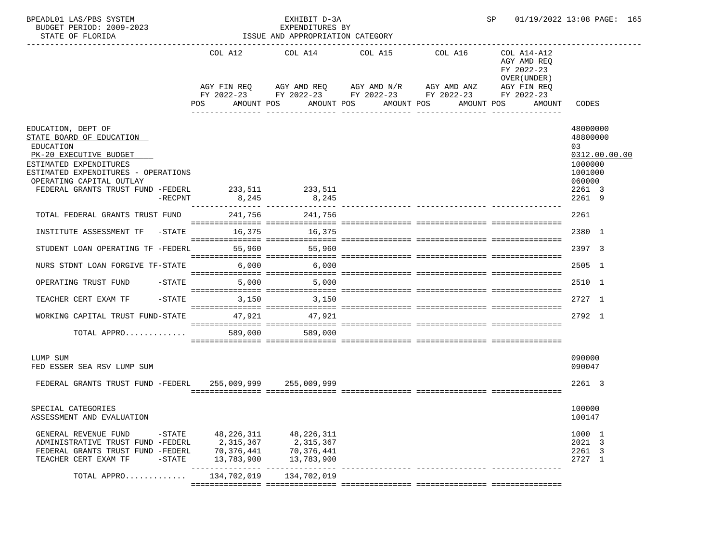| BPEADL01 LAS/PBS SYSTEM<br>BUDGET PERIOD: 2009-2023<br>STATE OF FLORIDA                                                                                                                                                                 |                        |                                                                      | EXHIBIT D-3A<br>EXPENDITURES BY<br>ISSUE AND APPROPRIATION CATEGORY |                                                                                                                                                          |                               | SP                                                                               | 01/19/2022 13:08 PAGE: 165                                                                       |
|-----------------------------------------------------------------------------------------------------------------------------------------------------------------------------------------------------------------------------------------|------------------------|----------------------------------------------------------------------|---------------------------------------------------------------------|----------------------------------------------------------------------------------------------------------------------------------------------------------|-------------------------------|----------------------------------------------------------------------------------|--------------------------------------------------------------------------------------------------|
|                                                                                                                                                                                                                                         |                        | POS                                                                  | AMOUNT POS AMOUNT POS                                               | COL A12 COL A14 COL A15 COL A16<br>AGY FIN REQ AGY AMD REQ AGY AMD N/R AGY AMD ANZ AGY FIN REQ<br>FY 2022-23 FY 2022-23 FY 2022-23 FY 2022-23 FY 2022-23 | AMOUNT POS                    | COL A14-A12<br>AGY AMD REO<br>FY 2022-23<br>OVER (UNDER)<br>AMOUNT POS<br>AMOUNT | CODES                                                                                            |
| EDUCATION, DEPT OF<br>STATE BOARD OF EDUCATION<br>EDUCATION<br>PK-20 EXECUTIVE BUDGET<br>ESTIMATED EXPENDITURES<br>ESTIMATED EXPENDITURES - OPERATIONS<br>OPERATING CAPITAL OUTLAY<br>FEDERAL GRANTS TRUST FUND -FEDERL 233,511 233,511 | $-$ RECPNT             | 8,245                                                                | 8,245                                                               |                                                                                                                                                          |                               |                                                                                  | 48000000<br>48800000<br>0.3<br>0312.00.00.00<br>1000000<br>1001000<br>060000<br>2261 3<br>2261 9 |
| TOTAL FEDERAL GRANTS TRUST FUND                                                                                                                                                                                                         |                        |                                                                      | 241,756 241,756                                                     | $\sim$ -concercional concercional concercional concercional concercional con                                                                             |                               |                                                                                  | 2261                                                                                             |
| INSTITUTE ASSESSMENT TF -STATE 16,375 16,375                                                                                                                                                                                            |                        |                                                                      |                                                                     |                                                                                                                                                          |                               |                                                                                  | 2380 1                                                                                           |
| STUDENT LOAN OPERATING TF -FEDERL                                                                                                                                                                                                       |                        |                                                                      | 55,960 55,960                                                       |                                                                                                                                                          |                               |                                                                                  | 2397 3                                                                                           |
| NURS STDNT LOAN FORGIVE TF-STATE                                                                                                                                                                                                        |                        |                                                                      | 6,000 6,000                                                         |                                                                                                                                                          |                               |                                                                                  | 2505 1                                                                                           |
| OPERATING TRUST FUND                                                                                                                                                                                                                    | -STATE                 |                                                                      | 5,000 5,000                                                         |                                                                                                                                                          |                               |                                                                                  | 2510 1                                                                                           |
| TEACHER CERT EXAM TF                                                                                                                                                                                                                    |                        |                                                                      | $-STATE$ 3, 150 3, 150                                              |                                                                                                                                                          |                               |                                                                                  | 2727 1                                                                                           |
| WORKING CAPITAL TRUST FUND-STATE 47,921 47,921                                                                                                                                                                                          |                        |                                                                      |                                                                     |                                                                                                                                                          |                               |                                                                                  | 2792 1                                                                                           |
| TOTAL APPRO                                                                                                                                                                                                                             |                        |                                                                      | 589,000<br>589,000                                                  |                                                                                                                                                          |                               |                                                                                  |                                                                                                  |
| LUMP SUM<br>FED ESSER SEA RSV LUMP SUM                                                                                                                                                                                                  |                        |                                                                      |                                                                     |                                                                                                                                                          |                               |                                                                                  | 090000<br>090047                                                                                 |
| FEDERAL GRANTS TRUST FUND -FEDERL 255,009,999 255,009,999                                                                                                                                                                               |                        |                                                                      |                                                                     |                                                                                                                                                          |                               |                                                                                  | 2261 3                                                                                           |
| SPECIAL CATEGORIES<br>ASSESSMENT AND EVALUATION                                                                                                                                                                                         |                        |                                                                      |                                                                     |                                                                                                                                                          |                               |                                                                                  | 100000<br>100147                                                                                 |
| GENERAL REVENUE FUND<br>ADMINISTRATIVE TRUST FUND -FEDERL<br>FEDERAL GRANTS TRUST FUND -FEDERL<br>TEACHER CERT EXAM TF                                                                                                                  | $-$ STATE<br>$-$ STATE | 48,226,311<br>2,315,367<br>70,376,441<br>13,783,900<br>$- - - - - -$ | 48, 226, 311<br>2,315,367<br>70,376,441<br>13,783,900               |                                                                                                                                                          | _____________________________ |                                                                                  | 1000 1<br>2021 3<br>2261 3<br>2727 1                                                             |
| TOTAL APPRO                                                                                                                                                                                                                             |                        | 134,702,019                                                          | 134,702,019                                                         |                                                                                                                                                          |                               |                                                                                  |                                                                                                  |
|                                                                                                                                                                                                                                         |                        |                                                                      |                                                                     |                                                                                                                                                          |                               |                                                                                  |                                                                                                  |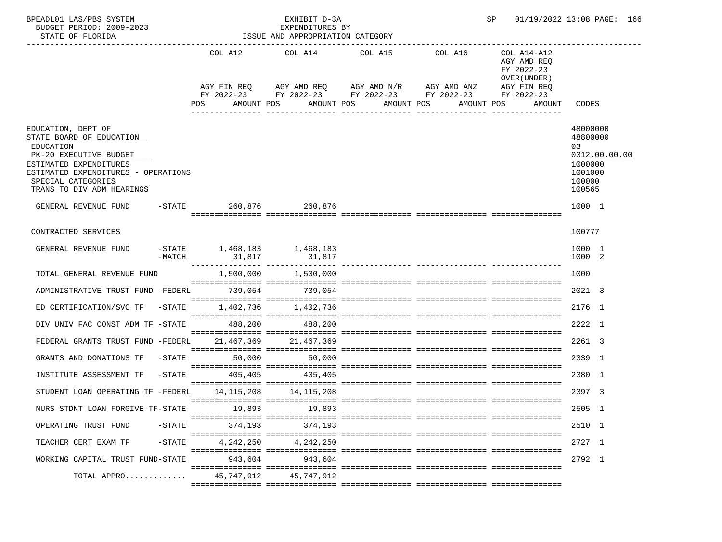| BPEADL01 LAS/PBS SYSTEM<br>BUDGET PERIOD: 2009-2023<br>STATE OF FLORIDA                                                                                                                                   |           |                                                                                                                | EXHIBIT D-3A<br>EXPENDITURES BY<br>ISSUE AND APPROPRIATION CATEGORY |                                                                                                                                                                                   | SP 01/19/2022 13:08 PAGE: 166                                                    |                                                                      |               |
|-----------------------------------------------------------------------------------------------------------------------------------------------------------------------------------------------------------|-----------|----------------------------------------------------------------------------------------------------------------|---------------------------------------------------------------------|-----------------------------------------------------------------------------------------------------------------------------------------------------------------------------------|----------------------------------------------------------------------------------|----------------------------------------------------------------------|---------------|
|                                                                                                                                                                                                           |           | POS FOR THE POST OF THE STATE STATE STATE STATE STATE STATE STATE STATE STATE STATE STATE STATE STATE STATE ST | AMOUNT POS                                                          | COL A12 COL A14 COL A15 COL A16<br>AGY FIN REQ AGY AMD REQ AGY AMD N/R AGY AMD ANZ AGY FIN REQ<br>FY 2022-23 FY 2022-23 FY 2022-23 FY 2022-23 FY 2022-23<br>AMOUNT POS AMOUNT POS | COL A14-A12<br>AGY AMD REQ<br>FY 2022-23<br>OVER (UNDER)<br>AMOUNT POS<br>AMOUNT | CODES                                                                |               |
| EDUCATION, DEPT OF<br>STATE BOARD OF EDUCATION<br>EDUCATION<br>PK-20 EXECUTIVE BUDGET<br>ESTIMATED EXPENDITURES<br>ESTIMATED EXPENDITURES - OPERATIONS<br>SPECIAL CATEGORIES<br>TRANS TO DIV ADM HEARINGS |           |                                                                                                                |                                                                     |                                                                                                                                                                                   |                                                                                  | 48000000<br>48800000<br>03<br>1000000<br>1001000<br>100000<br>100565 | 0312.00.00.00 |
| GENERAL REVENUE FUND -STATE 260,876 260,876                                                                                                                                                               |           |                                                                                                                |                                                                     |                                                                                                                                                                                   |                                                                                  | 1000 1                                                               |               |
| CONTRACTED SERVICES                                                                                                                                                                                       |           |                                                                                                                |                                                                     |                                                                                                                                                                                   |                                                                                  | 100777                                                               |               |
| GENERAL REVENUE FUND -STATE 1,468,183 1,468,183                                                                                                                                                           | $-MATCH$  |                                                                                                                |                                                                     |                                                                                                                                                                                   |                                                                                  | 1000 1<br>1000 2                                                     |               |
| TOTAL GENERAL REVENUE FUND                                                                                                                                                                                |           |                                                                                                                | 1,500,000 1,500,000                                                 |                                                                                                                                                                                   |                                                                                  | 1000                                                                 |               |
| ADMINISTRATIVE TRUST FUND -FEDERL 739,054 739,054                                                                                                                                                         |           |                                                                                                                |                                                                     |                                                                                                                                                                                   |                                                                                  | 2021 3                                                               |               |
| ED CERTIFICATION/SVC TF $-$ STATE $1,402,736$ $1,402,736$                                                                                                                                                 |           |                                                                                                                |                                                                     |                                                                                                                                                                                   |                                                                                  | 2176 1                                                               |               |
| DIV UNIV FAC CONST ADM TF -STATE 488,200 488,200                                                                                                                                                          |           |                                                                                                                |                                                                     |                                                                                                                                                                                   |                                                                                  | 2222 1                                                               |               |
| FEDERAL GRANTS TRUST FUND -FEDERL 21,467,369 21,467,369                                                                                                                                                   |           |                                                                                                                |                                                                     |                                                                                                                                                                                   |                                                                                  | 2261 3                                                               |               |
| GRANTS AND DONATIONS TF -STATE 50,000 50,000                                                                                                                                                              |           |                                                                                                                |                                                                     |                                                                                                                                                                                   |                                                                                  | 2339 1                                                               |               |
| INSTITUTE ASSESSMENT TF                                                                                                                                                                                   |           | -STATE 405,405 405,405                                                                                         |                                                                     |                                                                                                                                                                                   |                                                                                  | 2380 1                                                               |               |
| STUDENT LOAN OPERATING TF -FEDERL 14.115.208 14.115.208                                                                                                                                                   |           |                                                                                                                |                                                                     |                                                                                                                                                                                   |                                                                                  | 2397 3                                                               |               |
| NURS STDNT LOAN FORGIVE TF-STATE                                                                                                                                                                          |           | 19,893                                                                                                         | 19,893                                                              |                                                                                                                                                                                   |                                                                                  | 2505 1                                                               |               |
| OPERATING TRUST FUND                                                                                                                                                                                      | $-$ STATE | 374,193                                                                                                        | 374,193                                                             |                                                                                                                                                                                   |                                                                                  | 2510 1                                                               |               |
| TEACHER CERT EXAM TF                                                                                                                                                                                      | $-$ STATE | 4,242,250                                                                                                      | 4,242,250                                                           |                                                                                                                                                                                   |                                                                                  | 2727 1                                                               |               |
| WORKING CAPITAL TRUST FUND-STATE                                                                                                                                                                          |           | 943,604                                                                                                        | 943,604                                                             |                                                                                                                                                                                   |                                                                                  | 2792 1                                                               |               |
| TOTAL APPRO                                                                                                                                                                                               |           | 45,747,912                                                                                                     | 45,747,912                                                          |                                                                                                                                                                                   |                                                                                  |                                                                      |               |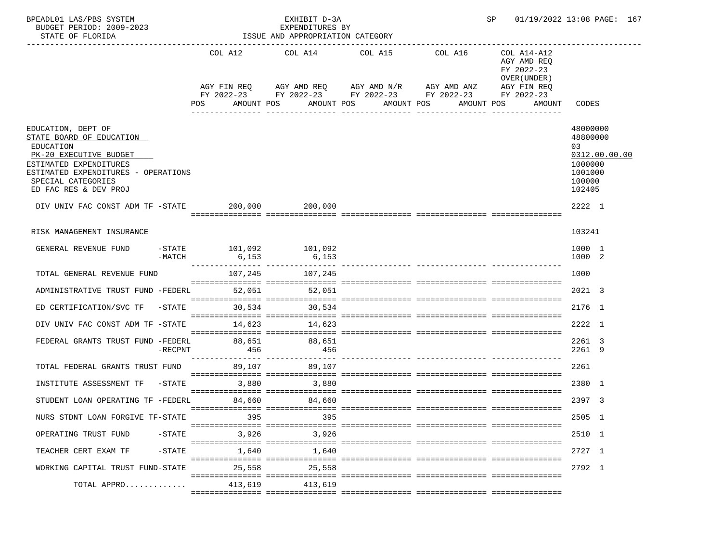| BPEADL01 LAS/PBS SYSTEM<br>BUDGET PERIOD: 2009-2023<br>STATE OF FLORIDA                                                                                                                               |            |                   | EXHIBIT D-3A<br>EXPENDITURES BY<br>ISSUE AND APPROPRIATION CATEGORY |                                                                                                                                                                           |         | SP                                                                               | 01/19/2022 13:08 PAGE: 167                                                            |  |
|-------------------------------------------------------------------------------------------------------------------------------------------------------------------------------------------------------|------------|-------------------|---------------------------------------------------------------------|---------------------------------------------------------------------------------------------------------------------------------------------------------------------------|---------|----------------------------------------------------------------------------------|---------------------------------------------------------------------------------------|--|
|                                                                                                                                                                                                       |            | POS               | AMOUNT POS                                                          | COL A12 COL A14 COL A15<br>AGY FIN REQ AGY AMD REQ AGY AMD N/R AGY AMD ANZ AGY FIN REQ<br>FY 2022-23 FY 2022-23 FY 2022-23 FY 2022-23 FY 2022-23<br>AMOUNT POS AMOUNT POS | COL A16 | COL A14-A12<br>AGY AMD REQ<br>FY 2022-23<br>OVER (UNDER)<br>AMOUNT POS<br>AMOUNT | CODES                                                                                 |  |
| EDUCATION, DEPT OF<br>STATE BOARD OF EDUCATION<br>EDUCATION<br>PK-20 EXECUTIVE BUDGET<br>ESTIMATED EXPENDITURES<br>ESTIMATED EXPENDITURES - OPERATIONS<br>SPECIAL CATEGORIES<br>ED FAC RES & DEV PROJ |            |                   |                                                                     |                                                                                                                                                                           |         |                                                                                  | 48000000<br>48800000<br>03<br>0312.00.00.00<br>1000000<br>1001000<br>100000<br>102405 |  |
| DIV UNIV FAC CONST ADM TF -STATE 200,000 200,000                                                                                                                                                      |            |                   |                                                                     |                                                                                                                                                                           |         |                                                                                  | 2222 1                                                                                |  |
| RISK MANAGEMENT INSURANCE                                                                                                                                                                             |            |                   |                                                                     |                                                                                                                                                                           |         |                                                                                  | 103241                                                                                |  |
| GENERAL REVENUE FUND -STATE 101,092 101,092                                                                                                                                                           | $-MATCH$   |                   |                                                                     |                                                                                                                                                                           |         |                                                                                  | 1000 1<br>1000 2                                                                      |  |
| TOTAL GENERAL REVENUE FUND                                                                                                                                                                            |            | $107,245$ 107,245 |                                                                     |                                                                                                                                                                           |         |                                                                                  | 1000                                                                                  |  |
| ADMINISTRATIVE TRUST FUND -FEDERL 52,051 52,051                                                                                                                                                       |            |                   |                                                                     |                                                                                                                                                                           |         |                                                                                  | 2021 3                                                                                |  |
| ED CERTIFICATION/SVC TF -STATE 30,534 30,534                                                                                                                                                          |            |                   |                                                                     |                                                                                                                                                                           |         |                                                                                  | 2176 1                                                                                |  |
| DIV UNIV FAC CONST ADM TF -STATE 14,623 14,623                                                                                                                                                        |            |                   |                                                                     |                                                                                                                                                                           |         |                                                                                  | 2222 1                                                                                |  |
| FEDERAL GRANTS TRUST FUND -FEDERL 88,651 88,651                                                                                                                                                       | $-$ RECPNT | 456               | 456                                                                 |                                                                                                                                                                           |         |                                                                                  | 2261 3<br>2261 9                                                                      |  |
| TOTAL FEDERAL GRANTS TRUST FUND 89,107 89,107                                                                                                                                                         |            |                   |                                                                     |                                                                                                                                                                           |         |                                                                                  | 2261                                                                                  |  |
| INSTITUTE ASSESSMENT TF                                                                                                                                                                               |            | $-STATE$<br>3,880 | 3,880                                                               |                                                                                                                                                                           |         |                                                                                  | 2380 1                                                                                |  |
| STUDENT LOAN OPERATING TF -FEDERL                                                                                                                                                                     |            |                   | 84,660 84,660                                                       |                                                                                                                                                                           |         |                                                                                  | 2397 3                                                                                |  |
| NURS STDNT LOAN FORGIVE TF-STATE                                                                                                                                                                      |            | 395               | 395                                                                 |                                                                                                                                                                           |         |                                                                                  | 2505 1                                                                                |  |
| OPERATING TRUST FUND                                                                                                                                                                                  | $-$ STATE  | 3,926             | 3,926                                                               |                                                                                                                                                                           |         |                                                                                  | 2510 1                                                                                |  |
| TEACHER CERT EXAM TF                                                                                                                                                                                  | $-$ STATE  | 1,640             | 1,640                                                               |                                                                                                                                                                           |         |                                                                                  | 2727 1                                                                                |  |
| WORKING CAPITAL TRUST FUND-STATE                                                                                                                                                                      |            | 25,558            | 25,558                                                              |                                                                                                                                                                           |         |                                                                                  | 2792 1                                                                                |  |
| TOTAL APPRO                                                                                                                                                                                           |            | 413,619           | 413,619                                                             |                                                                                                                                                                           |         |                                                                                  |                                                                                       |  |
|                                                                                                                                                                                                       |            |                   |                                                                     |                                                                                                                                                                           |         |                                                                                  |                                                                                       |  |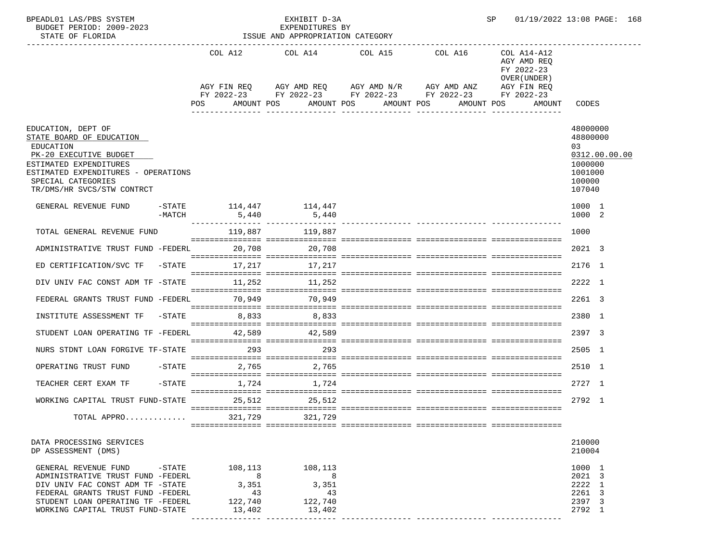| BPEADL01 LAS/PBS SYSTEM<br>BUDGET PERIOD: 2009-2023<br>STATE OF FLORIDA                                                                                                                                                          |                                                               | EXHIBIT D-3A<br>EXPENDITURES BY<br>ISSUE AND APPROPRIATION CATEGORY |            | SP                                                                                                                                    |                                                                                   | 01/19/2022 13:08 PAGE: 168                                                             |
|----------------------------------------------------------------------------------------------------------------------------------------------------------------------------------------------------------------------------------|---------------------------------------------------------------|---------------------------------------------------------------------|------------|---------------------------------------------------------------------------------------------------------------------------------------|-----------------------------------------------------------------------------------|----------------------------------------------------------------------------------------|
|                                                                                                                                                                                                                                  | POS                                                           | COL A12 COL A14 COL A15 COL A16<br>AMOUNT POS                       | AMOUNT POS | AGY FIN REQ AGY AMD REQ AGY AMD N/R AGY AMD ANZ<br>FY 2022-23 FY 2022-23 FY 2022-23 FY 2022-23 FY 2022-23<br>AMOUNT POS<br>AMOUNT POS | COL A14-A12<br>AGY AMD REO<br>FY 2022-23<br>OVER (UNDER)<br>AGY FIN REQ<br>AMOUNT | CODES                                                                                  |
| EDUCATION, DEPT OF<br>STATE BOARD OF EDUCATION<br>EDUCATION<br>PK-20 EXECUTIVE BUDGET<br>ESTIMATED EXPENDITURES<br>ESTIMATED EXPENDITURES - OPERATIONS<br>SPECIAL CATEGORIES<br>TR/DMS/HR SVCS/STW CONTRCT                       |                                                               |                                                                     |            |                                                                                                                                       |                                                                                   | 48000000<br>48800000<br>0.3<br>0312.00.00.00<br>1000000<br>1001000<br>100000<br>107040 |
| GENERAL REVENUE FUND<br>-MATCH                                                                                                                                                                                                   | 5,440                                                         | $-$ STATE $114, 447$ $114, 447$<br>5,440                            |            |                                                                                                                                       |                                                                                   | 1000 1<br>1000 2                                                                       |
| TOTAL GENERAL REVENUE FUND                                                                                                                                                                                                       |                                                               | 119,887 119,887                                                     |            |                                                                                                                                       |                                                                                   | 1000                                                                                   |
| ADMINISTRATIVE TRUST FUND -FEDERL 20,708 20,708                                                                                                                                                                                  |                                                               |                                                                     |            |                                                                                                                                       |                                                                                   | 2021 3                                                                                 |
| ED CERTIFICATION/SVC TF                                                                                                                                                                                                          |                                                               | $-STATE$ 17, 217 17, 217                                            |            |                                                                                                                                       |                                                                                   | 2176 1                                                                                 |
| DIV UNIV FAC CONST ADM TF -STATE 11,252 11,252                                                                                                                                                                                   |                                                               |                                                                     |            |                                                                                                                                       |                                                                                   | 2222 1                                                                                 |
| FEDERAL GRANTS TRUST FUND -FEDERL 70,949 70,949                                                                                                                                                                                  |                                                               |                                                                     |            |                                                                                                                                       |                                                                                   | 2261 3                                                                                 |
| INSTITUTE ASSESSMENT TF                                                                                                                                                                                                          | $-STATE$                                                      | 8,833 8,833                                                         |            |                                                                                                                                       |                                                                                   | 2380 1                                                                                 |
| STUDENT LOAN OPERATING TF -FEDERL                                                                                                                                                                                                |                                                               | 42,589 42,589                                                       |            |                                                                                                                                       |                                                                                   | 2397 3                                                                                 |
| NURS STDNT LOAN FORGIVE TF-STATE                                                                                                                                                                                                 | 293                                                           | 293                                                                 |            |                                                                                                                                       |                                                                                   | 2505 1                                                                                 |
| OPERATING TRUST FUND -STATE                                                                                                                                                                                                      |                                                               | 2,765 2,765                                                         |            |                                                                                                                                       |                                                                                   | 2510 1                                                                                 |
| $-STATE$<br>TEACHER CERT EXAM TF                                                                                                                                                                                                 |                                                               | 1,724 1,724                                                         |            |                                                                                                                                       |                                                                                   | 2727 1                                                                                 |
| WORKING CAPITAL TRUST FUND-STATE 25,512 25,512                                                                                                                                                                                   |                                                               |                                                                     |            |                                                                                                                                       |                                                                                   | 2792 1                                                                                 |
| TOTAL APPRO                                                                                                                                                                                                                      | 321,729                                                       | ===== ============<br>321,729                                       |            |                                                                                                                                       |                                                                                   |                                                                                        |
| DATA PROCESSING SERVICES                                                                                                                                                                                                         |                                                               |                                                                     |            |                                                                                                                                       |                                                                                   | 210000                                                                                 |
| DP ASSESSMENT (DMS)                                                                                                                                                                                                              |                                                               |                                                                     |            |                                                                                                                                       |                                                                                   | 210004                                                                                 |
| $-\mathtt{STATE}$<br>GENERAL REVENUE FUND<br>ADMINISTRATIVE TRUST FUND -FEDERL<br>DIV UNIV FAC CONST ADM TF -STATE<br>FEDERAL GRANTS TRUST FUND -FEDERL<br>STUDENT LOAN OPERATING TF -FEDERL<br>WORKING CAPITAL TRUST FUND-STATE | 108,113<br>8 <sup>8</sup><br>3,351<br>43<br>122,740<br>13,402 | 108,113<br>8<br>3,351<br>43<br>122,740<br>13,402                    |            |                                                                                                                                       |                                                                                   | 1000 1<br>2021 3<br>2222 1<br>2261 3<br>2397 3<br>2792 1                               |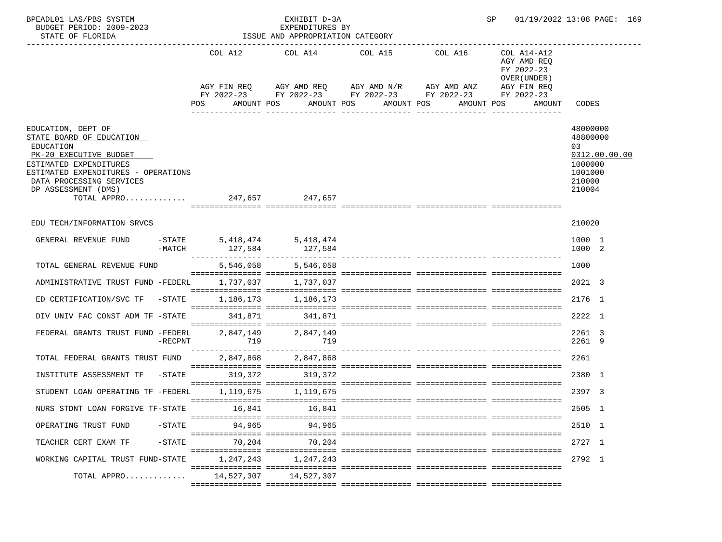| BPEADL01 LAS/PBS SYSTEM<br>BUDGET PERIOD: 2009-2023<br>STATE OF FLORIDA                                                                                                                                                                  |                                                                                                                | EXHIBIT D-3A<br>EXPENDITURES BY<br>ISSUE AND APPROPRIATION CATEGORY |                                                                                                                                              |                  | SP and the set of the set of the set of the set of the set of the set of the set of the set of the set of the set of the set of the set of the set of the set of the set of the set of the set of the set of the set of the se | 01/19/2022 13:08 PAGE: 169                                                            |
|------------------------------------------------------------------------------------------------------------------------------------------------------------------------------------------------------------------------------------------|----------------------------------------------------------------------------------------------------------------|---------------------------------------------------------------------|----------------------------------------------------------------------------------------------------------------------------------------------|------------------|--------------------------------------------------------------------------------------------------------------------------------------------------------------------------------------------------------------------------------|---------------------------------------------------------------------------------------|
|                                                                                                                                                                                                                                          |                                                                                                                |                                                                     | COL A12 COL A14 COL A15 COL A16<br>AGY FIN REQ AGY AMD REQ AGY AMD N/R AGY AMD ANZ<br>FY 2022-23 FY 2022-23 FY 2022-23 FY 2022-23 FY 2022-23 |                  |                                                                                                                                                                                                                                |                                                                                       |
|                                                                                                                                                                                                                                          | POS FOR THE POST OF THE STATE STATE STATE STATE STATE STATE STATE STATE STATE STATE STATE STATE STATE STATE ST | AMOUNT POS                                                          | AMOUNT POS AMOUNT POS                                                                                                                        | ________________ | AMOUNT POS<br>AMOUNT                                                                                                                                                                                                           | CODES                                                                                 |
| EDUCATION, DEPT OF<br>STATE BOARD OF EDUCATION<br>EDUCATION<br>PK-20 EXECUTIVE BUDGET<br>ESTIMATED EXPENDITURES<br>ESTIMATED EXPENDITURES - OPERATIONS<br>DATA PROCESSING SERVICES<br>DP ASSESSMENT (DMS)<br>TOTAL APPRO 247,657 247,657 |                                                                                                                |                                                                     |                                                                                                                                              |                  |                                                                                                                                                                                                                                | 48000000<br>48800000<br>03<br>0312.00.00.00<br>1000000<br>1001000<br>210000<br>210004 |
| EDU TECH/INFORMATION SRVCS                                                                                                                                                                                                               |                                                                                                                |                                                                     |                                                                                                                                              |                  |                                                                                                                                                                                                                                | 210020                                                                                |
| GENERAL REVENUE FUND -STATE 5,418,474 5,418,474                                                                                                                                                                                          | -MATCH 127,584 127,584                                                                                         |                                                                     |                                                                                                                                              |                  |                                                                                                                                                                                                                                | 1000 1<br>1000 2                                                                      |
| TOTAL GENERAL REVENUE FUND                                                                                                                                                                                                               |                                                                                                                | 5,546,058 5,546,058                                                 |                                                                                                                                              |                  |                                                                                                                                                                                                                                | 1000                                                                                  |
| ADMINISTRATIVE TRUST FUND -FEDERL                                                                                                                                                                                                        |                                                                                                                | 1,737,037 1,737,037                                                 |                                                                                                                                              |                  |                                                                                                                                                                                                                                | 2021 3                                                                                |
| ED CERTIFICATION/SVC TF                                                                                                                                                                                                                  | $-STATE$ 1, 186, 173 1, 186, 173                                                                               |                                                                     |                                                                                                                                              |                  |                                                                                                                                                                                                                                | 2176 1                                                                                |
| DIV UNIV FAC CONST ADM TF -STATE                                                                                                                                                                                                         |                                                                                                                | 341,871 341,871                                                     |                                                                                                                                              |                  |                                                                                                                                                                                                                                | 2222 1                                                                                |
| FEDERAL GRANTS TRUST FUND -FEDERL<br>-RECPNT                                                                                                                                                                                             | 719                                                                                                            | 2,847,149 2,847,149<br>719                                          |                                                                                                                                              |                  |                                                                                                                                                                                                                                | 2261 3<br>2261 9                                                                      |
| TOTAL FEDERAL GRANTS TRUST FUND                                                                                                                                                                                                          |                                                                                                                | 2,847,868 2,847,868                                                 |                                                                                                                                              |                  |                                                                                                                                                                                                                                | 2261                                                                                  |
| INSTITUTE ASSESSMENT TF -STATE 319,372 319,372                                                                                                                                                                                           |                                                                                                                |                                                                     |                                                                                                                                              |                  |                                                                                                                                                                                                                                | 2380 1                                                                                |
| STUDENT LOAN OPERATING TF -FEDERL                                                                                                                                                                                                        |                                                                                                                | 1, 119, 675 1, 119, 675                                             |                                                                                                                                              |                  |                                                                                                                                                                                                                                | 2397 3                                                                                |
| NURS STDNT LOAN FORGIVE TF-STATE                                                                                                                                                                                                         | 16,841                                                                                                         | 16,841                                                              |                                                                                                                                              |                  |                                                                                                                                                                                                                                | 2505 1                                                                                |
| OPERATING TRUST FUND<br>$-$ STATE                                                                                                                                                                                                        | 94,965                                                                                                         | 94,965                                                              |                                                                                                                                              |                  |                                                                                                                                                                                                                                | 2510 1                                                                                |
| $-$ STATE<br>TEACHER CERT EXAM TF                                                                                                                                                                                                        | 70,204                                                                                                         | 70,204                                                              |                                                                                                                                              |                  |                                                                                                                                                                                                                                | 2727 1                                                                                |
| WORKING CAPITAL TRUST FUND-STATE                                                                                                                                                                                                         | 1,247,243                                                                                                      | 1,247,243                                                           |                                                                                                                                              |                  |                                                                                                                                                                                                                                | 2792 1                                                                                |
| TOTAL APPRO                                                                                                                                                                                                                              | 14,527,307                                                                                                     | 14,527,307                                                          |                                                                                                                                              |                  |                                                                                                                                                                                                                                |                                                                                       |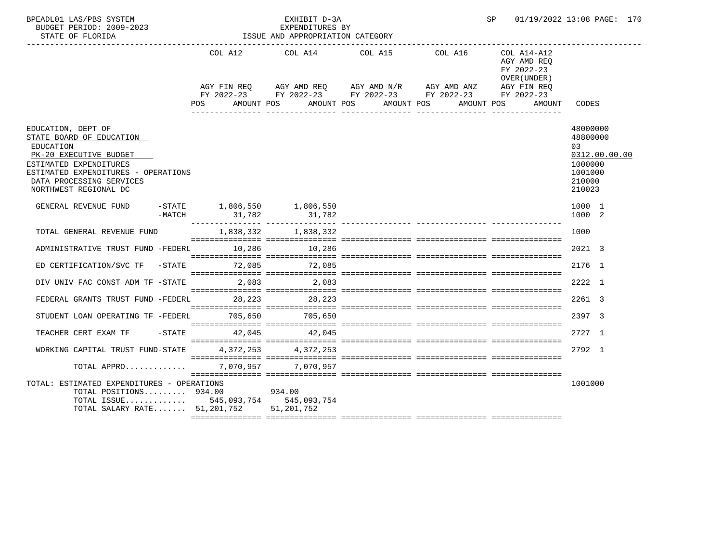| BPEADL01 LAS/PBS SYSTEM<br>BUDGET PERIOD: 2009-2023<br>STATE OF FLORIDA                                                                                                                                     |                                         | EXHIBIT D-3A<br>EXPENDITURES BY<br>ISSUE AND APPROPRIATION CATEGORY | SP                                                                                                                                                                                                      | 01/19/2022 13:08 PAGE: 170                                         |                                                                                       |
|-------------------------------------------------------------------------------------------------------------------------------------------------------------------------------------------------------------|-----------------------------------------|---------------------------------------------------------------------|---------------------------------------------------------------------------------------------------------------------------------------------------------------------------------------------------------|--------------------------------------------------------------------|---------------------------------------------------------------------------------------|
|                                                                                                                                                                                                             | POS                                     |                                                                     | COL A12 COL A14 COL A15 COL A16<br>AGY FIN REO AGY AMD REO AGY AMD N/R AGY AMD ANZ AGY FIN REO<br>FY 2022-23 FY 2022-23 FY 2022-23 FY 2022-23 FY 2022-23<br>AMOUNT POS AMOUNT POS AMOUNT POS AMOUNT POS | COL A14-A12<br>AGY AMD REQ<br>FY 2022-23<br>OVER (UNDER)<br>AMOUNT | CODES                                                                                 |
| EDUCATION, DEPT OF<br>STATE BOARD OF EDUCATION<br>EDUCATION<br>PK-20 EXECUTIVE BUDGET<br>ESTIMATED EXPENDITURES<br>ESTIMATED EXPENDITURES - OPERATIONS<br>DATA PROCESSING SERVICES<br>NORTHWEST REGIONAL DC |                                         |                                                                     |                                                                                                                                                                                                         |                                                                    | 48000000<br>48800000<br>03<br>0312.00.00.00<br>1000000<br>1001000<br>210000<br>210023 |
| GENERAL REVENUE FUND<br>$-MATCH$                                                                                                                                                                            | $-$ STATE 1,806,550 1,806,550<br>31,782 | 31,782                                                              |                                                                                                                                                                                                         |                                                                    | 1000 1<br>1000 2                                                                      |
| TOTAL GENERAL REVENUE FUND                                                                                                                                                                                  |                                         | 1,838,332 1,838,332                                                 |                                                                                                                                                                                                         |                                                                    | 1000                                                                                  |
| ADMINISTRATIVE TRUST FUND -FEDERL 10,286 10,286                                                                                                                                                             |                                         |                                                                     |                                                                                                                                                                                                         |                                                                    | 2021 3                                                                                |
| ED CERTIFICATION/SVC TF -STATE 72,085                                                                                                                                                                       |                                         | 72,085                                                              |                                                                                                                                                                                                         |                                                                    | 2176 1                                                                                |
| DIV UNIV FAC CONST ADM TF -STATE 2,083 2,083                                                                                                                                                                |                                         |                                                                     |                                                                                                                                                                                                         |                                                                    | 2222 1                                                                                |
| FEDERAL GRANTS TRUST FUND -FEDERL 28, 223 28, 223                                                                                                                                                           |                                         |                                                                     |                                                                                                                                                                                                         |                                                                    | 2261 3                                                                                |
| STUDENT LOAN OPERATING TF -FEDERL 705,650                                                                                                                                                                   |                                         | 705,650                                                             |                                                                                                                                                                                                         |                                                                    | 2397 3                                                                                |
| TEACHER CERT EXAM TF  -STATE  42.045  42.045                                                                                                                                                                |                                         |                                                                     |                                                                                                                                                                                                         |                                                                    | 2727 1                                                                                |
| WORKING CAPITAL TRUST FUND-STATE $4,372,253$ $4,372,253$                                                                                                                                                    |                                         |                                                                     |                                                                                                                                                                                                         |                                                                    | 2792 1                                                                                |
| TOTAL APPRO                                                                                                                                                                                                 |                                         | 7,070,957 7,070,957                                                 |                                                                                                                                                                                                         |                                                                    |                                                                                       |
| TOTAL: ESTIMATED EXPENDITURES - OPERATIONS<br>TOTAL POSITIONS $934.00$<br>TOTAL ISSUE 545,093,754 545,093,754<br>TOTAL SALARY RATE 51,201,752 51,201,752                                                    |                                         | 934.00                                                              |                                                                                                                                                                                                         |                                                                    | 1001000                                                                               |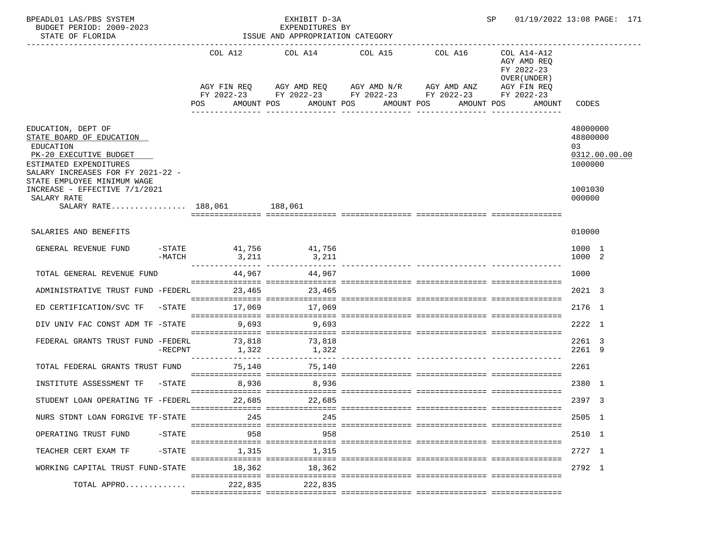| BPEADL01 LAS/PBS SYSTEM<br>BUDGET PERIOD: 2009-2023<br>STATE OF FLORIDA                                                                                                             |            |                               | EXHIBIT D-3A<br>EXPENDITURES BY<br>ISSUE AND APPROPRIATION CATEGORY |                                                                                                                                                                       |            | SP                                                                                | 01/19/2022 13:08 PAGE: 171                             |
|-------------------------------------------------------------------------------------------------------------------------------------------------------------------------------------|------------|-------------------------------|---------------------------------------------------------------------|-----------------------------------------------------------------------------------------------------------------------------------------------------------------------|------------|-----------------------------------------------------------------------------------|--------------------------------------------------------|
|                                                                                                                                                                                     |            | POS                           | AMOUNT POS                                                          | COL A12 COL A14 COL A15 COL A16<br>AGY FIN REQ AGY AMD REQ AGY AMD N/R AGY AMD ANZ<br>FY 2022-23 FY 2022-23 FY 2022-23 FY 2022-23 FY 2022-23<br>AMOUNT POS AMOUNT POS | AMOUNT POS | COL A14-A12<br>AGY AMD REQ<br>FY 2022-23<br>OVER (UNDER)<br>AGY FIN REQ<br>AMOUNT | CODES                                                  |
| EDUCATION, DEPT OF<br>STATE BOARD OF EDUCATION<br>EDUCATION<br>PK-20 EXECUTIVE BUDGET<br>ESTIMATED EXPENDITURES<br>SALARY INCREASES FOR FY 2021-22 -<br>STATE EMPLOYEE MINIMUM WAGE |            |                               |                                                                     |                                                                                                                                                                       |            |                                                                                   | 48000000<br>48800000<br>03<br>0312.00.00.00<br>1000000 |
| INCREASE - EFFECTIVE 7/1/2021<br>SALARY RATE<br>SALARY RATE 188,061 188,061                                                                                                         |            |                               |                                                                     |                                                                                                                                                                       |            |                                                                                   | 1001030<br>000000                                      |
| SALARIES AND BENEFITS                                                                                                                                                               |            |                               |                                                                     |                                                                                                                                                                       |            |                                                                                   | 010000                                                 |
| GENERAL REVENUE FUND                                                                                                                                                                | -MATCH     | -STATE 41,756 41,756<br>3,211 | 3,211                                                               |                                                                                                                                                                       |            |                                                                                   | 1000 1<br>1000 2                                       |
| TOTAL GENERAL REVENUE FUND                                                                                                                                                          |            |                               | 44,967 44,967                                                       |                                                                                                                                                                       |            |                                                                                   | 1000                                                   |
| ADMINISTRATIVE TRUST FUND -FEDERL 23,465 23,465                                                                                                                                     |            |                               |                                                                     |                                                                                                                                                                       |            |                                                                                   | 2021 3                                                 |
| ED CERTIFICATION/SVC TF                                                                                                                                                             |            | -STATE 17,069 17,069          |                                                                     |                                                                                                                                                                       |            |                                                                                   | 2176 1                                                 |
| DIV UNIV FAC CONST ADM TF -STATE 9,693                                                                                                                                              |            |                               | 9,693                                                               |                                                                                                                                                                       |            |                                                                                   | 2222 1                                                 |
| FEDERAL GRANTS TRUST FUND -FEDERL                                                                                                                                                   | $-$ RECPNT | 73,818<br>1,322               | 73,818<br>1,322                                                     |                                                                                                                                                                       |            |                                                                                   | 2261 3<br>2261 9                                       |
| TOTAL FEDERAL GRANTS TRUST FUND                                                                                                                                                     |            | 75,140                        | 75,140                                                              |                                                                                                                                                                       |            |                                                                                   | 2261                                                   |
| INSTITUTE ASSESSMENT TF                                                                                                                                                             |            | $-STATE$<br>8,936             | 8,936                                                               |                                                                                                                                                                       |            |                                                                                   | 2380 1                                                 |
| STUDENT LOAN OPERATING TF -FEDERL                                                                                                                                                   |            |                               | 22,685 22,685                                                       |                                                                                                                                                                       |            |                                                                                   | 2397 3                                                 |
| NURS STDNT LOAN FORGIVE TF-STATE                                                                                                                                                    |            | 245                           | 245                                                                 |                                                                                                                                                                       |            |                                                                                   | 2505 1                                                 |
| OPERATING TRUST FUND                                                                                                                                                                | $-$ STATE  | 958                           | 958                                                                 |                                                                                                                                                                       |            |                                                                                   | 2510 1                                                 |
| TEACHER CERT EXAM TF                                                                                                                                                                | $-$ STATE  | 1,315                         | 1,315                                                               |                                                                                                                                                                       |            |                                                                                   | 2727 1                                                 |
| WORKING CAPITAL TRUST FUND-STATE                                                                                                                                                    |            | 18,362                        | 18,362                                                              |                                                                                                                                                                       |            |                                                                                   | 2792 1                                                 |
| TOTAL APPRO                                                                                                                                                                         |            | 222,835                       | 222,835                                                             |                                                                                                                                                                       |            |                                                                                   |                                                        |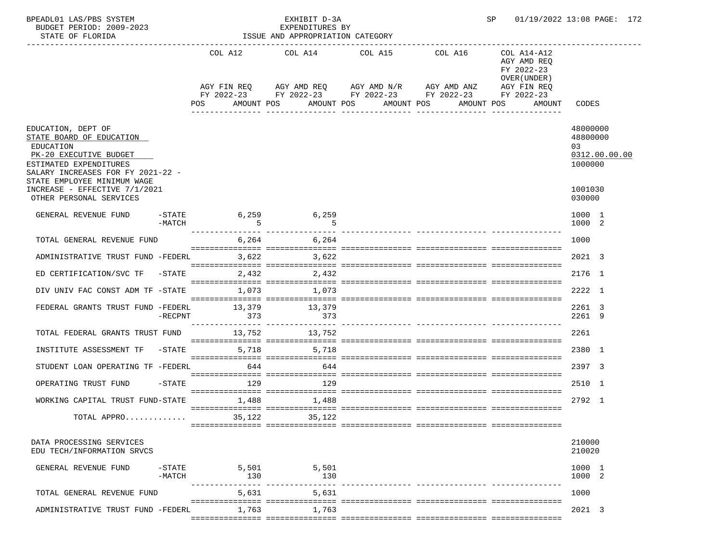| BPEADL01 LAS/PBS SYSTEM<br>BUDGET PERIOD: 2009-2023<br>STATE OF FLORIDA                                                                              |                       |                                                        |              |             | EXHIBIT D-3A<br>EXPENDITURES BY | ISSUE AND APPROPRIATION CATEGORY |            |                                                                                             |            | 01/19/2022 13:08 PAGE: 172<br>SP                                                |                                       |               |  |
|------------------------------------------------------------------------------------------------------------------------------------------------------|-----------------------|--------------------------------------------------------|--------------|-------------|---------------------------------|----------------------------------|------------|---------------------------------------------------------------------------------------------|------------|---------------------------------------------------------------------------------|---------------------------------------|---------------|--|
|                                                                                                                                                      |                       |                                                        |              |             |                                 |                                  |            | COL A12 COL A14 COL A15 COL A16<br>COL A14-A12<br>AGY AMD REQ<br>FY 2022-23<br>OVER (UNDER) |            |                                                                                 |                                       |               |  |
|                                                                                                                                                      |                       | AGY FIN REQ AGY AMD REQ AGY AMD N/R AGY AMD ANZ<br>POS |              | AMOUNT POS  |                                 | AMOUNT POS                       | AMOUNT POS |                                                                                             | AMOUNT POS | AGY FIN REQ<br>FY 2022-23 FY 2022-23 FY 2022-23 FY 2022-23 FY 2022-23<br>AMOUNT | CODES                                 |               |  |
| EDUCATION, DEPT OF<br>STATE BOARD OF EDUCATION<br>EDUCATION<br>PK-20 EXECUTIVE BUDGET<br>ESTIMATED EXPENDITURES<br>SALARY INCREASES FOR FY 2021-22 - |                       |                                                        |              |             |                                 |                                  |            |                                                                                             |            |                                                                                 | 48000000<br>48800000<br>03<br>1000000 | 0312.00.00.00 |  |
| STATE EMPLOYEE MINIMUM WAGE<br>INCREASE - EFFECTIVE 7/1/2021<br>OTHER PERSONAL SERVICES                                                              |                       |                                                        |              |             |                                 |                                  |            |                                                                                             |            |                                                                                 | 1001030<br>030000                     |               |  |
| GENERAL REVENUE FUND                                                                                                                                 | $ STATE$<br>-MATCH    |                                                        | 6,259        |             | 6,259                           |                                  |            |                                                                                             |            |                                                                                 | 1000 1<br>1000 2                      |               |  |
| TOTAL GENERAL REVENUE FUND                                                                                                                           |                       |                                                        |              | 6,264 6,264 |                                 |                                  |            |                                                                                             |            |                                                                                 | 1000                                  |               |  |
| ADMINISTRATIVE TRUST FUND -FEDERL 3,622                                                                                                              |                       |                                                        |              | 3,622       |                                 |                                  |            |                                                                                             |            |                                                                                 | 2021 3                                |               |  |
| ED CERTIFICATION/SVC TF -STATE                                                                                                                       |                       |                                                        | 2,432        |             | 2,432                           |                                  |            |                                                                                             |            |                                                                                 | 2176 1                                |               |  |
| DIV UNIV FAC CONST ADM TF -STATE 1,073 1,073                                                                                                         |                       |                                                        |              |             |                                 |                                  |            |                                                                                             |            |                                                                                 | 2222 1                                |               |  |
| FEDERAL GRANTS TRUST FUND -FEDERL 13,379 13,379                                                                                                      | $-$ RECPNT            |                                                        | 373          |             | 373                             |                                  |            |                                                                                             |            |                                                                                 | 2261 3<br>2261 9                      |               |  |
| TOTAL FEDERAL GRANTS TRUST FUND 13,752 13,752                                                                                                        |                       |                                                        |              |             |                                 |                                  |            |                                                                                             |            |                                                                                 | 2261                                  |               |  |
| INSTITUTE ASSESSMENT TF                                                                                                                              |                       | $-STATE$                                               |              | 5,718 5,718 |                                 |                                  |            |                                                                                             |            |                                                                                 | 2380 1                                |               |  |
| STUDENT LOAN OPERATING TF -FEDERL                                                                                                                    |                       | 644                                                    |              |             | 644                             |                                  |            |                                                                                             |            |                                                                                 | 2397 3                                |               |  |
| OPERATING TRUST FUND                                                                                                                                 | $-$ STATE             | 129                                                    |              |             | 129                             |                                  |            |                                                                                             |            |                                                                                 | 2510 1                                |               |  |
| WORKING CAPITAL TRUST FUND-STATE 1,488 1,488                                                                                                         |                       |                                                        |              |             |                                 |                                  |            |                                                                                             |            |                                                                                 | 2792 1                                |               |  |
| TOTAL APPRO                                                                                                                                          |                       |                                                        | 35,122       |             | 35,122                          |                                  |            |                                                                                             |            |                                                                                 |                                       |               |  |
| DATA PROCESSING SERVICES<br>EDU TECH/INFORMATION SRVCS                                                                                               |                       |                                                        |              |             |                                 |                                  |            |                                                                                             |            |                                                                                 | 210000<br>210020                      |               |  |
| GENERAL REVENUE FUND                                                                                                                                 | $-$ STATE<br>$-MATCH$ |                                                        | 5,501<br>130 |             | 5,501<br>130                    |                                  |            |                                                                                             |            |                                                                                 | 1000 1<br>1000 2                      |               |  |
| TOTAL GENERAL REVENUE FUND                                                                                                                           |                       |                                                        |              | 5,631       | 5,631                           |                                  |            |                                                                                             |            |                                                                                 | 1000                                  |               |  |
| ADMINISTRATIVE TRUST FUND -FEDERL                                                                                                                    |                       |                                                        | 1,763        |             | 1,763                           |                                  |            |                                                                                             |            |                                                                                 | 2021 3                                |               |  |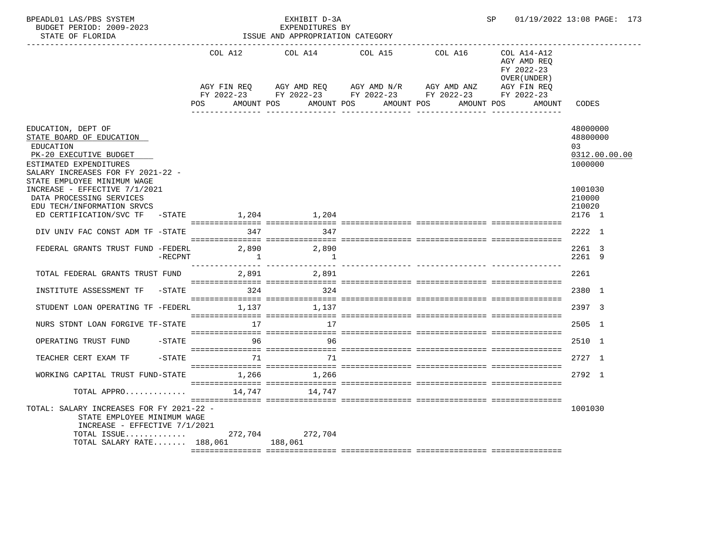| BPEADL01 LAS/PBS SYSTEM<br>BUDGET PERIOD: 2009-2023                                                                                                                          |                     | EXHIBIT D-3A<br>EXPENDITURES BY  |                                                                                                                                                                                                                       | SP |                                                          | 01/19/2022 13:08 PAGE: 173                             |
|------------------------------------------------------------------------------------------------------------------------------------------------------------------------------|---------------------|----------------------------------|-----------------------------------------------------------------------------------------------------------------------------------------------------------------------------------------------------------------------|----|----------------------------------------------------------|--------------------------------------------------------|
| STATE OF FLORIDA<br>___________________________                                                                                                                              |                     | ISSUE AND APPROPRIATION CATEGORY | ----------------------------------                                                                                                                                                                                    |    |                                                          |                                                        |
|                                                                                                                                                                              |                     | COL A12 COL A14                  | COL A15 COL A16 COL A14-A12<br>AGY FIN REQ      AGY AMD REQ     AGY AMD N/R     AGY AMD ANZ<br>FY 2022-23 FY 2022-23 FY 2022-23 FY 2022-23 FY 2022-23<br>POS AMOUNT POS AMOUNT POS AMOUNT POS AMOUNT POS AMOUNT CODES |    | AGY AMD REO<br>FY 2022-23<br>OVER (UNDER)<br>AGY FIN REQ |                                                        |
|                                                                                                                                                                              |                     |                                  |                                                                                                                                                                                                                       |    |                                                          |                                                        |
| EDUCATION, DEPT OF<br>STATE BOARD OF EDUCATION<br>EDUCATION<br>PK-20 EXECUTIVE BUDGET<br>ESTIMATED EXPENDITURES<br>SALARY INCREASES FOR FY 2021-22 -                         |                     |                                  |                                                                                                                                                                                                                       |    |                                                          | 48000000<br>48800000<br>03<br>0312.00.00.00<br>1000000 |
| STATE EMPLOYEE MINIMUM WAGE<br>INCREASE - EFFECTIVE 7/1/2021<br>DATA PROCESSING SERVICES<br>EDU TECH/INFORMATION SRVCS<br>ED CERTIFICATION/SVC TF -STATE 1,204 1,204         |                     |                                  |                                                                                                                                                                                                                       |    |                                                          | 1001030<br>210000<br>210020<br>2176 1                  |
| DIV UNIV FAC CONST ADM TF -STATE                                                                                                                                             |                     | 347 347                          |                                                                                                                                                                                                                       |    |                                                          | 2222 1                                                 |
| FEDERAL GRANTS TRUST FUND -FEDERL 2,890<br>$-RECPNT$                                                                                                                         | $\overline{1}$      | 2,890<br>$\overline{\mathbf{1}}$ |                                                                                                                                                                                                                       |    |                                                          | 2261 3<br>2261 9                                       |
| TOTAL FEDERAL GRANTS TRUST FUND 2,891 2,891                                                                                                                                  |                     |                                  |                                                                                                                                                                                                                       |    |                                                          | 2261                                                   |
| INSTITUTE ASSESSMENT TF -STATE 324 324 324                                                                                                                                   |                     |                                  |                                                                                                                                                                                                                       |    |                                                          | 2380 1                                                 |
| STUDENT LOAN OPERATING TF -FEDERL 1,137 1,137                                                                                                                                |                     |                                  |                                                                                                                                                                                                                       |    |                                                          | 2397 3                                                 |
| NURS STDNT LOAN FORGIVE TF-STATE                                                                                                                                             | 17                  | 17                               |                                                                                                                                                                                                                       |    |                                                          | 2505 1                                                 |
| OPERATING TRUST FUND<br>-STATE                                                                                                                                               |                     | $96$ 96                          |                                                                                                                                                                                                                       |    |                                                          | 2510 1                                                 |
| TEACHER CERT EXAM TF                                                                                                                                                         | $-$ STATE $71$ $71$ |                                  |                                                                                                                                                                                                                       |    |                                                          | 2727 1                                                 |
| WORKING CAPITAL TRUST FUND-STATE $1,266$ 1,266                                                                                                                               |                     |                                  |                                                                                                                                                                                                                       |    |                                                          | 2792 1                                                 |
| TOTAL APPRO                                                                                                                                                                  |                     | 14,747 14,747                    |                                                                                                                                                                                                                       |    |                                                          |                                                        |
| TOTAL: SALARY INCREASES FOR FY 2021-22 -<br>STATE EMPLOYEE MINIMUM WAGE<br>INCREASE - EFFECTIVE 7/1/2021<br>TOTAL ISSUE 272,704 272,704<br>TOTAL SALARY RATE 188,061 188,061 |                     |                                  |                                                                                                                                                                                                                       |    |                                                          | 1001030                                                |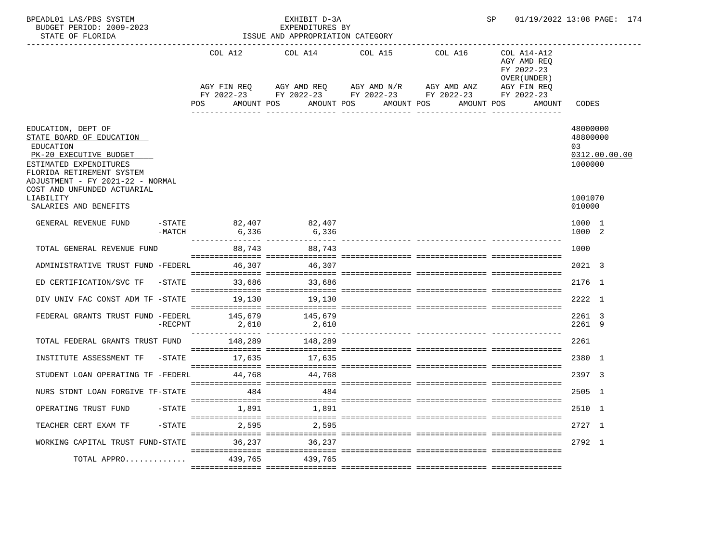| BPEADL01 LAS/PBS SYSTEM<br>BUDGET PERIOD: 2009-2023<br>STATE OF FLORIDA                                                                                                          |                 |                                            | EXHIBIT D-3A<br>EXPENDITURES BY<br>ISSUE AND APPROPRIATION CATEGORY                                                                                                                                                          |  | 01/19/2022 13:08 PAGE: 174 |                                                                                                 |                                                        |
|----------------------------------------------------------------------------------------------------------------------------------------------------------------------------------|-----------------|--------------------------------------------|------------------------------------------------------------------------------------------------------------------------------------------------------------------------------------------------------------------------------|--|----------------------------|-------------------------------------------------------------------------------------------------|--------------------------------------------------------|
| --------------------------                                                                                                                                                       |                 | POS                                        | COL A12 COL A14 COL A15 COL A16<br>AGY FIN REQ AGY AMD REQ AGY AMD N/R AGY AMD ANZ<br>FY 2022-23 FY 2022-23 FY 2022-23 FY 2022-23 FY 2022-23<br>AMOUNT POS<br>AMOUNT POS AMOUNT POS<br>_____________________________________ |  |                            | COL A14-A12<br>AGY AMD REQ<br>FY 2022-23<br>OVER (UNDER)<br>AGY FIN REQ<br>AMOUNT POS<br>AMOUNT | CODES                                                  |
|                                                                                                                                                                                  |                 |                                            |                                                                                                                                                                                                                              |  | ________________           |                                                                                                 |                                                        |
| EDUCATION, DEPT OF<br>STATE BOARD OF EDUCATION<br>EDUCATION<br>PK-20 EXECUTIVE BUDGET<br>ESTIMATED EXPENDITURES<br>FLORIDA RETIREMENT SYSTEM<br>ADJUSTMENT - FY 2021-22 - NORMAL |                 |                                            |                                                                                                                                                                                                                              |  |                            |                                                                                                 | 48000000<br>48800000<br>03<br>0312.00.00.00<br>1000000 |
| COST AND UNFUNDED ACTUARIAL<br>LIABILITY<br>SALARIES AND BENEFITS                                                                                                                |                 |                                            |                                                                                                                                                                                                                              |  |                            |                                                                                                 | 1001070<br>010000                                      |
| GENERAL REVENUE FUND                                                                                                                                                             |                 | -STATE 82,407 82,407<br>-MATCH 6,336 6,336 |                                                                                                                                                                                                                              |  |                            |                                                                                                 | 1000 1<br>1000 2                                       |
| TOTAL GENERAL REVENUE FUND                                                                                                                                                       |                 | 88,743 88,743                              |                                                                                                                                                                                                                              |  |                            |                                                                                                 | 1000                                                   |
| ADMINISTRATIVE TRUST FUND -FEDERL                                                                                                                                                |                 |                                            | 46,307 46,307                                                                                                                                                                                                                |  |                            |                                                                                                 | 2021 3                                                 |
| ED CERTIFICATION/SVC TF -STATE 33,686                                                                                                                                            |                 |                                            | 33,686                                                                                                                                                                                                                       |  |                            |                                                                                                 | 2176 1                                                 |
| DIV UNIV FAC CONST ADM TF -STATE                                                                                                                                                 |                 |                                            | 19,130 19,130                                                                                                                                                                                                                |  |                            |                                                                                                 | 2222 1                                                 |
| FEDERAL GRANTS TRUST FUND -FEDERL 145,679                                                                                                                                        | $-{\rm RECPNT}$ | 2,610                                      | 145,679<br>2,610                                                                                                                                                                                                             |  |                            |                                                                                                 | 2261 3<br>2261 9                                       |
| TOTAL FEDERAL GRANTS TRUST FUND 148,289 148,289                                                                                                                                  |                 |                                            |                                                                                                                                                                                                                              |  |                            |                                                                                                 | 2261                                                   |
| INSTITUTE ASSESSMENT TF                                                                                                                                                          |                 | -STATE 17,635                              | 17,635                                                                                                                                                                                                                       |  |                            |                                                                                                 | 2380 1                                                 |
| STUDENT LOAN OPERATING TF -FEDERL 44,768 44,768                                                                                                                                  |                 |                                            |                                                                                                                                                                                                                              |  |                            |                                                                                                 | 2397 3                                                 |
| NURS STDNT LOAN FORGIVE TF-STATE 484 484                                                                                                                                         |                 |                                            |                                                                                                                                                                                                                              |  |                            |                                                                                                 | 2505 1                                                 |
| OPERATING TRUST FUND                                                                                                                                                             | -STATE          | 1,891                                      | 1,891                                                                                                                                                                                                                        |  |                            |                                                                                                 | 2510 1                                                 |
| TEACHER CERT EXAM TF                                                                                                                                                             | $-$ STATE       | 2,595                                      | 2,595                                                                                                                                                                                                                        |  |                            |                                                                                                 | 2727 1                                                 |
| WORKING CAPITAL TRUST FUND-STATE                                                                                                                                                 |                 | 36,237                                     | 36,237                                                                                                                                                                                                                       |  |                            |                                                                                                 | 2792 1                                                 |
| TOTAL APPRO                                                                                                                                                                      |                 | 439,765                                    | 439,765                                                                                                                                                                                                                      |  |                            |                                                                                                 |                                                        |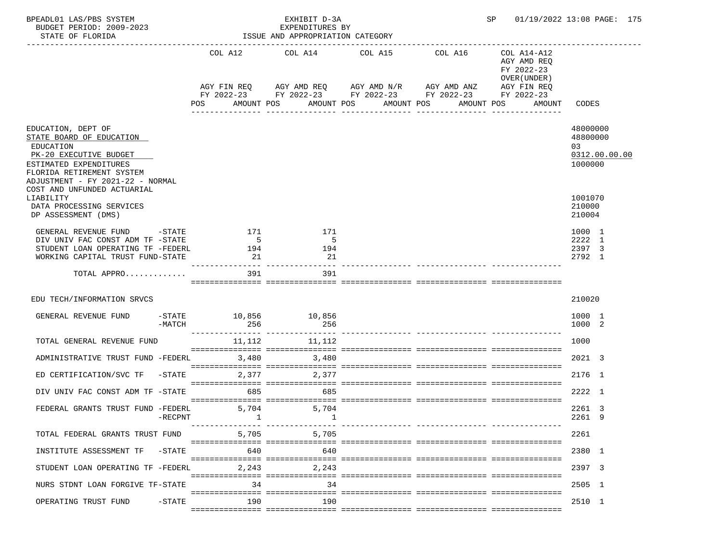| BPEADL01 LAS/PBS SYSTEM<br>BUDGET PERIOD: 2009-2023<br>STATE OF FLORIDA                                                                                                          |            |                                                                                                                              |                   |             | EXHIBIT D-3A<br>EXPENDITURES BY | ISSUE AND APPROPRIATION CATEGORY |            |                                                          |                                | 01/19/2022 13:08 PAGE: 175 |                                       |               |
|----------------------------------------------------------------------------------------------------------------------------------------------------------------------------------|------------|------------------------------------------------------------------------------------------------------------------------------|-------------------|-------------|---------------------------------|----------------------------------|------------|----------------------------------------------------------|--------------------------------|----------------------------|---------------------------------------|---------------|
|                                                                                                                                                                                  |            |                                                                                                                              |                   |             | COL A12 COL A14 COL A15 COL A16 |                                  |            | COL A14-A12<br>AGY AMD REQ<br>FY 2022-23<br>OVER (UNDER) |                                |                            |                                       |               |
|                                                                                                                                                                                  |            | AGY FIN REQ AGY AMD REQ AGY AMD N/R AGY AMD ANZ AGY FIN REQ<br>FY 2022-23 FY 2022-23 FY 2022-23 FY 2022-23 FY 2022-23<br>POS |                   | AMOUNT POS  |                                 | AMOUNT POS                       | AMOUNT POS |                                                          | AMOUNT POS<br>---------------- | AMOUNT CODES               |                                       |               |
| EDUCATION, DEPT OF<br>STATE BOARD OF EDUCATION<br>EDUCATION<br>PK-20 EXECUTIVE BUDGET<br>ESTIMATED EXPENDITURES<br>FLORIDA RETIREMENT SYSTEM<br>ADJUSTMENT - FY 2021-22 - NORMAL |            |                                                                                                                              |                   |             |                                 |                                  |            |                                                          |                                |                            | 48000000<br>48800000<br>03<br>1000000 | 0312.00.00.00 |
| COST AND UNFUNDED ACTUARIAL<br>LIABILITY<br>DATA PROCESSING SERVICES<br>DP ASSESSMENT (DMS)                                                                                      |            |                                                                                                                              |                   |             |                                 |                                  |            |                                                          |                                |                            | 1001070<br>210000<br>210004           |               |
| GENERAL REVENUE FUND -STATE 171<br>DIV UNIV FAC CONST ADM TF -STATE<br>STUDENT LOAN OPERATING TF -FEDERL<br>WORKING CAPITAL TRUST FUND-STATE                                     |            | 194                                                                                                                          | $5^{\circ}$<br>21 |             | 171<br>$5^{\circ}$<br>194<br>21 |                                  |            |                                                          |                                |                            | 1000 1<br>2222 1<br>2397 3<br>2792 1  |               |
| TOTAL APPRO                                                                                                                                                                      |            |                                                                                                                              | 391               |             | 391                             |                                  |            |                                                          |                                |                            |                                       |               |
| EDU TECH/INFORMATION SRVCS                                                                                                                                                       |            |                                                                                                                              |                   |             |                                 |                                  |            |                                                          |                                |                            | 210020                                |               |
| GENERAL REVENUE FUND                                                                                                                                                             | -MATCH     | $-$ STATE $10, 856$ $10, 856$                                                                                                | 256               |             | 256                             |                                  |            |                                                          |                                |                            | 1000 1<br>1000 2                      |               |
| TOTAL GENERAL REVENUE FUND                                                                                                                                                       |            | $11,112$ $11,112$                                                                                                            |                   |             |                                 |                                  |            |                                                          |                                |                            | 1000                                  |               |
| ADMINISTRATIVE TRUST FUND -FEDERL                                                                                                                                                |            | 3,480                                                                                                                        |                   | 3,480       |                                 |                                  |            |                                                          |                                |                            | 2021 3                                |               |
| ED CERTIFICATION/SVC TF -STATE<br>DIV UNIV FAC CONST ADM TF -STATE 685                                                                                                           |            |                                                                                                                              |                   | 2,377 2,377 | 685                             |                                  |            |                                                          |                                |                            | 2176 1<br>2222 1                      |               |
| FEDERAL GRANTS TRUST FUND -FEDERL                                                                                                                                                | $-$ RECPNT |                                                                                                                              | 5,704             |             | 5,704                           |                                  |            |                                                          |                                |                            | 2261 3<br>2261 9                      |               |
| TOTAL FEDERAL GRANTS TRUST FUND                                                                                                                                                  |            |                                                                                                                              | 5,705             |             | 5,705                           |                                  |            | ------------ ------------                                |                                |                            | 2261                                  |               |
| INSTITUTE ASSESSMENT TF                                                                                                                                                          | $-$ STATE  |                                                                                                                              | 640               |             | 640                             |                                  |            |                                                          |                                |                            | 2380 1                                |               |
| STUDENT LOAN OPERATING TF -FEDERL                                                                                                                                                |            |                                                                                                                              | 2,243             |             | 2,243                           |                                  |            |                                                          |                                |                            | 2397 3                                |               |
| NURS STDNT LOAN FORGIVE TF-STATE                                                                                                                                                 |            |                                                                                                                              | 34                |             | 34                              |                                  |            |                                                          |                                |                            | 2505 1                                |               |
| OPERATING TRUST FUND                                                                                                                                                             | $-$ STATE  |                                                                                                                              | 190               |             | 190                             |                                  |            |                                                          |                                |                            | 2510 1                                |               |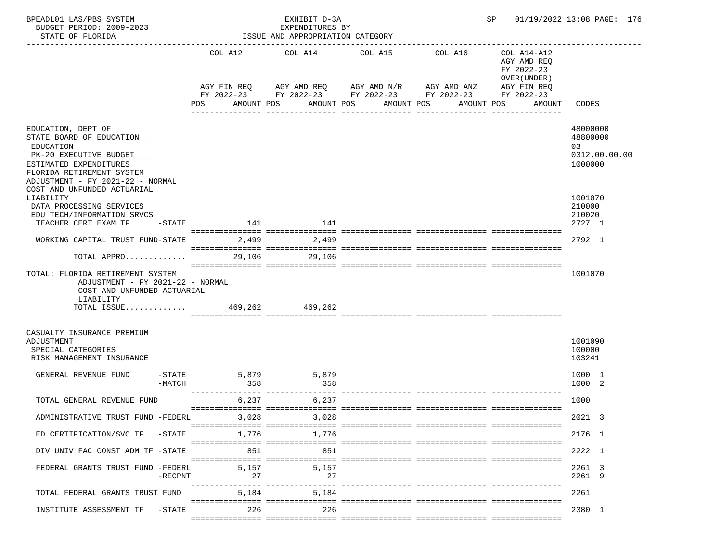| BPEADL01 LAS/PBS SYSTEM<br>BUDGET PERIOD: 2009-2023<br>STATE OF FLORIDA                                                                                                          |             | EXHIBIT D-3A<br>EXPENDITURES BY<br>ISSUE AND APPROPRIATION CATEGORY |                          |                                                                                                               |                                                          | SP 01/19/2022 13:08 PAGE: 176                          |  |  |
|----------------------------------------------------------------------------------------------------------------------------------------------------------------------------------|-------------|---------------------------------------------------------------------|--------------------------|---------------------------------------------------------------------------------------------------------------|----------------------------------------------------------|--------------------------------------------------------|--|--|
|                                                                                                                                                                                  | COL A12     | COL A14                                                             | COL A15                  | COL A16                                                                                                       | COL A14-A12<br>AGY AMD REQ<br>FY 2022-23<br>OVER (UNDER) |                                                        |  |  |
|                                                                                                                                                                                  | POS         | AMOUNT POS                                                          | AMOUNT POS<br>AMOUNT POS | AGY FIN REQ AGY AMD REQ AGY AMD N/R AGY AMD ANZ<br>FY 2022-23 FY 2022-23 FY 2022-23 FY 2022-23<br>___________ | AGY FIN REQ<br>FY 2022-23<br>AMOUNT POS<br>AMOUNT        | CODES                                                  |  |  |
| EDUCATION, DEPT OF<br>STATE BOARD OF EDUCATION<br>EDUCATION<br>PK-20 EXECUTIVE BUDGET<br>ESTIMATED EXPENDITURES<br>FLORIDA RETIREMENT SYSTEM<br>ADJUSTMENT - FY 2021-22 - NORMAL |             |                                                                     |                          |                                                                                                               |                                                          | 48000000<br>48800000<br>03<br>0312.00.00.00<br>1000000 |  |  |
| COST AND UNFUNDED ACTUARIAL<br>LIABILITY<br>DATA PROCESSING SERVICES<br>EDU TECH/INFORMATION SRVCS<br>TEACHER CERT EXAM TF<br>-STATE                                             | 141         | 141                                                                 |                          |                                                                                                               |                                                          | 1001070<br>210000<br>210020<br>2727 1                  |  |  |
| WORKING CAPITAL TRUST FUND-STATE                                                                                                                                                 | 2,499       | 2,499                                                               |                          |                                                                                                               |                                                          | 2792 1                                                 |  |  |
| TOTAL APPRO                                                                                                                                                                      | 29,106      | 29,106                                                              |                          |                                                                                                               |                                                          |                                                        |  |  |
| TOTAL: FLORIDA RETIREMENT SYSTEM<br>ADJUSTMENT - FY 2021-22 - NORMAL<br>COST AND UNFUNDED ACTUARIAL<br>LIABILITY<br>TOTAL ISSUE 469,262 469,262                                  |             |                                                                     |                          |                                                                                                               |                                                          | 1001070                                                |  |  |
| CASUALTY INSURANCE PREMIUM<br>ADJUSTMENT<br>SPECIAL CATEGORIES<br>RISK MANAGEMENT INSURANCE                                                                                      |             |                                                                     |                          |                                                                                                               |                                                          | 1001090<br>100000<br>103241                            |  |  |
| $-$ STATE<br>GENERAL REVENUE FUND<br>$-MATCH$                                                                                                                                    | 358         | 5,879<br>5,879<br>358                                               |                          |                                                                                                               |                                                          | 1000 1<br>1000 2                                       |  |  |
| TOTAL GENERAL REVENUE FUND                                                                                                                                                       | 6,237       | 6,237                                                               |                          |                                                                                                               |                                                          | 1000                                                   |  |  |
| ADMINISTRATIVE TRUST FUND -FEDERL                                                                                                                                                | 3,028       | 3,028                                                               |                          |                                                                                                               |                                                          | 2021 3                                                 |  |  |
| ED CERTIFICATION/SVC TF<br>-STATE                                                                                                                                                | 1,776       | 1,776                                                               |                          |                                                                                                               |                                                          | 2176 1                                                 |  |  |
| DIV UNIV FAC CONST ADM TF -STATE                                                                                                                                                 | 851         | 851                                                                 |                          |                                                                                                               |                                                          | 2222 1                                                 |  |  |
| FEDERAL GRANTS TRUST FUND -FEDERL<br>$-$ RECPNT                                                                                                                                  | 5,157<br>27 | 5,157<br>27                                                         |                          |                                                                                                               |                                                          | 2261 3<br>2261 9                                       |  |  |
| TOTAL FEDERAL GRANTS TRUST FUND                                                                                                                                                  |             | 5,184<br>5,184                                                      |                          |                                                                                                               |                                                          | 2261                                                   |  |  |
| INSTITUTE ASSESSMENT TF<br>-STATE                                                                                                                                                | 226         | 226                                                                 |                          |                                                                                                               |                                                          | 2380 1                                                 |  |  |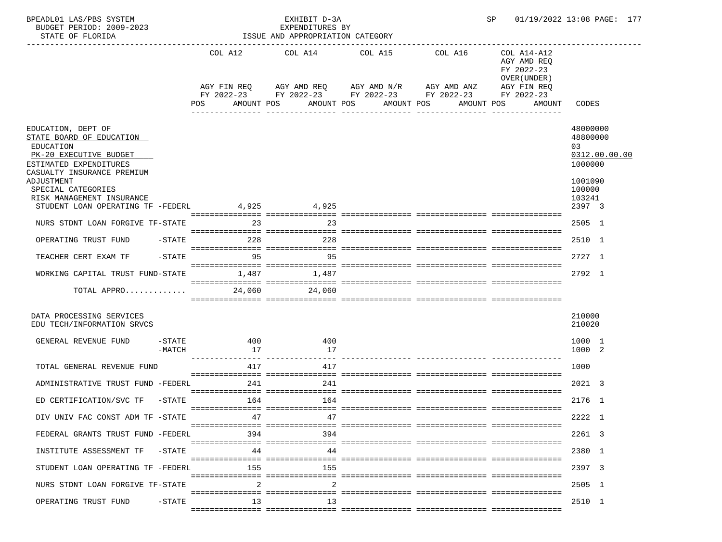| BPEADL01 LAS/PBS SYSTEM<br>BUDGET PERIOD: 2009-2023<br>STATE OF FLORIDA                  |                  |           | EXHIBIT D-3A<br>EXPENDITURES BY<br>ISSUE AND APPROPRIATION CATEGORY |                          | SP                                                                                                           |                                                          | 01/19/2022 13:08 PAGE: 177   |
|------------------------------------------------------------------------------------------|------------------|-----------|---------------------------------------------------------------------|--------------------------|--------------------------------------------------------------------------------------------------------------|----------------------------------------------------------|------------------------------|
|                                                                                          |                  | COL A12   | COL A14                                                             | COL A15                  | COL A16                                                                                                      | COL A14-A12<br>AGY AMD REQ<br>FY 2022-23<br>OVER (UNDER) |                              |
|                                                                                          |                  | POS       | AMOUNT POS                                                          | AMOUNT POS<br>AMOUNT POS | AGY FIN REQ AGY AMD REQ AGY AMD N/R AGY AMD ANZ<br>FY 2022-23 FY 2022-23 FY 2022-23 FY 2022-23<br>AMOUNT POS | AGY FIN REQ<br>FY 2022-23<br>AMOUNT                      | CODES                        |
| EDUCATION, DEPT OF<br>STATE BOARD OF EDUCATION                                           |                  |           |                                                                     |                          |                                                                                                              |                                                          | 48000000<br>48800000         |
| EDUCATION<br>PK-20 EXECUTIVE BUDGET                                                      |                  |           |                                                                     |                          |                                                                                                              |                                                          | 03<br>0312.00.00.00          |
| ESTIMATED EXPENDITURES<br>CASUALTY INSURANCE PREMIUM<br>ADJUSTMENT<br>SPECIAL CATEGORIES |                  |           |                                                                     |                          |                                                                                                              |                                                          | 1000000<br>1001090<br>100000 |
| RISK MANAGEMENT INSURANCE                                                                |                  |           |                                                                     |                          |                                                                                                              |                                                          | 103241                       |
| STUDENT LOAN OPERATING TF -FEDERL 4,925 4,925                                            |                  |           |                                                                     |                          |                                                                                                              |                                                          | 2397 3                       |
| NURS STDNT LOAN FORGIVE TF-STATE                                                         |                  | 23        | 23                                                                  |                          |                                                                                                              |                                                          | 2505 1                       |
| OPERATING TRUST FUND                                                                     | -STATE           | 228       | 228                                                                 |                          |                                                                                                              |                                                          | 2510 1                       |
| TEACHER CERT EXAM TF                                                                     | $-$ STATE        | 95        | 95                                                                  |                          |                                                                                                              |                                                          | 2727 1                       |
| WORKING CAPITAL TRUST FUND-STATE                                                         |                  |           | 1,487 1,487                                                         |                          |                                                                                                              |                                                          | 2792 1                       |
| TOTAL APPRO                                                                              |                  | 24,060    | 24,060                                                              |                          |                                                                                                              |                                                          |                              |
| DATA PROCESSING SERVICES<br>EDU TECH/INFORMATION SRVCS                                   |                  |           |                                                                     |                          |                                                                                                              |                                                          | 210000<br>210020             |
| GENERAL REVENUE FUND                                                                     | -STATE<br>-MATCH | 400<br>17 | 400<br>17                                                           |                          |                                                                                                              |                                                          | 1000 1<br>1000 2             |
| TOTAL GENERAL REVENUE FUND                                                               |                  | 417       | 417                                                                 |                          |                                                                                                              |                                                          | 1000                         |
| ADMINISTRATIVE TRUST FUND -FEDERL                                                        |                  | 241       | 241                                                                 |                          |                                                                                                              |                                                          | 2021 3                       |
| ED CERTIFICATION/SVC TF -STATE 164                                                       |                  |           | 164                                                                 |                          |                                                                                                              |                                                          | 2176 1                       |
| DIV UNIV FAC CONST ADM TF -STATE                                                         |                  | 47        | 47                                                                  |                          |                                                                                                              |                                                          | 2222 1                       |
| FEDERAL GRANTS TRUST FUND -FEDERL                                                        |                  | 394       | 394                                                                 |                          |                                                                                                              |                                                          | 2261 3                       |
| INSTITUTE ASSESSMENT TF                                                                  | -STATE           | 44        | 44                                                                  |                          |                                                                                                              |                                                          | 2380 1                       |
| STUDENT LOAN OPERATING TF -FEDERL                                                        |                  | 155       | 155                                                                 |                          |                                                                                                              |                                                          | 2397 3                       |
| NURS STDNT LOAN FORGIVE TF-STATE                                                         |                  | 2         | 2                                                                   |                          |                                                                                                              |                                                          | 2505 1                       |
| OPERATING TRUST FUND                                                                     | -STATE           | 13        | 13                                                                  |                          |                                                                                                              |                                                          | 2510 1                       |
|                                                                                          |                  |           |                                                                     |                          |                                                                                                              |                                                          |                              |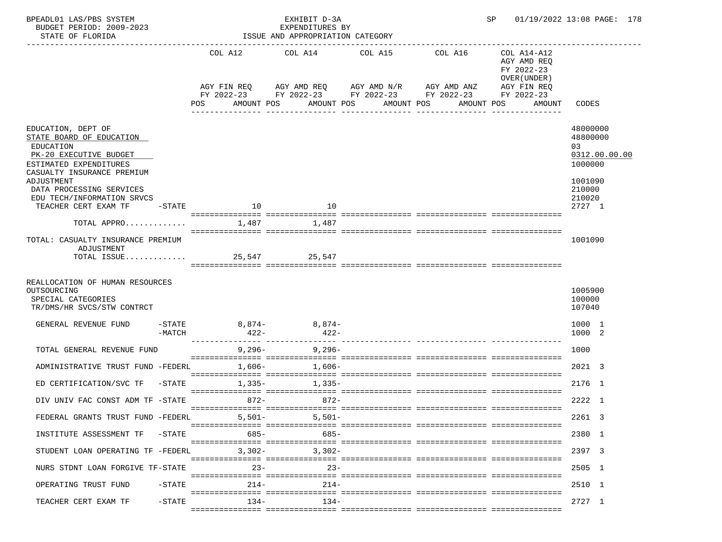| EXHIBIT D-3A<br>EXPENDITURES BY<br>ISSUE AND APPROPRIATION CATEGORY |                                            |                                                                                                                                                                 |                                                                                                                          |                                       |                                                                                                                                               |                                                                                          | 01/19/2022 13:08 PAGE: 178                                                     |
|---------------------------------------------------------------------|--------------------------------------------|-----------------------------------------------------------------------------------------------------------------------------------------------------------------|--------------------------------------------------------------------------------------------------------------------------|---------------------------------------|-----------------------------------------------------------------------------------------------------------------------------------------------|------------------------------------------------------------------------------------------|--------------------------------------------------------------------------------|
|                                                                     |                                            |                                                                                                                                                                 |                                                                                                                          |                                       | COL A16                                                                                                                                       | COL A14-A12<br>AGY AMD REQ<br>FY 2022-23<br>OVER (UNDER)                                 |                                                                                |
|                                                                     | <b>POS</b>                                 |                                                                                                                                                                 |                                                                                                                          |                                       |                                                                                                                                               | FY 2022-23<br>AMOUNT                                                                     | <b>CODES</b>                                                                   |
|                                                                     |                                            |                                                                                                                                                                 |                                                                                                                          |                                       |                                                                                                                                               |                                                                                          | 48000000<br>48800000<br>03<br>0312.00.00.00<br>1000000                         |
| $-$ STATE                                                           |                                            |                                                                                                                                                                 | 10                                                                                                                       |                                       |                                                                                                                                               |                                                                                          | 1001090<br>210000<br>210020<br>2727 1                                          |
|                                                                     |                                            |                                                                                                                                                                 | 1,487                                                                                                                    |                                       |                                                                                                                                               |                                                                                          |                                                                                |
| TOTAL: CASUALTY INSURANCE PREMIUM                                   |                                            |                                                                                                                                                                 |                                                                                                                          |                                       |                                                                                                                                               |                                                                                          | 1001090                                                                        |
| REALLOCATION OF HUMAN RESOURCES                                     |                                            |                                                                                                                                                                 |                                                                                                                          |                                       |                                                                                                                                               |                                                                                          | 1005900<br>100000<br>107040                                                    |
| $-MATCH$                                                            |                                            |                                                                                                                                                                 |                                                                                                                          |                                       |                                                                                                                                               |                                                                                          | 1000 1<br>1000 2                                                               |
| TOTAL GENERAL REVENUE FUND                                          |                                            |                                                                                                                                                                 |                                                                                                                          |                                       |                                                                                                                                               |                                                                                          | 1000                                                                           |
|                                                                     |                                            |                                                                                                                                                                 |                                                                                                                          |                                       |                                                                                                                                               |                                                                                          | 2021 3                                                                         |
|                                                                     |                                            |                                                                                                                                                                 |                                                                                                                          |                                       |                                                                                                                                               |                                                                                          | 2176 1                                                                         |
|                                                                     |                                            |                                                                                                                                                                 |                                                                                                                          |                                       |                                                                                                                                               |                                                                                          | 2222 1<br>2261 3                                                               |
|                                                                     |                                            |                                                                                                                                                                 |                                                                                                                          |                                       |                                                                                                                                               |                                                                                          | 2380 1                                                                         |
|                                                                     |                                            |                                                                                                                                                                 |                                                                                                                          |                                       |                                                                                                                                               |                                                                                          | 2397 3                                                                         |
| NURS STDNT LOAN FORGIVE TF-STATE                                    |                                            |                                                                                                                                                                 |                                                                                                                          |                                       |                                                                                                                                               |                                                                                          | 2505 1                                                                         |
| $-$ STATE                                                           |                                            |                                                                                                                                                                 |                                                                                                                          |                                       |                                                                                                                                               |                                                                                          | 2510 1                                                                         |
| $-\mathtt{STATE}$                                                   |                                            |                                                                                                                                                                 |                                                                                                                          |                                       |                                                                                                                                               |                                                                                          | 2727 1                                                                         |
|                                                                     | DIV UNIV FAC CONST ADM TF -STATE<br>-STATE | TOTAL APPRO<br>TOTAL ISSUE<br>-STATE<br>ADMINISTRATIVE TRUST FUND -FEDERL<br>$-STATE$<br>FEDERAL GRANTS TRUST FUND -FEDERL<br>STUDENT LOAN OPERATING TF -FEDERL | $\sim$ 10<br>1,487<br>$422-$<br>1,606-<br>$1,335-$<br>$872-$<br>$5,501-$<br>685-<br>$3,302-$<br>$23 -$<br>$214-$<br>134- | AMOUNT POS<br>25,547 25,547<br>9,296- | AMOUNT POS<br>8,874-8,874-<br>$422 -$<br>$9,296-$<br>$1,606-$<br>$1,335-$<br>872-<br>$5,501-$<br>685-<br>$3,302-$<br>$23 -$<br>$214-$<br>134- | COL A12 COL A14 COL A15<br>AGY FIN REQ AGY AMD REQ AGY AMD N/R AGY AMD ANZ<br>AMOUNT POS | SP<br>AGY FIN REQ<br>FY 2022-23 FY 2022-23 FY 2022-23 FY 2022-23<br>AMOUNT POS |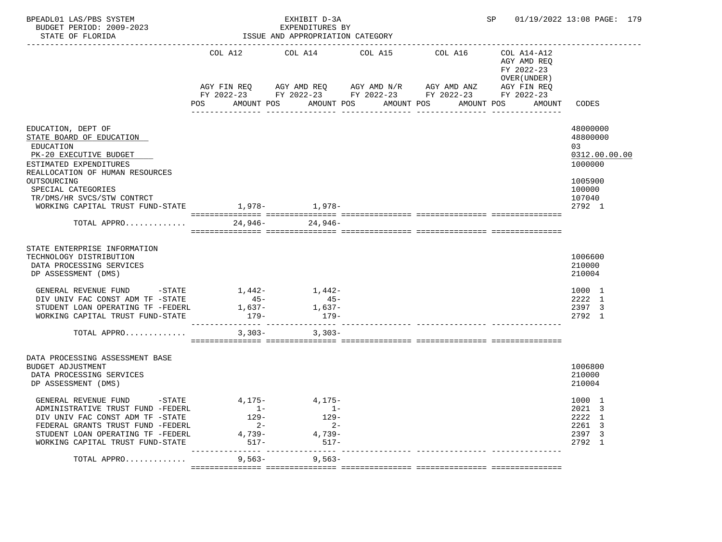| BPEADL01 LAS/PBS SYSTEM<br>BUDGET PERIOD: 2009-2023                                                                                                                                                                                                                    |                                                                         | EXHIBIT D-3A<br>EXPENDITURES BY                       |                                                                                                                                              |            |                                                          | SP 01/19/2022 13:08 PAGE: 179                                       |
|------------------------------------------------------------------------------------------------------------------------------------------------------------------------------------------------------------------------------------------------------------------------|-------------------------------------------------------------------------|-------------------------------------------------------|----------------------------------------------------------------------------------------------------------------------------------------------|------------|----------------------------------------------------------|---------------------------------------------------------------------|
| STATE OF FLORIDA                                                                                                                                                                                                                                                       |                                                                         | ISSUE AND APPROPRIATION CATEGORY                      |                                                                                                                                              |            |                                                          |                                                                     |
|                                                                                                                                                                                                                                                                        | COL A12                                                                 | COL A14 COL A15                                       |                                                                                                                                              | COL A16    | COL A14-A12<br>AGY AMD REQ<br>FY 2022-23<br>OVER (UNDER) | CODES                                                               |
|                                                                                                                                                                                                                                                                        | POS<br>AMOUNT POS                                                       |                                                       | AGY FIN REQ 6 AGY AMD REQ 6 AGY AMD N/R 66 AGY AMD ANZ<br>FY 2022-23 FY 2022-23 FY 2022-23 FY 2022-23 FY 2022-23<br>AMOUNT POS<br>AMOUNT POS | AMOUNT POS | AGY FIN REQ<br>AMOUNT                                    |                                                                     |
| EDUCATION, DEPT OF<br>STATE BOARD OF EDUCATION<br>EDUCATION<br>PK-20 EXECUTIVE BUDGET<br>ESTIMATED EXPENDITURES                                                                                                                                                        |                                                                         |                                                       |                                                                                                                                              |            |                                                          | 48000000<br>48800000<br>03<br>0312.00.00.00<br>1000000              |
| REALLOCATION OF HUMAN RESOURCES<br>OUTSOURCING<br>SPECIAL CATEGORIES<br>TR/DMS/HR SVCS/STW CONTRCT<br>WORKING CAPITAL TRUST FUND-STATE 1,978-<br>1,978-<br>1,978-                                                                                                      |                                                                         |                                                       |                                                                                                                                              |            |                                                          | 1005900<br>100000<br>107040<br>2792 1                               |
| TOTAL APPRO                                                                                                                                                                                                                                                            |                                                                         | $24,946 - 24,946 -$                                   |                                                                                                                                              |            |                                                          |                                                                     |
| STATE ENTERPRISE INFORMATION<br>TECHNOLOGY DISTRIBUTION<br>DATA PROCESSING SERVICES<br>DP ASSESSMENT (DMS)<br>GENERAL REVENUE FUND - STATE<br>DIV UNIV FAC CONST ADM TF -STATE<br>STUDENT LOAN OPERATING TF -FEDERL<br>WORKING CAPITAL TRUST FUND-STATE<br>TOTAL APPRO | $45 -$<br>1,637–<br>179-<br>$3,303-$                                    | $1,442-1,442-$<br>$45-$<br>1,637-<br>179-<br>$3,303-$ |                                                                                                                                              |            |                                                          | 1006600<br>210000<br>210004<br>1000 1<br>2222 1<br>2397 3<br>2792 1 |
| DATA PROCESSING ASSESSMENT BASE<br><b>BUDGET ADJUSTMENT</b><br>DATA PROCESSING SERVICES<br>DP ASSESSMENT (DMS)                                                                                                                                                         |                                                                         |                                                       |                                                                                                                                              |            |                                                          | 1006800<br>210000<br>210004                                         |
| GENERAL REVENUE FUND<br>ADMINISTRATIVE TRUST FUND -FEDERL<br>DIV UNIV FAC CONST ADM TF -STATE<br>FEDERAL GRANTS TRUST FUND -FEDERL<br>STUDENT LOAN OPERATING TF -FEDERL<br>WORKING CAPITAL TRUST FUND-STATE                                                            | $-$ STATE $4,175 4,175-$<br>$1 -$<br>129-<br>$2 -$<br>4,739-<br>$517 -$ | $1 -$<br>129-<br>$2 -$<br>4,739-<br>$517 -$           |                                                                                                                                              |            |                                                          | 1000 1<br>2021 3<br>2222 1<br>2261 3<br>2397 3<br>2792 1            |
| TOTAL APPRO                                                                                                                                                                                                                                                            | $9,563-$                                                                | $9,563-$                                              |                                                                                                                                              |            |                                                          |                                                                     |
|                                                                                                                                                                                                                                                                        |                                                                         |                                                       |                                                                                                                                              |            |                                                          |                                                                     |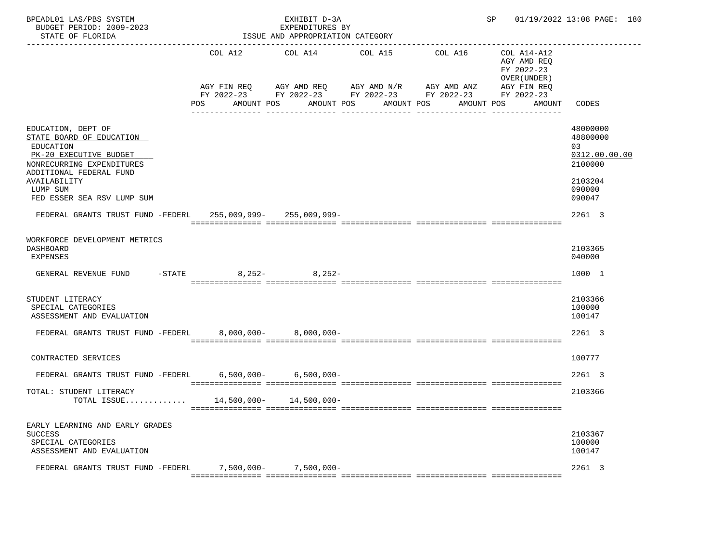| BPEADL01 LAS/PBS SYSTEM<br>BUDGET PERIOD: 2009-2023<br>STATE OF FLORIDA                                                                                       |                          | EXHIBIT D-3A<br>EXPENDITURES BY<br>ISSUE AND APPROPRIATION CATEGORY |                                                                                                |            | SP and the set of the set of the set of the set of the set of the set of the set of the set of the set of the set of the set of the set of the set of the set of the set of the set of the set of the set of the set of the se | 01/19/2022 13:08 PAGE: 180                                        |
|---------------------------------------------------------------------------------------------------------------------------------------------------------------|--------------------------|---------------------------------------------------------------------|------------------------------------------------------------------------------------------------|------------|--------------------------------------------------------------------------------------------------------------------------------------------------------------------------------------------------------------------------------|-------------------------------------------------------------------|
|                                                                                                                                                               | COL A12                  | COL A14                                                             | COL A15                                                                                        | COL A16    | COL A14-A12<br>AGY AMD REQ<br>FY 2022-23<br>OVER (UNDER)                                                                                                                                                                       |                                                                   |
|                                                                                                                                                               |                          |                                                                     | AGY FIN REQ AGY AMD REQ AGY AMD N/R AGY AMD ANZ<br>FY 2022-23 FY 2022-23 FY 2022-23 FY 2022-23 |            | AGY FIN REQ<br>FY 2022-23                                                                                                                                                                                                      |                                                                   |
|                                                                                                                                                               | <b>POS</b><br>AMOUNT POS |                                                                     | AMOUNT POS<br>AMOUNT POS                                                                       | AMOUNT POS | AMOUNT                                                                                                                                                                                                                         | CODES                                                             |
| EDUCATION, DEPT OF<br>STATE BOARD OF EDUCATION<br>EDUCATION<br>PK-20 EXECUTIVE BUDGET<br>NONRECURRING EXPENDITURES<br>ADDITIONAL FEDERAL FUND<br>AVAILABILITY |                          |                                                                     |                                                                                                |            |                                                                                                                                                                                                                                | 48000000<br>48800000<br>03<br>0312.00.00.00<br>2100000<br>2103204 |
| LUMP SUM<br>FED ESSER SEA RSV LUMP SUM                                                                                                                        |                          |                                                                     |                                                                                                |            |                                                                                                                                                                                                                                | 090000<br>090047                                                  |
| FEDERAL GRANTS TRUST FUND -FEDERL 255,009,999- 255,009,999-                                                                                                   |                          |                                                                     |                                                                                                |            |                                                                                                                                                                                                                                | 2261 3                                                            |
| WORKFORCE DEVELOPMENT METRICS<br><b>DASHBOARD</b><br>EXPENSES<br>$-STATE$<br>GENERAL REVENUE FUND                                                             |                          | $8,252-$ 8,252-                                                     |                                                                                                |            |                                                                                                                                                                                                                                | 2103365<br>040000<br>1000 1                                       |
| STUDENT LITERACY<br>SPECIAL CATEGORIES<br>ASSESSMENT AND EVALUATION                                                                                           |                          |                                                                     |                                                                                                |            |                                                                                                                                                                                                                                | 2103366<br>100000<br>100147                                       |
| FEDERAL GRANTS TRUST FUND -FEDERL 8,000,000- 8,000,000-                                                                                                       |                          |                                                                     |                                                                                                |            |                                                                                                                                                                                                                                | 2261 3                                                            |
| CONTRACTED SERVICES                                                                                                                                           |                          |                                                                     |                                                                                                |            |                                                                                                                                                                                                                                | 100777                                                            |
| FEDERAL GRANTS TRUST FUND -FEDERL 6,500,000- 6,500,000-                                                                                                       |                          |                                                                     |                                                                                                |            |                                                                                                                                                                                                                                | 2261 3                                                            |
| TOTAL: STUDENT LITERACY<br>TOTAL ISSUE 14,500,000- 14,500,000-                                                                                                |                          |                                                                     |                                                                                                |            |                                                                                                                                                                                                                                | 2103366                                                           |
| EARLY LEARNING AND EARLY GRADES<br><b>SUCCESS</b><br>SPECIAL CATEGORIES<br>ASSESSMENT AND EVALUATION                                                          |                          |                                                                     |                                                                                                |            |                                                                                                                                                                                                                                | 2103367<br>100000<br>100147                                       |
| FEDERAL GRANTS TRUST FUND -FEDERL                                                                                                                             | $7,500,000 -$            | 7,500,000-                                                          |                                                                                                |            |                                                                                                                                                                                                                                | 2261 3                                                            |
|                                                                                                                                                               |                          |                                                                     |                                                                                                |            |                                                                                                                                                                                                                                |                                                                   |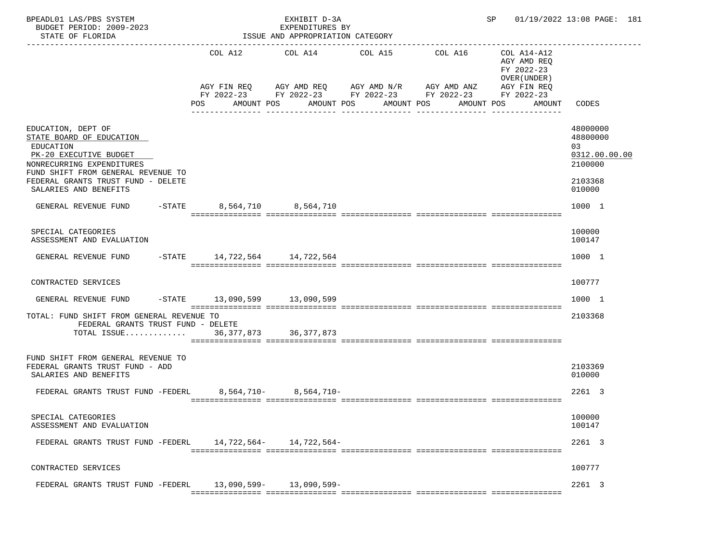| BPEADL01 LAS/PBS SYSTEM<br>BUDGET PERIOD: 2009-2023<br>STATE OF FLORIDA                                                                                                                                                 |                              | EXHIBIT D-3A<br>EXPENDITURES BY<br>ISSUE AND APPROPRIATION CATEGORY |                                                                                                                                                | SP 01/19/2022 13:08 PAGE: 181                                                    |                                                                             |
|-------------------------------------------------------------------------------------------------------------------------------------------------------------------------------------------------------------------------|------------------------------|---------------------------------------------------------------------|------------------------------------------------------------------------------------------------------------------------------------------------|----------------------------------------------------------------------------------|-----------------------------------------------------------------------------|
|                                                                                                                                                                                                                         | POS                          | COL A12 COL A14 COL A15<br>AMOUNT POS AMOUNT POS                    | COL A16<br>AGY FIN REQ AGY AMD REQ AGY AMD N/R AGY AMD ANZ AGY FIN REQ<br>FY 2022-23 FY 2022-23 FY 2022-23 FY 2022-23 FY 2022-23<br>AMOUNT POS | COL A14-A12<br>AGY AMD REQ<br>FY 2022-23<br>OVER (UNDER)<br>AMOUNT POS<br>AMOUNT | CODES                                                                       |
| EDUCATION, DEPT OF<br>STATE BOARD OF EDUCATION<br>EDUCATION<br>PK-20 EXECUTIVE BUDGET<br>NONRECURRING EXPENDITURES<br>FUND SHIFT FROM GENERAL REVENUE TO<br>FEDERAL GRANTS TRUST FUND - DELETE<br>SALARIES AND BENEFITS |                              |                                                                     |                                                                                                                                                |                                                                                  | 48000000<br>48800000<br>03<br>0312.00.00.00<br>2100000<br>2103368<br>010000 |
| GENERAL REVENUE FUND -STATE 8,564,710 8,564,710                                                                                                                                                                         |                              |                                                                     |                                                                                                                                                |                                                                                  | 1000 1                                                                      |
| SPECIAL CATEGORIES<br>ASSESSMENT AND EVALUATION                                                                                                                                                                         |                              |                                                                     |                                                                                                                                                |                                                                                  | 100000<br>100147                                                            |
| GENERAL REVENUE FUND                                                                                                                                                                                                    | -STATE 14,722,564 14,722,564 |                                                                     |                                                                                                                                                |                                                                                  | 1000 1                                                                      |
| CONTRACTED SERVICES                                                                                                                                                                                                     |                              |                                                                     |                                                                                                                                                |                                                                                  | 100777                                                                      |
| GENERAL REVENUE FUND                                                                                                                                                                                                    | -STATE 13,090,599 13,090,599 |                                                                     |                                                                                                                                                |                                                                                  | 1000 1                                                                      |
| TOTAL: FUND SHIFT FROM GENERAL REVENUE TO<br>FEDERAL GRANTS TRUST FUND - DELETE<br>TOTAL ISSUE 36,377,873 36,377,873                                                                                                    |                              |                                                                     |                                                                                                                                                |                                                                                  | 2103368                                                                     |
|                                                                                                                                                                                                                         |                              |                                                                     |                                                                                                                                                |                                                                                  |                                                                             |
| FUND SHIFT FROM GENERAL REVENUE TO<br>FEDERAL GRANTS TRUST FUND - ADD<br>SALARIES AND BENEFITS                                                                                                                          |                              |                                                                     |                                                                                                                                                |                                                                                  | 2103369<br>010000                                                           |
| FEDERAL GRANTS TRUST FUND -FEDERL 8.564.710- 8.564.710-                                                                                                                                                                 |                              |                                                                     |                                                                                                                                                |                                                                                  | 2261 3                                                                      |
| SPECIAL CATEGORIES<br>ASSESSMENT AND EVALUATION                                                                                                                                                                         |                              |                                                                     |                                                                                                                                                |                                                                                  | 100000<br>100147                                                            |
| FEDERAL GRANTS TRUST FUND -FEDERL 14,722,564- 14,722,564-                                                                                                                                                               |                              |                                                                     |                                                                                                                                                |                                                                                  | 2261 3                                                                      |
| CONTRACTED SERVICES                                                                                                                                                                                                     |                              |                                                                     |                                                                                                                                                |                                                                                  | 100777                                                                      |
| FEDERAL GRANTS TRUST FUND -FEDERL                                                                                                                                                                                       |                              | 13,090,599- 13,090,599-                                             |                                                                                                                                                |                                                                                  | 2261 3                                                                      |
|                                                                                                                                                                                                                         |                              |                                                                     |                                                                                                                                                |                                                                                  |                                                                             |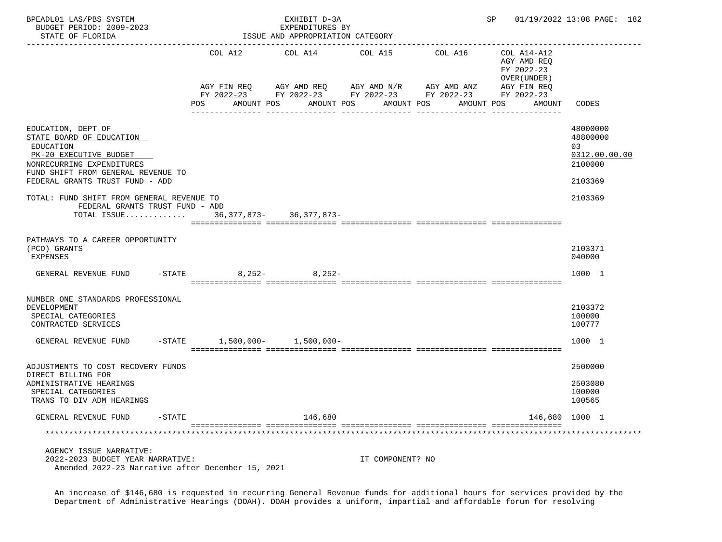| BPEADL01 LAS/PBS SYSTEM<br>BUDGET PERIOD: 2009-2023<br>STATE OF FLORIDA                                                                                                                     |                                  | EXHIBIT D-3A<br>EXPENDITURES BY<br>ISSUE AND APPROPRIATION CATEGORY |                                                                                                                           |            | SP                                                        | 01/19/2022 13:08 PAGE: 182                                        |
|---------------------------------------------------------------------------------------------------------------------------------------------------------------------------------------------|----------------------------------|---------------------------------------------------------------------|---------------------------------------------------------------------------------------------------------------------------|------------|-----------------------------------------------------------|-------------------------------------------------------------------|
|                                                                                                                                                                                             | COL A12                          | COL A14                                                             | COL A15                                                                                                                   | COL A16    | COL A14-A12<br>AGY AMD REQ<br>FY 2022-23<br>OVER (UNDER ) |                                                                   |
|                                                                                                                                                                                             | AGY FIN REQ<br>AMOUNT POS<br>POS |                                                                     | AGY AMD REQ AGY AMD N/R AGY AMD ANZ<br>FY 2022-23 FY 2022-23 FY 2022-23 FY 2022-23 FY 2022-23<br>AMOUNT POS<br>AMOUNT POS | AMOUNT POS | AGY FIN REQ<br>AMOUNT                                     | CODES                                                             |
| EDUCATION, DEPT OF<br>STATE BOARD OF EDUCATION<br>EDUCATION<br>PK-20 EXECUTIVE BUDGET<br>NONRECURRING EXPENDITURES<br>FUND SHIFT FROM GENERAL REVENUE TO<br>FEDERAL GRANTS TRUST FUND - ADD |                                  |                                                                     |                                                                                                                           |            |                                                           | 48000000<br>48800000<br>03<br>0312.00.00.00<br>2100000<br>2103369 |
| TOTAL: FUND SHIFT FROM GENERAL REVENUE TO<br>FEDERAL GRANTS TRUST FUND - ADD<br>TOTAL ISSUE 36, 377, 873- 36, 377, 873-                                                                     |                                  |                                                                     |                                                                                                                           |            |                                                           | 2103369                                                           |
| PATHWAYS TO A CAREER OPPORTUNITY<br>(PCO) GRANTS<br>EXPENSES                                                                                                                                |                                  |                                                                     |                                                                                                                           |            |                                                           | 2103371<br>040000                                                 |
| $-STATE$<br>GENERAL REVENUE FUND                                                                                                                                                            |                                  | $8,252 8,252-$                                                      |                                                                                                                           |            |                                                           | 1000 1                                                            |
| NUMBER ONE STANDARDS PROFESSIONAL<br>DEVELOPMENT<br>SPECIAL CATEGORIES<br>CONTRACTED SERVICES                                                                                               |                                  |                                                                     |                                                                                                                           |            |                                                           | 2103372<br>100000<br>100777                                       |
| GENERAL REVENUE FUND                                                                                                                                                                        | $-STATE$ 1,500,000- 1,500,000-   |                                                                     |                                                                                                                           |            |                                                           | 1000 1                                                            |
| ADJUSTMENTS TO COST RECOVERY FUNDS<br>DIRECT BILLING FOR<br>ADMINISTRATIVE HEARINGS<br>SPECIAL CATEGORIES<br>TRANS TO DIV ADM HEARINGS                                                      |                                  |                                                                     |                                                                                                                           |            |                                                           | 2500000<br>2503080<br>100000<br>100565                            |
| GENERAL REVENUE FUND<br>$-STATE$                                                                                                                                                            |                                  | 146,680                                                             |                                                                                                                           |            | 146,680 1000 1                                            |                                                                   |
|                                                                                                                                                                                             |                                  |                                                                     |                                                                                                                           |            |                                                           |                                                                   |
| AGENCY ISSUE NARRATIVE:<br>2022-2023 BUDGET YEAR NARRATIVE:<br>Amended 2022-23 Narrative after December 15, 2021                                                                            |                                  |                                                                     | IT COMPONENT? NO                                                                                                          |            |                                                           |                                                                   |

 An increase of \$146,680 is requested in recurring General Revenue funds for additional hours for services provided by the Department of Administrative Hearings (DOAH). DOAH provides a uniform, impartial and affordable forum for resolving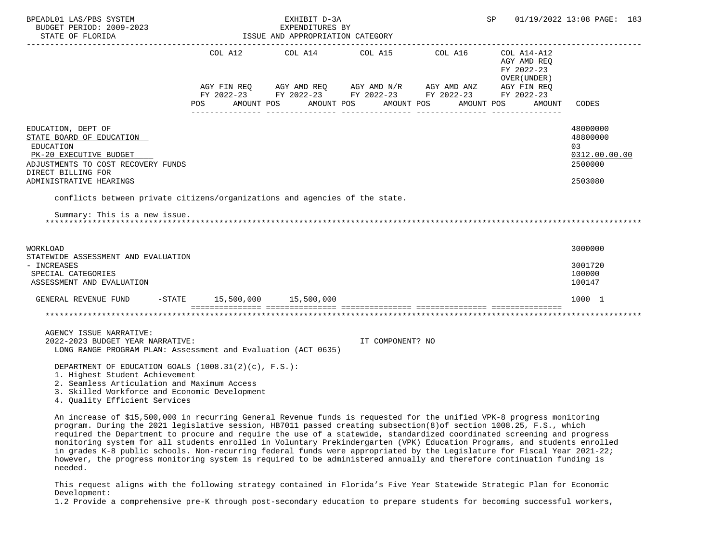| BPEADL01 LAS/PBS SYSTEM<br>BUDGET PERIOD: 2009-2023<br>STATE OF FLORIDA<br>-----------------------                                                                                                                                                                                                                                                                                                                                                                                                                                                                                                                                                                                                                                                    |                                | EXHIBIT D-3A<br>EXPENDITURES BY<br>ISSUE AND APPROPRIATION CATEGORY |                                  | SP                                                                                                                                                                                                                                                                                                                                                                                                                                                                  | 01/19/2022 13:08 PAGE: 183                |                                                        |
|-------------------------------------------------------------------------------------------------------------------------------------------------------------------------------------------------------------------------------------------------------------------------------------------------------------------------------------------------------------------------------------------------------------------------------------------------------------------------------------------------------------------------------------------------------------------------------------------------------------------------------------------------------------------------------------------------------------------------------------------------------|--------------------------------|---------------------------------------------------------------------|----------------------------------|---------------------------------------------------------------------------------------------------------------------------------------------------------------------------------------------------------------------------------------------------------------------------------------------------------------------------------------------------------------------------------------------------------------------------------------------------------------------|-------------------------------------------|--------------------------------------------------------|
|                                                                                                                                                                                                                                                                                                                                                                                                                                                                                                                                                                                                                                                                                                                                                       |                                |                                                                     |                                  | $\begin{tabular}{lllllllllll} \multicolumn{2}{l}{{\text{COL A14}} } & \multicolumn{2}{c}{\text{COL A15}} & \multicolumn{2}{c}{\text{COL A16}} & \multicolumn{2}{c}{\text{COL A14} - \text{A12}} \\ \multicolumn{2}{c}{\text{COL A14}} & \multicolumn{2}{c}{\text{COL A15}} & \multicolumn{2}{c}{\text{COL A16}} & \multicolumn{2}{c}{\text{COL A14} - \text{A12}} \\ \multicolumn{2}{c}{\text{COL A15}} & \multicolumn{2}{c}{\text{COL A16}} & \multicolumn{2}{c}{$ | AGY AMD REQ<br>FY 2022-23<br>OVER (UNDER) |                                                        |
|                                                                                                                                                                                                                                                                                                                                                                                                                                                                                                                                                                                                                                                                                                                                                       | <b>POS</b>                     |                                                                     | AMOUNT POS AMOUNT POS AMOUNT POS | $\begin{array}{lllllll} \textsc{AGY} & \textsc{FIN} & \textsc{REG} & \textsc{AGY} & \textsc{AGY} & \textsc{AND} & \textsc{N/N} & \textsc{AGY} & \textsc{AND} & \textsc{ANZ} & \textsc{AGY} & \textsc{FIN} & \textsc{REG} \\ \textsc{FY} & 2022-23 & \textsc{FY} & 2022-23 & \textsc{FY} & 2022-23 & \textsc{FY} & 2022-23 & \textsc{FY} & 2022-23 \end{array}$                                                                                                      | AGY FIN REQ<br>AMOUNT POS<br>AMOUNT       | CODES                                                  |
| EDUCATION, DEPT OF<br>STATE BOARD OF EDUCATION<br>EDUCATION<br>PK-20 EXECUTIVE BUDGET<br>ADJUSTMENTS TO COST RECOVERY FUNDS<br>DIRECT BILLING FOR                                                                                                                                                                                                                                                                                                                                                                                                                                                                                                                                                                                                     |                                |                                                                     |                                  |                                                                                                                                                                                                                                                                                                                                                                                                                                                                     |                                           | 48000000<br>48800000<br>03<br>0312.00.00.00<br>2500000 |
| ADMINISTRATIVE HEARINGS                                                                                                                                                                                                                                                                                                                                                                                                                                                                                                                                                                                                                                                                                                                               |                                |                                                                     |                                  |                                                                                                                                                                                                                                                                                                                                                                                                                                                                     |                                           | 2503080                                                |
| conflicts between private citizens/organizations and agencies of the state.                                                                                                                                                                                                                                                                                                                                                                                                                                                                                                                                                                                                                                                                           |                                |                                                                     |                                  |                                                                                                                                                                                                                                                                                                                                                                                                                                                                     |                                           |                                                        |
| Summary: This is a new issue.                                                                                                                                                                                                                                                                                                                                                                                                                                                                                                                                                                                                                                                                                                                         |                                |                                                                     |                                  |                                                                                                                                                                                                                                                                                                                                                                                                                                                                     |                                           |                                                        |
| WORKLOAD<br>STATEWIDE ASSESSMENT AND EVALUATION<br>- INCREASES<br>SPECIAL CATEGORIES<br>ASSESSMENT AND EVALUATION                                                                                                                                                                                                                                                                                                                                                                                                                                                                                                                                                                                                                                     |                                |                                                                     |                                  |                                                                                                                                                                                                                                                                                                                                                                                                                                                                     |                                           | 3000000<br>3001720<br>100000<br>100147                 |
| GENERAL REVENUE FUND                                                                                                                                                                                                                                                                                                                                                                                                                                                                                                                                                                                                                                                                                                                                  | $-STATE$ 15,500,000 15,500,000 |                                                                     |                                  |                                                                                                                                                                                                                                                                                                                                                                                                                                                                     |                                           | 1000 1                                                 |
|                                                                                                                                                                                                                                                                                                                                                                                                                                                                                                                                                                                                                                                                                                                                                       |                                |                                                                     |                                  |                                                                                                                                                                                                                                                                                                                                                                                                                                                                     |                                           |                                                        |
| AGENCY ISSUE NARRATIVE:<br>2022-2023 BUDGET YEAR NARRATIVE:<br>LONG RANGE PROGRAM PLAN: Assessment and Evaluation (ACT 0635)                                                                                                                                                                                                                                                                                                                                                                                                                                                                                                                                                                                                                          |                                |                                                                     | IT COMPONENT? NO                 |                                                                                                                                                                                                                                                                                                                                                                                                                                                                     |                                           |                                                        |
| DEPARTMENT OF EDUCATION GOALS (1008.31(2)(c), F.S.):<br>1. Highest Student Achievement<br>2. Seamless Articulation and Maximum Access<br>3. Skilled Workforce and Economic Development<br>4. Quality Efficient Services                                                                                                                                                                                                                                                                                                                                                                                                                                                                                                                               |                                |                                                                     |                                  |                                                                                                                                                                                                                                                                                                                                                                                                                                                                     |                                           |                                                        |
| An increase of \$15,500,000 in recurring General Revenue funds is requested for the unified VPK-8 progress monitoring<br>program. During the 2021 legislative session, HB7011 passed creating subsection(8) of section 1008.25, F.S., which<br>required the Department to procure and require the use of a statewide, standardized coordinated screening and progress<br>monitoring system for all students enrolled in Voluntary Prekindergarten (VPK) Education Programs, and students enrolled<br>in grades K-8 public schools. Non-recurring federal funds were appropriated by the Legislature for Fiscal Year 2021-22;<br>however, the progress monitoring system is required to be administered annually and therefore continuation funding is |                                |                                                                     |                                  |                                                                                                                                                                                                                                                                                                                                                                                                                                                                     |                                           |                                                        |

 This request aligns with the following strategy contained in Florida's Five Year Statewide Strategic Plan for Economic Development:

needed.

1.2 Provide a comprehensive pre-K through post-secondary education to prepare students for becoming successful workers,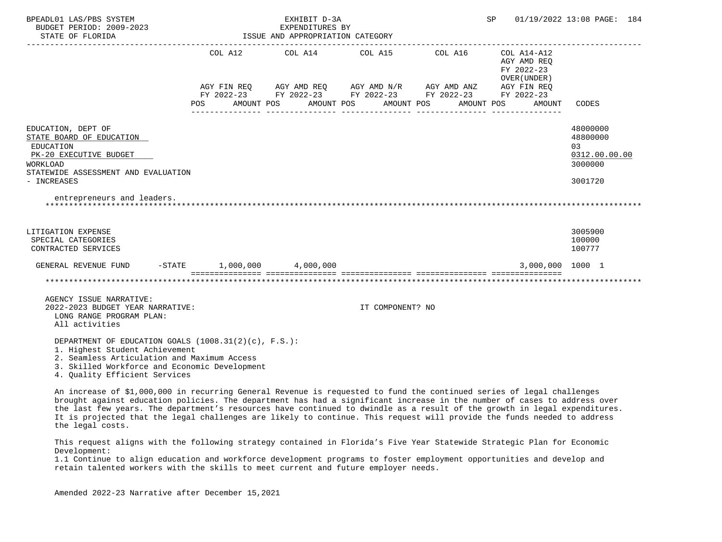| BPEADL01 LAS/PBS SYSTEM<br>BUDGET PERIOD: 2009-2023<br>STATE OF FLORIDA                                                                                                                |      |                                      | EXHIBIT D-3A<br>EXPENDITURES BY<br>ISSUE AND APPROPRIATION CATEGORY                 |                       |                                                  | SP |                                                                                                 | 01/19/2022 13:08 PAGE: 184                                        |  |
|----------------------------------------------------------------------------------------------------------------------------------------------------------------------------------------|------|--------------------------------------|-------------------------------------------------------------------------------------|-----------------------|--------------------------------------------------|----|-------------------------------------------------------------------------------------------------|-------------------------------------------------------------------|--|
|                                                                                                                                                                                        | POS. | COL A12<br>AGY FIN REO<br>AMOUNT POS | COL A14<br>AGY AMD REQ<br>FY 2022-23 FY 2022-23 FY 2022-23 FY 2022-23<br>AMOUNT POS | COL A15<br>AMOUNT POS | COL A16<br>AGY AMD N/R AGY AMD ANZ<br>AMOUNT POS |    | COL A14-A12<br>AGY AMD REO<br>FY 2022-23<br>OVER (UNDER)<br>AGY FIN REO<br>FY 2022-23<br>AMOUNT | CODES                                                             |  |
| EDUCATION, DEPT OF<br>STATE BOARD OF EDUCATION<br>EDUCATION<br>PK-20 EXECUTIVE BUDGET<br>WORKLOAD<br>STATEWIDE ASSESSMENT AND EVALUATION<br>- INCREASES<br>entrepreneurs and leaders.  |      |                                      |                                                                                     |                       |                                                  |    |                                                                                                 | 48000000<br>48800000<br>03<br>0312.00.00.00<br>3000000<br>3001720 |  |
| LITIGATION EXPENSE<br>SPECIAL CATEGORIES<br>CONTRACTED SERVICES                                                                                                                        |      |                                      |                                                                                     |                       |                                                  |    |                                                                                                 | 3005900<br>100000<br>100777                                       |  |
| GENERAL REVENUE FUND                                                                                                                                                                   |      |                                      | $-STATE$ 1,000,000 4,000,000                                                        |                       |                                                  |    | 3,000,000 1000 1                                                                                |                                                                   |  |
|                                                                                                                                                                                        |      |                                      |                                                                                     |                       |                                                  |    |                                                                                                 |                                                                   |  |
| AGENCY ISSUE NARRATIVE:<br>2022-2023 BUDGET YEAR NARRATIVE:<br>LONG RANGE PROGRAM PLAN:<br>All activities                                                                              |      |                                      |                                                                                     | IT COMPONENT? NO      |                                                  |    |                                                                                                 |                                                                   |  |
| DEPARTMENT OF EDUCATION GOALS (1008.31(2)(c), F.S.):<br>1. Highest Student Achievement<br>2. Seamless Articulation and Maximum Access<br>3. Skilled Workforce and Economic Development |      |                                      |                                                                                     |                       |                                                  |    |                                                                                                 |                                                                   |  |

4. Quality Efficient Services

 An increase of \$1,000,000 in recurring General Revenue is requested to fund the continued series of legal challenges brought against education policies. The department has had a significant increase in the number of cases to address over the last few years. The department's resources have continued to dwindle as a result of the growth in legal expenditures. It is projected that the legal challenges are likely to continue. This request will provide the funds needed to address the legal costs.

 This request aligns with the following strategy contained in Florida's Five Year Statewide Strategic Plan for Economic Development:

 1.1 Continue to align education and workforce development programs to foster employment opportunities and develop and retain talented workers with the skills to meet current and future employer needs.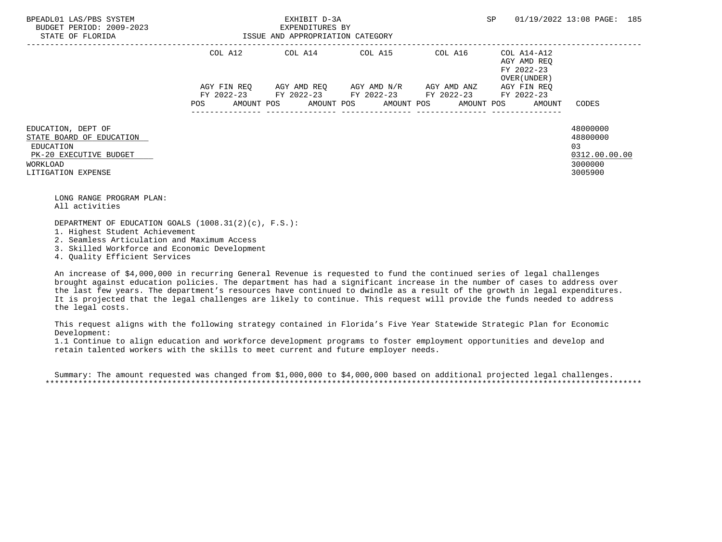| BPEADL01 LAS/PBS SYSTEM<br>BUDGET PERIOD: 2009-2023<br>STATE OF FLORIDA                                                 | EXHIBIT D-3A<br>EXPENDITURES BY<br>ISSUE AND APPROPRIATION CATEGORY |                                                        |                                               |                 | SP                                        | 01/19/2022 13:08 PAGE: 185                                        |
|-------------------------------------------------------------------------------------------------------------------------|---------------------------------------------------------------------|--------------------------------------------------------|-----------------------------------------------|-----------------|-------------------------------------------|-------------------------------------------------------------------|
|                                                                                                                         | COL A12                                                             |                                                        |                                               |                 | AGY AMD REO<br>FY 2022-23<br>OVER (UNDER) |                                                                   |
|                                                                                                                         | AGY FIN REO                                                         | FY 2022-23 FY 2022-23 FY 2022-23 FY 2022-23 FY 2022-23 | AGY AMD REO      AGY AMD N/R      AGY AMD ANZ |                 | AGY FIN REO                               |                                                                   |
|                                                                                                                         | POS                                                                 | AMOUNT POS AMOUNT POS AMOUNT POS AMOUNT POS            |                                               | --------------- | AMOUNT                                    | CODES                                                             |
| EDUCATION, DEPT OF<br>STATE BOARD OF EDUCATION<br>EDUCATION<br>PK-20 EXECUTIVE BUDGET<br>WORKLOAD<br>LITIGATION EXPENSE |                                                                     |                                                        |                                               |                 |                                           | 48000000<br>48800000<br>03<br>0312.00.00.00<br>3000000<br>3005900 |

 LONG RANGE PROGRAM PLAN: All activities

DEPARTMENT OF EDUCATION GOALS (1008.31(2)(c), F.S.):

1. Highest Student Achievement

2. Seamless Articulation and Maximum Access

3. Skilled Workforce and Economic Development

4. Quality Efficient Services

 An increase of \$4,000,000 in recurring General Revenue is requested to fund the continued series of legal challenges brought against education policies. The department has had a significant increase in the number of cases to address over the last few years. The department's resources have continued to dwindle as a result of the growth in legal expenditures. It is projected that the legal challenges are likely to continue. This request will provide the funds needed to address the legal costs.

 This request aligns with the following strategy contained in Florida's Five Year Statewide Strategic Plan for Economic Development:

 1.1 Continue to align education and workforce development programs to foster employment opportunities and develop and retain talented workers with the skills to meet current and future employer needs.

 Summary: The amount requested was changed from \$1,000,000 to \$4,000,000 based on additional projected legal challenges. \*\*\*\*\*\*\*\*\*\*\*\*\*\*\*\*\*\*\*\*\*\*\*\*\*\*\*\*\*\*\*\*\*\*\*\*\*\*\*\*\*\*\*\*\*\*\*\*\*\*\*\*\*\*\*\*\*\*\*\*\*\*\*\*\*\*\*\*\*\*\*\*\*\*\*\*\*\*\*\*\*\*\*\*\*\*\*\*\*\*\*\*\*\*\*\*\*\*\*\*\*\*\*\*\*\*\*\*\*\*\*\*\*\*\*\*\*\*\*\*\*\*\*\*\*\*\*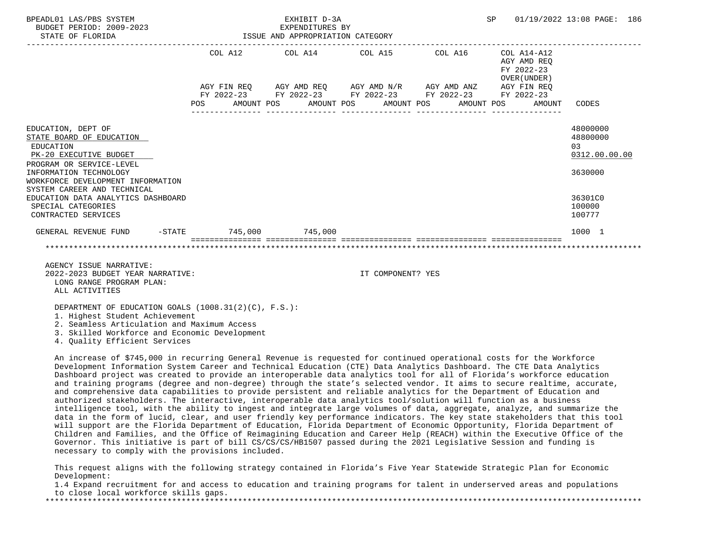| BPEADL01 LAS/PBS SYSTEM<br>BUDGET PERIOD: 2009-2023<br>STATE OF FLORIDA                                                                             |            | EXHIBIT D-3A<br>EXPENDITURES BY<br>ISSUE AND APPROPRIATION CATEGORY |                                                                                                                       | SP 01/19/2022 13:08 PAGE: 186                            |                                                        |  |  |  |
|-----------------------------------------------------------------------------------------------------------------------------------------------------|------------|---------------------------------------------------------------------|-----------------------------------------------------------------------------------------------------------------------|----------------------------------------------------------|--------------------------------------------------------|--|--|--|
|                                                                                                                                                     |            |                                                                     | COL A12 COL A14 COL A15 COL A16                                                                                       | COL A14-A12<br>AGY AMD REO<br>FY 2022-23<br>OVER (UNDER) |                                                        |  |  |  |
|                                                                                                                                                     | <b>POS</b> |                                                                     | AGY FIN REQ AGY AMD REQ AGY AMD N/R AGY AMD ANZ AGY FIN REQ<br>FY 2022-23 FY 2022-23 FY 2022-23 FY 2022-23 FY 2022-23 | AMOUNT POS AMOUNT POS AMOUNT POS AMOUNT POS AMOUNT CODES |                                                        |  |  |  |
| EDUCATION, DEPT OF<br>STATE BOARD OF EDUCATION<br>EDUCATION<br>PK-20 EXECUTIVE BUDGET<br>PROGRAM OR SERVICE-LEVEL<br>INFORMATION TECHNOLOGY         |            |                                                                     |                                                                                                                       |                                                          | 48000000<br>48800000<br>03<br>0312.00.00.00<br>3630000 |  |  |  |
| WORKFORCE DEVELOPMENT INFORMATION<br>SYSTEM CAREER AND TECHNICAL<br>EDUCATION DATA ANALYTICS DASHBOARD<br>SPECIAL CATEGORIES<br>CONTRACTED SERVICES |            |                                                                     |                                                                                                                       |                                                          | 36301C0<br>100000<br>100777                            |  |  |  |
| GENERAL REVENUE FUND -STATE 745,000 745,000                                                                                                         |            |                                                                     |                                                                                                                       |                                                          | 1000 1                                                 |  |  |  |
|                                                                                                                                                     |            |                                                                     |                                                                                                                       |                                                          |                                                        |  |  |  |
| AGENCY ISSUE NARRATIVE:<br>2022-2023 BUDGET YEAR NARRATIVE:<br>LONG RANGE PROGRAM PLAN:<br>ALL ACTIVITIES                                           |            |                                                                     | IT COMPONENT? YES                                                                                                     |                                                          |                                                        |  |  |  |
| DEPARTMENT OF EDUCATION GOALS (1008.31(2)(C), F.S.):<br>1. Highest Student Achievement<br>2. Seamless Articulation and Maximum Access               |            |                                                                     |                                                                                                                       |                                                          |                                                        |  |  |  |

3. Skilled Workforce and Economic Development

4. Quality Efficient Services

 An increase of \$745,000 in recurring General Revenue is requested for continued operational costs for the Workforce Development Information System Career and Technical Education (CTE) Data Analytics Dashboard. The CTE Data Analytics Dashboard project was created to provide an interoperable data analytics tool for all of Florida's workforce education and training programs (degree and non-degree) through the state's selected vendor. It aims to secure realtime, accurate, and comprehensive data capabilities to provide persistent and reliable analytics for the Department of Education and authorized stakeholders. The interactive, interoperable data analytics tool/solution will function as a business intelligence tool, with the ability to ingest and integrate large volumes of data, aggregate, analyze, and summarize the data in the form of lucid, clear, and user friendly key performance indicators. The key state stakeholders that this tool will support are the Florida Department of Education, Florida Department of Economic Opportunity, Florida Department of Children and Families, and the Office of Reimagining Education and Career Help (REACH) within the Executive Office of the Governor. This initiative is part of bill CS/CS/CS/HB1507 passed during the 2021 Legislative Session and funding is necessary to comply with the provisions included.

 This request aligns with the following strategy contained in Florida's Five Year Statewide Strategic Plan for Economic Development:

 1.4 Expand recruitment for and access to education and training programs for talent in underserved areas and populations to close local workforce skills gaps.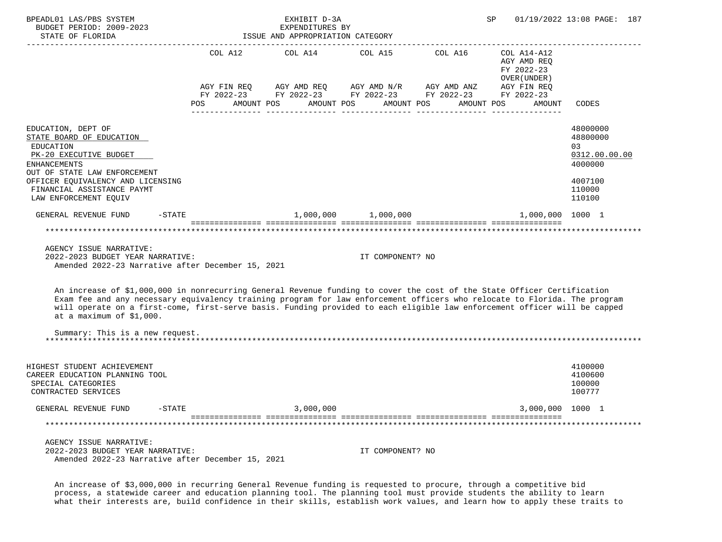| BPEADL01 LAS/PBS SYSTEM<br>BUDGET PERIOD: 2009-2023<br>STATE OF FLORIDA                                                                                                                                                                                                                                                                                                                                         |                                                                                                                    | EXHIBIT D-3A<br>EXPENDITURES BY<br>ISSUE AND APPROPRIATION CATEGORY |                     | SP         | 01/19/2022 13:08 PAGE: 187                               |                                                                                       |
|-----------------------------------------------------------------------------------------------------------------------------------------------------------------------------------------------------------------------------------------------------------------------------------------------------------------------------------------------------------------------------------------------------------------|--------------------------------------------------------------------------------------------------------------------|---------------------------------------------------------------------|---------------------|------------|----------------------------------------------------------|---------------------------------------------------------------------------------------|
|                                                                                                                                                                                                                                                                                                                                                                                                                 | COL A14<br>COL A12<br>AGY FIN REQ AGY AMD REQ AGY AMD N/R AGY AMD ANZ AGY FIN REQ FY 2022-23 FY 2022-23 FY 2022-23 |                                                                     | COL A15             | COL A16    | COL A14-A12<br>AGY AMD REQ<br>FY 2022-23<br>OVER (UNDER) |                                                                                       |
|                                                                                                                                                                                                                                                                                                                                                                                                                 | AMOUNT POS<br>POS                                                                                                  | AMOUNT POS                                                          | AMOUNT POS          | AMOUNT POS | AMOUNT                                                   | CODES                                                                                 |
| EDUCATION, DEPT OF<br>STATE BOARD OF EDUCATION<br>EDUCATION<br>PK-20 EXECUTIVE BUDGET<br><b>ENHANCEMENTS</b><br>OUT OF STATE LAW ENFORCEMENT<br>OFFICER EQUIVALENCY AND LICENSING<br>FINANCIAL ASSISTANCE PAYMT<br>LAW ENFORCEMENT EQUIV                                                                                                                                                                        |                                                                                                                    |                                                                     |                     |            |                                                          | 48000000<br>48800000<br>03<br>0312.00.00.00<br>4000000<br>4007100<br>110000<br>110100 |
| $-STATE$<br>GENERAL REVENUE FUND                                                                                                                                                                                                                                                                                                                                                                                |                                                                                                                    |                                                                     | 1,000,000 1,000,000 |            | 1,000,000 1000 1                                         |                                                                                       |
| AGENCY ISSUE NARRATIVE:<br>2022-2023 BUDGET YEAR NARRATIVE:<br>Amended 2022-23 Narrative after December 15, 2021                                                                                                                                                                                                                                                                                                |                                                                                                                    | ******************************                                      | IT COMPONENT? NO    |            |                                                          |                                                                                       |
| An increase of \$1,000,000 in nonrecurring General Revenue funding to cover the cost of the State Officer Certification<br>Exam fee and any necessary equivalency training program for law enforcement officers who relocate to Florida. The program<br>will operate on a first-come, first-serve basis. Funding provided to each eligible law enforcement officer will be capped<br>at a maximum of $$1,000$ . |                                                                                                                    |                                                                     |                     |            |                                                          |                                                                                       |
| Summary: This is a new request.                                                                                                                                                                                                                                                                                                                                                                                 |                                                                                                                    |                                                                     |                     |            |                                                          |                                                                                       |
| HIGHEST STUDENT ACHIEVEMENT<br>CAREER EDUCATION PLANNING TOOL<br>SPECIAL CATEGORIES<br>CONTRACTED SERVICES                                                                                                                                                                                                                                                                                                      |                                                                                                                    |                                                                     |                     |            |                                                          | 4100000<br>4100600<br>100000<br>100777                                                |
| GENERAL REVENUE FUND<br>$-\mathtt{STATE}$                                                                                                                                                                                                                                                                                                                                                                       |                                                                                                                    | 3,000,000                                                           |                     |            | 3,000,000 1000 1                                         |                                                                                       |
| ***********************************                                                                                                                                                                                                                                                                                                                                                                             |                                                                                                                    | ******************************                                      |                     |            |                                                          |                                                                                       |
| AGENCY ISSUE NARRATIVE:<br>2022-2023 BUDGET YEAR NARRATIVE:<br>Amended 2022-23 Narrative after December 15, 2021                                                                                                                                                                                                                                                                                                |                                                                                                                    |                                                                     | IT COMPONENT? NO    |            |                                                          |                                                                                       |

 An increase of \$3,000,000 in recurring General Revenue funding is requested to procure, through a competitive bid process, a statewide career and education planning tool. The planning tool must provide students the ability to learn what their interests are, build confidence in their skills, establish work values, and learn how to apply these traits to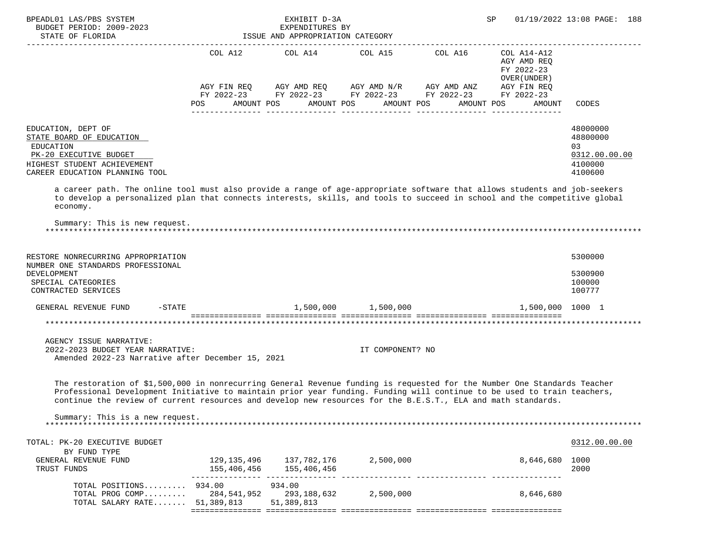| BPEADL01 LAS/PBS SYSTEM<br>BUDGET PERIOD: 2009-2023<br>STATE OF FLORIDA<br>---------------                                                                                                                                                                                                                                                                          |                                                        | EXHIBIT D-3A<br>EXPENDITURES BY<br>EXPENDITURES BY<br>ISSUE AND APPROPRIATION CATEGORY                                                                                                                                                                                                                                                                                                                         | SP                    | 01/19/2022 13:08 PAGE: 188                |                                                                   |
|---------------------------------------------------------------------------------------------------------------------------------------------------------------------------------------------------------------------------------------------------------------------------------------------------------------------------------------------------------------------|--------------------------------------------------------|----------------------------------------------------------------------------------------------------------------------------------------------------------------------------------------------------------------------------------------------------------------------------------------------------------------------------------------------------------------------------------------------------------------|-----------------------|-------------------------------------------|-------------------------------------------------------------------|
|                                                                                                                                                                                                                                                                                                                                                                     |                                                        | COL A12 COL A14 COL A15 COL A16 COL A14-A12<br>$\begin{array}{lllllll} {\text{AGY}} & {\text{FIN}} & {\text{REG}} & {\text{AGY}} & {\text{AMP}} & {\text{AGY}} & {\text{AMP}} & {\text{M}} & {\text{M}} & {\text{H}} & {\text{M}} & {\text{M}} & {\text{M}} & {\text{M}} \\ {\text{FY}} & 2022-23 & {\text{FY}} & 2022-23 & {\text{FY}} & 2022-23 & {\text{FY}} & 2022-23 & {\text{FY}} & 2022-23 \end{array}$ |                       | AGY AMD REQ<br>FY 2022-23<br>OVER (UNDER) |                                                                   |
|                                                                                                                                                                                                                                                                                                                                                                     | POS AMOUNT POS                                         |                                                                                                                                                                                                                                                                                                                                                                                                                | AMOUNT POS AMOUNT POS | AMOUNT POS<br>AMOUNT                      | CODES                                                             |
| EDUCATION, DEPT OF<br>STATE BOARD OF EDUCATION<br>EDUCATION<br>PK-20 EXECUTIVE BUDGET<br>HIGHEST STUDENT ACHIEVEMENT<br>CAREER EDUCATION PLANNING TOOL                                                                                                                                                                                                              |                                                        |                                                                                                                                                                                                                                                                                                                                                                                                                |                       |                                           | 48000000<br>48800000<br>03<br>0312.00.00.00<br>4100000<br>4100600 |
| a career path. The online tool must also provide a range of age-appropriate software that allows students and job-seekers<br>to develop a personalized plan that connects interests, skills, and tools to succeed in school and the competitive global<br>economy.                                                                                                  |                                                        |                                                                                                                                                                                                                                                                                                                                                                                                                |                       |                                           |                                                                   |
| Summary: This is new request.                                                                                                                                                                                                                                                                                                                                       |                                                        |                                                                                                                                                                                                                                                                                                                                                                                                                |                       |                                           |                                                                   |
| RESTORE NONRECURRING APPROPRIATION<br>NUMBER ONE STANDARDS PROFESSIONAL<br>DEVELOPMENT<br>SPECIAL CATEGORIES<br>CONTRACTED SERVICES                                                                                                                                                                                                                                 |                                                        |                                                                                                                                                                                                                                                                                                                                                                                                                |                       |                                           | 5300000<br>5300900<br>100000<br>100777                            |
| GENERAL REVENUE FUND -STATE $1,500,000$ $1,500,000$ $1,500,000$ $1,500,000$                                                                                                                                                                                                                                                                                         |                                                        |                                                                                                                                                                                                                                                                                                                                                                                                                |                       |                                           |                                                                   |
|                                                                                                                                                                                                                                                                                                                                                                     |                                                        |                                                                                                                                                                                                                                                                                                                                                                                                                |                       |                                           |                                                                   |
| AGENCY ISSUE NARRATIVE:<br>2022-2023 BUDGET YEAR NARRATIVE:<br>Amended 2022-23 Narrative after December 15, 2021                                                                                                                                                                                                                                                    |                                                        |                                                                                                                                                                                                                                                                                                                                                                                                                | IT COMPONENT? NO      |                                           |                                                                   |
| The restoration of \$1,500,000 in nonrecurring General Revenue funding is requested for the Number One Standards Teacher<br>Professional Development Initiative to maintain prior year funding. Funding will continue to be used to train teachers,<br>continue the review of current resources and develop new resources for the B.E.S.T., ELA and math standards. |                                                        |                                                                                                                                                                                                                                                                                                                                                                                                                |                       |                                           |                                                                   |
| Summary: This is a new request.                                                                                                                                                                                                                                                                                                                                     |                                                        |                                                                                                                                                                                                                                                                                                                                                                                                                |                       |                                           |                                                                   |
| TOTAL: PK-20 EXECUTIVE BUDGET                                                                                                                                                                                                                                                                                                                                       |                                                        |                                                                                                                                                                                                                                                                                                                                                                                                                |                       |                                           | 0312.00.00.00                                                     |
| BY FUND TYPE<br>GENERAL REVENUE FUND<br>TRUST FUNDS                                                                                                                                                                                                                                                                                                                 | 129, 135, 496 137, 782, 176 2, 500, 000<br>155,406,456 | 155,406,456                                                                                                                                                                                                                                                                                                                                                                                                    |                       | 8,646,680 1000                            | 2000                                                              |
| TOTAL POSITIONS 934.00<br>TOTAL PROG COMP 284,541,952 293,188,632 2,500,000<br>TOTAL SALARY RATE 51,389,813                                                                                                                                                                                                                                                         |                                                        | 934.00<br>51,389,813                                                                                                                                                                                                                                                                                                                                                                                           |                       | 8,646,680                                 |                                                                   |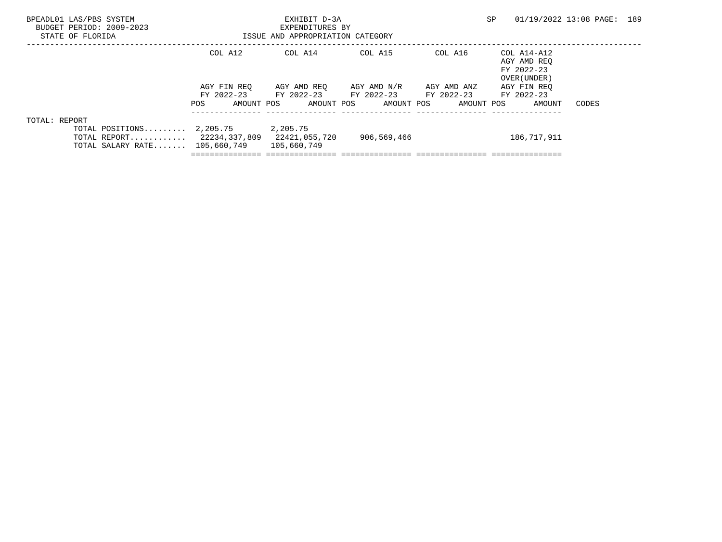| BPEADL01 LAS/PBS SYSTEM<br>BUDGET PERIOD: 2009-2023<br>STATE OF FLORIDA                                                      | EXHIBIT D-3A<br>EXPENDITURES BY<br>ISSUE AND APPROPRIATION CATEGORY |                         |                       |             | SP                                                       | 01/19/2022 13:08 PAGE: 189 |  |
|------------------------------------------------------------------------------------------------------------------------------|---------------------------------------------------------------------|-------------------------|-----------------------|-------------|----------------------------------------------------------|----------------------------|--|
|                                                                                                                              | COL A12                                                             | COL A14                 | COL A15               | COL A16     | COL A14-A12<br>AGY AMD REO<br>FY 2022-23<br>OVER (UNDER) |                            |  |
|                                                                                                                              | AGY FIN REO                                                         | AGY AMD REO             | AGY AMD N/R           | AGY AMD ANZ | AGY FIN REO                                              |                            |  |
|                                                                                                                              | FY 2022-23                                                          | FY 2022-23              | FY 2022-23 FY 2022-23 |             | FY 2022-23                                               |                            |  |
|                                                                                                                              | AMOUNT POS<br>POS                                                   | AMOUNT POS              | AMOUNT POS            | AMOUNT POS  | AMOUNT                                                   | CODES                      |  |
| TOTAL: REPORT<br>TOTAL POSITIONS $2,205.75$<br>TOTAL REPORT $22234,337,809$ $22421,055,720$<br>TOTAL SALARY RATE 105,660,749 |                                                                     | 2,205.75<br>105,660,749 | 906,569,466           |             | 186,717,911                                              |                            |  |
|                                                                                                                              |                                                                     |                         |                       |             |                                                          |                            |  |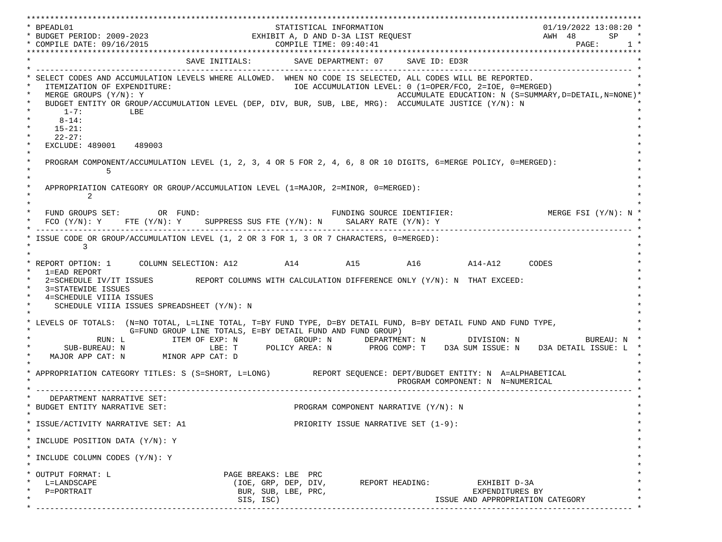\*\*\*\*\*\*\*\*\*\*\*\*\*\*\*\*\*\*\*\*\*\*\*\*\*\*\*\*\*\*\*\*\*\*\*\*\*\*\*\*\*\*\*\*\*\*\*\*\*\*\*\*\*\*\*\*\*\*\*\*\*\*\*\*\*\*\*\*\*\*\*\*\*\*\*\*\*\*\*\*\*\*\*\*\*\*\*\*\*\*\*\*\*\*\*\*\*\*\*\*\*\*\*\*\*\*\*\*\*\*\*\*\*\*\*\*\*\*\*\*\*\*\*\*\*\*\*\*\*\*\* \* BPEADL01 STATISTICAL INFORMATION 01/19/2022 13:08:20 \* \* BUDGET PERIOD: 2009-2023 EXHIBIT A, D AND D-3A LIST REQUEST AWH 48 SP \* \* COMPILE DATE: 09/16/2015 COMPILE TIME: 09:40:41 PAGE: 1 \* \*\*\*\*\*\*\*\*\*\*\*\*\*\*\*\*\*\*\*\*\*\*\*\*\*\*\*\*\*\*\*\*\*\*\*\*\*\*\*\*\*\*\*\*\*\*\*\*\*\*\*\*\*\*\*\*\*\*\*\*\*\*\*\*\*\*\*\*\*\*\*\*\*\*\*\*\*\*\*\*\*\*\*\*\*\*\*\*\*\*\*\*\*\*\*\*\*\*\*\*\*\*\*\*\*\*\*\*\*\*\*\*\*\*\*\*\*\*\*\*\*\*\*\*\*\*\*\*\*\*\* SAVE INITIALS: SAVE DEPARTMENT: 07 SAVE ID: ED3R \* ------------------------------------------------------------------------------------------------------------------------------- \* SELECT CODES AND ACCUMULATION LEVELS WHERE ALLOWED. WHEN NO CODE IS SELECTED, ALL CODES WILL BE REPORTED. ITEMIZATION OF EXPENDITURE:  $\overline{10E}$  accumulation level: 0 (1=OPER/FCO, 2=IOE, 0=MERGED) \* MERGE GROUPS (Y/N): Y ACCUMULATE EDUCATION: N (S=SUMMARY,D=DETAIL,N=NONE)\* BUDGET ENTITY OR GROUP/ACCUMULATION LEVEL (DEP, DIV, BUR, SUB, LBE, MRG): ACCUMULATE JUSTICE (Y/N): N  $*$  1-7: LBE  $*$  $*$  8-14:  $*$  $*$  15-21:  $*$  $*$  22-27: \* EXCLUDE: 489001 489003  $\star$   $\star$  \* PROGRAM COMPONENT/ACCUMULATION LEVEL (1, 2, 3, 4 OR 5 FOR 2, 4, 6, 8 OR 10 DIGITS, 6=MERGE POLICY, 0=MERGED): \*  $\star$  5  $\star$  $\star$   $\star$ APPROPRIATION CATEGORY OR GROUP/ACCUMULATION LEVEL (1=MAJOR, 2=MINOR, 0=MERGED):  $\star$  2  $\star$  $\star$   $\star$ FUND GROUPS SET: OR FUND: THE SOURCE IDENTIFIER: MERGE FSI (Y/N): N  $FCO (Y/N): Y$  FTE  $(Y/N): Y$  SUPPRESS SUS FTE  $(Y/N): N$  SALARY RATE  $(Y/N): Y$  \* ------------------------------------------------------------------------------------------------------------------------------- \* \* ISSUE CODE OR GROUP/ACCUMULATION LEVEL (1, 2 OR 3 FOR 1, 3 OR 7 CHARACTERS, 0=MERGED): \*  $\star$  3  $\star$  $\star$   $\star$  \* REPORT OPTION: 1 COLUMN SELECTION: A12 A14 A15 A16 A14-A12 CODES \* \* 1=EAD REPORT \*  $2$ =SCHEDULE IV/IT ISSUES REPORT COLUMNS WITH CALCULATION DIFFERENCE ONLY  $(Y/N): N$  THAT EXCEED: 3=STATEWIDE ISSUES 4=SCHEDULE VIIIA ISSUES SCHEDULE VIIIA ISSUES SPREADSHEET (Y/N): N \* \* \* LEVELS OF TOTALS: (N=NO TOTAL, L=LINE TOTAL, T=BY FUND TYPE, D=BY DETAIL FUND, B=BY DETAIL FUND AND FUND TYPE, \* G=FUND GROUP LINE TOTALS, E=BY DETAIL FUND AND FUND GROUP) \* RUN: L ITEM OF EXP: N GROUP: N DEPARTMENT: N DIVISION: N BUREAU: N \* SUB-BUREAU: N LBE: T POLICY AREA: N PROG COMP: T D3A SUM ISSUE: N D3A DETAIL ISSUE: L MAJOR APP CAT: N MINOR APP CAT: D \* \* APPROPRIATION CATEGORY TITLES: S (S=SHORT, L=LONG) REPORT SEQUENCE: DEPT/BUDGET ENTITY: N A=ALPHABETICAL PROGRAM COMPONENT: N N=NUMERICAL \* ------------------------------------------------------------------------------------------------------------------------------- \* DEPARTMENT NARRATIVE SET:<br>BUDGET ENTITY NARRATIVE SET: PROGRAM COMPONENT NARRATIVE (Y/N): N \* \* \* ISSUE/ACTIVITY NARRATIVE SET: A1 PRIORITY ISSUE NARRATIVE SET (1-9): \*  $\star$   $\star$  \* INCLUDE POSITION DATA (Y/N): Y \* \* \* INCLUDE COLUMN CODES  $(Y/N): Y$  \* \* \* OUTPUT FORMAT: L PAGE BREAKS: LBE PRC \* \* L=LANDSCAPE (IOE, GRP, DEP, DIV, REPORT HEADING: EXHIBIT D-3A \* \* P=PORTRAIT BUR, SUB, LBE, PRC, EXPENDITURES BY \* SIS, ISC) ISSUE AND APPROPRIATION CATEGORY \* ------------------------------------------------------------------------------------------------------------------------------- \*